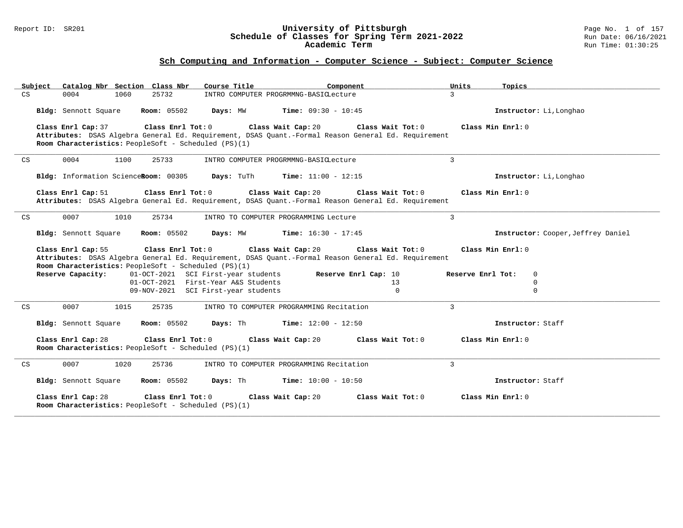#### Report ID: SR201 **University of Pittsburgh** Page No. 1 of 157 **Schedule of Classes for Spring Term 2021-2022** Run Date: 06/16/2021 **Academic Term** Run Time: 01:30:25

| Catalog Nbr Section Class Nbr<br>Subject                                                          | Course Title <b>Source Search</b><br>Component                                                                                              | Units                | Topics                             |
|---------------------------------------------------------------------------------------------------|---------------------------------------------------------------------------------------------------------------------------------------------|----------------------|------------------------------------|
| CS<br>0004<br>25732<br>1060                                                                       | INTRO COMPUTER PROGRMMNG-BASICLecture                                                                                                       | $\mathcal{L}$        |                                    |
| <b>Room:</b> 05502<br>Bldg: Sennott Square                                                        | Days: MW<br><b>Time:</b> $09:30 - 10:45$                                                                                                    |                      | Instructor: Li, Longhao            |
| Class Enrl Cap: 37<br>Class Enrl Tot: 0<br>Room Characteristics: PeopleSoft - Scheduled (PS)(1)   | Class Wait Cap: 20<br>Attributes: DSAS Algebra General Ed. Requirement, DSAS Quant.-Formal Reason General Ed. Requirement                   | Class Wait Tot: 0    | Class Min Enrl: 0                  |
| 0004<br>1100<br>25733<br>CS                                                                       | INTRO COMPUTER PROGRMMNG-BASICLecture                                                                                                       | $\mathbf{3}$         |                                    |
| Bldg: Information ScienceRoom: 00305                                                              | Days: TuTh<br><b>Time:</b> $11:00 - 12:15$                                                                                                  |                      | Instructor: Li, Longhao            |
| Class Enrl Cap: 51<br>Class Enrl Tot: 0                                                           | Class Wait Cap: 20<br>Attributes: DSAS Algebra General Ed. Requirement, DSAS Quant.-Formal Reason General Ed. Requirement                   | Class Wait Tot: 0    | Class Min Enrl: 0                  |
| 0007<br>1010<br>25734<br>CS                                                                       | INTRO TO COMPUTER PROGRAMMING Lecture                                                                                                       | $\overline{3}$       |                                    |
| Bldg: Sennott Square<br><b>Room:</b> 05502                                                        | Days: MW<br><b>Time:</b> $16:30 - 17:45$                                                                                                    |                      | Instructor: Cooper, Jeffrey Daniel |
| Class Enrl Cap: 55<br>Room Characteristics: PeopleSoft - Scheduled (PS)(1)                        | Class Enrl Tot: 0 Class Wait Cap: 20<br>Attributes: DSAS Algebra General Ed. Requirement, DSAS Quant.-Formal Reason General Ed. Requirement | Class Wait Tot: 0    | Class Min Enrl: 0                  |
| Reserve Capacity:                                                                                 | 01-OCT-2021 SCI First-year students                                                                                                         | Reserve Enrl Cap: 10 | Reserve Enrl Tot:<br>$\mathbf 0$   |
|                                                                                                   | 01-OCT-2021 First-Year A&S Students                                                                                                         | 13                   | 0                                  |
|                                                                                                   | 09-NOV-2021 SCI First-year students                                                                                                         | $\Omega$             | 0                                  |
| 0007<br>25735<br>CS<br>1015                                                                       | INTRO TO COMPUTER PROGRAMMING Recitation                                                                                                    | $\overline{3}$       |                                    |
| <b>Room:</b> 05502<br>Bldg: Sennott Square                                                        | Days: Th<br>Time: $12:00 - 12:50$                                                                                                           |                      | Instructor: Staff                  |
| Class Enrl Cap: 28<br>Class Enrl Tot: $0$<br>Room Characteristics: PeopleSoft - Scheduled (PS)(1) | Class Wait Cap: 20                                                                                                                          | Class Wait Tot: 0    | Class Min Enrl: 0                  |
| 0007<br>1020<br>25736<br>CS                                                                       | INTRO TO COMPUTER PROGRAMMING Recitation                                                                                                    | 3                    |                                    |
| <b>Room:</b> 05502<br><b>Bldg:</b> Sennott Square                                                 | Days: Th<br><b>Time:</b> $10:00 - 10:50$                                                                                                    |                      | Instructor: Staff                  |
| Class Enrl Cap: 28<br>Class Enrl Tot: 0<br>Room Characteristics: PeopleSoft - Scheduled (PS)(1)   | Class Wait Cap: 20                                                                                                                          | Class Wait Tot: 0    | Class Min Enrl: 0                  |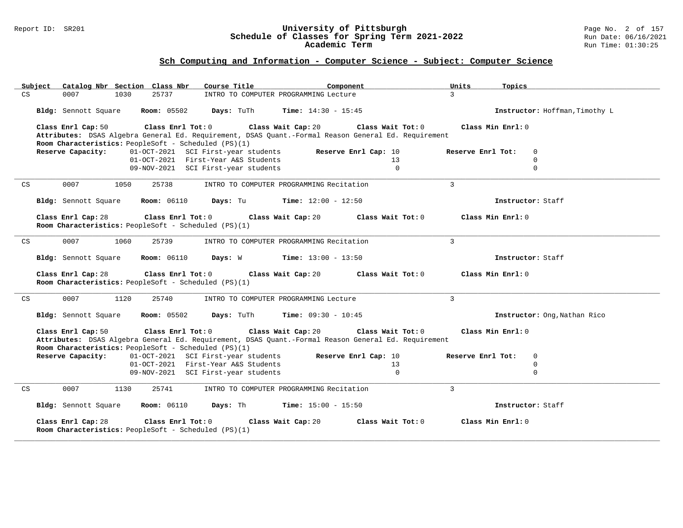#### Report ID: SR201 **University of Pittsburgh** Page No. 2 of 157 **Schedule of Classes for Spring Term 2021-2022** Run Date: 06/16/2021 **Academic Term** Run Time: 01:30:25

| Catalog Nbr Section Class Nbr<br>Course Title<br>Subject<br>Component                                                                                       | Units<br>Topics                  |
|-------------------------------------------------------------------------------------------------------------------------------------------------------------|----------------------------------|
| 25737<br>CS<br>0007<br>1030<br>INTRO TO COMPUTER PROGRAMMING Lecture                                                                                        | $\overline{3}$                   |
|                                                                                                                                                             |                                  |
| Bldg: Sennott Square<br><b>Room:</b> 05502<br>Days: TuTh<br><b>Time:</b> $14:30 - 15:45$                                                                    | Instructor: Hoffman, Timothy L   |
|                                                                                                                                                             |                                  |
| Class Enrl Cap: 50<br>Class Enrl Tot: 0<br>Class Wait Cap: 20<br>Class Wait Tot: 0                                                                          | Class Min Enrl: 0                |
| Attributes: DSAS Algebra General Ed. Requirement, DSAS Quant.-Formal Reason General Ed. Requirement                                                         |                                  |
| Room Characteristics: PeopleSoft - Scheduled (PS)(1)                                                                                                        |                                  |
| Reserve Capacity:<br>01-OCT-2021 SCI First-year students<br>Reserve Enrl Cap: 10                                                                            | Reserve Enrl Tot:<br>$\Omega$    |
| 01-OCT-2021 First-Year A&S Students<br>13                                                                                                                   | $\Omega$                         |
| $\Omega$<br>09-NOV-2021 SCI First-year students                                                                                                             | $\Omega$                         |
|                                                                                                                                                             |                                  |
| 0007<br>1050<br>25738<br>INTRO TO COMPUTER PROGRAMMING Recitation<br>CS                                                                                     | $\mathbf{3}$                     |
|                                                                                                                                                             |                                  |
|                                                                                                                                                             | Instructor: Staff                |
| <b>Room: 06110</b><br>Days: Tu<br><b>Time:</b> $12:00 - 12:50$<br>Bldg: Sennott Square                                                                      |                                  |
|                                                                                                                                                             |                                  |
| Class Enrl Cap: 28<br>Class Enrl Tot: 0<br>Class Wait Cap: 20<br>Class Wait Tot: 0                                                                          | Class Min Enrl: 0                |
| Room Characteristics: PeopleSoft - Scheduled (PS)(1)                                                                                                        |                                  |
|                                                                                                                                                             |                                  |
| 0007<br>1060<br>25739<br>INTRO TO COMPUTER PROGRAMMING Recitation<br>CS                                                                                     | $\mathbf{3}$                     |
|                                                                                                                                                             |                                  |
| <b>Room: 06110</b><br>Bldg: Sennott Square<br>Days: W<br><b>Time:</b> $13:00 - 13:50$                                                                       | Instructor: Staff                |
|                                                                                                                                                             |                                  |
|                                                                                                                                                             |                                  |
| Class Enrl Cap: 28<br>Class Enrl Tot: 0<br>Class Wait Cap: 20<br>Class Wait Tot: 0                                                                          | Class Min Enrl: 0                |
| Room Characteristics: PeopleSoft - Scheduled (PS)(1)                                                                                                        |                                  |
|                                                                                                                                                             |                                  |
| 0007<br>1120<br>25740<br>CS<br>INTRO TO COMPUTER PROGRAMMING Lecture                                                                                        | 3                                |
|                                                                                                                                                             |                                  |
| Bldg: Sennott Square<br><b>Room:</b> 05502<br>Days: TuTh<br><b>Time:</b> $09:30 - 10:45$                                                                    | Instructor: Ong, Nathan Rico     |
|                                                                                                                                                             |                                  |
| Class Enrl Tot: 0 Class Wait Cap: 20<br>Class Enrl Cap: 50<br>Class Wait Tot: 0                                                                             | Class Min Enrl: 0                |
|                                                                                                                                                             |                                  |
| Attributes: DSAS Algebra General Ed. Requirement, DSAS Quant.-Formal Reason General Ed. Requirement<br>Room Characteristics: PeopleSoft - Scheduled (PS)(1) |                                  |
| Reserve Enrl Cap: 10                                                                                                                                        | $\mathbf 0$<br>Reserve Enrl Tot: |
| Reserve Capacity:<br>01-OCT-2021 SCI First-year students                                                                                                    |                                  |
| 01-OCT-2021 First-Year A&S Students<br>13                                                                                                                   | 0                                |
| $\Omega$<br>09-NOV-2021 SCI First-year students                                                                                                             | $\Omega$                         |
|                                                                                                                                                             |                                  |
| 0007<br>25741<br>INTRO TO COMPUTER PROGRAMMING Recitation<br>CS<br>1130                                                                                     | $\overline{3}$                   |
|                                                                                                                                                             |                                  |
| <b>Time:</b> $15:00 - 15:50$<br>Bldg: Sennott Square<br><b>Room:</b> 06110<br>Days: Th                                                                      | Instructor: Staff                |
|                                                                                                                                                             |                                  |
| Class Enrl Cap: 28<br>Class Enrl Tot: 0<br>Class Wait Tot: 0<br>Class Wait Cap: 20                                                                          | Class Min Enrl: 0                |
| Room Characteristics: PeopleSoft - Scheduled (PS)(1)                                                                                                        |                                  |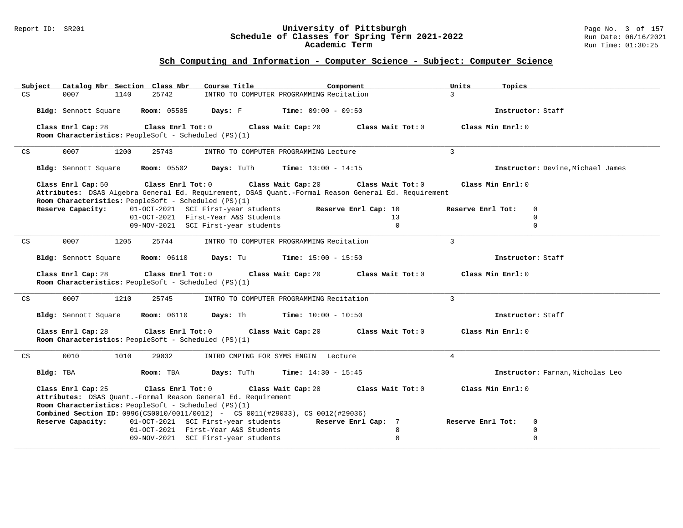#### Report ID: SR201 **University of Pittsburgh** Page No. 3 of 157 **Schedule of Classes for Spring Term 2021-2022** Run Date: 06/16/2021 **Academic Term** Run Time: 01:30:25

| Subject | Catalog Nbr Section Class Nbr                                                                                                                                    | Course Title<br>Component                                                                                                                           | Units             | Topics                            |
|---------|------------------------------------------------------------------------------------------------------------------------------------------------------------------|-----------------------------------------------------------------------------------------------------------------------------------------------------|-------------------|-----------------------------------|
| CS      | 25742<br>0007<br>1140                                                                                                                                            | INTRO TO COMPUTER PROGRAMMING Recitation                                                                                                            | $\mathcal{L}$     |                                   |
|         | <b>Room: 05505</b><br>Bldg: Sennott Square                                                                                                                       | <b>Days:</b> F Time: $09:00 - 09:50$                                                                                                                |                   | Instructor: Staff                 |
|         | Class Enrl Tot: 0<br>Class Enrl Cap: 28<br>Room Characteristics: PeopleSoft - Scheduled (PS)(1)                                                                  | Class Wait Cap: 20                                                                                                                                  | Class Wait Tot: 0 | Class Min Enrl: 0                 |
| CS      | 0007<br>1200<br>25743                                                                                                                                            | INTRO TO COMPUTER PROGRAMMING Lecture                                                                                                               | 3                 |                                   |
|         | Bldg: Sennott Square<br><b>Room:</b> 05502                                                                                                                       | Days: TuTh<br><b>Time:</b> $13:00 - 14:15$                                                                                                          |                   | Instructor: Devine, Michael James |
|         | Class Enrl Cap: 50<br>Class Enrl Tot: 0<br>Room Characteristics: PeopleSoft - Scheduled (PS)(1)                                                                  | Class Wait Cap: 20<br>Attributes: DSAS Algebra General Ed. Requirement, DSAS Quant.-Formal Reason General Ed. Requirement                           | Class Wait Tot: 0 | Class Min Enrl: 0                 |
|         | Reserve Capacity:                                                                                                                                                | Reserve Enrl Cap: 10<br>01-OCT-2021 SCI First-year students                                                                                         |                   | Reserve Enrl Tot:<br>$\mathbf 0$  |
|         |                                                                                                                                                                  | 01-OCT-2021 First-Year A&S Students                                                                                                                 | 13                | $\mathbf 0$                       |
|         |                                                                                                                                                                  | 09-NOV-2021 SCI First-year students                                                                                                                 | $\Omega$          | $\Omega$                          |
| CS      | 0007<br>1205<br>25744                                                                                                                                            | INTRO TO COMPUTER PROGRAMMING Recitation                                                                                                            | 3                 |                                   |
|         | Bldg: Sennott Square                                                                                                                                             | <b>Room:</b> 06110 <b>Days:</b> Tu <b>Time:</b> 15:00 - 15:50                                                                                       |                   | Instructor: Staff                 |
|         |                                                                                                                                                                  |                                                                                                                                                     |                   |                                   |
|         | Class Enrl Cap: 28<br>$Class$ $Enr1$ $Tot: 0$<br>Room Characteristics: PeopleSoft - Scheduled (PS)(1)                                                            | Class Wait Cap: 20                                                                                                                                  | Class Wait Tot: 0 | Class Min Enrl: 0                 |
| CS      | 0007<br>1210<br>25745                                                                                                                                            | INTRO TO COMPUTER PROGRAMMING Recitation                                                                                                            | $\overline{3}$    |                                   |
|         |                                                                                                                                                                  | Bldg: Sennott Square Room: 06110 Days: Th Time: 10:00 - 10:50                                                                                       |                   | Instructor: Staff                 |
|         | Class Enrl Cap: 28<br>Class Enrl Tot: 0<br>Room Characteristics: PeopleSoft - Scheduled (PS)(1)                                                                  | Class Wait Cap: 20                                                                                                                                  | Class Wait Tot: 0 | Class Min Enrl: 0                 |
| CS      | 0010<br>1010<br>29032                                                                                                                                            | INTRO CMPTNG FOR SYMS ENGIN Lecture                                                                                                                 | $\overline{4}$    |                                   |
|         | Bldg: TBA<br>Room: TBA                                                                                                                                           | Days: TuTh<br><b>Time:</b> $14:30 - 15:45$                                                                                                          |                   | Instructor: Farnan, Nicholas Leo  |
|         | Class Enrl Tot: 0<br>Class Enrl Cap: 25<br>Attributes: DSAS Quant.-Formal Reason General Ed. Requirement<br>Room Characteristics: PeopleSoft - Scheduled (PS)(1) | Class Wait Cap: 20                                                                                                                                  | Class Wait Tot: 0 | Class Min Enrl: 0                 |
|         | Reserve Capacity:                                                                                                                                                | <b>Combined Section ID:</b> 0996(CS0010/0011/0012) - CS 0011(#29033), CS 0012(#29036)<br>01-OCT-2021 SCI First-year students<br>Reserve Enrl Cap: 7 |                   | Reserve Enrl Tot:<br>$\mathbf 0$  |
|         |                                                                                                                                                                  | 01-OCT-2021 First-Year A&S Students                                                                                                                 | 8                 | $\mathbf 0$                       |
|         |                                                                                                                                                                  | 09-NOV-2021 SCI First-year students                                                                                                                 | $\mathbf 0$       | $\mathbf{0}$                      |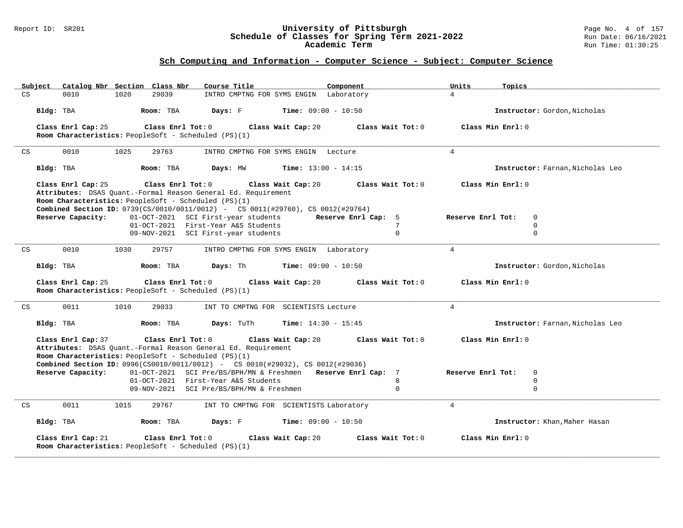#### Report ID: SR201 **University of Pittsburgh** Page No. 4 of 157 **Schedule of Classes for Spring Term 2021-2022** Run Date: 06/16/2021 **Academic Term** Run Time: 01:30:25

| Catalog Nbr Section Class Nbr<br>Subject                                                                                                                                                                                                                   | Course Title                                                 | Component           | Units<br>Topics   |                                  |
|------------------------------------------------------------------------------------------------------------------------------------------------------------------------------------------------------------------------------------------------------------|--------------------------------------------------------------|---------------------|-------------------|----------------------------------|
| 29039<br>0010<br>1020<br>CS                                                                                                                                                                                                                                | INTRO CMPTNG FOR SYMS ENGIN Laboratory                       |                     | $\overline{4}$    |                                  |
| Bldg: TBA<br>Room: TBA                                                                                                                                                                                                                                     | Days: F<br>$Time: 09:00 - 10:50$                             |                     |                   | Instructor: Gordon, Nicholas     |
| Class Enrl Cap: 25<br>Class Enrl Tot: 0                                                                                                                                                                                                                    | Class Wait Cap: 20                                           | Class Wait Tot: 0   | Class Min Enrl: 0 |                                  |
| Room Characteristics: PeopleSoft - Scheduled (PS)(1)                                                                                                                                                                                                       |                                                              |                     |                   |                                  |
| 0010<br>1025<br>29763<br>CS                                                                                                                                                                                                                                | INTRO CMPTNG FOR SYMS ENGIN Lecture                          |                     | $\overline{4}$    |                                  |
| Bldg: TBA<br>Room: TBA                                                                                                                                                                                                                                     | Days: MW<br><b>Time:</b> $13:00 - 14:15$                     |                     |                   | Instructor: Farnan, Nicholas Leo |
| Class Enrl Tot: 0<br>Class Enrl Cap: 25<br>Attributes: DSAS Quant.-Formal Reason General Ed. Requirement<br>Room Characteristics: PeopleSoft - Scheduled (PS)(1)<br><b>Combined Section ID:</b> 0739(CS/0010/0011/0012) - CS 0011(#29760), CS 0012(#29764) | Class Wait Cap: 20                                           | Class Wait Tot: 0   | Class Min Enrl: 0 |                                  |
| Reserve Capacity:                                                                                                                                                                                                                                          | 01-OCT-2021 SCI First-year students                          | Reserve Enrl Cap: 5 | Reserve Enrl Tot: | $\mathbf 0$                      |
|                                                                                                                                                                                                                                                            | 01-OCT-2021 First-Year A&S Students                          | 7                   |                   | $\Omega$                         |
|                                                                                                                                                                                                                                                            | 09-NOV-2021 SCI First-year students                          | $\mathbf 0$         |                   | $\mathbf 0$                      |
| 0010<br>29757<br>CS<br>1030                                                                                                                                                                                                                                | INTRO CMPTNG FOR SYMS ENGIN Laboratory                       |                     | $\overline{4}$    |                                  |
| Bldg: TBA<br>Room: TBA                                                                                                                                                                                                                                     | <b>Days:</b> Th <b>Time:</b> $09:00 - 10:50$                 |                     |                   | Instructor: Gordon, Nicholas     |
| Class Enrl Cap: 25<br>Class Enrl Tot: 0<br>Room Characteristics: PeopleSoft - Scheduled (PS)(1)                                                                                                                                                            | Class Wait Cap: 20                                           | Class Wait Tot: 0   | Class Min Enrl: 0 |                                  |
| 0011<br>1010<br>29033<br>CS                                                                                                                                                                                                                                | INT TO CMPTNG FOR SCIENTISTS Lecture                         |                     | $\overline{4}$    |                                  |
| Bldg: TBA<br>Room: TBA                                                                                                                                                                                                                                     | Days: TuTh<br><b>Time:</b> $14:30 - 15:45$                   |                     |                   | Instructor: Farnan, Nicholas Leo |
| Class Enrl Cap: 37<br>Class Enrl Tot: 0<br>Attributes: DSAS Quant.-Formal Reason General Ed. Requirement<br>Room Characteristics: PeopleSoft - Scheduled (PS)(1)<br><b>Combined Section ID:</b> 0996(CS0010/0011/0012) - CS 0010(#29032), CS 0012(#29036)  | Class Wait Cap: 20                                           | Class Wait Tot: 0   | Class Min Enrl: 0 |                                  |
| Reserve Capacity:                                                                                                                                                                                                                                          | 01-OCT-2021 SCI Pre/BS/BPH/MN & Freshmen Reserve Enrl Cap: 7 |                     | Reserve Enrl Tot: | $\mathbf 0$                      |
|                                                                                                                                                                                                                                                            | 01-OCT-2021 First-Year A&S Students                          | 8                   |                   | $\Omega$                         |
|                                                                                                                                                                                                                                                            | 09-NOV-2021 SCI Pre/BS/BPH/MN & Freshmen                     | $\mathbf 0$         |                   | $\mathbf 0$                      |
| 0011<br>1015<br>CS<br>29767                                                                                                                                                                                                                                | INT TO CMPTNG FOR SCIENTISTS Laboratory                      |                     | $\overline{4}$    |                                  |
| Bldg: TBA<br>Room: TBA                                                                                                                                                                                                                                     | Days: F<br>$Time: 09:00 - 10:50$                             |                     |                   | Instructor: Khan, Maher Hasan    |
| Class Enrl Cap: 21<br>Class Enrl Tot: 0<br>Room Characteristics: PeopleSoft - Scheduled (PS)(1)                                                                                                                                                            | Class Wait Cap: 20                                           | Class Wait Tot: 0   | Class Min Enrl: 0 |                                  |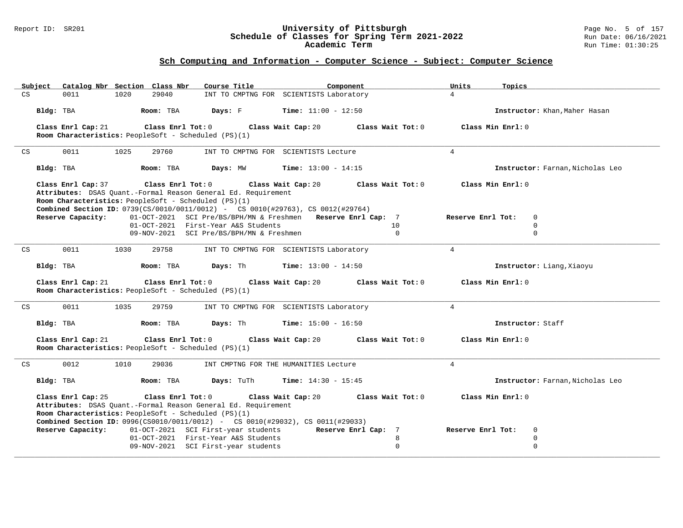#### Report ID: SR201 **University of Pittsburgh** Page No. 5 of 157 **Schedule of Classes for Spring Term 2021-2022** Run Date: 06/16/2021 **Academic Term** Run Time: 01:30:25

| Subject            | Catalog Nbr Section Class Nbr                                                                                                                                                                                                                                              | Course Title                             | Component                                                    |                   | Units<br>Topics   |                                  |
|--------------------|----------------------------------------------------------------------------------------------------------------------------------------------------------------------------------------------------------------------------------------------------------------------------|------------------------------------------|--------------------------------------------------------------|-------------------|-------------------|----------------------------------|
| CS<br>0011         | 1020<br>29040                                                                                                                                                                                                                                                              |                                          | INT TO CMPTNG FOR SCIENTISTS Laboratory                      |                   | $\overline{4}$    |                                  |
| Bldg: TBA          | Room: TBA                                                                                                                                                                                                                                                                  | Days: F                                  | <b>Time:</b> $11:00 - 12:50$                                 |                   |                   | Instructor: Khan, Maher Hasan    |
| Class Enrl Cap: 21 | Class Enrl Tot: 0<br>Room Characteristics: PeopleSoft - Scheduled (PS)(1)                                                                                                                                                                                                  |                                          | Class Wait Cap: 20<br>Class Wait Tot: 0                      |                   | Class Min Enrl: 0 |                                  |
| 0011<br>CS         | 1025<br>29760                                                                                                                                                                                                                                                              | INT TO CMPTNG FOR SCIENTISTS Lecture     |                                                              |                   | $\overline{4}$    |                                  |
| Bldg: TBA          | Room: TBA                                                                                                                                                                                                                                                                  | Days: MW                                 | <b>Time:</b> $13:00 - 14:15$                                 |                   |                   | Instructor: Farnan, Nicholas Leo |
|                    | Class Enrl Cap: 37 Class Enrl Tot: 0 Class Wait Cap: 20<br>Attributes: DSAS Quant.-Formal Reason General Ed. Requirement<br>Room Characteristics: PeopleSoft - Scheduled (PS)(1)<br><b>Combined Section ID:</b> 0739(CS/0010/0011/0012) - CS 0010(#29763), CS 0012(#29764) |                                          | Class Wait Tot: 0                                            |                   | Class Min Enrl: 0 |                                  |
| Reserve Capacity:  |                                                                                                                                                                                                                                                                            |                                          | 01-OCT-2021 SCI Pre/BS/BPH/MN & Freshmen Reserve Enrl Cap: 7 |                   | Reserve Enrl Tot: | $\mathbf 0$                      |
|                    |                                                                                                                                                                                                                                                                            | 01-OCT-2021 First-Year A&S Students      |                                                              | 10                |                   | $\mathbf 0$                      |
|                    |                                                                                                                                                                                                                                                                            | 09-NOV-2021 SCI Pre/BS/BPH/MN & Freshmen |                                                              | $\Omega$          |                   | $\mathbf 0$                      |
| 0011<br>CS         | 1030<br>29758                                                                                                                                                                                                                                                              |                                          | INT TO CMPTNG FOR SCIENTISTS Laboratory                      |                   | $4\overline{ }$   |                                  |
| Bldg: TBA          | Room: TBA                                                                                                                                                                                                                                                                  |                                          | <b>Days:</b> Th <b>Time:</b> $13:00 - 14:50$                 |                   |                   | Instructor: Liang, Xiaoyu        |
| Class Enrl Cap: 21 | Class Enrl Tot: $0$<br>Room Characteristics: PeopleSoft - Scheduled (PS)(1)                                                                                                                                                                                                |                                          | Class Wait Cap: 20<br>Class Wait Tot: 0                      |                   | Class Min Enrl: 0 |                                  |
| 0011<br>CS         | 1035<br>29759                                                                                                                                                                                                                                                              |                                          | INT TO CMPTNG FOR SCIENTISTS Laboratory                      |                   | $\overline{4}$    |                                  |
| Bldg: TBA          | Room: TBA                                                                                                                                                                                                                                                                  | Days: Th                                 | <b>Time:</b> $15:00 - 16:50$                                 |                   |                   | Instructor: Staff                |
| Class Enrl Cap: 21 | Class Enrl Tot: 0<br>Room Characteristics: PeopleSoft - Scheduled (PS)(1)                                                                                                                                                                                                  |                                          | Class Wait Cap: 20<br>Class Wait Tot: 0                      |                   | Class Min Enrl: 0 |                                  |
| 0012<br>CS         | 1010<br>29036                                                                                                                                                                                                                                                              |                                          | INT CMPTNG FOR THE HUMANITIES Lecture                        |                   | $\overline{4}$    |                                  |
| Bldg: TBA          | Room: TBA                                                                                                                                                                                                                                                                  | Days: TuTh                               | <b>Time:</b> $14:30 - 15:45$                                 |                   |                   | Instructor: Farnan, Nicholas Leo |
| Class Enrl Cap: 25 | Class Enrl Tot: 0<br>Attributes: DSAS Quant.-Formal Reason General Ed. Requirement<br>Room Characteristics: PeopleSoft - Scheduled (PS)(1)<br>Combined Section ID: 0996(CS0010/0011/0012) - CS 0010(#29032), CS 0011(#29033)                                               |                                          | Class Wait Cap: 20                                           | Class Wait Tot: 0 | Class Min Enrl: 0 |                                  |
| Reserve Capacity:  |                                                                                                                                                                                                                                                                            | 01-OCT-2021 SCI First-year students      | Reserve Enrl Cap: 7                                          |                   | Reserve Enrl Tot: | 0                                |
|                    |                                                                                                                                                                                                                                                                            | 01-OCT-2021 First-Year A&S Students      |                                                              | 8                 |                   | 0                                |
|                    |                                                                                                                                                                                                                                                                            |                                          |                                                              |                   |                   |                                  |
|                    |                                                                                                                                                                                                                                                                            | 09-NOV-2021 SCI First-year students      |                                                              | $\Omega$          |                   | $\Omega$                         |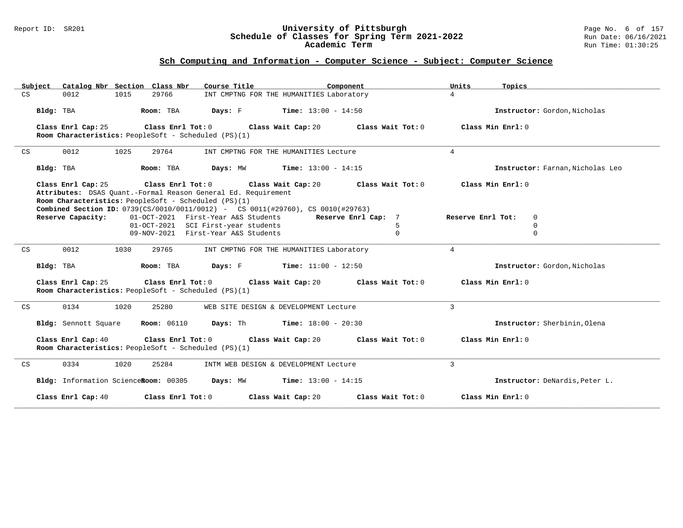#### Report ID: SR201 **University of Pittsburgh** Page No. 6 of 157 **Schedule of Classes for Spring Term 2021-2022** Run Date: 06/16/2021 **Academic Term** Run Time: 01:30:25

| Catalog Nbr Section Class Nbr<br>Subiect | Course Title                                                                                                                                                                                                    | Component                            | Units<br>Topics                  |
|------------------------------------------|-----------------------------------------------------------------------------------------------------------------------------------------------------------------------------------------------------------------|--------------------------------------|----------------------------------|
| CS<br>0012<br>1015                       | 29766<br>INT CMPTNG FOR THE HUMANITIES Laboratory                                                                                                                                                               |                                      | $\overline{4}$                   |
| Bldg: TBA                                | Room: TBA<br><b>Days:</b> F Time: $13:00 - 14:50$                                                                                                                                                               |                                      | Instructor: Gordon, Nicholas     |
| Class Enrl Cap: 25                       | Class Enrl Tot: 0 Class Wait Cap: 20<br>Room Characteristics: PeopleSoft - Scheduled (PS)(1)                                                                                                                    | Class Wait Tot: 0                    | Class Min Enrl: 0                |
| 0012<br>1025<br>CS                       | 29764<br>INT CMPTNG FOR THE HUMANITIES Lecture                                                                                                                                                                  |                                      | $\overline{4}$                   |
| Bldg: TBA                                | Days: MW<br>Room: TBA                                                                                                                                                                                           | Time: $13:00 - 14:15$                | Instructor: Farnan, Nicholas Leo |
| Class Enrl Cap: 25                       | Class Enrl Tot: 0 Class Wait Cap: 20                                                                                                                                                                            | Class Wait Tot: 0                    | Class Min Enrl: 0                |
|                                          | Attributes: DSAS Quant.-Formal Reason General Ed. Requirement<br>Room Characteristics: PeopleSoft - Scheduled (PS)(1)<br><b>Combined Section ID:</b> 0739(CS/0010/0011/0012) - CS 0011(#29760), CS 0010(#29763) |                                      |                                  |
| Reserve Capacity:                        | 01-OCT-2021 First-Year A&S Students                                                                                                                                                                             | Reserve Enrl Cap: 7                  | 0<br>Reserve Enrl Tot:           |
|                                          | 01-OCT-2021 SCI First-year students                                                                                                                                                                             | 5                                    | 0                                |
|                                          | 09-NOV-2021 First-Year A&S Students                                                                                                                                                                             | $\Omega$                             | 0                                |
| CS<br>0012<br>1030                       | 29765<br>INT CMPTNG FOR THE HUMANITIES Laboratory                                                                                                                                                               |                                      | $\overline{4}$                   |
| Bldg: TBA                                | <b>Days:</b> F <b>Time:</b> $11:00 - 12:50$<br>Room: TBA                                                                                                                                                        |                                      | Instructor: Gordon, Nicholas     |
| Class Enrl Cap: 25                       | Class Enrl Tot: $0$<br>Class Wait Cap: 20<br>Room Characteristics: PeopleSoft - Scheduled (PS)(1)                                                                                                               | Class Wait Tot: 0                    | Class Min Enrl: 0                |
| 0134<br>1020<br>CS                       | 25280<br>WEB SITE DESIGN & DEVELOPMENT Lecture                                                                                                                                                                  |                                      | $\overline{3}$                   |
| Bldg: Sennott Square                     | Days: Th<br><b>Room:</b> 06110                                                                                                                                                                                  | $Time: 18:00 - 20:30$                | Instructor: Sherbinin, Olena     |
| Class Enrl Cap: 40                       | $Class$ $Enr1$ $Tot: 0$<br>Room Characteristics: PeopleSoft - Scheduled (PS)(1)                                                                                                                                 | Class Wait Cap: 20 Class Wait Tot: 0 | Class Min Enrl: 0                |
| 0334<br>1020<br>CS                       | 25284<br>INTM WEB DESIGN & DEVELOPMENT Lecture                                                                                                                                                                  |                                      | 3                                |
| Bldg: Information ScienceRoom: 00305     | Days: MW                                                                                                                                                                                                        | <b>Time:</b> $13:00 - 14:15$         | Instructor: DeNardis, Peter L.   |
| Class Enrl Cap: 40                       | Class Enrl Tot: 0<br>Class Wait Cap: 20                                                                                                                                                                         | Class Wait Tot: 0                    | Class Min Enrl: 0                |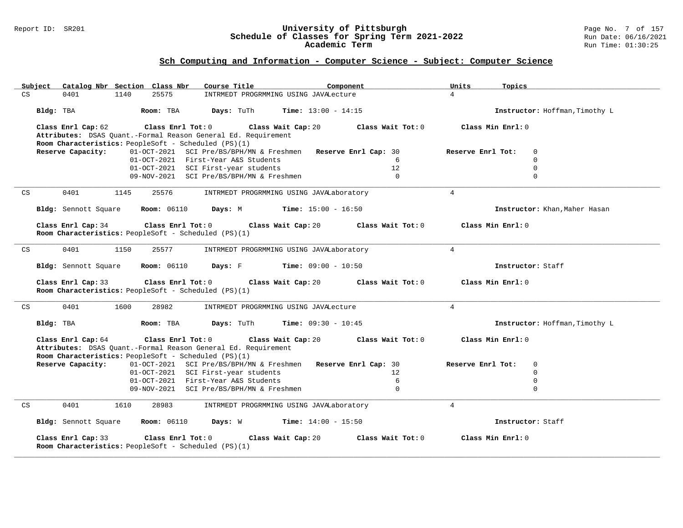#### Report ID: SR201 **University of Pittsburgh** Page No. 7 of 157 **Schedule of Classes for Spring Term 2021-2022** Run Date: 06/16/2021 **Academic Term** Run Time: 01:30:25

| Catalog Nbr Section Class Nbr<br>Subject                                                                                                                         | Course Title                                                  | Component<br>Units | Topics                           |
|------------------------------------------------------------------------------------------------------------------------------------------------------------------|---------------------------------------------------------------|--------------------|----------------------------------|
| 0401<br>1140<br>25575<br>CS                                                                                                                                      | INTRMEDT PROGRMMING USING JAVALecture                         | $\overline{4}$     |                                  |
| Bldg: TBA<br>Room: TBA                                                                                                                                           | Days: TuTh<br><b>Time:</b> $13:00 - 14:15$                    |                    | Instructor: Hoffman, Timothy L   |
| Class Enrl Cap: 62<br>Class Enrl Tot: $0$                                                                                                                        | Class Wait Cap: 20                                            | Class Wait Tot: 0  | Class Min Enrl: 0                |
| Attributes: DSAS Quant.-Formal Reason General Ed. Requirement                                                                                                    |                                                               |                    |                                  |
| Room Characteristics: PeopleSoft - Scheduled (PS)(1)                                                                                                             |                                                               |                    |                                  |
| Reserve Capacity:                                                                                                                                                | 01-OCT-2021 SCI Pre/BS/BPH/MN & Freshmen Reserve Enrl Cap: 30 |                    | Reserve Enrl Tot:<br>$\mathbf 0$ |
|                                                                                                                                                                  | 01-OCT-2021 First-Year A&S Students                           | $6^{6}$            | $\Omega$                         |
|                                                                                                                                                                  | 01-OCT-2021 SCI First-year students                           | 12                 | $\mathbf 0$                      |
|                                                                                                                                                                  | 09-NOV-2021 SCI Pre/BS/BPH/MN & Freshmen                      | $\mathbf{0}$       | $\mathbf 0$                      |
|                                                                                                                                                                  |                                                               |                    |                                  |
| 0401<br>CS<br>1145<br>25576                                                                                                                                      | INTRMEDT PROGRMMING USING JAVALaboratory                      | $\overline{4}$     |                                  |
| Bldg: Sennott Square<br><b>Room: 06110</b>                                                                                                                       | Days: M<br>$Time: 15:00 - 16:50$                              |                    | Instructor: Khan, Maher Hasan    |
| Class Enrl Cap: 34<br>Room Characteristics: PeopleSoft - Scheduled (PS)(1)                                                                                       | $Class$ $Enr1$ $Tot: 0$<br>Class Wait Cap: 20                 | Class Wait Tot: 0  | Class Min Enrl: 0                |
|                                                                                                                                                                  |                                                               |                    |                                  |
| 0401<br>1150<br>25577<br>CS                                                                                                                                      | INTRMEDT PROGRMMING USING JAVALaboratory                      | $\overline{4}$     |                                  |
| <b>Room: 06110</b><br>Bldg: Sennott Square                                                                                                                       | <b>Days:</b> F Time: $09:00 - 10:50$                          |                    | Instructor: Staff                |
| Class Enrl Cap: 33<br>Class Enrl Tot: 0                                                                                                                          | Class Wait Cap: 20                                            | Class Wait Tot: 0  | Class Min Enrl: 0                |
| Room Characteristics: PeopleSoft - Scheduled (PS)(1)                                                                                                             |                                                               |                    |                                  |
|                                                                                                                                                                  |                                                               |                    |                                  |
| 0401<br>1600<br>28982<br>CS                                                                                                                                      | INTRMEDT PROGRMMING USING JAVALecture                         | $\overline{4}$     |                                  |
| Bldg: TBA<br>Room: TBA                                                                                                                                           | <b>Time:</b> $09:30 - 10:45$<br>Days: TuTh                    |                    | Instructor: Hoffman, Timothy L   |
| Class Enrl Tot: 0<br>Class Enrl Cap: 64<br>Attributes: DSAS Quant.-Formal Reason General Ed. Requirement<br>Room Characteristics: PeopleSoft - Scheduled (PS)(1) | Class Wait Cap: 20                                            | Class Wait Tot: 0  | Class Min Enrl: 0                |
| Reserve Capacity:                                                                                                                                                | 01-OCT-2021 SCI Pre/BS/BPH/MN & Freshmen Reserve Enrl Cap: 30 |                    | Reserve Enrl Tot:<br>$\mathbf 0$ |
|                                                                                                                                                                  | 01-OCT-2021 SCI First-year students                           | 12                 | $\Omega$                         |
|                                                                                                                                                                  | 01-OCT-2021 First-Year A&S Students                           | 6                  | $\mathbf 0$                      |
|                                                                                                                                                                  | 09-NOV-2021 SCI Pre/BS/BPH/MN & Freshmen                      | $\overline{0}$     | $\Omega$                         |
|                                                                                                                                                                  |                                                               |                    |                                  |
| 0401<br>1610<br>28983<br>CS                                                                                                                                      | INTRMEDT PROGRMMING USING JAVALaboratory                      | $\overline{4}$     |                                  |
| Bldg: Sennott Square<br><b>Room:</b> 06110                                                                                                                       | Days: W<br>$Time: 14:00 - 15:50$                              |                    | Instructor: Staff                |
| Class Enrl Cap: 33<br>Class Enrl Tot: 0<br>Room Characteristics: PeopleSoft - Scheduled (PS)(1)                                                                  | Class Wait Cap: 20                                            | Class Wait Tot: 0  | Class Min Enrl: 0                |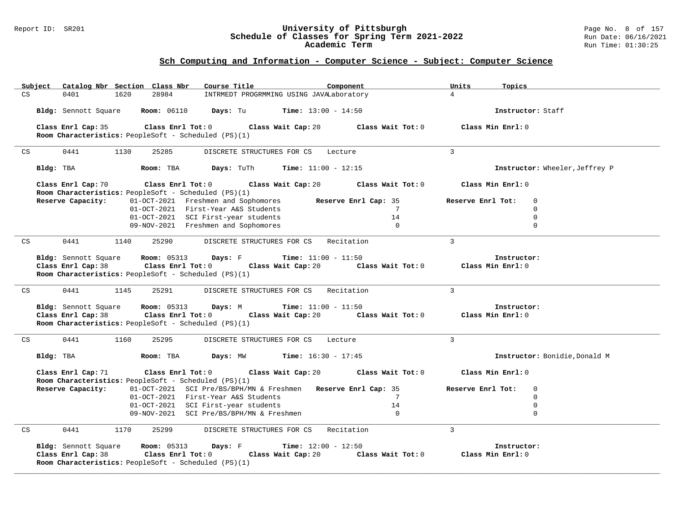#### Report ID: SR201 **University of Pittsburgh** Page No. 8 of 157 **Schedule of Classes for Spring Term 2021-2022** Run Date: 06/16/2021 **Academic Term** Run Time: 01:30:25

| Subject<br>Catalog Nbr Section Class Nbr             | Course Title<br>Component                                     | Topics<br>Units                  |
|------------------------------------------------------|---------------------------------------------------------------|----------------------------------|
| $\mathbb{C}\mathbf{S}$<br>1620<br>28984<br>0401      | INTRMEDT PROGRMMING USING JAVALaboratory                      | $\overline{4}$                   |
| Bldg: Sennott Square<br><b>Room: 06110</b>           | Days: Tu<br><b>Time:</b> $13:00 - 14:50$                      | Instructor: Staff                |
| Class Enrl Cap: 35<br>Class Enrl Tot: 0              | Class Wait Tot: 0<br>Class Wait Cap: 20                       | Class Min Enrl: 0                |
| Room Characteristics: PeopleSoft - Scheduled (PS)(1) |                                                               |                                  |
|                                                      |                                                               |                                  |
| 0441<br>1130<br>25285<br>CS                          | DISCRETE STRUCTURES FOR CS<br>Lecture                         | 3                                |
| Bldg: TBA<br>Room: TBA                               | Time: $11:00 - 12:15$<br>Days: TuTh                           | Instructor: Wheeler, Jeffrey P   |
| Class Enrl Cap: 70<br>Class Enrl Tot: 0              | Class Wait Cap: 20<br>Class Wait Tot: 0                       | Class Min Enrl: 0                |
| Room Characteristics: PeopleSoft - Scheduled (PS)(1) |                                                               |                                  |
| Reserve Capacity:                                    | 01-OCT-2021 Freshmen and Sophomores<br>Reserve Enrl Cap: 35   | $\mathbf 0$<br>Reserve Enrl Tot: |
|                                                      | 01-OCT-2021 First-Year A&S Students<br>$7\phantom{.0}$        | $\mathbf 0$                      |
|                                                      | 01-OCT-2021 SCI First-year students<br>14                     | $\Omega$                         |
|                                                      | 09-NOV-2021 Freshmen and Sophomores<br>$\Omega$               | $\Omega$                         |
| 0441<br>1140<br>25290<br>CS                          | Recitation<br>DISCRETE STRUCTURES FOR CS                      | $\overline{3}$                   |
| Bldg: Sennott Square<br><b>Room:</b> 05313           | <b>Time:</b> $11:00 - 11:50$<br>Days: F                       | Instructor:                      |
| Class Enrl Cap: 38<br>Class Enrl Tot: 0              | Class Wait Cap: 20<br>Class Wait Tot: 0                       | Class Min Enrl: 0                |
| Room Characteristics: PeopleSoft - Scheduled (PS)(1) |                                                               |                                  |
|                                                      |                                                               |                                  |
| 0441<br>25291<br>CS<br>1145                          | Recitation<br>DISCRETE STRUCTURES FOR CS                      | 3                                |
| Bldg: Sennott Square<br><b>Room:</b> 05313           | Days: M<br><b>Time:</b> $11:00 - 11:50$                       | Instructor:                      |
| Class Enrl Cap: 38<br>Class Enrl Tot: 0              | Class Wait Cap: 20<br>Class Wait Tot: 0                       | Class Min Enrl: 0                |
| Room Characteristics: PeopleSoft - Scheduled (PS)(1) |                                                               |                                  |
|                                                      |                                                               |                                  |
| 0441<br>1160<br>25295<br>CS                          | DISCRETE STRUCTURES FOR CS<br>Lecture                         | 3                                |
| Bldg: TBA<br>Room: TBA                               | <b>Time:</b> $16:30 - 17:45$<br>Days: MW                      | Instructor: Bonidie, Donald M    |
| Class Enrl Cap: 71<br>Class Enrl Tot: 0              | Class Wait Cap: 20<br>Class Wait Tot: 0                       | Class Min Enrl: 0                |
| Room Characteristics: PeopleSoft - Scheduled (PS)(1) |                                                               |                                  |
| Reserve Capacity:                                    | 01-OCT-2021 SCI Pre/BS/BPH/MN & Freshmen Reserve Enrl Cap: 35 | Reserve Enrl Tot:<br>$\mathbf 0$ |
|                                                      | 01-OCT-2021 First-Year A&S Students<br>7                      | $\mathbf 0$                      |
|                                                      | 01-OCT-2021 SCI First-year students<br>14                     | $\mathbf 0$                      |
|                                                      | 09-NOV-2021 SCI Pre/BS/BPH/MN & Freshmen<br>$\Omega$          | $\mathbf 0$                      |
| 0441<br>1170<br>CS<br>25299                          | Recitation<br>DISCRETE STRUCTURES FOR CS                      | $\overline{3}$                   |
| <b>Room: 05313</b><br>Bldg: Sennott Square           | Days: F<br><b>Time:</b> $12:00 - 12:50$                       | Instructor:                      |
| Class Enrl Cap: 38<br>Class Enrl Tot: 0              | Class Wait Cap: 20<br>Class Wait Tot: 0                       | Class Min Enrl: 0                |
| Room Characteristics: PeopleSoft - Scheduled (PS)(1) |                                                               |                                  |
|                                                      |                                                               |                                  |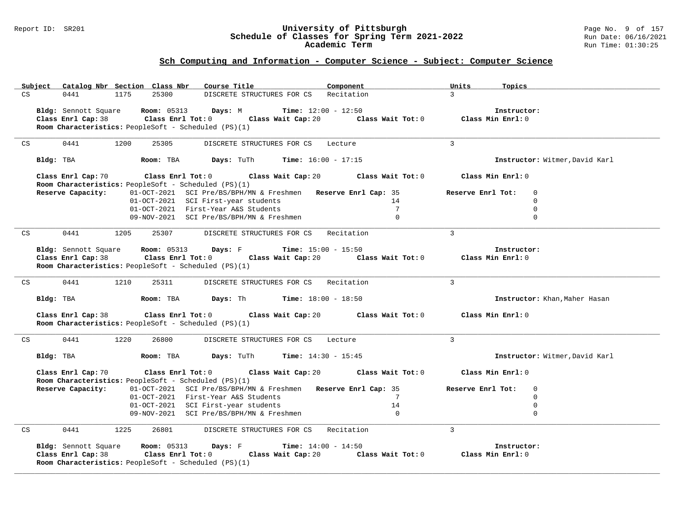#### Report ID: SR201 **University of Pittsburgh** Page No. 9 of 157 **Schedule of Classes for Spring Term 2021-2022** Run Date: 06/16/2021 **Academic Term** Run Time: 01:30:25

| Subject Catalog Nbr Section Class Nbr                       | Course Title                                                  | Component                                | Units<br>Topics                  |                                |
|-------------------------------------------------------------|---------------------------------------------------------------|------------------------------------------|----------------------------------|--------------------------------|
| 0441<br>1175<br>25300<br>CS                                 | DISCRETE STRUCTURES FOR CS                                    | Recitation                               | $\mathcal{L}$                    |                                |
| Bldg: Sennott Square<br><b>Room:</b> 05313                  | Days: M<br><b>Time:</b> $12:00 - 12:50$                       |                                          | Instructor:                      |                                |
| Class Enrl Cap: 38<br>Class Enrl Tot: $0$                   | Class Wait Cap: 20                                            | Class Wait Tot: $0$ Class Min Enrl: $0$  |                                  |                                |
| Room Characteristics: PeopleSoft - Scheduled (PS)(1)        |                                                               |                                          |                                  |                                |
|                                                             |                                                               |                                          |                                  |                                |
| 0441<br>1200<br>25305<br>CS                                 | DISCRETE STRUCTURES FOR CS Lecture                            |                                          | $\mathbf{3}$                     |                                |
|                                                             |                                                               |                                          |                                  |                                |
| Bldg: TBA<br>Room: TBA                                      | <b>Days:</b> TuTh <b>Time:</b> $16:00 - 17:15$                |                                          |                                  | Instructor: Witmer, David Karl |
| Class Enrl Cap: 70<br>$Class$ $Enr1$ $Tot: 0$               | Class Wait Cap: 20                                            | Class Wait Tot: 0                        | Class Min Enrl: 0                |                                |
| Room Characteristics: PeopleSoft - Scheduled (PS)(1)        |                                                               |                                          |                                  |                                |
| Reserve Capacity:                                           | 01-OCT-2021 SCI Pre/BS/BPH/MN & Freshmen Reserve Enrl Cap: 35 |                                          | Reserve Enrl Tot:<br>$\mathbf 0$ |                                |
|                                                             | 01-OCT-2021 SCI First-year students                           | 14                                       | $\mathbf 0$                      |                                |
|                                                             | 01-OCT-2021 First-Year A&S Students                           | $7\phantom{.0}$                          | $\Omega$                         |                                |
|                                                             | 09-NOV-2021 SCI Pre/BS/BPH/MN & Freshmen                      | $\Omega$                                 | $\Omega$                         |                                |
| CS<br>0441<br>1205<br>25307                                 | DISCRETE STRUCTURES FOR CS Recitation                         |                                          | $\mathcal{L}$                    |                                |
|                                                             |                                                               |                                          |                                  |                                |
| Bldg: Sennott Square<br><b>Room:</b> 05313                  | <b>Time:</b> $15:00 - 15:50$<br>Days: F                       |                                          | Instructor:                      |                                |
| Class Enrl Tot: 0<br>Class Enrl Cap: 38                     |                                                               | Class Wait Cap: $20$ Class Wait Tot: $0$ | Class Min Enrl: 0                |                                |
| <b>Room Characteristics:</b> PeopleSoft - Scheduled (PS)(1) |                                                               |                                          |                                  |                                |
|                                                             |                                                               |                                          |                                  |                                |
| 0441<br>1210<br>25311<br>CS                                 | DISCRETE STRUCTURES FOR CS Recitation                         |                                          | $\overline{3}$                   |                                |
| Room: TBA                                                   |                                                               |                                          |                                  |                                |
| Bldg: TBA                                                   | <b>Days:</b> Th <b>Time:</b> $18:00 - 18:50$                  |                                          |                                  | Instructor: Khan, Maher Hasan  |
| Class Enrl Cap: 38                                          | Class Enrl Tot: 0 Class Wait Cap: 20                          | Class Wait Tot: 0                        | Class Min Enrl: 0                |                                |
| Room Characteristics: PeopleSoft - Scheduled (PS)(1)        |                                                               |                                          |                                  |                                |
|                                                             |                                                               |                                          |                                  |                                |
| 0441<br>1220<br>26800<br>CS                                 | DISCRETE STRUCTURES FOR CS Lecture                            |                                          | $\mathcal{L}$                    |                                |
| Bldg: TBA<br>Room: TBA                                      | Days: TuTh<br><b>Time:</b> $14:30 - 15:45$                    |                                          |                                  | Instructor: Witmer, David Karl |
|                                                             |                                                               |                                          |                                  |                                |
| Class Enrl Cap: 70<br>Class Enrl Tot: 0                     | Class Wait Cap: 20                                            | Class Wait Tot: 0                        | Class Min Enrl: 0                |                                |
| Room Characteristics: PeopleSoft - Scheduled (PS)(1)        |                                                               |                                          |                                  |                                |
| Reserve Capacity:                                           | 01-OCT-2021 SCI Pre/BS/BPH/MN & Freshmen Reserve Enrl Cap: 35 |                                          | Reserve Enrl Tot:<br>$\mathbf 0$ |                                |
|                                                             | 01-OCT-2021 First-Year A&S Students                           | $7\overline{ }$                          | $\mathbf 0$                      |                                |
|                                                             | 01-OCT-2021 SCI First-year students                           | 14                                       | $\mathbf 0$                      |                                |
|                                                             | 09-NOV-2021 SCI Pre/BS/BPH/MN & Freshmen                      | $\mathbf{0}$                             | $\Omega$                         |                                |
|                                                             |                                                               |                                          |                                  |                                |
| 0441<br>1225<br>CS<br>26801                                 | DISCRETE STRUCTURES FOR CS Recitation                         |                                          | $\mathbf{3}$                     |                                |
| Bldg: Sennott Square<br><b>Room: 05313</b>                  | <b>Time:</b> $14:00 - 14:50$<br>Days: F                       |                                          | Instructor:                      |                                |
| Class Enrl Cap: 38<br>Class Enrl Tot: 0                     |                                                               | Class Wait Cap: 20 Class Wait Tot: 0     | Class Min Enrl: 0                |                                |
| Room Characteristics: PeopleSoft - Scheduled (PS)(1)        |                                                               |                                          |                                  |                                |
|                                                             |                                                               |                                          |                                  |                                |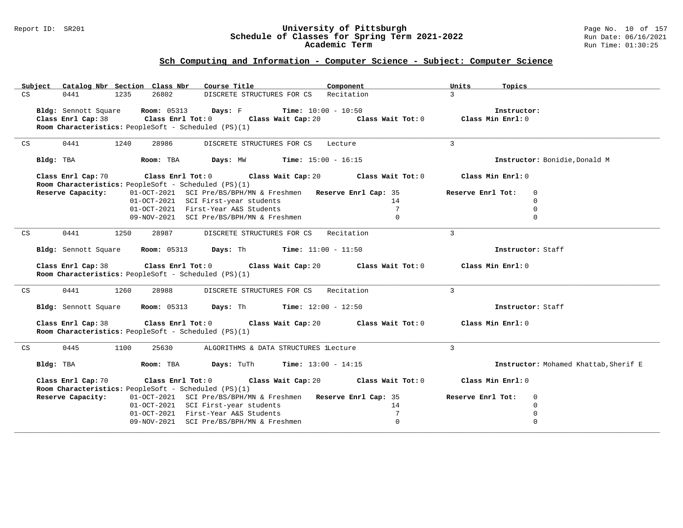#### Report ID: SR201 **University of Pittsburgh** Page No. 10 of 157 **Schedule of Classes for Spring Term 2021-2022** Run Date: 06/16/2021 **Academic Term** Run Time: 01:30:25

| Subject | Catalog Nbr Section Class Nbr                                                               | Course Title <b>Source Search</b>                                                | Component       | Topics<br>Units   |                                       |
|---------|---------------------------------------------------------------------------------------------|----------------------------------------------------------------------------------|-----------------|-------------------|---------------------------------------|
| CS      | 26802<br>0441<br>1235                                                                       | DISCRETE STRUCTURES FOR CS Recitation                                            |                 | $\mathcal{L}$     |                                       |
|         | Bldg: Sennott Square Room: 05313 Days: F Time: 10:00 - 10:50                                |                                                                                  |                 | Instructor:       |                                       |
|         | Class Enrl Cap: 38 Class Enrl Tot: 0 Class Wait Cap: 20 Class Wait Tot: 0 Class Min Enrl: 0 |                                                                                  |                 |                   |                                       |
|         | Room Characteristics: PeopleSoft - Scheduled (PS)(1)                                        |                                                                                  |                 |                   |                                       |
|         |                                                                                             |                                                                                  |                 |                   |                                       |
| CS      | 0441<br>1240<br>28986                                                                       | DISCRETE STRUCTURES FOR CS Lecture                                               |                 | $\overline{3}$    |                                       |
|         | Bldg: TBA                                                                                   | <b>Room:</b> TBA <b>Days:</b> $MW$ <b>Time:</b> $15:00 - 16:15$                  |                 |                   | Instructor: Bonidie, Donald M         |
|         | Class Enrl Cap: 70                                                                          | Class Enrl Tot: 0 $\qquad$ Class Wait Cap: 20 $\qquad$ Class Wait Tot: 0         |                 | Class Min Enrl: 0 |                                       |
|         | Room Characteristics: PeopleSoft - Scheduled (PS)(1)                                        |                                                                                  |                 |                   |                                       |
|         | Reserve Capacity:                                                                           | 01-OCT-2021 SCI Pre/BS/BPH/MN & Freshmen Reserve Enrl Cap: 35                    |                 | Reserve Enrl Tot: | $\mathbf 0$                           |
|         |                                                                                             | 01-OCT-2021 SCI First-year students                                              | 14              |                   | $\Omega$                              |
|         |                                                                                             | 01-OCT-2021 First-Year A&S Students                                              | 7               |                   | $\mathbf 0$                           |
|         |                                                                                             | 09-NOV-2021 SCI Pre/BS/BPH/MN & Freshmen                                         | $\mathbf 0$     |                   | $\mathbf 0$                           |
| CS      | 0441<br>1250<br>28987                                                                       | DISCRETE STRUCTURES FOR CS Recitation                                            |                 | $\overline{3}$    |                                       |
|         |                                                                                             |                                                                                  |                 |                   |                                       |
|         | <b>Bldg:</b> Sennott Square <b>Room:</b> 05313 <b>Days:</b> Th <b>Time:</b> $11:00 - 11:50$ |                                                                                  |                 |                   | Instructor: Staff                     |
|         |                                                                                             |                                                                                  |                 |                   |                                       |
|         | Class Enrl Cap: 38                                                                          | Class Enrl Tot: $0$ Class Wait Cap: $20$ Class Wait Tot: $0$                     |                 | Class Min Enrl: 0 |                                       |
|         | Room Characteristics: PeopleSoft - Scheduled (PS)(1)                                        |                                                                                  |                 |                   |                                       |
|         |                                                                                             |                                                                                  |                 |                   |                                       |
| CS      | 0441<br>1260<br>28988                                                                       | DISCRETE STRUCTURES FOR CS Recitation                                            |                 | 3                 |                                       |
|         | Bldg: Sennott Square Room: 05313 Days: Th Time: 12:00 - 12:50                               |                                                                                  |                 |                   | Instructor: Staff                     |
|         |                                                                                             |                                                                                  |                 |                   |                                       |
|         | Class Enrl Cap: 38<br>Room Characteristics: PeopleSoft - Scheduled (PS)(1)                  | Class Enrl Tot: $0$ Class Wait Cap: $20$ Class Wait Tot: $0$ Class Min Enrl: $0$ |                 |                   |                                       |
| CS      | 0445<br>1100<br>25630                                                                       | ALGORITHMS & DATA STRUCTURES lLecture                                            |                 | 3                 |                                       |
|         | Bldg: TBA                  Room: TBA        Days: TuTh       Time: 13:00 - 14:15            |                                                                                  |                 |                   | Instructor: Mohamed Khattab, Sherif E |
|         | Class Enrl Cap: 70                                                                          | Class Enrl Tot: $0$ Class Wait Cap: $20$ Class Wait Tot: $0$                     |                 | Class Min Enrl: 0 |                                       |
|         | Room Characteristics: PeopleSoft - Scheduled (PS)(1)                                        |                                                                                  |                 |                   |                                       |
|         | Reserve Capacity:                                                                           | 01-OCT-2021 SCI Pre/BS/BPH/MN & Freshmen Reserve Enrl Cap: 35                    |                 | Reserve Enrl Tot: | 0                                     |
|         |                                                                                             | 01-OCT-2021 SCI First-year students                                              | 14              |                   | $\Omega$                              |
|         |                                                                                             | 01-OCT-2021 First-Year A&S Students                                              | $7\phantom{.0}$ |                   | $\mathbf 0$                           |
|         |                                                                                             | 09-NOV-2021 SCI Pre/BS/BPH/MN & Freshmen                                         | $\mathbf 0$     |                   | $\mathbf 0$                           |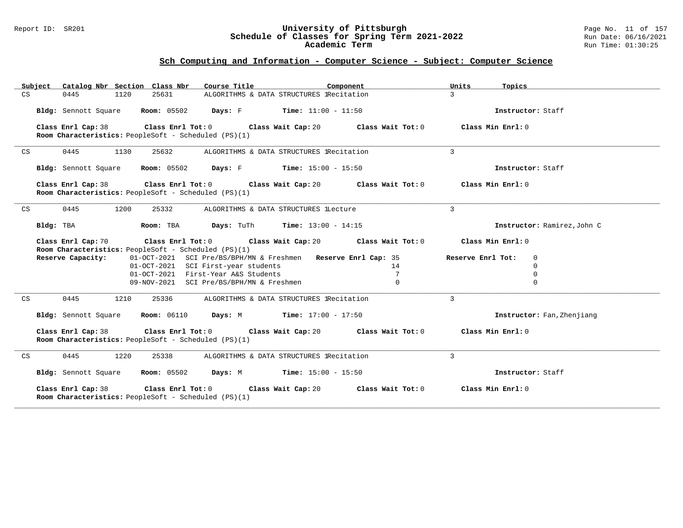#### Report ID: SR201 **University of Pittsburgh** Page No. 11 of 157 **Schedule of Classes for Spring Term 2021-2022** Run Date: 06/16/2021 **Academic Term** Run Time: 01:30:25

| Subject Catalog Nbr Section Class Nbr                                                           | Course Title                                                                                         | Component           | Units<br>Topics                  |
|-------------------------------------------------------------------------------------------------|------------------------------------------------------------------------------------------------------|---------------------|----------------------------------|
| 25631<br>CS<br>0445<br>1120                                                                     | ALGORITHMS & DATA STRUCTURES IRecitation                                                             |                     | $\mathcal{L}$                    |
|                                                                                                 | Bldg: Sennott Square Room: 05502 Days: F Time: 11:00 - 11:50                                         |                     | Instructor: Staff                |
| Room Characteristics: PeopleSoft - Scheduled (PS)(1)                                            | Class Enrl Cap: 38 $\qquad$ Class Enrl Tot: 0 $\qquad$ Class Wait Cap: 20 $\qquad$ Class Wait Tot: 0 |                     | Class Min Enrl: 0                |
| 0445<br>1130<br>25632<br>CS                                                                     | ALGORITHMS & DATA STRUCTURES 1Recitation                                                             |                     | $\mathbf{3}$                     |
| Bldg: Sennott Square                                                                            | <b>Room:</b> 05502 <b>Days:</b> F <b>Time:</b> $15:00 - 15:50$                                       |                     | Instructor: Staff                |
| Class Enrl Cap: 38<br>Room Characteristics: PeopleSoft - Scheduled (PS)(1)                      | Class Enrl Tot: $0$ Class Wait Cap: $20$ Class Wait Tot: $0$                                         |                     | Class Min Enrl: 0                |
| 0445<br>1200<br>25332<br>CS                                                                     | ALGORITHMS & DATA STRUCTURES lLecture                                                                |                     | $\mathbf{3}$                     |
| Bldg: TBA                                                                                       | Room: TBA Days: TuTh Time: $13:00 - 14:15$                                                           |                     | Instructor: Ramirez, John C      |
| Class Enrl Cap: 70<br>Room Characteristics: PeopleSoft - Scheduled (PS)(1)                      | Class Enrl Tot: 0 Class Wait Cap: 20                                                                 | Class Wait Tot: $0$ | Class Min Enrl: 0                |
| Reserve Capacity:                                                                               | 01-OCT-2021 SCI Pre/BS/BPH/MN & Freshmen Reserve Enrl Cap: 35                                        |                     | Reserve Enrl Tot:<br>$\mathbf 0$ |
|                                                                                                 | 01-OCT-2021 SCI First-year students                                                                  | 14                  | $\Omega$                         |
|                                                                                                 | 01-OCT-2021 First-Year A&S Students<br>09-NOV-2021 SCI Pre/BS/BPH/MN & Freshmen                      | 7<br>$\mathbf{0}$   | $\mathbf 0$<br>$\mathbf 0$       |
|                                                                                                 |                                                                                                      |                     |                                  |
| 0445<br>25336<br>CS<br>1210                                                                     | ALGORITHMS & DATA STRUCTURES 1Recitation                                                             |                     | $\mathbf{3}$                     |
| Bldg: Sennott Square                                                                            | <b>Room:</b> 06110 <b>Days:</b> M <b>Time:</b> 17:00 - 17:50                                         |                     | Instructor: Fan, Zhenjiang       |
| Class Enrl Cap: 38<br>Class Enrl Tot: 0<br>Room Characteristics: PeopleSoft - Scheduled (PS)(1) | Class Wait Cap: 20 $\,$ Class Wait Tot: 0 $\,$                                                       |                     | Class Min Enrl: 0                |
| 0445<br>1220<br>25338<br>CS                                                                     | ALGORITHMS & DATA STRUCTURES IRecitation                                                             |                     | $\mathbf{3}$                     |
| <b>Room:</b> 05502<br>Bldg: Sennott Square                                                      | <b>Days:</b> M <b>Time:</b> $15:00 - 15:50$                                                          |                     | Instructor: Staff                |
| Class Enrl Cap: 38<br>Room Characteristics: PeopleSoft - Scheduled (PS)(1)                      | Class Enrl Tot: 0 Class Wait Cap: 20                                                                 | Class Wait Tot: 0   | Class Min Enrl: 0                |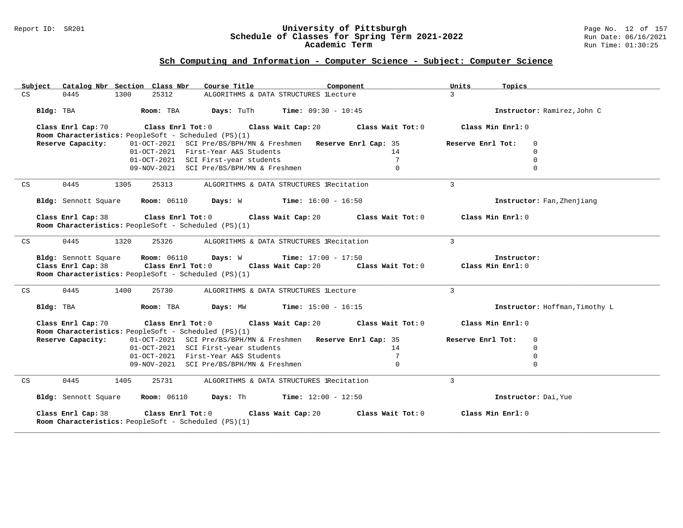#### Report ID: SR201 **University of Pittsburgh** Page No. 12 of 157 **Schedule of Classes for Spring Term 2021-2022** Run Date: 06/16/2021 **Academic Term** Run Time: 01:30:25

| Subject            | Catalog Nbr Section Class Nbr<br>Course Title                                                                                                                                                                                                                          | Component         | Topics<br>Units                       |
|--------------------|------------------------------------------------------------------------------------------------------------------------------------------------------------------------------------------------------------------------------------------------------------------------|-------------------|---------------------------------------|
| CS<br>0445         | 25312<br>ALGORITHMS & DATA STRUCTURES lLecture<br>1300                                                                                                                                                                                                                 |                   | $\mathcal{R}$                         |
| Bldg: TBA          | <b>Room:</b> TBA <b>Days:</b> TuTh <b>Time:</b> $09:30 - 10:45$                                                                                                                                                                                                        |                   | Instructor: Ramirez, John C           |
| Class Enrl Cap: 70 | Class Enrl Tot: $0$ Class Wait Cap: $20$ Class Wait Tot: $0$                                                                                                                                                                                                           |                   | Class Min Enrl: 0                     |
|                    | Room Characteristics: PeopleSoft - Scheduled (PS)(1)                                                                                                                                                                                                                   |                   |                                       |
| Reserve Capacity:  | 01-OCT-2021 SCI Pre/BS/BPH/MN & Freshmen Reserve Enrl Cap: 35                                                                                                                                                                                                          | 14                | Reserve Enrl Tot:<br>0<br>$\mathbf 0$ |
|                    | 01-OCT-2021 First-Year A&S Students<br>01-OCT-2021 SCI First-year students                                                                                                                                                                                             | $7\overline{ }$   | $\mathbf 0$                           |
|                    | 09-NOV-2021 SCI Pre/BS/BPH/MN & Freshmen                                                                                                                                                                                                                               | $\Omega$          | $\Omega$                              |
|                    |                                                                                                                                                                                                                                                                        |                   |                                       |
| 0445<br>CS         | 1305<br>25313<br>ALGORITHMS & DATA STRUCTURES IRecitation                                                                                                                                                                                                              |                   | $\mathcal{L}$                         |
|                    | <b>Bldg:</b> Sennott Square <b>Room:</b> 06110 <b>Days:</b> W <b>Time:</b> $16:00 - 16:50$                                                                                                                                                                             |                   | Instructor: Fan, Zhenjiang            |
|                    | Class Enrl Cap: 38 $\qquad$ Class Enrl Tot: 0 $\qquad$ Class Wait Cap: 20 $\qquad$ Class Wait Tot: 0<br>Room Characteristics: PeopleSoft - Scheduled (PS)(1)                                                                                                           |                   | Class Min Enrl: 0                     |
| 0445<br>CS         | 1320<br>25326 ALGORITHMS & DATA STRUCTURES IRecitation                                                                                                                                                                                                                 |                   | $\mathbf{3}$                          |
| Class Enrl Cap: 38 | <b>Bldg:</b> Sennott Square $\blacksquare$ <b>Room:</b> 06110 <b>Days:</b> W <b>Time:</b> 17:00 - 17:50<br>Class Enrl Tot: 0 $\qquad$ Class Wait Cap: 20 $\qquad$ Class Wait Tot: 0 $\qquad$ Class Min Enrl: 0<br>Room Characteristics: PeopleSoft - Scheduled (PS)(1) |                   | Instructor:                           |
| 0445<br>CS         | 1400<br>25730<br>ALGORITHMS & DATA STRUCTURES lLecture                                                                                                                                                                                                                 |                   | 3                                     |
|                    | Bldg: TBA                   Room: TBA         Days: MW         Time: 15:00 - 16:15                                                                                                                                                                                     |                   | Instructor: Hoffman, Timothy L        |
| Class Enrl Cap: 70 | Class Enrl Tot: $0$ Class Wait Cap: $20$ Class Wait Tot: $0$ Class Min Enrl: $0$<br>Room Characteristics: PeopleSoft - Scheduled (PS)(1)                                                                                                                               |                   |                                       |
| Reserve Capacity:  | 01-OCT-2021 SCI Pre/BS/BPH/MN & Freshmen Reserve Enrl Cap: 35                                                                                                                                                                                                          |                   | Reserve Enrl Tot:<br>$\mathbf 0$      |
|                    | 01-OCT-2021 SCI First-year students                                                                                                                                                                                                                                    | 14                | $\Omega$                              |
|                    | 01-OCT-2021 First-Year A&S Students                                                                                                                                                                                                                                    | $7\overline{ }$   | $\mathbf 0$                           |
|                    | 09-NOV-2021 SCI Pre/BS/BPH/MN & Freshmen                                                                                                                                                                                                                               | $\mathbf{0}$      | $\Omega$                              |
| 0445<br>CS         | 1405<br>25731<br>ALGORITHMS & DATA STRUCTURES lRecitation                                                                                                                                                                                                              |                   | $\overline{3}$                        |
|                    | Bldg: Sennott Square Room: 06110 Days: Th Time: 12:00 - 12:50                                                                                                                                                                                                          |                   | Instructor: Dai, Yue                  |
| Class Enrl Cap: 38 | Class Enrl Tot: 0 Class Wait Cap: 20<br>Room Characteristics: PeopleSoft - Scheduled (PS)(1)                                                                                                                                                                           | Class Wait Tot: 0 | Class Min Enrl: 0                     |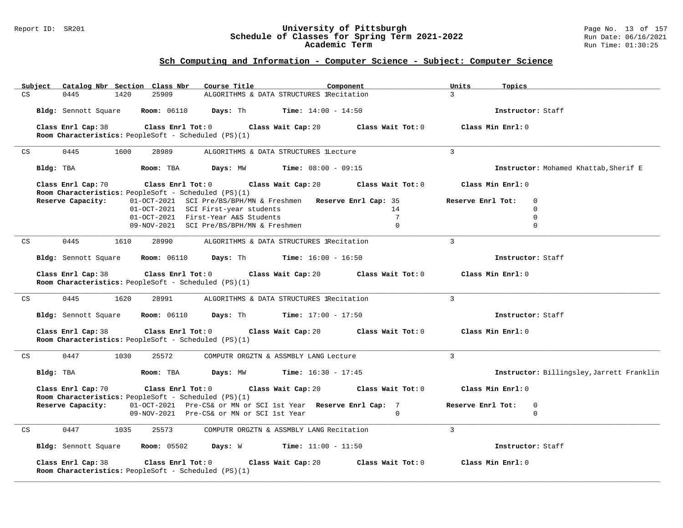#### Report ID: SR201 **University of Pittsburgh** Page No. 13 of 157 **Schedule of Classes for Spring Term 2021-2022** Run Date: 06/16/2021 **Academic Term** Run Time: 01:30:25

| Subject                                | Catalog Nbr Section Class Nbr<br>Course Title                                                   | Component                                | Topics<br>Units                           |
|----------------------------------------|-------------------------------------------------------------------------------------------------|------------------------------------------|-------------------------------------------|
| $\mathbb{C}\mathbf{S}$<br>0445<br>1420 | 25909                                                                                           | ALGORITHMS & DATA STRUCTURES lRecitation | $\mathbf{3}$                              |
| Bldg: Sennott Square                   | <b>Room: 06110</b><br>Days: Th                                                                  | <b>Time:</b> $14:00 - 14:50$             | Instructor: Staff                         |
| Class Enrl Cap: 38                     | Class Wait Cap: 20<br>Class Enrl Tot: 0<br>Room Characteristics: PeopleSoft - Scheduled (PS)(1) | Class Wait Tot: 0                        | Class Min Enrl: 0                         |
| 0445<br>1600<br>CS                     | 28989<br>ALGORITHMS & DATA STRUCTURES lLecture                                                  |                                          | $\overline{3}$                            |
|                                        |                                                                                                 |                                          |                                           |
| Bldg: TBA                              | Room: TBA<br>Days: MW                                                                           | <b>Time:</b> $08:00 - 09:15$             | Instructor: Mohamed Khattab, Sherif E     |
| Class Enrl Cap: 70                     | Class Wait Cap: 20<br>Class Enrl Tot: 0<br>Room Characteristics: PeopleSoft - Scheduled (PS)(1) | Class Wait Tot: 0                        | Class Min Enrl: 0                         |
| Reserve Capacity:                      | 01-OCT-2021 SCI Pre/BS/BPH/MN & Freshmen Reserve Enrl Cap: 35                                   |                                          | Reserve Enrl Tot:<br>$\mathbf 0$          |
|                                        | 01-OCT-2021 SCI First-year students                                                             | 14                                       | $\mathbf 0$                               |
|                                        | 01-OCT-2021 First-Year A&S Students                                                             | $7\phantom{.0}$                          | $\mathbf 0$                               |
|                                        | 09-NOV-2021 SCI Pre/BS/BPH/MN & Freshmen                                                        | $\Omega$                                 | $\mathbf 0$                               |
| 0445<br>1610<br>CS                     | 28990                                                                                           | ALGORITHMS & DATA STRUCTURES lRecitation | $\overline{3}$                            |
| Bldg: Sennott Square                   | <b>Room: 06110</b><br>Days: Th                                                                  | <b>Time:</b> $16:00 - 16:50$             | Instructor: Staff                         |
| Class Enrl Cap: 38                     | Class Enrl Tot: 0<br>Class Wait Cap: 20<br>Room Characteristics: PeopleSoft - Scheduled (PS)(1) | Class Wait Tot: 0                        | Class Min Enrl: 0                         |
| 0445<br>1620<br>CS                     | 28991                                                                                           | ALGORITHMS & DATA STRUCTURES lRecitation | $\overline{3}$                            |
| Bldg: Sennott Square                   | <b>Room: 06110</b><br><b>Days:</b> Th <b>Time:</b> $17:00 - 17:50$                              |                                          | Instructor: Staff                         |
| Class Enrl Cap: 38                     | Class Enrl Tot: 0<br>Class Wait Cap: 20<br>Room Characteristics: PeopleSoft - Scheduled (PS)(1) | Class Wait Tot: 0                        | Class Min Enrl: 0                         |
| 0447<br>CS<br>1030                     | 25572<br>COMPUTR ORGZTN & ASSMBLY LANG Lecture                                                  |                                          | 3                                         |
| Bldg: TBA                              | Room: TBA<br>Days: MW                                                                           | $Time: 16:30 - 17:45$                    | Instructor: Billingsley, Jarrett Franklin |
| Class Enrl Cap: 70                     | Class Enrl Tot: 0<br>Class Wait Cap: 20<br>Room Characteristics: PeopleSoft - Scheduled (PS)(1) | Class Wait Tot: 0                        | Class Min Enrl: 0                         |
| Reserve Capacity:                      | 01-OCT-2021 Pre-CS& or MN or SCI 1st Year Reserve Enrl Cap: 7                                   |                                          | Reserve Enrl Tot:<br>$\mathbf 0$          |
|                                        | 09-NOV-2021 Pre-CS& or MN or SCI 1st Year                                                       | $\Omega$                                 | $\mathbf 0$                               |
| CS<br>0447<br>1035                     | 25573                                                                                           | COMPUTR ORGZTN & ASSMBLY LANG Recitation | 3                                         |
| Bldg: Sennott Square                   | <b>Room:</b> 05502<br>Days: W                                                                   | $Time: 11:00 - 11:50$                    | Instructor: Staff                         |
| Class Enrl Cap: 38                     | Class Enrl Tot: 0<br>Class Wait Cap: 20<br>Room Characteristics: PeopleSoft - Scheduled (PS)(1) | Class Wait Tot: 0                        | Class Min Enrl: 0                         |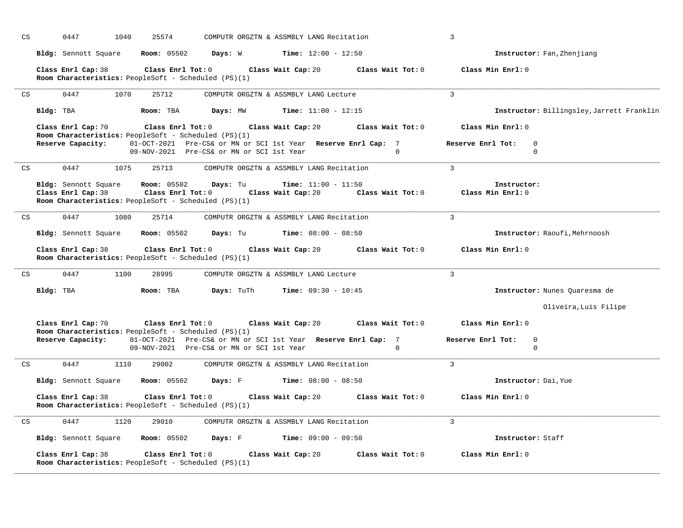| CS                         |           | 0447                                       | 1040 | 25574                                                                                                                                                              | COMPUTR ORGZTN & ASSMBLY LANG Recitation |                    |                              |                   | 3                 |                                  |                                           |
|----------------------------|-----------|--------------------------------------------|------|--------------------------------------------------------------------------------------------------------------------------------------------------------------------|------------------------------------------|--------------------|------------------------------|-------------------|-------------------|----------------------------------|-------------------------------------------|
|                            |           | Bldg: Sennott Square                       |      | <b>Room:</b> 05502                                                                                                                                                 | Days: W                                  |                    | <b>Time:</b> $12:00 - 12:50$ |                   |                   |                                  | Instructor: Fan, Zhenjiang                |
|                            |           | Class Enrl Cap: 38                         |      | Class Enrl Tot: 0<br>Room Characteristics: PeopleSoft - Scheduled (PS)(1)                                                                                          |                                          | Class Wait Cap: 20 |                              | Class Wait Tot: 0 |                   | Class Min Enrl: 0                |                                           |
| CS                         |           | 0447                                       | 1070 | 25712                                                                                                                                                              | COMPUTR ORGZTN & ASSMBLY LANG Lecture    |                    |                              |                   | $\mathbf{3}$      |                                  |                                           |
|                            | Bldg: TBA |                                            |      | Room: TBA                                                                                                                                                          | Days: MW                                 |                    | <b>Time:</b> $11:00 - 12:15$ |                   |                   |                                  | Instructor: Billingsley, Jarrett Franklin |
|                            |           | Class Enrl Cap: 70<br>Reserve Capacity:    |      | Class Enrl Tot: 0<br>Room Characteristics: PeopleSoft - Scheduled (PS)(1)<br>01-OCT-2021 Pre-CS& or MN or SCI 1st Year Reserve Enrl Cap: 7                         |                                          | Class Wait Cap: 20 |                              | Class Wait Tot: 0 | Reserve Enrl Tot: | Class Min Enrl: 0<br>$\mathbf 0$ |                                           |
|                            |           |                                            |      | 09-NOV-2021 Pre-CS& or MN or SCI 1st Year                                                                                                                          |                                          |                    |                              | $\Omega$          |                   | $\mathbf 0$                      |                                           |
| $\mathop{\rm CS}\nolimits$ |           | 0447                                       | 1075 | 25713                                                                                                                                                              | COMPUTR ORGZTN & ASSMBLY LANG Recitation |                    |                              |                   | $\overline{3}$    |                                  |                                           |
|                            |           | Bldg: Sennott Square<br>Class Enrl Cap: 38 |      | <b>Room:</b> 05502<br>Class Enrl Tot: 0<br>Room Characteristics: PeopleSoft - Scheduled (PS)(1)                                                                    | Days: Tu                                 | Class Wait Cap: 20 | <b>Time:</b> $11:00 - 11:50$ | Class Wait Tot: 0 |                   | Instructor:<br>Class Min Enrl: 0 |                                           |
| CS                         |           | 0447                                       | 1080 | 25714                                                                                                                                                              | COMPUTR ORGZTN & ASSMBLY LANG Recitation |                    |                              |                   | 3                 |                                  |                                           |
|                            |           | Bldg: Sennott Square                       |      | <b>Room:</b> 05502                                                                                                                                                 | Days: Tu                                 |                    | <b>Time:</b> $08:00 - 08:50$ |                   |                   |                                  | Instructor: Raoufi, Mehrnoosh             |
|                            |           | Class Enrl Cap: 38                         |      | Class Enrl Tot: 0<br>Room Characteristics: PeopleSoft - Scheduled (PS)(1)                                                                                          |                                          | Class Wait Cap: 20 |                              | Class Wait Tot: 0 |                   | Class Min Enrl: 0                |                                           |
| $\mathop{\rm CS}\nolimits$ |           | 0447                                       | 1100 | 28995                                                                                                                                                              | COMPUTR ORGZTN & ASSMBLY LANG Lecture    |                    |                              |                   | $\mathbf{3}$      |                                  |                                           |
|                            | Bldg: TBA |                                            |      | Room: TBA                                                                                                                                                          | Days: TuTh                               |                    | <b>Time:</b> $09:30 - 10:45$ |                   |                   |                                  | Instructor: Nunes Quaresma de             |
|                            |           |                                            |      |                                                                                                                                                                    |                                          |                    |                              |                   |                   |                                  | Oliveira, Luis Filipe                     |
|                            |           | Class Enrl Cap: 70                         |      | Class Enrl Tot: 0                                                                                                                                                  |                                          | Class Wait Cap: 20 |                              | Class Wait Tot: 0 |                   | Class Min Enrl: 0                |                                           |
|                            |           | Reserve Capacity:                          |      | Room Characteristics: PeopleSoft - Scheduled (PS)(1)<br>01-OCT-2021 Pre-CS& or MN or SCI 1st Year Reserve Enrl Cap: 7<br>09-NOV-2021 Pre-CS& or MN or SCI 1st Year |                                          |                    |                              | $\Omega$          | Reserve Enrl Tot: | $\mathbf 0$<br>$\mathbf 0$       |                                           |
| $\mathop{\rm CS}\nolimits$ |           | 0447                                       | 1110 | 29002                                                                                                                                                              | COMPUTR ORGZTN & ASSMBLY LANG Recitation |                    |                              |                   | $\overline{3}$    |                                  |                                           |
|                            |           | Bldg: Sennott Square                       |      | <b>Room:</b> 05502                                                                                                                                                 | Days: F                                  |                    | <b>Time:</b> $08:00 - 08:50$ |                   |                   | Instructor: Dai, Yue             |                                           |
|                            |           | Class Enrl Cap: 38                         |      | Class Enrl Tot: 0<br>Room Characteristics: PeopleSoft - Scheduled (PS)(1)                                                                                          |                                          | Class Wait Cap: 20 |                              | Class Wait Tot: 0 |                   | Class Min Enrl: 0                |                                           |
| $\mathop{\rm CS}\nolimits$ |           | 0447                                       | 1120 | 29010                                                                                                                                                              | COMPUTR ORGZTN & ASSMBLY LANG Recitation |                    |                              |                   | 3                 |                                  |                                           |
|                            |           | Bldg: Sennott Square                       |      | <b>Room:</b> 05502                                                                                                                                                 | Days: F                                  |                    | <b>Time:</b> $09:00 - 09:50$ |                   |                   | Instructor: Staff                |                                           |
|                            |           | Class Enrl Cap: 38                         |      | Class Enrl Tot: 0<br>Room Characteristics: PeopleSoft - Scheduled (PS)(1)                                                                                          |                                          | Class Wait Cap: 20 |                              | Class Wait Tot: 0 |                   | Class Min Enrl: 0                |                                           |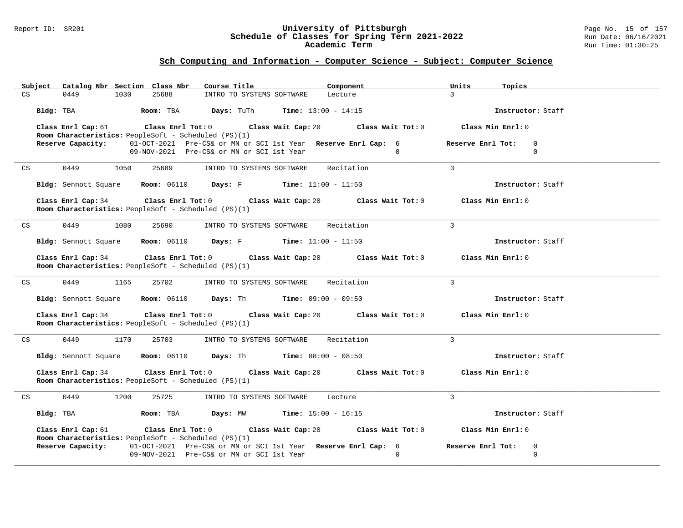#### Report ID: SR201 **University of Pittsburgh** Page No. 15 of 157 **Schedule of Classes for Spring Term 2021-2022** Run Date: 06/16/2021 **Academic Term** Run Time: 01:30:25

| Subject Catalog Nbr Section Class Nbr<br>Course Title<br>Component                                                                               | Units<br>Topics                       |
|--------------------------------------------------------------------------------------------------------------------------------------------------|---------------------------------------|
| 0449<br>1030<br>25688<br>CS<br>INTRO TO SYSTEMS SOFTWARE<br>Lecture                                                                              | $\mathcal{L}$                         |
| Bldg: TBA<br>Room: TBA<br><b>Days:</b> TuTh <b>Time:</b> $13:00 - 14:15$                                                                         | Instructor: Staff                     |
| Class Enrl Cap: 61<br>Class Enrl Tot: $0$ Class Wait Cap: $20$ Class Wait Tot: $0$<br>Room Characteristics: PeopleSoft - Scheduled (PS)(1)       | Class Min Enrl: 0                     |
| 01-OCT-2021 Pre-CS& or MN or SCI 1st Year Reserve Enrl Cap: 6<br>Reserve Capacity:                                                               | Reserve Enrl Tot:<br>$\mathbf 0$      |
| 09-NOV-2021 Pre-CS& or MN or SCI 1st Year<br>$\overline{0}$                                                                                      | $\mathbf 0$                           |
| 0449<br>INTRO TO SYSTEMS SOFTWARE Recitation<br>CS<br>1050<br>25689                                                                              | $\mathbf{3}$                          |
| <b>Bldg:</b> Sennott Square <b>Room:</b> $06110$ <b>Days:</b> F <b>Time:</b> $11:00 - 11:50$                                                     | Instructor: Staff                     |
| Class Enrl Cap: 34<br>Class Enrl Tot: $0$ Class Wait Cap: $20$ Class Wait Tot: $0$<br>Room Characteristics: PeopleSoft - Scheduled (PS)(1)       | Class Min Enrl: 0                     |
| 25690<br>INTRO TO SYSTEMS SOFTWARE<br>Recitation<br>0449<br>1080<br>CS                                                                           | $\overline{3}$                        |
| <b>Bldg:</b> Sennott Square <b>Room:</b> $06110$ <b>Days:</b> F <b>Time:</b> $11:00 - 11:50$                                                     | Instructor: Staff                     |
| Class Enrl Tot: $0$ Class Wait Cap: $20$ Class Wait Tot: $0$<br>Class Enrl Cap: 34<br>Room Characteristics: PeopleSoft - Scheduled (PS)(1)       | Class Min Enrl: 0                     |
| 0449<br>1165<br>25702<br>INTRO TO SYSTEMS SOFTWARE<br>CS<br>Recitation                                                                           | $\mathcal{E}$                         |
| Bldg: Sennott Square Room: 06110 Days: Th Time: 09:00 - 09:50                                                                                    | Instructor: Staff                     |
| Class Enrl Cap: 34<br>Class Enrl Tot: $0$ Class Wait Cap: $20$ Class Wait Tot: $0$<br>Room Characteristics: PeopleSoft - Scheduled (PS)(1)       | Class Min Enrl: 0                     |
| Recitation<br>0449<br>1170<br>25703<br>INTRO TO SYSTEMS SOFTWARE<br>CS                                                                           | $\mathbf{3}$                          |
| Bldg: Sennott Square Room: 06110 Days: Th Time: 08:00 - 08:50                                                                                    | Instructor: Staff                     |
| Class Enrl Cap: 34<br>$Class$ $Enrl$ $Tot: 0$<br>Class Wait Cap: 20<br>Class Wait Tot: 0<br>Room Characteristics: PeopleSoft - Scheduled (PS)(1) | Class Min Enrl: 0                     |
| 0449<br>1200<br>CS<br>25725<br>INTRO TO SYSTEMS SOFTWARE<br>Lecture                                                                              | $\overline{3}$                        |
| Bldg: TBA<br>Room: TBA<br><b>Days:</b> $MW$ <b>Time:</b> $15:00 - 16:15$                                                                         | Instructor: Staff                     |
| Class Enrl Tot: $0$ Class Wait Cap: $20$ Class Wait Tot: $0$<br>Class Enrl Cap: 61                                                               | Class Min Enrl: 0                     |
| Room Characteristics: PeopleSoft - Scheduled (PS)(1)                                                                                             |                                       |
| 01-OCT-2021 Pre-CS& or MN or SCI 1st Year Reserve Enrl Cap: 6<br>Reserve Capacity:<br>$\Omega$<br>09-NOV-2021 Pre-CS& or MN or SCI 1st Year      | Reserve Enrl Tot:<br>0<br>$\mathbf 0$ |
|                                                                                                                                                  |                                       |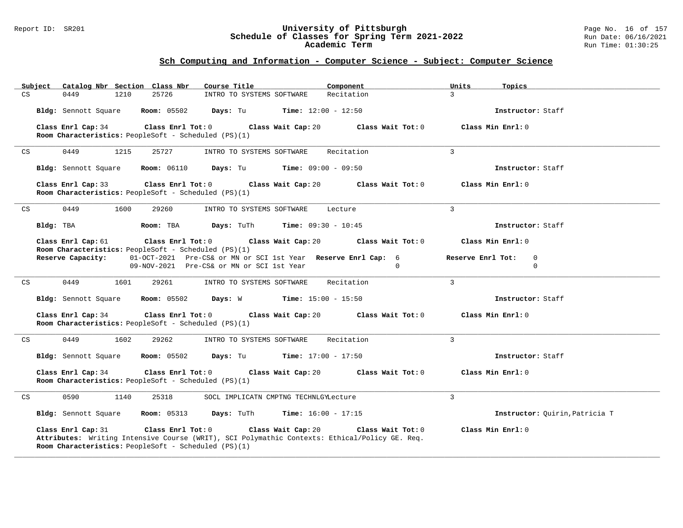#### Report ID: SR201 **University of Pittsburgh** Page No. 16 of 157 **Schedule of Classes for Spring Term 2021-2022** Run Date: 06/16/2021 **Academic Term** Run Time: 01:30:25

| Subject   |                      | Catalog Nbr Section Class Nbr                                             | Course Title                                   | Component                                                                                                          | Units<br>Topics                       |
|-----------|----------------------|---------------------------------------------------------------------------|------------------------------------------------|--------------------------------------------------------------------------------------------------------------------|---------------------------------------|
| CS        | 0449                 | 25726<br>1210                                                             | INTRO TO SYSTEMS SOFTWARE                      | Recitation                                                                                                         | $\mathcal{L}$                         |
|           | Bldg: Sennott Square | <b>Room:</b> 05502                                                        | Days: Tu                                       | <b>Time:</b> $12:00 - 12:50$                                                                                       | Instructor: Staff                     |
|           | Class Enrl Cap: 34   | Class Enrl Tot: 0<br>Room Characteristics: PeopleSoft - Scheduled (PS)(1) | Class Wait Cap: 20                             | Class Wait Tot: 0                                                                                                  | Class Min $Enr1: 0$                   |
| CS        | 0449                 | 1215<br>25727                                                             | INTRO TO SYSTEMS SOFTWARE                      | Recitation                                                                                                         | $\overline{3}$                        |
|           | Bldg: Sennott Square | <b>Room: 06110</b>                                                        | Days: Tu                                       | $Time: 09:00 - 09:50$                                                                                              | Instructor: Staff                     |
|           | Class Enrl Cap: 33   | Class Enrl Tot: 0<br>Room Characteristics: PeopleSoft - Scheduled (PS)(1) | Class Wait Cap: 20                             | Class Wait Tot: 0                                                                                                  | Class Min Enrl: 0                     |
| CS        | 0449                 | 1600<br>29260                                                             | INTRO TO SYSTEMS SOFTWARE                      | Lecture                                                                                                            | 3                                     |
| Bldg: TBA |                      | Room: TBA                                                                 | <b>Days:</b> TuTh <b>Time:</b> $09:30 - 10:45$ |                                                                                                                    | Instructor: Staff                     |
|           | Class Enrl Cap: 61   | $\texttt{Class}$ $\texttt{Enrl}$ $\texttt{Tot:}$ $0$                      | Class Wait Cap: 20                             | Class Wait Tot: 0                                                                                                  | Class Min Enrl: 0                     |
|           |                      | Room Characteristics: PeopleSoft - Scheduled (PS)(1)                      |                                                |                                                                                                                    |                                       |
|           | Reserve Capacity:    |                                                                           | 09-NOV-2021 Pre-CS& or MN or SCI 1st Year      | 01-OCT-2021 Pre-CS& or MN or SCI 1st Year Reserve Enrl Cap: 6<br>$\Omega$                                          | Reserve Enrl Tot:<br>0<br>$\mathbf 0$ |
|           |                      |                                                                           |                                                |                                                                                                                    |                                       |
| CS        | 0449                 | 1601<br>29261                                                             | INTRO TO SYSTEMS SOFTWARE                      | Recitation                                                                                                         | $\overline{3}$                        |
|           | Bldg: Sennott Square | <b>Room:</b> 05502                                                        | <b>Days:</b> W <b>Time:</b> $15:00 - 15:50$    |                                                                                                                    | Instructor: Staff                     |
|           | Class Enrl Cap: 34   | Class Enrl Tot: 0<br>Room Characteristics: PeopleSoft - Scheduled (PS)(1) | Class Wait Cap: 20                             | Class Wait Tot: 0                                                                                                  | Class Min Enrl: 0                     |
| CS        | 0449                 | 1602<br>29262                                                             | INTRO TO SYSTEMS SOFTWARE                      | Recitation                                                                                                         | 3                                     |
|           | Bldg: Sennott Square | <b>Room:</b> 05502                                                        | <b>Days:</b> Tu <b>Time:</b> $17:00 - 17:50$   |                                                                                                                    | Instructor: Staff                     |
|           | Class Enrl Cap: 34   | Class Enrl Tot: 0<br>Room Characteristics: PeopleSoft - Scheduled (PS)(1) | Class Wait Cap: 20                             | Class Wait Tot: 0                                                                                                  | Class Min Enrl: 0                     |
| CS        | 0590                 | 1140<br>25318                                                             | SOCL IMPLICATN CMPTNG TECHNLGYLecture          |                                                                                                                    | 3                                     |
|           | Bldg: Sennott Square | <b>Room:</b> 05313                                                        | Days: TuTh                                     | <b>Time:</b> $16:00 - 17:15$                                                                                       | Instructor: Quirin, Patricia T        |
|           | Class Enrl Cap: 31   | Class Enrl Tot: 0<br>Room Characteristics: PeopleSoft - Scheduled (PS)(1) | Class Wait Cap: 20                             | Class Wait Tot: 0<br>Attributes: Writing Intensive Course (WRIT), SCI Polymathic Contexts: Ethical/Policy GE. Req. | Class Min Enrl: 0                     |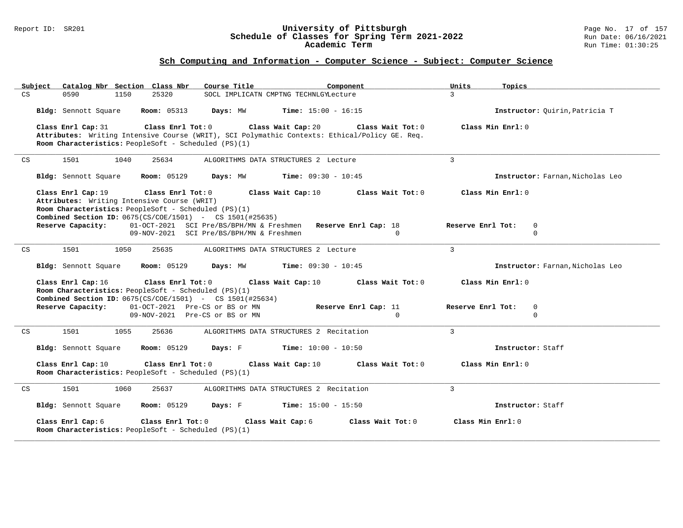#### Report ID: SR201 **University of Pittsburgh** Page No. 17 of 157 **Schedule of Classes for Spring Term 2021-2022** Run Date: 06/16/2021 **Academic Term** Run Time: 01:30:25

| Subject<br>Catalog Nbr Section Class Nbr                                                                                                                                                                              | Course Title<br>Component                                                                                                                | Units<br>Topics                  |
|-----------------------------------------------------------------------------------------------------------------------------------------------------------------------------------------------------------------------|------------------------------------------------------------------------------------------------------------------------------------------|----------------------------------|
| 25320<br>CS<br>0590<br>1150                                                                                                                                                                                           | SOCL IMPLICATN CMPTNG TECHNLGYLecture                                                                                                    | $\mathcal{L}$                    |
| Bldg: Sennott Square<br><b>Room:</b> 05313                                                                                                                                                                            | Days: MW<br><b>Time:</b> $15:00 - 16:15$                                                                                                 | Instructor: Quirin, Patricia T   |
| Class Enrl Tot: 0<br>Class Enrl Cap: 31<br>Room Characteristics: PeopleSoft - Scheduled (PS)(1)                                                                                                                       | Class Wait Cap: 20<br>Class Wait Tot: 0<br>Attributes: Writing Intensive Course (WRIT), SCI Polymathic Contexts: Ethical/Policy GE. Req. | Class Min Enrl: 0                |
| 1501<br>1040<br>25634<br>CS                                                                                                                                                                                           | ALGORITHMS DATA STRUCTURES 2 Lecture                                                                                                     | $\overline{3}$                   |
| Bldg: Sennott Square<br><b>Room:</b> 05129                                                                                                                                                                            | Days: MW<br><b>Time:</b> $09:30 - 10:45$                                                                                                 | Instructor: Farnan, Nicholas Leo |
| Class Enrl Cap: 19<br>Class Enrl Tot: 0<br>Attributes: Writing Intensive Course (WRIT)<br>Room Characteristics: PeopleSoft - Scheduled (PS)(1)<br><b>Combined Section ID:</b> $0675(CS/COE/1501)$ - CS $1501(H25635)$ | Class Wait Cap: 10<br>Class Wait Tot: 0                                                                                                  | Class Min Enrl: 0                |
| Reserve Capacity:                                                                                                                                                                                                     | 01-OCT-2021 SCI Pre/BS/BPH/MN & Freshmen Reserve Enrl Cap: 18                                                                            | Reserve Enrl Tot:<br>$\mathbf 0$ |
|                                                                                                                                                                                                                       | 09-NOV-2021 SCI Pre/BS/BPH/MN & Freshmen<br>$\Omega$                                                                                     | $\Omega$                         |
| 1501<br>1050<br>CS<br>25635                                                                                                                                                                                           | ALGORITHMS DATA STRUCTURES 2 Lecture                                                                                                     | 3                                |
| <b>Room: 05129</b><br>Bldg: Sennott Square                                                                                                                                                                            | Days: MW<br><b>Time:</b> $09:30 - 10:45$                                                                                                 | Instructor: Farnan, Nicholas Leo |
| Class Enrl Tot: 0<br>Class Enrl Cap: 16<br>Room Characteristics: PeopleSoft - Scheduled (PS)(1)<br><b>Combined Section ID:</b> 0675(CS/COE/1501) - CS 1501(#25634)                                                    | Class Wait Cap: 10<br>Class Wait Tot: 0                                                                                                  | Class Min Enrl: 0                |
| 01-OCT-2021 Pre-CS or BS or MN<br>Reserve Capacity:                                                                                                                                                                   | Reserve Enrl Cap: 11                                                                                                                     | Reserve Enrl Tot:<br>$\mathbf 0$ |
| 09-NOV-2021 Pre-CS or BS or MN                                                                                                                                                                                        | $\Omega$                                                                                                                                 | $\Omega$                         |
| CS<br>1501<br>1055<br>25636                                                                                                                                                                                           | ALGORITHMS DATA STRUCTURES 2 Recitation                                                                                                  | 3                                |
| Bldg: Sennott Square<br><b>Room: 05129</b>                                                                                                                                                                            | Days: F<br><b>Time:</b> $10:00 - 10:50$                                                                                                  | Instructor: Staff                |
| Class Enrl Cap: 10<br>Class Enrl Tot: 0<br>Room Characteristics: PeopleSoft - Scheduled (PS)(1)                                                                                                                       | Class Wait Cap: 10<br>Class Wait Tot: 0                                                                                                  | Class Min Enrl: 0                |
| 1501<br>CS<br>1060<br>25637                                                                                                                                                                                           | ALGORITHMS DATA STRUCTURES 2 Recitation                                                                                                  | $\mathbf{3}$                     |
| Bldg: Sennott Square<br><b>Room:</b> 05129                                                                                                                                                                            | Days: F<br>$Time: 15:00 - 15:50$                                                                                                         | Instructor: Staff                |
| Class Enrl Cap: 6<br>Class Enrl Tot: 0<br>Room Characteristics: PeopleSoft - Scheduled (PS)(1)                                                                                                                        | Class Wait Cap: 6<br>Class Wait Tot: 0                                                                                                   | Class Min Enrl: 0                |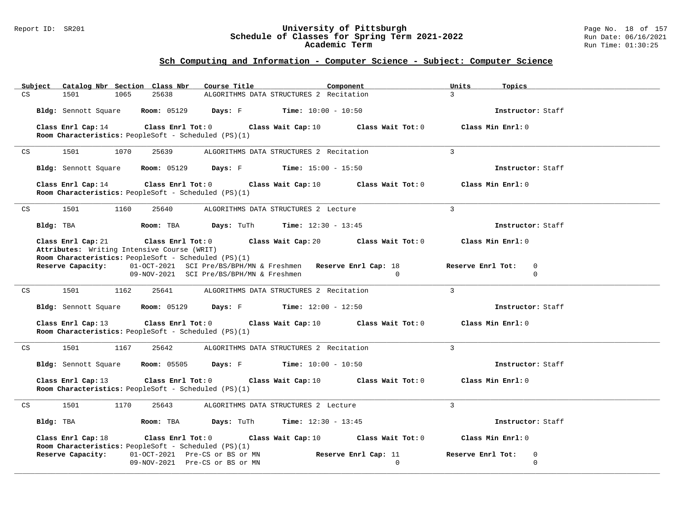#### Report ID: SR201 **University of Pittsburgh** Page No. 18 of 157 **Schedule of Classes for Spring Term 2021-2022** Run Date: 06/16/2021 **Academic Term** Run Time: 01:30:25

| Subject<br>Catalog Nbr Section Class Nbr                                                                                                    | Course Title<br>Component                                                                                             | Units<br>Topics                                    |
|---------------------------------------------------------------------------------------------------------------------------------------------|-----------------------------------------------------------------------------------------------------------------------|----------------------------------------------------|
| $\mathbb{C}\mathbf{S}$<br>1065<br>25638<br>1501                                                                                             | ALGORITHMS DATA STRUCTURES 2 Recitation                                                                               | $\overline{3}$                                     |
|                                                                                                                                             | <b>Bldg:</b> Sennott Square <b>Room:</b> 05129 <b>Days:</b> F <b>Time:</b> $10:00 - 10:50$                            | Instructor: Staff                                  |
| Class Enrl Cap: 14                                                                                                                          | Class Enrl Tot: $0$ Class Wait Cap: $10$ Class Wait Tot: $0$                                                          | Class Min Enrl: 0                                  |
| Room Characteristics: PeopleSoft - Scheduled (PS)(1)                                                                                        |                                                                                                                       |                                                    |
| 1501<br>1070<br>25639<br>CS                                                                                                                 | ALGORITHMS DATA STRUCTURES 2 Recitation                                                                               | 3                                                  |
|                                                                                                                                             | Bldg: Sennott Square Room: 05129 Days: F Time: 15:00 - 15:50                                                          | Instructor: Staff                                  |
| Class Enrl Tot: $0$<br>Class Enrl Cap: 14<br>Room Characteristics: PeopleSoft - Scheduled (PS)(1)                                           | Class Wait Cap: 10                                                                                                    | Class Wait Tot: 0<br>Class Min Enrl: 0             |
| 1501<br>1160<br>25640<br>CS                                                                                                                 | ALGORITHMS DATA STRUCTURES 2 Lecture                                                                                  | $\overline{3}$                                     |
| Bldg: TBA<br>Room: TBA                                                                                                                      | <b>Days:</b> TuTh <b>Time:</b> $12:30 - 13:45$                                                                        | Instructor: Staff                                  |
| Class Enrl Cap: 21 Class Enrl Tot: 0<br>Attributes: Writing Intensive Course (WRIT)<br>Room Characteristics: PeopleSoft - Scheduled (PS)(1) | Class Wait Cap: 20 Class Wait Tot: 0                                                                                  | Class Min Enrl: 0                                  |
| Reserve Capacity:                                                                                                                           | 01-OCT-2021 SCI Pre/BS/BPH/MN & Freshmen Reserve Enrl Cap: 18<br>09-NOV-2021 SCI Pre/BS/BPH/MN & Freshmen<br>$\sim$ 0 | Reserve Enrl Tot:<br>$\overline{0}$<br>$\mathbf 0$ |
| 1501<br>1162<br>CS<br>25641                                                                                                                 | ALGORITHMS DATA STRUCTURES 2 Recitation                                                                               | $\mathbf{3}$                                       |
|                                                                                                                                             | <b>Bldg:</b> Sennott Square <b>Room:</b> 05129 <b>Days:</b> F <b>Time:</b> $12:00 - 12:50$                            | Instructor: Staff                                  |
| Class Enrl Cap: 13<br>Room Characteristics: PeopleSoft - Scheduled (PS)(1)                                                                  | Class Enrl Tot: 0 $\qquad$ Class Wait Cap: 10 $\qquad$ Class Wait Tot: 0                                              | Class Min Enrl: 0                                  |
| 1501<br>1167<br>25642<br>CS                                                                                                                 | ALGORITHMS DATA STRUCTURES 2 Recitation                                                                               | 3                                                  |
|                                                                                                                                             | <b>Bldg:</b> Sennott Square <b>Room:</b> 05505 <b>Days:</b> F <b>Time:</b> $10:00 - 10:50$                            | Instructor: Staff                                  |
| Class Enrl Cap: 13<br>$\texttt{Class}$ $\texttt{Enrl}$ $\texttt{Tot:}$ $0$<br>Room Characteristics: PeopleSoft - Scheduled (PS)(1)          | Class Wait Cap: 10 Class Wait Tot: 0                                                                                  | Class Min Enrl: 0                                  |
| 1501<br>1170<br>25643<br>CS                                                                                                                 | ALGORITHMS DATA STRUCTURES 2 Lecture                                                                                  | $\mathbf{3}$                                       |
| Bldg: TBA<br>Room: TBA                                                                                                                      | <b>Days:</b> TuTh <b>Time:</b> $12:30 - 13:45$                                                                        | Instructor: Staff                                  |
| Class Enrl Cap: 18<br>Room Characteristics: PeopleSoft - Scheduled (PS)(1)                                                                  | Class Enrl Tot: $0$ Class Wait Cap: 10                                                                                | Class Wait Tot: 0<br>Class Min Enrl: 0             |
| Reserve Capacity:<br>01-OCT-2021 Pre-CS or BS or MN                                                                                         | Reserve Enrl Cap: 11                                                                                                  | Reserve Enrl Tot:<br>$\mathbf 0$                   |
| 09-NOV-2021 Pre-CS or BS or MN                                                                                                              |                                                                                                                       | $\Omega$<br>$\Omega$                               |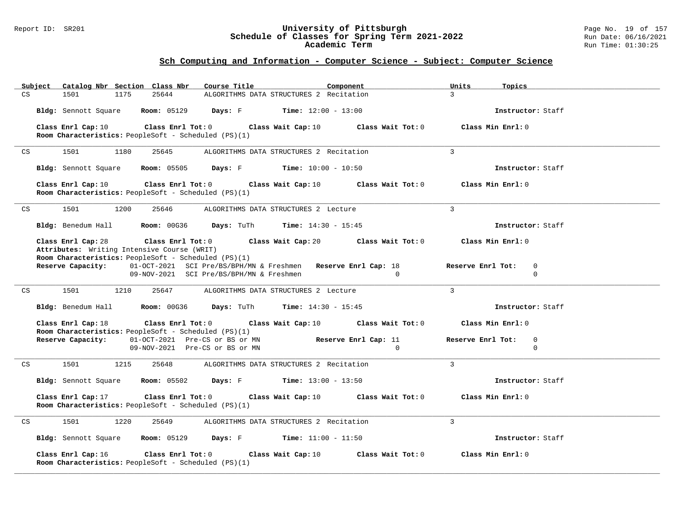#### Report ID: SR201 **University of Pittsburgh** Page No. 19 of 157 **Schedule of Classes for Spring Term 2021-2022** Run Date: 06/16/2021 **Academic Term** Run Time: 01:30:25

| Catalog Nbr Section Class Nbr<br>Course Title<br>Subject<br>Component                                                                         | Units<br>Topics                  |
|-----------------------------------------------------------------------------------------------------------------------------------------------|----------------------------------|
| CS<br>1501<br>1175<br>25644<br>ALGORITHMS DATA STRUCTURES 2 Recitation                                                                        | $\overline{3}$                   |
| Bldg: Sennott Square Room: 05129<br><b>Days:</b> $F$ <b>Time:</b> $12:00 - 13:00$                                                             | Instructor: Staff                |
| Class Enrl Cap: 10<br>Class Enrl Tot: 0<br>Class Wait Cap: 10<br>Class Wait Tot: $0$                                                          | Class Min Enrl: 0                |
| Room Characteristics: PeopleSoft - Scheduled (PS)(1)                                                                                          |                                  |
| 1501<br>1180<br>25645<br>ALGORITHMS DATA STRUCTURES 2 Recitation<br>CS                                                                        | $\overline{3}$                   |
| Bldg: Sennott Square Room: 05505<br><b>Days:</b> F Time: $10:00 - 10:50$                                                                      | Instructor: Staff                |
| Class Enrl Tot: $0$<br>Class Enrl Cap: 10<br>Class Wait Cap: 10<br>Class Wait Tot: 0<br>Room Characteristics: PeopleSoft - Scheduled (PS)(1)  | Class Min Enrl: 0                |
| 1501<br>1200<br>25646<br>ALGORITHMS DATA STRUCTURES 2 Lecture<br>CS                                                                           | $\overline{3}$                   |
| Bldg: Benedum Hall Room: 00G36<br><b>Days:</b> TuTh <b>Time:</b> $14:30 - 15:45$                                                              | Instructor: Staff                |
| Class Enrl Cap: 28<br>Class Enrl Tot: 0 Class Wait Cap: 20<br>Class Wait Tot: 0                                                               | Class Min Enrl: 0                |
| Attributes: Writing Intensive Course (WRIT)<br>Room Characteristics: PeopleSoft - Scheduled (PS)(1)                                           |                                  |
| 01-OCT-2021 SCI Pre/BS/BPH/MN & Freshmen Reserve Enrl Cap: 18<br>Reserve Capacity:                                                            | Reserve Enrl Tot:<br>$\mathbf 0$ |
| 09-NOV-2021 SCI Pre/BS/BPH/MN & Freshmen<br>$\overline{0}$                                                                                    | $\Omega$                         |
| 1501<br>1210<br>ALGORITHMS DATA STRUCTURES 2 Lecture<br>CS<br>25647                                                                           | 3                                |
| <b>Days:</b> TuTh <b>Time:</b> $14:30 - 15:45$<br>Bldg: Benedum Hall Room: 00G36                                                              | Instructor: Staff                |
| Class Enrl Cap: 18<br>Class Enrl Tot: $0$<br>Class Wait Cap: $10$ Class Wait Tot: $0$<br>Room Characteristics: PeopleSoft - Scheduled (PS)(1) | Class Min Enrl: 0                |
| 01-OCT-2021 Pre-CS or BS or MN<br>Reserve Capacity:<br>Reserve Enrl Cap: 11                                                                   | Reserve Enrl Tot:<br>$\mathbf 0$ |
| 09-NOV-2021 Pre-CS or BS or MN<br>$\overline{0}$                                                                                              | $\mathbf 0$                      |
| 1501<br>1215<br>ALGORITHMS DATA STRUCTURES 2 Recitation<br>CS<br>25648                                                                        | $\overline{3}$                   |
| <b>Days:</b> $F$ <b>Time:</b> $13:00 - 13:50$<br>Bldg: Sennott Square<br><b>Room:</b> 05502                                                   | Instructor: Staff                |
| Class Enrl Cap: 17<br>Class Enrl Tot: $0$ Class Wait Cap: 10 Class Wait Tot: $0$                                                              | Class Min Enrl: 0                |
| Room Characteristics: PeopleSoft - Scheduled (PS)(1)                                                                                          |                                  |
| 1501<br>1220<br>25649<br>ALGORITHMS DATA STRUCTURES 2 Recitation<br>CS                                                                        | 3                                |
| <b>Days:</b> $F$ <b>Time:</b> $11:00 - 11:50$<br>Bldg: Sennott Square Room: 05129                                                             | Instructor: Staff                |
| Class Enrl Tot: 0<br>Class Enrl Cap: 16<br>Class Wait Cap: 10<br>Class Wait Tot: 0                                                            | Class Min Enrl: 0                |
| Room Characteristics: PeopleSoft - Scheduled (PS)(1)                                                                                          |                                  |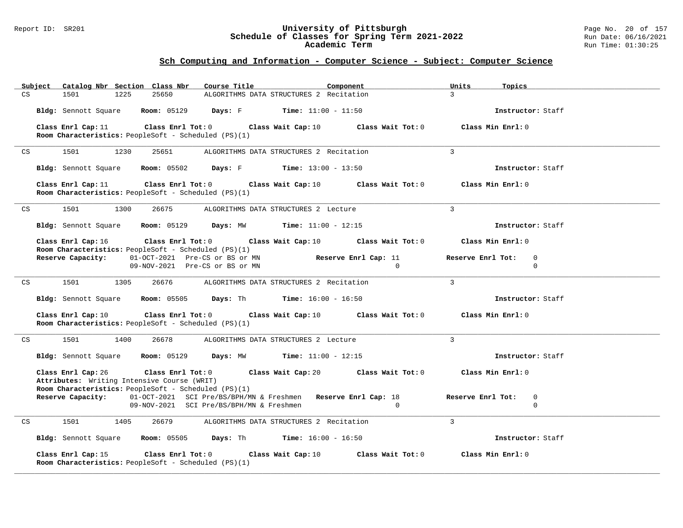#### Report ID: SR201 **University of Pittsburgh** Page No. 20 of 157 **Schedule of Classes for Spring Term 2021-2022** Run Date: 06/16/2021 **Academic Term** Run Time: 01:30:25

| Subject |                                  | Catalog Nbr Section Class Nbr                                                                       | Course Title                                 |                    | Component                                                                                         | Units<br>Topics                    |  |
|---------|----------------------------------|-----------------------------------------------------------------------------------------------------|----------------------------------------------|--------------------|---------------------------------------------------------------------------------------------------|------------------------------------|--|
| CS      | 1501<br>1225                     | 25650                                                                                               | ALGORITHMS DATA STRUCTURES 2 Recitation      |                    |                                                                                                   | $\overline{3}$                     |  |
|         | Bldg: Sennott Square Room: 05129 |                                                                                                     | <b>Days:</b> F Time: $11:00 - 11:50$         |                    |                                                                                                   | Instructor: Staff                  |  |
|         | Class Enrl Cap: 11               | Class Enrl Tot: $0$                                                                                 |                                              |                    | Class Wait Cap: 10 Class Wait Tot: 0                                                              | Class Min Enrl: 0                  |  |
|         |                                  | Room Characteristics: PeopleSoft - Scheduled (PS)(1)                                                |                                              |                    |                                                                                                   |                                    |  |
| CS      | 1501<br>1230                     | 25651                                                                                               | ALGORITHMS DATA STRUCTURES 2 Recitation      |                    |                                                                                                   | $\overline{3}$                     |  |
|         |                                  | <b>Bldg:</b> Sennott Square <b>Room:</b> 05502 <b>Days:</b> F <b>Time:</b> $13:00 - 13:50$          |                                              |                    |                                                                                                   | Instructor: Staff                  |  |
|         | Class Enrl Cap: 11               | Room Characteristics: PeopleSoft - Scheduled (PS)(1)                                                |                                              |                    | Class Enrl Tot: $0$ Class Wait Cap: 10 Class Wait Tot: $0$                                        | Class Min Enrl: 0                  |  |
| CS      | 1501<br>1300                     | 26675                                                                                               | ALGORITHMS DATA STRUCTURES 2 Lecture         |                    |                                                                                                   | $\overline{3}$                     |  |
|         |                                  | <b>Bldg:</b> Sennott Square <b>Room:</b> 05129 <b>Days:</b> MW <b>Time:</b> $11:00 - 12:15$         |                                              |                    |                                                                                                   | Instructor: Staff                  |  |
|         | Class Enrl Cap: 16               | Room Characteristics: PeopleSoft - Scheduled (PS)(1)                                                |                                              |                    | Class Enrl Tot: 0 $\qquad$ Class Wait Cap: 10 $\qquad$ Class Wait Tot: 0                          | Class Min Enrl: 0                  |  |
|         |                                  | <b>Reserve Capacity:</b> 01-OCT-2021 Pre-CS or BS or MN                                             |                                              |                    | Reserve Enrl Cap: 11                                                                              | Reserve Enrl Tot:<br>$\mathbf 0$   |  |
|         |                                  | 09-NOV-2021 Pre-CS or BS or MN                                                                      |                                              |                    | $\Omega$                                                                                          | $\Omega$                           |  |
| CS      | 1501<br>1305                     | 26676                                                                                               | ALGORITHMS DATA STRUCTURES 2 Recitation      |                    |                                                                                                   | $\overline{3}$                     |  |
|         |                                  | Bldg: Sennott Square Room: 05505 Days: Th Time: 16:00 - 16:50                                       |                                              |                    |                                                                                                   | Instructor: Staff                  |  |
|         | Class Enrl Cap: 10               | Class Enrl Tot: $0$<br>Room Characteristics: PeopleSoft - Scheduled (PS)(1)                         |                                              | Class Wait Cap: 10 | Class Wait Tot: 0                                                                                 | Class Min Enrl: 0                  |  |
| CS      | 1501 700                         | 1400<br>26678                                                                                       | ALGORITHMS DATA STRUCTURES 2 Lecture         |                    |                                                                                                   | $\overline{3}$                     |  |
|         | Bldg: Sennott Square Room: 05129 |                                                                                                     | <b>Days:</b> MW <b>Time:</b> $11:00 - 12:15$ |                    |                                                                                                   | Instructor: Staff                  |  |
|         | Class Enrl Cap: 26               | Attributes: Writing Intensive Course (WRIT)<br>Room Characteristics: PeopleSoft - Scheduled (PS)(1) |                                              |                    | Class Enrl Tot: $0$ Class Wait Cap: $20$ Class Wait Tot: $0$                                      | Class Min Enrl: 0                  |  |
|         |                                  | 09-NOV-2021 SCI Pre/BS/BPH/MN & Freshmen                                                            |                                              |                    | Reserve Capacity: 01-OCT-2021 SCI Pre/BS/BPH/MN & Freshmen Reserve Enrl Cap: 18<br>$\overline{0}$ | Reserve Enrl Tot: 0<br>$\mathbf 0$ |  |
| CS      | 1501<br>1405                     | 26679                                                                                               | ALGORITHMS DATA STRUCTURES 2 Recitation      |                    |                                                                                                   | $\overline{3}$                     |  |
|         |                                  | Bldg: Sennott Square Room: 05505 Days: Th Time: 16:00 - 16:50                                       |                                              |                    |                                                                                                   | Instructor: Staff                  |  |
|         | Class Enrl Cap: 15               | Class Enrl Tot:0<br>Room Characteristics: PeopleSoft - Scheduled (PS)(1)                            |                                              | Class Wait Cap: 10 | Class Wait Tot: 0                                                                                 | Class Min Enrl: 0                  |  |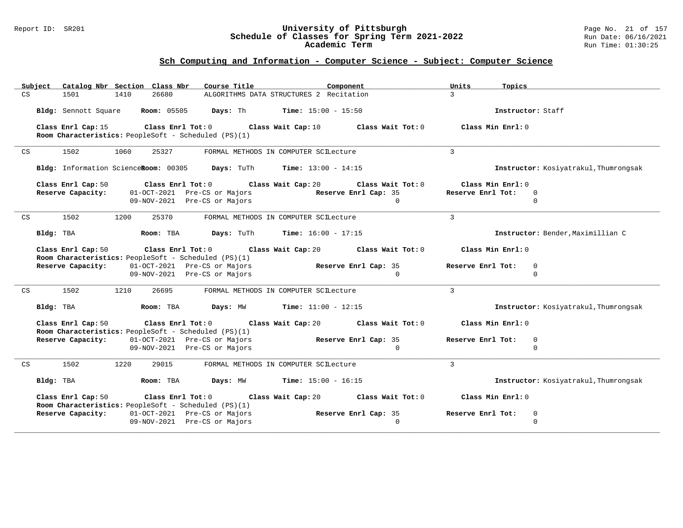#### Report ID: SR201 **University of Pittsburgh** Page No. 21 of 157 **Schedule of Classes for Spring Term 2021-2022** Run Date: 06/16/2021 **Academic Term** Run Time: 01:30:25

| Subject Catalog Nbr Section Class Nbr<br>Course Title <b>Source Search</b><br>Component                                                                                                                                                                                             | Units<br>Topics                                          |
|-------------------------------------------------------------------------------------------------------------------------------------------------------------------------------------------------------------------------------------------------------------------------------------|----------------------------------------------------------|
| CS<br>26680<br>ALGORITHMS DATA STRUCTURES 2 Recitation<br>1501<br>1410                                                                                                                                                                                                              | $\overline{3}$                                           |
| Bldg: Sennott Square Room: 05505 Days: Th Time: 15:00 - 15:50                                                                                                                                                                                                                       | Instructor: Staff                                        |
| Class Enrl Cap: 15 $\,$ Class Enrl Tot: 0 $\,$ Class Wait Cap: 10 $\,$ Class Wait Tot: 0 $\,$ Class Tot: 0 $\,$ Class Enrl Tot: 0 $\,$ Class Tot: 0 $\,$ Class Tot: 0 $\,$ Class Tot: 0 $\,$ Class Tot: 0 $\,$ Class Tot: 0<br>Room Characteristics: PeopleSoft - Scheduled (PS)(1) | Class Min Enrl: 0                                        |
| 1502<br>1060<br>25327<br>CS<br>FORMAL METHODS IN COMPUTER SCILecture                                                                                                                                                                                                                | $\overline{3}$                                           |
| Bldg: Information ScienceRoom: 00305 Days: TuTh Time: 13:00 - 14:15                                                                                                                                                                                                                 | Instructor: Kosiyatrakul, Thumrongsak                    |
| Class Enrl Cap: 50<br>Class Enrl Tot: $0$ Class Wait Cap: $20$ Class Wait Tot: $0$<br>Reserve Capacity:<br>01-OCT-2021 Pre-CS or Majors Reserve Enrl Cap: 35                                                                                                                        | Class Min Enrl: 0<br>Reserve Enrl Tot: 0                 |
| 09-NOV-2021 Pre-CS or Majors                                                                                                                                                                                                                                                        | $\Omega$<br>$\cap$                                       |
| 1502<br>1200<br>25370<br>CS<br>FORMAL METHODS IN COMPUTER SCILecture                                                                                                                                                                                                                | $\mathcal{L}$                                            |
| Bldg: TBA                    Room: TBA         Days: TuTh       Time: 16:00 - 17:15                                                                                                                                                                                                 | Instructor: Bender, Maximillian C                        |
| Class Enrl Cap: 50<br>Class Enrl Tot: 0 $\qquad$ Class Wait Cap: 20 $\qquad$ Class Wait Tot: 0<br>Room Characteristics: PeopleSoft - Scheduled (PS)(1)                                                                                                                              | Class Min Enrl: 0                                        |
| 01-OCT-2021 Pre-CS or Majors Reserve Enrl Cap: 35<br>Reserve Capacity:<br>09-NOV-2021 Pre-CS or Majors                                                                                                                                                                              | Reserve Enrl Tot:<br>$\mathbf 0$<br>$\Omega$<br>$\Omega$ |
| 1502<br>1210<br>CS<br>26695<br>FORMAL METHODS IN COMPUTER SCILecture                                                                                                                                                                                                                | $\mathbf{3}$                                             |
| Bldg: TBA $\blacksquare$ Room: TBA $\blacksquare$ Days: MW $\blacksquare$ Time: 11:00 - 12:15                                                                                                                                                                                       | Instructor: Kosiyatrakul, Thumrongsak                    |
| Class Enrl Tot: $0$ Class Wait Cap: $20$ Class Wait Tot: $0$<br>Class Enrl Cap: 50<br><b>Room Characteristics:</b> PeopleSoft - Scheduled (PS)(1)                                                                                                                                   | Class Min Enrl: 0                                        |
| 01-OCT-2021 Pre-CS or Majors Reserve Enrl Cap: 35<br>Reserve Capacity:<br>09-NOV-2021 Pre-CS or Majors                                                                                                                                                                              | Reserve Enrl Tot:<br>$\mathbf 0$<br>$\Omega$<br>$\Omega$ |
| 1502<br>1220<br>29015<br>FORMAL METHODS IN COMPUTER SCILecture<br>CS                                                                                                                                                                                                                | $\mathbf{3}$                                             |
| <b>Room:</b> TBA <b>Days:</b> MW <b>Time:</b> $15:00 - 16:15$<br>Bldg: TBA                                                                                                                                                                                                          | Instructor: Kosiyatrakul, Thumrongsak                    |
| Class Enrl Cap: 50<br>Class Enrl Tot: $0$ Class Wait Cap: $20$ Class Wait Tot: $0$<br>Room Characteristics: PeopleSoft - Scheduled (PS)(1)                                                                                                                                          | Class Min Enrl: 0                                        |
| Reserve Enrl Cap: 35<br>01-OCT-2021 Pre-CS or Majors<br>Reserve Capacity:<br>09-NOV-2021 Pre-CS or Majors                                                                                                                                                                           | Reserve Enrl Tot:<br>0<br>$\mathbf 0$<br>$\Omega$        |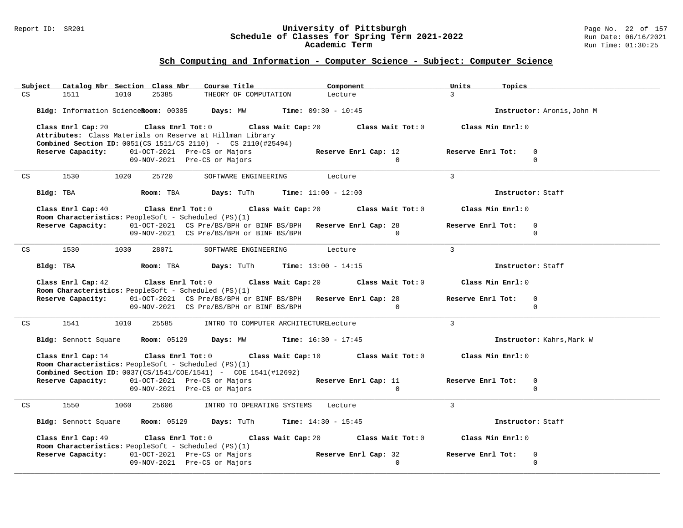#### Report ID: SR201 **University of Pittsburgh** Page No. 22 of 157 **Schedule of Classes for Spring Term 2021-2022** Run Date: 06/16/2021 **Academic Term** Run Time: 01:30:25

| Subject Catalog Nbr Section Class Nbr<br>Course Title<br>Component                                                                                                                                                            | Units<br>Topics                              |
|-------------------------------------------------------------------------------------------------------------------------------------------------------------------------------------------------------------------------------|----------------------------------------------|
| CS<br>1010<br>25385<br>THEORY OF COMPUTATION<br>1511<br>Lecture                                                                                                                                                               | $\mathcal{L}$                                |
|                                                                                                                                                                                                                               |                                              |
| Bldg: Information ScienceRoom: 00305 Days: MW Time: 09:30 - 10:45                                                                                                                                                             | Instructor: Aronis, John M                   |
|                                                                                                                                                                                                                               |                                              |
| Class Enrl Cap: 20 Class Enrl Tot: 0 Class Wait Cap: 20 Class Wait Tot: 0 Class Min Enrl: 0                                                                                                                                   |                                              |
| Attributes: Class Materials on Reserve at Hillman Library                                                                                                                                                                     |                                              |
| <b>Combined Section ID:</b> $0051$ (CS $1511$ /CS $2110$ ) - CS $2110$ (#25494)                                                                                                                                               |                                              |
| 01-OCT-2021 Pre-CS or Majors<br>Reserve Capacity:<br>Reserve Enrl Cap: 12                                                                                                                                                     | Reserve Enrl Tot:<br>$\mathbf 0$<br>$\Omega$ |
| 09-NOV-2021 Pre-CS or Majors<br>$\bigcirc$                                                                                                                                                                                    |                                              |
| 1530<br>1020<br>25720<br>SOFTWARE ENGINEERING Lecture<br>CS                                                                                                                                                                   | $\overline{3}$                               |
|                                                                                                                                                                                                                               |                                              |
| <b>ROOM:</b> TBA <b>Days:</b> TuTh <b>Time:</b> $11:00 - 12:00$<br>Bldg: TBA                                                                                                                                                  | Instructor: Staff                            |
|                                                                                                                                                                                                                               |                                              |
| Class Enrl Cap: 40 $\,$ Class Enrl Tot: 0 $\,$ Class Wait Cap: 20 $\,$ Class Wait Tot: 0 $\,$ Class Enrl Tot: 0 $\,$ Class Enrl Tot: 0 $\,$ Class Enrl Tot: 0 $\,$ Class Enrl Tot: 0 $\,$ Class Enrl Tot: 0 $\,$ Class Enrl T | Class Min Enrl: 0                            |
| <b>Room Characteristics:</b> PeopleSoft - Scheduled (PS)(1)                                                                                                                                                                   |                                              |
| 01-OCT-2021 CS Pre/BS/BPH or BINF BS/BPH Reserve Enrl Cap: 28<br>Reserve Capacity:                                                                                                                                            | Reserve Enrl Tot:<br>$\mathbf 0$             |
| 09-NOV-2021 CS Pre/BS/BPH or BINF BS/BPH<br>$\overline{0}$                                                                                                                                                                    | $\Omega$                                     |
|                                                                                                                                                                                                                               |                                              |
| 1530<br>1030<br>28071<br>CS<br>SOFTWARE ENGINEERING Lecture                                                                                                                                                                   | $\overline{3}$                               |
|                                                                                                                                                                                                                               |                                              |
| <b>Room:</b> TBA <b>Days:</b> TuTh <b>Time:</b> 13:00 - 14:15<br>Bldg: TBA                                                                                                                                                    | Instructor: Staff                            |
|                                                                                                                                                                                                                               |                                              |
| Class Enrl Cap: 42 (class Enrl Tot: 0) (class Wait Cap: 20 (class Wait Tot: 0)                                                                                                                                                | Class Min Enrl: 0                            |
|                                                                                                                                                                                                                               |                                              |
| <b>Room Characteristics:</b> PeopleSoft - Scheduled (PS)(1)                                                                                                                                                                   |                                              |
| Reserve Capacity:<br>01-OCT-2021 CS Pre/BS/BPH or BINF BS/BPH Reserve Enrl Cap: 28                                                                                                                                            | Reserve Enrl Tot:<br>$\mathbf 0$             |
| 09-NOV-2021 CS Pre/BS/BPH or BINF BS/BPH<br>$\overline{0}$                                                                                                                                                                    | $\Omega$                                     |
|                                                                                                                                                                                                                               |                                              |
| 1541<br>1010<br>CS<br>25585<br>INTRO TO COMPUTER ARCHITECTURELecture                                                                                                                                                          | $\mathbf{3}$                                 |
|                                                                                                                                                                                                                               |                                              |
| Bldg: Sennott Square Room: 05129 Days: MW Time: 16:30 - 17:45                                                                                                                                                                 | Instructor: Kahrs, Mark W                    |
|                                                                                                                                                                                                                               |                                              |
| Class Enrl Cap: 14 Class Enrl Tot: 0 Class Wait Cap: 10 Class Wait Tot: 0 Class Min Enrl: 0                                                                                                                                   |                                              |
| Room Characteristics: PeopleSoft - Scheduled (PS)(1)                                                                                                                                                                          |                                              |
| <b>Combined Section ID:</b> $0037(CS/1541/COE/1541)$ - $COE$ 1541(#12692)                                                                                                                                                     |                                              |
| Reserve Capacity: 01-OCT-2021 Pre-CS or Majors<br>Reserve Enrl Cap: 11<br>$\Omega$                                                                                                                                            | Reserve Enrl Tot:<br>$\mathbf 0$<br>$\Omega$ |
| 09-NOV-2021 Pre-CS or Majors                                                                                                                                                                                                  |                                              |
| 1550<br>25606<br>1060<br>INTRO TO OPERATING SYSTEMS Lecture<br>CS                                                                                                                                                             | $\mathbf{3}$                                 |
|                                                                                                                                                                                                                               |                                              |
| Bldg: Sennott Square Room: 05129 Days: TuTh Time: 14:30 - 15:45                                                                                                                                                               | Instructor: Staff                            |
|                                                                                                                                                                                                                               |                                              |
| Class Enrl Cap: 49<br>Class Enrl Tot: 0 $\qquad$ Class Wait Cap: 20 $\qquad$ Class Wait Tot: 0                                                                                                                                | Class Min Enrl: 0                            |
| Room Characteristics: PeopleSoft - Scheduled (PS)(1)                                                                                                                                                                          |                                              |
| 01-OCT-2021 Pre-CS or Majors Reserve Enrl Cap: 32<br>Reserve Capacity:                                                                                                                                                        | Reserve Enrl Tot:<br>$\mathbf 0$             |
| 09-NOV-2021 Pre-CS or Majors<br>$\Omega$                                                                                                                                                                                      | $\Omega$                                     |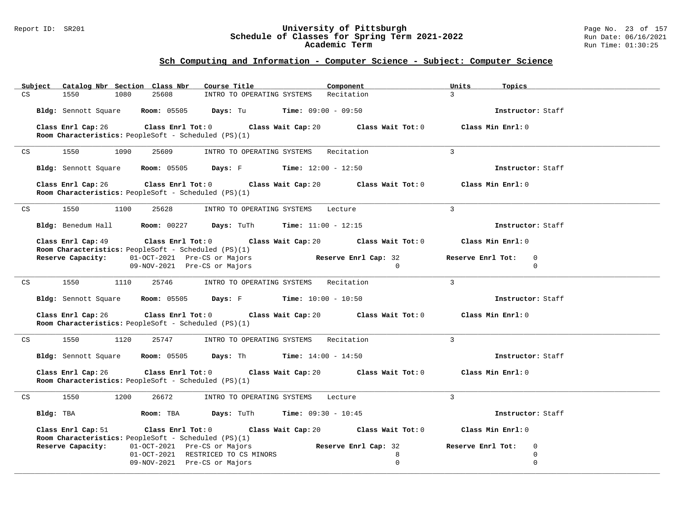#### Report ID: SR201 **University of Pittsburgh** Page No. 23 of 157 **Schedule of Classes for Spring Term 2021-2022** Run Date: 06/16/2021 **Academic Term** Run Time: 01:30:25

| Catalog Nbr Section Class Nbr<br>Subject                                                                         | Course Title<br>Component                                                                            | Units<br>Topics                  |
|------------------------------------------------------------------------------------------------------------------|------------------------------------------------------------------------------------------------------|----------------------------------|
| 1550<br>1080<br>25608<br>CS                                                                                      | INTRO TO OPERATING SYSTEMS Recitation                                                                | $\mathcal{R}$                    |
|                                                                                                                  | Bldg: Sennott Square Room: 05505 Days: Tu Time: 09:00 - 09:50                                        | Instructor: Staff                |
| Class Enrl Cap: 26<br>Room Characteristics: PeopleSoft - Scheduled (PS)(1)                                       | Class Enrl Tot: $0$ Class Wait Cap: $20$ Class Wait Tot: $0$                                         | Class Min Enrl: 0                |
| 1550<br>25609<br>1090<br>CS                                                                                      | INTRO TO OPERATING SYSTEMS Recitation                                                                | $\mathbf{3}$                     |
|                                                                                                                  |                                                                                                      |                                  |
|                                                                                                                  | Bldg: Sennott Square Room: 05505 Days: F Time: 12:00 - 12:50                                         | Instructor: Staff                |
| Class Enrl Cap: 26<br>Room Characteristics: PeopleSoft - Scheduled (PS)(1)                                       | Class Enrl Tot: $0$ Class Wait Cap: $20$ Class Wait Tot: $0$ Class Min Enrl: $0$                     |                                  |
| 1550<br>1100<br>25628<br>CS                                                                                      | INTRO TO OPERATING SYSTEMS Lecture                                                                   | 3                                |
|                                                                                                                  | <b>Bldg:</b> Benedum Hall <b>Room:</b> $00227$ <b>Days:</b> TuTh <b>Time:</b> $11:00 - 12:15$        | Instructor: Staff                |
|                                                                                                                  | Class Enrl Cap: 49 $\qquad$ Class Enrl Tot: 0 $\qquad$ Class Wait Cap: 20 $\qquad$ Class Wait Tot: 0 | Class Min Enrl: 0                |
| Room Characteristics: PeopleSoft - Scheduled (PS)(1)<br>Reserve Capacity:                                        | Reserve Enrl Cap: 32<br>01-OCT-2021 Pre-CS or Majors                                                 | Reserve Enrl Tot:<br>0           |
|                                                                                                                  | 09-NOV-2021 Pre-CS or Majors<br>$\Omega$                                                             | $\Omega$                         |
| 1550<br>1110<br>25746<br>CS                                                                                      | INTRO TO OPERATING SYSTEMS Recitation                                                                | $\overline{3}$                   |
|                                                                                                                  | Bldg: Sennott Square Room: 05505 Days: F Time: 10:00 - 10:50                                         | Instructor: Staff                |
| Class Enrl Cap: 26<br>Room Characteristics: PeopleSoft - Scheduled (PS)(1)                                       | Class Enrl Tot: $0$ Class Wait Cap: $20$ Class Wait Tot: $0$                                         | Class Min Enrl: 0                |
| 1550<br>1120<br>25747<br>CS                                                                                      | INTRO TO OPERATING SYSTEMS Recitation                                                                | $\mathcal{L}$                    |
|                                                                                                                  | Bldg: Sennott Square Room: 05505 Days: Th Time: 14:00 - 14:50                                        | Instructor: Staff                |
| Class Enrl Cap: 26<br>Room Characteristics: PeopleSoft - Scheduled (PS)(1)                                       | Class Enrl Tot: $0$ Class Wait Cap: $20$ Class Wait Tot: $0$                                         | Class Min Enrl: 0                |
| 1200<br>26672<br>1550<br>CS                                                                                      | INTRO TO OPERATING SYSTEMS<br>Lecture                                                                | $\mathbf{3}$                     |
| Bldg: TBA                                                                                                        | <b>Room: TBA Days: TuTh Time: 09:30 - 10:45</b>                                                      | Instructor: Staff                |
| Class Enrl Cap: 51                                                                                               | Class Enrl Tot: $0$ Class Wait Cap: $20$ Class Wait Tot: $0$                                         | Class Min Enrl: 0                |
| <b>Room Characteristics:</b> PeopleSoft - Scheduled (PS)(1)<br>01-OCT-2021 Pre-CS or Majors<br>Reserve Capacity: | Reserve Enrl Cap: 32                                                                                 | Reserve Enrl Tot:<br>$\mathbf 0$ |
|                                                                                                                  | 01-OCT-2021 RESTRICED TO CS MINORS<br>8                                                              | $\mathbf 0$                      |
|                                                                                                                  | $\mathbf 0$<br>09-NOV-2021 Pre-CS or Majors                                                          | $\mathbf 0$                      |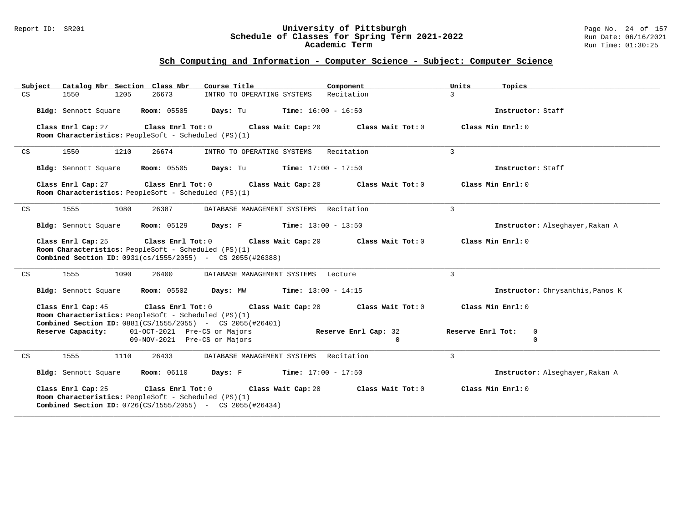#### Report ID: SR201 **University of Pittsburgh** Page No. 24 of 157 **Schedule of Classes for Spring Term 2021-2022** Run Date: 06/16/2021 **Academic Term** Run Time: 01:30:25

|    | Catalog Nbr Section Class Nbr<br>Subiect                                                                                                                              | Course Title                                  | Component            | Units<br>Topics                  |
|----|-----------------------------------------------------------------------------------------------------------------------------------------------------------------------|-----------------------------------------------|----------------------|----------------------------------|
| CS | 1205<br>26673<br>1550                                                                                                                                                 | INTRO TO OPERATING SYSTEMS                    | Recitation           | $\mathcal{L}$                    |
|    | Bldg: Sennott Square<br><b>Room:</b> 05505                                                                                                                            | <b>Days:</b> Tu <b>Time:</b> $16:00 - 16:50$  |                      | Instructor: Staff                |
|    | Class Enrl Cap: 27<br>Room Characteristics: PeopleSoft - Scheduled (PS)(1)                                                                                            | Class Enrl Tot: 0 Class Wait Cap: 20          | Class Wait Tot: 0    | Class Min Enrl: 0                |
| CS | 1550<br>1210<br>26674                                                                                                                                                 | INTRO TO OPERATING SYSTEMS                    | Recitation           | $\mathbf{3}$                     |
|    | Bldg: Sennott Square<br><b>Room:</b> 05505                                                                                                                            | <b>Days:</b> Tu <b>Time:</b> $17:00 - 17:50$  |                      | Instructor: Staff                |
|    | Class Enrl Cap: 27<br>$Class$ $Enrl$ $Tot: 0$<br>Room Characteristics: PeopleSoft - Scheduled (PS)(1)                                                                 | Class Wait Cap: 20                            | Class Wait Tot: 0    | Class Min Enrl: 0                |
| CS | 1555<br>1080<br>26387                                                                                                                                                 | DATABASE MANAGEMENT SYSTEMS Recitation        |                      | 3                                |
|    | Bldg: Sennott Square<br><b>Room: 05129</b>                                                                                                                            | <b>Days:</b> $F$ <b>Time:</b> $13:00 - 13:50$ |                      | Instructor: Alseghayer, Rakan A  |
|    | Class Enrl Cap: 25<br>Class Enrl Tot: 0<br>Room Characteristics: PeopleSoft - Scheduled (PS)(1)<br><b>Combined Section ID:</b> 0931(cs/1555/2055) - CS 2055(#26388)   | Class Wait Cap: 20                            | Class Wait Tot: 0    | Class Min Enrl: 0                |
| CS | 1555<br>1090<br>26400                                                                                                                                                 | DATABASE MANAGEMENT SYSTEMS Lecture           |                      | $\mathbf{3}$                     |
|    | Bldg: Sennott Square<br><b>Room:</b> 05502                                                                                                                            | <b>Days:</b> MW <b>Time:</b> $13:00 - 14:15$  |                      | Instructor: Chrysanthis, Panos K |
|    | Class Enrl Cap: 45<br>Room Characteristics: PeopleSoft - Scheduled (PS)(1)<br><b>Combined Section ID:</b> $0881(CS/1555/2055)$ - CS $2055(\#26401)$                   | Class Enrl Tot: 0 Class Wait Cap: 20          | Class Wait Tot: 0    | Class Min Enrl: 0                |
|    | 01-OCT-2021 Pre-CS or Majors<br>Reserve Capacity:                                                                                                                     |                                               | Reserve Enrl Cap: 32 | Reserve Enrl Tot:<br>0           |
|    | 09-NOV-2021 Pre-CS or Majors                                                                                                                                          |                                               | $\Omega$             | $\Omega$                         |
| CS | 1555<br>1110<br>26433                                                                                                                                                 | DATABASE MANAGEMENT SYSTEMS Recitation        |                      | $\mathbf{3}$                     |
|    | Bldg: Sennott Square<br><b>Room:</b> 06110                                                                                                                            | <b>Days:</b> F Time: $17:00 - 17:50$          |                      | Instructor: Alseghayer, Rakan A  |
|    | Class Enrl Cap: 25<br>Class Enrl Tot: $0$<br>Room Characteristics: PeopleSoft - Scheduled (PS)(1)<br><b>Combined Section ID:</b> 0726(CS/1555/2055) - CS 2055(#26434) | Class Wait Cap: 20                            | Class Wait Tot: 0    | Class Min Enrl: 0                |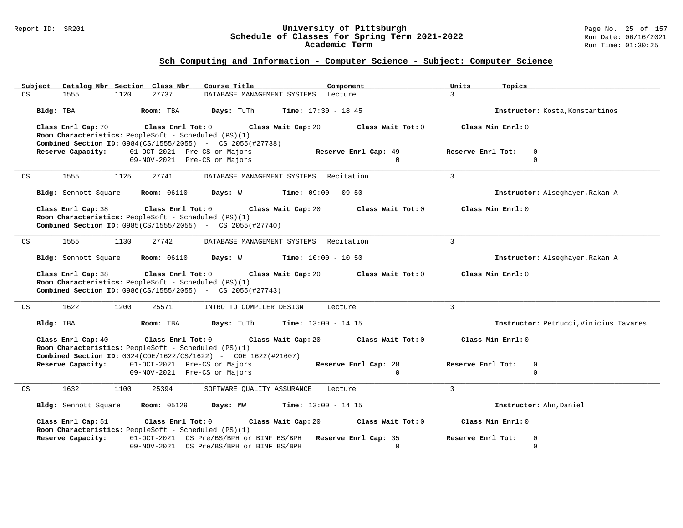#### Report ID: SR201 **University of Pittsburgh** Page No. 25 of 157 **Schedule of Classes for Spring Term 2021-2022** Run Date: 06/16/2021 **Academic Term** Run Time: 01:30:25

| Subject |                                                                            | Catalog Nbr Section Class Nbr                                | Course Title                                                                                              | Component                        | Units<br>Topics                                 |
|---------|----------------------------------------------------------------------------|--------------------------------------------------------------|-----------------------------------------------------------------------------------------------------------|----------------------------------|-------------------------------------------------|
| CS      | 1555                                                                       | 27737<br>1120                                                | DATABASE MANAGEMENT SYSTEMS Lecture                                                                       |                                  | $\mathcal{L}$                                   |
|         | Bldg: TBA                                                                  | Room: TBA                                                    | Days: TuTh                                                                                                | <b>Time:</b> $17:30 - 18:45$     | Instructor: Kosta, Konstantinos                 |
|         | Class Enrl Cap: 70<br>Room Characteristics: PeopleSoft - Scheduled (PS)(1) | $\texttt{Class}$ $\texttt{Enrl}$ $\texttt{Tot:}$ $0$         | Class Wait Cap: 20                                                                                        | Class Wait Tot: 0                | Class Min Enrl: 0                               |
|         | Reserve Capacity:                                                          | 01-OCT-2021 Pre-CS or Majors<br>09-NOV-2021 Pre-CS or Majors | <b>Combined Section ID:</b> 0984(CS/1555/2055) - CS 2055(#27738)                                          | Reserve Enrl Cap: 49<br>$\Omega$ | Reserve Enrl Tot:<br>$\mathbf 0$<br>$\Omega$    |
| CS      | 1555                                                                       | 1125<br>27741                                                | DATABASE MANAGEMENT SYSTEMS Recitation                                                                    |                                  | $\mathbf{3}$                                    |
|         | Bldg: Sennott Square                                                       | <b>Room: 06110</b>                                           | Days: W                                                                                                   | <b>Time:</b> $09:00 - 09:50$     | Instructor: Alseghayer, Rakan A                 |
|         | Class Enrl Cap: 38<br>Room Characteristics: PeopleSoft - Scheduled (PS)(1) | Class Enrl Tot: 0                                            | Class Wait Cap: 20<br><b>Combined Section ID:</b> 0985(CS/1555/2055) - CS 2055(#27740)                    | Class Wait Tot: 0                | Class Min Enrl: 0                               |
| CS      | 1555                                                                       | 1130<br>27742                                                | DATABASE MANAGEMENT SYSTEMS Recitation                                                                    |                                  | $\mathbf{3}$                                    |
|         | Bldg: Sennott Square                                                       | <b>Room:</b> 06110                                           | Days: W                                                                                                   | <b>Time:</b> $10:00 - 10:50$     | Instructor: Alseghayer, Rakan A                 |
|         | Class Enrl Cap: 38<br>Room Characteristics: PeopleSoft - Scheduled (PS)(1) | Class Enrl Tot: 0                                            | Class Wait Cap: 20<br><b>Combined Section ID:</b> 0986(CS/1555/2055) - CS 2055(#27743)                    | Class Wait Tot: 0                | Class Min Enrl: 0                               |
| CS      | 1622                                                                       | 1200<br>25571                                                | INTRO TO COMPILER DESIGN                                                                                  | Lecture                          | $\mathbf{3}$                                    |
|         | Bldg: TBA                                                                  | Room: TBA                                                    | Days: TuTh                                                                                                | <b>Time:</b> $13:00 - 14:15$     | Instructor: Petrucci, Vinicius Tavares          |
|         | Class Enrl Cap: 40<br>Room Characteristics: PeopleSoft - Scheduled (PS)(1) | Class Enrl Tot: 0                                            | Class Wait Cap: 20<br>Combined Section ID: 0024(COE/1622/CS/1622) - COE 1622(#21607)                      | Class Wait Tot: 0                | Class Min Enrl: 0                               |
|         | Reserve Capacity:                                                          | 01-OCT-2021 Pre-CS or Majors<br>09-NOV-2021 Pre-CS or Majors |                                                                                                           | Reserve Enrl Cap: 28<br>$\Omega$ | Reserve Enrl Tot:<br>$\mathbf 0$<br>$\mathbf 0$ |
| CS      | 1632                                                                       | 1100<br>25394                                                | SOFTWARE OUALITY ASSURANCE                                                                                | Lecture                          | $\overline{3}$                                  |
|         | Bldg: Sennott Square                                                       | <b>Room: 05129</b>                                           | Days: MW                                                                                                  | <b>Time:</b> $13:00 - 14:15$     | Instructor: Ahn, Daniel                         |
|         | Class Enrl Cap: 51                                                         | Class Enrl Tot: 0                                            | Class Wait Cap: 20                                                                                        | Class Wait Tot: 0                | Class Min Enrl: 0                               |
|         | Room Characteristics: PeopleSoft - Scheduled (PS)(1)<br>Reserve Capacity:  |                                                              | 01-OCT-2021 CS Pre/BS/BPH or BINF BS/BPH Reserve Enrl Cap: 35<br>09-NOV-2021 CS Pre/BS/BPH or BINF BS/BPH | $\Omega$                         | Reserve Enrl Tot:<br>0<br>$\Omega$              |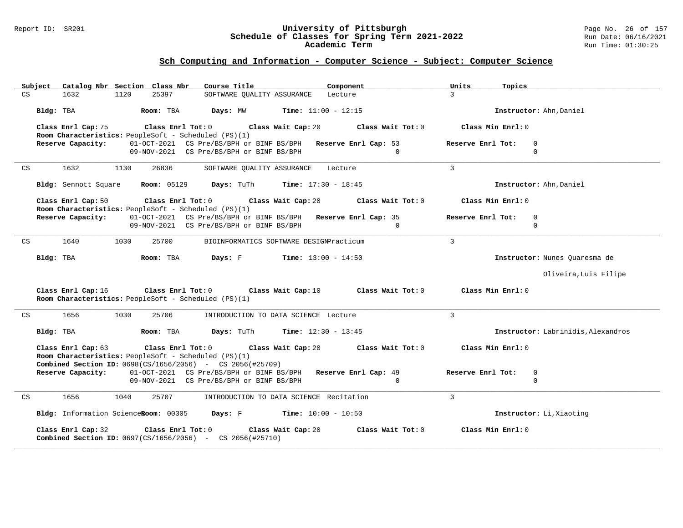#### Report ID: SR201 **University of Pittsburgh** Page No. 26 of 157 **Schedule of Classes for Spring Term 2021-2022** Run Date: 06/16/2021 **Academic Term** Run Time: 01:30:25

| Subject Catalog Nbr Section Class Nbr                                                                                                                                 | Course Title<br>Component                                       | Units<br>Topics                    |
|-----------------------------------------------------------------------------------------------------------------------------------------------------------------------|-----------------------------------------------------------------|------------------------------------|
| CS<br>1632<br>1120<br>25397                                                                                                                                           | SOFTWARE OUALITY ASSURANCE Lecture                              | $\mathcal{L}$                      |
| Room: TBA<br>Bldg: TBA                                                                                                                                                | <b>Time:</b> $11:00 - 12:15$<br>Days: MW                        | Instructor: Ahn, Daniel            |
| Class Enrl Cap: 75<br>$Class$ $Enrl$ $Tot: 0$<br>Room Characteristics: PeopleSoft - Scheduled (PS)(1)                                                                 | Class Wait Tot: 0<br>Class Wait Cap: 20                         | Class Min Enrl: 0                  |
| Reserve Capacity:                                                                                                                                                     | 01-OCT-2021 CS Pre/BS/BPH or BINF BS/BPH Reserve Enrl Cap: 53   | Reserve Enrl Tot:<br>$\Omega$      |
|                                                                                                                                                                       | 09-NOV-2021 CS Pre/BS/BPH or BINF BS/BPH<br>$\Omega$            | $\Omega$                           |
| 1632<br>CS<br>1130<br>26836                                                                                                                                           | SOFTWARE QUALITY ASSURANCE Lecture                              | $\mathbf{3}$                       |
|                                                                                                                                                                       | Bldg: Sennott Square Room: 05129 Days: TuTh Time: 17:30 - 18:45 | Instructor: Ahn, Daniel            |
| Class Enrl Cap: 50<br>Class Enrl Tot: $0$<br>Room Characteristics: PeopleSoft - Scheduled (PS)(1)                                                                     | Class Wait Cap: 20<br>Class Wait Tot: 0                         | Class Min Enrl: 0                  |
| Reserve Capacity:                                                                                                                                                     | 01-OCT-2021 CS Pre/BS/BPH or BINF BS/BPH Reserve Enrl Cap: 35   | Reserve Enrl Tot:<br>$\Omega$      |
|                                                                                                                                                                       | 09-NOV-2021 CS Pre/BS/BPH or BINF BS/BPH<br>$\cap$              | $\Omega$                           |
| 1640<br>1030<br>25700<br>CS                                                                                                                                           | BIOINFORMATICS SOFTWARE DESIGNPracticum                         | $\mathbf{3}$                       |
| Room: TBA<br>Bldg: TBA                                                                                                                                                | Days: F<br>$Time: 13:00 - 14:50$                                | Instructor: Nunes Quaresma de      |
|                                                                                                                                                                       |                                                                 | Oliveira, Luis Filipe              |
| Class Enrl Cap: 16<br>Room Characteristics: PeopleSoft - Scheduled (PS)(1)                                                                                            | Class Enrl Tot: $0$ Class Wait Cap: $10$<br>Class Wait Tot: 0   | Class Min Enrl: 0                  |
| 1656<br>1030<br>25706<br>CS                                                                                                                                           | INTRODUCTION TO DATA SCIENCE Lecture                            | $\overline{3}$                     |
| Bldg: TBA<br>Room: TBA                                                                                                                                                | <b>Days:</b> TuTh <b>Time:</b> $12:30 - 13:45$                  | Instructor: Labrinidis, Alexandros |
| Class Enrl Cap: 63<br>Class Enrl Tot: 0<br>Room Characteristics: PeopleSoft - Scheduled (PS)(1)<br><b>Combined Section ID:</b> $0698(CS/1656/2056)$ - CS 2056(#25709) | Class Wait Cap: 20<br>Class Wait Tot: 0                         | Class Min Enrl: 0                  |
| Reserve Capacity:                                                                                                                                                     | 01-OCT-2021 CS Pre/BS/BPH or BINF BS/BPH Reserve Enrl Cap: 49   | Reserve Enrl Tot:<br>0             |
|                                                                                                                                                                       | 09-NOV-2021 CS Pre/BS/BPH or BINF BS/BPH<br>$\Omega$            | $\Omega$                           |
| 1656<br>1040<br>25707<br>CS                                                                                                                                           | INTRODUCTION TO DATA SCIENCE Recitation                         | $\overline{3}$                     |
| Bldg: Information ScienceRoom: 00305                                                                                                                                  | <b>Days:</b> $F$ <b>Time:</b> $10:00 - 10:50$                   | Instructor: Li, Xiaoting           |
| Class Enrl Cap: 32<br>Class Enrl Tot: 0<br><b>Combined Section ID:</b> $0697(CS/1656/2056)$ - CS 2056(#25710)                                                         | Class Wait Cap: 20<br>Class Wait Tot: 0                         | Class Min Enrl: 0                  |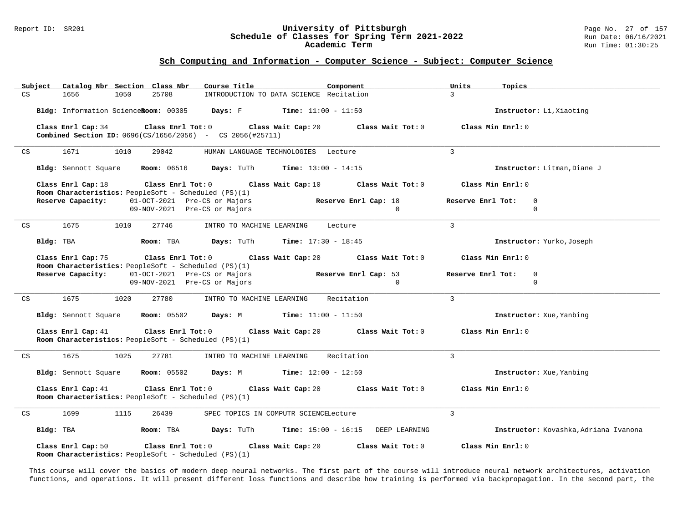# Report ID: SR201 **University of Pittsburgh University of Pittsburgh** Page No. 27 of 157<br>**Schedule of Classes for Spring Term 2021-2022** Run Date: 06/16/2021 Schedule of Classes for Spring Term 2021-2022<br>Academic Term

#### **Sch Computing and Information - Computer Science - Subject: Computer Science**

| Subject | Catalog Nbr Section Class Nbr        |                                                                                 | Course Title                                                                                 | Component                                             | Units<br>Topics                       |
|---------|--------------------------------------|---------------------------------------------------------------------------------|----------------------------------------------------------------------------------------------|-------------------------------------------------------|---------------------------------------|
| CS      | 1656<br>1050                         | 25708                                                                           | INTRODUCTION TO DATA SCIENCE Recitation                                                      |                                                       | $\mathcal{L}$                         |
|         | Bldg: Information ScienceRoom: 00305 |                                                                                 | <b>Days:</b> F <b>Time:</b> $11:00 - 11:50$                                                  |                                                       | Instructor: Li, Xiaoting              |
|         | Class Enrl Cap: 34                   | Class Enrl Tot: 0                                                               | Class Wait Cap: 20<br><b>Combined Section ID:</b> $0696(CS/1656/2056)$ - CS 2056(#25711)     | Class Wait Tot: 0                                     | Class Min Enrl: 0                     |
| CS      | 1671<br>1010                         | 29042                                                                           | HUMAN LANGUAGE TECHNOLOGIES Lecture                                                          |                                                       | 3                                     |
|         |                                      |                                                                                 | Bldg: Sennott Square Room: 06516 Days: TuTh Time: 13:00 - 14:15                              |                                                       | Instructor: Litman, Diane J           |
|         | Class Enrl Cap: 18                   | Room Characteristics: PeopleSoft - Scheduled (PS)(1)                            | Class Enrl Tot: 0 $\qquad$ Class Wait Cap: 10 $\qquad$ Class Wait Tot: 0                     |                                                       | Class Min Enrl: 0                     |
|         | Reserve Capacity:                    | 01-OCT-2021 Pre-CS or Majors                                                    |                                                                                              | Reserve Enrl Cap: 18                                  | Reserve Enrl Tot:<br>$\mathbf 0$      |
|         |                                      | 09-NOV-2021 Pre-CS or Majors                                                    |                                                                                              | $\Omega$                                              | $\Omega$                              |
| CS      | 1675<br>1010                         | 27746                                                                           | INTRO TO MACHINE LEARNING                                                                    | Lecture                                               | $\overline{3}$                        |
|         | Bldg: TBA                            | Room: TBA                                                                       | <b>Days:</b> TuTh <b>Time:</b> $17:30 - 18:45$                                               |                                                       | Instructor: Yurko, Joseph             |
|         | Class Enrl Cap: 75                   |                                                                                 | Class Enrl Tot: $0$ Class Wait Cap: $20$ Class Wait Tot: $0$                                 |                                                       | Class Min Enrl: 0                     |
|         |                                      | Room Characteristics: PeopleSoft - Scheduled (PS)(1)                            |                                                                                              |                                                       |                                       |
|         |                                      | Reserve Capacity: 01-OCT-2021 Pre-CS or Majors                                  |                                                                                              | Reserve Enrl Cap: 53                                  | Reserve Enrl Tot:<br>$\mathbf 0$      |
|         |                                      | 09-NOV-2021 Pre-CS or Majors                                                    |                                                                                              | $\Omega$                                              | $\Omega$                              |
| CS      | 1675<br>1020                         | 27780                                                                           | INTRO TO MACHINE LEARNING                                                                    | Recitation                                            | $\overline{3}$                        |
|         |                                      |                                                                                 | <b>Bldg:</b> Sennott Square <b>Room:</b> $05502$ <b>Days:</b> M <b>Time:</b> $11:00 - 11:50$ |                                                       | Instructor: Xue, Yanbing              |
|         | Class Enrl Cap: 41                   | Room Characteristics: PeopleSoft - Scheduled (PS)(1)                            | Class Enrl Tot: $0$ Class Wait Cap: $20$ Class Wait Tot: $0$                                 |                                                       | Class Min Enrl: 0                     |
| CS      | 1675<br>1025                         | 27781                                                                           | INTRO TO MACHINE LEARNING                                                                    | Recitation                                            | $\overline{3}$                        |
|         | Bldg: Sennott Square                 |                                                                                 | <b>Room:</b> $05502$ <b>Days:</b> M <b>Time:</b> $12:00 - 12:50$                             |                                                       | Instructor: Xue, Yanbing              |
|         | Class Enrl Cap: 41                   | Class Enrl Tot: 0<br>Room Characteristics: PeopleSoft - Scheduled (PS)(1)       |                                                                                              | Class Wait Cap: 20 $\hspace{1.6cm}$ Class Wait Tot: 0 | Class Min Enrl: 0                     |
| CS      | 1699<br>1115                         | 26439                                                                           | SPEC TOPICS IN COMPUTR SCIENCELecture                                                        |                                                       | $\overline{3}$                        |
|         | Bldg: TBA                            | Room: TBA                                                                       | $\texttt{Days:}$ TuTh $\texttt{Time:}$ 15:00 - 16:15 DEEP LEARNING                           |                                                       | Instructor: Kovashka, Adriana Ivanona |
|         | Class Enrl Cap: 50                   | $Class$ $Enr1$ $Tot: 0$<br>Room Characteristics: PeopleSoft - Scheduled (PS)(1) | Class Wait Cap: 20                                                                           | Class Wait Tot: 0                                     | Class Min Enrl: 0                     |

This course will cover the basics of modern deep neural networks. The first part of the course will introduce neural network architectures, activation functions, and operations. It will present different loss functions and describe how training is performed via backpropagation. In the second part, the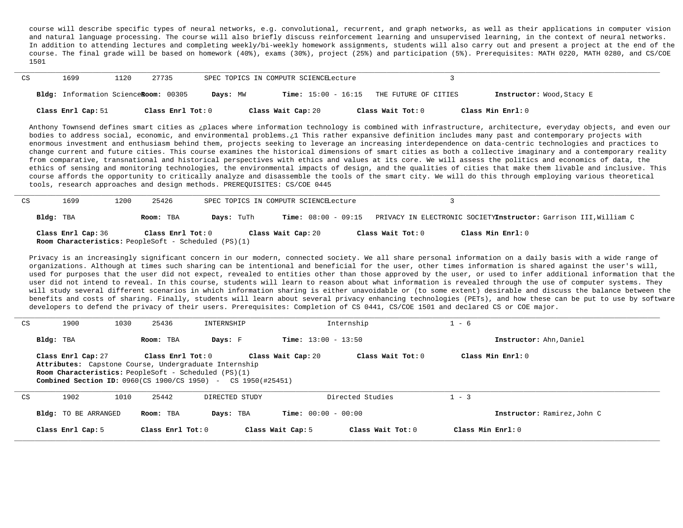course will describe specific types of neural networks, e.g. convolutional, recurrent, and graph networks, as well as their applications in computer vision and natural language processing. The course will also briefly discuss reinforcement learning and unsupervised learning, in the context of neural networks. In addition to attending lectures and completing weekly/bi-weekly homework assignments, students will also carry out and present a project at the end of the course. The final grade will be based on homework (40%), exams (30%), project (25%) and participation (5%). Prerequisites: MATH 0220, MATH 0280, and CS/COE 1501

| CS | 1699                                 | 27735<br>1120     |          | SPEC TOPICS IN COMPUTR SCIENCELecture |                                            |                           |
|----|--------------------------------------|-------------------|----------|---------------------------------------|--------------------------------------------|---------------------------|
|    | Bldg: Information ScienceRoom: 00305 |                   | Days: MW |                                       | $Time: 15:00 - 16:15$ THE FUTURE OF CITIES | Instructor: Wood, Stacy E |
|    | Class Enrl Cap: 51                   | Class Enrl Tot: 0 |          | Class Wait Cap: 20                    | Class Wait Tot: 0                          | Class Min Enrl: 0         |

Anthony Townsend defines smart cities as ¿places where information technology is combined with infrastructure, architecture, everyday objects, and even our bodies to address social, economic, and environmental problems.¿1 This rather expansive definition includes many past and contemporary projects with enormous investment and enthusiasm behind them, projects seeking to leverage an increasing interdependence on data-centric technologies and practices to change current and future cities. This course examines the historical dimensions of smart cities as both a collective imaginary and a contemporary reality from comparative, transnational and historical perspectives with ethics and values at its core. We will assess the politics and economics of data, the ethics of sensing and monitoring technologies, the environmental impacts of design, and the qualities of cities that make them livable and inclusive. This course affords the opportunity to critically analyze and disassemble the tools of the smart city. We will do this through employing various theoretical tools, research approaches and design methods. PREREQUISITES: CS/COE 0445

| CS | 1699                                                                              | 1200 | 25426             |            | SPEC TOPICS IN COMPUTR SCIENCELecture |                   |                                                                  |
|----|-----------------------------------------------------------------------------------|------|-------------------|------------|---------------------------------------|-------------------|------------------------------------------------------------------|
|    | Bldg: TBA                                                                         |      | Room: TBA         | Days: TuTh | <b>Time:</b> $08:00 - 09:15$          |                   | PRIVACY IN ELECTRONIC SOCIETYInstructor: Garrison III, William C |
|    | Class Enrl Cap: 36<br><b>Room Characteristics:</b> PeopleSoft - Scheduled (PS)(1) |      | Class Enrl Tot: 0 |            | Class Wait Cap: 20                    | Class Wait Tot: 0 | Class Min Enrl: 0                                                |

Privacy is an increasingly significant concern in our modern, connected society. We all share personal information on a daily basis with a wide range of organizations. Although at times such sharing can be intentional and beneficial for the user, other times information is shared against the user's will, used for purposes that the user did not expect, revealed to entities other than those approved by the user, or used to infer additional information that the user did not intend to reveal. In this course, students will learn to reason about what information is revealed through the use of computer systems. They will study several different scenarios in which information sharing is either unavoidable or (to some extent) desirable and discuss the balance between the benefits and costs of sharing. Finally, students will learn about several privacy enhancing technologies (PETs), and how these can be put to use by software developers to defend the privacy of their users. Prerequisites: Completion of CS 0441, CS/COE 1501 and declared CS or COE major.

| CS | 1900                                                                                                                                                                                                                                                                                    | 1030 | 25436               | INTERNSHIP        | Internship                   |                     | $1 - 6$                     |
|----|-----------------------------------------------------------------------------------------------------------------------------------------------------------------------------------------------------------------------------------------------------------------------------------------|------|---------------------|-------------------|------------------------------|---------------------|-----------------------------|
|    | Bldg: TBA                                                                                                                                                                                                                                                                               |      | Room: TBA           | Days: F           | <b>Time:</b> $13:00 - 13:50$ |                     | Instructor: Ahn, Daniel     |
|    | Class Wait Tot: $0$<br>Class Enrl Tot: 0<br>Class Wait Cap: 20<br>Class Enrl Cap: 27<br>Attributes: Capstone Course, Undergraduate Internship<br><b>Room Characteristics:</b> PeopleSoft - Scheduled (PS)(1)<br><b>Combined Section ID:</b> $0960$ (CS 1900/CS 1950) - CS 1950 (#25451) |      |                     | Class Min Enrl: 0 |                              |                     |                             |
| CS | 1902                                                                                                                                                                                                                                                                                    | 1010 | 25442               | DIRECTED STUDY    |                              | Directed Studies    | $1 - 3$                     |
|    | <b>Bldg:</b> TO BE ARRANGED                                                                                                                                                                                                                                                             |      | Room: TBA           | Days: TBA         | <b>Time:</b> $00:00 - 00:00$ |                     | Instructor: Ramirez, John C |
|    | Class Enrl Cap: 5                                                                                                                                                                                                                                                                       |      | Class Enrl Tot: $0$ |                   | Class Wait Cap: 5            | Class Wait $Tot: 0$ | Class Min $Err1:0$          |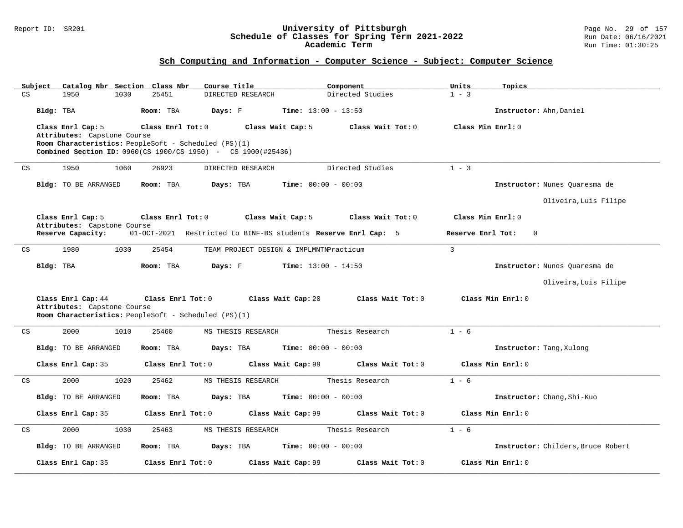#### Report ID: SR201 **University of Pittsburgh** Page No. 29 of 157 **Schedule of Classes for Spring Term 2021-2022** Run Date: 06/16/2021 **Academic Term** Run Time: 01:30:25

| Catalog Nbr Section Class Nbr<br>Subject                               | Course Title                                                   | Component                    | Units<br>Topics                    |
|------------------------------------------------------------------------|----------------------------------------------------------------|------------------------------|------------------------------------|
| $\mathop{\rm CS}\nolimits$<br>25451<br>1950<br>1030                    | DIRECTED RESEARCH                                              | Directed Studies             | $1 - 3$                            |
| Bldg: TBA<br>Room: TBA                                                 | Days: F                                                        | <b>Time:</b> $13:00 - 13:50$ | Instructor: Ahn, Daniel            |
| Class Enrl Cap: 5<br>Class Enrl Tot: 0                                 | Class Wait Cap: 5                                              | Class Wait Tot: 0            | Class Min Enrl: 0                  |
| Attributes: Capstone Course                                            |                                                                |                              |                                    |
| Room Characteristics: PeopleSoft - Scheduled (PS)(1)                   |                                                                |                              |                                    |
| <b>Combined Section ID:</b> 0960(CS 1900/CS 1950) - CS 1900(#25436)    |                                                                |                              |                                    |
| 1950<br>1060<br>26923<br>CS                                            | DIRECTED RESEARCH                                              | Directed Studies             | $1 - 3$                            |
| Room: TBA<br>Bldg: TO BE ARRANGED                                      | Days: TBA                                                      | <b>Time:</b> $00:00 - 00:00$ | Instructor: Nunes Quaresma de      |
|                                                                        |                                                                |                              | Oliveira, Luis Filipe              |
| Class Enrl Cap: 5<br>Class Enrl Tot: 0<br>Attributes: Capstone Course  | Class Wait Cap: 5                                              | Class Wait Tot: 0            | Class Min Enrl: 0                  |
| Reserve Capacity:                                                      | 01-OCT-2021 Restricted to BINF-BS students Reserve Enrl Cap: 5 |                              | Reserve Enrl Tot:<br>$\mathbf{0}$  |
| 1980<br>25454<br>$\mathop{\rm CS}\nolimits$<br>1030                    | TEAM PROJECT DESIGN & IMPLMNTNPracticum                        |                              | $\mathbf{3}$                       |
| Bldg: TBA<br>Room: TBA                                                 | Days: F                                                        | <b>Time:</b> $13:00 - 14:50$ | Instructor: Nunes Quaresma de      |
|                                                                        |                                                                |                              | Oliveira, Luis Filipe              |
| Class Enrl Cap: 44<br>Class Enrl Tot: 0<br>Attributes: Capstone Course | Class Wait Cap: 20                                             | Class Wait Tot: 0            | Class Min Enrl: 0                  |
| Room Characteristics: PeopleSoft - Scheduled (PS)(1)                   |                                                                |                              |                                    |
| 2000<br>1010<br>25460<br>CS                                            | MS THESIS RESEARCH                                             | Thesis Research              | $1 - 6$                            |
| <b>Bldg:</b> TO BE ARRANGED<br>Room: TBA                               | Days: TBA                                                      | <b>Time:</b> $00:00 - 00:00$ | Instructor: Tang, Xulong           |
| Class Enrl Cap: 35<br>Class Enrl Tot: 0                                | Class Wait Cap: 99                                             | Class Wait Tot: 0            | Class Min Enrl: 0                  |
| $\mathop{\rm CS}\nolimits$<br>2000<br>1020<br>25462                    | MS THESIS RESEARCH                                             | Thesis Research              | $1 - 6$                            |
| <b>Bldg:</b> TO BE ARRANGED<br>Room: TBA                               | Days: TBA                                                      | <b>Time:</b> $00:00 - 00:00$ | Instructor: Chang, Shi-Kuo         |
| Class Enrl Cap: 35<br>Class Enrl Tot: 0                                | Class Wait Cap: 99                                             | Class Wait Tot: 0            | Class Min Enrl: 0                  |
| 2000<br>CS<br>1030<br>25463                                            | MS THESIS RESEARCH                                             | Thesis Research              | $1 - 6$                            |
| <b>Bldg:</b> TO BE ARRANGED<br>Room: TBA                               | Days: TBA                                                      | <b>Time:</b> $00:00 - 00:00$ | Instructor: Childers, Bruce Robert |
| Class Enrl Tot: 0<br>Class Enrl Cap: 35                                | Class Wait Cap: 99                                             |                              |                                    |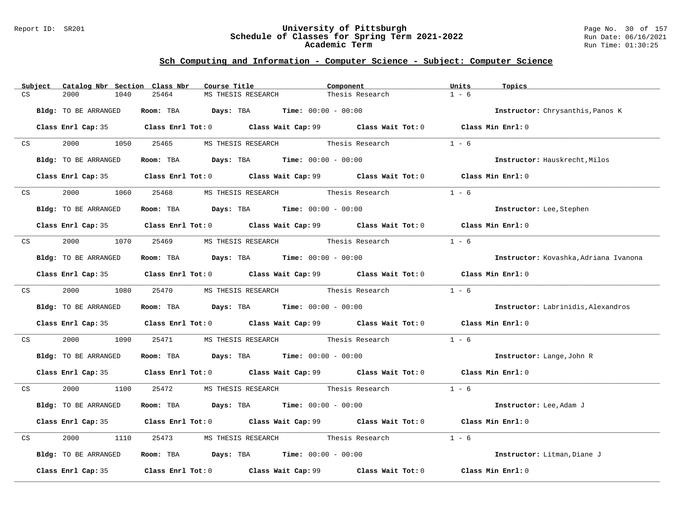#### Report ID: SR201 **University of Pittsburgh** Page No. 30 of 157 **Schedule of Classes for Spring Term 2021-2022** Run Date: 06/16/2021 **Academic Term** Run Time: 01:30:25

|    | Subject                                                                                                                                                                                                                        | Catalog Nbr Section Class Nbr | Course Title                                                                                | Component       | Units<br>Topics                       |
|----|--------------------------------------------------------------------------------------------------------------------------------------------------------------------------------------------------------------------------------|-------------------------------|---------------------------------------------------------------------------------------------|-----------------|---------------------------------------|
| CS |                                                                                                                                                                                                                                | 2000<br>1040                  | 25464<br>MS THESIS RESEARCH                                                                 | Thesis Research | $1 - 6$                               |
|    |                                                                                                                                                                                                                                | Bldg: TO BE ARRANGED          | Room: TBA $Days:$ TBA Time: $00:00 - 00:00$                                                 |                 | Instructor: Chrysanthis, Panos K      |
|    |                                                                                                                                                                                                                                |                               | Class Enrl Cap: 35 Class Enrl Tot: 0 Class Wait Cap: 99 Class Wait Tot: 0 Class Min Enrl: 0 |                 |                                       |
|    | CS <sub>2</sub>                                                                                                                                                                                                                |                               | 2000 1050 25465 MS THESIS RESEARCH Thesis Research                                          |                 | $1 - 6$                               |
|    |                                                                                                                                                                                                                                | Bldg: TO BE ARRANGED          | Room: TBA $Days:$ TBA $Time: 00:00 - 00:00$                                                 |                 | Instructor: Hauskrecht, Milos         |
|    |                                                                                                                                                                                                                                |                               | Class Enrl Cap: 35 Class Enrl Tot: 0 Class Wait Cap: 99 Class Wait Tot: 0 Class Min Enrl: 0 |                 |                                       |
|    | CS                                                                                                                                                                                                                             | 2000<br>1060                  | 25468 MS THESIS RESEARCH Thesis Research                                                    |                 | $1 - 6$                               |
|    |                                                                                                                                                                                                                                | Bldg: TO BE ARRANGED          | <b>Room:</b> TBA <b>Days:</b> TBA <b>Time:</b> 00:00 - 00:00                                |                 | Instructor: Lee, Stephen              |
|    |                                                                                                                                                                                                                                |                               | Class Enrl Cap: 35 Class Enrl Tot: 0 Class Wait Cap: 99 Class Wait Tot: 0 Class Min Enrl: 0 |                 |                                       |
|    | CS and the contract of the contract of the contract of the contract of the contract of the contract of the contract of the contract of the contract of the contract of the contract of the contract of the contract of the con |                               | 2000 1070 25469 MS THESIS RESEARCH Thesis Research                                          |                 | $1 - 6$                               |
|    |                                                                                                                                                                                                                                | Bldg: TO BE ARRANGED          | Room: TBA $Days:$ TBA $Time: 00:00 - 00:00$                                                 |                 | Instructor: Kovashka, Adriana Ivanona |
|    |                                                                                                                                                                                                                                |                               | Class Enrl Cap: 35 Class Enrl Tot: 0 Class Wait Cap: 99 Class Wait Tot: 0 Class Min Enrl: 0 |                 |                                       |
|    |                                                                                                                                                                                                                                |                               | CS 2000 1080 25470 MS THESIS RESEARCH Thesis Research                                       |                 | $1 - 6$                               |
|    |                                                                                                                                                                                                                                | Bldg: TO BE ARRANGED          | Room: TBA $Days:$ TBA $Time: 00:00 - 00:00$                                                 |                 | Instructor: Labrinidis, Alexandros    |
|    |                                                                                                                                                                                                                                |                               | Class Enrl Cap: 35 Class Enrl Tot: 0 Class Wait Cap: 99 Class Wait Tot: 0 Class Min Enrl: 0 |                 |                                       |
|    | CS                                                                                                                                                                                                                             | 2000 - 100                    | 1090 25471 MS THESIS RESEARCH Thesis Research                                               |                 | $1 - 6$                               |
|    |                                                                                                                                                                                                                                | Bldg: TO BE ARRANGED          | Room: TBA $Days:$ TBA $Time:$ $00:00 - 00:00$                                               |                 | <b>Instructor:</b> Lange, John R      |
|    |                                                                                                                                                                                                                                |                               | Class Enrl Cap: 35 Class Enrl Tot: 0 Class Wait Cap: 99 Class Wait Tot: 0 Class Min Enrl: 0 |                 |                                       |
|    |                                                                                                                                                                                                                                |                               | CS 2000 1100 25472 MS THESIS RESEARCH Thesis Research 1 - 6                                 |                 |                                       |
|    |                                                                                                                                                                                                                                | Bldg: TO BE ARRANGED          | Room: TBA $Days:$ TBA $Time: 00:00 - 00:00$                                                 |                 | Instructor: Lee, Adam J               |
|    |                                                                                                                                                                                                                                |                               | Class Enrl Cap: 35 Class Enrl Tot: 0 Class Wait Cap: 99 Class Wait Tot: 0 Class Min Enrl: 0 |                 |                                       |
| CS |                                                                                                                                                                                                                                | 2000<br>1110                  | 25473 MS THESIS RESEARCH Thesis Research                                                    |                 | $1 - 6$                               |
|    |                                                                                                                                                                                                                                | Bldg: TO BE ARRANGED          | Room: TBA $\rule{1em}{0.15mm}$ Days: TBA $\rule{1.5mm}{0.15mm}$ Time: $00:00 - 00:00$       |                 | Instructor: Litman, Diane J           |
|    |                                                                                                                                                                                                                                |                               | Class Enrl Cap: 35 Class Enrl Tot: 0 Class Wait Cap: 99 Class Wait Tot: 0                   |                 | Class Min Enrl: 0                     |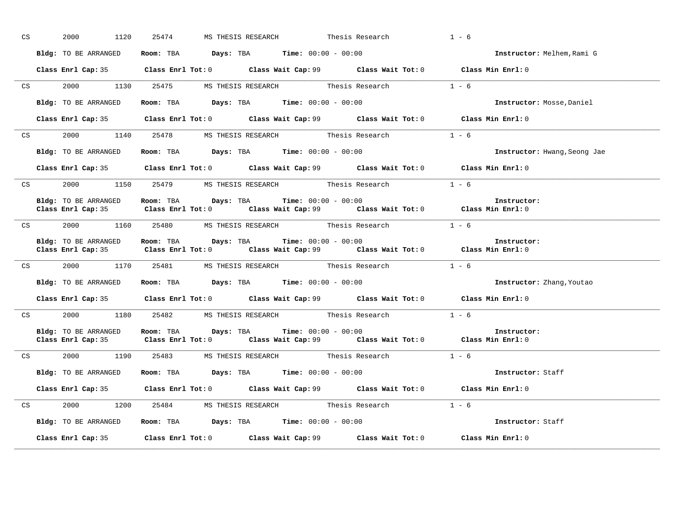| CS | 1120<br>2000         | 25474 MS THESIS RESEARCH Thesis Research                                                   |                                                                                             | $1 - 6$                                                                                     |
|----|----------------------|--------------------------------------------------------------------------------------------|---------------------------------------------------------------------------------------------|---------------------------------------------------------------------------------------------|
|    | Bldg: TO BE ARRANGED | Room: TBA $Days:$ TBA $Time:$ 00:00 - 00:00                                                |                                                                                             | Instructor: Melhem, Rami G                                                                  |
|    |                      |                                                                                            | Class Enrl Cap: 35 Class Enrl Tot: 0 Class Wait Cap: 99 Class Wait Tot: 0 Class Min Enrl: 0 |                                                                                             |
|    |                      |                                                                                            | CS 2000 1130 25475 MS THESIS RESEARCH Thesis Research 1 - 6                                 |                                                                                             |
|    | Bldg: TO BE ARRANGED | Room: TBA $Days:$ TBA $Time: 00:00 - 00:00$                                                |                                                                                             | Instructor: Mosse, Daniel                                                                   |
|    |                      |                                                                                            | Class Enrl Cap: 35 Class Enrl Tot: 0 Class Wait Cap: 99 Class Wait Tot: 0 Class Min Enrl: 0 |                                                                                             |
|    |                      |                                                                                            | CS 2000 1140 25478 MS THESIS RESEARCH Thesis Research 1 - 6                                 |                                                                                             |
|    |                      | Bldg: TO BE ARRANGED Room: TBA Days: TBA Time: 00:00 - 00:00                               |                                                                                             | Instructor: Hwang, Seong Jae                                                                |
|    |                      |                                                                                            | Class Enrl Cap: 35 Class Enrl Tot: 0 Class Wait Cap: 99 Class Wait Tot: 0 Class Min Enrl: 0 |                                                                                             |
|    |                      |                                                                                            | CS 2000 1150 25479 MS THESIS RESEARCH Thesis Research 1 - 6                                 |                                                                                             |
|    | Bldg: TO BE ARRANGED | Room: TBA $\rule{1em}{0.15mm}$ Days: TBA Time: $00:00 - 00:00$                             | Class Enrl Cap: 35 Class Enrl Tot: 0 Class Wait Cap: 99 Class Wait Tot: 0 Class Min Enrl: 0 | Instructor:                                                                                 |
|    |                      |                                                                                            | CS 2000 1160 25480 MS THESIS RESEARCH Thesis Research 1 - 6                                 |                                                                                             |
|    |                      | Bldg: TO BE ARRANGED Room: TBA Days: TBA Time: 00:00 - 00:00                               | Class Enrl Cap: 35 Class Enrl Tot: 0 Class Wait Cap: 99 Class Wait Tot: 0 Class Min Enrl: 0 | Instructor:                                                                                 |
|    |                      | CS 2000 1170 25481 MS THESIS RESEARCH Thesis Research                                      |                                                                                             | $1 - 6$                                                                                     |
|    |                      | Bldg: TO BE ARRANGED Room: TBA Days: TBA Time: 00:00 - 00:00                               |                                                                                             | <b>Instructor:</b> Zhang, Youtao                                                            |
|    |                      |                                                                                            | Class Enrl Cap: 35 Class Enrl Tot: 0 Class Wait Cap: 99 Class Wait Tot: 0 Class Min Enrl: 0 |                                                                                             |
|    |                      |                                                                                            | CS 2000 1180 25482 MS THESIS RESEARCH Thesis Research 1 - 6                                 |                                                                                             |
|    |                      | Bldg: TO BE ARRANGED Room: TBA Days: TBA Time: 00:00 - 00:00                               | Class Enrl Cap: 35 Class Enrl Tot: 0 Class Wait Cap: 99 Class Wait Tot: 0 Class Min Enrl: 0 | Instructor:                                                                                 |
|    |                      |                                                                                            | CS 2000 1190 25483 MS THESIS RESEARCH Thesis Research 1 - 6                                 |                                                                                             |
|    |                      | <b>Bldg:</b> TO BE ARRANGED <b>ROOM:</b> TBA <b>Days:</b> TBA <b>Time:</b> $00:00 - 00:00$ |                                                                                             | Instructor: Staff                                                                           |
|    |                      |                                                                                            |                                                                                             | Class Enrl Cap: 35 Class Enrl Tot: 0 Class Wait Cap: 99 Class Wait Tot: 0 Class Min Enrl: 0 |
|    |                      | CS 2000 1200 25484 MS THESIS RESEARCH Thesis Research                                      |                                                                                             | $1 - 6$                                                                                     |
|    | Bldg: TO BE ARRANGED | $\textbf{Room:}$ TBA $\textbf{Days:}$ TBA $\textbf{Time:}$ 00:00 - 00:00                   |                                                                                             | Instructor: Staff                                                                           |
|    |                      |                                                                                            | Class Enrl Cap: 35 Class Enrl Tot: 0 Class Wait Cap: 99 Class Wait Tot: 0                   | Class Min Enrl: 0                                                                           |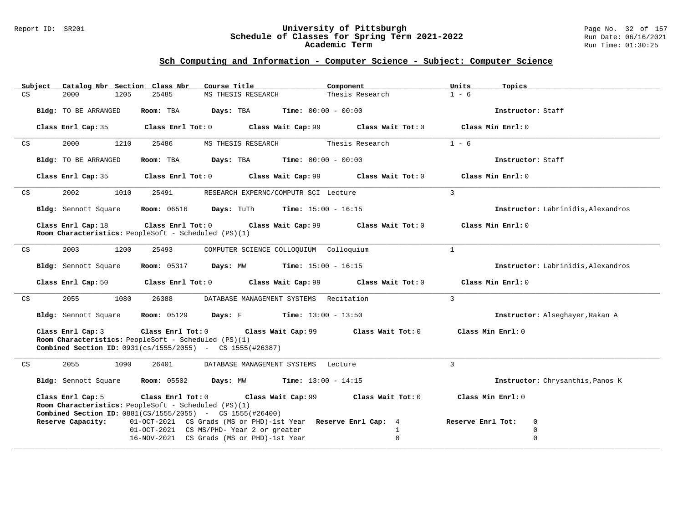#### Report ID: SR201 **University of Pittsburgh** Page No. 32 of 157 **Schedule of Classes for Spring Term 2021-2022** Run Date: 06/16/2021 **Academic Term** Run Time: 01:30:25

| Subject | Catalog Nbr Section Class Nbr | Course Title                                                                                                                                                                                             | Component                    | Units<br>Topics                    |
|---------|-------------------------------|----------------------------------------------------------------------------------------------------------------------------------------------------------------------------------------------------------|------------------------------|------------------------------------|
| CS      | 2000<br>1205                  | 25485<br>MS THESIS RESEARCH                                                                                                                                                                              | Thesis Research              | $1 - 6$                            |
|         | Bldg: TO BE ARRANGED          | Room: TBA<br>Days: TBA                                                                                                                                                                                   | <b>Time:</b> $00:00 - 00:00$ | Instructor: Staff                  |
|         | Class Enrl Cap: 35            | $Class$ $Enrl$ $Tot: 0$<br>Class Wait Cap: 99                                                                                                                                                            | Class Wait Tot: 0            | Class Min Enrl: 0                  |
| CS      | 2000<br>1210                  | 25486<br>MS THESIS RESEARCH                                                                                                                                                                              | Thesis Research              | $1 - 6$                            |
|         | Bldg: TO BE ARRANGED          | Room: TBA<br>Days: TBA                                                                                                                                                                                   | $Time: 00:00 - 00:00$        | Instructor: Staff                  |
|         | Class Enrl Cap: 35            | $Class$ $Enrl$ $Tot: 0$<br>Class Wait Cap: 99                                                                                                                                                            | Class Wait Tot: 0            | Class Min Enrl: 0                  |
| CS      | 2002<br>1010                  | 25491<br>RESEARCH EXPERNC/COMPUTR SCI Lecture                                                                                                                                                            |                              | $\mathcal{E}$                      |
|         | Bldg: Sennott Square          | <b>Room:</b> 06516 <b>Days:</b> TuTh <b>Time:</b> $15:00 - 16:15$                                                                                                                                        |                              | Instructor: Labrinidis, Alexandros |
|         | Class Enrl Cap: 18            | Class Enrl Tot: $0$ Class Wait Cap: 99<br>Room Characteristics: PeopleSoft - Scheduled (PS)(1)                                                                                                           | Class Wait Tot: 0            | Class Min Enrl: 0                  |
| CS      | 2003<br>1200                  | 25493<br>COMPUTER SCIENCE COLLOQUIUM Colloquium                                                                                                                                                          |                              | $\mathbf{1}$                       |
|         | Bldg: Sennott Square          | <b>Room:</b> 05317 <b>Days:</b> MW <b>Time:</b> 15:00 - 16:15                                                                                                                                            |                              | Instructor: Labrinidis, Alexandros |
|         |                               | Class Enrl Cap: 50 Class Enrl Tot: 0<br>Class Wait Cap: 99                                                                                                                                               | Class Wait Tot: 0            | Class Min Enrl: 0                  |
| CS      | 2055<br>1080                  | 26388<br>DATABASE MANAGEMENT SYSTEMS Recitation                                                                                                                                                          |                              | $\mathbf{3}$                       |
|         | Bldg: Sennott Square          | <b>Room:</b> $05129$ <b>Days:</b> F <b>Time:</b> $13:00 - 13:50$                                                                                                                                         |                              | Instructor: Alseghayer, Rakan A    |
|         | Class Enrl Cap: 3             | Class Enrl Tot: 0 Class Wait Cap: 99 Class Wait Tot: 0<br>Room Characteristics: PeopleSoft - Scheduled (PS)(1)<br><b>Combined Section ID:</b> 0931(cs/1555/2055) - CS 1555(#26387)                       |                              | Class Min Enrl: 0                  |
| CS      | 2055<br>1090                  | 26401<br>DATABASE MANAGEMENT SYSTEMS Lecture                                                                                                                                                             |                              | $\mathcal{L}$                      |
|         |                               | <b>Bldg:</b> Sennott Square $\blacksquare$ <b>Room:</b> 05502 <b>Days:</b> MW <b>Time:</b> 13:00 - 14:15                                                                                                 |                              | Instructor: Chrysanthis, Panos K   |
|         | Class Enrl Cap: 5             | Class Enrl Tot: 0 Class Wait Cap: 99 Class Wait Tot: 0 Class Min Enrl: 0<br>Room Characteristics: PeopleSoft - Scheduled (PS)(1)<br><b>Combined Section ID:</b> $0881(CS/1555/2055)$ - CS $1555(#26400)$ |                              |                                    |
|         | Reserve Capacity:             | 01-OCT-2021 CS Grads (MS or PHD)-1st Year Reserve Enrl Cap: 4                                                                                                                                            |                              | Reserve Enrl Tot:<br>0             |
|         |                               | 01-OCT-2021 CS MS/PHD- Year 2 or greater                                                                                                                                                                 | $\mathbf{1}$<br>$\Omega$     | $\mathbf 0$<br>$\mathbf 0$         |
|         |                               | 16-NOV-2021 CS Grads (MS or PHD)-1st Year                                                                                                                                                                |                              |                                    |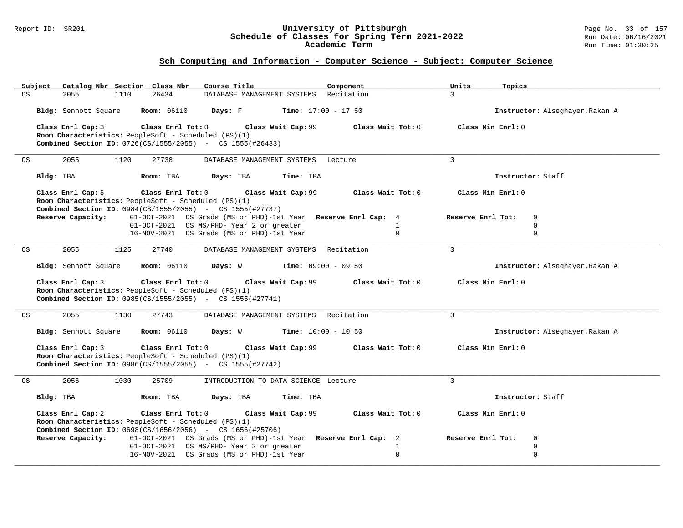#### Report ID: SR201 **University of Pittsburgh** Page No. 33 of 157 **Schedule of Classes for Spring Term 2021-2022** Run Date: 06/16/2021 **Academic Term** Run Time: 01:30:25

|    | Subject              | Catalog Nbr Section Class Nbr                                                                                                                     | Course Title                                                  | Component                    | Units<br>Topics                 |
|----|----------------------|---------------------------------------------------------------------------------------------------------------------------------------------------|---------------------------------------------------------------|------------------------------|---------------------------------|
| CS | 2055                 | 1110<br>26434                                                                                                                                     | DATABASE MANAGEMENT SYSTEMS                                   | Recitation                   | $\overline{3}$                  |
|    | Bldg: Sennott Square | <b>Room: 06110</b>                                                                                                                                | Days: F                                                       | <b>Time:</b> $17:00 - 17:50$ | Instructor: Alseghayer, Rakan A |
|    | Class Enrl Cap: 3    | Class Enrl Tot: 0<br>Room Characteristics: PeopleSoft - Scheduled (PS)(1)<br><b>Combined Section ID:</b> 0726(CS/1555/2055) - CS 1555(#26433)     | Class Wait Cap: 99                                            | Class Wait Tot: 0            | Class Min Enrl: 0               |
| CS | 2055                 | 1120<br>27738                                                                                                                                     | DATABASE MANAGEMENT SYSTEMS Lecture                           |                              | $\mathbf{3}$                    |
|    | Bldg: TBA            | Room: TBA                                                                                                                                         | Days: TBA<br>Time: TBA                                        |                              | Instructor: Staff               |
|    | Class Enrl Cap: 5    | Class Enrl Tot: 0<br>Room Characteristics: PeopleSoft - Scheduled (PS)(1)<br><b>Combined Section ID:</b> $0984(CS/1555/2055)$ - CS $1555(#27737)$ | Class Wait Cap: 99                                            | Class Wait Tot: 0            | Class Min Enrl: 0               |
|    | Reserve Capacity:    |                                                                                                                                                   | 01-OCT-2021 CS Grads (MS or PHD)-1st Year Reserve Enrl Cap: 4 |                              | Reserve Enrl Tot:<br>$\Omega$   |
|    |                      |                                                                                                                                                   | 01-OCT-2021 CS MS/PHD- Year 2 or greater                      | $\mathbf{1}$<br>$\Omega$     | $\Omega$<br>$\Omega$            |
|    |                      |                                                                                                                                                   | 16-NOV-2021 CS Grads (MS or PHD)-1st Year                     |                              |                                 |
| CS | 2055                 | 27740<br>1125                                                                                                                                     | DATABASE MANAGEMENT SYSTEMS Recitation                        |                              | $\overline{3}$                  |
|    | Bldg: Sennott Square | <b>Room:</b> 06110                                                                                                                                | Days: W                                                       | <b>Time:</b> $09:00 - 09:50$ | Instructor: Alseghayer, Rakan A |
|    | Class Enrl Cap: 3    | Class Enrl Tot: 0<br>Room Characteristics: PeopleSoft - Scheduled (PS)(1)<br><b>Combined Section ID:</b> 0985(CS/1555/2055) - CS 1555(#27741)     | Class Wait Cap: 99                                            | Class Wait Tot: 0            | Class Min Enrl: 0               |
| CS | 2055                 | 27743<br>1130                                                                                                                                     | DATABASE MANAGEMENT SYSTEMS Recitation                        |                              | $\mathbf{3}$                    |
|    | Bldg: Sennott Square | <b>Room:</b> 06110                                                                                                                                | Days: W                                                       | <b>Time:</b> $10:00 - 10:50$ | Instructor: Alseghayer, Rakan A |
|    | Class Enrl Cap: 3    | Class Enrl Tot: 0<br>Room Characteristics: PeopleSoft - Scheduled (PS)(1)<br><b>Combined Section ID:</b> 0986(CS/1555/2055) - CS 1555(#27742)     | Class Wait Cap: 99                                            | Class Wait Tot: 0            | Class Min Enrl: 0               |
| CS | 2056                 | 1030<br>25709                                                                                                                                     | INTRODUCTION TO DATA SCIENCE Lecture                          |                              | $\overline{3}$                  |
|    | Bldg: TBA            | Room: TBA                                                                                                                                         | Days: TBA<br>Time: TBA                                        |                              | Instructor: Staff               |
|    | Class Enrl Cap: 2    | Class Enrl Tot: 0<br>Room Characteristics: PeopleSoft - Scheduled (PS)(1)<br><b>Combined Section ID:</b> $0698(CS/1656/2056)$ - CS 1656(#25706)   | Class Wait Cap: 99                                            | Class Wait Tot: 0            | Class Min Enrl: 0               |
|    | Reserve Capacity:    |                                                                                                                                                   | 01-OCT-2021 CS Grads (MS or PHD)-1st Year Reserve Enrl Cap: 2 |                              | Reserve Enrl Tot:<br>0          |
|    |                      |                                                                                                                                                   | 01-OCT-2021 CS MS/PHD- Year 2 or greater                      | $\mathbf{1}$                 | 0                               |
|    |                      |                                                                                                                                                   | 16-NOV-2021 CS Grads (MS or PHD)-1st Year                     | $\Omega$                     | $\mathbf 0$                     |
|    |                      |                                                                                                                                                   |                                                               |                              |                                 |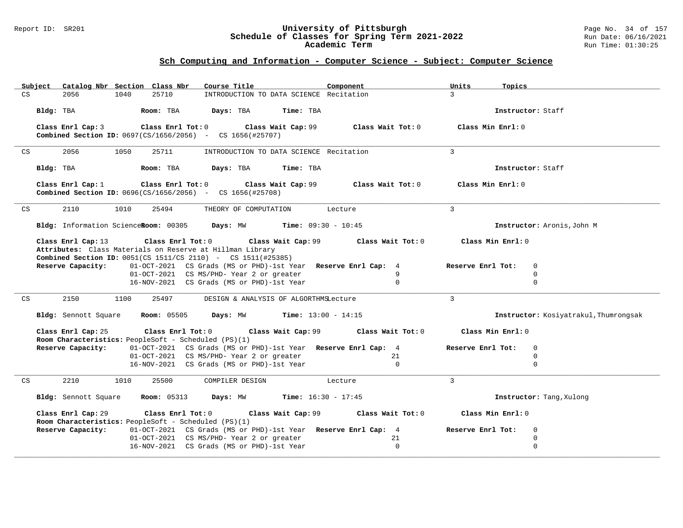#### Report ID: SR201 **University of Pittsburgh** Page No. 34 of 157 **Schedule of Classes for Spring Term 2021-2022** Run Date: 06/16/2021 **Academic Term** Run Time: 01:30:25

| Catalog Nbr Section Class Nbr<br>Subject                                                        | Course Title                                                    | Component         | Units<br>Topics                  |                                       |
|-------------------------------------------------------------------------------------------------|-----------------------------------------------------------------|-------------------|----------------------------------|---------------------------------------|
| 25710<br>CS<br>2056<br>1040                                                                     | INTRODUCTION TO DATA SCIENCE Recitation                         |                   | $\mathcal{L}$                    |                                       |
| Bldg: TBA<br>Room: TBA                                                                          | Days: TBA<br>Time: TBA                                          |                   | Instructor: Staff                |                                       |
|                                                                                                 |                                                                 |                   |                                  |                                       |
| $Class$ $Enr1$ $Tot: 0$<br>Class Enrl Cap: 3                                                    | Class Wait Cap: 99                                              | Class Wait Tot: 0 | Class Min Enrl: $0$              |                                       |
| <b>Combined Section ID:</b> 0697(CS/1656/2056) - CS 1656(#25707)                                |                                                                 |                   |                                  |                                       |
| 2056<br>1050<br>25711<br>CS                                                                     | INTRODUCTION TO DATA SCIENCE Recitation                         |                   | $\overline{3}$                   |                                       |
| Bldg: TBA<br>Room: TBA                                                                          | Days: TBA<br>Time: TBA                                          |                   | Instructor: Staff                |                                       |
|                                                                                                 |                                                                 |                   |                                  |                                       |
| Class Enrl Cap: 1<br><b>Combined Section ID:</b> $0696(CS/1656/2056)$ - CS $1656(#25708)$       | Class Enrl Tot: 0 Class Wait Cap: 99                            | Class Wait Tot: 0 | Class Min Enrl: 0                |                                       |
|                                                                                                 |                                                                 |                   |                                  |                                       |
| 2110<br>1010<br>25494<br>$\mathop{\rm CS}\nolimits$                                             | THEORY OF COMPUTATION                                           | Lecture           | 3                                |                                       |
| Bldg: Information ScienceRoom: 00305 Days: MW Time: 09:30 - 10:45                               |                                                                 |                   |                                  | Instructor: Aronis, John M            |
| Class Enrl Cap: 13                                                                              | Class Enrl Tot: 0 Class Wait Cap: 99                            | Class Wait Tot: 0 | Class Min Enrl: 0                |                                       |
| Attributes: Class Materials on Reserve at Hillman Library                                       |                                                                 |                   |                                  |                                       |
| <b>Combined Section ID:</b> 0051(CS 1511/CS 2110) - CS 1511(#25385)                             |                                                                 |                   |                                  |                                       |
| Reserve Capacity:                                                                               | 01-OCT-2021 CS Grads (MS or PHD)-1st Year Reserve Enrl Cap: 4   |                   | Reserve Enrl Tot:<br>$\mathbf 0$ |                                       |
|                                                                                                 | 01-OCT-2021 CS MS/PHD- Year 2 or greater                        | 9<br>$\mathbf 0$  | $\mathbf 0$<br>$\mathbf 0$       |                                       |
|                                                                                                 | 16-NOV-2021 CS Grads (MS or PHD)-1st Year                       |                   |                                  |                                       |
| CS<br>2150<br>1100<br>25497                                                                     | DESIGN & ANALYSIS OF ALGORTHMSLecture                           |                   | $\mathbf{3}$                     |                                       |
| <b>Room:</b> 05505<br>Bldg: Sennott Square                                                      | <b>Days:</b> MW <b>Time:</b> $13:00 - 14:15$                    |                   |                                  | Instructor: Kosiyatrakul, Thumrongsak |
| Class Enrl Cap: 25                                                                              | Class Enrl Tot: 0 Class Wait Cap: 99                            | Class Wait Tot: 0 | Class Min Enrl: 0                |                                       |
| Room Characteristics: PeopleSoft - Scheduled (PS)(1)                                            |                                                                 |                   |                                  |                                       |
| Reserve Capacity:                                                                               | 01-OCT-2021 CS Grads (MS or PHD)-1st Year Reserve Enrl Cap: 4   |                   | Reserve Enrl Tot:<br>$\mathbf 0$ |                                       |
|                                                                                                 | 01-OCT-2021 CS MS/PHD- Year 2 or greater                        | 21                | $\mathbf 0$                      |                                       |
|                                                                                                 | 16-NOV-2021 CS Grads (MS or PHD)-1st Year                       | $\Omega$          | $\Omega$                         |                                       |
| $\mathop{\rm CS}\nolimits$<br>2210<br>1010<br>25500                                             | COMPILER DESIGN                                                 | Lecture           | $\mathcal{L}$                    |                                       |
| Bldg: Sennott Square                                                                            | <b>Room:</b> 05313 <b>Days:</b> MW <b>Time:</b> $16:30 - 17:45$ |                   |                                  | Instructor: Tang, Xulong              |
|                                                                                                 |                                                                 | Class Wait Tot: 0 | Class Min Enrl: 0                |                                       |
| Class Enrl Cap: 29<br>Class Enrl Tot: 0<br>Room Characteristics: PeopleSoft - Scheduled (PS)(1) | Class Wait Cap: 99                                              |                   |                                  |                                       |
| Reserve Capacity:                                                                               | 01-OCT-2021 CS Grads (MS or PHD)-1st Year Reserve Enrl Cap: 4   |                   | Reserve Enrl Tot:<br>0           |                                       |
|                                                                                                 | 01-OCT-2021 CS MS/PHD- Year 2 or greater                        | 21                | $\mathbf 0$                      |                                       |
|                                                                                                 | 16-NOV-2021 CS Grads (MS or PHD)-1st Year                       | $\Omega$          | $\Omega$                         |                                       |
|                                                                                                 |                                                                 |                   |                                  |                                       |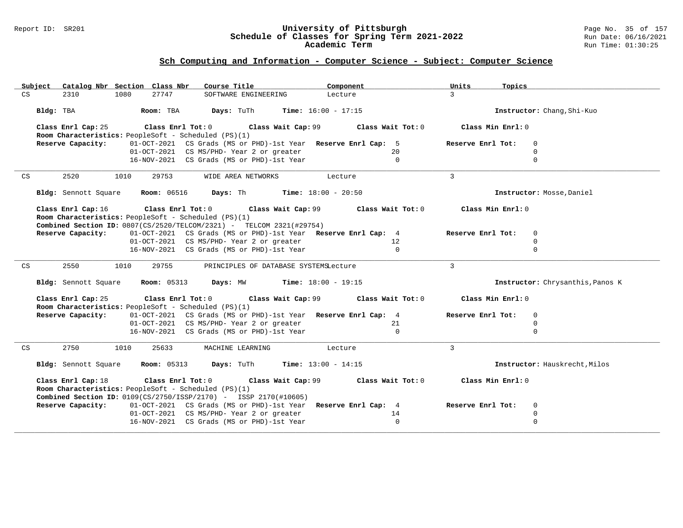#### Report ID: SR201 **University of Pittsburgh** Page No. 35 of 157 **Schedule of Classes for Spring Term 2021-2022** Run Date: 06/16/2021 **Academic Term** Run Time: 01:30:25

| Subject | Catalog Nbr Section Class Nbr                                                                                                                                                                                                                                                                                              |      |                   | Course Title                                                                          |                    | Component                  |                   | Units<br>Topics                  |                |  |
|---------|----------------------------------------------------------------------------------------------------------------------------------------------------------------------------------------------------------------------------------------------------------------------------------------------------------------------------|------|-------------------|---------------------------------------------------------------------------------------|--------------------|----------------------------|-------------------|----------------------------------|----------------|--|
| CS      | 2310                                                                                                                                                                                                                                                                                                                       | 1080 | 27747             | SOFTWARE ENGINEERING                                                                  |                    | Lecture                    |                   | $\overline{3}$                   |                |  |
|         | Bldg: TBA<br>Days: TuTh<br><b>Time:</b> $16:00 - 17:15$<br>Room: TBA                                                                                                                                                                                                                                                       |      |                   |                                                                                       |                    | Instructor: Chang, Shi-Kuo |                   |                                  |                |  |
|         | Class Enrl Cap: 25<br>Class Enrl Tot: 0<br>Class Wait Cap: 99<br>Class Wait Tot: 0<br>Room Characteristics: PeopleSoft - Scheduled (PS)(1)                                                                                                                                                                                 |      |                   |                                                                                       |                    |                            | Class Min Enrl: 0 |                                  |                |  |
|         | Reserve Capacity:                                                                                                                                                                                                                                                                                                          |      |                   | 01-OCT-2021 CS Grads (MS or PHD)-1st Year Reserve Enrl Cap: 5                         |                    |                            |                   | Reserve Enrl Tot:                | $\mathbf{0}$   |  |
|         |                                                                                                                                                                                                                                                                                                                            |      |                   | 01-OCT-2021 CS MS/PHD- Year 2 or greater                                              |                    |                            | 20                |                                  | $\Omega$       |  |
|         |                                                                                                                                                                                                                                                                                                                            |      |                   | 16-NOV-2021 CS Grads (MS or PHD)-1st Year                                             |                    |                            | $\Omega$          |                                  | $\Omega$       |  |
|         |                                                                                                                                                                                                                                                                                                                            |      |                   |                                                                                       |                    |                            |                   |                                  |                |  |
| CS      | 2520                                                                                                                                                                                                                                                                                                                       | 1010 | 29753             | WIDE AREA NETWORKS                                                                    |                    | Lecture                    |                   | $\mathbf{3}$                     |                |  |
|         | <b>Room: 06516</b><br>Days: Th<br><b>Time:</b> $18:00 - 20:50$<br>Bldg: Sennott Square                                                                                                                                                                                                                                     |      |                   |                                                                                       |                    |                            |                   | Instructor: Mosse, Daniel        |                |  |
|         | Class Enrl Cap: 16                                                                                                                                                                                                                                                                                                         |      | Class Enrl Tot: 0 |                                                                                       | Class Wait Cap: 99 | Class Wait Tot: 0          |                   | Class Min Enrl: 0                |                |  |
|         |                                                                                                                                                                                                                                                                                                                            |      |                   | Room Characteristics: PeopleSoft - Scheduled (PS)(1)                                  |                    |                            |                   |                                  |                |  |
|         |                                                                                                                                                                                                                                                                                                                            |      |                   | <b>Combined Section ID:</b> $0807(CS/2520/TELCOM/2321)$ - TELCOM 2321(#29754)         |                    |                            |                   |                                  |                |  |
|         | Reserve Capacity:                                                                                                                                                                                                                                                                                                          |      |                   | 01-OCT-2021 CS Grads (MS or PHD)-1st Year Reserve Enrl Cap: 4                         |                    |                            |                   | Reserve Enrl Tot:                | $\mathbf{0}$   |  |
|         |                                                                                                                                                                                                                                                                                                                            |      |                   | 01-OCT-2021 CS MS/PHD- Year 2 or greater<br>16-NOV-2021 CS Grads (MS or PHD)-1st Year |                    |                            | 12                |                                  | $\mathbf 0$    |  |
|         |                                                                                                                                                                                                                                                                                                                            |      |                   |                                                                                       |                    |                            | $\mathbf 0$       |                                  | $\mathbf 0$    |  |
| CS      | 2550<br>1010<br>29755<br>PRINCIPLES OF DATABASE SYSTEMSLecture<br>Bldg: Sennott Square<br><b>Room:</b> 05313<br>Days: MW<br><b>Time:</b> $18:00 - 19:15$<br>Class Enrl Cap: 25<br>Class Enrl Tot: 0<br>Class Wait Cap: 99<br>Class Wait Tot: 0<br>Room Characteristics: PeopleSoft - Scheduled (PS)(1)                     |      |                   |                                                                                       |                    |                            |                   | $\mathbf{3}$                     |                |  |
|         |                                                                                                                                                                                                                                                                                                                            |      |                   |                                                                                       |                    |                            |                   | Instructor: Chrysanthis, Panos K |                |  |
|         |                                                                                                                                                                                                                                                                                                                            |      |                   |                                                                                       |                    |                            |                   | Class Min Enrl: 0                |                |  |
|         | Reserve Capacity:                                                                                                                                                                                                                                                                                                          |      |                   | 01-OCT-2021 CS Grads (MS or PHD)-1st Year Reserve Enrl Cap: 4                         |                    |                            |                   | Reserve Enrl Tot:                | $\mathbf{0}$   |  |
|         |                                                                                                                                                                                                                                                                                                                            |      |                   | 01-OCT-2021 CS MS/PHD- Year 2 or greater                                              |                    |                            | 21                |                                  | $\Omega$       |  |
|         |                                                                                                                                                                                                                                                                                                                            |      |                   | 16-NOV-2021 CS Grads (MS or PHD)-1st Year                                             |                    |                            | $\Omega$          |                                  | $\Omega$       |  |
|         |                                                                                                                                                                                                                                                                                                                            |      |                   |                                                                                       |                    |                            |                   |                                  |                |  |
| CS      | 2750                                                                                                                                                                                                                                                                                                                       | 1010 | 25633             | MACHINE LEARNING                                                                      |                    | Lecture                    |                   | $\overline{3}$                   |                |  |
|         | <b>Room:</b> 05313<br>Days: TuTh<br><b>Time:</b> $13:00 - 14:15$<br>Bldg: Sennott Square<br>Class Enrl Cap: 18<br>Class Enrl Tot: 0<br>Class Wait Cap: 99 Class Wait Tot: 0<br>Room Characteristics: PeopleSoft - Scheduled (PS)(1)<br><b>Combined Section ID:</b> $0109(CS/2750/ISSP/2170)$ - ISSP $2170(\text{\#}10605)$ |      |                   |                                                                                       |                    |                            |                   | Instructor: Hauskrecht, Milos    |                |  |
|         |                                                                                                                                                                                                                                                                                                                            |      |                   |                                                                                       |                    |                            |                   | Class Min Enrl: 0                |                |  |
|         | Reserve Capacity:                                                                                                                                                                                                                                                                                                          |      |                   | 01-OCT-2021 CS Grads (MS or PHD)-1st Year Reserve Enrl Cap: 4                         |                    |                            |                   | Reserve Enrl Tot:                | $\overline{0}$ |  |
|         |                                                                                                                                                                                                                                                                                                                            |      |                   | 01-OCT-2021 CS MS/PHD- Year 2 or greater                                              |                    |                            | 14                |                                  | $\mathbf 0$    |  |
|         |                                                                                                                                                                                                                                                                                                                            |      |                   | 16-NOV-2021 CS Grads (MS or PHD)-1st Year                                             |                    |                            | $\mathbf 0$       |                                  | $\mathbf 0$    |  |
|         |                                                                                                                                                                                                                                                                                                                            |      |                   |                                                                                       |                    |                            |                   |                                  |                |  |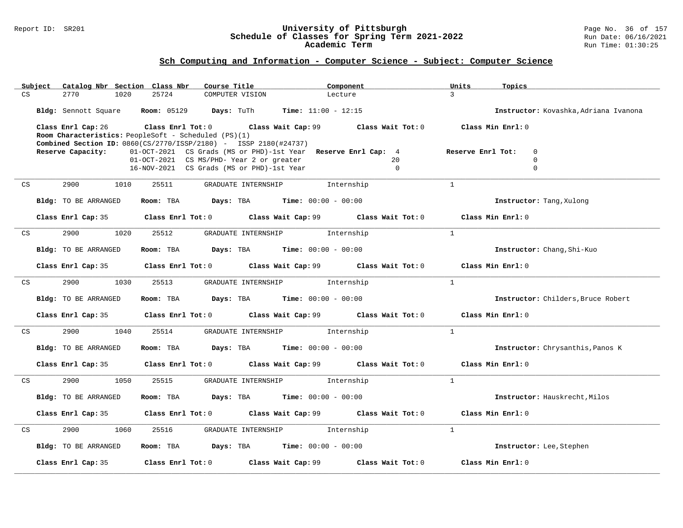#### Report ID: SR201 **University of Pittsburgh** Page No. 36 of 157 **Schedule of Classes for Spring Term 2021-2022** Run Date: 06/16/2021 **Academic Term** Run Time: 01:30:25

| 25724<br>$\mathbf{3}$<br>CS<br>2770<br>1020<br>COMPUTER VISION<br>Lecture<br>Bldg: Sennott Square Room: 05129 Days: TuTh Time: 11:00 - 12:15<br>Instructor: Kovashka, Adriana Ivanona<br>Class Min Enrl: 0<br>Class Enrl Cap: 26<br>Class Enrl Tot: $0$ Class Wait Cap: $99$ Class Wait Tot: $0$<br>Room Characteristics: PeopleSoft - Scheduled (PS)(1)<br><b>Combined Section ID:</b> 0860(CS/2770/ISSP/2180) - ISSP 2180(#24737)<br>01-OCT-2021 CS Grads (MS or PHD)-1st Year Reserve Enrl Cap: 4<br>Reserve Capacity:<br>Reserve Enrl Tot:<br>$\mathbf 0$<br>01-OCT-2021 CS MS/PHD- Year 2 or greater<br>20<br>$\mathbf 0$<br>$\mathbf 0$<br>16-NOV-2021 CS Grads (MS or PHD)-1st Year<br>$\Omega$<br>2900<br>1010<br>25511<br>GRADUATE INTERNSHIP 1nternship<br>$\overline{1}$<br>CS<br>Room: TBA $Days:$ TBA $Time: 00:00 - 00:00$<br>Bldg: TO BE ARRANGED<br>Instructor: Tang, Xulong<br>Class Min Enrl: 0<br>Class Enrl Cap: 35<br>Class Enrl Tot: $0$ Class Wait Cap: $99$ Class Wait Tot: $0$<br>$\mathbf{1}$<br>2900<br>1020<br>25512<br>GRADUATE INTERNSHIP<br>CS<br>Internship<br>Room: TBA $Days: TBA$ Time: $00:00 - 00:00$<br>Bldg: TO BE ARRANGED<br>Instructor: Chang, Shi-Kuo<br>Class Enrl Cap: 35 Class Enrl Tot: 0 Class Wait Cap: 99 Class Wait Tot: 0 Class Min Enrl: 0<br>$\mathbf{1}$<br>2900<br>GRADUATE INTERNSHIP 1nternship<br>1030<br>25513<br>CS<br>Room: TBA $\rule{1em}{0.15mm}$ Days: TBA Time: $00:00 - 00:00$<br>Bldg: TO BE ARRANGED<br>Instructor: Childers, Bruce Robert<br>Class Enrl Cap: 35 Class Enrl Tot: 0 Class Wait Cap: 99 Class Wait Tot: 0 Class Min Enrl: 0<br>$\overline{1}$<br>2900 000<br>1040<br>25514<br>CS<br>GRADUATE INTERNSHIP 1nternship<br>Room: TBA $Days: TBA$ Time: $00:00 - 00:00$<br>Bldg: TO BE ARRANGED<br>Instructor: Chrysanthis, Panos K<br>Class Enrl Cap: 35 $\qquad$ Class Enrl Tot: 0 $\qquad$ Class Wait Cap: 99 $\qquad$ Class Wait Tot: 0<br>Class Min Enrl: 0<br>$\overline{1}$<br>2900<br>1050<br>25515<br>GRADUATE INTERNSHIP<br>Internship<br>CS<br>Room: TBA $\rule{1em}{0.15mm}$ Days: TBA Time: $00:00 - 00:00$<br>Bldg: TO BE ARRANGED<br>Instructor: Hauskrecht, Milos<br>Class Enrl Cap: 35 $\,$ Class Enrl Tot: 0 $\,$ Class Wait Cap: 99 $\,$ Class Wait Tot: 0 $\,$<br>Class Min Enrl: 0<br>$\mathbf{1}$<br>2900<br>1060<br>25516<br>GRADUATE INTERNSHIP 1nternship<br>CS<br>Room: TBA $Days:$ TBA $Time: 00:00 - 00:00$<br>Bldg: TO BE ARRANGED<br>Instructor: Lee, Stephen<br>Class Enrl Tot: 0 Class Wait Cap: 99<br>Class Wait Tot: 0<br>Class Min Enrl: 0<br>Class Enrl Cap: 35 | Subject | Catalog Nbr Section Class Nbr | Course Title | Component | Units<br>Topics |  |
|-----------------------------------------------------------------------------------------------------------------------------------------------------------------------------------------------------------------------------------------------------------------------------------------------------------------------------------------------------------------------------------------------------------------------------------------------------------------------------------------------------------------------------------------------------------------------------------------------------------------------------------------------------------------------------------------------------------------------------------------------------------------------------------------------------------------------------------------------------------------------------------------------------------------------------------------------------------------------------------------------------------------------------------------------------------------------------------------------------------------------------------------------------------------------------------------------------------------------------------------------------------------------------------------------------------------------------------------------------------------------------------------------------------------------------------------------------------------------------------------------------------------------------------------------------------------------------------------------------------------------------------------------------------------------------------------------------------------------------------------------------------------------------------------------------------------------------------------------------------------------------------------------------------------------------------------------------------------------------------------------------------------------------------------------------------------------------------------------------------------------------------------------------------------------------------------------------------------------------------------------------------------------------------------------------------------------------------------------------------------------------------------------------------------------------------------------------------------------------------------------------------------------------------------------------------------------------------|---------|-------------------------------|--------------|-----------|-----------------|--|
|                                                                                                                                                                                                                                                                                                                                                                                                                                                                                                                                                                                                                                                                                                                                                                                                                                                                                                                                                                                                                                                                                                                                                                                                                                                                                                                                                                                                                                                                                                                                                                                                                                                                                                                                                                                                                                                                                                                                                                                                                                                                                                                                                                                                                                                                                                                                                                                                                                                                                                                                                                                   |         |                               |              |           |                 |  |
|                                                                                                                                                                                                                                                                                                                                                                                                                                                                                                                                                                                                                                                                                                                                                                                                                                                                                                                                                                                                                                                                                                                                                                                                                                                                                                                                                                                                                                                                                                                                                                                                                                                                                                                                                                                                                                                                                                                                                                                                                                                                                                                                                                                                                                                                                                                                                                                                                                                                                                                                                                                   |         |                               |              |           |                 |  |
|                                                                                                                                                                                                                                                                                                                                                                                                                                                                                                                                                                                                                                                                                                                                                                                                                                                                                                                                                                                                                                                                                                                                                                                                                                                                                                                                                                                                                                                                                                                                                                                                                                                                                                                                                                                                                                                                                                                                                                                                                                                                                                                                                                                                                                                                                                                                                                                                                                                                                                                                                                                   |         |                               |              |           |                 |  |
|                                                                                                                                                                                                                                                                                                                                                                                                                                                                                                                                                                                                                                                                                                                                                                                                                                                                                                                                                                                                                                                                                                                                                                                                                                                                                                                                                                                                                                                                                                                                                                                                                                                                                                                                                                                                                                                                                                                                                                                                                                                                                                                                                                                                                                                                                                                                                                                                                                                                                                                                                                                   |         |                               |              |           |                 |  |
|                                                                                                                                                                                                                                                                                                                                                                                                                                                                                                                                                                                                                                                                                                                                                                                                                                                                                                                                                                                                                                                                                                                                                                                                                                                                                                                                                                                                                                                                                                                                                                                                                                                                                                                                                                                                                                                                                                                                                                                                                                                                                                                                                                                                                                                                                                                                                                                                                                                                                                                                                                                   |         |                               |              |           |                 |  |
|                                                                                                                                                                                                                                                                                                                                                                                                                                                                                                                                                                                                                                                                                                                                                                                                                                                                                                                                                                                                                                                                                                                                                                                                                                                                                                                                                                                                                                                                                                                                                                                                                                                                                                                                                                                                                                                                                                                                                                                                                                                                                                                                                                                                                                                                                                                                                                                                                                                                                                                                                                                   |         |                               |              |           |                 |  |
|                                                                                                                                                                                                                                                                                                                                                                                                                                                                                                                                                                                                                                                                                                                                                                                                                                                                                                                                                                                                                                                                                                                                                                                                                                                                                                                                                                                                                                                                                                                                                                                                                                                                                                                                                                                                                                                                                                                                                                                                                                                                                                                                                                                                                                                                                                                                                                                                                                                                                                                                                                                   |         |                               |              |           |                 |  |
|                                                                                                                                                                                                                                                                                                                                                                                                                                                                                                                                                                                                                                                                                                                                                                                                                                                                                                                                                                                                                                                                                                                                                                                                                                                                                                                                                                                                                                                                                                                                                                                                                                                                                                                                                                                                                                                                                                                                                                                                                                                                                                                                                                                                                                                                                                                                                                                                                                                                                                                                                                                   |         |                               |              |           |                 |  |
|                                                                                                                                                                                                                                                                                                                                                                                                                                                                                                                                                                                                                                                                                                                                                                                                                                                                                                                                                                                                                                                                                                                                                                                                                                                                                                                                                                                                                                                                                                                                                                                                                                                                                                                                                                                                                                                                                                                                                                                                                                                                                                                                                                                                                                                                                                                                                                                                                                                                                                                                                                                   |         |                               |              |           |                 |  |
|                                                                                                                                                                                                                                                                                                                                                                                                                                                                                                                                                                                                                                                                                                                                                                                                                                                                                                                                                                                                                                                                                                                                                                                                                                                                                                                                                                                                                                                                                                                                                                                                                                                                                                                                                                                                                                                                                                                                                                                                                                                                                                                                                                                                                                                                                                                                                                                                                                                                                                                                                                                   |         |                               |              |           |                 |  |
|                                                                                                                                                                                                                                                                                                                                                                                                                                                                                                                                                                                                                                                                                                                                                                                                                                                                                                                                                                                                                                                                                                                                                                                                                                                                                                                                                                                                                                                                                                                                                                                                                                                                                                                                                                                                                                                                                                                                                                                                                                                                                                                                                                                                                                                                                                                                                                                                                                                                                                                                                                                   |         |                               |              |           |                 |  |
|                                                                                                                                                                                                                                                                                                                                                                                                                                                                                                                                                                                                                                                                                                                                                                                                                                                                                                                                                                                                                                                                                                                                                                                                                                                                                                                                                                                                                                                                                                                                                                                                                                                                                                                                                                                                                                                                                                                                                                                                                                                                                                                                                                                                                                                                                                                                                                                                                                                                                                                                                                                   |         |                               |              |           |                 |  |
|                                                                                                                                                                                                                                                                                                                                                                                                                                                                                                                                                                                                                                                                                                                                                                                                                                                                                                                                                                                                                                                                                                                                                                                                                                                                                                                                                                                                                                                                                                                                                                                                                                                                                                                                                                                                                                                                                                                                                                                                                                                                                                                                                                                                                                                                                                                                                                                                                                                                                                                                                                                   |         |                               |              |           |                 |  |
|                                                                                                                                                                                                                                                                                                                                                                                                                                                                                                                                                                                                                                                                                                                                                                                                                                                                                                                                                                                                                                                                                                                                                                                                                                                                                                                                                                                                                                                                                                                                                                                                                                                                                                                                                                                                                                                                                                                                                                                                                                                                                                                                                                                                                                                                                                                                                                                                                                                                                                                                                                                   |         |                               |              |           |                 |  |
|                                                                                                                                                                                                                                                                                                                                                                                                                                                                                                                                                                                                                                                                                                                                                                                                                                                                                                                                                                                                                                                                                                                                                                                                                                                                                                                                                                                                                                                                                                                                                                                                                                                                                                                                                                                                                                                                                                                                                                                                                                                                                                                                                                                                                                                                                                                                                                                                                                                                                                                                                                                   |         |                               |              |           |                 |  |
|                                                                                                                                                                                                                                                                                                                                                                                                                                                                                                                                                                                                                                                                                                                                                                                                                                                                                                                                                                                                                                                                                                                                                                                                                                                                                                                                                                                                                                                                                                                                                                                                                                                                                                                                                                                                                                                                                                                                                                                                                                                                                                                                                                                                                                                                                                                                                                                                                                                                                                                                                                                   |         |                               |              |           |                 |  |
|                                                                                                                                                                                                                                                                                                                                                                                                                                                                                                                                                                                                                                                                                                                                                                                                                                                                                                                                                                                                                                                                                                                                                                                                                                                                                                                                                                                                                                                                                                                                                                                                                                                                                                                                                                                                                                                                                                                                                                                                                                                                                                                                                                                                                                                                                                                                                                                                                                                                                                                                                                                   |         |                               |              |           |                 |  |
|                                                                                                                                                                                                                                                                                                                                                                                                                                                                                                                                                                                                                                                                                                                                                                                                                                                                                                                                                                                                                                                                                                                                                                                                                                                                                                                                                                                                                                                                                                                                                                                                                                                                                                                                                                                                                                                                                                                                                                                                                                                                                                                                                                                                                                                                                                                                                                                                                                                                                                                                                                                   |         |                               |              |           |                 |  |
|                                                                                                                                                                                                                                                                                                                                                                                                                                                                                                                                                                                                                                                                                                                                                                                                                                                                                                                                                                                                                                                                                                                                                                                                                                                                                                                                                                                                                                                                                                                                                                                                                                                                                                                                                                                                                                                                                                                                                                                                                                                                                                                                                                                                                                                                                                                                                                                                                                                                                                                                                                                   |         |                               |              |           |                 |  |
|                                                                                                                                                                                                                                                                                                                                                                                                                                                                                                                                                                                                                                                                                                                                                                                                                                                                                                                                                                                                                                                                                                                                                                                                                                                                                                                                                                                                                                                                                                                                                                                                                                                                                                                                                                                                                                                                                                                                                                                                                                                                                                                                                                                                                                                                                                                                                                                                                                                                                                                                                                                   |         |                               |              |           |                 |  |
|                                                                                                                                                                                                                                                                                                                                                                                                                                                                                                                                                                                                                                                                                                                                                                                                                                                                                                                                                                                                                                                                                                                                                                                                                                                                                                                                                                                                                                                                                                                                                                                                                                                                                                                                                                                                                                                                                                                                                                                                                                                                                                                                                                                                                                                                                                                                                                                                                                                                                                                                                                                   |         |                               |              |           |                 |  |
|                                                                                                                                                                                                                                                                                                                                                                                                                                                                                                                                                                                                                                                                                                                                                                                                                                                                                                                                                                                                                                                                                                                                                                                                                                                                                                                                                                                                                                                                                                                                                                                                                                                                                                                                                                                                                                                                                                                                                                                                                                                                                                                                                                                                                                                                                                                                                                                                                                                                                                                                                                                   |         |                               |              |           |                 |  |
|                                                                                                                                                                                                                                                                                                                                                                                                                                                                                                                                                                                                                                                                                                                                                                                                                                                                                                                                                                                                                                                                                                                                                                                                                                                                                                                                                                                                                                                                                                                                                                                                                                                                                                                                                                                                                                                                                                                                                                                                                                                                                                                                                                                                                                                                                                                                                                                                                                                                                                                                                                                   |         |                               |              |           |                 |  |
|                                                                                                                                                                                                                                                                                                                                                                                                                                                                                                                                                                                                                                                                                                                                                                                                                                                                                                                                                                                                                                                                                                                                                                                                                                                                                                                                                                                                                                                                                                                                                                                                                                                                                                                                                                                                                                                                                                                                                                                                                                                                                                                                                                                                                                                                                                                                                                                                                                                                                                                                                                                   |         |                               |              |           |                 |  |
|                                                                                                                                                                                                                                                                                                                                                                                                                                                                                                                                                                                                                                                                                                                                                                                                                                                                                                                                                                                                                                                                                                                                                                                                                                                                                                                                                                                                                                                                                                                                                                                                                                                                                                                                                                                                                                                                                                                                                                                                                                                                                                                                                                                                                                                                                                                                                                                                                                                                                                                                                                                   |         |                               |              |           |                 |  |
|                                                                                                                                                                                                                                                                                                                                                                                                                                                                                                                                                                                                                                                                                                                                                                                                                                                                                                                                                                                                                                                                                                                                                                                                                                                                                                                                                                                                                                                                                                                                                                                                                                                                                                                                                                                                                                                                                                                                                                                                                                                                                                                                                                                                                                                                                                                                                                                                                                                                                                                                                                                   |         |                               |              |           |                 |  |
|                                                                                                                                                                                                                                                                                                                                                                                                                                                                                                                                                                                                                                                                                                                                                                                                                                                                                                                                                                                                                                                                                                                                                                                                                                                                                                                                                                                                                                                                                                                                                                                                                                                                                                                                                                                                                                                                                                                                                                                                                                                                                                                                                                                                                                                                                                                                                                                                                                                                                                                                                                                   |         |                               |              |           |                 |  |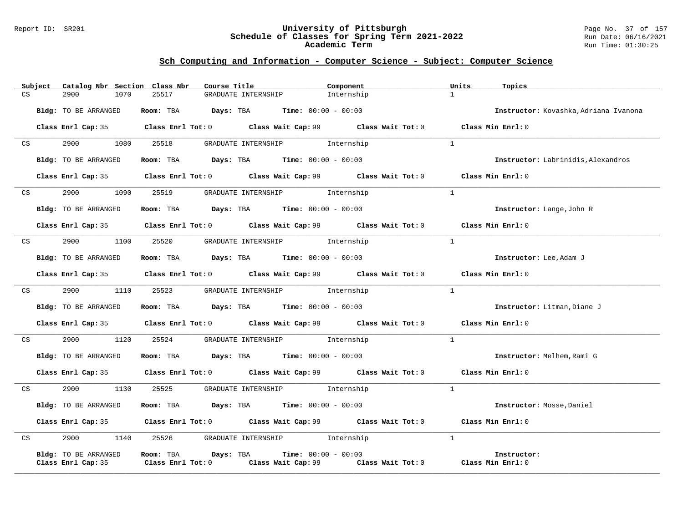#### Report ID: SR201 **University of Pittsburgh** Page No. 37 of 157 **Schedule of Classes for Spring Term 2021-2022** Run Date: 06/16/2021 **Academic Term** Run Time: 01:30:25

|    | Subject | Catalog Nbr Section Class Nbr | Course Title                                |                                      | Component                                                                                   | Units<br>Topics                           |
|----|---------|-------------------------------|---------------------------------------------|--------------------------------------|---------------------------------------------------------------------------------------------|-------------------------------------------|
| CS |         | 2900<br>1070                  | 25517                                       | GRADUATE INTERNSHIP                  | Internship                                                                                  | $\mathbf{1}$                              |
|    |         | Bldg: TO BE ARRANGED          | Room: TBA $Days:$ TBA $Time: 00:00 - 00:00$ |                                      |                                                                                             | Instructor: Kovashka, Adriana Ivanona     |
|    |         |                               |                                             |                                      |                                                                                             |                                           |
|    |         |                               |                                             |                                      | Class Enrl Cap: 35 Class Enrl Tot: 0 Class Wait Cap: 99 Class Wait Tot: 0                   | Class Min Enrl: 0                         |
| CS |         | 2900 1080 25518               |                                             | GRADUATE INTERNSHIP 1nternship       |                                                                                             | $\mathbf{1}$                              |
|    |         | Bldg: TO BE ARRANGED          | Room: TBA $Days:$ TBA $Time: 00:00 - 00:00$ |                                      |                                                                                             | <b>Instructor:</b> Labrinidis, Alexandros |
|    |         |                               |                                             |                                      | Class Enrl Cap: 35 Class Enrl Tot: 0 Class Wait Cap: 99 Class Wait Tot: 0 Class Min Enrl: 0 |                                           |
|    | CS      | 2900                          | 1090 25519                                  | GRADUATE INTERNSHIP 1nternship       |                                                                                             | $\mathbf{1}$                              |
|    |         |                               |                                             |                                      |                                                                                             |                                           |
|    |         | Bldg: TO BE ARRANGED          | Room: TBA $Days:$ TBA $Time: 00:00 - 00:00$ |                                      |                                                                                             | Instructor: Lange, John R                 |
|    |         |                               |                                             |                                      | Class Enrl Cap: 35 Class Enrl Tot: 0 Class Wait Cap: 99 Class Wait Tot: 0                   | Class Min Enrl: 0                         |
| CS |         | 2900<br>1100                  | 25520                                       | GRADUATE INTERNSHIP 1nternship       |                                                                                             | $\mathbf{1}$                              |
|    |         | Bldg: TO BE ARRANGED          | Room: TBA $Days: TBA$ Time: $00:00 - 00:00$ |                                      |                                                                                             | Instructor: Lee, Adam J                   |
|    |         |                               |                                             |                                      | Class Enrl Cap: 35 Class Enrl Tot: 0 Class Wait Cap: 99 Class Wait Tot: 0                   | Class Min Enrl: 0                         |
| CS |         | 2900 000                      | 1110 25523 GRADUATE INTERNSHIP Internship   |                                      |                                                                                             | $\mathbf{1}$                              |
|    |         |                               | Room: TBA $Days:$ TBA $Time: 00:00 - 00:00$ |                                      |                                                                                             |                                           |
|    |         | Bldg: TO BE ARRANGED          |                                             |                                      |                                                                                             | Instructor: Litman, Diane J               |
|    |         |                               |                                             |                                      | Class Enrl Cap: 35 Class Enrl Tot: 0 Class Wait Cap: 99 Class Wait Tot: 0                   | Class Min Enrl: 0                         |
|    | CS      | 2900 000                      | 1120 25524                                  | GRADUATE INTERNSHIP 1nternship       |                                                                                             | $\mathbf{1}$                              |
|    |         | Bldg: TO BE ARRANGED          | Room: TBA $Days: TBA$ Time: $00:00 - 00:00$ |                                      |                                                                                             | Instructor: Melhem, Rami G                |
|    |         |                               |                                             |                                      | Class Enrl Cap: 35 Class Enrl Tot: 0 Class Wait Cap: 99 Class Wait Tot: 0                   | Class Min Enrl: 0                         |
| CS |         | 2900<br>1130                  | 25525                                       | GRADUATE INTERNSHIP 1nternship       |                                                                                             | $\mathbf{1}$                              |
|    |         | Bldg: TO BE ARRANGED          | Room: TBA $Days: TBA$ Time: $00:00 - 00:00$ |                                      |                                                                                             | Instructor: Mosse, Daniel                 |
|    |         |                               |                                             |                                      | Class Enrl Cap: 35 Class Enrl Tot: 0 Class Wait Cap: 99 Class Wait Tot: 0                   | Class Min Enrl: 0                         |
|    |         |                               |                                             |                                      |                                                                                             |                                           |
| CS |         | 2900<br>1140                  |                                             | 25526 GRADUATE INTERNSHIP Internship |                                                                                             | $\mathbf{1}$                              |
|    |         | Bldg: TO BE ARRANGED          | Room: TBA Days: TBA                         | <b>Time:</b> $00:00 - 00:00$         |                                                                                             | Instructor:                               |
|    |         | Class Enrl Cap: 35            | $Class$ $Enrl$ $Tot: 0$                     |                                      | Class Wait Cap: 99 Class Wait Tot: 0                                                        | Class Min Enrl: 0                         |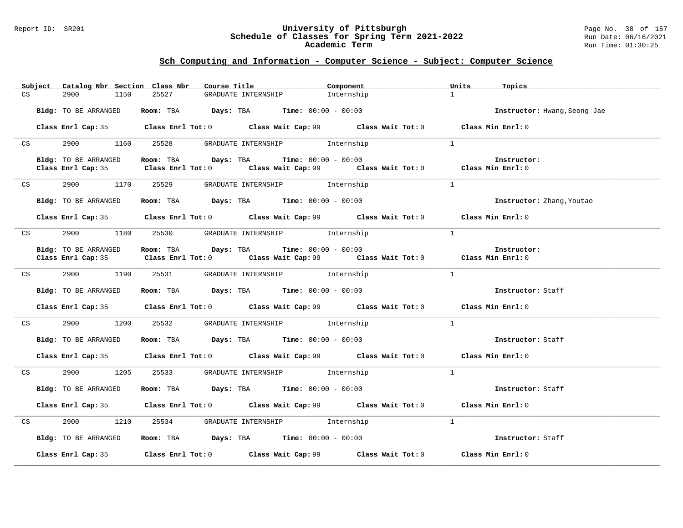#### Report ID: SR201 **University of Pittsburgh** Page No. 38 of 157 **Schedule of Classes for Spring Term 2021-2022** Run Date: 06/16/2021 **Academic Term** Run Time: 01:30:25

|    | Subject         | Catalog Nbr Section Class Nbr |                                                                                         | Course Title                         | Component                                                                                   | Units<br>Topics              |
|----|-----------------|-------------------------------|-----------------------------------------------------------------------------------------|--------------------------------------|---------------------------------------------------------------------------------------------|------------------------------|
| CS |                 | 1150<br>2900                  | 25527                                                                                   | GRADUATE INTERNSHIP                  | Internship                                                                                  | 1                            |
|    |                 | Bldg: TO BE ARRANGED          | Room: TBA $Days:$ TBA $Time: 00:00 - 00:00$                                             |                                      |                                                                                             | Instructor: Hwang, Seong Jae |
|    |                 |                               |                                                                                         |                                      | Class Enrl Cap: 35 Class Enrl Tot: 0 Class Wait Cap: 99 Class Wait Tot: 0 Class Min Enrl: 0 |                              |
|    | CS              |                               | 2900 1160 25528 GRADUATE INTERNSHIP Internship                                          |                                      |                                                                                             | $\mathbf{1}$                 |
|    |                 | Bldg: TO BE ARRANGED          | Room: TBA $Days:$ TBA $Time: 00:00 - 00:00$                                             |                                      |                                                                                             | Instructor:                  |
|    |                 |                               |                                                                                         |                                      | Class Enrl Cap: 35 Class Enrl Tot: 0 Class Wait Cap: 99 Class Wait Tot: 0 Class Min Enrl: 0 |                              |
|    |                 |                               | CS 2900 1170 25529 GRADUATE INTERNSHIP Internship                                       |                                      |                                                                                             | $\mathbf{1}$                 |
|    |                 | Bldg: TO BE ARRANGED          | Room: TBA $Days: TBA$ Time: $00:00 - 00:00$                                             |                                      |                                                                                             | Instructor: Zhang, Youtao    |
|    |                 |                               |                                                                                         |                                      | Class Enrl Cap: 35 Class Enrl Tot: 0 Class Wait Cap: 99 Class Wait Tot: 0 Class Min Enrl: 0 |                              |
|    | CS              |                               | 2900 1180 25530 GRADUATE INTERNSHIP Internship                                          |                                      |                                                                                             | $\overline{1}$               |
|    |                 | Bldg: TO BE ARRANGED          | Room: TBA $Days:$ TBA $Time: 00:00 - 00:00$                                             |                                      | Class Enrl Cap: 35 Class Enrl Tot: 0 Class Wait Cap: 99 Class Wait Tot: 0 Class Min Enrl: 0 | Instructor:                  |
|    | CS              |                               | 2900 1190 25531 GRADUATE INTERNSHIP Internship                                          |                                      |                                                                                             | $\frac{1}{2}$                |
|    |                 | Bldg: TO BE ARRANGED          | Room: TBA $\rule{1em}{0.15mm}$ Days: TBA $\rule{1.15mm}]{0.15mm}$ Time: $0.000 - 0.000$ |                                      |                                                                                             | Instructor: Staff            |
|    |                 |                               |                                                                                         |                                      | Class Enrl Cap: 35 Class Enrl Tot: 0 Class Wait Cap: 99 Class Wait Tot: 0 Class Min Enrl: 0 |                              |
|    |                 |                               | CS 2900 1200 25532 GRADUATE INTERNSHIP Internship                                       |                                      |                                                                                             | $\overline{1}$               |
|    |                 | Bldg: TO BE ARRANGED          | Room: TBA $\rule{1em}{0.15mm}$ Days: TBA Time: $00:00 - 00:00$                          |                                      |                                                                                             | Instructor: Staff            |
|    |                 |                               |                                                                                         |                                      | Class Enrl Cap: 35 Class Enrl Tot: 0 Class Wait Cap: 99 Class Wait Tot: 0 Class Min Enrl: 0 |                              |
| CS |                 | 2900<br>1205                  |                                                                                         | 25533 GRADUATE INTERNSHIP Internship |                                                                                             | $\mathbf{1}$                 |
|    |                 | Bldg: TO BE ARRANGED          | Room: TBA $\rule{1em}{0.15mm}$ Days: TBA Time: $00:00 - 00:00$                          |                                      |                                                                                             | Instructor: Staff            |
|    |                 |                               |                                                                                         |                                      | Class Enrl Cap: 35 Class Enrl Tot: 0 Class Wait Cap: 99 Class Wait Tot: 0 Class Min Enrl: 0 |                              |
|    | CS <sub>2</sub> |                               | 2900 1210 25534 GRADUATE INTERNSHIP Internship                                          |                                      |                                                                                             | $\mathbf{1}$                 |
|    |                 | Bldg: TO BE ARRANGED          | Room: TBA $\rule{1em}{0.15mm}$ Days: TBA Time: $00:00 - 00:00$                          |                                      |                                                                                             | Instructor: Staff            |
|    |                 |                               |                                                                                         |                                      | Class Enrl Cap: 35 Class Enrl Tot: 0 Class Wait Cap: 99 Class Wait Tot: 0 Class Min Enrl: 0 |                              |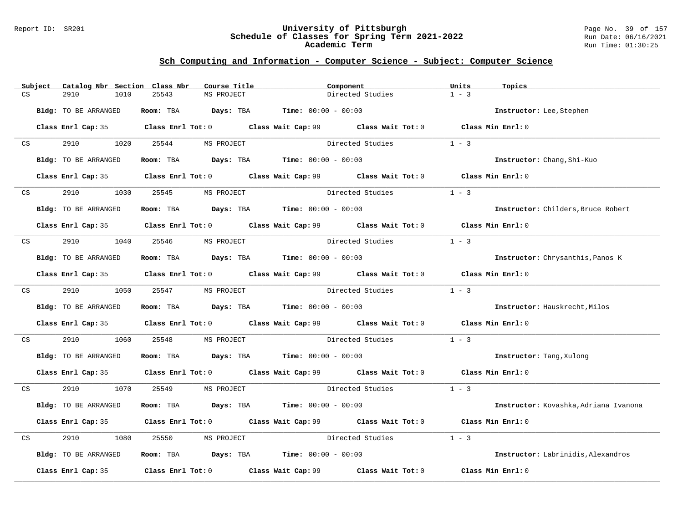#### Report ID: SR201 **University of Pittsburgh** Page No. 39 of 157 **Schedule of Classes for Spring Term 2021-2022** Run Date: 06/16/2021 **Academic Term** Run Time: 01:30:25

|    | Subject | Catalog Nbr Section Class Nbr |                                                                | Course Title | Component        |                                                                                             | Units             | Topics                                |
|----|---------|-------------------------------|----------------------------------------------------------------|--------------|------------------|---------------------------------------------------------------------------------------------|-------------------|---------------------------------------|
| CS |         | 2910<br>1010                  | 25543                                                          | MS PROJECT   |                  | Directed Studies                                                                            | $1 - 3$           |                                       |
|    |         | Bldg: TO BE ARRANGED          | Room: TBA $Days:$ TBA $Time: 00:00 - 00:00$                    |              |                  |                                                                                             |                   | Instructor: Lee, Stephen              |
|    |         |                               |                                                                |              |                  | Class Enrl Cap: 35 Class Enrl Tot: 0 Class Wait Cap: 99 Class Wait Tot: 0 Class Min Enrl: 0 |                   |                                       |
| CS |         | 2910<br>1020                  | 25544                                                          | MS PROJECT   |                  | Directed Studies                                                                            | $1 - 3$           |                                       |
|    |         | Bldg: TO BE ARRANGED          | Room: TBA $Days:$ TBA $Time:$ $00:00 - 00:00$                  |              |                  |                                                                                             |                   | Instructor: Chang, Shi-Kuo            |
|    |         |                               |                                                                |              |                  | Class Enrl Cap: 35 Class Enrl Tot: 0 Class Wait Cap: 99 Class Wait Tot: 0 Class Min Enrl: 0 |                   |                                       |
|    | CS      | 2910<br>1030                  | 25545                                                          | MS PROJECT   |                  | Directed Studies                                                                            | $1 - 3$           |                                       |
|    |         | Bldg: TO BE ARRANGED          | Room: TBA $Days:$ TBA $Time: 00:00 - 00:00$                    |              |                  |                                                                                             |                   | Instructor: Childers, Bruce Robert    |
|    |         |                               |                                                                |              |                  | Class Enrl Cap: 35 Class Enrl Tot: 0 Class Wait Cap: 99 Class Wait Tot: 0 Class Min Enrl: 0 |                   |                                       |
| CS |         | 2910<br>1040 25546            |                                                                | MS PROJECT   | Directed Studies |                                                                                             | $1 - 3$           |                                       |
|    |         | Bldg: TO BE ARRANGED          | Room: TBA $\rule{1em}{0.15mm}$ Days: TBA Time: $00:00 - 00:00$ |              |                  |                                                                                             |                   | Instructor: Chrysanthis, Panos K      |
|    |         |                               |                                                                |              |                  | Class Enrl Cap: 35 Class Enrl Tot: 0 Class Wait Cap: 99 Class Wait Tot: 0 Class Min Enrl: 0 |                   |                                       |
|    | CS      | 2910 1050 25547               |                                                                | MS PROJECT   |                  | Directed Studies                                                                            | $1 - 3$           |                                       |
|    |         | Bldg: TO BE ARRANGED          | Room: TBA $Days: TBA$ Time: $00:00 - 00:00$                    |              |                  |                                                                                             |                   | Instructor: Hauskrecht, Milos         |
|    |         |                               |                                                                |              |                  | Class Enrl Cap: 35 Class Enrl Tot: 0 Class Wait Cap: 99 Class Wait Tot: 0 Class Min Enrl: 0 |                   |                                       |
| CS |         | 2910<br>1060                  | 25548                                                          | MS PROJECT   |                  | Directed Studies                                                                            | $1 - 3$           |                                       |
|    |         | Bldg: TO BE ARRANGED          | <b>Room:</b> TBA <b>Days:</b> TBA <b>Time:</b> 00:00 - 00:00   |              |                  |                                                                                             |                   | Instructor: Tang, Xulong              |
|    |         |                               |                                                                |              |                  | Class Enrl Cap: 35 Class Enrl Tot: 0 Class Wait Cap: 99 Class Wait Tot: 0 Class Min Enrl: 0 |                   |                                       |
| CS |         | 2910                          | 1070 25549                                                     | MS PROJECT   |                  | Directed Studies                                                                            | $1 - 3$           |                                       |
|    |         | Bldg: TO BE ARRANGED          | Room: TBA $Days:$ TBA $Time: 00:00 - 00:00$                    |              |                  |                                                                                             |                   | Instructor: Kovashka, Adriana Ivanona |
|    |         | Class Enrl Cap: 35            |                                                                |              |                  | Class Enrl Tot: 0 Class Wait Cap: 99 Class Wait Tot: 0                                      | Class Min Enrl: 0 |                                       |
| CS |         | 2910<br>1080                  | 25550                                                          | MS PROJECT   |                  | Directed Studies                                                                            | $1 - 3$           |                                       |
|    |         | Bldg: TO BE ARRANGED          | <b>Room:</b> TBA <b>Days:</b> TBA <b>Time:</b> 00:00 - 00:00   |              |                  |                                                                                             |                   | Instructor: Labrinidis, Alexandros    |
|    |         | Class Enrl Cap: 35            |                                                                |              |                  | Class Enrl Tot: $0$ Class Wait Cap: $99$ Class Wait Tot: $0$ Class Min Enrl: $0$            |                   |                                       |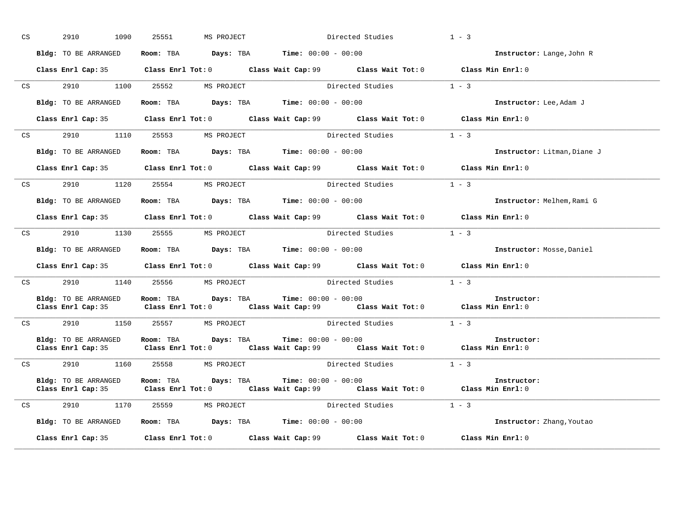| CS <sub>2</sub> | 2910<br>1090                               | 25551     | MS PROJECT                                                               | Directed Studies      |                                                                                                     | $1 - 3$                     |
|-----------------|--------------------------------------------|-----------|--------------------------------------------------------------------------|-----------------------|-----------------------------------------------------------------------------------------------------|-----------------------------|
|                 | Bldg: TO BE ARRANGED                       |           | Room: TBA $Days:$ TBA $Time: 00:00 - 00:00$                              |                       |                                                                                                     | Instructor: Lange, John R   |
|                 |                                            |           |                                                                          |                       | Class Enrl Cap: 35 Class Enrl Tot: 0 Class Wait Cap: 99 Class Wait Tot: 0 Class Min Enrl: 0         |                             |
|                 | CS 2910 1100 25552 MS PROJECT              |           |                                                                          |                       | Directed Studies 1 - 3                                                                              |                             |
|                 | Bldg: TO BE ARRANGED                       |           | Room: TBA $\rule{1em}{0.15mm}$ Days: TBA Time: $00:00 - 00:00$           |                       |                                                                                                     | Instructor: Lee, Adam J     |
|                 |                                            |           |                                                                          |                       | Class Enrl Cap: 35 Class Enrl Tot: 0 Class Wait Cap: 99 Class Wait Tot: 0 Class Min Enrl: 0         |                             |
|                 |                                            |           |                                                                          |                       | CS 2910 1110 25553 MS PROJECT Directed Studies 1 - 3                                                |                             |
|                 | Bldg: TO BE ARRANGED                       |           | $\texttt{Room:}$ TBA $\texttt{Days:}$ TBA $\texttt{Time:}$ 00:00 - 00:00 |                       |                                                                                                     | Instructor: Litman, Diane J |
|                 |                                            |           |                                                                          |                       | Class Enrl Cap: 35 Class Enrl Tot: 0 Class Wait Cap: 99 Class Wait Tot: 0 Class Min Enrl: 0         |                             |
|                 | CS 2910 1120 25554 MS PROJECT              |           |                                                                          |                       | Directed Studies 1 - 3                                                                              |                             |
|                 |                                            |           | Bldg: TO BE ARRANGED ROOM: TBA Days: TBA Time: 00:00 - 00:00             |                       |                                                                                                     | Instructor: Melhem, Rami G  |
|                 |                                            |           |                                                                          |                       | Class Enrl Cap: 35 Class Enrl Tot: 0 Class Wait Cap: 99 Class Wait Tot: 0 Class Min Enrl: 0         |                             |
|                 | CS 2910 1130 25555 MS PROJECT              |           |                                                                          | Directed Studies      |                                                                                                     | $1 - 3$                     |
|                 | Bldg: TO BE ARRANGED                       |           | Room: TBA $Days:$ TBA $Time: 00:00 - 00:00$                              |                       |                                                                                                     | Instructor: Mosse, Daniel   |
|                 |                                            |           |                                                                          |                       | Class Enrl Cap: 35 Class Enrl Tot: 0 Class Wait Cap: 99 Class Wait Tot: 0 Class Min Enrl: 0         |                             |
| CS              | 2910 1140 25556 MS PROJECT                 |           |                                                                          |                       | Directed Studies                                                                                    | $1 - 3$                     |
|                 |                                            |           | Bldg: TO BE ARRANGED Room: TBA Days: TBA Time: 00:00 - 00:00             |                       | Class Enrl Cap: 35 Class Enrl Tot: 0 Class Wait Cap: 99 Class Wait Tot: 0 Class Min Enrl: 0         | Instructor:                 |
|                 |                                            |           |                                                                          |                       | CS 2910 1150 25557 MS PROJECT Directed Studies 1 - 3                                                |                             |
|                 | Bldg: TO BE ARRANGED                       | Room: TBA | Days: TBA                                                                | $Time: 00:00 - 00:00$ | Class Enrl Cap: 35 Class Enrl Tot: 0 Class Wait Cap: 99 Class Wait Tot: 0 Class Min Enrl: 0         | Instructor:                 |
|                 | CS 2910 1160 25558 MS PROJECT              |           |                                                                          |                       | Directed Studies 1 - 3                                                                              |                             |
|                 | Bldg: TO BE ARRANGED<br>Class Enrl Cap: 35 |           | Room: TBA $Days:$ TBA $Time: 00:00 - 00:00$                              |                       | Class Enrl Tot: 0 $\qquad$ Class Wait Cap: 99 $\qquad$ Class Wait Tot: 0 $\qquad$ Class Min Enrl: 0 | Instructor:                 |
|                 | CS 2910 1170 25559 MS PROJECT              |           |                                                                          |                       | Directed Studies                                                                                    | $1 - 3$                     |
|                 | Bldg: TO BE ARRANGED                       |           | Room: TBA $Days:$ TBA $Time: 00:00 - 00:00$                              |                       |                                                                                                     | Instructor: Zhang, Youtao   |
|                 |                                            |           |                                                                          |                       | Class Enrl Cap: 35 Class Enrl Tot: 0 Class Wait Cap: 99 Class Wait Tot: 0                           | Class Min Enrl: 0           |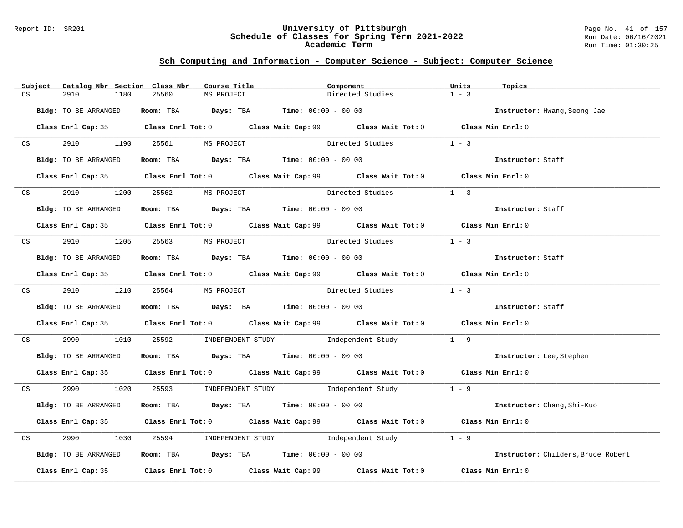#### Report ID: SR201 **University of Pittsburgh** Page No. 41 of 157 **Schedule of Classes for Spring Term 2021-2022** Run Date: 06/16/2021 **Academic Term** Run Time: 01:30:25

|    | Subject         | Catalog Nbr Section Class Nbr |                                                              | Course Title | Component                                                                                   | Units   | Topics                             |
|----|-----------------|-------------------------------|--------------------------------------------------------------|--------------|---------------------------------------------------------------------------------------------|---------|------------------------------------|
| CS |                 | 2910<br>1180                  | 25560                                                        | MS PROJECT   | Directed Studies                                                                            | $1 - 3$ |                                    |
|    |                 | Bldg: TO BE ARRANGED          | <b>Room:</b> TBA <b>Days:</b> TBA <b>Time:</b> 00:00 - 00:00 |              |                                                                                             |         | Instructor: Hwang, Seong Jae       |
|    |                 |                               |                                                              |              | Class Enrl Cap: 35 Class Enrl Tot: 0 Class Wait Cap: 99 Class Wait Tot: 0 Class Min Enrl: 0 |         |                                    |
|    | CS <sub>2</sub> |                               | 2910 1190 25561 MS PROJECT                                   |              | Directed Studies                                                                            | $1 - 3$ |                                    |
|    |                 | Bldg: TO BE ARRANGED          | Room: TBA $Days:$ TBA $Time:$ $00:00 - 00:00$                |              |                                                                                             |         | Instructor: Staff                  |
|    |                 |                               |                                                              |              | Class Enrl Cap: 35 Class Enrl Tot: 0 Class Wait Cap: 99 Class Wait Tot: 0 Class Min Enrl: 0 |         |                                    |
|    |                 |                               | CS 2910 1200 25562 MS PROJECT                                |              | Directed Studies                                                                            | $1 - 3$ |                                    |
|    |                 | Bldg: TO BE ARRANGED          | Room: TBA $Days:$ TBA $Time: 00:00 - 00:00$                  |              |                                                                                             |         | Instructor: Staff                  |
|    |                 |                               |                                                              |              | Class Enrl Cap: 35 Class Enrl Tot: 0 Class Wait Cap: 99 Class Wait Tot: 0 Class Min Enrl: 0 |         |                                    |
|    |                 |                               | CS 2910 1205 25563 MS PROJECT                                |              | Directed Studies                                                                            | $1 - 3$ |                                    |
|    |                 | Bldg: TO BE ARRANGED          | Room: TBA $Days:$ TBA $Time: 00:00 - 00:00$                  |              |                                                                                             |         | Instructor: Staff                  |
|    |                 |                               |                                                              |              | Class Enrl Cap: 35 Class Enrl Tot: 0 Class Wait Cap: 99 Class Wait Tot: 0 Class Min Enrl: 0 |         |                                    |
|    |                 |                               | CS 2910 1210 25564 MS PROJECT                                |              | Directed Studies 1 - 3                                                                      |         |                                    |
|    |                 | Bldg: TO BE ARRANGED          | Room: TBA $Days: TBA$ Time: $00:00 - 00:00$                  |              |                                                                                             |         | Instructor: Staff                  |
|    |                 |                               |                                                              |              | Class Enrl Cap: 35 Class Enrl Tot: 0 Class Wait Cap: 99 Class Wait Tot: 0 Class Min Enrl: 0 |         |                                    |
|    | CS              | 2990 700                      |                                                              |              | 1010 25592 INDEPENDENT STUDY Independent Study 1 - 9                                        |         |                                    |
|    |                 | Bldg: TO BE ARRANGED          |                                                              |              | Room: TBA $Days:$ TBA $Time: 00:00 - 00:00$                                                 |         | Instructor: Lee, Stephen           |
|    |                 |                               |                                                              |              | Class Enrl Cap: 35 Class Enrl Tot: 0 Class Wait Cap: 99 Class Wait Tot: 0 Class Min Enrl: 0 |         |                                    |
|    |                 |                               |                                                              |              | CS 2990 1020 25593 INDEPENDENT STUDY Independent Study 1 - 9                                |         |                                    |
|    |                 | Bldg: TO BE ARRANGED          |                                                              |              | <b>Room:</b> TBA <b>Days:</b> TBA <b>Time:</b> 00:00 - 00:00                                |         | Instructor: Chang, Shi-Kuo         |
|    |                 |                               |                                                              |              | Class Enrl Cap: 35 Class Enrl Tot: 0 Class Wait Cap: 99 Class Wait Tot: 0 Class Min Enrl: 0 |         |                                    |
| CS |                 | 2990                          |                                                              |              | 1030 25594 INDEPENDENT STUDY Independent Study                                              | $1 - 9$ |                                    |
|    |                 | Bldg: TO BE ARRANGED          |                                                              |              | Room: TBA $Days:$ TBA $Time:$ $00:00 - 00:00$                                               |         | Instructor: Childers, Bruce Robert |
|    |                 |                               |                                                              |              | Class Enrl Cap: 35 Class Enrl Tot: 0 Class Wait Cap: 99 Class Wait Tot: 0 Class Min Enrl: 0 |         |                                    |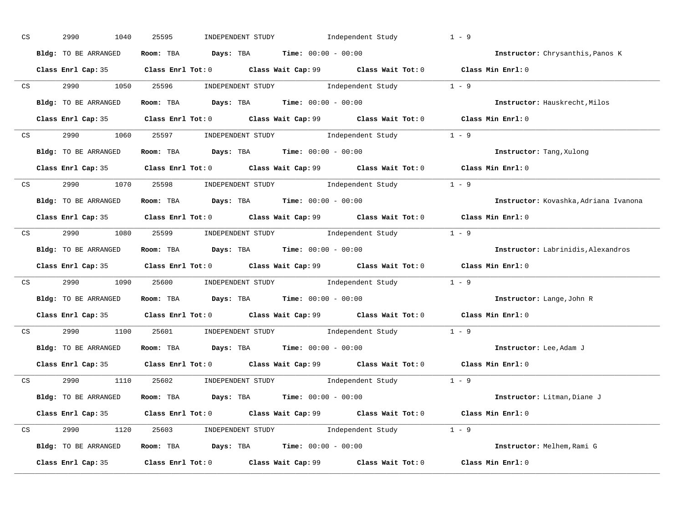| CS | 2990<br>1040         | INDEPENDENT STUDY 1ndependent Study<br>25595                                                | $1 - 9$                               |
|----|----------------------|---------------------------------------------------------------------------------------------|---------------------------------------|
|    | Bldg: TO BE ARRANGED | Room: TBA $Days:$ TBA $Time: 00:00 - 00:00$                                                 | Instructor: Chrysanthis, Panos K      |
|    |                      | Class Enrl Cap: 35 Class Enrl Tot: 0 Class Wait Cap: 99 Class Wait Tot: 0 Class Min Enrl: 0 |                                       |
|    |                      | CS 2990 1050 25596 INDEPENDENT STUDY Independent Study 1 - 9                                |                                       |
|    | Bldg: TO BE ARRANGED | Room: TBA $Days:$ TBA $Time: 00:00 - 00:00$                                                 | Instructor: Hauskrecht, Milos         |
|    |                      | Class Enrl Cap: 35 Class Enrl Tot: 0 Class Wait Cap: 99 Class Wait Tot: 0 Class Min Enrl: 0 |                                       |
|    |                      | CS 2990 1060 25597 INDEPENDENT STUDY Independent Study 1 - 9                                |                                       |
|    |                      | Bldg: TO BE ARRANGED ROOM: TBA Days: TBA Time: 00:00 - 00:00                                | <b>Instructor:</b> Tang, Xulong       |
|    |                      | Class Enrl Cap: 35 Class Enrl Tot: 0 Class Wait Cap: 99 Class Wait Tot: 0 Class Min Enrl: 0 |                                       |
|    |                      | CS 2990 1070 25598 INDEPENDENT STUDY Independent Study 1 - 9                                |                                       |
|    | Bldg: TO BE ARRANGED | Room: TBA Days: TBA Time: $00:00 - 00:00$                                                   | Instructor: Kovashka, Adriana Ivanona |
|    |                      | Class Enrl Cap: 35 Class Enrl Tot: 0 Class Wait Cap: 99 Class Wait Tot: 0 Class Min Enrl: 0 |                                       |
|    |                      | CS 2990 1080 25599 INDEPENDENT STUDY Independent Study 1 - 9                                |                                       |
|    | Bldg: TO BE ARRANGED | Room: TBA $Days:$ TBA $Time: 00:00 - 00:00$                                                 | Instructor: Labrinidis, Alexandros    |
|    |                      | Class Enrl Cap: 35 Class Enrl Tot: 0 Class Wait Cap: 99 Class Wait Tot: 0 Class Min Enrl: 0 |                                       |
|    |                      | CS 2990 1090 25600 INDEPENDENT STUDY Independent Study 1 - 9                                |                                       |
|    | Bldg: TO BE ARRANGED | Room: TBA $Days:$ TBA $Time: 00:00 - 00:00$                                                 | Instructor: Lange, John R             |
|    |                      | Class Enrl Cap: 35 Class Enrl Tot: 0 Class Wait Cap: 99 Class Wait Tot: 0 Class Min Enrl: 0 |                                       |
|    |                      | CS 2990 1100 25601 INDEPENDENT STUDY Independent Study 1 - 9                                |                                       |
|    | Bldg: TO BE ARRANGED | Room: TBA $\rule{1em}{0.15mm}$ Days: TBA Time: $00:00 - 00:00$                              | Instructor: Lee, Adam J               |
|    |                      | Class Enrl Cap: 35 Class Enrl Tot: 0 Class Wait Cap: 99 Class Wait Tot: 0 Class Min Enrl: 0 |                                       |
|    |                      | CS 2990 1110 25602 INDEPENDENT STUDY Independent Study 1 - 9                                |                                       |
|    | Bldg: TO BE ARRANGED | Room: TBA $Days:$ TBA $Time: 00:00 - 00:00$                                                 | Instructor: Litman, Diane J           |
|    |                      | Class Enrl Cap: 35 Class Enrl Tot: 0 Class Wait Cap: 99 Class Wait Tot: 0 Class Min Enrl: 0 |                                       |
|    |                      | CS 2990 1120 25603 INDEPENDENT STUDY Independent Study 1 - 9                                |                                       |
|    |                      | Bldg: TO BE ARRANGED Room: TBA Days: TBA Time: 00:00 - 00:00                                | Instructor: Melhem, Rami G            |
|    |                      | Class Enrl Cap: 35 Class Enrl Tot: 0 Class Wait Cap: 99 Class Wait Tot: 0                   | Class Min Enrl: 0                     |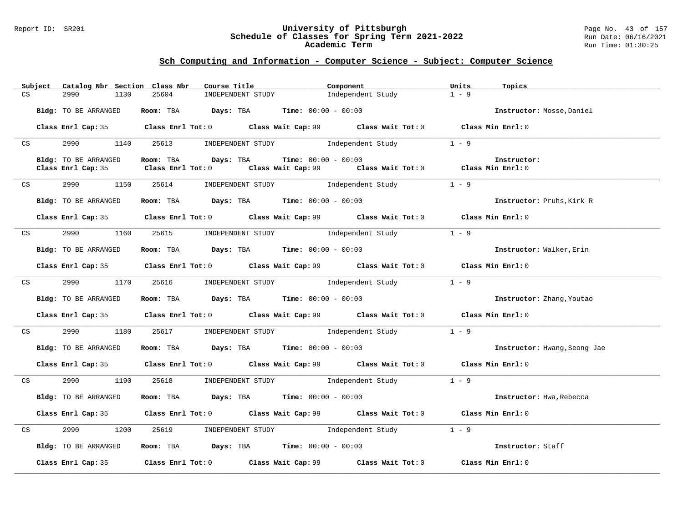#### Report ID: SR201 **University of Pittsburgh** Page No. 43 of 157 **Schedule of Classes for Spring Term 2021-2022** Run Date: 06/16/2021 **Academic Term** Run Time: 01:30:25

|    | Subject         | Catalog Nbr Section Class Nbr |                                                                         | Course Title <b>Source Search</b> | Component                                                                                            | Units<br>Topics              |  |
|----|-----------------|-------------------------------|-------------------------------------------------------------------------|-----------------------------------|------------------------------------------------------------------------------------------------------|------------------------------|--|
| CS |                 | 1130<br>2990                  | 25604                                                                   | INDEPENDENT STUDY                 | Independent Study                                                                                    | $1 - 9$                      |  |
|    |                 | Bldg: TO BE ARRANGED          | Room: TBA $Days:$ TBA $Time: 00:00 - 00:00$                             |                                   |                                                                                                      | Instructor: Mosse, Daniel    |  |
|    |                 |                               |                                                                         |                                   | Class Enrl Cap: 35 Class Enrl Tot: 0 Class Wait Cap: 99 Class Wait Tot: 0 Class Min Enrl: 0          |                              |  |
|    | CS              |                               |                                                                         |                                   | 2990 1140 25613 INDEPENDENT STUDY Independent Study 1 - 9                                            |                              |  |
|    |                 | Bldg: TO BE ARRANGED          | Room: TBA $\rule{1em}{0.15mm}$ Days: TBA $\qquad$ Time: $00:00 - 00:00$ |                                   |                                                                                                      | Instructor:                  |  |
|    |                 | Class Enrl Cap: 35            |                                                                         |                                   | Class Enrl Tot: 0 $\qquad$ Class Wait Cap: 99 $\qquad$ Class Wait Tot: 0 $\qquad$ Class Min Enrl: 0  |                              |  |
|    | CS <sub>2</sub> | 2990 1150                     |                                                                         |                                   | 25614 INDEPENDENT STUDY Independent Study 1 - 9                                                      |                              |  |
|    |                 | Bldg: TO BE ARRANGED          | Room: TBA $\rule{1em}{0.15mm}$ Days: TBA Time: $00:00 - 00:00$          |                                   |                                                                                                      | Instructor: Pruhs, Kirk R    |  |
|    |                 |                               |                                                                         |                                   | Class Enrl Cap: 35 Class Enrl Tot: 0 Class Wait Cap: 99 Class Wait Tot: 0 Class Min Enrl: 0          |                              |  |
|    |                 |                               |                                                                         |                                   | CS 2990 1160 25615 INDEPENDENT STUDY Independent Study 1 - 9                                         |                              |  |
|    |                 | Bldg: TO BE ARRANGED          | Room: TBA $\rule{1em}{0.15mm}$ Days: TBA Time: $00:00 - 00:00$          |                                   |                                                                                                      | Instructor: Walker, Erin     |  |
|    |                 |                               |                                                                         |                                   | Class Enrl Cap: 35 Class Enrl Tot: 0 Class Wait Cap: 99 Class Wait Tot: 0 Class Min Enrl: 0          |                              |  |
|    | CS              | 2990 700                      |                                                                         |                                   | 1170 25616 INDEPENDENT STUDY Independent Study 1 - 9                                                 |                              |  |
|    |                 | Bldg: TO BE ARRANGED          | Room: TBA $Days:$ TBA $Time:$ 00:00 - 00:00                             |                                   |                                                                                                      | Instructor: Zhang, Youtao    |  |
|    |                 |                               |                                                                         |                                   | Class Enrl Cap: 35 Class Enrl Tot: 0 Class Wait Cap: 99 Class Wait Tot: 0 Class Min Enrl: 0          |                              |  |
|    | CS              |                               |                                                                         |                                   | 2990 1180 25617 INDEPENDENT STUDY Independent Study 1 - 9                                            |                              |  |
|    |                 | Bldg: TO BE ARRANGED          | Room: TBA $Days:$ TBA Time: $00:00 - 00:00$                             |                                   |                                                                                                      | Instructor: Hwang, Seong Jae |  |
|    |                 |                               |                                                                         |                                   | Class Enrl Cap: 35 Class Enrl Tot: 0 Class Wait Cap: 99 Class Wait Tot: 0 Class Min Enrl: 0          |                              |  |
|    |                 |                               | CS 2990 1190 25618 INDEPENDENT STUDY                                    |                                   | Independent Study                                                                                    | $1 - 9$                      |  |
|    |                 | Bldg: TO BE ARRANGED          |                                                                         |                                   | <b>ROOM: TBA Days: TBA Time:</b> 00:00 - 00:00                                                       | Instructor: Hwa, Rebecca     |  |
|    |                 |                               |                                                                         |                                   | Class Enrl Cap: 35 Class Enrl Tot: 0 Class Wait Cap: 99 Class Wait Tot: 0 Class Min Enrl: 0          |                              |  |
|    | CS              | 2990 700                      |                                                                         |                                   | 1200 25619 INDEPENDENT STUDY Independent Study 1 - 9                                                 |                              |  |
|    |                 | Bldg: TO BE ARRANGED          | Room: TBA $\rule{1em}{0.15mm}$ Days: TBA Time: $00:00 - 00:00$          |                                   |                                                                                                      | Instructor: Staff            |  |
|    |                 |                               |                                                                         |                                   | Class Enrl Cap: 35 $\qquad$ Class Enrl Tot: 0 $\qquad$ Class Wait Cap: 99 $\qquad$ Class Wait Tot: 0 | Class Min Enrl: 0            |  |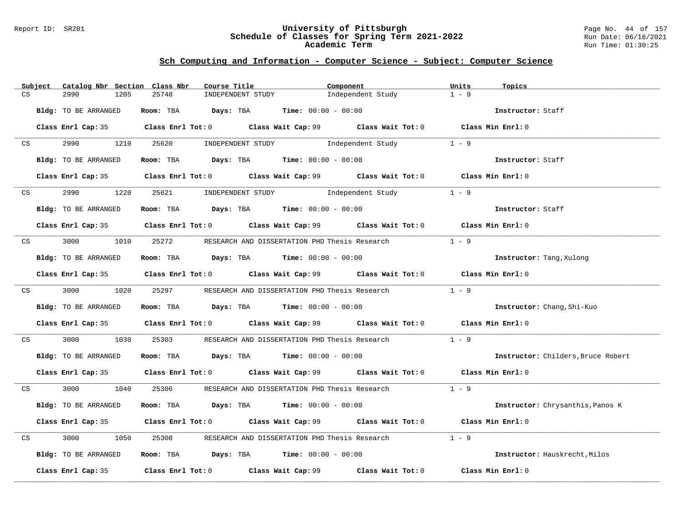#### Report ID: SR201 **University of Pittsburgh** Page No. 44 of 157 **Schedule of Classes for Spring Term 2021-2022** Run Date: 06/16/2021 **Academic Term** Run Time: 01:30:25

|    | Subject | Catalog Nbr Section Class Nbr |       | Course Title                                                     | Component                                                                                   | Units<br>Topics                    |  |
|----|---------|-------------------------------|-------|------------------------------------------------------------------|---------------------------------------------------------------------------------------------|------------------------------------|--|
| CS |         | 2990<br>1205                  | 25748 | INDEPENDENT STUDY                                                | Independent Study                                                                           | $1 - 9$                            |  |
|    |         | Bldg: TO BE ARRANGED          |       | Room: TBA $Days: TBA$ Time: $00:00 - 00:00$                      |                                                                                             | Instructor: Staff                  |  |
|    |         |                               |       |                                                                  | Class Enrl Cap: 35 Class Enrl Tot: 0 Class Wait Cap: 99 Class Wait Tot: 0 Class Min Enrl: 0 |                                    |  |
|    | CS      | 2990 1210                     |       |                                                                  | 25620 INDEPENDENT STUDY 1ndependent Study                                                   | $1 - 9$                            |  |
|    |         | Bldg: TO BE ARRANGED          |       | Room: TBA $\rule{1em}{0.15mm}$ Days: TBA Time: $00:00 - 00:00$   |                                                                                             | Instructor: Staff                  |  |
|    |         |                               |       |                                                                  | Class Enrl Cap: 35 Class Enrl Tot: 0 Class Wait Cap: 99 Class Wait Tot: 0 Class Min Enrl: 0 |                                    |  |
|    | CS      | 2990 — 100                    |       | 1220 25621 INDEPENDENT STUDY Independent Study                   |                                                                                             | $1 - 9$                            |  |
|    |         | Bldg: TO BE ARRANGED          |       | Room: TBA $Days:$ TBA $Time: 00:00 - 00:00$                      |                                                                                             | Instructor: Staff                  |  |
|    |         |                               |       |                                                                  | Class Enrl Cap: 35 Class Enrl Tot: 0 Class Wait Cap: 99 Class Wait Tot: 0 Class Min Enrl: 0 |                                    |  |
|    |         |                               |       | CS 3000 1010 25272 RESEARCH AND DISSERTATION PHD Thesis Research |                                                                                             | $1 - 9$                            |  |
|    |         | Bldg: TO BE ARRANGED          |       | Room: TBA $Days:$ TBA $Time: 00:00 - 00:00$                      |                                                                                             | Instructor: Tang, Xulong           |  |
|    |         |                               |       |                                                                  | Class Enrl Cap: 35 Class Enrl Tot: 0 Class Wait Cap: 99 Class Wait Tot: 0 Class Min Enrl: 0 |                                    |  |
|    |         |                               |       |                                                                  | CS 3000 1020 25297 RESEARCH AND DISSERTATION PHD Thesis Research                            | $1 - 9$                            |  |
|    |         | Bldg: TO BE ARRANGED          |       | Room: TBA $Days:$ TBA $Time: 00:00 - 00:00$                      |                                                                                             | Instructor: Chang, Shi-Kuo         |  |
|    |         |                               |       |                                                                  | Class Enrl Cap: 35 Class Enrl Tot: 0 Class Wait Cap: 99 Class Wait Tot: 0 Class Min Enrl: 0 |                                    |  |
| CS |         | 3000<br>1030                  | 25303 |                                                                  | RESEARCH AND DISSERTATION PHD Thesis Research                                               | $1 - 9$                            |  |
|    |         | Bldg: TO BE ARRANGED          |       | Room: TBA $Days:$ TBA $Time: 00:00 - 00:00$                      |                                                                                             | Instructor: Childers, Bruce Robert |  |
|    |         |                               |       |                                                                  | Class Enrl Cap: 35 Class Enrl Tot: 0 Class Wait Cap: 99 Class Wait Tot: 0 Class Min Enrl: 0 |                                    |  |
|    |         |                               |       |                                                                  | CS 3000 1040 25306 RESEARCH AND DISSERTATION PHD Thesis Research 1 - 9                      |                                    |  |
|    |         | Bldg: TO BE ARRANGED          |       | Room: TBA $Days:$ TBA $Time: 00:00 - 00:00$                      |                                                                                             | Instructor: Chrysanthis, Panos K   |  |
|    |         |                               |       |                                                                  | Class Enrl Cap: 35 Class Enrl Tot: 0 Class Wait Cap: 99 Class Wait Tot: 0 Class Min Enrl: 0 |                                    |  |
| CS |         | 3000<br>1050                  | 25308 | RESEARCH AND DISSERTATION PHD Thesis Research                    |                                                                                             | $1 - 9$                            |  |
|    |         | Bldg: TO BE ARRANGED          |       | Room: TBA $Days: TBA$ Time: $00:00 - 00:00$                      |                                                                                             | Instructor: Hauskrecht, Milos      |  |
|    |         |                               |       |                                                                  | Class Enrl Cap: 35 Class Enrl Tot: 0 Class Wait Cap: 99 Class Wait Tot: 0 Class Min Enrl: 0 |                                    |  |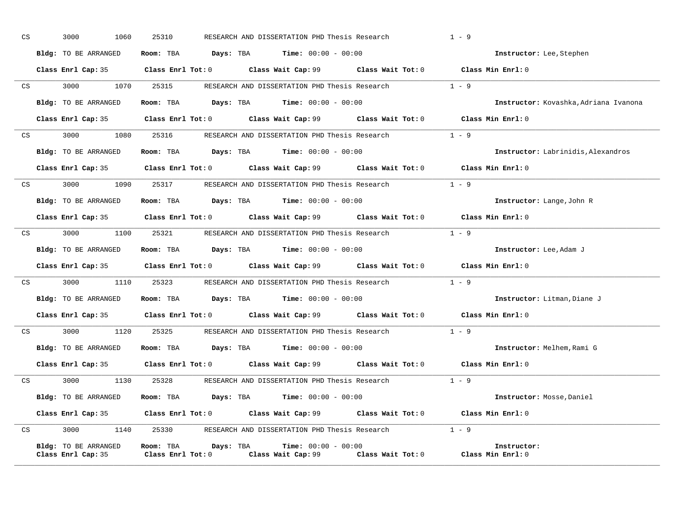| CS |                 | 3000<br>1060                               | 25310                                             | RESEARCH AND DISSERTATION PHD Thesis Research                                               |         | $1 - 9$                               |
|----|-----------------|--------------------------------------------|---------------------------------------------------|---------------------------------------------------------------------------------------------|---------|---------------------------------------|
|    |                 | Bldg: TO BE ARRANGED                       |                                                   | Room: TBA $Days:$ TBA $Time: 00:00 - 00:00$                                                 |         | Instructor: Lee, Stephen              |
|    |                 |                                            |                                                   | Class Enrl Cap: 35 Class Enrl Tot: 0 Class Wait Cap: 99 Class Wait Tot: 0 Class Min Enrl: 0 |         |                                       |
|    |                 | CS 3000 1070 25315                         |                                                   | RESEARCH AND DISSERTATION PHD Thesis Research 1 - 9                                         |         |                                       |
|    |                 | Bldg: TO BE ARRANGED                       |                                                   | Room: TBA $Days:$ TBA Time: $00:00 - 00:00$                                                 |         | Instructor: Kovashka, Adriana Ivanona |
|    |                 |                                            |                                                   | Class Enrl Cap: 35 Class Enrl Tot: 0 Class Wait Cap: 99 Class Wait Tot: 0 Class Min Enrl: 0 |         |                                       |
|    | CS <sub>2</sub> |                                            |                                                   | 3000 1080 25316 RESEARCH AND DISSERTATION PHD Thesis Research 1 - 9                         |         |                                       |
|    |                 | Bldg: TO BE ARRANGED                       |                                                   | Room: TBA $Days:$ TBA $Time: 00:00 - 00:00$                                                 |         | Instructor: Labrinidis, Alexandros    |
|    |                 |                                            |                                                   | Class Enrl Cap: 35 Class Enrl Tot: 0 Class Wait Cap: 99 Class Wait Tot: 0 Class Min Enrl: 0 |         |                                       |
| CS |                 |                                            |                                                   | 3000 1090 25317 RESEARCH AND DISSERTATION PHD Thesis Research                               | $1 - 9$ |                                       |
|    |                 | Bldg: TO BE ARRANGED                       |                                                   | Room: TBA $\rule{1em}{0.15mm}$ Days: TBA $\rule{1.5mm}{0.15mm}$ Time: $00:00 - 00:00$       |         | Instructor: Lange, John R             |
|    |                 |                                            |                                                   | Class Enrl Cap: 35 Class Enrl Tot: 0 Class Wait Cap: 99 Class Wait Tot: 0 Class Min Enrl: 0 |         |                                       |
|    | CS              | 3000 000<br>1100                           |                                                   | 25321 RESEARCH AND DISSERTATION PHD Thesis Research                                         |         | $1 - 9$                               |
|    |                 | Bldg: TO BE ARRANGED                       |                                                   | Room: TBA $\rule{1em}{0.15mm}$ Days: TBA $\rule{1.5mm}{0.15mm}$ Time: $00:00 - 00:00$       |         | Instructor: Lee, Adam J               |
|    |                 |                                            |                                                   | Class Enrl Cap: 35 Class Enrl Tot: 0 Class Wait Cap: 99 Class Wait Tot: 0 Class Min Enrl: 0 |         |                                       |
|    |                 |                                            |                                                   | CS 3000 1110 25323 RESEARCH AND DISSERTATION PHD Thesis Research 1 - 9                      |         |                                       |
|    |                 | Bldg: TO BE ARRANGED                       |                                                   | Room: TBA $Days:$ TBA Time: $00:00 - 00:00$                                                 |         | Instructor: Litman, Diane J           |
|    |                 |                                            |                                                   | Class Enrl Cap: 35 Class Enrl Tot: 0 Class Wait Cap: 99 Class Wait Tot: 0 Class Min Enrl: 0 |         |                                       |
| CS |                 |                                            |                                                   | 3000 1120 25325 RESEARCH AND DISSERTATION PHD Thesis Research 1 - 9                         |         |                                       |
|    |                 | Bldg: TO BE ARRANGED                       |                                                   | Room: TBA $Days: TBA$ Time: $00:00 - 00:00$                                                 |         | Instructor: Melhem, Rami G            |
|    |                 |                                            |                                                   | Class Enrl Cap: 35 Class Enrl Tot: 0 Class Wait Cap: 99 Class Wait Tot: 0                   |         | Class Min Enrl: 0                     |
| CS |                 |                                            |                                                   | 3000 1130 25328 RESEARCH AND DISSERTATION PHD Thesis Research 1 - 9                         |         |                                       |
|    |                 | Bldg: TO BE ARRANGED                       |                                                   | Room: TBA $Days:$ TBA $Time: 00:00 - 00:00$                                                 |         | Instructor: Mosse, Daniel             |
|    |                 |                                            |                                                   | Class Enrl Cap: 35 Class Enrl Tot: 0 Class Wait Cap: 99 Class Wait Tot: 0 Class Min Enrl: 0 |         |                                       |
| CS |                 | 3000<br>1140                               |                                                   | 25330 RESEARCH AND DISSERTATION PHD Thesis Research 1 - 9                                   |         |                                       |
|    |                 | Bldg: TO BE ARRANGED<br>Class Enrl Cap: 35 | Room: TBA<br>Days: TBA<br>$Class$ $Enrl$ $Tot: 0$ | $Time: 00:00 - 00:00$<br>Class Wait Cap: 99 Class Wait Tot: 0                               |         | Instructor:<br>Class Min Enrl: 0      |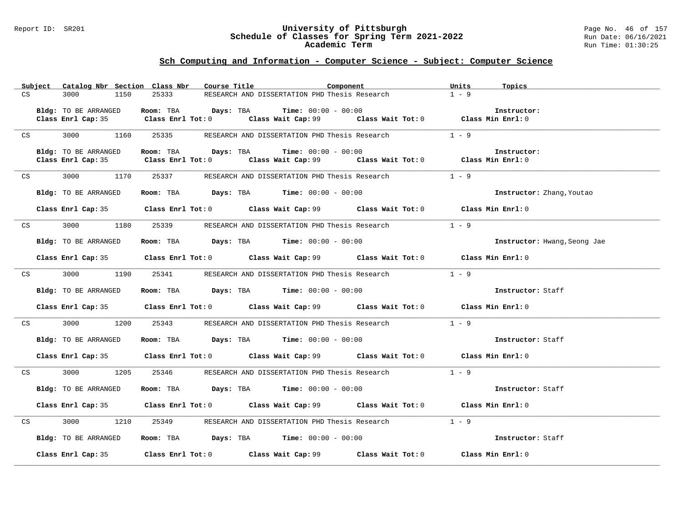#### Report ID: SR201 **University of Pittsburgh** Page No. 46 of 157 **Schedule of Classes for Spring Term 2021-2022** Run Date: 06/16/2021 **Academic Term** Run Time: 01:30:25

|    | Subject |                      | Catalog Nbr Section Class Nbr | Course Title | Component                                                                               |                                                                                             | Units   | Topics                           |
|----|---------|----------------------|-------------------------------|--------------|-----------------------------------------------------------------------------------------|---------------------------------------------------------------------------------------------|---------|----------------------------------|
| CS |         | 3000<br>1150         | 25333                         |              | RESEARCH AND DISSERTATION PHD Thesis Research                                           |                                                                                             | $1 - 9$ |                                  |
|    |         |                      |                               |              |                                                                                         |                                                                                             |         |                                  |
|    |         | Bldg: TO BE ARRANGED |                               |              | Room: TBA $Days: TBA$ Time: $00:00 - 00:00$                                             | Class Enrl Cap: 35 Class Enrl Tot: 0 Class Wait Cap: 99 Class Wait Tot: 0 Class Min Enrl: 0 |         | Instructor:                      |
|    |         |                      |                               |              |                                                                                         |                                                                                             |         |                                  |
| CS |         | 3000<br>1160         | 25335                         |              | RESEARCH AND DISSERTATION PHD Thesis Research                                           |                                                                                             | $1 - 9$ |                                  |
|    |         | Bldg: TO BE ARRANGED |                               |              | Room: TBA $Days:$ TBA $Time: 00:00 - 00:00$                                             |                                                                                             |         | Instructor:                      |
|    |         |                      |                               |              |                                                                                         | Class Enrl Cap: 35 Class Enrl Tot: 0 Class Wait Cap: 99 Class Wait Tot: 0 Class Min Enrl: 0 |         |                                  |
|    |         |                      |                               |              |                                                                                         |                                                                                             |         |                                  |
| CS |         | 3000<br>1170         | 25337                         |              | RESEARCH AND DISSERTATION PHD Thesis Research                                           |                                                                                             | $1 - 9$ |                                  |
|    |         | Bldg: TO BE ARRANGED |                               |              | Room: TBA $Days:$ TBA $Time:$ $00:00 - 00:00$                                           |                                                                                             |         | <b>Instructor:</b> Zhang, Youtao |
|    |         |                      |                               |              |                                                                                         | Class Enrl Cap: 35 Class Enrl Tot: 0 Class Wait Cap: 99 Class Wait Tot: 0 Class Min Enrl: 0 |         |                                  |
|    | CS      |                      | 3000 1180 25339               |              | RESEARCH AND DISSERTATION PHD Thesis Research                                           |                                                                                             | $1 - 9$ |                                  |
|    |         | Bldg: TO BE ARRANGED |                               |              | Room: TBA $\rule{1em}{0.15mm}$ Days: TBA $\rule{1.5mm}{0.15mm}$ Time: $00:00 - 00:00$   |                                                                                             |         | Instructor: Hwang, Seong Jae     |
|    |         |                      |                               |              |                                                                                         | Class Enrl Cap: 35 Class Enrl Tot: 0 Class Wait Cap: 99 Class Wait Tot: 0 Class Min Enrl: 0 |         |                                  |
| CS |         | 3000 1190            |                               |              |                                                                                         | 25341 RESEARCH AND DISSERTATION PHD Thesis Research 1 - 9                                   |         |                                  |
|    |         | Bldg: TO BE ARRANGED |                               |              | Room: TBA $\rule{1em}{0.15mm}$ Days: TBA $\rule{1.15mm}]{0.15mm}$ Time: $0.000 - 0.000$ |                                                                                             |         | Instructor: Staff                |
|    |         |                      |                               |              |                                                                                         | Class Enrl Cap: 35 Class Enrl Tot: 0 Class Wait Cap: 99 Class Wait Tot: 0 Class Min Enrl: 0 |         |                                  |
|    | CS      | 3000 1200            | 25343                         |              |                                                                                         | RESEARCH AND DISSERTATION PHD Thesis Research                                               | $1 - 9$ |                                  |
|    |         | Bldg: TO BE ARRANGED |                               |              | Room: TBA $\rule{1em}{0.15mm}$ Days: TBA Time: $00:00 - 00:00$                          |                                                                                             |         | Instructor: Staff                |
|    |         |                      |                               |              |                                                                                         | Class Enrl Cap: 35 Class Enrl Tot: 0 Class Wait Cap: 99 Class Wait Tot: 0 Class Min Enrl: 0 |         |                                  |
| CS |         | 3000<br>1205         | 25346                         |              | RESEARCH AND DISSERTATION PHD Thesis Research                                           |                                                                                             | $1 - 9$ |                                  |
|    |         | Bldg: TO BE ARRANGED |                               |              | Room: TBA $\rule{1em}{0.15mm}$ Days: TBA Time: $00:00 - 00:00$                          |                                                                                             |         | Instructor: Staff                |
|    |         |                      |                               |              |                                                                                         | Class Enrl Cap: 35 Class Enrl Tot: 0 Class Wait Cap: 99 Class Wait Tot: 0 Class Min Enrl: 0 |         |                                  |
| CS |         | 3000 000             | 1210                          |              |                                                                                         |                                                                                             | $1 - 9$ |                                  |
|    |         | Bldg: TO BE ARRANGED |                               |              | Room: TBA $Days:$ TBA Time: $00:00 - 00:00$                                             |                                                                                             |         | Instructor: Staff                |
|    |         |                      |                               |              |                                                                                         | Class Enrl Cap: 35 Class Enrl Tot: 0 Class Wait Cap: 99 Class Wait Tot: 0 Class Min Enrl: 0 |         |                                  |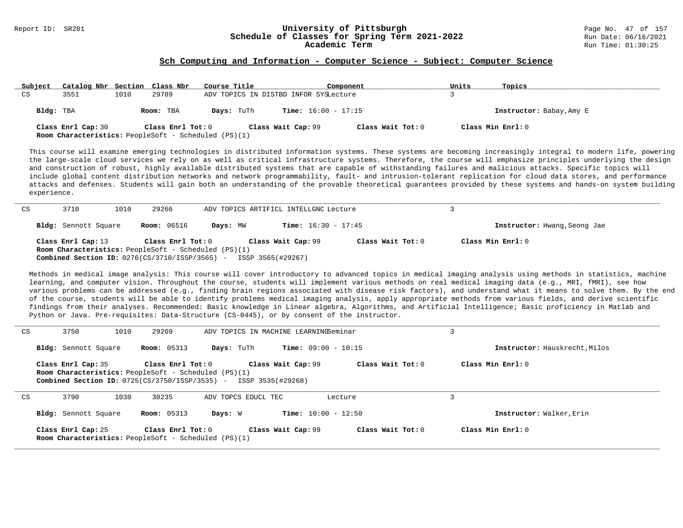# Report ID: SR201 **1988 Mage No. 47 of 1989 Mage No. 47 of 157**<br>**Schedule of Classes for Spring Term 2021-2022** 1989 Run Date: 06/16/2021 Schedule of Classes for Spring Term 2021-2022<br>Academic Term

#### **Sch Computing and Information - Computer Science - Subject: Computer Science**

| Subject   | Catalog Nbr Section Class Nbr                                                     |      |                   | Course Title                          |                              | Component         | Units             | Topics                   |
|-----------|-----------------------------------------------------------------------------------|------|-------------------|---------------------------------------|------------------------------|-------------------|-------------------|--------------------------|
| CS        | 3551                                                                              | 1010 | 29789             | ADV TOPICS IN DISTBD INFOR SYSLecture |                              |                   |                   |                          |
| Bldg: TBA |                                                                                   |      | Room: TBA         | Days: TuTh                            | <b>Time:</b> $16:00 - 17:15$ |                   |                   | Instructor: Babay, Amy E |
|           | Class Enrl Cap: 30<br><b>Room Characteristics:</b> PeopleSoft - Scheduled (PS)(1) |      | Class Enrl Tot: 0 |                                       | Class Wait Cap: 99           | Class Wait Tot: 0 | Class Min Enrl: 0 |                          |

This course will examine emerging technologies in distributed information systems. These systems are becoming increasingly integral to modern life, powering the large-scale cloud services we rely on as well as critical infrastructure systems. Therefore, the course will emphasize principles underlying the design and construction of robust, highly available distributed systems that are capable of withstanding failures and malicious attacks. Specific topics will include global content distribution networks and network programmability, fault- and intrusion-tolerant replication for cloud data stores, and performance attacks and defenses. Students will gain both an understanding of the provable theoretical guarantees provided by these systems and hands-on system building experience.

| CS | 3710                                                                                                                                                         | 1010 | 29266              |          | ADV TOPICS ARTIFICL INTELLGNC Lecture |                     |                   |                              |
|----|--------------------------------------------------------------------------------------------------------------------------------------------------------------|------|--------------------|----------|---------------------------------------|---------------------|-------------------|------------------------------|
|    | Bldg: Sennott Square                                                                                                                                         |      | <b>Room:</b> 06516 | Days: MW | <b>Time:</b> $16:30 - 17:45$          |                     |                   | Instructor: Hwang, Seong Jae |
|    | Class Enrl Cap: 13<br><b>Room Characteristics:</b> PeopleSoft - Scheduled (PS)(1)<br><b>Combined Section ID:</b> 0276(CS/3710/ISSP/3565) - ISSP 3565(#29267) |      | Class Enrl Tot: 0  |          | Class Wait Cap: 99                    | Class Wait Tot: $0$ | Class Min Enrl: 0 |                              |

Methods in medical image analysis: This course will cover introductory to advanced topics in medical imaging analysis using methods in statistics, machine learning, and computer vision. Throughout the course, students will implement various methods on real medical imaging data (e.g., MRI, fMRI), see how various problems can be addressed (e.g., finding brain regions associated with disease risk factors), and understand what it means to solve them. By the end of the course, students will be able to identify problems medical imaging analysis, apply appropriate methods from various fields, and derive scientific findings from their analyses. Recommended: Basic knowledge in Linear algebra, Algorithms, and Artificial Intelligence; Basic proficiency in Matlab and Python or Java. Pre-requisites: Data-Structure (CS-0445), or by consent of the instructor.

| CS | 3750                                                                              | 1010 | 29269              |                                                                         | ADV TOPICS IN MACHINE LEARNINGSeminar |                     | 3                             |  |
|----|-----------------------------------------------------------------------------------|------|--------------------|-------------------------------------------------------------------------|---------------------------------------|---------------------|-------------------------------|--|
|    | <b>Bldg:</b> Sennott Square                                                       |      | <b>Room:</b> 05313 | Days: TuTh                                                              | <b>Time:</b> $09:00 - 10:15$          |                     | Instructor: Hauskrecht, Milos |  |
|    | Class Enrl Cap: 35<br><b>Room Characteristics:</b> PeopleSoft - Scheduled (PS)(1) |      | Class Enrl Tot: 0  | <b>Combined Section ID:</b> 0725(CS/3750/ISSP/3535) - ISSP 3535(#29268) | Class Wait Cap: 99                    | Class Wait Tot: 0   | Class Min Enrl: 0             |  |
| CS | 3790                                                                              | 1030 | 30235              | ADV TOPCS EDUCL TEC                                                     |                                       | Lecture             | 3                             |  |
|    | <b>Bldg:</b> Sennott Square                                                       |      | <b>Room:</b> 05313 | Days: W                                                                 | <b>Time:</b> $10:00 - 12:50$          |                     | Instructor: Walker, Erin      |  |
|    | Class Enrl Cap: 25<br><b>Room Characteristics:</b> PeopleSoft - Scheduled (PS)(1) |      | Class Enrl Tot: 0  |                                                                         | Class Wait Cap: 99                    | Class Wait Tot: $0$ | Class Min Enrl: 0             |  |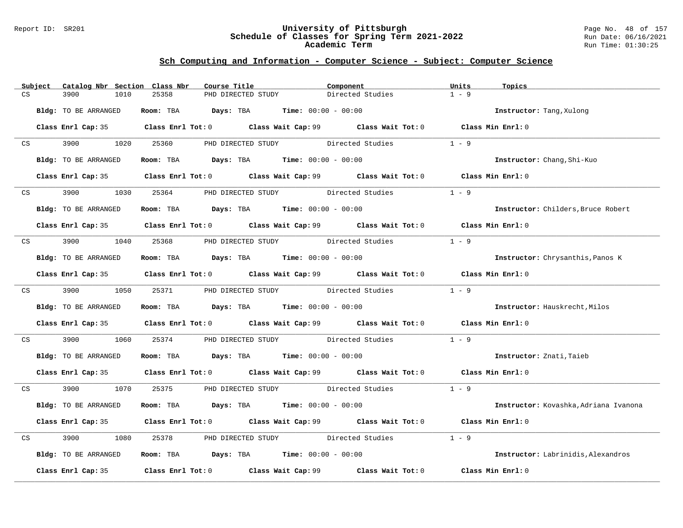#### Report ID: SR201 **University of Pittsburgh** Page No. 48 of 157 **Schedule of Classes for Spring Term 2021-2022** Run Date: 06/16/2021 **Academic Term** Run Time: 01:30:25

|    | Subject         | Catalog Nbr Section Class Nbr | Course Title                                                                          |                                           | Component                                                                                   | Units<br>Topics |                                       |
|----|-----------------|-------------------------------|---------------------------------------------------------------------------------------|-------------------------------------------|---------------------------------------------------------------------------------------------|-----------------|---------------------------------------|
| CS |                 | 3900<br>1010                  | 25358                                                                                 | PHD DIRECTED STUDY                        | Directed Studies                                                                            | $1 - 9$         |                                       |
|    |                 | Bldg: TO BE ARRANGED          | Room: TBA $Days:$ TBA $Time: 00:00 - 00:00$                                           |                                           |                                                                                             |                 | Instructor: Tang, Xulong              |
|    |                 |                               |                                                                                       |                                           | Class Enrl Cap: 35 Class Enrl Tot: 0 Class Wait Cap: 99 Class Wait Tot: 0 Class Min Enrl: 0 |                 |                                       |
|    | CS <sub>2</sub> | 3900 1020 25360               |                                                                                       |                                           | PHD DIRECTED STUDY Directed Studies 1 - 9                                                   |                 |                                       |
|    |                 | Bldg: TO BE ARRANGED          | Room: TBA $Days:$ TBA $Time: 00:00 - 00:00$                                           |                                           |                                                                                             |                 | Instructor: Chang, Shi-Kuo            |
|    |                 |                               |                                                                                       |                                           | Class Enrl Cap: 35 Class Enrl Tot: 0 Class Wait Cap: 99 Class Wait Tot: 0 Class Min Enrl: 0 |                 |                                       |
|    | CS              | 3900<br>1030                  |                                                                                       | 25364 PHD DIRECTED STUDY Directed Studies |                                                                                             | $1 - 9$         |                                       |
|    |                 | Bldg: TO BE ARRANGED          | Room: TBA $\rule{1em}{0.15mm}$ Days: TBA $\rule{1.5mm}{0.15mm}$ Time: $00:00 - 00:00$ |                                           |                                                                                             |                 | Instructor: Childers, Bruce Robert    |
|    |                 |                               |                                                                                       |                                           | Class Enrl Cap: 35 Class Enrl Tot: 0 Class Wait Cap: 99 Class Wait Tot: 0 Class Min Enrl: 0 |                 |                                       |
|    |                 | CS 3900 1040 25368            |                                                                                       | PHD DIRECTED STUDY Directed Studies       |                                                                                             | $1 - 9$         |                                       |
|    |                 | Bldg: TO BE ARRANGED          | Room: TBA $\rule{1em}{0.15mm}$ Days: TBA Time: $00:00 - 00:00$                        |                                           |                                                                                             |                 | Instructor: Chrysanthis, Panos K      |
|    |                 |                               |                                                                                       |                                           | Class Enrl Cap: 35 Class Enrl Tot: 0 Class Wait Cap: 99 Class Wait Tot: 0 Class Min Enrl: 0 |                 |                                       |
|    |                 |                               |                                                                                       |                                           | CS 3900 1050 25371 PHD DIRECTED STUDY Directed Studies                                      | $1 - 9$         |                                       |
|    |                 | Bldg: TO BE ARRANGED          | Room: TBA $Days:$ TBA $Time: 00:00 - 00:00$                                           |                                           |                                                                                             |                 | Instructor: Hauskrecht, Milos         |
|    |                 |                               |                                                                                       |                                           | Class Enrl Cap: 35 Class Enrl Tot: 0 Class Wait Cap: 99 Class Wait Tot: 0 Class Min Enrl: 0 |                 |                                       |
| CS |                 | 3900 000                      | 1060 25374                                                                            |                                           | PHD DIRECTED STUDY Directed Studies                                                         | $1 - 9$         |                                       |
|    |                 | Bldg: TO BE ARRANGED          | Room: TBA $Days:$ TBA $Time: 00:00 - 00:00$                                           |                                           |                                                                                             |                 | Instructor: Znati, Taieb              |
|    |                 |                               |                                                                                       |                                           | Class Enrl Cap: 35 Class Enrl Tot: 0 Class Wait Cap: 99 Class Wait Tot: 0 Class Min Enrl: 0 |                 |                                       |
|    |                 |                               |                                                                                       |                                           | CS 3900 1070 25375 PHD DIRECTED STUDY Directed Studies 1 - 9                                |                 |                                       |
|    |                 | Bldg: TO BE ARRANGED          | Room: TBA $Days:$ TBA $Time: 00:00 - 00:00$                                           |                                           |                                                                                             |                 | Instructor: Kovashka, Adriana Ivanona |
|    |                 |                               |                                                                                       |                                           | Class Enrl Cap: 35 Class Enrl Tot: 0 Class Wait Cap: 99 Class Wait Tot: 0 Class Min Enrl: 0 |                 |                                       |
| CS |                 | 3900<br>1080                  | 25378                                                                                 |                                           | PHD DIRECTED STUDY Directed Studies                                                         | $1 - 9$         |                                       |
|    |                 | Bldg: TO BE ARRANGED          | Room: TBA $Days:$ TBA $Time: 00:00 - 00:00$                                           |                                           |                                                                                             |                 | Instructor: Labrinidis, Alexandros    |
|    |                 |                               |                                                                                       |                                           | Class Enrl Cap: 35 Class Enrl Tot: 0 Class Wait Cap: 99 Class Wait Tot: 0 Class Min Enrl: 0 |                 |                                       |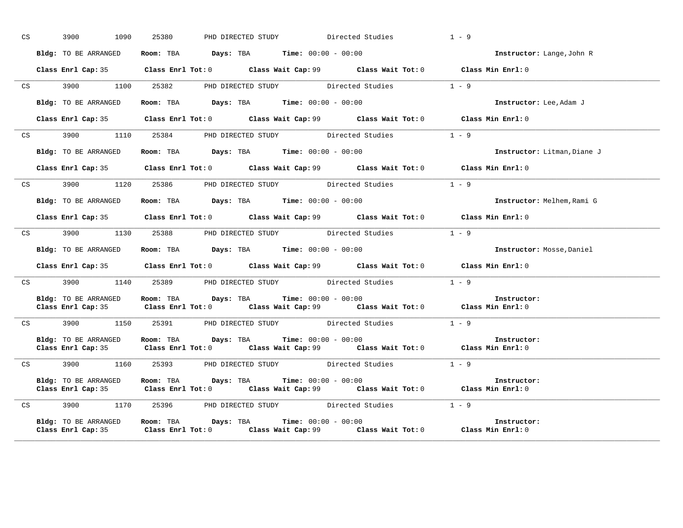| CS <sub>2</sub> | 3900<br>1090         | 25380                                                        | PHD DIRECTED STUDY Directed Studies |                                                                                             | $1 - 9$                     |
|-----------------|----------------------|--------------------------------------------------------------|-------------------------------------|---------------------------------------------------------------------------------------------|-----------------------------|
|                 | Bldg: TO BE ARRANGED | Room: TBA $Days:$ TBA $Time: 00:00 - 00:00$                  |                                     |                                                                                             | Instructor: Lange, John R   |
|                 |                      |                                                              |                                     | Class Enrl Cap: 35 Class Enrl Tot: 0 Class Wait Cap: 99 Class Wait Tot: 0 Class Min Enrl: 0 |                             |
|                 |                      |                                                              |                                     | CS 3900 1100 25382 PHD DIRECTED STUDY Directed Studies 1 - 9                                |                             |
|                 | Bldg: TO BE ARRANGED | Room: TBA $Days: TBA$ Time: $00:00 - 00:00$                  |                                     |                                                                                             | Instructor: Lee, Adam J     |
|                 |                      |                                                              |                                     | Class Enrl Cap: 35 Class Enrl Tot: 0 Class Wait Cap: 99 Class Wait Tot: 0 Class Min Enrl: 0 |                             |
|                 |                      | CS 3900 1110 25384 PHD DIRECTED STUDY Directed Studies       |                                     |                                                                                             | $1 - 9$                     |
|                 | Bldg: TO BE ARRANGED | Room: TBA $Days:$ TBA $Time: 00:00 - 00:00$                  |                                     |                                                                                             | Instructor: Litman, Diane J |
|                 |                      |                                                              |                                     | Class Enrl Cap: 35 Class Enrl Tot: 0 Class Wait Cap: 99 Class Wait Tot: 0 Class Min Enrl: 0 |                             |
|                 |                      |                                                              |                                     | CS 3900 1120 25386 PHD DIRECTED STUDY Directed Studies 1 - 9                                |                             |
|                 | Bldg: TO BE ARRANGED | Room: TBA $Days: TBA$ Time: $00:00 - 00:00$                  |                                     |                                                                                             | Instructor: Melhem, Rami G  |
|                 |                      |                                                              |                                     | Class Enrl Cap: 35 Class Enrl Tot: 0 Class Wait Cap: 99 Class Wait Tot: 0 Class Min Enrl: 0 |                             |
|                 |                      |                                                              |                                     | CS 3900 1130 25388 PHD DIRECTED STUDY Directed Studies                                      | $1 - 9$                     |
|                 | Bldg: TO BE ARRANGED | Room: TBA $Days:$ TBA $Time:$ $00:00 - 00:00$                |                                     |                                                                                             | Instructor: Mosse, Daniel   |
|                 |                      |                                                              |                                     | Class Enrl Cap: 35 Class Enrl Tot: 0 Class Wait Cap: 99 Class Wait Tot: 0 Class Min Enrl: 0 |                             |
|                 |                      |                                                              |                                     | CS 3900 1140 25389 PHD DIRECTED STUDY Directed Studies 1 - 9                                |                             |
|                 |                      | Bldg: TO BE ARRANGED Room: TBA Days: TBA Time: 00:00 - 00:00 |                                     | Class Enrl Cap: 35 Class Enrl Tot: 0 Class Wait Cap: 99 Class Wait Tot: 0 Class Min Enrl: 0 | Instructor:                 |
|                 |                      |                                                              |                                     | CS 3900 1150 25391 PHD DIRECTED STUDY Directed Studies 1 - 9                                |                             |
|                 | Bldg: TO BE ARRANGED | Room: TBA $Days:$ TBA $Time: 00:00 - 00:00$                  |                                     | Class Enrl Cap: 35 Class Enrl Tot: 0 Class Wait Cap: 99 Class Wait Tot: 0 Class Min Enrl: 0 | Instructor:                 |
|                 |                      |                                                              |                                     | CS 3900 1160 25393 PHD DIRECTED STUDY Directed Studies 1 - 9                                |                             |
|                 |                      | Bldg: TO BE ARRANGED Room: TBA Days: TBA Time: 00:00 - 00:00 |                                     | Class Enrl Cap: 35 Class Enrl Tot: 0 Class Wait Cap: 99 Class Wait Tot: 0 Class Min Enrl: 0 | Instructor:                 |
|                 |                      |                                                              |                                     | CS 3900 1170 25396 PHD DIRECTED STUDY Directed Studies 1 - 9                                |                             |
|                 |                      | Bldg: TO BE ARRANGED Room: TBA Days: TBA Time: 00:00 - 00:00 |                                     | Class Enrl Cap: 35 Class Enrl Tot: 0 Class Wait Cap: 99 Class Wait Tot: 0 Class Min Enrl: 0 | Instructor:                 |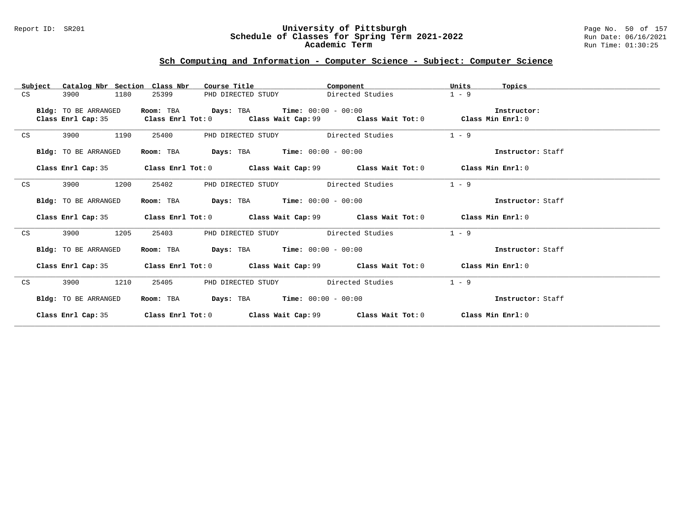#### Report ID: SR201 **University of Pittsburgh** Page No. 50 of 157 **Schedule of Classes for Spring Term 2021-2022** Run Date: 06/16/2021 **Academic Term** Run Time: 01:30:25

|    | Subject | Catalog Nbr Section Class Nbr              |                                             | Course Title <b>Source Search</b><br>Component                                              | Units<br>Topics   |  |
|----|---------|--------------------------------------------|---------------------------------------------|---------------------------------------------------------------------------------------------|-------------------|--|
| CS |         | 3900<br>1180                               | 25399                                       | Directed Studies<br>PHD DIRECTED STUDY                                                      | $1 - 9$           |  |
|    |         | Bldg: TO BE ARRANGED<br>Class Enrl Cap: 35 | Room: TBA $Days:$ TBA Time: $00:00 - 00:00$ | Class Enrl Tot: $0$ Class Wait Cap: $99$ Class Wait Tot: $0$ Class Min Enrl: $0$            | Instructor:       |  |
| CS |         | 1190<br>3900                               | 25400                                       | PHD DIRECTED STUDY Directed Studies                                                         | $1 - 9$           |  |
|    |         | Bldg: TO BE ARRANGED                       | Room: TBA                                   | <b>Days:</b> TBA <b>Time:</b> $00:00 - 00:00$                                               | Instructor: Staff |  |
|    |         |                                            |                                             | Class Enrl Cap: 35 Class Enrl Tot: 0 Class Wait Cap: 99 Class Wait Tot: 0 Class Min Enrl: 0 |                   |  |
| CS |         | 1200<br>3900                               | 25402                                       | PHD DIRECTED STUDY Directed Studies                                                         | $1 - 9$           |  |
|    |         | Bldg: TO BE ARRANGED                       | Room: TBA $Days:$ TBA $Time: 00:00 - 00:00$ |                                                                                             | Instructor: Staff |  |
|    |         |                                            |                                             | Class Enrl Cap: 35 Class Enrl Tot: 0 Class Wait Cap: 99 Class Wait Tot: 0 Class Min Enrl: 0 |                   |  |
| CS |         | 1205<br>3900                               | 25403                                       | PHD DIRECTED STUDY Directed Studies                                                         | $1 - 9$           |  |
|    |         | <b>Bldg:</b> TO BE ARRANGED                | Room: TBA $Days:$ TBA $Time: 00:00 - 00:00$ |                                                                                             | Instructor: Staff |  |
|    |         |                                            |                                             | Class Enrl Cap: 35 Class Enrl Tot: 0 Class Wait Cap: 99 Class Wait Tot: 0 Class Min Enrl: 0 |                   |  |
| CS |         | 1210<br>3900                               | 25405                                       | PHD DIRECTED STUDY Directed Studies                                                         | $1 - 9$           |  |
|    |         | Bldg: TO BE ARRANGED                       |                                             | Room: TBA $\rule{1em}{0.15mm}$ Days: TBA $\rule{1.15mm}]{0.15mm}$ Time: $0.000 - 0.000$     | Instructor: Staff |  |
|    |         |                                            |                                             | Class Enrl Cap: 35 Class Enrl Tot: 0 Class Wait Cap: 99 Class Wait Tot: 0 Class Min Enrl: 0 |                   |  |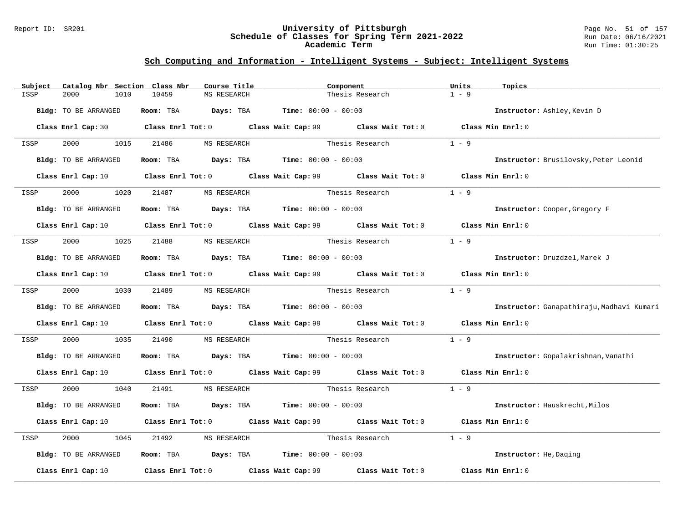#### Report ID: SR201 **University of Pittsburgh** Page No. 51 of 157 **Schedule of Classes for Spring Term 2021-2022** Run Date: 06/16/2021 **Academic Term** Run Time: 01:30:25

| Subject | Catalog Nbr Section Class Nbr | Course Title                         | Component                                                                                                                       |                       | Units<br>Topics                           |  |
|---------|-------------------------------|--------------------------------------|---------------------------------------------------------------------------------------------------------------------------------|-----------------------|-------------------------------------------|--|
| ISSP    | 2000<br>1010                  | 10459<br>MS RESEARCH                 |                                                                                                                                 | Thesis Research       | $1 - 9$                                   |  |
|         | Bldg: TO BE ARRANGED          |                                      | Room: TBA $Days:$ TBA $Time: 00:00 - 00:00$                                                                                     |                       | Instructor: Ashley, Kevin D               |  |
|         |                               |                                      | Class Enrl Cap: 30 Class Enrl Tot: 0 Class Wait Cap: 99 Class Wait Tot: 0 Class Min Enrl: 0                                     |                       |                                           |  |
| ISSP    | 2000 - 100<br>1015            | 21486 MS RESEARCH                    |                                                                                                                                 | Thesis Research       | $1 - 9$                                   |  |
|         | <b>Bldg:</b> TO BE ARRANGED   |                                      | Room: TBA $Days:$ TBA $Time: 00:00 - 00:00$                                                                                     |                       | Instructor: Brusilovsky, Peter Leonid     |  |
|         |                               |                                      | Class Enrl Cap: 10 $\qquad$ Class Enrl Tot: 0 $\qquad$ Class Wait Cap: 99 $\qquad$ Class Wait Tot: 0 $\qquad$ Class Min Enrl: 0 |                       |                                           |  |
| ISSP    | 2000<br>1020                  | 21487 MS RESEARCH                    |                                                                                                                                 | Thesis Research       | $1 - 9$                                   |  |
|         | <b>Bldg:</b> TO BE ARRANGED   |                                      | Room: TBA $Days:$ TBA $Time: 00:00 - 00:00$                                                                                     |                       | Instructor: Cooper, Gregory F             |  |
|         |                               |                                      | Class Enrl Cap: 10 Class Enrl Tot: 0 Class Wait Cap: 99 Class Wait Tot: 0 Class Min Enrl: 0                                     |                       |                                           |  |
| ISSP    | 2000 1025 21488               | MS RESEARCH                          |                                                                                                                                 | Thesis Research       | $1 - 9$                                   |  |
|         | Bldg: TO BE ARRANGED          |                                      | Room: TBA $Days:$ TBA Time: $00:00 - 00:00$                                                                                     |                       | Instructor: Druzdzel, Marek J             |  |
|         |                               |                                      | Class Enrl Cap: 10 Class Enrl Tot: 0 Class Wait Cap: 99 Class Wait Tot: 0 Class Min Enrl: 0                                     |                       |                                           |  |
| ISSP    | 2000 000                      | 1030 21489<br>MS RESEARCH            |                                                                                                                                 | Thesis Research       | $1 - 9$                                   |  |
|         | Bldg: TO BE ARRANGED          |                                      | Room: TBA $Days:$ TBA $Time: 00:00 - 00:00$                                                                                     |                       | Instructor: Ganapathiraju, Madhavi Kumari |  |
|         |                               |                                      | Class Enrl Cap: 10 $\qquad$ Class Enrl Tot: 0 $\qquad$ Class Wait Cap: 99 $\qquad$ Class Wait Tot: 0                            |                       | Class Min Enrl: 0                         |  |
| ISSP    | 2000<br>1035                  | 21490                                | MS RESEARCH <b>Thesis Research</b>                                                                                              |                       | $1 - 9$                                   |  |
|         | Bldg: TO BE ARRANGED          |                                      | <b>Room:</b> TBA $Days:$ TBA $Time: 00:00 - 00:00$                                                                              |                       | Instructor: Gopalakrishnan, Vanathi       |  |
|         |                               |                                      | Class Enrl Cap: 10 Class Enrl Tot: 0 Class Wait Cap: 99 Class Wait Tot: 0 Class Min Enrl: 0                                     |                       |                                           |  |
| ISSP    | 2000 1040                     | 21491 MS RESEARCH                    |                                                                                                                                 | Thesis Research 1 - 9 |                                           |  |
|         | Bldg: TO BE ARRANGED          |                                      | Room: TBA $Days: TBA$ Time: $00:00 - 00:00$                                                                                     |                       | Instructor: Hauskrecht, Milos             |  |
|         |                               |                                      | Class Enrl Cap: 10 Class Enrl Tot: 0 Class Wait Cap: 99 Class Wait Tot: 0                                                       |                       | Class Min Enrl: 0                         |  |
| ISSP    | 2000<br>1045                  | 21492<br>MS RESEARCH                 | Thesis Research                                                                                                                 |                       | $1 - 9$                                   |  |
|         | Bldg: TO BE ARRANGED          |                                      | Room: TBA $\rule{1em}{0.15mm}$ Days: TBA $\rule{1.5mm}{0.15mm}$ Time: $00:00 - 00:00$                                           |                       | Instructor: He, Daging                    |  |
|         | Class Enrl Cap: 10            | Class Enrl Tot: 0 Class Wait Cap: 99 |                                                                                                                                 | Class Wait Tot: 0     | Class Min Enrl: 0                         |  |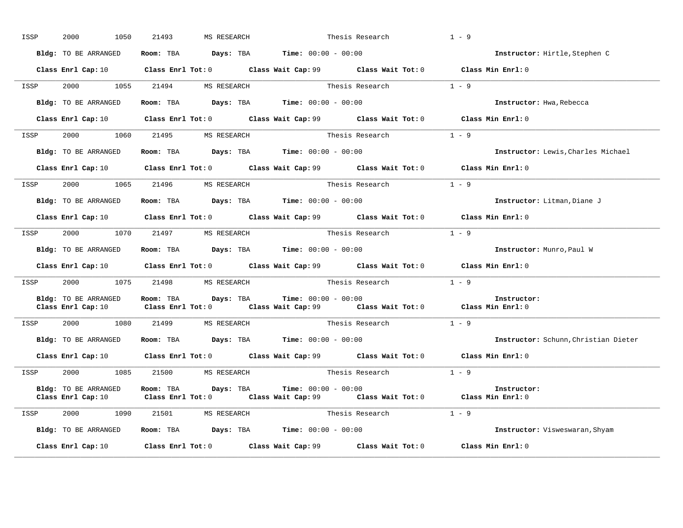| ISSP | 2000<br>1050                               | 21493<br>MS RESEARCH                                                                           | Thesis Research                                                                                                                                                 | $1 - 9$                              |
|------|--------------------------------------------|------------------------------------------------------------------------------------------------|-----------------------------------------------------------------------------------------------------------------------------------------------------------------|--------------------------------------|
|      | Bldg: TO BE ARRANGED                       | Room: TBA $Days:$ TBA $Time: 00:00 - 00:00$                                                    |                                                                                                                                                                 | Instructor: Hirtle, Stephen C        |
|      |                                            |                                                                                                | Class Enrl Cap: 10 $\qquad$ Class Enrl Tot: 0 $\qquad$ Class Wait Cap: 99 $\qquad$ Class Wait Tot: 0 $\qquad$ Class Min Enrl: 0                                 |                                      |
| ISSP |                                            | 2000 1055 21494 MS RESEARCH                                                                    | Thesis Research $1 - 9$                                                                                                                                         |                                      |
|      | Bldg: TO BE ARRANGED                       | <b>Room:</b> TBA $\qquad \qquad$ <b>Days:</b> TBA $\qquad \qquad$ <b>Time:</b> $00:00 - 00:00$ |                                                                                                                                                                 | Instructor: Hwa, Rebecca             |
|      |                                            |                                                                                                | Class Enrl Cap: 10 $\qquad$ Class Enrl Tot: 0 $\qquad$ Class Wait Cap: 99 $\qquad$ Class Wait Tot: 0 $\qquad$ Class Min Enrl: 0                                 |                                      |
|      |                                            | ISSP 2000 1060 21495 MS RESEARCH                                                               | Thesis Research                                                                                                                                                 | $1 - 9$                              |
|      | Bldg: TO BE ARRANGED                       | Room: TBA $Days:$ TBA $Time: 00:00 - 00:00$                                                    |                                                                                                                                                                 | Instructor: Lewis, Charles Michael   |
|      |                                            |                                                                                                | Class Enrl Cap: 10 Class Enrl Tot: 0 Class Wait Cap: 99 Class Wait Tot: 0 Class Min Enrl: 0                                                                     |                                      |
| ISSP |                                            |                                                                                                | 2000 1065 21496 MS RESEARCH Thesis Research                                                                                                                     | $1 - 9$                              |
|      | Bldg: TO BE ARRANGED                       | Room: TBA $\rule{1em}{0.15mm}$ Days: TBA $\rule{1.5mm}{0.15mm}$ Time: $00:00 - 00:00$          |                                                                                                                                                                 | Instructor: Litman, Diane J          |
|      |                                            |                                                                                                | Class Enrl Cap: 10 $\qquad$ Class Enrl Tot: 0 $\qquad$ Class Wait Cap: 99 $\qquad$ Class Wait Tot: 0 $\qquad$ Class Min Enrl: 0                                 |                                      |
| ISSP |                                            | 2000 1070 21497 MS RESEARCH                                                                    | Thesis Research $1 - 9$                                                                                                                                         |                                      |
|      |                                            | Bldg: TO BE ARRANGED Room: TBA Days: TBA Time: 00:00 - 00:00                                   |                                                                                                                                                                 | Instructor: Munro, Paul W            |
|      |                                            |                                                                                                | Class Enrl Cap: 10 $\qquad$ Class Enrl Tot: 0 $\qquad$ Class Wait Cap: 99 $\qquad$ Class Wait Tot: 0 $\qquad$ Class Min Enrl: 0                                 |                                      |
|      |                                            | ISSP 2000 1075 21498 MS RESEARCH                                                               | Thesis Research                                                                                                                                                 | $1 - 9$                              |
|      | Bldg: TO BE ARRANGED                       | Room: TBA Days: TBA                                                                            | <b>Time:</b> $00:00 - 00:00$<br>Class Enrl Cap: 10 $\qquad$ Class Enrl Tot: 0 $\qquad$ Class Wait Cap: 99 $\qquad$ Class Wait Tot: 0 $\qquad$ Class Min Enrl: 0 | Instructor:                          |
|      |                                            | ISSP 2000 1080 21499 MS RESEARCH                                                               | Thesis Research                                                                                                                                                 | $1 - 9$                              |
|      | Bldg: TO BE ARRANGED                       | <b>Room:</b> TBA $Days:$ TBA $Time: 00:00 - 00:00$                                             |                                                                                                                                                                 | Instructor: Schunn, Christian Dieter |
|      |                                            |                                                                                                | Class Enrl Cap: 10 $\qquad$ Class Enrl Tot: 0 $\qquad$ Class Wait Cap: 99 $\qquad$ Class Wait Tot: 0 $\qquad$ Class Min Enrl: 0                                 |                                      |
| ISSP |                                            | 2000 1085 21500 MS RESEARCH                                                                    | Thesis Research                                                                                                                                                 | $1 - 9$                              |
|      | Bldg: TO BE ARRANGED<br>Class Enrl Cap: 10 | Room: TBA Days: TBA                                                                            | $Time: 00:00 - 00:00$<br>Class Enrl Tot: $0$ Class Wait Cap: $99$ Class Wait Tot: $0$ Class Min Enrl: $0$                                                       | Instructor:                          |
|      |                                            | ISSP 2000 1090 21501 MS RESEARCH                                                               | Thesis Research                                                                                                                                                 | $1 - 9$                              |
|      | Bldg: TO BE ARRANGED                       | Room: TBA $Days:$ TBA $Time: 00:00 - 00:00$                                                    |                                                                                                                                                                 | Instructor: Visweswaran, Shyam       |
|      | Class Enrl Cap: 10                         |                                                                                                | Class Enrl Tot: $0$ Class Wait Cap: $99$ Class Wait Tot: $0$                                                                                                    | Class Min Enrl: 0                    |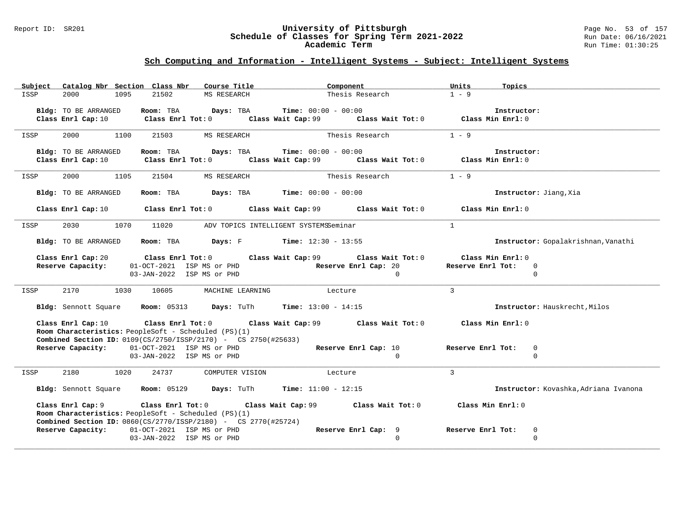#### Report ID: SR201 **University of Pittsburgh** Page No. 53 of 157 **Schedule of Classes for Spring Term 2021-2022** Run Date: 06/16/2021 **Academic Term** Run Time: 01:30:25

| Catalog Nbr Section Class Nbr<br>Subject                                                       | Course Title                                                    | Component                                              | Units<br>Topics                                 |
|------------------------------------------------------------------------------------------------|-----------------------------------------------------------------|--------------------------------------------------------|-------------------------------------------------|
| 2000<br>1095<br>21502<br>ISSP                                                                  | MS RESEARCH                                                     | Thesis Research                                        | $1 - 9$                                         |
| Bldg: TO BE ARRANGED<br>Room: TBA                                                              | <b>Time:</b> $00:00 - 00:00$<br>Days: TBA                       |                                                        | Instructor:                                     |
| Class Enrl Cap: 10                                                                             | Class Enrl Tot: 0                                               | Class Wait Cap: 99 Class Wait Tot: 0                   | Class Min Enrl: 0                               |
|                                                                                                |                                                                 |                                                        |                                                 |
| 2000<br>1100<br>21503<br>ISSP                                                                  | MS RESEARCH                                                     | Thesis Research                                        | $1 - 9$                                         |
| Bldg: TO BE ARRANGED                                                                           | <b>Time:</b> $00:00 - 00:00$<br>Room: TBA Days: TBA             |                                                        | Instructor:                                     |
| Class Enrl Cap: 10                                                                             | $Class$ $Enr1$ $Tot: 0$                                         | Class Wait Cap: 99 Class Wait Tot: 0                   | Class Min Enrl: 0                               |
|                                                                                                |                                                                 |                                                        |                                                 |
| 2000<br>1105<br>21504<br>ISSP                                                                  | MS RESEARCH                                                     | Thesis Research                                        | $1 - 9$                                         |
| Bldg: TO BE ARRANGED<br>Room: TBA                                                              | $\texttt{Davis:}$ TBA $\texttt{Time:}$ 00:00 - 00:00            |                                                        | Instructor: Jiang, Xia                          |
|                                                                                                |                                                                 |                                                        |                                                 |
| Class Enrl Cap: 10                                                                             | $Class$ $Enrl$ $Tot: 0$<br>Class Wait Cap: 99                   | Class Wait Tot: 0                                      | Class Min Enrl: 0                               |
| 2030<br>1070<br>11020<br>ISSP                                                                  | ADV TOPICS INTELLIGENT SYSTEMSSeminar                           | $\mathbf{1}$                                           |                                                 |
|                                                                                                |                                                                 |                                                        |                                                 |
| Bldg: TO BE ARRANGED<br>Room: TBA                                                              | <b>Days:</b> F <b>Time:</b> $12:30 - 13:55$                     |                                                        | Instructor: Gopalakrishnan, Vanathi             |
| Class Enrl Cap: 20                                                                             | Class Enrl Tot:0<br>Class Wait Cap: $99$ Class Wait Tot: 0      |                                                        | Class Min Enrl: 0                               |
| Reserve Capacity:                                                                              | 01-OCT-2021 ISP MS or PHD                                       | Reserve Enrl Cap: 20                                   | Reserve Enrl Tot:<br>$\mathbf 0$                |
|                                                                                                | 03-JAN-2022 ISP MS or PHD                                       | $\Omega$                                               | $\Omega$                                        |
| ISSP<br>2170<br>1030<br>10605                                                                  | MACHINE LEARNING                                                | $\mathbf{3}$<br>Lecture                                |                                                 |
|                                                                                                |                                                                 |                                                        |                                                 |
|                                                                                                | Bldg: Sennott Square Room: 05313 Days: TuTh Time: 13:00 - 14:15 |                                                        | Instructor: Hauskrecht, Milos                   |
| Class Enrl Cap: 10                                                                             | $\texttt{Class}$ $\texttt{Enrl}$ $\texttt{Tot:}$ $0$            | Class Wait Cap: 99 $\,$ Class Wait Tot: 0 $\,$         | Class Min Enrl: 0                               |
| Room Characteristics: PeopleSoft - Scheduled (PS)(1)                                           |                                                                 |                                                        |                                                 |
| <b>Combined Section ID:</b> $0109(CS/2750/1SSP/2170)$ - CS $2750(#25633)$                      |                                                                 |                                                        |                                                 |
| Reserve Capacity: 01-OCT-2021 ISP MS or PHD                                                    |                                                                 | Reserve Enrl Cap: 10<br>$\Omega$                       | Reserve Enrl Tot:<br>$\mathbf 0$<br>$\mathbf 0$ |
|                                                                                                | 03-JAN-2022 ISP MS or PHD                                       |                                                        |                                                 |
| 2180<br>1020<br>24737<br>ISSP                                                                  | COMPUTER VISION                                                 | $\mathbf{3}$<br>Lecture                                |                                                 |
|                                                                                                | Time: $11:00 - 12:15$                                           |                                                        | Instructor: Kovashka, Adriana Ivanona           |
| Bldg: Sennott Square Room: 05129                                                               | Days: TuTh                                                      |                                                        |                                                 |
| Class Enrl Cap: 9                                                                              | Class Enrl Tot: 0                                               | Class Wait Cap: 99 Class Wait Tot: 0 Class Min Enrl: 0 |                                                 |
| Room Characteristics: PeopleSoft - Scheduled (PS)(1)                                           |                                                                 |                                                        |                                                 |
| <b>Combined Section ID:</b> $0860(CS/2770/1SSP/2180)$ - CS $2770(#25724)$<br>Reserve Capacity: | 01-OCT-2021 ISP MS or PHD                                       | Reserve Enrl Cap: 9                                    | Reserve Enrl Tot:<br>0                          |
|                                                                                                | 03-JAN-2022 ISP MS or PHD                                       | $\Omega$                                               | $\Omega$                                        |
|                                                                                                |                                                                 |                                                        |                                                 |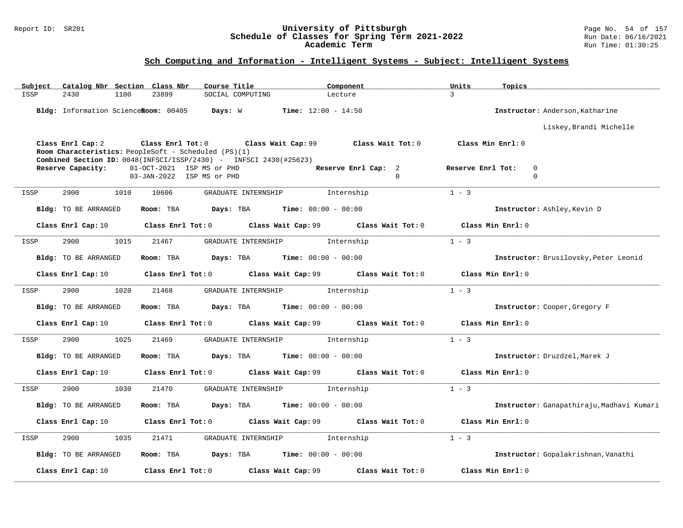#### Report ID: SR201 **University of Pittsburgh** Page No. 54 of 157 **Schedule of Classes for Spring Term 2021-2022** Run Date: 06/16/2021 **Academic Term** Run Time: 01:30:25

| Subject | Catalog Nbr Section Class Nbr        | Course Title                                                                                                                                                         | Component                                                    | Units<br>Topics                              |
|---------|--------------------------------------|----------------------------------------------------------------------------------------------------------------------------------------------------------------------|--------------------------------------------------------------|----------------------------------------------|
| ISSP    | 2430<br>1100                         | 23899<br>SOCIAL COMPUTING                                                                                                                                            | Lecture                                                      | $\mathcal{E}$                                |
|         | Bldg: Information ScienceRoom: 00405 | Days: W                                                                                                                                                              | <b>Time:</b> $12:00 - 14:50$                                 | Instructor: Anderson, Katharine              |
|         |                                      |                                                                                                                                                                      |                                                              | Liskey, Brandi Michelle                      |
|         | Class Enrl Cap: 2                    | Class Enrl Tot: 0<br>Class Wait Cap: 99<br>Room Characteristics: PeopleSoft - Scheduled (PS)(1)<br>Combined Section ID: 0048(INFSCI/ISSP/2430) - INFSCI 2430(#25623) | Class Wait Tot: 0                                            | Class Min Enrl: 0                            |
|         | Reserve Capacity:                    | 01-OCT-2021 ISP MS or PHD<br>03-JAN-2022 ISP MS or PHD                                                                                                               | Reserve Enrl Cap: 2<br>$\mathbf 0$                           | Reserve Enrl Tot:<br>$\mathbf 0$<br>$\Omega$ |
| ISSP    | 2900<br>1010                         | 10606<br>GRADUATE INTERNSHIP                                                                                                                                         | Internship                                                   | $1 - 3$                                      |
|         | Bldg: TO BE ARRANGED                 | Room: TBA<br>Days: TBA                                                                                                                                               | <b>Time:</b> $00:00 - 00:00$                                 | Instructor: Ashley, Kevin D                  |
|         | Class Enrl Cap: 10                   |                                                                                                                                                                      | Class Enrl Tot: $0$ Class Wait Cap: $99$ Class Wait Tot: $0$ | Class Min Enrl: 0                            |
| ISSP    | 2900<br>1015                         | 21467<br>GRADUATE INTERNSHIP                                                                                                                                         | Internship                                                   | $1 - 3$                                      |
|         | Bldg: TO BE ARRANGED                 | Room: TBA                                                                                                                                                            | <b>Days:</b> TBA <b>Time:</b> $00:00 - 00:00$                | Instructor: Brusilovsky, Peter Leonid        |
|         | Class Enrl Cap: 10                   | Class Enrl Tot: 0                                                                                                                                                    | Class Wait Cap: 99<br>Class Wait Tot: 0                      | Class Min Enrl: 0                            |
| ISSP    | 1020<br>2900                         | 21468<br>GRADUATE INTERNSHIP                                                                                                                                         | Internship                                                   | $1 - 3$                                      |
|         | Bldg: TO BE ARRANGED                 | Days: TBA<br>Room: TBA                                                                                                                                               | <b>Time:</b> $00:00 - 00:00$                                 | Instructor: Cooper, Gregory F                |
|         | Class Enrl Cap: 10                   | Class Enrl Tot: 0                                                                                                                                                    | Class Wait Cap: 99 Class Wait Tot: 0                         | Class Min Enrl: 0                            |
| ISSP    | 2900<br>1025                         | 21469<br>GRADUATE INTERNSHIP                                                                                                                                         | Internship                                                   | $1 - 3$                                      |
|         | <b>Bldg:</b> TO BE ARRANGED          | Room: TBA                                                                                                                                                            | <b>Days:</b> TBA <b>Time:</b> $00:00 - 00:00$                | Instructor: Druzdzel, Marek J                |
|         | Class Enrl Cap: 10                   | Class Enrl Tot: 0                                                                                                                                                    | Class Wait Cap: 99 Class Wait Tot: 0                         | Class Min Enrl: 0                            |
| ISSP    | 2900<br>1030                         | 21470<br>GRADUATE INTERNSHIP                                                                                                                                         | Internship                                                   | $1 - 3$                                      |
|         | <b>Bldg:</b> TO BE ARRANGED          | Room: TBA<br>Days: TBA                                                                                                                                               | <b>Time:</b> $00:00 - 00:00$                                 | Instructor: Ganapathiraju, Madhavi Kumari    |
|         | Class Enrl Cap: 10                   | Class Enrl Tot: 0                                                                                                                                                    | Class Wait Cap: 99 Class Wait Tot: 0                         | Class Min Enrl: 0                            |
| ISSP    | 2900<br>1035                         | 21471<br>GRADUATE INTERNSHIP                                                                                                                                         | Internship                                                   | $1 - 3$                                      |
|         | Bldg: TO BE ARRANGED                 | Room: TBA<br>Days: TBA                                                                                                                                               | <b>Time:</b> $00:00 - 00:00$                                 | Instructor: Gopalakrishnan, Vanathi          |
|         | Class Enrl Cap: 10                   | Class Enrl Tot: 0                                                                                                                                                    | Class Wait Cap: 99<br>Class Wait Tot: 0                      | Class Min Enrl: 0                            |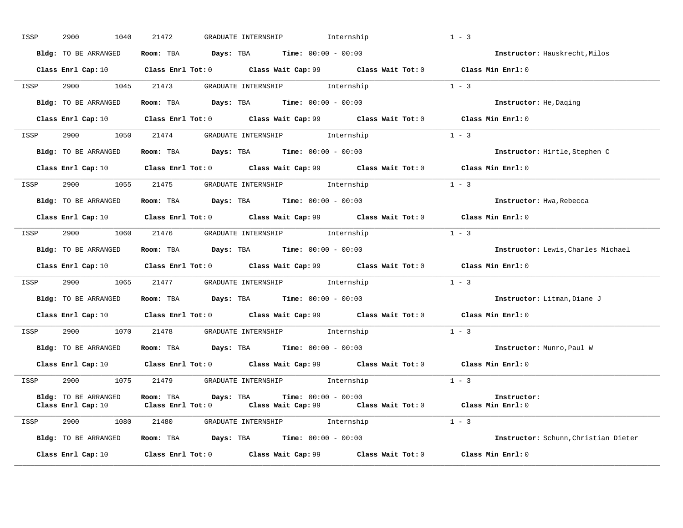| ISSP | 2900<br>1040         | 21472<br>GRADUATE INTERNSHIP                                                                                                               | Internship | $1 - 3$                              |
|------|----------------------|--------------------------------------------------------------------------------------------------------------------------------------------|------------|--------------------------------------|
|      | Bldg: TO BE ARRANGED | Room: TBA $Days:$ TBA $Time: 00:00 - 00:00$                                                                                                |            | Instructor: Hauskrecht, Milos        |
|      |                      | Class Enrl Cap: 10 Class Enrl Tot: 0 Class Wait Cap: 99 Class Wait Tot: 0 Class Min Enrl: 0                                                |            |                                      |
| ISSP |                      | 2900 1045 21473 GRADUATE INTERNSHIP Internship                                                                                             | $1 - 3$    |                                      |
|      | Bldg: TO BE ARRANGED | Room: TBA $Days:$ TBA $Time: 00:00 - 00:00$                                                                                                |            | Instructor: He, Daging               |
|      |                      | Class Enrl Cap: 10 Class Enrl Tot: 0 Class Wait Cap: 99 Class Wait Tot: 0 Class Min Enrl: 0                                                |            |                                      |
| ISSP |                      | 2900 1050 21474 GRADUATE INTERNSHIP Internship                                                                                             |            | $1 - 3$                              |
|      | Bldg: TO BE ARRANGED | Room: TBA $Days:$ TBA $Time: 00:00 - 00:00$                                                                                                |            | Instructor: Hirtle, Stephen C        |
|      |                      | Class Enrl Cap: 10 Class Enrl Tot: 0 Class Wait Cap: 99 Class Wait Tot: 0 Class Min Enrl: 0                                                |            |                                      |
| ISSP |                      | 2900 1055 21475 GRADUATE INTERNSHIP Internship                                                                                             |            | $1 - 3$                              |
|      |                      | <b>Bldg:</b> TO BE ARRANGED <b>Room:</b> TBA <b>Days:</b> TBA <b>Time:</b> $00:00 - 00:00$                                                 |            | Instructor: Hwa, Rebecca             |
|      |                      | Class Enrl Cap: 10 Class Enrl Tot: 0 Class Wait Cap: 99 Class Wait Tot: 0 Class Min Enrl: 0                                                |            |                                      |
| ISSP |                      | 2900 1060 21476 GRADUATE INTERNSHIP Internship                                                                                             |            | $1 - 3$                              |
|      | Bldg: TO BE ARRANGED | Room: TBA $\rule{1em}{0.15mm}$ Days: TBA Time: $00:00 - 00:00$                                                                             |            | Instructor: Lewis, Charles Michael   |
|      |                      | Class Enrl Cap: 10 $\qquad$ Class Enrl Tot: 0 $\qquad$ Class Wait Cap: 99 $\qquad$ Class Wait Tot: 0 $\qquad$ Class Min Enrl: 0            |            |                                      |
|      |                      | ISSP 2900 1065 21477 GRADUATE INTERNSHIP Internship                                                                                        |            | $1 - 3$                              |
|      |                      | <b>Bldg:</b> TO BE ARRANGED <b>ROOM:</b> TBA <b>Days:</b> TBA <b>Time:</b> $00:00 - 00:00$                                                 |            | Instructor: Litman, Diane J          |
|      |                      | Class Enrl Cap: 10 Class Enrl Tot: 0 Class Wait Cap: 99 Class Wait Tot: 0 Class Min Enrl: 0                                                |            |                                      |
|      |                      | ISSP 2900 1070 21478 GRADUATE INTERNSHIP Internship                                                                                        |            | $1 - 3$                              |
|      | Bldg: TO BE ARRANGED | <b>Room:</b> TBA $Days:$ TBA $Time: 00:00 - 00:00$                                                                                         |            | Instructor: Munro, Paul W            |
|      |                      | Class Enrl Cap: 10 $\qquad$ Class Enrl Tot: 0 $\qquad$ Class Wait Cap: 99 $\qquad$ Class Wait Tot: 0 $\qquad$ Class Min Enrl: 0            |            |                                      |
| ISSP |                      | 2900 1075 21479 GRADUATE INTERNSHIP Internship                                                                                             |            | $1 - 3$                              |
|      | Bldg: TO BE ARRANGED | Room: TBA $Days:$ TBA $Time: 00:00 - 00:00$<br>Class Enrl Cap: 10 Class Enrl Tot: 0 Class Wait Cap: 99 Class Wait Tot: 0 Class Min Enrl: 0 |            | Instructor:                          |
|      |                      | ISSP 2900 1080 21480 GRADUATE INTERNSHIP Internship                                                                                        |            | $1 - 3$                              |
|      | Bldg: TO BE ARRANGED | Room: TBA $Days:$ TBA $Time: 00:00 - 00:00$                                                                                                |            | Instructor: Schunn, Christian Dieter |
|      | Class Enrl Cap: 10   | Class Enrl Tot: $0$ Class Wait Cap: $99$ Class Wait Tot: $0$                                                                               |            | Class Min Enrl: 0                    |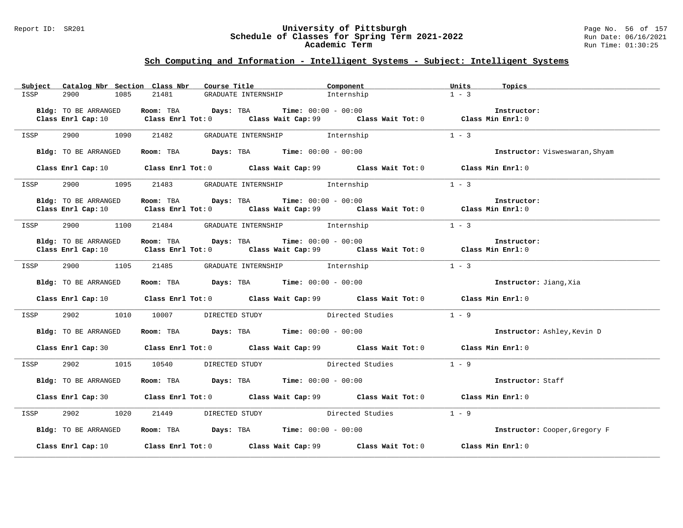#### Report ID: SR201 **University of Pittsburgh** Page No. 56 of 157 **Schedule of Classes for Spring Term 2021-2022** Run Date: 06/16/2021 **Academic Term** Run Time: 01:30:25

| Subject Catalog Nbr Section Class Nbr | Course Title <b>Sourse In the Sea</b>                                                                                                                         | Component  | Units<br>Topics                |
|---------------------------------------|---------------------------------------------------------------------------------------------------------------------------------------------------------------|------------|--------------------------------|
| ISSP<br>2900<br>1085                  | GRADUATE INTERNSHIP<br>21481                                                                                                                                  | Internship | $1 - 3$                        |
| Bldg: TO BE ARRANGED                  | Room: TBA $Days:$ TBA $Time: 00:00 - 00:00$                                                                                                                   |            | Instructor:                    |
|                                       | Class Enrl Cap: 10 Class Enrl Tot: 0 Class Wait Cap: 99 Class Wait Tot: 0 Class Min Enrl: 0                                                                   |            |                                |
|                                       |                                                                                                                                                               |            |                                |
| 2900 1090 21482<br>ISSP               | GRADUATE INTERNSHIP 1nternship                                                                                                                                |            | $1 - 3$                        |
| Bldg: TO BE ARRANGED                  | Room: TBA $Days:$ TBA Time: $00:00 - 00:00$                                                                                                                   |            | Instructor: Visweswaran, Shyam |
|                                       | Class Enrl Cap: 10 Class Enrl Tot: 0 Class Wait Cap: 99 Class Wait Tot: 0 Class Min Enrl: 0                                                                   |            |                                |
| ISSP                                  | 2900 1095 21483 GRADUATE INTERNSHIP Internship                                                                                                                |            | $1 - 3$                        |
|                                       |                                                                                                                                                               |            |                                |
| Bldg: TO BE ARRANGED                  | Room: TBA $Days: TBA$ Time: $00:00 - 00:00$<br>Class Enrl Cap: 10 Class Enrl Tot: 0 Class Wait Cap: 99 Class Wait Tot: 0 Class Min Enrl: 0                    |            | Instructor:                    |
|                                       |                                                                                                                                                               |            |                                |
| ISSP                                  | 2900 1100 21484 GRADUATE INTERNSHIP Internship                                                                                                                |            | $1 - 3$                        |
|                                       |                                                                                                                                                               |            |                                |
| Bldg: TO BE ARRANGED                  | Room: TBA $\rule{1em}{0.15mm}$ Days: TBA Time: $00:00 - 00:00$<br>Class Enrl Cap: 10 Class Enrl Tot: 0 Class Wait Cap: 99 Class Wait Tot: 0 Class Min Enrl: 0 |            | Instructor:                    |
|                                       |                                                                                                                                                               |            |                                |
| ISSP                                  | 2900 1105 21485 GRADUATE INTERNSHIP Internship                                                                                                                |            | $1 - 3$                        |
| Bldg: TO BE ARRANGED                  | Room: TBA $\rule{1em}{0.15mm}$ Days: TBA Time: $00:00 - 00:00$                                                                                                |            | Instructor: Jiang, Xia         |
|                                       |                                                                                                                                                               |            |                                |
|                                       | Class Enrl Cap: 10 Class Enrl Tot: 0 Class Wait Cap: 99 Class Wait Tot: 0 Class Min Enrl: 0                                                                   |            |                                |
| 2902<br>ISSP                          | 1010 10007 DIRECTED STUDY Directed Studies                                                                                                                    |            | $1 - 9$                        |
| Bldg: TO BE ARRANGED                  | Room: TBA Days: TBA Time: $00:00 - 00:00$                                                                                                                     |            | Instructor: Ashley, Kevin D    |
|                                       | Class Enrl Cap: 30 Class Enrl Tot: 0 Class Wait Cap: 99 Class Wait Tot: 0 Class Min Enrl: 0                                                                   |            |                                |
| ISSP                                  | 2902 1015 10540 DIRECTED STUDY Directed Studies 1 - 9                                                                                                         |            |                                |
| Bldg: TO BE ARRANGED                  | Room: TBA $\rule{1em}{0.15mm}$ Days: TBA Time: $00:00 - 00:00$                                                                                                |            | Instructor: Staff              |
|                                       | Class Enrl Cap: 30 Class Enrl Tot: 0 Class Wait Cap: 99 Class Wait Tot: 0 Class Min Enrl: 0                                                                   |            |                                |
| ISSP                                  | 2902 1020 21449 DIRECTED STUDY Directed Studies                                                                                                               |            | $1 - 9$                        |
| Bldg: TO BE ARRANGED                  | Room: TBA $\rule{1em}{0.15mm}$ Days: TBA Time: $00:00 - 00:00$                                                                                                |            | Instructor: Cooper, Gregory F  |
|                                       | Class Enrl Cap: 10 Class Enrl Tot: 0 Class Wait Cap: 99 Class Wait Tot: 0 Class Min Enrl: 0                                                                   |            |                                |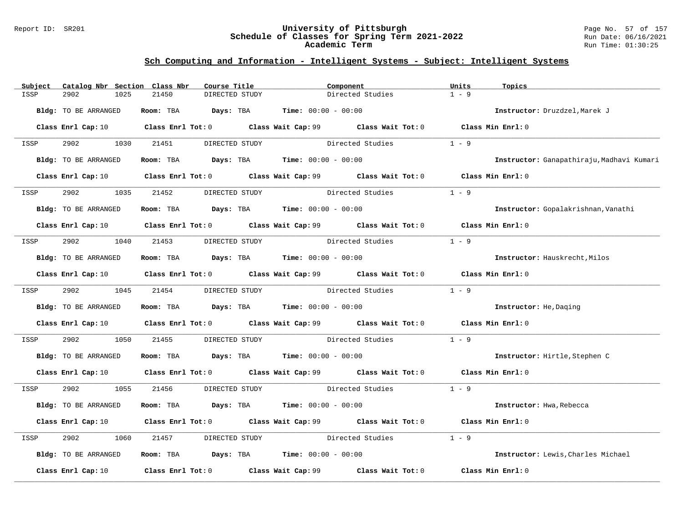#### Report ID: SR201 **University of Pittsburgh** Page No. 57 of 157 **Schedule of Classes for Spring Term 2021-2022** Run Date: 06/16/2021 **Academic Term** Run Time: 01:30:25

| Subject | Catalog Nbr Section Class Nbr | Course Title                                                   |                                               | Component                                                                                                                       | Units<br>Topics                           |  |
|---------|-------------------------------|----------------------------------------------------------------|-----------------------------------------------|---------------------------------------------------------------------------------------------------------------------------------|-------------------------------------------|--|
| ISSP    | 2902<br>1025                  | 21450                                                          | DIRECTED STUDY                                | Directed Studies                                                                                                                | $1 - 9$                                   |  |
|         | Bldg: TO BE ARRANGED          | Room: TBA                                                      | <b>Days:</b> TBA <b>Time:</b> $00:00 - 00:00$ |                                                                                                                                 | Instructor: Druzdzel, Marek J             |  |
|         |                               |                                                                |                                               | Class Enrl Cap: 10 $\qquad$ Class Enrl Tot: 0 $\qquad$ Class Wait Cap: 99 $\qquad$ Class Wait Tot: 0 $\qquad$ Class Min Enrl: 0 |                                           |  |
| ISSP    | 2902<br>1030                  | 21451                                                          | DIRECTED STUDY                                | Directed Studies                                                                                                                | $1 - 9$                                   |  |
|         | Bldg: TO BE ARRANGED          | Room: TBA $Days: TBA$ Time: $00:00 - 00:00$                    |                                               |                                                                                                                                 | Instructor: Ganapathiraju, Madhavi Kumari |  |
|         |                               |                                                                |                                               | Class Enrl Cap: 10 $\qquad$ Class Enrl Tot: 0 $\qquad$ Class Wait Cap: 99 $\qquad$ Class Wait Tot: 0 $\qquad$ Class Min Enrl: 0 |                                           |  |
| ISSP    | 2902<br>1035                  | 21452                                                          | DIRECTED STUDY                                | Directed Studies                                                                                                                | $1 - 9$                                   |  |
|         | Bldg: TO BE ARRANGED          | Room: TBA $\rule{1em}{0.15mm}$ Days: TBA Time: $00:00 - 00:00$ |                                               |                                                                                                                                 | Instructor: Gopalakrishnan, Vanathi       |  |
|         |                               |                                                                |                                               | Class Enrl Cap: 10 Class Enrl Tot: 0 Class Wait Cap: 99 Class Wait Tot: 0 Class Min Enrl: 0                                     |                                           |  |
| ISSP    | 2902                          | 1040 21453                                                     | DIRECTED STUDY                                | Directed Studies                                                                                                                | $1 - 9$                                   |  |
|         | Bldg: TO BE ARRANGED          | Room: TBA $Days:$ TBA $Time: 00:00 - 00:00$                    |                                               |                                                                                                                                 | Instructor: Hauskrecht, Milos             |  |
|         |                               |                                                                |                                               | Class Enrl Cap: 10 Class Enrl Tot: 0 Class Wait Cap: 99 Class Wait Tot: 0 Class Min Enrl: 0                                     |                                           |  |
| ISSP    | 2902 1045 21454               |                                                                | DIRECTED STUDY                                | Directed Studies                                                                                                                | $1 - 9$                                   |  |
|         | Bldg: TO BE ARRANGED          | Room: TBA $Days:$ TBA $Time: 00:00 - 00:00$                    |                                               |                                                                                                                                 | Instructor: He, Daging                    |  |
|         |                               |                                                                |                                               | Class Enrl Cap: 10 Class Enrl Tot: 0 Class Wait Cap: 99 Class Wait Tot: 0 Class Min Enrl: 0                                     |                                           |  |
| ISSP    | 2902<br>1050                  | 21455                                                          |                                               | DIRECTED STUDY Directed Studies                                                                                                 | $1 - 9$                                   |  |
|         | Bldg: TO BE ARRANGED          | Room: TBA $Days:$ TBA $Time: 00:00 - 00:00$                    |                                               |                                                                                                                                 | Instructor: Hirtle, Stephen C             |  |
|         |                               |                                                                |                                               | Class Enrl Cap: 10 Class Enrl Tot: 0 Class Wait Cap: 99 Class Wait Tot: 0 Class Min Enrl: 0                                     |                                           |  |
| ISSP    | 2902<br>1055                  | 21456                                                          |                                               | DIRECTED STUDY Directed Studies 1 - 9                                                                                           |                                           |  |
|         | Bldg: TO BE ARRANGED          | Room: TBA $Days:$ TBA $Time: 00:00 - 00:00$                    |                                               |                                                                                                                                 | Instructor: Hwa, Rebecca                  |  |
|         |                               |                                                                |                                               | Class Enrl Cap: 10 $\qquad$ Class Enrl Tot: 0 $\qquad$ Class Wait Cap: 99 $\qquad$ Class Wait Tot: 0 $\qquad$ Class Min Enrl: 0 |                                           |  |
| ISSP    | 2902<br>1060                  | 21457                                                          | DIRECTED STUDY                                | Directed Studies                                                                                                                | $1 - 9$                                   |  |
|         | Bldg: TO BE ARRANGED          | Room: TBA $Days: TBA$ Time: $00:00 - 00:00$                    |                                               |                                                                                                                                 | Instructor: Lewis, Charles Michael        |  |
|         | Class Enrl Cap: 10            |                                                                |                                               | Class Enrl Tot: $0$ Class Wait Cap: $99$ Class Wait Tot: $0$                                                                    | Class Min Enrl: 0                         |  |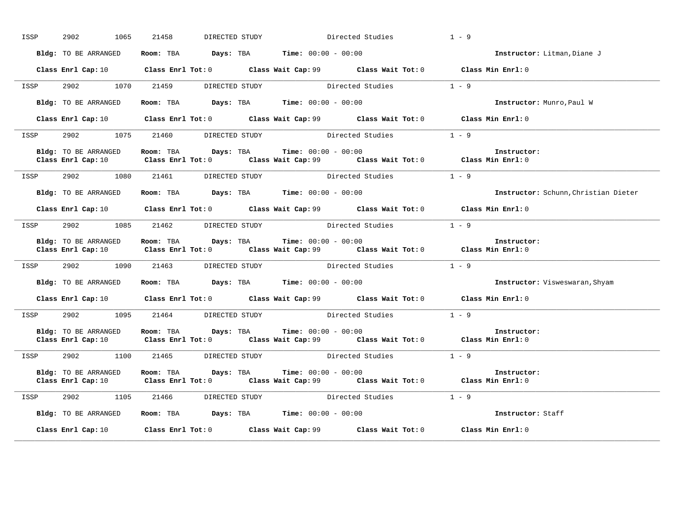| ISSP | 2902<br>1065         | 21458<br>DIRECTED STUDY                                                                                                                                                                      |  | Directed Studies | $1 - 9$                              |
|------|----------------------|----------------------------------------------------------------------------------------------------------------------------------------------------------------------------------------------|--|------------------|--------------------------------------|
|      | Bldg: TO BE ARRANGED | Room: TBA $Days: TBA$ Time: $00:00 - 00:00$                                                                                                                                                  |  |                  | Instructor: Litman, Diane J          |
|      |                      | Class Enrl Cap: 10 Class Enrl Tot: 0 Class Wait Cap: 99 Class Wait Tot: 0 Class Min Enrl: 0                                                                                                  |  |                  |                                      |
| ISSP |                      | 2902 1070 21459 DIRECTED STUDY                                                                                                                                                               |  | Directed Studies | $1 - 9$                              |
|      | Bldg: TO BE ARRANGED | Room: TBA $Days: TBA$ Time: $00:00 - 00:00$                                                                                                                                                  |  |                  | Instructor: Munro, Paul W            |
|      |                      | Class Enrl Cap: 10 Class Enrl Tot: 0 Class Wait Cap: 99 Class Wait Tot: 0 Class Min Enrl: 0                                                                                                  |  |                  |                                      |
| ISSP |                      | 2902 1075 21460 DIRECTED STUDY Directed Studies                                                                                                                                              |  |                  | $1 - 9$                              |
|      | Bldg: TO BE ARRANGED | <b>Room:</b> TBA $Days: TBA$ <b>Time:</b> $00:00 - 00:00$<br>Class Enrl Cap: 10 $\qquad$ Class Enrl Tot: 0 $\qquad$ Class Wait Cap: 99 $\qquad$ Class Wait Tot: 0 $\qquad$ Class Min Enrl: 0 |  |                  | Instructor:                          |
| ISSP |                      | 2902 1080 21461 DIRECTED STUDY Directed Studies 1 - 9                                                                                                                                        |  |                  |                                      |
|      | Bldg: TO BE ARRANGED | Room: TBA $Days:$ TBA Time: $00:00 - 00:00$                                                                                                                                                  |  |                  | Instructor: Schunn, Christian Dieter |
|      |                      | Class Enrl Cap: 10 Class Enrl Tot: 0 Class Wait Cap: 99 Class Wait Tot: 0 Class Min Enrl: 0                                                                                                  |  |                  |                                      |
|      |                      | ISSP 2902 1085 21462 DIRECTED STUDY Directed Studies 1 - 9                                                                                                                                   |  |                  |                                      |
|      | Bldg: TO BE ARRANGED | Room: TBA $Days:$ TBA $Time: 00:00 - 00:00$<br>Class Enrl Cap: 10 $\qquad$ Class Enrl Tot: 0 $\qquad$ Class Wait Cap: 99 $\qquad$ Class Wait Tot: 0 $\qquad$ Class Min Enrl: 0               |  |                  | Instructor:                          |
| ISSP |                      | 2902 1090 21463 DIRECTED STUDY Directed Studies                                                                                                                                              |  |                  | $1 - 9$                              |
|      | Bldg: TO BE ARRANGED | Room: TBA $Days:$ TBA $Time:$ $00:00 - 00:00$                                                                                                                                                |  |                  | Instructor: Visweswaran, Shyam       |
|      |                      | Class Enrl Cap: 10 $\qquad$ Class Enrl Tot: 0 $\qquad$ Class Wait Cap: 99 $\qquad$ Class Wait Tot: 0 $\qquad$ Class Min Enrl: 0                                                              |  |                  |                                      |
| ISSP |                      | 2902 1095 21464 DIRECTED STUDY Directed Studies 1 - 9                                                                                                                                        |  |                  |                                      |
|      | Bldg: TO BE ARRANGED | Room: TBA $Days:$ TBA $Time: 00:00 - 00:00$<br>Class Enrl Cap: 10 Class Enrl Tot: 0 Class Wait Cap: 99 Class Wait Tot: 0 Class Min Enrl: 0                                                   |  |                  | Instructor:                          |
|      |                      | ISSP 2902 1100 21465 DIRECTED STUDY Directed Studies 1 - 9                                                                                                                                   |  |                  |                                      |
|      | Bldg: TO BE ARRANGED | Room: TBA $Days:$ TBA $Time: 00:00 - 00:00$<br>Class Enrl Cap: 10 $\qquad$ Class Enrl Tot: 0 $\qquad$ Class Wait Cap: 99 $\qquad$ Class Wait Tot: 0 $\qquad$ Class Min Enrl: 0               |  |                  | Instructor:                          |
| ISSP |                      | 2902 1105 21466 DIRECTED STUDY Directed Studies 1 - 9                                                                                                                                        |  |                  |                                      |
|      | Bldg: TO BE ARRANGED | Room: TBA $Days:$ TBA $Time:$ $00:00 - 00:00$                                                                                                                                                |  |                  | Instructor: Staff                    |
|      | Class Enrl Cap: 10   | Class Enrl Tot: $0$ Class Wait Cap: $99$ Class Wait Tot: $0$                                                                                                                                 |  |                  | Class Min Enrl: 0                    |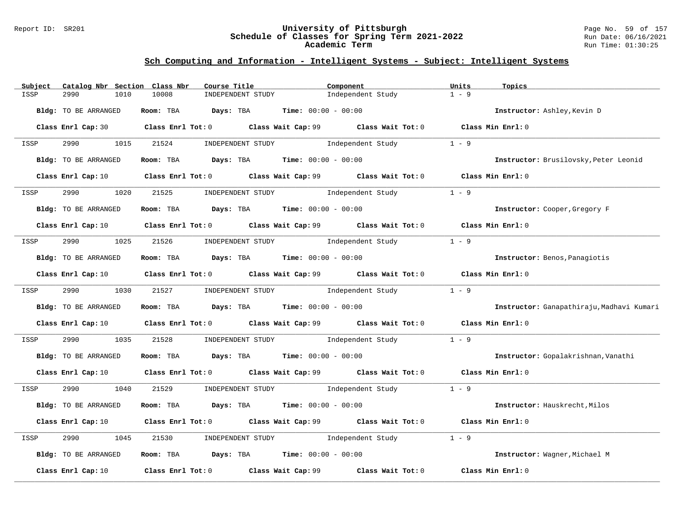#### Report ID: SR201 **University of Pittsburgh** Page No. 59 of 157 **Schedule of Classes for Spring Term 2021-2022** Run Date: 06/16/2021 **Academic Term** Run Time: 01:30:25

| Catalog Nbr Section Class Nbr<br>Subject | Course Title                                                                                                                    | Component                           | Units<br>Topics                           |
|------------------------------------------|---------------------------------------------------------------------------------------------------------------------------------|-------------------------------------|-------------------------------------------|
| ISSP<br>2990<br>1010                     | 10008<br>INDEPENDENT STUDY                                                                                                      | Independent Study                   | $1 - 9$                                   |
| Bldg: TO BE ARRANGED                     | Room: TBA $Days:$ TBA $Time: 00:00 - 00:00$                                                                                     |                                     | Instructor: Ashley, Kevin D               |
|                                          | Class Enrl Cap: 30 $\qquad$ Class Enrl Tot: 0 $\qquad$ Class Wait Cap: 99 $\qquad$ Class Wait Tot: 0                            |                                     | Class Min Enrl: 0                         |
| 2990 700<br>1015<br>ISSP                 | 21524                                                                                                                           | INDEPENDENT STUDY 1ndependent Study | $1 - 9$                                   |
| <b>Bldg:</b> TO BE ARRANGED              | Room: TBA $Days:$ TBA $Time: 00:00 - 00:00$                                                                                     |                                     | Instructor: Brusilovsky, Peter Leonid     |
|                                          | Class Enrl Cap: 10 $\qquad$ Class Enrl Tot: 0 $\qquad$ Class Wait Cap: 99 $\qquad$ Class Wait Tot: 0 $\qquad$ Class Min Enrl: 0 |                                     |                                           |
| 2990<br>1020<br>ISSP                     | 21525                                                                                                                           | INDEPENDENT STUDY 1ndependent Study | $1 - 9$                                   |
| Bldg: TO BE ARRANGED                     | Room: TBA $Days: TBA$ Time: $00:00 - 00:00$                                                                                     |                                     | Instructor: Cooper, Gregory F             |
|                                          | Class Enrl Cap: 10 $\qquad$ Class Enrl Tot: 0 $\qquad$ Class Wait Cap: 99 $\qquad$ Class Wait Tot: 0 $\qquad$ Class Min Enrl: 0 |                                     |                                           |
| 2990<br>ISSP                             | 1025 21526 INDEPENDENT STUDY Independent Study                                                                                  |                                     | $1 - 9$                                   |
| <b>Bldg:</b> TO BE ARRANGED              | Room: TBA $Days: TBA$ Time: $00:00 - 00:00$                                                                                     |                                     | Instructor: Benos, Panagiotis             |
|                                          | Class Enrl Cap: 10 $\qquad$ Class Enrl Tot: 0 $\qquad$ Class Wait Cap: 99 $\qquad$ Class Wait Tot: 0 $\qquad$ Class Min Enrl: 0 |                                     |                                           |
| 2990 1030 21527<br>ISSP                  |                                                                                                                                 | INDEPENDENT STUDY 1ndependent Study | $1 - 9$                                   |
| Bldg: TO BE ARRANGED                     | Room: TBA $Days:$ TBA $Time: 00:00 - 00:00$                                                                                     |                                     | Instructor: Ganapathiraju, Madhavi Kumari |
|                                          | Class Enrl Cap: 10 Class Enrl Tot: 0 Class Wait Cap: 99 Class Wait Tot: 0                                                       |                                     | Class Min Enrl: 0                         |
| 2990<br>1035<br>ISSP                     | 21528                                                                                                                           | INDEPENDENT STUDY 1ndependent Study | $1 - 9$                                   |
| <b>Bldg:</b> TO BE ARRANGED              | Room: TBA $\rule{1em}{0.15mm}$ Days: TBA Time: $00:00 - 00:00$                                                                  |                                     | Instructor: Gopalakrishnan, Vanathi       |
|                                          | Class Enrl Cap: 10 $\qquad$ Class Enrl Tot: 0 $\qquad$ Class Wait Cap: 99 $\qquad$ Class Wait Tot: 0 $\qquad$ Class Min Enrl: 0 |                                     |                                           |
| 2990 1040<br>ISSP                        | 21529                                                                                                                           | INDEPENDENT STUDY 1 - 9             |                                           |
| Bldg: TO BE ARRANGED                     | Room: TBA $Days:$ TBA $Time: 00:00 - 00:00$                                                                                     |                                     | Instructor: Hauskrecht, Milos             |
|                                          | Class Enrl Cap: 10 $\qquad$ Class Enrl Tot: 0 $\qquad$ Class Wait Cap: 99 $\qquad$ Class Wait Tot: 0                            |                                     | Class Min Enrl: 0                         |
| 2990<br>1045<br>ISSP                     | 21530                                                                                                                           | INDEPENDENT STUDY 1ndependent Study | $1 - 9$                                   |
| Bldg: TO BE ARRANGED                     | Room: TBA $Days:$ TBA $Time: 00:00 - 00:00$                                                                                     |                                     | Instructor: Wagner, Michael M             |
| Class Enrl Cap: 10                       | Class Enrl Tot: 0 Class Wait Cap: 99                                                                                            | Class Wait Tot: 0                   | Class Min Enrl: 0                         |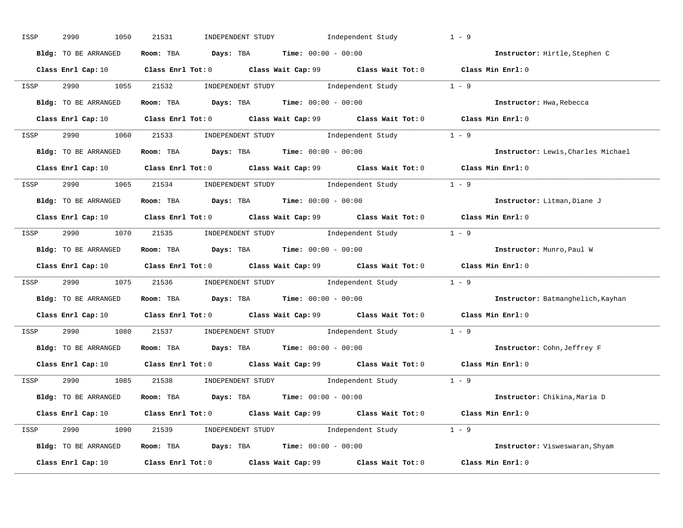| ISSP | 2990<br>1050         | Independent Study<br>21531<br>INDEPENDENT STUDY                                                                                 | $1 - 9$ |                                    |
|------|----------------------|---------------------------------------------------------------------------------------------------------------------------------|---------|------------------------------------|
|      | Bldg: TO BE ARRANGED | Room: TBA $Days:$ TBA $Time: 00:00 - 00:00$                                                                                     |         | Instructor: Hirtle, Stephen C      |
|      |                      | Class Enrl Cap: 10 Class Enrl Tot: 0 Class Wait Cap: 99 Class Wait Tot: 0 Class Min Enrl: 0                                     |         |                                    |
| ISSP |                      | 2990 1055 21532 INDEPENDENT STUDY Independent Study 1 - 9                                                                       |         |                                    |
|      | Bldg: TO BE ARRANGED | Room: TBA $Days:$ TBA $Time: 00:00 - 00:00$                                                                                     |         | Instructor: Hwa, Rebecca           |
|      |                      | Class Enrl Cap: 10 $\qquad$ Class Enrl Tot: 0 $\qquad$ Class Wait Cap: 99 $\qquad$ Class Wait Tot: 0 $\qquad$ Class Min Enrl: 0 |         |                                    |
|      |                      | ISSP 2990 1060 21533 INDEPENDENT STUDY Independent Study 1 - 9                                                                  |         |                                    |
|      |                      | Bldg: TO BE ARRANGED ROOM: TBA Days: TBA Time: 00:00 - 00:00                                                                    |         | Instructor: Lewis, Charles Michael |
|      |                      | Class Enrl Cap: 10 Class Enrl Tot: 0 Class Wait Cap: 99 Class Wait Tot: 0 Class Min Enrl: 0                                     |         |                                    |
| ISSP |                      | 2990 1065 21534 INDEPENDENT STUDY Independent Study 1 - 9                                                                       |         |                                    |
|      | Bldg: TO BE ARRANGED | Room: TBA $Days:$ TBA $Time: 00:00 - 00:00$                                                                                     |         | Instructor: Litman, Diane J        |
|      |                      | Class Enrl Cap: 10 $\qquad$ Class Enrl Tot: 0 $\qquad$ Class Wait Cap: 99 $\qquad$ Class Wait Tot: 0 $\qquad$ Class Min Enrl: 0 |         |                                    |
|      |                      | ISSP 2990 1070 21535 INDEPENDENT STUDY Independent Study 1 - 9                                                                  |         |                                    |
|      | Bldg: TO BE ARRANGED | Room: TBA $Days:$ TBA $Time: 00:00 - 00:00$                                                                                     |         | Instructor: Munro, Paul W          |
|      |                      | Class Enrl Cap: 10 $\qquad$ Class Enrl Tot: 0 $\qquad$ Class Wait Cap: 99 $\qquad$ Class Wait Tot: 0 $\qquad$ Class Min Enrl: 0 |         |                                    |
| ISSP |                      | 2990 1075 21536 INDEPENDENT STUDY Independent Study 1 - 9                                                                       |         |                                    |
|      | Bldg: TO BE ARRANGED | Room: TBA $Days:$ TBA $Time: 00:00 - 00:00$                                                                                     |         | Instructor: Batmanghelich, Kayhan  |
|      |                      | Class Enrl Cap: 10 $\qquad$ Class Enrl Tot: 0 $\qquad$ Class Wait Cap: 99 $\qquad$ Class Wait Tot: 0 $\qquad$ Class Min Enrl: 0 |         |                                    |
| ISSP |                      | 2990 1080 21537 INDEPENDENT STUDY Independent Study 1 - 9                                                                       |         |                                    |
|      | Bldg: TO BE ARRANGED | Room: TBA $Days: TBA$ Time: $00:00 - 00:00$                                                                                     |         | Instructor: Cohn, Jeffrey F        |
|      | Class Enrl Cap: 10   | Class Enrl Tot: 0 $\qquad$ Class Wait Cap: 99 $\qquad$ Class Wait Tot: 0 $\qquad$ Class Min Enrl: 0                             |         |                                    |
|      |                      | ISSP 2990 1085 21538 INDEPENDENT STUDY Independent Study 1 - 9                                                                  |         |                                    |
|      | Bldg: TO BE ARRANGED | Room: TBA $Days: TBA$ Time: $00:00 - 00:00$                                                                                     |         | Instructor: Chikina, Maria D       |
|      |                      | Class Enrl Cap: 10 $\qquad$ Class Enrl Tot: 0 $\qquad$ Class Wait Cap: 99 $\qquad$ Class Wait Tot: 0 $\qquad$ Class Min Enrl: 0 |         |                                    |
|      |                      | ISSP 2990 1090 21539 INDEPENDENT STUDY Independent Study 1 - 9                                                                  |         |                                    |
|      | Bldg: TO BE ARRANGED | Room: TBA $Days$ : TBA $Time: 00:00 - 00:00$                                                                                    |         | Instructor: Visweswaran, Shyam     |
|      |                      | Class Enrl Cap: 10 Class Enrl Tot: 0 Class Wait Cap: 99 Class Wait Tot: 0                                                       |         | Class Min Enrl: 0                  |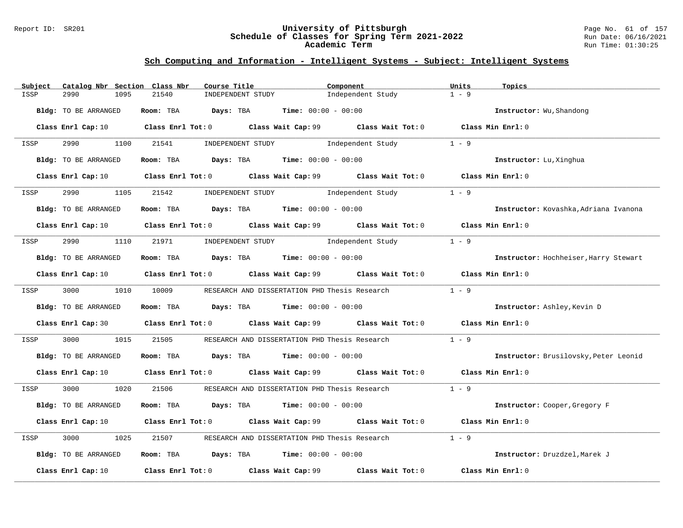#### Report ID: SR201 **University of Pittsburgh** Page No. 61 of 157 **Schedule of Classes for Spring Term 2021-2022** Run Date: 06/16/2021 **Academic Term** Run Time: 01:30:25

| Subject | Catalog Nbr Section Class Nbr | Course Title                                                                                                                    |                                                       | Component         | Units<br>Topics                       |  |
|---------|-------------------------------|---------------------------------------------------------------------------------------------------------------------------------|-------------------------------------------------------|-------------------|---------------------------------------|--|
| ISSP    | 2990<br>1095                  | 21540<br>INDEPENDENT STUDY                                                                                                      |                                                       | Independent Study | $1 - 9$                               |  |
|         | Bldg: TO BE ARRANGED          | Room: TBA                                                                                                                       | <b>Days:</b> TBA <b>Time:</b> $00:00 - 00:00$         |                   | Instructor: Wu, Shandong              |  |
|         |                               | Class Enrl Cap: 10 Class Enrl Tot: 0 Class Wait Cap: 99 Class Wait Tot: 0 Class Min Enrl: 0                                     |                                                       |                   |                                       |  |
| ISSP    | 2990 700<br>1100              | 21541                                                                                                                           | INDEPENDENT STUDY 1ndependent Study                   |                   | $1 - 9$                               |  |
|         | Bldg: TO BE ARRANGED          | Room: TBA $Days:$ TBA $Time: 00:00 - 00:00$                                                                                     |                                                       |                   | Instructor: Lu, Xinghua               |  |
|         |                               | Class Enrl Cap: 10 $\qquad$ Class Enrl Tot: 0 $\qquad$ Class Wait Cap: 99 $\qquad$ Class Wait Tot: 0 $\qquad$ Class Min Enrl: 0 |                                                       |                   |                                       |  |
| ISSP    | 1105<br>2990                  | 21542                                                                                                                           | INDEPENDENT STUDY 1ndependent Study                   |                   | $1 - 9$                               |  |
|         | Bldg: TO BE ARRANGED          | Room: TBA $Days:$ TBA $Time: 00:00 - 00:00$                                                                                     |                                                       |                   | Instructor: Kovashka, Adriana Ivanona |  |
|         |                               | Class Enrl Cap: 10 $\qquad$ Class Enrl Tot: 0 $\qquad$ Class Wait Cap: 99 $\qquad$ Class Wait Tot: 0 $\qquad$ Class Min Enrl: 0 |                                                       |                   |                                       |  |
| ISSP    | 2990                          | 1110 21971                                                                                                                      | INDEPENDENT STUDY 1ndependent Study                   |                   | $1 - 9$                               |  |
|         | Bldg: TO BE ARRANGED          | Room: TBA $Days:$ TBA Time: $00:00 - 00:00$                                                                                     |                                                       |                   | Instructor: Hochheiser, Harry Stewart |  |
|         |                               | Class Enrl Cap: 10 $\qquad$ Class Enrl Tot: 0 $\qquad$ Class Wait Cap: 99 $\qquad$ Class Wait Tot: 0 $\qquad$ Class Min Enrl: 0 |                                                       |                   |                                       |  |
| ISSP    | 3000 000                      | 1010 10009                                                                                                                      | RESEARCH AND DISSERTATION PHD Thesis Research         |                   | $1 - 9$                               |  |
|         | Bldg: TO BE ARRANGED          | Room: TBA $Days:$ TBA $Time: 00:00 - 00:00$                                                                                     |                                                       |                   | Instructor: Ashley, Kevin D           |  |
|         |                               | Class Enrl Cap: 30 Class Enrl Tot: 0 Class Wait Cap: 99 Class Wait Tot: 0 Class Min Enrl: 0                                     |                                                       |                   |                                       |  |
| ISSP    | 3000<br>1015                  | 21505                                                                                                                           | RESEARCH AND DISSERTATION PHD Thesis Research         |                   | $1 - 9$                               |  |
|         | Bldg: TO BE ARRANGED          | Room: TBA $\rule{1em}{0.15mm}$ Days: TBA $\rule{1.15mm}]{0.15mm}$ Time: $0.000 - 0.0000$                                        |                                                       |                   | Instructor: Brusilovsky, Peter Leonid |  |
|         |                               | Class Enrl Cap: 10 $\qquad$ Class Enrl Tot: 0 $\qquad$ Class Wait Cap: 99 $\qquad$ Class Wait Tot: 0 $\qquad$ Class Min Enrl: 0 |                                                       |                   |                                       |  |
| ISSP    | 3000 1020                     | 21506                                                                                                                           | RESEARCH AND DISSERTATION PHD Thesis Research $1 - 9$ |                   |                                       |  |
|         | Bldg: TO BE ARRANGED          | Room: TBA $Days:$ TBA $Time: 00:00 - 00:00$                                                                                     |                                                       |                   | Instructor: Cooper, Gregory F         |  |
|         |                               | Class Enrl Cap: 10 Class Enrl Tot: 0 Class Wait Cap: 99 Class Wait Tot: 0                                                       |                                                       |                   | Class Min Enrl: 0                     |  |
| ISSP    | 3000<br>1025                  | 21507                                                                                                                           | RESEARCH AND DISSERTATION PHD Thesis Research         |                   | $1 - 9$                               |  |
|         | Bldg: TO BE ARRANGED          | Room: TBA $Days:$ TBA Time: $00:00 - 00:00$                                                                                     |                                                       |                   | Instructor: Druzdzel, Marek J         |  |
|         | Class Enrl Cap: 10            | Class Enrl Tot: 0 Class Wait Cap: 99                                                                                            |                                                       | Class Wait Tot: 0 | Class Min Enrl: 0                     |  |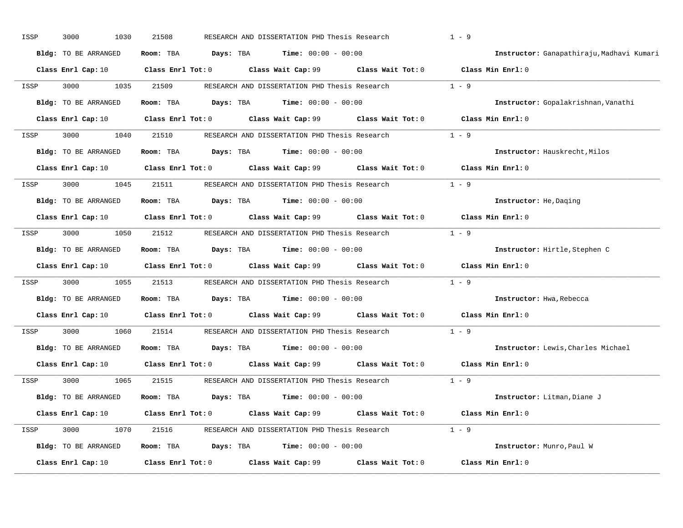| ISSP | 3000<br>1030                | 21508                   |                    | RESEARCH AND DISSERTATION PHD Thesis Research |                                                        | $1 - 9$                                   |
|------|-----------------------------|-------------------------|--------------------|-----------------------------------------------|--------------------------------------------------------|-------------------------------------------|
|      | Bldg: TO BE ARRANGED        | Room: TBA               | Days: TBA          | <b>Time:</b> $00:00 - 00:00$                  |                                                        | Instructor: Ganapathiraju, Madhavi Kumari |
|      | Class Enrl Cap: 10          | $Class$ $Enr1$ $Tot: 0$ |                    | Class Wait Cap: 99                            |                                                        | Class Wait Tot: 0 Class Min Enrl: 0       |
| ISSP | 3000<br>1035                | 21509                   |                    | RESEARCH AND DISSERTATION PHD Thesis Research |                                                        | $1 - 9$                                   |
|      | <b>Bldg:</b> TO BE ARRANGED | Room: TBA               | Days: TBA          | <b>Time:</b> $00:00 - 00:00$                  |                                                        | Instructor: Gopalakrishnan, Vanathi       |
|      | Class Enrl Cap: 10          | Class Enrl Tot: 0       |                    |                                               | Class Wait Cap: 99 Class Wait Tot: 0 Class Min Enrl: 0 |                                           |
| ISSP | 3000<br>1040                | 21510                   |                    |                                               | RESEARCH AND DISSERTATION PHD Thesis Research 1 - 9    |                                           |
|      | <b>Bldg:</b> TO BE ARRANGED | Room: TBA               | Days: TBA          | <b>Time:</b> $00:00 - 00:00$                  |                                                        | Instructor: Hauskrecht, Milos             |
|      | Class Enrl Cap: 10          | $Class$ $Enr1$ $Tot: 0$ |                    |                                               | Class Wait Cap: 99 Class Wait Tot: 0                   | Class Min Enrl: 0                         |
| ISSP | 3000<br>1045                | 21511                   |                    | RESEARCH AND DISSERTATION PHD Thesis Research |                                                        | $1 - 9$                                   |
|      | <b>Bldg:</b> TO BE ARRANGED | Room: TBA               | Days: TBA          | $Time: 00:00 - 00:00$                         |                                                        | Instructor: He, Daging                    |
|      | Class Enrl Cap: 10          | Class Enrl Tot: 0       |                    |                                               | Class Wait Cap: 99 Class Wait Tot: 0                   | Class Min Enrl: 0                         |
| ISSP | 3000<br>1050                | 21512                   |                    | RESEARCH AND DISSERTATION PHD Thesis Research |                                                        | $1 - 9$                                   |
|      | <b>Bldg:</b> TO BE ARRANGED | Room: TBA               | Days: TBA          | $Time: 00:00 - 00:00$                         |                                                        | Instructor: Hirtle, Stephen C             |
|      | Class Enrl Cap: 10          | $Class$ $Enr1$ $Tot: 0$ |                    |                                               | Class Wait Cap: 99 Class Wait Tot: 0                   | Class Min Enrl: 0                         |
| ISSP | 3000<br>1055                | 21513                   |                    | RESEARCH AND DISSERTATION PHD Thesis Research |                                                        | $1 - 9$                                   |
|      | <b>Bldg:</b> TO BE ARRANGED | Room: TBA               |                    | <b>Days:</b> TBA <b>Time:</b> $00:00 - 00:00$ |                                                        | Instructor: Hwa, Rebecca                  |
|      | Class Enrl Cap: 10          | $Class$ $Enrl$ $Tot: 0$ |                    | Class Wait Cap: 99                            | Class Wait Tot: 0                                      | Class Min Enrl: 0                         |
| ISSP | 3000<br>1060                | 21514                   |                    | RESEARCH AND DISSERTATION PHD Thesis Research |                                                        | $1 - 9$                                   |
|      | Bldg: TO BE ARRANGED        | Room: TBA               |                    | <b>Days:</b> TBA <b>Time:</b> $00:00 - 00:00$ |                                                        | Instructor: Lewis, Charles Michael        |
|      | Class Enrl Cap: 10          | Class Enrl Tot: 0       |                    | Class Wait Cap: 99                            | Class Wait Tot: 0                                      | Class Min $Enr1:0$                        |
| ISSP | 3000<br>1065                | 21515                   |                    | RESEARCH AND DISSERTATION PHD Thesis Research |                                                        | $1 - 9$                                   |
|      | <b>Bldg:</b> TO BE ARRANGED | Room: TBA               | Days: TBA          | <b>Time:</b> $00:00 - 00:00$                  |                                                        | Instructor: Litman, Diane J               |
|      | Class Enrl Cap: 10          | Class Enrl Tot: 0       |                    | Class Wait Cap: 99                            |                                                        | Class Wait Tot: 0 Class Min Enrl: 0       |
| ISSP | 3000<br>1070                | 21516                   |                    |                                               | RESEARCH AND DISSERTATION PHD Thesis Research 1 - 9    |                                           |
|      | Bldg: TO BE ARRANGED        | Room: TBA               |                    | <b>Days:</b> TBA <b>Time:</b> $00:00 - 00:00$ |                                                        | Instructor: Munro, Paul W                 |
|      | Class Enrl Cap: 10          | Class Enrl Tot: 0       | Class Wait Cap: 99 |                                               |                                                        |                                           |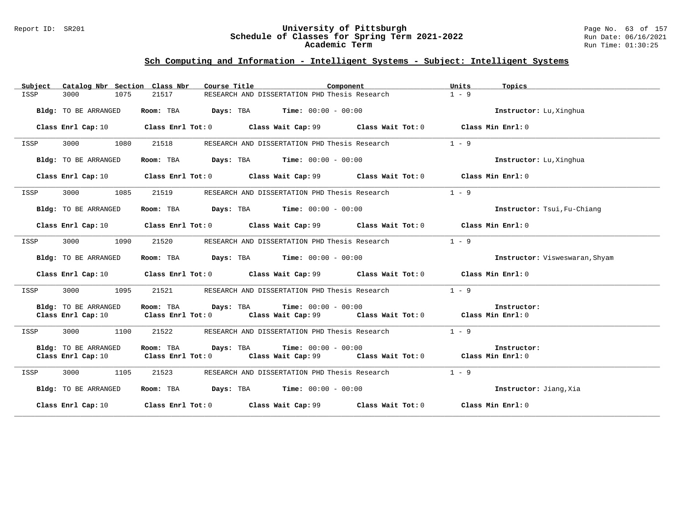#### Report ID: SR201 **University of Pittsburgh** Page No. 63 of 157 **Schedule of Classes for Spring Term 2021-2022** Run Date: 06/16/2021 **Academic Term** Run Time: 01:30:25

| Catalog Nbr Section Class Nbr<br>Subject | Course Title                                                                                         | Component<br>Units                                     | Topics                         |
|------------------------------------------|------------------------------------------------------------------------------------------------------|--------------------------------------------------------|--------------------------------|
| 3000<br>1075<br>ISSP                     | RESEARCH AND DISSERTATION PHD Thesis Research<br>21517                                               | $1 - 9$                                                |                                |
| Bldg: TO BE ARRANGED                     | <b>Days:</b> TBA <b>Time:</b> $00:00 - 00:00$<br>Room: TBA                                           |                                                        | Instructor: Lu, Xinghua        |
|                                          | Class Enrl Cap: 10 Class Enrl Tot: 0 Class Wait Cap: 99 Class Wait Tot: 0 Class Min Enrl: 0          |                                                        |                                |
| 3000<br>1080<br>ISSP                     | 21518<br>RESEARCH AND DISSERTATION PHD Thesis Research                                               | $1 - 9$                                                |                                |
| Bldg: TO BE ARRANGED                     | Room: TBA $Days:$ TBA $Time: 00:00 - 00:00$                                                          |                                                        | Instructor: Lu, Xinghua        |
| Class Enrl Cap: 10                       | Class Enrl Tot: $0$ Class Wait Cap: $99$ Class Wait Tot: $0$                                         |                                                        | Class Min Enrl: 0              |
| 3000<br>1085<br>ISSP                     | RESEARCH AND DISSERTATION PHD Thesis Research<br>21519                                               | $1 - 9$                                                |                                |
| Bldg: TO BE ARRANGED                     | Room: TBA $Days:$ TBA $Time: 00:00 - 00:00$                                                          |                                                        | Instructor: Tsui, Fu-Chiang    |
|                                          | Class Enrl Cap: 10 Class Enrl Tot: 0 Class Wait Cap: 99 Class Wait Tot: 0 Class Min Enrl: 0          |                                                        |                                |
| 3000<br>1090<br>ISSP                     | 21520<br>RESEARCH AND DISSERTATION PHD Thesis Research                                               | $1 - 9$                                                |                                |
| Bldg: TO BE ARRANGED                     | Room: TBA $\rule{1em}{0.15mm}$ Days: TBA $\rule{1em}{0.15mm}$ Time: $00:00 - 00:00$                  |                                                        | Instructor: Visweswaran, Shyam |
|                                          | Class Enrl Cap: 10 Class Enrl Tot: 0 Class Wait Cap: 99 Class Wait Tot: 0 Class Min Enrl: 0          |                                                        |                                |
| 3000<br>1095<br>ISSP                     | 21521<br>RESEARCH AND DISSERTATION PHD Thesis Research                                               | $1 - 9$                                                |                                |
| <b>Bldg:</b> TO BE ARRANGED              | Room: TBA<br><b>Days:</b> TBA <b>Time:</b> $00:00 - 00:00$                                           |                                                        | Instructor:                    |
|                                          | Class Enrl Cap: 10 Class Enrl Tot: 0 Class Wait Cap: 99 Class Wait Tot: 0 Class Min Enrl: 0          |                                                        |                                |
| 3000<br>1100<br>ISSP                     | 21522<br>RESEARCH AND DISSERTATION PHD Thesis Research                                               | $1 - 9$                                                |                                |
| Bldg: TO BE ARRANGED                     | Room: TBA<br>Days: TBA<br><b>Time:</b> $00:00 - 00:00$                                               |                                                        | Instructor:                    |
| Class Enrl Cap: 10                       | $Class$ $Enr1$ $Tot: 0$                                                                              | Class Wait Cap: 99 Class Wait Tot: 0 Class Min Enrl: 0 |                                |
| 3000<br>1105<br>ISSP                     | 21523<br>RESEARCH AND DISSERTATION PHD Thesis Research                                               | $1 - 9$                                                |                                |
| Bldg: TO BE ARRANGED                     | Room: TBA<br>$\texttt{Davis:}$ TBA $\texttt{Time:}$ 00:00 - 00:00                                    |                                                        | Instructor: Jiang, Xia         |
|                                          | Class Enrl Cap: 10 $\qquad$ Class Enrl Tot: 0 $\qquad$ Class Wait Cap: 99 $\qquad$ Class Wait Tot: 0 |                                                        | Class Min Enrl: 0              |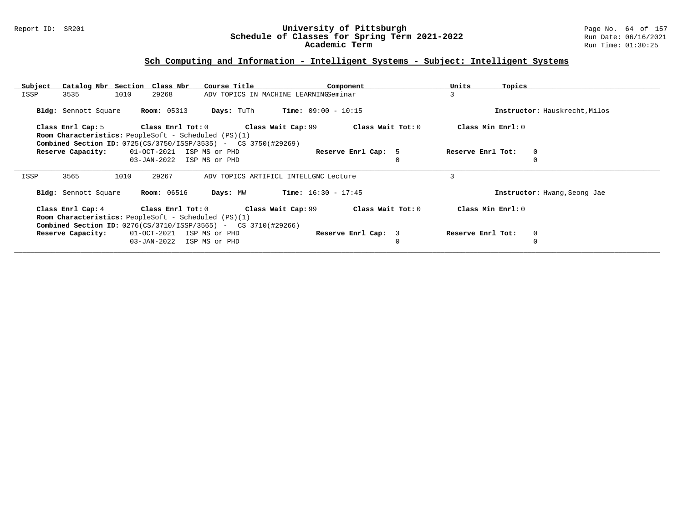#### Report ID: SR201 **University of Pittsburgh** Page No. 64 of 157 **Schedule of Classes for Spring Term 2021-2022** Run Date: 06/16/2021 **Academic Term** Run Time: 01:30:25

| Subject | Catalog Nbr Section Class Nbr                                             |             |                    | Course Title              |                                                        | Component                    |                     | Units<br>Topics   |                               |
|---------|---------------------------------------------------------------------------|-------------|--------------------|---------------------------|--------------------------------------------------------|------------------------------|---------------------|-------------------|-------------------------------|
| ISSP    | 3535                                                                      | 1010        | 29268              |                           | ADV TOPICS IN MACHINE LEARNINGSeminar                  |                              |                     | 3                 |                               |
|         | Bldg: Sennott Square                                                      |             | <b>Room: 05313</b> | <b>Days:</b> TuTh         |                                                        | <b>Time:</b> $09:00 - 10:15$ |                     |                   | Instructor: Hauskrecht, Milos |
|         |                                                                           |             |                    |                           | Class Enrl Cap: 5 Class Enrl Tot: 0 Class Wait Cap: 99 |                              | Class Wait Tot: 0   | Class Min Enrl: 0 |                               |
|         | <b>Room Characteristics:</b> PeopleSoft - Scheduled (PS)(1)               |             |                    |                           |                                                        |                              |                     |                   |                               |
|         | <b>Combined Section ID:</b> $0725(CS/3750/ISBNSSP/3535) - CS3750(#29269)$ |             |                    |                           |                                                        |                              |                     |                   |                               |
|         | Reserve Capacity:                                                         |             |                    | 01-OCT-2021 ISP MS or PHD |                                                        | Reserve Enrl Cap: 5          |                     | Reserve Enrl Tot: | $\mathbf{0}$                  |
|         |                                                                           | 03-JAN-2022 |                    | ISP MS or PHD             |                                                        |                              |                     |                   |                               |
| ISSP    | 3565                                                                      | 1010        | 29267              |                           | ADV TOPICS ARTIFICL INTELLGNC Lecture                  |                              |                     | 3                 |                               |
|         |                                                                           |             |                    |                           |                                                        |                              |                     |                   |                               |
|         | Bldg: Sennott Square                                                      |             | <b>Room:</b> 06516 | Days: MW                  |                                                        | <b>Time:</b> $16:30 - 17:45$ |                     |                   | Instructor: Hwang, Seong Jae  |
|         | Class Enrl Cap: 4 Class Enrl Tot: 0                                       |             |                    |                           | Class Wait Cap: 99                                     |                              | Class Wait Tot: $0$ | Class Min Enrl: 0 |                               |
|         | Room Characteristics: PeopleSoft - Scheduled (PS)(1)                      |             |                    |                           |                                                        |                              |                     |                   |                               |
|         | <b>Combined Section ID:</b> 0276(CS/3710/ISSP/3565) - CS 3710(#29266)     |             |                    |                           |                                                        |                              |                     |                   |                               |
|         | Reserve Capacity:                                                         |             |                    | 01-OCT-2021 ISP MS or PHD |                                                        | Reserve Enrl Cap: 3          |                     | Reserve Enrl Tot: | $\mathbf 0$                   |
|         |                                                                           |             |                    | 03-JAN-2022 ISP MS or PHD |                                                        |                              | 0                   |                   | 0                             |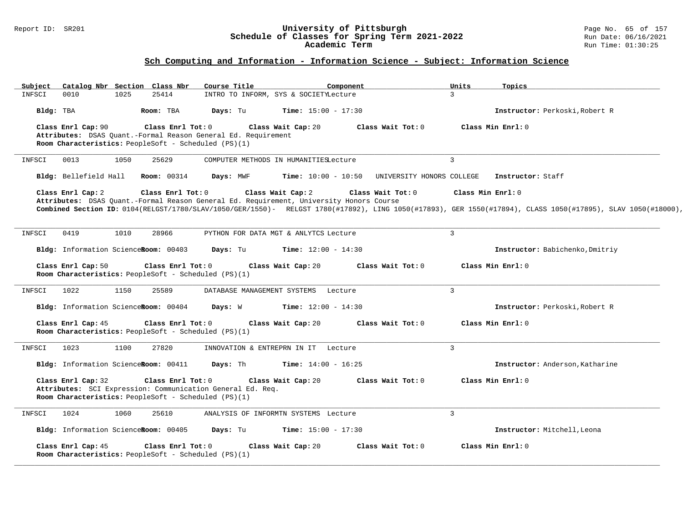#### Report ID: SR201 **University of Pittsburgh** Page No. 65 of 157 **Schedule of Classes for Spring Term 2021-2022** Run Date: 06/16/2021 **Academic Term** Run Time: 01:30:25

| Subject   |                       |      | Catalog Nbr Section Class Nbr                                               | Course Title                                                  | Component                                                                               |                           | Units          | Topics                                                                                                                                                      |
|-----------|-----------------------|------|-----------------------------------------------------------------------------|---------------------------------------------------------------|-----------------------------------------------------------------------------------------|---------------------------|----------------|-------------------------------------------------------------------------------------------------------------------------------------------------------------|
| INFSCI    | 0010                  | 1025 | 25414                                                                       |                                                               | INTRO TO INFORM, SYS & SOCIETYLecture                                                   |                           | $\overline{3}$ |                                                                                                                                                             |
| Bldg: TBA |                       |      | Room: TBA                                                                   | Days: Tu                                                      | <b>Time:</b> $15:00 - 17:30$                                                            |                           |                | Instructor: Perkoski, Robert R                                                                                                                              |
|           | Class Enrl Cap: 90    |      | Class Enrl Tot: 0                                                           |                                                               | Class Wait Cap: 20                                                                      | Class Wait Tot: 0         |                | Class Min Enrl: 0                                                                                                                                           |
|           |                       |      |                                                                             | Attributes: DSAS Quant.-Formal Reason General Ed. Requirement |                                                                                         |                           |                |                                                                                                                                                             |
|           |                       |      | Room Characteristics: PeopleSoft - Scheduled (PS)(1)                        |                                                               |                                                                                         |                           |                |                                                                                                                                                             |
| INFSCI    | 0013                  | 1050 | 25629                                                                       |                                                               | COMPUTER METHODS IN HUMANITIESLecture                                                   |                           | $\mathbf{3}$   |                                                                                                                                                             |
|           | Bldg: Bellefield Hall |      | <b>Room:</b> 00314                                                          | Days: MWF                                                     | <b>Time:</b> $10:00 - 10:50$                                                            | UNIVERSITY HONORS COLLEGE |                | Instructor: Staff                                                                                                                                           |
|           | Class Enrl Cap: 2     |      | Class Enrl Tot: 0                                                           |                                                               | Class Wait Cap: 2                                                                       | Class Wait Tot: 0         |                | Class Min Enrl: 0                                                                                                                                           |
|           |                       |      |                                                                             |                                                               | Attributes: DSAS Quant.-Formal Reason General Ed. Requirement, University Honors Course |                           |                |                                                                                                                                                             |
|           |                       |      |                                                                             |                                                               |                                                                                         |                           |                | Combined Section ID: 0104(RELGST/1780/SLAV/1050/GER/1550)- RELGST 1780(#17892), LING 1050(#17893), GER 1550(#17894), CLASS 1050(#17895), SLAV 1050(#18000), |
|           |                       |      |                                                                             |                                                               |                                                                                         |                           |                |                                                                                                                                                             |
| INFSCI    | 0419                  | 1010 | 28966                                                                       |                                                               | PYTHON FOR DATA MGT & ANLYTCS Lecture                                                   |                           | $\mathbf{3}$   |                                                                                                                                                             |
|           |                       |      | Bldg: Information ScienceRoom: 00403                                        | Days: Tu                                                      | <b>Time:</b> $12:00 - 14:30$                                                            |                           |                | Instructor: Babichenko, Dmitriy                                                                                                                             |
|           | Class Enrl Cap: 50    |      | Class Enrl Tot: 0                                                           |                                                               | Class Wait Cap: 20                                                                      | Class Wait Tot: 0         |                | Class Min Enrl: 0                                                                                                                                           |
|           |                       |      | Room Characteristics: PeopleSoft - Scheduled (PS)(1)                        |                                                               |                                                                                         |                           |                |                                                                                                                                                             |
| INFSCI    | 1022                  | 1150 | 25589                                                                       |                                                               | DATABASE MANAGEMENT SYSTEMS Lecture                                                     |                           | $\overline{3}$ |                                                                                                                                                             |
|           |                       |      |                                                                             |                                                               |                                                                                         |                           |                |                                                                                                                                                             |
|           |                       |      | Bldg: Information ScienceRoom: 00404                                        | Days: W                                                       | <b>Time:</b> $12:00 - 14:30$                                                            |                           |                | Instructor: Perkoski, Robert R                                                                                                                              |
|           | Class Enrl Cap: 45    |      | Class Enrl Tot: 0<br>Room Characteristics: PeopleSoft - Scheduled $(PS)(1)$ |                                                               | Class Wait Cap: 20                                                                      | Class Wait Tot: 0         |                | Class Min Enrl: 0                                                                                                                                           |
|           |                       |      |                                                                             |                                                               |                                                                                         |                           |                |                                                                                                                                                             |
| INFSCI    | 1023                  | 1100 | 27820                                                                       |                                                               | INNOVATION & ENTREPRN IN IT Lecture                                                     |                           | $\mathbf{3}$   |                                                                                                                                                             |
|           |                       |      | Bldg: Information ScienceRoom: 00411                                        | Days: Th                                                      | <b>Time:</b> $14:00 - 16:25$                                                            |                           |                | Instructor: Anderson, Katharine                                                                                                                             |
|           | Class Enrl Cap: 32    |      | Class Enrl Tot: 0                                                           | Attributes: SCI Expression: Communication General Ed. Req.    | Class Wait Cap: 20                                                                      | Class Wait Tot: 0         |                | Class Min Enrl: 0                                                                                                                                           |
|           |                       |      | Room Characteristics: PeopleSoft - Scheduled (PS)(1)                        |                                                               |                                                                                         |                           |                |                                                                                                                                                             |
| INFSCI    | 1024                  | 1060 | 25610                                                                       |                                                               | ANALYSIS OF INFORMTN SYSTEMS Lecture                                                    |                           | $\mathcal{E}$  |                                                                                                                                                             |
|           |                       |      | Bldg: Information ScienceRoom: 00405                                        | Days: Tu                                                      | <b>Time:</b> $15:00 - 17:30$                                                            |                           |                | Instructor: Mitchell, Leona                                                                                                                                 |
|           |                       |      |                                                                             |                                                               |                                                                                         |                           |                |                                                                                                                                                             |
|           | Class Enrl Cap: 45    |      | Class Enrl Tot: 0<br>Room Characteristics: PeopleSoft - Scheduled (PS)(1)   |                                                               | Class Wait Cap: 20                                                                      | Class Wait Tot: 0         |                | Class Min Enrl: 0                                                                                                                                           |
|           |                       |      |                                                                             |                                                               |                                                                                         |                           |                |                                                                                                                                                             |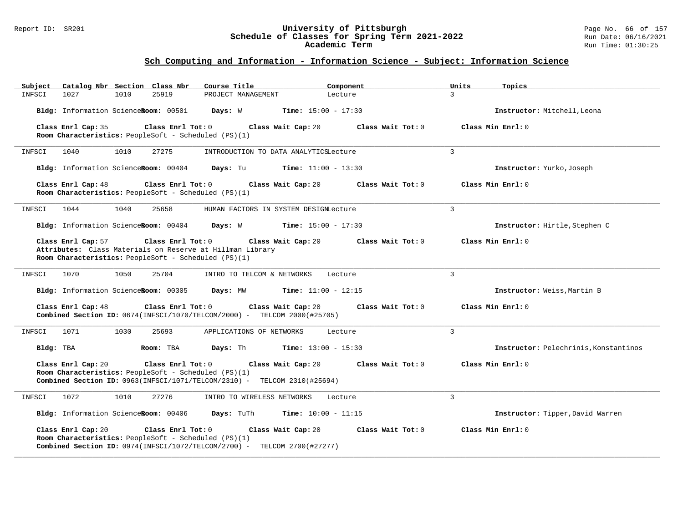#### Report ID: SR201 **University of Pittsburgh** Page No. 66 of 157 **Schedule of Classes for Spring Term 2021-2022** Run Date: 06/16/2021 **Academic Term** Run Time: 01:30:25

| Catalog Nbr Section Class Nbr<br>Subject                                                                                                                                              | Course Title                          | Component                    | Units<br>Topics                       |
|---------------------------------------------------------------------------------------------------------------------------------------------------------------------------------------|---------------------------------------|------------------------------|---------------------------------------|
| 1027<br>1010<br>25919<br>INFSCI                                                                                                                                                       | PROJECT MANAGEMENT                    | Lecture                      | $\mathbf{R}$                          |
| Bldg: Information ScienceRoom: 00501                                                                                                                                                  | Days: W                               | <b>Time:</b> $15:00 - 17:30$ | Instructor: Mitchell, Leona           |
| Class Enrl Cap: 35<br>Class Enrl Tot: 0                                                                                                                                               | Class Wait Cap: 20                    | Class Wait Tot: 0            | Class Min Enrl: 0                     |
| Room Characteristics: PeopleSoft - Scheduled (PS)(1)                                                                                                                                  |                                       |                              |                                       |
| 1010<br>27275<br>INFSCI<br>1040                                                                                                                                                       | INTRODUCTION TO DATA ANALYTICSLecture |                              | 3                                     |
| Bldg: Information ScienceRoom: 00404                                                                                                                                                  | Days: Tu                              | <b>Time:</b> $11:00 - 13:30$ | Instructor: Yurko, Joseph             |
| Class Enrl Cap: 48<br>Class Enrl Tot: 0<br>Room Characteristics: PeopleSoft - Scheduled (PS)(1)                                                                                       | Class Wait Cap: 20                    | Class Wait Tot: 0            | Class Min Enrl: 0                     |
| 1044<br>1040<br>25658<br>INFSCI                                                                                                                                                       | HUMAN FACTORS IN SYSTEM DESIGNLecture |                              | $\overline{3}$                        |
| Bldg: Information ScienceRoom: 00404                                                                                                                                                  | Days: W                               | <b>Time:</b> $15:00 - 17:30$ | Instructor: Hirtle, Stephen C         |
| Class Enrl Cap: 57<br>Class Enrl Tot: 0<br>Attributes: Class Materials on Reserve at Hillman Library<br>Room Characteristics: PeopleSoft - Scheduled (PS)(1)                          | Class Wait Cap: 20                    | Class Wait Tot: 0            | Class Min $Enr1: 0$                   |
| 1050<br>INFSCI<br>1070<br>25704                                                                                                                                                       | INTRO TO TELCOM & NETWORKS            | Lecture                      | $\overline{3}$                        |
| Bldg: Information ScienceRoom: 00305                                                                                                                                                  | Days: MW                              | <b>Time:</b> $11:00 - 12:15$ | Instructor: Weiss, Martin B           |
| Class Enrl Tot: 0<br>Class Enrl Cap: 48<br><b>Combined Section ID:</b> $0674$ (INFSCI/1070/TELCOM/2000) - TELCOM 2000(#25705)                                                         | Class Wait Cap: 20                    | Class Wait Tot: 0            | Class Min Enrl: 0                     |
| 1071<br>1030<br>25693<br>INFSCI                                                                                                                                                       | APPLICATIONS OF NETWORKS              | Lecture                      | $\overline{3}$                        |
| Room: TBA<br>Bldg: TBA                                                                                                                                                                | Days: Th                              | <b>Time:</b> $13:00 - 15:30$ | Instructor: Pelechrinis, Konstantinos |
| Class Enrl Cap: 20<br>Class Enrl Tot: 0<br>Room Characteristics: PeopleSoft - Scheduled (PS)(1)<br>Combined Section ID: 0963(INFSCI/1071/TELCOM/2310) - TELCOM 2310(#25694)           | Class Wait Cap: 20                    | Class Wait Tot: 0            | Class Min Enrl: 0                     |
| 1072<br>27276<br>1010<br>INFSCI                                                                                                                                                       | INTRO TO WIRELESS NETWORKS            | Lecture                      | 3                                     |
| Bldg: Information ScienceRoom: 00406                                                                                                                                                  | Days: TuTh                            | <b>Time:</b> $10:00 - 11:15$ | Instructor: Tipper, David Warren      |
| Class Enrl Cap: 20<br>Class Enrl Tot: 0<br>Room Characteristics: PeopleSoft - Scheduled (PS)(1)<br><b>Combined Section ID:</b> $0974$ (INFSCI/1072/TELCOM/2700) - TELCOM 2700(#27277) | Class Wait Cap: 20                    | Class Wait $Tot: 0$          | Class Min Enrl: 0                     |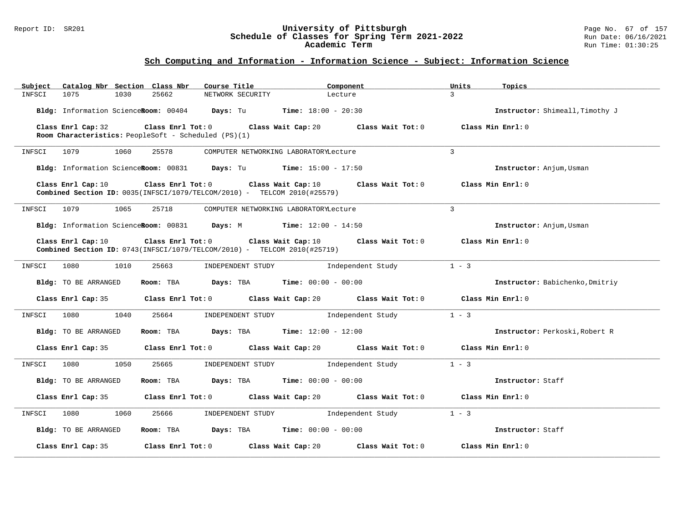#### Report ID: SR201 **University of Pittsburgh** Page No. 67 of 157 **Schedule of Classes for Spring Term 2021-2022** Run Date: 06/16/2021 **Academic Term** Run Time: 01:30:25

| Catalog Nbr Section Class Nbr<br>Subject | Course Title                                                                                                        | Component                                                                                   | Units<br>Topics                     |
|------------------------------------------|---------------------------------------------------------------------------------------------------------------------|---------------------------------------------------------------------------------------------|-------------------------------------|
| 1075<br>1030<br>INFSCI                   | 25662<br>NETWORK SECURITY                                                                                           | Lecture                                                                                     | $\mathbf{z}$                        |
|                                          | Bldg: Information ScienceRoom: 00404 Days: Tu Time: 18:00 - 20:30                                                   |                                                                                             | Instructor: Shimeall, Timothy J     |
| Class Enrl Cap: 32                       | Room Characteristics: PeopleSoft - Scheduled (PS)(1)                                                                | Class Enrl Tot: 0 Class Wait Cap: 20 Class Wait Tot: 0                                      | Class Min Enrl: 0                   |
| 1079<br>1060<br>INFSCI                   | 25578                                                                                                               | COMPUTER NETWORKING LABORATORYLecture                                                       | $\mathbf{3}$                        |
|                                          | Bldg: Information ScienceRoom: 00831 Days: Tu Time: 15:00 - 17:50                                                   |                                                                                             | Instructor: Anjum, Usman            |
| Class Enrl Cap: 10                       | <b>Combined Section ID:</b> $0035$ (INFSCI/1079/TELCOM/2010) - TELCOM 2010(#25579)                                  | Class Enrl Tot: 0 Class Wait Cap: 10 Class Wait Tot: 0                                      | Class Min Enrl: 0                   |
| 1079<br>INFSCI<br>1065                   | 25718                                                                                                               | COMPUTER NETWORKING LABORATORYLecture                                                       | $\mathbf{3}$                        |
|                                          | Bldg: Information ScienceRoom: 00831 Days: M Time: 12:00 - 14:50                                                    |                                                                                             | Instructor: Anjum, Usman            |
| Class Enrl Cap: 10                       | Class Enrl Tot: 0 Class Wait Cap: 10<br>Combined Section ID: $0743$ (INFSCI/1079/TELCOM/2010) - TELCOM 2010(#25719) |                                                                                             | Class Wait Tot: 0 Class Min Enrl: 0 |
| 1080<br>1010<br>INFSCI                   | 25663<br>INDEPENDENT STUDY                                                                                          | Independent Study                                                                           | $1 - 3$                             |
| Bldg: TO BE ARRANGED                     | Room: TBA $Days:$ TBA $Time: 00:00 - 00:00$                                                                         |                                                                                             | Instructor: Babichenko, Dmitriy     |
| Class Enrl Cap: 35                       |                                                                                                                     | Class Enrl Tot: 0 Class Wait Cap: 20 Class Wait Tot: 0                                      | Class Min Enrl: 0                   |
| 1040<br>INFSCI<br>1080                   | 25664<br>INDEPENDENT STUDY                                                                                          | Independent Study                                                                           | $1 - 3$                             |
| Bldg: TO BE ARRANGED                     | Room: TBA $Days: TBA$ Time: $12:00 - 12:00$                                                                         |                                                                                             | Instructor: Perkoski, Robert R      |
| Class Enrl Cap: 35                       |                                                                                                                     | Class Enrl Tot: $0$ Class Wait Cap: $20$ Class Wait Tot: $0$ Class Min Enrl: $0$            |                                     |
| 1080<br>1050<br>INFSCI                   | 25665                                                                                                               | INDEPENDENT STUDY 1ndependent Study                                                         | $1 - 3$                             |
| Bldg: TO BE ARRANGED                     | Room: TBA $\rule{1em}{0.15mm}$ Days: TBA Time: $00:00 - 00:00$                                                      |                                                                                             | Instructor: Staff                   |
|                                          |                                                                                                                     | Class Enrl Cap: 35 Class Enrl Tot: 0 Class Wait Cap: 20 Class Wait Tot: 0 Class Min Enrl: 0 |                                     |
| 1080<br>1060<br>INFSCI                   | 25666                                                                                                               | INDEPENDENT STUDY 1ndependent Study                                                         | $1 - 3$                             |
| Bldg: TO BE ARRANGED                     | Room: TBA $Days:$ TBA Time: $00:00 - 00:00$                                                                         |                                                                                             | Instructor: Staff                   |
| Class Enrl Cap: 35                       | Class Enrl Tot: 0 Class Wait Cap: 20                                                                                | Class Wait Tot: 0                                                                           | Class Min Enrl: 0                   |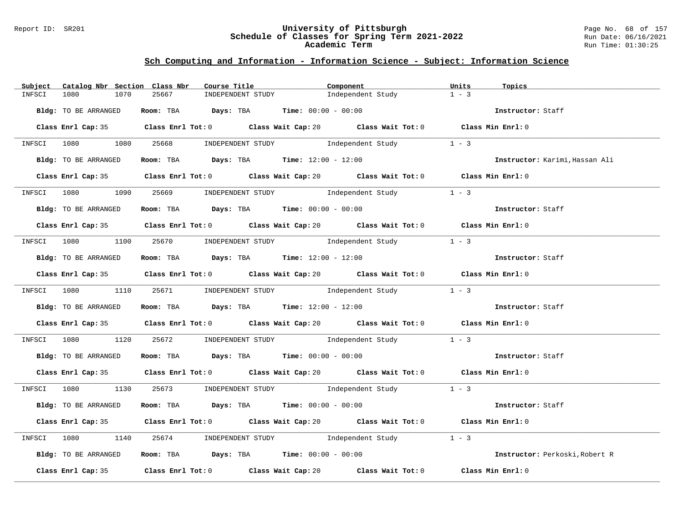#### Report ID: SR201 **University of Pittsburgh** Page No. 68 of 157 **Schedule of Classes for Spring Term 2021-2022** Run Date: 06/16/2021 **Academic Term** Run Time: 01:30:25

| Catalog Nbr Section Class Nbr<br>Subject | Course Title                                                                                | Component         | Units<br>Topics                |
|------------------------------------------|---------------------------------------------------------------------------------------------|-------------------|--------------------------------|
| INFSCI<br>1080<br>1070                   | INDEPENDENT STUDY<br>25667                                                                  | Independent Study | $1 - 3$                        |
| Bldg: TO BE ARRANGED                     | Room: TBA $Days:$ TBA $Time: 00:00 - 00:00$                                                 |                   | Instructor: Staff              |
|                                          | Class Enrl Cap: 35 Class Enrl Tot: 0 Class Wait Cap: 20 Class Wait Tot: 0 Class Min Enrl: 0 |                   |                                |
|                                          | INFSCI 1080 1080 25668 INDEPENDENT STUDY Independent Study 1 - 3                            |                   |                                |
| Bldg: TO BE ARRANGED                     | Room: TBA $Days:$ TBA $Time:$ $12:00 - 12:00$                                               |                   | Instructor: Karimi, Hassan Ali |
|                                          | Class Enrl Cap: 35 Class Enrl Tot: 0 Class Wait Cap: 20 Class Wait Tot: 0 Class Min Enrl: 0 |                   |                                |
|                                          | INFSCI 1080 1090 25669 INDEPENDENT STUDY Independent Study 1 - 3                            |                   |                                |
| Bldg: TO BE ARRANGED                     | Room: TBA $Days:$ TBA $Time: 00:00 - 00:00$                                                 |                   | Instructor: Staff              |
|                                          | Class Enrl Cap: 35 Class Enrl Tot: 0 Class Wait Cap: 20 Class Wait Tot: 0 Class Min Enrl: 0 |                   |                                |
|                                          | INFSCI 1080 1100 25670 INDEPENDENT STUDY Independent Study 1 - 3                            |                   |                                |
| Bldg: TO BE ARRANGED                     | Room: TBA $Days:$ TBA $Time:$ $12:00 - 12:00$                                               |                   | Instructor: Staff              |
|                                          | Class Enrl Cap: 35 Class Enrl Tot: 0 Class Wait Cap: 20 Class Wait Tot: 0 Class Min Enrl: 0 |                   |                                |
|                                          | INFSCI 1080 1110 25671 INDEPENDENT STUDY Independent Study 1 - 3                            |                   |                                |
| Bldg: TO BE ARRANGED                     | <b>ROOM:</b> TBA <b>Days:</b> TBA <b>Time:</b> $12:00 - 12:00$                              |                   | Instructor: Staff              |
|                                          | Class Enrl Cap: 35 Class Enrl Tot: 0 Class Wait Cap: 20 Class Wait Tot: 0 Class Min Enrl: 0 |                   |                                |
|                                          | INFSCI 1080 1120 25672 INDEPENDENT STUDY Independent Study 1 - 3                            |                   |                                |
| Bldg: TO BE ARRANGED                     | Room: TBA $Days:$ TBA Time: $00:00 - 00:00$                                                 |                   | Instructor: Staff              |
|                                          | Class Enrl Cap: 35 Class Enrl Tot: 0 Class Wait Cap: 20 Class Wait Tot: 0 Class Min Enrl: 0 |                   |                                |
|                                          | INFSCI 1080 1130 25673 INDEPENDENT STUDY Independent Study 1 - 3                            |                   |                                |
| Bldg: TO BE ARRANGED                     | Room: TBA $Days$ : TBA $Time: 00:00 - 00:00$                                                |                   | Instructor: Staff              |
|                                          | Class Enrl Cap: 35 Class Enrl Tot: 0 Class Wait Cap: 20 Class Wait Tot: 0 Class Min Enrl: 0 |                   |                                |
| INFSCI 1080<br>1140                      | 25674 INDEPENDENT STUDY Independent Study 1 - 3                                             |                   |                                |
| Bldg: TO BE ARRANGED                     | Room: TBA $Days:$ TBA $Time: 00:00 - 00:00$                                                 |                   | Instructor: Perkoski, Robert R |
|                                          | Class Enrl Cap: 35 Class Enrl Tot: 0 Class Wait Cap: 20 Class Wait Tot: 0                   |                   | Class Min Enrl: 0              |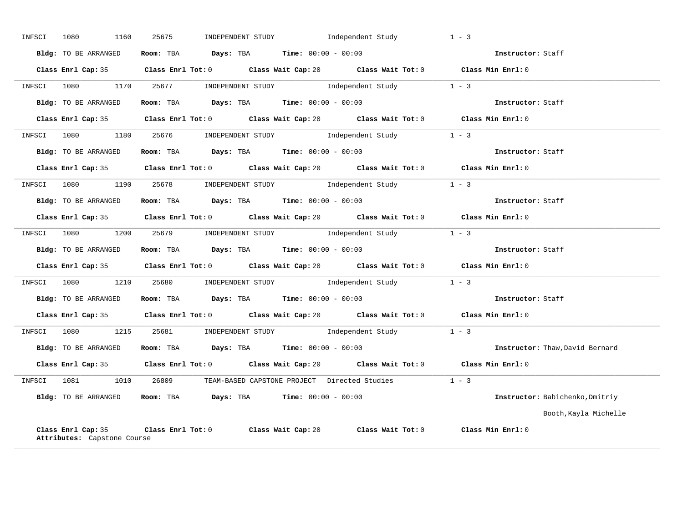| INFSCI | 1160<br>1080                                      | 25675                                                        | INDEPENDENT STUDY 1ndependent Study                                                         | $1 - 3$                         |
|--------|---------------------------------------------------|--------------------------------------------------------------|---------------------------------------------------------------------------------------------|---------------------------------|
|        | Bldg: TO BE ARRANGED                              | Room: TBA $Days:$ TBA $Time: 00:00 - 00:00$                  |                                                                                             | Instructor: Staff               |
|        |                                                   |                                                              | Class Enrl Cap: 35 Class Enrl Tot: 0 Class Wait Cap: 20 Class Wait Tot: 0 Class Min Enrl: 0 |                                 |
|        |                                                   |                                                              | INFSCI 1080 1170 25677 INDEPENDENT STUDY Independent Study 1 - 3                            |                                 |
|        | Bldg: TO BE ARRANGED                              |                                                              | Room: TBA $Days:$ TBA $Time: 00:00 - 00:00$                                                 | Instructor: Staff               |
|        |                                                   |                                                              | Class Enrl Cap: 35 Class Enrl Tot: 0 Class Wait Cap: 20 Class Wait Tot: 0 Class Min Enrl: 0 |                                 |
|        |                                                   |                                                              | INFSCI 1080 1180 25676 INDEPENDENT STUDY Independent Study 1 - 3                            |                                 |
|        | Bldg: TO BE ARRANGED                              | Room: TBA $Days:$ TBA $Time:$ 00:00 - 00:00                  |                                                                                             | Instructor: Staff               |
|        |                                                   |                                                              | Class Enrl Cap: 35 Class Enrl Tot: 0 Class Wait Cap: 20 Class Wait Tot: 0 Class Min Enrl: 0 |                                 |
|        |                                                   |                                                              | INFSCI 1080 1190 25678 INDEPENDENT STUDY Independent Study 1 - 3                            |                                 |
|        |                                                   |                                                              | Bldg: TO BE ARRANGED Room: TBA Days: TBA Time: $00:00 - 00:00$                              |                                 |
|        |                                                   |                                                              | Class Enrl Cap: 35 Class Enrl Tot: 0 Class Wait Cap: 20 Class Wait Tot: 0 Class Min Enrl: 0 |                                 |
|        |                                                   |                                                              | INFSCI 1080 1200 25679 INDEPENDENT STUDY Independent Study 1 - 3                            |                                 |
|        | Bldg: TO BE ARRANGED                              | Room: TBA $Days:$ TBA $Time: 00:00 - 00:00$                  |                                                                                             | Instructor: Staff               |
|        |                                                   |                                                              | Class Enrl Cap: 35 Class Enrl Tot: 0 Class Wait Cap: 20 Class Wait Tot: 0 Class Min Enrl: 0 |                                 |
|        |                                                   |                                                              | INFSCI 1080 1210 25680 INDEPENDENT STUDY Independent Study 1 - 3                            |                                 |
|        | Bldg: TO BE ARRANGED                              |                                                              | <b>ROOM: TBA Days: TBA Time:</b> 00:00 - 00:00                                              | Instructor: Staff               |
|        |                                                   |                                                              | Class Enrl Cap: 35 Class Enrl Tot: 0 Class Wait Cap: 20 Class Wait Tot: 0 Class Min Enrl: 0 |                                 |
|        |                                                   |                                                              | INFSCI 1080 1215 25681 INDEPENDENT STUDY Independent Study 1 - 3                            |                                 |
|        | Bldg: TO BE ARRANGED                              |                                                              | <b>Room:</b> TBA <b>Days:</b> TBA <b>Time:</b> 00:00 - 00:00                                | Instructor: Thaw, David Bernard |
|        |                                                   |                                                              | Class Enrl Cap: 35 Class Enrl Tot: 0 Class Wait Cap: 20 Class Wait Tot: 0 Class Min Enrl: 0 |                                 |
|        |                                                   |                                                              | INFSCI 1081 1010 26809 TEAM-BASED CAPSTONE PROJECT Directed Studies 1 - 3                   |                                 |
|        |                                                   | Bldg: TO BE ARRANGED ROOM: TBA Days: TBA Time: 00:00 - 00:00 |                                                                                             | Instructor: Babichenko, Dmitriy |
|        |                                                   |                                                              |                                                                                             | Booth, Kayla Michelle           |
|        | Class Enrl Cap: 35<br>Attributes: Capstone Course |                                                              | Class Enrl Tot: $0$ Class Wait Cap: $20$ Class Wait Tot: $0$ Class Min Enrl: $0$            |                                 |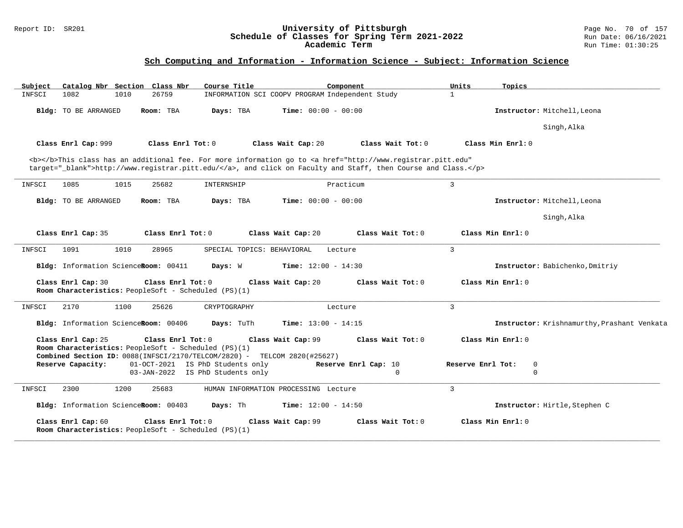#### Report ID: SR201 **University of Pittsburgh** Page No. 70 of 157 **Schedule of Classes for Spring Term 2021-2022** Run Date: 06/16/2021 **Academic Term** Run Time: 01:30:25

| Catalog Nbr Section Class Nbr<br>Subject | Course Title                                                                                                                                                    | Component                                                                                                                                                                                                                          | Units<br>Topics                             |
|------------------------------------------|-----------------------------------------------------------------------------------------------------------------------------------------------------------------|------------------------------------------------------------------------------------------------------------------------------------------------------------------------------------------------------------------------------------|---------------------------------------------|
| 1082<br>1010<br>INFSCI                   | 26759                                                                                                                                                           | INFORMATION SCI COOPV PROGRAM Independent Study                                                                                                                                                                                    | $\mathbf{1}$                                |
| Bldg: TO BE ARRANGED                     | Room: TBA<br>Days: TBA                                                                                                                                          | <b>Time:</b> $00:00 - 00:00$                                                                                                                                                                                                       | Instructor: Mitchell, Leona                 |
|                                          |                                                                                                                                                                 |                                                                                                                                                                                                                                    | Singh, Alka                                 |
| Class Enrl Cap: 999                      | Class Enrl Tot: 0                                                                                                                                               | Class Wait Cap: 20<br>Class Wait Tot: 0                                                                                                                                                                                            | Class Min Enrl: 0                           |
|                                          |                                                                                                                                                                 | <b></b> This class has an additional fee. For more information go to <a <br="" href="http://www.registrar.pitt.edu">target="_blank"&gt;http://www.registrar.pitt.edu/</a> , and click on Faculty and Staff, then Course and Class. |                                             |
| 1085<br>1015<br>INFSCI                   | 25682<br>INTERNSHIP                                                                                                                                             | Practicum                                                                                                                                                                                                                          | $\overline{3}$                              |
| Bldg: TO BE ARRANGED                     | Room: TBA<br>Days: TBA                                                                                                                                          | <b>Time:</b> $00:00 - 00:00$                                                                                                                                                                                                       | Instructor: Mitchell, Leona                 |
|                                          |                                                                                                                                                                 |                                                                                                                                                                                                                                    | Singh, Alka                                 |
| Class Enrl Cap: 35                       | Class Enrl Tot: 0                                                                                                                                               | Class Wait Cap: 20<br>Class Wait Tot: 0                                                                                                                                                                                            | Class Min Enrl: 0                           |
| 1091<br>1010<br>INFSCI                   | 28965<br>SPECIAL TOPICS: BEHAVIORAL                                                                                                                             | Lecture                                                                                                                                                                                                                            | $\overline{3}$                              |
| Bldg: Information ScienceRoom: 00411     | Days: W                                                                                                                                                         | Time: $12:00 - 14:30$                                                                                                                                                                                                              | Instructor: Babichenko, Dmitriy             |
| Class Enrl Cap: 30                       | Class Enrl Tot: 0<br>Room Characteristics: PeopleSoft - Scheduled (PS)(1)                                                                                       | Class Wait Cap: 20<br>Class Wait Tot: 0                                                                                                                                                                                            | Class Min Enrl: 0                           |
| 2170<br>1100<br>INFSCI                   | 25626<br>CRYPTOGRAPHY                                                                                                                                           | Lecture                                                                                                                                                                                                                            | $\overline{3}$                              |
| Bldg: Information ScienceRoom: 00406     | Days: TuTh                                                                                                                                                      | <b>Time:</b> $13:00 - 14:15$                                                                                                                                                                                                       | Instructor: Krishnamurthy, Prashant Venkata |
| Class Enrl Cap: 25                       | Class Enrl Tot: 0<br>Room Characteristics: PeopleSoft - Scheduled (PS)(1)<br><b>Combined Section ID:</b> $0088$ (INFSCI/2170/TELCOM/2820) - TELCOM 2820(#25627) | Class Wait Cap: 99<br>Class Wait Tot: 0                                                                                                                                                                                            | Class Min Enrl: 0                           |
| Reserve Capacity:                        | 01-OCT-2021 IS PhD Students only                                                                                                                                | Reserve Enrl Cap: 10                                                                                                                                                                                                               | Reserve Enrl Tot:<br>$\mathbf 0$            |
|                                          | 03-JAN-2022 IS PhD Students only                                                                                                                                | $\Omega$                                                                                                                                                                                                                           | $\Omega$                                    |
| 1200<br>INFSCI<br>2300                   | 25683                                                                                                                                                           | HUMAN INFORMATION PROCESSING Lecture                                                                                                                                                                                               | $\overline{3}$                              |
| Bldg: Information ScienceRoom: 00403     | Days: Th                                                                                                                                                        | <b>Time:</b> $12:00 - 14:50$                                                                                                                                                                                                       | Instructor: Hirtle, Stephen C               |
| Class Enrl Cap: 60                       | Class Enrl Tot: 0<br>Room Characteristics: PeopleSoft - Scheduled (PS)(1)                                                                                       | Class Wait Cap: 99<br>Class Wait Tot: 0                                                                                                                                                                                            | Class Min Enrl: 0                           |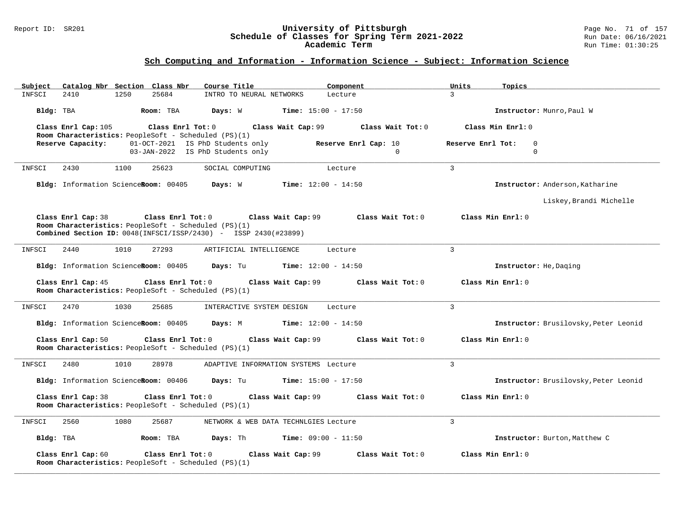#### Report ID: SR201 **University of Pittsburgh** Page No. 71 of 157 **Schedule of Classes for Spring Term 2021-2022** Run Date: 06/16/2021 **Academic Term** Run Time: 01:30:25

| Catalog Nbr Section Class Nbr<br>Subject                                                                                                                                     | Course Title<br>Component                                                                                | Units<br>Topics                              |  |  |  |  |  |
|------------------------------------------------------------------------------------------------------------------------------------------------------------------------------|----------------------------------------------------------------------------------------------------------|----------------------------------------------|--|--|--|--|--|
| 1250<br>25684<br>INFSCI<br>2410                                                                                                                                              | INTRO TO NEURAL NETWORKS<br>Lecture                                                                      | 3                                            |  |  |  |  |  |
| Bldg: TBA<br>Room: TBA                                                                                                                                                       | Days: W<br><b>Time:</b> $15:00 - 17:50$                                                                  | Instructor: Munro, Paul W                    |  |  |  |  |  |
| Class Enrl Cap: 105<br>Class $Enr1$ Tot: $0$<br>Room Characteristics: PeopleSoft - Scheduled (PS)(1)                                                                         | Class Wait Cap: 99<br>Class Wait Tot: 0                                                                  | Class Min Enrl: 0                            |  |  |  |  |  |
| Reserve Capacity:                                                                                                                                                            | 01-OCT-2021 IS PhD Students only<br>Reserve Enrl Cap: 10<br>03-JAN-2022 IS PhD Students only<br>$\Omega$ | Reserve Enrl Tot:<br>$\mathbf 0$<br>$\Omega$ |  |  |  |  |  |
| INFSCI<br>2430<br>1100<br>25623                                                                                                                                              | SOCIAL COMPUTING<br>Lecture                                                                              | $\overline{3}$                               |  |  |  |  |  |
| Bldg: Information ScienceRoom: 00405 Days: W                                                                                                                                 | Instructor: Anderson, Katharine                                                                          |                                              |  |  |  |  |  |
|                                                                                                                                                                              |                                                                                                          | Liskey, Brandi Michelle                      |  |  |  |  |  |
| Class Enrl Cap: 38<br>Class Enrl Tot: 0<br>Room Characteristics: PeopleSoft - Scheduled (PS)(1)<br><b>Combined Section ID:</b> $0048$ (INFSCI/ISSP/2430) - ISSP 2430(#23899) | Class Min Enrl: 0                                                                                        |                                              |  |  |  |  |  |
| 1010<br>27293<br>INFSCI<br>2440                                                                                                                                              | ARTIFICIAL INTELLIGENCE<br>Lecture                                                                       | $\overline{3}$                               |  |  |  |  |  |
| Bldg: Information ScienceRoom: 00405                                                                                                                                         | Days: Tu<br><b>Time:</b> $12:00 - 14:50$                                                                 | Instructor: He, Daging                       |  |  |  |  |  |
| Class Enrl Cap: 45<br>Class Enrl Tot: 0<br>Room Characteristics: PeopleSoft - Scheduled (PS)(1)                                                                              | Class Min Enrl: 0                                                                                        |                                              |  |  |  |  |  |
| 2470<br>1030<br>25685<br>INFSCI                                                                                                                                              | INTERACTIVE SYSTEM DESIGN<br>Lecture                                                                     | 3                                            |  |  |  |  |  |
| Bldg: Information ScienceRoom: 00405                                                                                                                                         | Days: M<br><b>Time:</b> $12:00 - 14:50$                                                                  | Instructor: Brusilovsky, Peter Leonid        |  |  |  |  |  |
| Class Enrl Cap: 50<br>Class Enrl Tot: 0<br>Room Characteristics: PeopleSoft - Scheduled (PS)(1)                                                                              | Class Wait Tot: 0<br>Class Wait Cap: 99                                                                  | Class Min Enrl: 0                            |  |  |  |  |  |
| 2480<br>1010<br>28978<br>INFSCI                                                                                                                                              | ADAPTIVE INFORMATION SYSTEMS Lecture                                                                     | 3                                            |  |  |  |  |  |
| Bldg: Information ScienceRoom: 00406                                                                                                                                         | Days: Tu<br><b>Time:</b> $15:00 - 17:50$                                                                 | Instructor: Brusilovsky, Peter Leonid        |  |  |  |  |  |
| Class Enrl Cap: 38<br>Class Enrl Tot: 0<br>Class Wait Cap: 99<br>Class Wait Tot: 0<br>Class Min Enrl: 0<br>Room Characteristics: PeopleSoft - Scheduled (PS)(1)              |                                                                                                          |                                              |  |  |  |  |  |
| 2560<br>INFSCI<br>1080<br>25687                                                                                                                                              | NETWORK & WEB DATA TECHNLGIES Lecture                                                                    | 3                                            |  |  |  |  |  |
| Bldg: TBA<br>Room: TBA                                                                                                                                                       | <b>Days:</b> Th <b>Time:</b> $09:00 - 11:50$                                                             | Instructor: Burton, Matthew C                |  |  |  |  |  |
| Class Enrl Cap: 60<br>$Class$ $Enr1$ $Tot: 0$<br>Room Characteristics: PeopleSoft - Scheduled (PS)(1)                                                                        | Class Min $Enr1: 0$                                                                                      |                                              |  |  |  |  |  |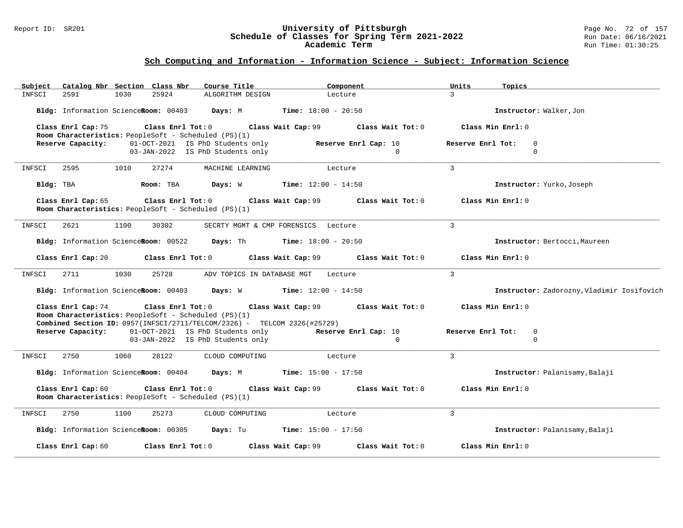#### Report ID: SR201 **University of Pittsburgh** Page No. 72 of 157 **Schedule of Classes for Spring Term 2021-2022** Run Date: 06/16/2021 **Academic Term** Run Time: 01:30:25

| Subject                                                                                                                                                                                                                          | Catalog Nbr Section Class Nbr |      |           | Course Title                                                                                  | Component                |                                | Units                                        | Topics                         |
|----------------------------------------------------------------------------------------------------------------------------------------------------------------------------------------------------------------------------------|-------------------------------|------|-----------|-----------------------------------------------------------------------------------------------|--------------------------|--------------------------------|----------------------------------------------|--------------------------------|
| INFSCI                                                                                                                                                                                                                           | 2591                          | 1030 | 25924     | ALGORITHM DESIGN                                                                              | Lecture                  |                                | $\mathcal{L}$                                |                                |
|                                                                                                                                                                                                                                  |                               |      |           | Bldg: Information ScienceRoom: 00403 Days: M Time: 18:00 - 20:50                              |                          |                                |                                              | Instructor: Walker, Jon        |
| Class Enrl Cap: 75<br>Class Enrl Tot: $0$ Class Wait Cap: $99$ Class Wait Tot: $0$<br>Room Characteristics: PeopleSoft - Scheduled (PS)(1)                                                                                       |                               |      |           |                                                                                               |                          | Class Min Enrl: 0              |                                              |                                |
|                                                                                                                                                                                                                                  |                               |      |           | <b>Reserve Capacity:</b> 01-0CT-2021 IS PhD Students only<br>03-JAN-2022 IS PhD Students only | Reserve Enrl Cap: 10     | $\Omega$                       | Reserve Enrl Tot:                            | $\mathbf 0$<br>$\Omega$        |
| INFSCI                                                                                                                                                                                                                           | 2595 1010                     |      | 27274     | MACHINE LEARNING                                                                              | <b>Example 1</b> Lecture |                                | $\overline{3}$                               |                                |
| Bldg: TBA                                                                                                                                                                                                                        |                               |      | Room: TBA | <b>Days:</b> W <b>Time:</b> $12:00 - 14:50$                                                   |                          |                                |                                              | Instructor: Yurko, Joseph      |
| Class Enrl Cap: 65<br>Class Enrl Tot: 0 Class Wait Cap: 99<br>Class Wait Tot: 0<br>Room Characteristics: PeopleSoft - Scheduled (PS)(1)                                                                                          |                               |      |           |                                                                                               |                          |                                | Class Min Enrl: 0                            |                                |
| INFSCI                                                                                                                                                                                                                           | 2621                          | 1100 | 30302     | SECRTY MGMT & CMP FORENSICS Lecture                                                           |                          |                                | $\overline{3}$                               |                                |
|                                                                                                                                                                                                                                  |                               |      |           | Bldg: Information ScienceRoom: 00522 Days: Th Time: 18:00 - 20:50                             |                          |                                |                                              | Instructor: Bertocci, Maureen  |
| Class Enrl Cap: 20<br>Class Enrl Tot: $0$ Class Wait Cap: $99$ Class Wait Tot: $0$                                                                                                                                               |                               |      |           |                                                                                               |                          |                                | Class Min Enrl: 0                            |                                |
| INFSCI                                                                                                                                                                                                                           | 2711                          | 1030 | 25728     | ADV TOPICS IN DATABASE MGT                                                                    | Lecture                  |                                | $\overline{3}$                               |                                |
| Bldg: Information ScienceRoom: 00403 Days: W Time: 12:00 - 14:50                                                                                                                                                                 |                               |      |           |                                                                                               |                          |                                | Instructor: Zadorozny, Vladimir Iosifovich   |                                |
| Class Enrl Cap: 74<br>Class Enrl Tot: $0$ Class Wait Cap: $99$ Class Wait Tot: $0$<br>Room Characteristics: PeopleSoft - Scheduled (PS)(1)<br><b>Combined Section ID:</b> $0957$ (INFSCI/2711/TELCOM/2326) - TELCOM 2326(#25729) |                               |      |           |                                                                                               |                          |                                |                                              | Class Min Enrl: 0              |
| Reserve Capacity: 01-OCT-2021 IS PhD Students only Reserve Enrl Cap: 10<br>03-JAN-2022 IS PhD Students only<br>$\Omega$                                                                                                          |                               |      |           |                                                                                               |                          |                                | Reserve Enrl Tot:<br>$\mathbf 0$<br>$\Omega$ |                                |
| INFSCI                                                                                                                                                                                                                           | 2750                          | 1060 | 28122     | CLOUD COMPUTING                                                                               | Lecture                  |                                | 3                                            |                                |
|                                                                                                                                                                                                                                  |                               |      |           | Bldg: Information ScienceRoom: 00404 Days: M Time: 15:00 - 17:50                              |                          |                                |                                              | Instructor: Palanisamy, Balaji |
| Class Enrl Tot: 0<br>Class Wait Cap: 99 Class Wait Tot: 0<br>Class Enrl Cap: 60<br>Room Characteristics: PeopleSoft - Scheduled (PS)(1)                                                                                          |                               |      |           |                                                                                               |                          |                                | Class Min Enrl: 0                            |                                |
| INFSCI                                                                                                                                                                                                                           | 2750                          | 1100 | 25273     | CLOUD COMPUTING                                                                               | Lecture                  |                                | $\overline{3}$                               |                                |
| Bldg: Information ScienceRoom: 00305 Days: Tu Time: 15:00 - 17:50                                                                                                                                                                |                               |      |           |                                                                                               |                          | Instructor: Palanisamy, Balaji |                                              |                                |
|                                                                                                                                                                                                                                  | Class Enrl Cap: 60            |      |           | Class Enrl Tot: 0 Class Wait Cap: 99                                                          |                          | Class Wait Tot: 0              |                                              | Class Min Enrl: 0              |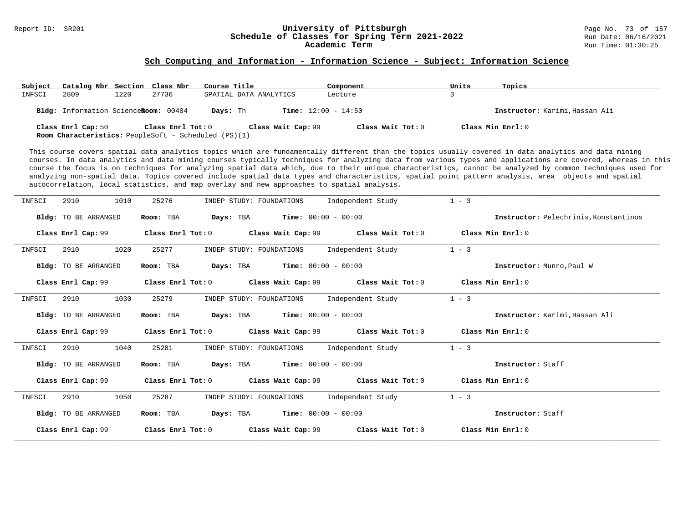# Report ID: SR201 **1988 Mage 19: Schedule of Classes for Spring Term 2021-2022** Page No. 73 of 157<br>**Schedule of Classes for Spring Term 2021-2022** Run Date: 06/16/2021 Schedule of Classes for Spring Term 2021-2022<br>**Academic Term**

#### **Sch Computing and Information - Information Science - Subject: Information Science**

| Subject | Catalog Nbr Section Class Nbr        |      |                   | Course Title                                                                      | Component         | Units             | Topics                         |
|---------|--------------------------------------|------|-------------------|-----------------------------------------------------------------------------------|-------------------|-------------------|--------------------------------|
| INFSCI  | 2809                                 | 1220 | 27736             | SPATIAL DATA ANALYTICS                                                            | Lecture           |                   |                                |
|         | Bldg: Information ScienceRoom: 00404 |      |                   | <b>Time:</b> $12:00 - 14:50$<br>Davs: Th                                          |                   |                   | Instructor: Karimi, Hassan Ali |
|         | Class Enrl Cap: 50                   |      | Class Enrl Tot: 0 | Class Wait Cap: 99<br><b>Room Characteristics:</b> PeopleSoft - Scheduled (PS)(1) | Class Wait Tot: 0 | Class Min Enrl: 0 |                                |

This course covers spatial data analytics topics which are fundamentally different than the topics usually covered in data analytics and data mining courses. In data analytics and data mining courses typically techniques for analyzing data from various types and applications are covered, whereas in this course the focus is on techniques for analyzing spatial data which, due to their unique characteristics, cannot be analyzed by common techniques used for analyzing non-spatial data. Topics covered include spatial data types and characteristics, spatial point pattern analysis, area objects and spatial autocorrelation, local statistics, and map overlay and new approaches to spatial analysis.

| INFSCI | 1010<br>2910                | 25276             | INDEP STUDY: FOUNDATIONS                            | Independent Study                                                                                   | $1 - 3$                               |
|--------|-----------------------------|-------------------|-----------------------------------------------------|-----------------------------------------------------------------------------------------------------|---------------------------------------|
|        | Bldg: TO BE ARRANGED        | Room: TBA         | <b>Days:</b> TBA <b>Time:</b> $00:00 - 00:00$       |                                                                                                     | Instructor: Pelechrinis, Konstantinos |
|        | Class Enrl Cap: 99          |                   |                                                     | Class Enrl Tot: 0 $\qquad$ Class Wait Cap: 99 $\qquad$ Class Wait Tot: 0 $\qquad$ Class Min Enrl: 0 |                                       |
| INFSCI | 1020<br>2910                | 25277             | INDEP STUDY: FOUNDATIONS                            | Independent Study                                                                                   | $1 - 3$                               |
|        | Bldg: TO BE ARRANGED        | Room: TBA         | <b>Days:</b> TBA <b>Time:</b> $00:00 - 00:00$       |                                                                                                     | Instructor: Munro, Paul W             |
|        | Class Enrl Cap: 99          |                   |                                                     | Class Enrl Tot: 0 $\,$ Class Wait Cap: 99 $\,$ Class Wait Tot: 0 $\,$ Class Min Enrl: 0 $\,$        |                                       |
| INFSCI | 1030<br>2910                | 25279             | INDEP STUDY: FOUNDATIONS                            | Independent Study                                                                                   | $1 - 3$                               |
|        | Bldg: TO BE ARRANGED        | Room: TBA         | <b>Days:</b> TBA <b>Time:</b> $00:00 - 00:00$       |                                                                                                     | Instructor: Karimi Hassan Ali         |
|        | Class Enrl Cap: 99          |                   |                                                     | Class Enrl Tot: 0 Class Wait Cap: 99 Class Wait Tot: 0                                              | Class Min Enrl: 0                     |
| INFSCI | 2910<br>1040                | 25281             | INDEP STUDY: FOUNDATIONS                            | Independent Study                                                                                   | $1 - 3$                               |
|        | Bldg: TO BE ARRANGED        | Room: TBA         | <b>Days:</b> TBA <b>Time:</b> $00:00 - 00:00$       |                                                                                                     | Instructor: Staff                     |
|        | Class Enrl Cap: 99          |                   |                                                     | Class Enrl Tot: $0$ Class Wait Cap: 99 Class Wait Tot: $0$ Class Min Enrl: $0$                      |                                       |
| INFSCI | 1050<br>2910                | 25287             | INDEP STUDY: FOUNDATIONS                            | Independent Study                                                                                   | $1 - 3$                               |
|        | <b>Bldg:</b> TO BE ARRANGED | Room: TBA         | $\texttt{DayS:}$ TBA $\texttt{Time:}$ 00:00 - 00:00 |                                                                                                     | Instructor: Staff                     |
|        | Class Enrl Cap: 99          | Class Enrl Tot: 0 | Class Wait Cap: 99                                  | Class Wait Tot: 0                                                                                   | Class Min Enrl: 0                     |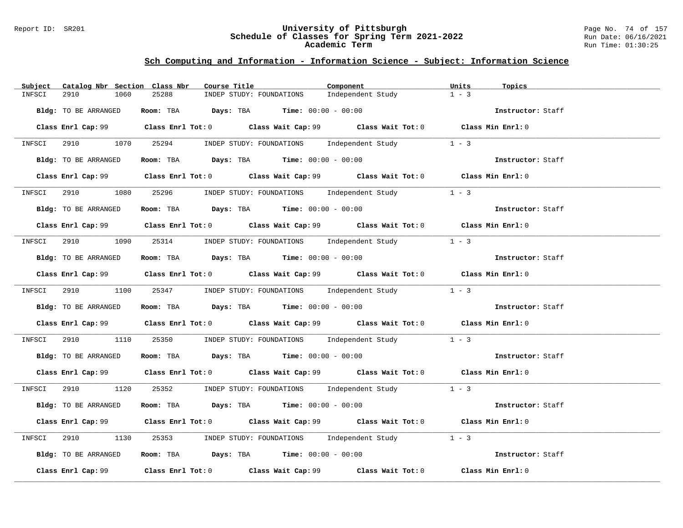#### Report ID: SR201 **University of Pittsburgh** Page No. 74 of 157 **Schedule of Classes for Spring Term 2021-2022** Run Date: 06/16/2021 **Academic Term** Run Time: 01:30:25

| Catalog Nbr Section Class Nbr<br>Subject | Component<br>Course Title                                                                   | Units<br>Topics   |
|------------------------------------------|---------------------------------------------------------------------------------------------|-------------------|
| 2910<br>INFSCI<br>1060                   | 25288<br>INDEP STUDY: FOUNDATIONS<br>Independent Study                                      | $1 - 3$           |
| Bldg: TO BE ARRANGED                     | Room: TBA $Days: TBA$ Time: $00:00 - 00:00$                                                 | Instructor: Staff |
|                                          | Class Enrl Cap: 99 Class Enrl Tot: 0 Class Wait Cap: 99 Class Wait Tot: 0 Class Min Enrl: 0 |                   |
|                                          | INFSCI 2910 1070 25294 INDEP STUDY: FOUNDATIONS Independent Study 1 - 3                     |                   |
| Bldg: TO BE ARRANGED                     | Room: TBA $Days:$ TBA $Time: 00:00 - 00:00$                                                 | Instructor: Staff |
|                                          | Class Enrl Cap: 99 Class Enrl Tot: 0 Class Wait Cap: 99 Class Wait Tot: 0 Class Min Enrl: 0 |                   |
|                                          | INFSCI 2910 1080 25296 INDEP STUDY: FOUNDATIONS Independent Study                           | $1 - 3$           |
| Bldg: TO BE ARRANGED                     | Room: TBA $Days:$ TBA Time: $00:00 - 00:00$                                                 | Instructor: Staff |
|                                          | Class Enrl Cap: 99 Class Enrl Tot: 0 Class Wait Cap: 99 Class Wait Tot: 0 Class Min Enrl: 0 |                   |
|                                          | INFSCI 2910 1090 25314 INDEP STUDY: FOUNDATIONS Independent Study                           | $1 - 3$           |
| Bldg: TO BE ARRANGED                     | Room: TBA $Days:$ TBA $Time: 00:00 - 00:00$                                                 | Instructor: Staff |
|                                          | Class Enrl Cap: 99 Class Enrl Tot: 0 Class Wait Cap: 99 Class Wait Tot: 0 Class Min Enrl: 0 |                   |
|                                          | INFSCI 2910 1100 25347 INDEP STUDY: FOUNDATIONS Independent Study 1 - 3                     |                   |
| Bldg: TO BE ARRANGED                     | <b>ROOM: TBA Days: TBA Time:</b> 00:00 - 00:00                                              | Instructor: Staff |
|                                          | Class Enrl Cap: 99 Class Enrl Tot: 0 Class Wait Cap: 99 Class Wait Tot: 0 Class Min Enrl: 0 |                   |
|                                          | INFSCI 2910 1110 25350 INDEP STUDY: FOUNDATIONS Independent Study 1 - 3                     |                   |
| Bldg: TO BE ARRANGED                     | Room: TBA $Days: TBA$ Time: $00:00 - 00:00$                                                 | Instructor: Staff |
|                                          | Class Enrl Cap: 99 Class Enrl Tot: 0 Class Wait Cap: 99 Class Wait Tot: 0 Class Min Enrl: 0 |                   |
|                                          | INFSCI 2910 1120 25352 INDEP STUDY: FOUNDATIONS Independent Study 1 - 3                     |                   |
| Bldg: TO BE ARRANGED                     | Room: TBA $Days:$ TBA Time: $00:00 - 00:00$                                                 | Instructor: Staff |
|                                          | Class Enrl Cap: 99 Class Enrl Tot: 0 Class Wait Cap: 99 Class Wait Tot: 0 Class Min Enrl: 0 |                   |
| INFSCI 2910<br>1130                      | 25353 INDEP STUDY: FOUNDATIONS Independent Study 1 - 3                                      |                   |
| Bldg: TO BE ARRANGED                     | <b>Room:</b> TBA $Days$ : TBA $Time: 00:00 - 00:00$                                         | Instructor: Staff |
|                                          | Class Enrl Cap: 99 Class Enrl Tot: 0 Class Wait Cap: 99 Class Wait Tot: 0                   | Class Min Enrl: 0 |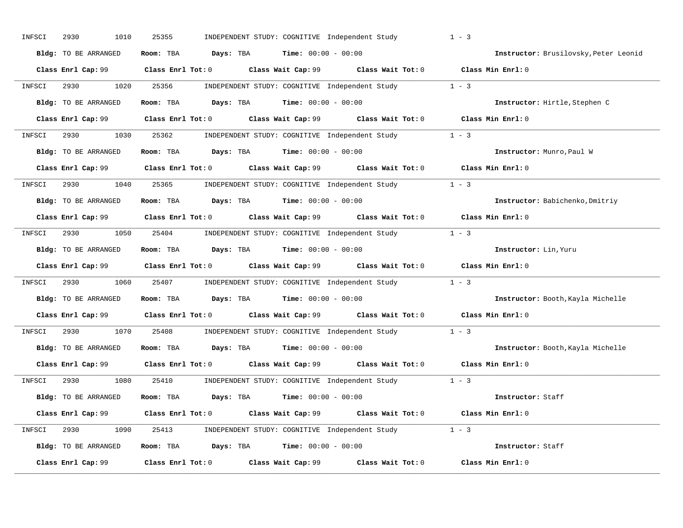| INFSCI<br>2930<br>1010     | 25355<br>INDEPENDENT STUDY: COGNITIVE Independent Study                                              | $1 - 3$                               |
|----------------------------|------------------------------------------------------------------------------------------------------|---------------------------------------|
| Bldg: TO BE ARRANGED       | Room: TBA $Days:$ TBA $Time: 00:00 - 00:00$                                                          | Instructor: Brusilovsky, Peter Leonid |
|                            |                                                                                                      | Class Min Enrl: 0                     |
| 2930 and $\sim$<br>INFSCI  | 1020 25356<br>INDEPENDENT STUDY: COGNITIVE Independent Study 1 - 3                                   |                                       |
| Bldg: TO BE ARRANGED       | Room: TBA $\rule{1em}{0.15mm}$ Days: TBA Time: $00:00 - 00:00$                                       | Instructor: Hirtle, Stephen C         |
| Class Enrl Cap: 99         | Class Enrl Tot: 0 $\qquad$ Class Wait Cap: 99 $\qquad$ Class Wait Tot: 0 $\qquad$ Class Min Enrl: 0  |                                       |
| INFSCI                     | 2930 1030 25362 INDEPENDENT STUDY: COGNITIVE Independent Study 1 - 3                                 |                                       |
| Bldg: TO BE ARRANGED       | Room: TBA $Days:$ TBA $Time: 00:00 - 00:00$                                                          | Instructor: Munro, Paul W             |
|                            | Class Enrl Cap: 99 Class Enrl Tot: 0 Class Wait Cap: 99 Class Wait Tot: 0 Class Min Enrl: 0          |                                       |
| 2930<br>INFSCI             | 1040 25365 INDEPENDENT STUDY: COGNITIVE Independent Study 1 - 3                                      |                                       |
| Bldg: TO BE ARRANGED       | Room: TBA $Days: TBA$ Time: $00:00 - 00:00$                                                          | Instructor: Babichenko, Dmitriy       |
|                            | Class Enrl Cap: 99 $\qquad$ Class Enrl Tot: 0 $\qquad$ Class Wait Cap: 99 $\qquad$ Class Wait Tot: 0 | Class Min Enrl: 0                     |
| INFSCI                     | 2930 1050 25404 INDEPENDENT STUDY: COGNITIVE Independent Study 1 - 3                                 |                                       |
| Bldg: TO BE ARRANGED       | Room: TBA $Days:$ TBA $Time: 00:00 - 00:00$                                                          | Instructor: Lin, Yuru                 |
|                            |                                                                                                      | Class Min Enrl: 0                     |
| 2930 000<br>1060<br>INFSCI | 25407 INDEPENDENT STUDY: COGNITIVE Independent Study 1 - 3                                           |                                       |
| Bldg: TO BE ARRANGED       | Room: TBA $Days:$ TBA $Time: 00:00 - 00:00$                                                          | Instructor: Booth, Kayla Michelle     |
|                            | Class Enrl Cap: 99 Class Enrl Tot: 0 Class Wait Cap: 99 Class Wait Tot: 0                            | Class Min Enrl: 0                     |
| 1070<br>2930<br>INFSCI     | 25408 INDEPENDENT STUDY: COGNITIVE Independent Study                                                 | $1 - 3$                               |
| Bldg: TO BE ARRANGED       | Room: TBA $Days:$ TBA $Time: 00:00 - 00:00$                                                          | Instructor: Booth, Kayla Michelle     |
| Class Enrl Cap: 99         | Class Enrl Tot: $0$ Class Wait Cap: $99$ Class Wait Tot: $0$ Class Min Enrl: $0$                     |                                       |
| 2930<br>INFSCI             | 1080   25410   INDEPENDENT STUDY: COGNITIVE Independent Study   1 - 3                                |                                       |
| Bldg: TO BE ARRANGED       | Room: TBA $Days:$ TBA $Time: 00:00 - 00:00$                                                          | Instructor: Staff                     |
|                            |                                                                                                      | Class Min Enrl: 0                     |
| INFSCI                     | 2930 1090 25413 INDEPENDENT STUDY: COGNITIVE Independent Study 1 - 3                                 |                                       |
| Bldg: TO BE ARRANGED       | Room: TBA $Days:$ TBA $Time: 00:00 - 00:00$                                                          | Instructor: Staff                     |
| Class Enrl Cap: 99         | Class Enrl Tot: 0 Class Wait Cap: 99 Class Wait Tot: 0                                               | Class Min Enrl: 0                     |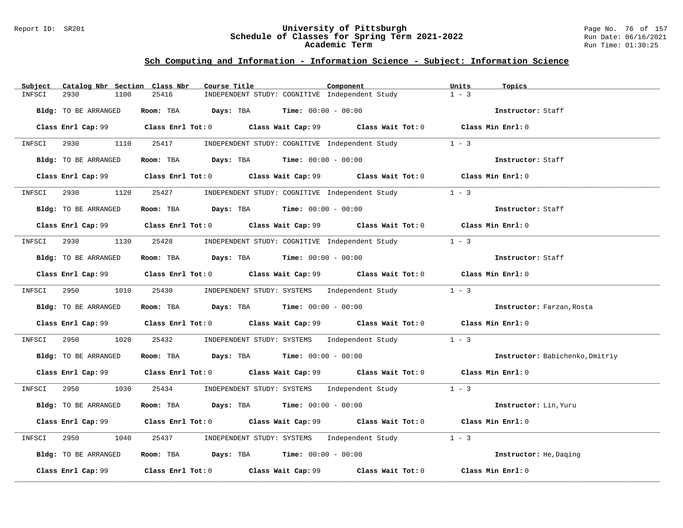#### Report ID: SR201 **University of Pittsburgh** Page No. 76 of 157 **Schedule of Classes for Spring Term 2021-2022** Run Date: 06/16/2021 **Academic Term** Run Time: 01:30:25

| Subject<br>Catalog Nbr Section Class Nbr | Course Title<br>Component                                                                                                       | Units<br>Topics                 |
|------------------------------------------|---------------------------------------------------------------------------------------------------------------------------------|---------------------------------|
| 2930<br>1100<br>INFSCI                   | 25416<br>INDEPENDENT STUDY: COGNITIVE Independent Study                                                                         | $1 - 3$                         |
| Bldg: TO BE ARRANGED                     | Room: TBA $Days:$ TBA $Time: 00:00 - 00:00$                                                                                     | Instructor: Staff               |
|                                          | Class Enrl Cap: 99 Class Enrl Tot: 0 Class Wait Cap: 99 Class Wait Tot: 0 Class Min Enrl: 0                                     |                                 |
| INFSCI 2930 1110 25417                   | INDEPENDENT STUDY: COGNITIVE Independent Study                                                                                  | $1 - 3$                         |
| Bldg: TO BE ARRANGED                     | Room: TBA $\rule{1em}{0.15mm}$ Days: TBA Time: $00:00 - 00:00$                                                                  | Instructor: Staff               |
|                                          | Class Enrl Cap: 99 Class Enrl Tot: 0 Class Wait Cap: 99 Class Wait Tot: 0 Class Min Enrl: 0                                     |                                 |
| INFSCI 2930                              | 1120 25427 INDEPENDENT STUDY: COGNITIVE Independent Study                                                                       | $1 - 3$                         |
| Bldg: TO BE ARRANGED                     | Room: TBA $Days:$ TBA $Time: 00:00 - 00:00$                                                                                     | Instructor: Staff               |
|                                          | Class Enrl Cap: 99 $\qquad$ Class Enrl Tot: 0 $\qquad$ Class Wait Cap: 99 $\qquad$ Class Wait Tot: 0 $\qquad$ Class Min Enrl: 0 |                                 |
| INFSCI 2930                              | 1130 25428 INDEPENDENT STUDY: COGNITIVE Independent Study 1 - 3                                                                 |                                 |
| Bldg: TO BE ARRANGED                     | Room: TBA $Days:$ TBA Time: $00:00 - 00:00$                                                                                     | Instructor: Staff               |
|                                          | Class Enrl Cap: 99 Class Enrl Tot: 0 Class Wait Cap: 99 Class Wait Tot: 0 Class Min Enrl: 0                                     |                                 |
|                                          | INFSCI 2950 1010 25430 INDEPENDENT STUDY: SYSTEMS Independent Study 1 - 3                                                       |                                 |
| Bldg: TO BE ARRANGED                     | Room: TBA $Days: TBA$ Time: $00:00 - 00:00$                                                                                     | Instructor: Farzan, Rosta       |
|                                          | Class Enrl Cap: 99 Class Enrl Tot: 0 Class Wait Cap: 99 Class Wait Tot: 0 Class Min Enrl: 0                                     |                                 |
| 2950<br>1020<br>INFSCI                   | 25432 INDEPENDENT STUDY: SYSTEMS Independent Study                                                                              | $1 - 3$                         |
| Bldg: TO BE ARRANGED                     | Room: TBA Days: TBA Time: $00:00 - 00:00$                                                                                       | Instructor: Babichenko, Dmitriy |
|                                          | Class Enrl Cap: 99 Class Enrl Tot: 0 Class Wait Cap: 99 Class Wait Tot: 0 Class Min Enrl: 0                                     |                                 |
|                                          | INFSCI 2950 1030 25434 INDEPENDENT STUDY: SYSTEMS Independent Study 1 - 3                                                       |                                 |
| Bldg: TO BE ARRANGED                     | Room: TBA $Days:$ TBA $Time: 00:00 - 00:00$                                                                                     | Instructor: Lin, Yuru           |
|                                          | Class Enrl Cap: 99 Class Enrl Tot: 0 Class Wait Cap: 99 Class Wait Tot: 0 Class Min Enrl: 0                                     |                                 |
| 2950<br>1040<br>INFSCI                   | 25437 INDEPENDENT STUDY: SYSTEMS Independent Study                                                                              | $1 - 3$                         |
| Bldg: TO BE ARRANGED                     | Room: TBA $Days:$ TBA $Time: 00:00 - 00:00$                                                                                     | Instructor: He, Daging          |
|                                          | Class Enrl Cap: 99 Class Enrl Tot: 0 Class Wait Cap: 99 Class Wait Tot: 0                                                       | Class Min Enrl: 0               |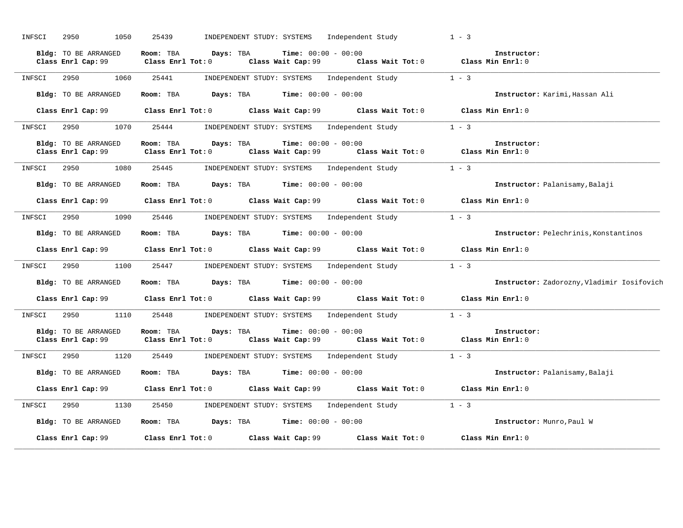| INFSCI | 2950<br>1050                                      | 25439<br>INDEPENDENT STUDY: SYSTEMS Independent Study                                                                                                                                                      | $1 - 3$                                    |
|--------|---------------------------------------------------|------------------------------------------------------------------------------------------------------------------------------------------------------------------------------------------------------------|--------------------------------------------|
|        | <b>Bldg:</b> TO BE ARRANGED<br>Class Enrl Cap: 99 | Room: TBA Days: TBA<br><b>Time:</b> $00:00 - 00:00$<br>Class Wait Tot: $0$ Class Min Enrl: $0$<br>Class Enrl Tot: $0$<br>Class Wait Cap: 99                                                                | Instructor:                                |
| INFSCI | 2950<br>1060                                      | 25441<br>INDEPENDENT STUDY: SYSTEMS Independent Study                                                                                                                                                      | $1 - 3$                                    |
|        | Bldg: TO BE ARRANGED                              | Room: TBA $\rule{1em}{0.15mm}$ Days: TBA $\rule{1.5mm}{0.15mm}$ Time: $00:00 - 00:00$                                                                                                                      | Instructor: Karimi, Hassan Ali             |
|        |                                                   | Class Enrl Cap: 99 Class Enrl Tot: 0 Class Wait Cap: 99 Class Wait Tot: 0 Class Min Enrl: 0                                                                                                                |                                            |
| INFSCI | 2950 1070 25444                                   | INDEPENDENT STUDY: SYSTEMS Independent Study 1 - 3                                                                                                                                                         |                                            |
|        | Bldg: TO BE ARRANGED<br>Class Enrl Cap: 99        | Room: TBA Days: TBA<br><b>Time:</b> $00:00 - 00:00$<br>Class Enrl Tot: 0 $\overline{\phantom{0}}$ Class Wait Cap: 99 $\overline{\phantom{0}}$ Class Wait Tot: 0 $\overline{\phantom{0}}$ Class Min Enrl: 0 | Instructor:                                |
| INFSCI | 2950<br>1080                                      | 25445<br>INDEPENDENT STUDY: SYSTEMS Independent Study                                                                                                                                                      | $1 - 3$                                    |
|        | Bldg: TO BE ARRANGED                              | Room: TBA $Days:$ TBA $Time: 00:00 - 00:00$                                                                                                                                                                | Instructor: Palanisamy, Balaji             |
|        |                                                   | Class Enrl Cap: 99 Class Enrl Tot: 0 Class Wait Cap: 99 Class Wait Tot: 0 Class Min Enrl: 0                                                                                                                |                                            |
| INFSCI |                                                   | 2950 1090 25446 INDEPENDENT STUDY: SYSTEMS Independent Study 1 - 3                                                                                                                                         |                                            |
|        | Bldg: TO BE ARRANGED                              | Room: TBA $Days:$ TBA $Time: 00:00 - 00:00$                                                                                                                                                                | Instructor: Pelechrinis, Konstantinos      |
|        |                                                   | Class Enrl Cap: 99 Class Enrl Tot: 0 Class Wait Cap: 99 Class Wait Tot: 0 Class Min Enrl: 0                                                                                                                |                                            |
| INFSCI |                                                   | 2950 1100 25447 INDEPENDENT STUDY: SYSTEMS Independent Study                                                                                                                                               | $1 - 3$                                    |
|        | Bldg: TO BE ARRANGED                              | Room: TBA $Days: TBA$ Time: $00:00 - 00:00$                                                                                                                                                                | Instructor: Zadorozny, Vladimir Iosifovich |
|        |                                                   | Class Enrl Cap: 99 Class Enrl Tot: 0 Class Wait Cap: 99 Class Wait Tot: 0                                                                                                                                  | Class Min Enrl: 0                          |
| INFSCI |                                                   | 2950 1110 25448 INDEPENDENT STUDY: SYSTEMS Independent Study                                                                                                                                               | $1 - 3$                                    |
|        | Bldg: TO BE ARRANGED                              | <b>Time:</b> $00:00 - 00:00$<br>Room: TBA Days: TBA<br>Class Enrl Cap: 99 Class Enrl Tot: 0 Class Wait Cap: 99 Class Wait Tot: 0 Class Min Enrl: 0                                                         | Instructor:                                |
| INFSCI |                                                   | 2950 1120 25449 INDEPENDENT STUDY: SYSTEMS Independent Study                                                                                                                                               | $1 - 3$                                    |
|        | Bldg: TO BE ARRANGED                              | Room: TBA $\rule{1em}{0.15mm}$ Days: TBA $\rule{1.15mm}]{0.15mm}$ Time: $0.000 - 0.0000$                                                                                                                   | Instructor: Palanisamy, Balaji             |
|        |                                                   | Class Enrl Cap: 99 Class Enrl Tot: 0 Class Wait Cap: 99 Class Wait Tot: 0 Class Min Enrl: 0                                                                                                                |                                            |
| INFSCI |                                                   | 2950 1130 25450 INDEPENDENT STUDY: SYSTEMS Independent Study                                                                                                                                               | $1 - 3$                                    |
|        | Bldg: TO BE ARRANGED                              | Room: TBA $Days: TBA$ Time: $00:00 - 00:00$                                                                                                                                                                | Instructor: Munro, Paul W                  |
|        | Class Enrl Cap: 99                                | Class Enrl Tot: 0 Class Wait Cap: 99<br>Class Wait Tot: 0                                                                                                                                                  | Class Min Enrl: 0                          |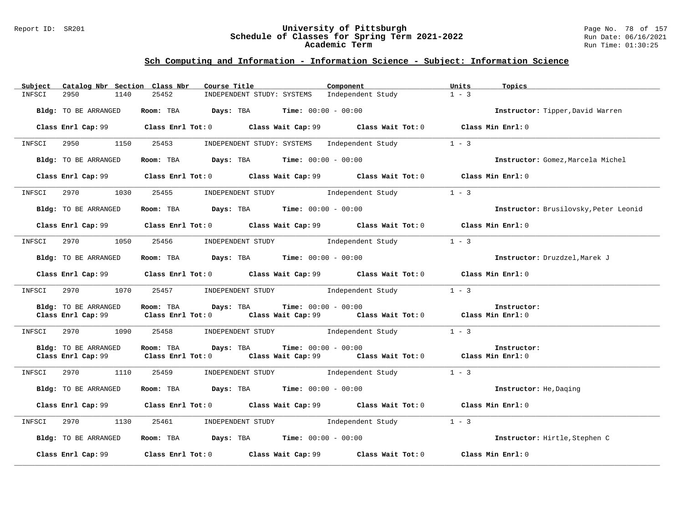#### Report ID: SR201 **University of Pittsburgh** Page No. 78 of 157 **Schedule of Classes for Spring Term 2021-2022** Run Date: 06/16/2021 **Academic Term** Run Time: 01:30:25

| Subject | Catalog Nbr Section Class Nbr | Course Title                                                                                                       | Component                                         | Units<br>Topics                       |
|---------|-------------------------------|--------------------------------------------------------------------------------------------------------------------|---------------------------------------------------|---------------------------------------|
| INFSCI  | 1140<br>2950                  | 25452<br>INDEPENDENT STUDY: SYSTEMS                                                                                | Independent Study                                 | $1 - 3$                               |
|         | Bldg: TO BE ARRANGED          | Room: TBA $Days:$ TBA $Time: 00:00 - 00:00$                                                                        |                                                   | Instructor: Tipper, David Warren      |
|         |                               | Class Enrl Cap: 99 Class Enrl Tot: 0 Class Wait Cap: 99 Class Wait Tot: 0 Class Min Enrl: 0                        |                                                   |                                       |
| INFSCI  |                               | 2950 1150 25453 INDEPENDENT STUDY: SYSTEMS Independent Study                                                       |                                                   | $1 - 3$                               |
|         | Bldg: TO BE ARRANGED          | Room: TBA $\rule{1em}{0.15mm}$ Days: TBA $\rule{1.5mm}{0.15mm}$ Time: $00:00 - 00:00$                              |                                                   | Instructor: Gomez, Marcela Michel     |
|         |                               | Class Enrl Cap: 99 Class Enrl Tot: 0 Class Wait Cap: 99 Class Wait Tot: 0 Class Min Enrl: 0                        |                                                   |                                       |
|         | INFSCI 2970 1030              |                                                                                                                    | 25455 INDEPENDENT STUDY 1 Independent Study 1 - 3 |                                       |
|         | Bldg: TO BE ARRANGED          | Room: TBA $Days: TBA$ Time: $00:00 - 00:00$                                                                        |                                                   | Instructor: Brusilovsky, Peter Leonid |
|         |                               | Class Enrl Cap: 99 Class Enrl Tot: 0 Class Wait Cap: 99 Class Wait Tot: 0 Class Min Enrl: 0                        |                                                   |                                       |
|         |                               | INFSCI 2970 1050 25456 INDEPENDENT STUDY Independent Study 1 - 3                                                   |                                                   |                                       |
|         | Bldg: TO BE ARRANGED          | <b>Room:</b> TBA <b>Days:</b> TBA <b>Time:</b> 00:00 - 00:00                                                       |                                                   | Instructor: Druzdzel, Marek J         |
|         |                               | Class Enrl Cap: 99 Class Enrl Tot: 0 Class Wait Cap: 99 Class Wait Tot: 0 Class Min Enrl: 0                        |                                                   |                                       |
| INFSCI  | 2970<br>1070                  |                                                                                                                    | 25457 INDEPENDENT STUDY Independent Study         | $1 - 3$                               |
|         | Bldg: TO BE ARRANGED          | Room: TBA Days: TBA<br>Class Enrl Cap: 99 Class Enrl Tot: 0 Class Wait Cap: 99 Class Wait Tot: 0 Class Min Enrl: 0 | <b>Time:</b> $00:00 - 00:00$                      | Instructor:                           |
| INFSCI  | 2970 1090                     |                                                                                                                    | 25458 INDEPENDENT STUDY Independent Study 1 - 3   |                                       |
|         | Bldg: TO BE ARRANGED          | Room: TBA Days: TBA<br>Class Enrl Cap: 99 Class Enrl Tot: 0 Class Wait Cap: 99 Class Wait Tot: 0 Class Min Enrl: 0 | <b>Time:</b> $00:00 - 00:00$                      | Instructor:                           |
| INFSCI  | 2970 70<br>1110               | 25459                                                                                                              | INDEPENDENT STUDY 1ndependent Study               | $1 - 3$                               |
|         | Bldg: TO BE ARRANGED          | Room: TBA $Days:$ TBA $Time: 00:00 - 00:00$                                                                        |                                                   | Instructor: He, Daging                |
|         |                               | Class Enrl Cap: 99 Class Enrl Tot: 0 Class Wait Cap: 99 Class Wait Tot: 0 Class Min Enrl: 0                        |                                                   |                                       |
| INFSCI  |                               | 2970 1130 25461 INDEPENDENT STUDY Independent Study                                                                |                                                   | $1 - 3$                               |
|         | Bldg: TO BE ARRANGED          | Room: TBA $\rule{1em}{0.15mm}$ Days: TBA Time: $00:00 - 00:00$                                                     |                                                   | Instructor: Hirtle, Stephen C         |
|         |                               | Class Enrl Cap: 99 Class Enrl Tot: 0 Class Wait Cap: 99 Class Wait Tot: 0                                          |                                                   | Class Min Enrl: 0                     |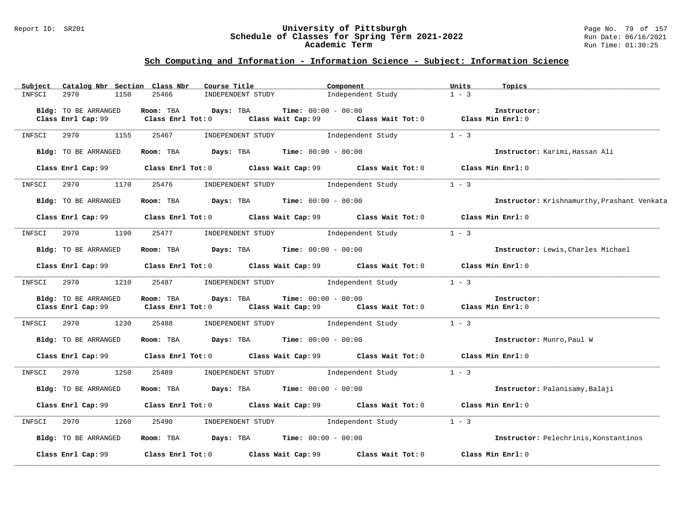#### Report ID: SR201 **University of Pittsburgh** Page No. 79 of 157 **Schedule of Classes for Spring Term 2021-2022** Run Date: 06/16/2021 **Academic Term** Run Time: 01:30:25

| Subject | Catalog Nbr Section Class Nbr              | Course Title                                                                                                                                                  | Component         | Units<br>Topics                              |
|---------|--------------------------------------------|---------------------------------------------------------------------------------------------------------------------------------------------------------------|-------------------|----------------------------------------------|
| INFSCI  | 2970<br>1150                               | 25466<br>INDEPENDENT STUDY                                                                                                                                    | Independent Study | $1 - 3$                                      |
|         | Bldg: TO BE ARRANGED                       | Days: TBA<br><b>Time:</b> $00:00 - 00:00$<br>Room: TBA                                                                                                        |                   | Instructor:                                  |
|         | Class Enrl Cap: 99                         | Class Enrl Tot: $0$ Class Wait Cap: $99$ Class Wait Tot: $0$ Class Min Enrl: $0$                                                                              |                   |                                              |
| INFSCI  | 2970<br>1155                               | 25467<br>INDEPENDENT STUDY 1ndependent Study                                                                                                                  |                   | $1 - 3$                                      |
|         | Bldg: TO BE ARRANGED                       | Room: TBA $Days:$ TBA $Time: 00:00 - 00:00$                                                                                                                   |                   | Instructor: Karimi, Hassan Ali               |
|         |                                            | Class Enrl Cap: 99 Class Enrl Tot: 0 Class Wait Cap: 99 Class Wait Tot: 0 Class Min Enrl: 0                                                                   |                   |                                              |
| INFSCI  | 2970<br>1170                               | 25476 INDEPENDENT STUDY 1ndependent Study                                                                                                                     |                   | $1 - 3$                                      |
|         | Bldg: TO BE ARRANGED                       | Room: TBA $\rule{1em}{0.15mm}$ Days: TBA Time: $00:00 - 00:00$                                                                                                |                   | Instructor: Krishnamurthy, Prashant Venkata  |
|         |                                            | Class Enrl Cap: 99 Class Enrl Tot: 0 Class Wait Cap: 99 Class Wait Tot: 0 Class Min Enrl: 0                                                                   |                   |                                              |
| INFSCI  | 2970<br>1190                               | 25477 INDEPENDENT STUDY Independent Study                                                                                                                     |                   | $1 - 3$                                      |
|         | Bldg: TO BE ARRANGED                       | Room: TBA $Days:$ TBA $Time:$ $00:00 - 00:00$                                                                                                                 |                   | Instructor: Lewis, Charles Michael           |
|         |                                            | Class Enrl Cap: 99 Class Enrl Tot: 0 Class Wait Cap: 99 Class Wait Tot: 0 Class Min Enrl: 0                                                                   |                   |                                              |
| INFSCI  | 2970 1210                                  | 25487<br>INDEPENDENT STUDY Independent Study                                                                                                                  |                   | $1 - 3$                                      |
|         | Bldg: TO BE ARRANGED<br>Class Enrl Cap: 99 | <b>Time:</b> $00:00 - 00:00$<br>Room: TBA<br>Davs: TBA<br>Class Enrl Tot: 0 $\qquad$ Class Wait Cap: 99 $\qquad$ Class Wait Tot: 0 $\qquad$ Class Min Enrl: 0 |                   | Instructor:                                  |
| INFSCI  | 2970<br>1230                               | 25488<br>INDEPENDENT STUDY 1ndependent Study                                                                                                                  |                   | $1 - 3$                                      |
|         | Bldg: TO BE ARRANGED                       | Room: TBA $Days:$ TBA $Time: 00:00 - 00:00$                                                                                                                   |                   | Instructor: Munro, Paul W                    |
|         |                                            | Class Enrl Cap: 99 Class Enrl Tot: 0 Class Wait Cap: 99 Class Wait Tot: 0 Class Min Enrl: 0                                                                   |                   |                                              |
| INFSCI  | 1250<br>2970                               | INDEPENDENT STUDY<br>25489                                                                                                                                    | Independent Study | $1 - 3$                                      |
|         | Bldg: TO BE ARRANGED                       | <b>Room:</b> TBA $Days: TBA$ <b>Time:</b> $00:00 - 00:00$                                                                                                     |                   | Instructor: Palanisamy, Balaji               |
|         |                                            | Class Enrl Cap: 99 Class Enrl Tot: 0 Class Wait Cap: 99 Class Wait Tot: 0 Class Min Enrl: 0                                                                   |                   |                                              |
| INFSCI  | 2970<br>1260                               | 25490 INDEPENDENT STUDY Independent Study                                                                                                                     |                   | $1 - 3$                                      |
|         | Bldg: TO BE ARRANGED                       | Room: TBA $\rule{1em}{0.15mm}$ Days: TBA Time: $00:00 - 00:00$                                                                                                |                   | <b>Instructor:</b> Pelechrinis, Konstantinos |
|         |                                            | Class Enrl Cap: 99 Class Enrl Tot: 0 Class Wait Cap: 99 Class Wait Tot: 0 Class Min Enrl: 0                                                                   |                   |                                              |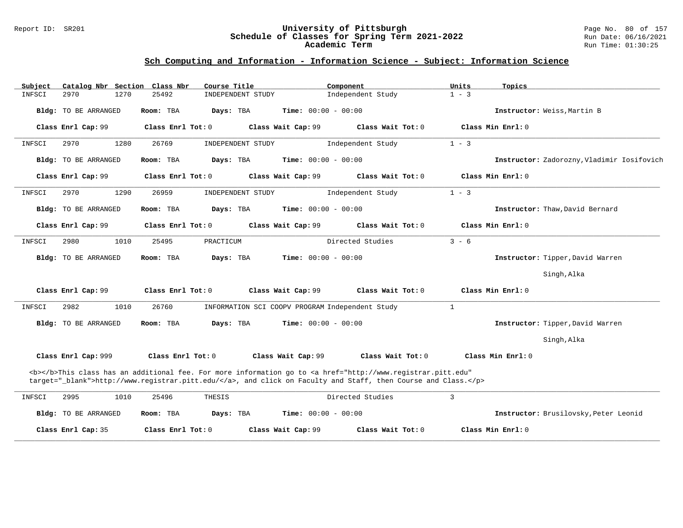#### Report ID: SR201 **University of Pittsburgh** Page No. 80 of 157 **Schedule of Classes for Spring Term 2021-2022** Run Date: 06/16/2021 **Academic Term** Run Time: 01:30:25

| Subject |                             |      | Catalog Nbr Section Class Nbr | Course Title |                   |                              | Component                                                                                                                                                                                                                          | Units          |                   | Topics                                     |
|---------|-----------------------------|------|-------------------------------|--------------|-------------------|------------------------------|------------------------------------------------------------------------------------------------------------------------------------------------------------------------------------------------------------------------------------|----------------|-------------------|--------------------------------------------|
| INFSCI  | 2970                        | 1270 | 25492                         |              | INDEPENDENT STUDY |                              | Independent Study                                                                                                                                                                                                                  | $1 - 3$        |                   |                                            |
|         | <b>Bldg:</b> TO BE ARRANGED |      | Room: TBA                     | Days: TBA    |                   | <b>Time:</b> $00:00 - 00:00$ |                                                                                                                                                                                                                                    |                |                   | Instructor: Weiss, Martin B                |
|         | Class Enrl Cap: 99          |      | Class Enrl Tot: 0             |              |                   | Class Wait Cap: 99           | Class Wait Tot: 0                                                                                                                                                                                                                  |                | Class Min Enrl: 0 |                                            |
| INFSCI  | 2970                        | 1280 | 26769                         |              | INDEPENDENT STUDY |                              | Independent Study                                                                                                                                                                                                                  | $1 - 3$        |                   |                                            |
|         | Bldg: TO BE ARRANGED        |      | Room: TBA                     | Days: TBA    |                   | Time: $00:00 - 00:00$        |                                                                                                                                                                                                                                    |                |                   | Instructor: Zadorozny, Vladimir Iosifovich |
|         | Class Enrl Cap: 99          |      | Class Enrl Tot: 0             |              |                   | Class Wait Cap: 99           | Class Wait Tot: 0                                                                                                                                                                                                                  |                | Class Min Enrl: 0 |                                            |
| INFSCI  | 2970                        | 1290 | 26959                         |              | INDEPENDENT STUDY |                              | Independent Study                                                                                                                                                                                                                  | $1 - 3$        |                   |                                            |
|         | <b>Bldg:</b> TO BE ARRANGED |      | Room: TBA                     | Days: TBA    |                   | Time: $00:00 - 00:00$        |                                                                                                                                                                                                                                    |                |                   | Instructor: Thaw, David Bernard            |
|         | Class Enrl Cap: 99          |      | Class Enrl Tot: 0             |              |                   | Class Wait Cap: 99           | Class Wait Tot: 0                                                                                                                                                                                                                  |                | Class Min Enrl: 0 |                                            |
| INFSCI  | 2980                        | 1010 | 25495                         | PRACTICUM    |                   |                              | Directed Studies                                                                                                                                                                                                                   | $3 - 6$        |                   |                                            |
|         | <b>Bldg:</b> TO BE ARRANGED |      | Room: TBA                     | Days: TBA    |                   | <b>Time:</b> $00:00 - 00:00$ |                                                                                                                                                                                                                                    |                |                   | Instructor: Tipper, David Warren           |
|         |                             |      |                               |              |                   |                              |                                                                                                                                                                                                                                    |                |                   | Singh, Alka                                |
|         | Class Enrl Cap: 99          |      | Class Enrl Tot: 0             |              |                   | Class Wait Cap: 99           | Class Wait Tot: 0                                                                                                                                                                                                                  |                | Class Min Enrl: 0 |                                            |
| INFSCI  | 2982                        | 1010 | 26760                         |              |                   |                              | INFORMATION SCI COOPV PROGRAM Independent Study                                                                                                                                                                                    | $\mathbf{1}$   |                   |                                            |
|         | <b>Bldg:</b> TO BE ARRANGED |      | Room: TBA                     | Days: TBA    |                   | <b>Time:</b> $00:00 - 00:00$ |                                                                                                                                                                                                                                    |                |                   | Instructor: Tipper, David Warren           |
|         |                             |      |                               |              |                   |                              |                                                                                                                                                                                                                                    |                |                   | Singh, Alka                                |
|         | Class Enrl Cap: 999         |      | Class Enrl Tot: 0             |              |                   | Class Wait Cap: 99           | Class Wait Tot: 0                                                                                                                                                                                                                  |                |                   | Class Min Enrl: 0                          |
|         |                             |      |                               |              |                   |                              | <b></b> This class has an additional fee. For more information go to <a <br="" href="http://www.registrar.pitt.edu">target="_blank"&gt;http://www.registrar.pitt.edu/</a> , and click on Faculty and Staff, then Course and Class. |                |                   |                                            |
| INFSCI  | 2995                        | 1010 | 25496                         | THESIS       |                   |                              | Directed Studies                                                                                                                                                                                                                   | $\overline{3}$ |                   |                                            |
|         | Bldg: TO BE ARRANGED        |      | Room: TBA                     | Days: TBA    |                   | <b>Time:</b> $00:00 - 00:00$ |                                                                                                                                                                                                                                    |                |                   | Instructor: Brusilovsky, Peter Leonid      |
|         | Class Enrl Cap: 35          |      | Class Enrl Tot: 0             |              |                   | Class Wait Cap: 99           | Class Wait Tot: 0                                                                                                                                                                                                                  |                | Class Min Enrl: 0 |                                            |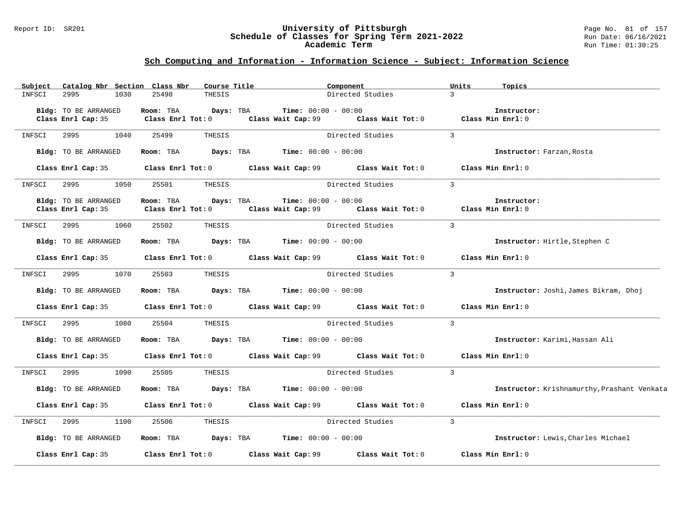#### Report ID: SR201 **University of Pittsburgh** Page No. 81 of 157 **Schedule of Classes for Spring Term 2021-2022** Run Date: 06/16/2021 **Academic Term** Run Time: 01:30:25

| Subject |                                            |      | Catalog Nbr Section Class Nbr    | Course Title |                                                                                       | Component        |                                                                                             | Units          | Topics                                      |
|---------|--------------------------------------------|------|----------------------------------|--------------|---------------------------------------------------------------------------------------|------------------|---------------------------------------------------------------------------------------------|----------------|---------------------------------------------|
| INFSCI  | 2995                                       | 1030 | 25498                            | THESIS       |                                                                                       | Directed Studies |                                                                                             | $\mathcal{E}$  |                                             |
|         | Bldg: TO BE ARRANGED                       |      | Room: TBA                        | Days: TBA    | <b>Time:</b> $00:00 - 00:00$                                                          |                  |                                                                                             |                | Instructor:                                 |
|         | Class Enrl Cap: 35                         |      | $Class$ $Enr1$ $Tot: 0$          |              | Class Wait Cap: 99                                                                    |                  | Class Wait Tot: 0 Class Min Enrl: 0                                                         |                |                                             |
| INFSCI  | 2995                                       | 1040 | 25499                            | THESIS       |                                                                                       | Directed Studies |                                                                                             | $\mathbf{3}$   |                                             |
|         | Bldg: TO BE ARRANGED                       |      | Room: TBA                        |              | <b>Days:</b> TBA <b>Time:</b> $00:00 - 00:00$                                         |                  |                                                                                             |                | Instructor: Farzan, Rosta                   |
|         |                                            |      |                                  |              |                                                                                       |                  | Class Enrl Cap: 35 Class Enrl Tot: 0 Class Wait Cap: 99 Class Wait Tot: 0 Class Min Enrl: 0 |                |                                             |
| INFSCI  | 2995                                       | 1050 | 25501                            | THESIS       |                                                                                       | Directed Studies |                                                                                             | $\overline{3}$ |                                             |
|         | Bldg: TO BE ARRANGED<br>Class Enrl Cap: 35 |      | Room: TBA<br>Class Enrl Tot: $0$ | Days: TBA    | <b>Time:</b> $00:00 - 00:00$                                                          |                  | Class Wait Cap: 99 Class Wait Tot: 0 Class Min Enrl: 0                                      |                | Instructor:                                 |
| INFSCI  | 2995                                       | 1060 | 25502                            | THESIS       |                                                                                       | Directed Studies |                                                                                             | $\mathcal{L}$  |                                             |
|         | Bldg: TO BE ARRANGED                       |      |                                  |              | Room: TBA $\rule{1em}{0.15mm}$ Days: TBA Time: $00:00 - 00:00$                        |                  |                                                                                             |                | Instructor: Hirtle, Stephen C               |
|         |                                            |      |                                  |              |                                                                                       |                  | Class Enrl Cap: 35 Class Enrl Tot: 0 Class Wait Cap: 99 Class Wait Tot: 0 Class Min Enrl: 0 |                |                                             |
| INFSCI  | 2995                                       | 1070 | 25503                            | THESIS       |                                                                                       | Directed Studies |                                                                                             | $\mathcal{L}$  |                                             |
|         | Bldg: TO BE ARRANGED                       |      |                                  |              | Room: TBA $\rule{1em}{0.15mm}$ Days: TBA $\rule{1.5mm}{0.15mm}$ Time: $00:00 - 00:00$ |                  |                                                                                             |                | Instructor: Joshi, James Bikram, Dhoj       |
|         |                                            |      |                                  |              | Class Enrl Cap: 35 Class Enrl Tot: 0 Class Wait Cap: 99 Class Wait Tot: 0             |                  |                                                                                             |                | Class Min Enrl: 0                           |
| INFSCI  | 2995                                       | 1080 | 25504                            | THESIS       |                                                                                       | Directed Studies |                                                                                             | $\overline{3}$ |                                             |
|         | Bldg: TO BE ARRANGED                       |      | Room: TBA                        |              | $\texttt{Days:}$ TBA $\texttt{Time:}$ 00:00 - 00:00                                   |                  |                                                                                             |                | Instructor: Karimi, Hassan Ali              |
|         |                                            |      |                                  |              | Class Enrl Cap: 35 Class Enrl Tot: 0 Class Wait Cap: 99 Class Wait Tot: 0             |                  |                                                                                             |                | Class Min Enrl: 0                           |
| INFSCI  | 2995                                       | 1090 | 25505                            | THESIS       |                                                                                       | Directed Studies |                                                                                             | $\overline{3}$ |                                             |
|         | Bldg: TO BE ARRANGED                       |      | Room: TBA                        |              | $\texttt{Days:}$ TBA <b>Time:</b> $00:00 - 00:00$                                     |                  |                                                                                             |                | Instructor: Krishnamurthy, Prashant Venkata |
|         |                                            |      |                                  |              |                                                                                       |                  | Class Enrl Cap: 35 Class Enrl Tot: 0 Class Wait Cap: 99 Class Wait Tot: 0 Class Min Enrl: 0 |                |                                             |
| INFSCI  | 2995                                       | 1100 | 25506                            | THESIS       |                                                                                       |                  | Directed Studies                                                                            | $\mathbf{3}$   |                                             |
|         | Bldg: TO BE ARRANGED                       |      |                                  |              | <b>Room:</b> TBA $Days:$ TBA $Time: 00:00 - 00:00$                                    |                  |                                                                                             |                | Instructor: Lewis, Charles Michael          |
|         | Class Enrl Cap: 35                         |      |                                  |              | Class Enrl Tot: $0$ Class Wait Cap: 99 $\,$ Class Wait Tot: $0$                       |                  |                                                                                             |                | Class Min Enrl: 0                           |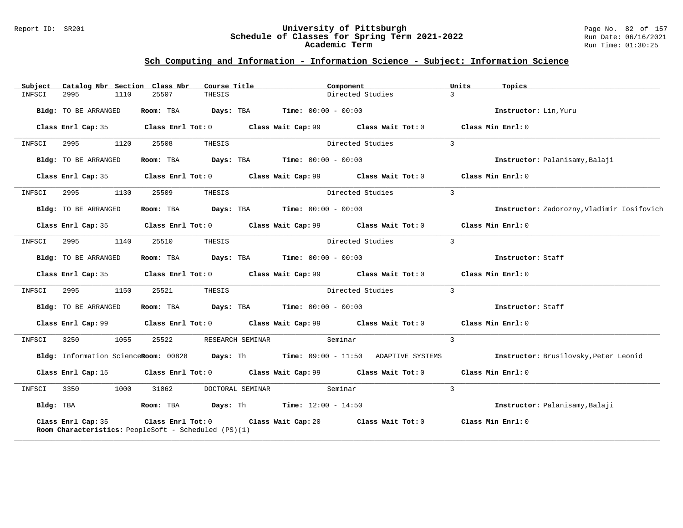#### Report ID: SR201 **University of Pittsburgh** Page No. 82 of 157 **Schedule of Classes for Spring Term 2021-2022** Run Date: 06/16/2021 **Academic Term** Run Time: 01:30:25

| Subject   |                                                                            |      | Catalog Nbr Section Class Nbr | Course Title |                                                             | Component        |                                                                                             | Units          | Topics                                                                                                                   |
|-----------|----------------------------------------------------------------------------|------|-------------------------------|--------------|-------------------------------------------------------------|------------------|---------------------------------------------------------------------------------------------|----------------|--------------------------------------------------------------------------------------------------------------------------|
| INFSCI    | 2995                                                                       | 1110 | 25507                         | THESIS       |                                                             | Directed Studies |                                                                                             | $\mathcal{L}$  |                                                                                                                          |
|           | Bldg: TO BE ARRANGED                                                       |      | Room: TBA                     |              | <b>Days:</b> TBA <b>Time:</b> $00:00 - 00:00$               |                  |                                                                                             |                | Instructor: Lin, Yuru                                                                                                    |
|           | Class Enrl Cap: 35                                                         |      |                               |              |                                                             |                  | Class Enrl Tot: 0 Class Wait Cap: 99 Class Wait Tot: 0                                      |                | Class Min Enrl: 0                                                                                                        |
| INFSCI    | 2995 700                                                                   | 1120 | 25508                         | THESIS       |                                                             | Directed Studies |                                                                                             | $\overline{3}$ |                                                                                                                          |
|           | Bldg: TO BE ARRANGED                                                       |      |                               |              | Room: TBA $Days:$ TBA $Time:$ $00:00 - 00:00$               |                  |                                                                                             |                | Instructor: Palanisamy, Balaji                                                                                           |
|           | Class Enrl Cap: 35                                                         |      |                               |              |                                                             |                  | Class Enrl Tot: $0$ Class Wait Cap: $99$ Class Wait Tot: $0$                                |                | Class Min Enrl: 0                                                                                                        |
| INFSCI    | 2995 1130                                                                  |      | 25509                         | THESIS       |                                                             | Directed Studies |                                                                                             | $\overline{3}$ |                                                                                                                          |
|           | Bldg: TO BE ARRANGED                                                       |      |                               |              | Room: TBA $Days:$ TBA $Time: 00:00 - 00:00$                 |                  |                                                                                             |                | Instructor: Zadorozny, Vladimir Iosifovich                                                                               |
|           |                                                                            |      |                               |              |                                                             |                  | Class Enrl Cap: 35 Class Enrl Tot: 0 Class Wait Cap: 99 Class Wait Tot: 0 Class Min Enrl: 0 |                |                                                                                                                          |
| INFSCI    |                                                                            | 1140 | 25510                         | THESIS       |                                                             | Directed Studies |                                                                                             | $\overline{3}$ |                                                                                                                          |
|           | Bldg: TO BE ARRANGED                                                       |      |                               |              | Room: TBA $Days:$ TBA $Time: 00:00 - 00:00$                 |                  |                                                                                             |                | Instructor: Staff                                                                                                        |
|           |                                                                            |      |                               |              |                                                             |                  | Class Enrl Cap: 35 Class Enrl Tot: 0 Class Wait Cap: 99 Class Wait Tot: 0 Class Min Enrl: 0 |                |                                                                                                                          |
| INFSCI    | 2995                                                                       | 1150 | 25521                         | THESIS       |                                                             | Directed Studies |                                                                                             | $\overline{3}$ |                                                                                                                          |
|           | Bldg: TO BE ARRANGED                                                       |      |                               |              | Room: TBA $Days:$ TBA $Time: 00:00 - 00:00$                 |                  |                                                                                             |                | Instructor: Staff                                                                                                        |
|           |                                                                            |      |                               |              |                                                             |                  | Class Enrl Cap: 99 Class Enrl Tot: 0 Class Wait Cap: 99 Class Wait Tot: 0 Class Min Enrl: 0 |                |                                                                                                                          |
| INFSCI    | 3250 326                                                                   | 1055 | 25522                         |              | RESEARCH SEMINAR Seminar                                    |                  |                                                                                             | $\mathbf{3}$   |                                                                                                                          |
|           |                                                                            |      |                               |              |                                                             |                  |                                                                                             |                | Bldg: Information ScienceRoom: 00828 Days: Th Time: 09:00 - 11:50 ADAPTIVE SYSTEMS Instructor: Brusilovsky, Peter Leonid |
|           |                                                                            |      |                               |              |                                                             |                  | Class Enrl Cap: 15 Class Enrl Tot: 0 Class Wait Cap: 99 Class Wait Tot: 0 Class Min Enrl: 0 |                |                                                                                                                          |
| INFSCI    | 3350                                                                       | 1000 | 31062                         |              | DOCTORAL SEMINAR Seminar                                    |                  |                                                                                             | $\overline{3}$ |                                                                                                                          |
| Bldg: TBA |                                                                            |      |                               |              | Room: TBA $\rule{1em}{0.15mm}$ Days: Th Time: 12:00 - 14:50 |                  |                                                                                             |                | Instructor: Palanisamy, Balaji                                                                                           |
|           | Class Enrl Cap: 35<br>Room Characteristics: PeopleSoft - Scheduled (PS)(1) |      |                               |              | Class Enrl Tot: 0 Class Wait Cap: 20                        |                  | Class Wait Tot: 0                                                                           |                | Class Min Enrl: 0                                                                                                        |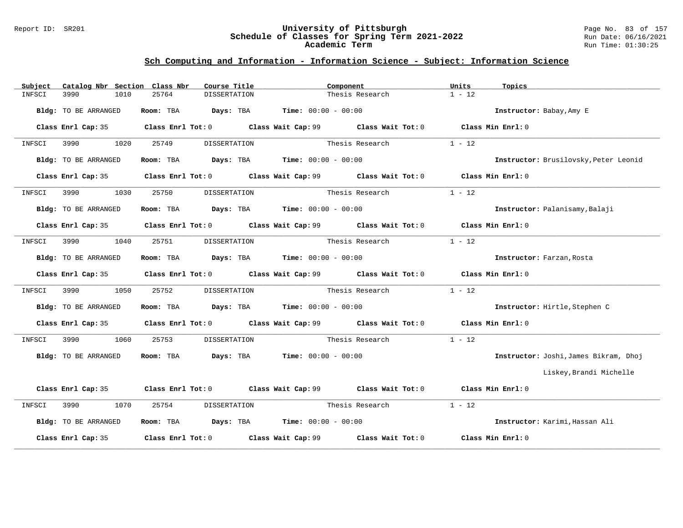#### Report ID: SR201 **University of Pittsburgh** Page No. 83 of 157 **Schedule of Classes for Spring Term 2021-2022** Run Date: 06/16/2021 **Academic Term** Run Time: 01:30:25

| Catalog Nbr Section Class Nbr<br>Subject | Course Title                                                 | Component                                                                                            | Units<br>Topics                       |
|------------------------------------------|--------------------------------------------------------------|------------------------------------------------------------------------------------------------------|---------------------------------------|
| 3990<br>1010<br>INFSCI                   | 25764<br><b>DISSERTATION</b>                                 | Thesis Research                                                                                      | $1 - 12$                              |
| Bldg: TO BE ARRANGED                     | Room: TBA $Days:$ TBA $Time: 00:00 - 00:00$                  |                                                                                                      | Instructor: Babay, Amy E              |
| Class Enrl Cap: 35                       |                                                              | Class Enrl Tot: 0 Class Wait Cap: 99 Class Wait Tot: 0                                               | Class Min Enrl: 0                     |
| 1020<br>3990<br>INFSCI                   | 25749<br>DISSERTATION                                        | Thesis Research                                                                                      | $1 - 12$                              |
| Bldg: TO BE ARRANGED                     | <b>Room:</b> TBA <b>Days:</b> TBA <b>Time:</b> 00:00 - 00:00 |                                                                                                      | Instructor: Brusilovsky, Peter Leonid |
|                                          |                                                              | Class Enrl Cap: 35 $\qquad$ Class Enrl Tot: 0 $\qquad$ Class Wait Cap: 99 $\qquad$ Class Wait Tot: 0 | Class Min Enrl: 0                     |
| 3990<br>1030<br>INFSCI                   | <b>DISSERTATION</b><br>25750                                 | Thesis Research                                                                                      | $1 - 12$                              |
| Bldg: TO BE ARRANGED                     | Room: TBA $Days: TBA$ Time: $00:00 - 00:00$                  |                                                                                                      | Instructor: Palanisamy, Balaji        |
|                                          |                                                              | Class Enrl Cap: 35 $\qquad$ Class Enrl Tot: 0 $\qquad$ Class Wait Cap: 99 $\qquad$ Class Wait Tot: 0 | Class Min Enrl: 0                     |
| 1040<br>3990<br>INFSCI                   | 25751<br>DISSERTATION                                        | Thesis Research                                                                                      | $1 - 12$                              |
| Bldg: TO BE ARRANGED                     | Room: TBA $Days: TBA$ Time: $00:00 - 00:00$                  |                                                                                                      | Instructor: Farzan, Rosta             |
|                                          |                                                              | Class Enrl Cap: 35 Class Enrl Tot: 0 Class Wait Cap: 99 Class Wait Tot: 0 Class Min Enrl: 0          |                                       |
| 3990<br>1050<br>INFSCI                   | 25752                                                        | DISSERTATION Thesis Research                                                                         | $1 - 12$                              |
| <b>Bldg:</b> TO BE ARRANGED              | Room: TBA $Days: TBA$ Time: $00:00 - 00:00$                  |                                                                                                      | Instructor: Hirtle, Stephen C         |
|                                          |                                                              | Class Enrl Cap: 35 Class Enrl Tot: 0 Class Wait Cap: 99 Class Wait Tot: 0 Class Min Enrl: 0          |                                       |
| 3990<br>1060<br>INFSCI                   | 25753<br>DISSERTATION                                        | Thesis Research                                                                                      | $1 - 12$                              |
| Bldg: TO BE ARRANGED                     | Room: TBA $Days: TBA$ Time: $00:00 - 00:00$                  |                                                                                                      | Instructor: Joshi, James Bikram, Dhoj |
|                                          |                                                              |                                                                                                      | Liskey,Brandi Michelle                |
|                                          |                                                              | Class Enrl Cap: 35 Class Enrl Tot: 0 Class Wait Cap: 99 Class Wait Tot: 0 Class Min Enrl: 0          |                                       |
| 3990 000<br>1070<br>INFSCI               | 25754<br>DISSERTATION                                        | Thesis Research                                                                                      | $1 - 12$                              |
| Bldg: TO BE ARRANGED                     | Room: TBA $Days:$ TBA $Time: 00:00 - 00:00$                  |                                                                                                      | Instructor: Karimi, Hassan Ali        |
| Class Enrl Cap: 35                       |                                                              | Class Enrl Tot: $0$ Class Wait Cap: 99 $\,$ Class Wait Tot: $0$                                      | Class Min Enrl: 0                     |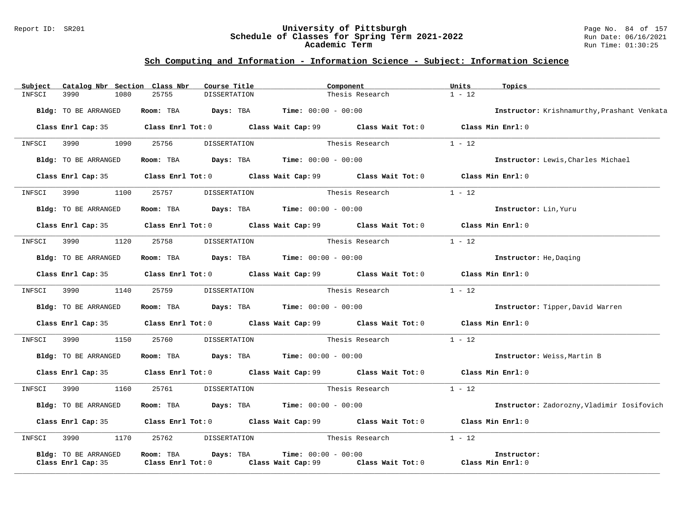#### Report ID: SR201 **University of Pittsburgh** Page No. 84 of 157 **Schedule of Classes for Spring Term 2021-2022** Run Date: 06/16/2021 **Academic Term** Run Time: 01:30:25

| Subject | Catalog Nbr Section Class Nbr              |                     | Course Title                                                   | Component             |                                                                                             | Units    | Topics                                      |
|---------|--------------------------------------------|---------------------|----------------------------------------------------------------|-----------------------|---------------------------------------------------------------------------------------------|----------|---------------------------------------------|
| INFSCI  | 3990<br>1080                               | 25755               | <b>DISSERTATION</b>                                            |                       | Thesis Research                                                                             | $1 - 12$ |                                             |
|         | Bldg: TO BE ARRANGED                       |                     | Room: TBA $Days: TBA$ Time: $00:00 - 00:00$                    |                       |                                                                                             |          | Instructor: Krishnamurthy, Prashant Venkata |
|         |                                            |                     |                                                                |                       | Class Enrl Cap: 35 Class Enrl Tot: 0 Class Wait Cap: 99 Class Wait Tot: 0 Class Min Enrl: 0 |          |                                             |
|         | INFSCI 3990 1090                           | 25756               | DISSERTATION                                                   | Thesis Research       |                                                                                             | $1 - 12$ |                                             |
|         | Bldg: TO BE ARRANGED                       |                     | Room: TBA $Days: TBA$ Time: $00:00 - 00:00$                    |                       |                                                                                             |          | Instructor: Lewis, Charles Michael          |
|         |                                            |                     |                                                                |                       | Class Enrl Cap: 35 Class Enrl Tot: 0 Class Wait Cap: 99 Class Wait Tot: 0 Class Min Enrl: 0 |          |                                             |
| INFSCI  | 3990 1100 25757                            |                     | DISSERTATION                                                   |                       | Thesis Research                                                                             | $1 - 12$ |                                             |
|         | Bldg: TO BE ARRANGED                       |                     | Room: TBA $Days: TBA$ Time: $00:00 - 00:00$                    |                       |                                                                                             |          | Instructor: Lin, Yuru                       |
|         |                                            |                     |                                                                |                       | Class Enrl Cap: 35 Class Enrl Tot: 0 Class Wait Cap: 99 Class Wait Tot: 0 Class Min Enrl: 0 |          |                                             |
| INFSCI  | 1120<br>3990                               | 25758               |                                                                |                       | DISSERTATION Thesis Research                                                                | $1 - 12$ |                                             |
|         | Bldg: TO BE ARRANGED                       |                     | Room: TBA $Days:$ TBA $Time: 00:00 - 00:00$                    |                       |                                                                                             |          | Instructor: He, Daging                      |
|         |                                            |                     |                                                                |                       | Class Enrl Cap: 35 Class Enrl Tot: 0 Class Wait Cap: 99 Class Wait Tot: 0 Class Min Enrl: 0 |          |                                             |
| INFSCI  | 3990 1140                                  |                     | 25759 DISSERTATION                                             | Thesis Research       |                                                                                             | $1 - 12$ |                                             |
|         | Bldg: TO BE ARRANGED                       |                     | Room: TBA $Days:$ TBA $Time: 00:00 - 00:00$                    |                       |                                                                                             |          | Instructor: Tipper, David Warren            |
|         |                                            |                     |                                                                |                       | Class Enrl Cap: 35 Class Enrl Tot: 0 Class Wait Cap: 99 Class Wait Tot: 0 Class Min Enrl: 0 |          |                                             |
|         | INFSCI 3990 1150 25760                     |                     | DISSERTATION                                                   |                       | Thesis Research                                                                             | $1 - 12$ |                                             |
|         | Bldg: TO BE ARRANGED                       |                     | Room: TBA $\rule{1em}{0.15mm}$ Days: TBA Time: $00:00 - 00:00$ |                       |                                                                                             |          | Instructor: Weiss, Martin B                 |
|         |                                            |                     |                                                                |                       | Class Enrl Cap: 35 Class Enrl Tot: 0 Class Wait Cap: 99 Class Wait Tot: 0 Class Min Enrl: 0 |          |                                             |
| INFSCI  | 1160<br>3990                               | 25761               |                                                                |                       | DISSERTATION Thesis Research                                                                | $1 - 12$ |                                             |
|         | Bldg: TO BE ARRANGED                       |                     | Room: TBA $Days:$ TBA $Time: 00:00 - 00:00$                    |                       |                                                                                             |          | Instructor: Zadorozny, Vladimir Iosifovich  |
|         |                                            |                     |                                                                |                       | Class Enrl Cap: 35 Class Enrl Tot: 0 Class Wait Cap: 99 Class Wait Tot: 0 Class Min Enrl: 0 |          |                                             |
| INFSCI  | 3990 1170 25762 DISSERTATION               |                     |                                                                | Thesis Research       |                                                                                             | $1 - 12$ |                                             |
|         | Bldg: TO BE ARRANGED<br>Class Enrl Cap: 35 | Class Enrl Tot: $0$ | Room: TBA Days: TBA                                            | $Time: 00:00 - 00:00$ | Class Wait Cap: 99 Class Wait Tot: 0                                                        |          | Instructor:<br>Class Min Enrl: 0            |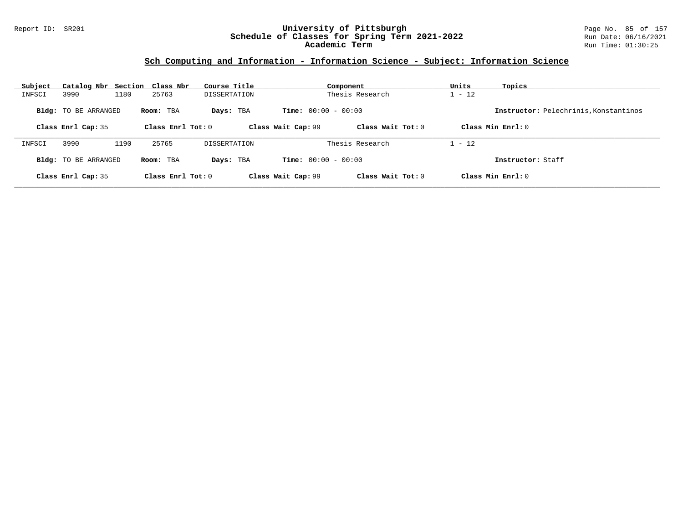#### Report ID: SR201 **University of Pittsburgh** Page No. 85 of 157 **Schedule of Classes for Spring Term 2021-2022** Run Date: 06/16/2021 **Academic Term** Run Time: 01:30:25

| Subject | Catalog Nbr Section Class Nbr |      |                     | Course Title        |                              | Component         | Units    | Topics                                |
|---------|-------------------------------|------|---------------------|---------------------|------------------------------|-------------------|----------|---------------------------------------|
| INFSCI  | 3990                          | 1180 | 25763               | <b>DISSERTATION</b> |                              | Thesis Research   | $1 - 12$ |                                       |
|         | <b>Bldg:</b> TO BE ARRANGED   |      | Room: TBA           | Days: TBA           | <b>Time:</b> $00:00 - 00:00$ |                   |          | Instructor: Pelechrinis, Konstantinos |
|         | Class Enrl Cap: 35            |      | Class Enrl Tot: $0$ |                     | Class Wait Cap: 99           | Class Wait Tot: 0 |          | Class Min $Enr1: 0$                   |
| INFSCI  | 3990                          | 1190 | 25765               | DISSERTATION        |                              | Thesis Research   | $1 - 12$ |                                       |
|         | <b>Bldg:</b> TO BE ARRANGED   |      | Room: TBA           | Days: TBA           | <b>Time:</b> $00:00 - 00:00$ |                   |          | Instructor: Staff                     |
|         | Class Enrl Cap: 35            |      | Class Enrl Tot: 0   |                     | Class Wait Cap: 99           | Class Wait Tot: 0 |          | Class Min Enrl: 0                     |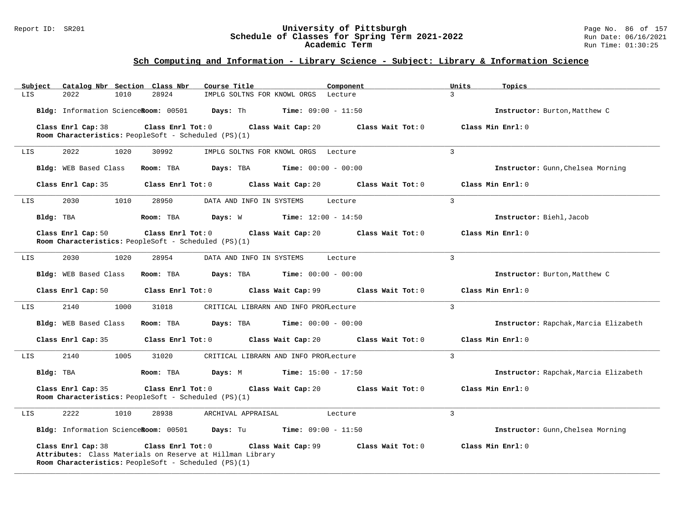#### Report ID: SR201 **University of Pittsburgh** Page No. 86 of 157 **Schedule of Classes for Spring Term 2021-2022** Run Date: 06/16/2021 **Academic Term** Run Time: 01:30:25

| Catalog Nbr Section Class Nbr<br>Subject | Course Title                                                                                                                                                 | Component                 | Units<br>Topics                       |
|------------------------------------------|--------------------------------------------------------------------------------------------------------------------------------------------------------------|---------------------------|---------------------------------------|
| 2022<br>LIS<br>1010                      | 28924<br>IMPLG SOLTNS FOR KNOWL ORGS Lecture                                                                                                                 | $\overline{3}$            |                                       |
| Bldg: Information ScienceRoom: 00501     | Days: Th<br><b>Time:</b> $09:00 - 11:50$                                                                                                                     |                           | Instructor: Burton, Matthew C         |
| Class Enrl Cap: 38                       | Class Enrl Tot: 0<br>Class Wait Cap: 20                                                                                                                      | Class Wait Tot: 0         | Class Min Enrl: 0                     |
|                                          | Room Characteristics: PeopleSoft - Scheduled (PS)(1)                                                                                                         |                           |                                       |
| 2022<br>1020<br>LIS                      | 30992<br>IMPLG SOLTNS FOR KNOWL ORGS                                                                                                                         | 3<br>Lecture              |                                       |
| Bldg: WEB Based Class                    | Days: TBA<br><b>Time:</b> $00:00 - 00:00$<br>Room: TBA                                                                                                       |                           | Instructor: Gunn, Chelsea Morning     |
| Class Enrl Cap: 35                       | Class Enrl Tot: 0<br>Class Wait Cap: 20                                                                                                                      | Class Wait Tot: 0         | Class Min Enrl: 0                     |
| 2030<br>1010<br>LIS                      | 28950<br>DATA AND INFO IN SYSTEMS                                                                                                                            | $\overline{3}$<br>Lecture |                                       |
| Bldg: TBA                                | Room: TBA<br>Days: W<br>$Time: 12:00 - 14:50$                                                                                                                |                           | Instructor: Biehl, Jacob              |
| Class Enrl Cap: 50                       | Class Enrl Tot: 0<br>Class Wait Cap: 20<br>Room Characteristics: PeopleSoft - Scheduled (PS)(1)                                                              | Class Wait Tot: 0         | Class Min Enrl: 0                     |
| 2030<br>1020<br>LIS                      | 28954<br>DATA AND INFO IN SYSTEMS                                                                                                                            | 3<br>Lecture              |                                       |
| Bldg: WEB Based Class                    | Room: TBA<br>Days: TBA<br><b>Time:</b> $00:00 - 00:00$                                                                                                       |                           | Instructor: Burton, Matthew C         |
| Class Enrl Cap: 50                       | Class Enrl Tot: 0<br>Class Wait Cap: 99                                                                                                                      | Class Wait Tot: 0         | Class Min Enrl: 0                     |
| 2140<br>1000<br>LIS                      | 31018<br>CRITICAL LIBRARN AND INFO PROFLecture                                                                                                               | $\overline{3}$            |                                       |
| Bldg: WEB Based Class                    | Room: TBA<br>Days: TBA<br><b>Time:</b> $00:00 - 00:00$                                                                                                       |                           | Instructor: Rapchak, Marcia Elizabeth |
| Class Enrl Cap: 35                       | Class Enrl Tot: 0<br>Class Wait Cap: 20                                                                                                                      | Class Wait Tot: 0         | Class Min Enrl: 0                     |
| 1005<br>LIS<br>2140                      | 31020<br>CRITICAL LIBRARN AND INFO PROFLecture                                                                                                               | $\mathbf{3}$              |                                       |
| Bldg: TBA                                | <b>Days:</b> M <b>Time:</b> $15:00 - 17:50$<br>Room: TBA                                                                                                     |                           | Instructor: Rapchak, Marcia Elizabeth |
| Class Enrl Cap: 35                       | Class Enrl Tot: 0<br>Class Wait Cap: 20<br>Room Characteristics: PeopleSoft - Scheduled (PS)(1)                                                              | Class Wait Tot: 0         | Class Min Enrl: 0                     |
| 2222<br>1010<br>LIS                      | 28938<br>ARCHIVAL APPRAISAL                                                                                                                                  | $\mathbf{3}$<br>Lecture   |                                       |
|                                          | Bldg: Information ScienceRoom: 00501 Days: Tu<br>$Time: 09:00 - 11:50$                                                                                       |                           | Instructor: Gunn, Chelsea Morning     |
| Class Enrl Cap: 38                       | Class Enrl Tot: 0<br>Class Wait Cap: 99<br>Attributes: Class Materials on Reserve at Hillman Library<br>Room Characteristics: PeopleSoft - Scheduled (PS)(1) | Class Wait Tot: 0         | Class Min Enrl: 0                     |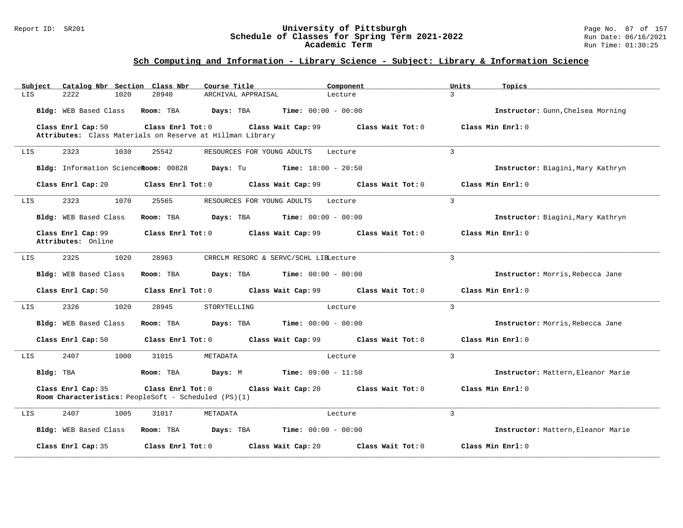#### Report ID: SR201 **University of Pittsburgh** Page No. 87 of 157 **Schedule of Classes for Spring Term 2021-2022** Run Date: 06/16/2021 **Academic Term** Run Time: 01:30:25

| Catalog Nbr Section Class Nbr<br>Subject | Course Title                                                                                         | Component                            | Units<br>Topics                    |
|------------------------------------------|------------------------------------------------------------------------------------------------------|--------------------------------------|------------------------------------|
| 2.2.2.2<br>1020<br>LIS                   | 28940<br>ARCHIVAL APPRAISAL                                                                          | $\mathbf{R}$<br>Lecture              |                                    |
| Bldg: WEB Based Class                    | Room: TBA<br>Days: TBA<br>$Time: 00:00 - 00:00$                                                      |                                      | Instructor: Gunn, Chelsea Morning  |
| Class Enrl Cap: 50                       | Class Enrl Tot: 0<br>Class Wait Cap: 99<br>Attributes: Class Materials on Reserve at Hillman Library | Class Wait Tot: 0                    | Class Min Enrl: 0                  |
| 2323<br>1030<br>LIS                      | 25542<br>RESOURCES FOR YOUNG ADULTS                                                                  | $\overline{3}$<br>Lecture            |                                    |
|                                          | Bldg: Information ScienceRoom: 00828 Days: Tu Time: 18:00 - 20:50                                    |                                      | Instructor: Biagini, Mary Kathryn  |
|                                          | Class Enrl Cap: 20 $\qquad$ Class Enrl Tot: 0 $\qquad$ Class Wait Cap: 99 $\qquad$ Class Wait Tot: 0 |                                      | Class Min Enrl: 0                  |
| 2323<br>1070<br>LIS                      | 25565<br>RESOURCES FOR YOUNG ADULTS                                                                  | $\mathcal{L}$<br>Lecture             |                                    |
| Bldg: WEB Based Class                    | <b>Days:</b> TBA <b>Time:</b> $00:00 - 00:00$<br>Room: TBA                                           |                                      | Instructor: Biagini, Mary Kathryn  |
| Class Enrl Cap: 99<br>Attributes: Online | Class Enrl Tot: 0 Class Wait Cap: 99 Class Wait Tot: 0                                               |                                      | Class Min Enrl: 0                  |
| 2325<br>1020<br>LIS                      | 28963<br>CRRCLM RESORC & SERVC/SCHL LIELecture                                                       | 3                                    |                                    |
| Bldg: WEB Based Class                    | Room: TBA<br>Days: TBA                                                                               | <b>Time:</b> $00:00 - 00:00$         | Instructor: Morris, Rebecca Jane   |
| Class Enrl Cap: 50                       | Class Enrl Tot: 0 Class Wait Cap: 99 Class Wait Tot: 0                                               |                                      | Class Min Enrl: 0                  |
| 2326<br>1020<br>LIS                      | 28945<br>STORYTELLING                                                                                | $\mathbf{3}$<br>Lecture              |                                    |
| Bldg: WEB Based Class                    | <b>Days:</b> TBA <b>Time:</b> $00:00 - 00:00$<br>Room: TBA                                           |                                      | Instructor: Morris, Rebecca Jane   |
| Class Enrl Cap: 50                       | Class Enrl Tot: 0 Class Wait Cap: 99 Class Wait Tot: 0                                               |                                      | Class Min $Enr1: 0$                |
| 2407<br>1000<br>LIS.                     | 31015<br>METADATA                                                                                    | 3<br>Lecture                         |                                    |
| Bldg: TBA                                | Room: TBA<br><b>Days:</b> M <b>Time:</b> $09:00 - 11:50$                                             |                                      | Instructor: Mattern, Eleanor Marie |
| Class Enrl Cap: 35                       | Class Enrl Tot: 0<br>Room Characteristics: PeopleSoft - Scheduled (PS)(1)                            | Class Wait Cap: 20 Class Wait Tot: 0 | Class Min Enrl: 0                  |
| LIS<br>2407<br>1005                      | 31017<br>METADATA                                                                                    | $\mathbf{R}$<br>Lecture              |                                    |
| Bldg: WEB Based Class                    | $Time: 00:00 - 00:00$<br>Room: TBA<br>Days: TBA                                                      |                                      | Instructor: Mattern, Eleanor Marie |
| Class Enrl Cap: 35                       | Class Enrl Tot: 0<br>Class Wait Cap: 20                                                              | Class Wait Tot: 0                    | Class Min Enrl: 0                  |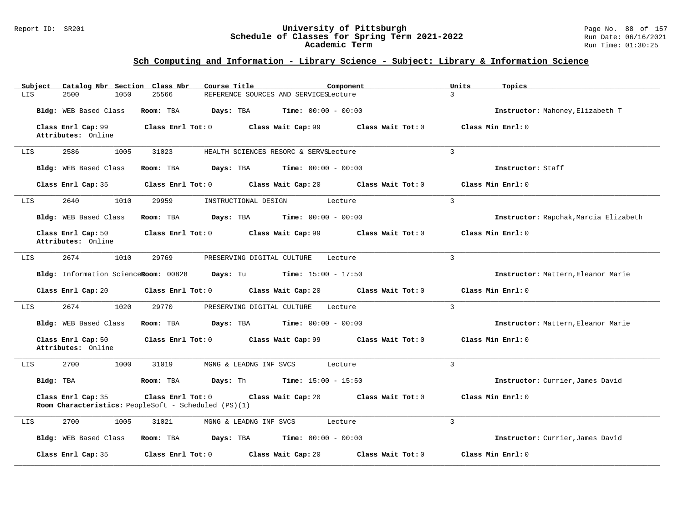#### Report ID: SR201 **University of Pittsburgh** Page No. 88 of 157 **Schedule of Classes for Spring Term 2021-2022** Run Date: 06/16/2021 **Academic Term** Run Time: 01:30:25

| Catalog Nbr Section Class Nbr<br>Subject<br>LIS<br>2500<br>1050 | Course Title<br>Component<br>25566<br>REFERENCE SOURCES AND SERVICESLecture                                          | Units<br>Topics<br>3                  |
|-----------------------------------------------------------------|----------------------------------------------------------------------------------------------------------------------|---------------------------------------|
| Bldg: WEB Based Class                                           | Room: TBA<br>Days: TBA<br><b>Time:</b> $00:00 - 00:00$                                                               | Instructor: Mahoney, Elizabeth T      |
| Class Enrl Cap: 99<br>Attributes: Online                        | Class Enrl Tot: 0<br>Class Wait Cap: 99<br>Class Wait Tot: 0                                                         | Class Min Enrl: 0                     |
| 2586<br>1005<br>LIS                                             | 31023<br>HEALTH SCIENCES RESORC & SERVSLecture                                                                       | 3                                     |
| Bldg: WEB Based Class                                           | Room: TBA<br><b>Days:</b> TBA <b>Time:</b> $00:00 - 00:00$                                                           | Instructor: Staff                     |
| Class Enrl Cap: 35                                              | Class Enrl Tot: 0<br>Class Wait Cap: 20<br>Class Wait Tot: 0                                                         | Class Min Enrl: 0                     |
| 2640<br>1010<br>LIS                                             | 29959<br>INSTRUCTIONAL DESIGN<br>Lecture                                                                             | $\overline{3}$                        |
| Bldg: WEB Based Class                                           | <b>Days:</b> TBA <b>Time:</b> $00:00 - 00:00$<br>Room: TBA                                                           | Instructor: Rapchak, Marcia Elizabeth |
| Class Enrl Cap: 50<br>Attributes: Online                        | Class Enrl Tot: 0<br>Class Wait Cap: 99<br>Class Wait Tot: 0                                                         | Class Min Enrl: 0                     |
| 2674<br>1010<br>LIS                                             | 29769<br>PRESERVING DIGITAL CULTURE<br>Lecture                                                                       | 3                                     |
| Bldg: Information ScienceRoom: 00828                            | <b>Days:</b> Tu <b>Time:</b> $15:00 - 17:50$                                                                         | Instructor: Mattern, Eleanor Marie    |
| Class Enrl Cap: 20                                              | $Class$ $Enr1$ $Tot: 0$<br>Class Wait Cap: 20<br>Class Wait Tot: 0                                                   | Class Min Enrl: 0                     |
| 2674<br>1020<br>LIS                                             | 29770<br>PRESERVING DIGITAL CULTURE<br>Lecture                                                                       | $\overline{3}$                        |
| Bldg: WEB Based Class                                           | Room: TBA<br>Days: TBA<br><b>Time:</b> $00:00 - 00:00$                                                               | Instructor: Mattern, Eleanor Marie    |
| Class Enrl Cap: 50<br>Attributes: Online                        | Class Enrl Tot: 0 Class Wait Cap: 99 Class Wait Tot: 0                                                               | Class Min Enrl: 0                     |
| 2700<br>1000<br>LIS                                             | 31019<br>MGNG & LEADNG INF SVCS<br>Lecture                                                                           | 3                                     |
| Bldg: TBA                                                       | Room: TBA<br><b>Days:</b> Th <b>Time:</b> $15:00 - 15:50$                                                            | Instructor: Currier, James David      |
| Class Enrl Cap: 35                                              | Class Enrl Tot: 0<br>Class Wait Cap: 20<br>Class Wait Tot: 0<br>Room Characteristics: PeopleSoft - Scheduled (PS)(1) | Class Min Enrl: 0                     |
| 2700<br>1005<br>LIS                                             | 31021<br>MGNG & LEADNG INF SVCS<br>Lecture                                                                           | 3                                     |
| Bldg: WEB Based Class                                           | Room: TBA<br>Days: TBA<br>$Time: 00:00 - 00:00$                                                                      | Instructor: Currier, James David      |
| Class Enrl Cap: 35                                              | Class Wait Tot: 0<br>Class Enrl Tot: $0$<br>Class Wait Cap: 20                                                       | Class Min Enrl: 0                     |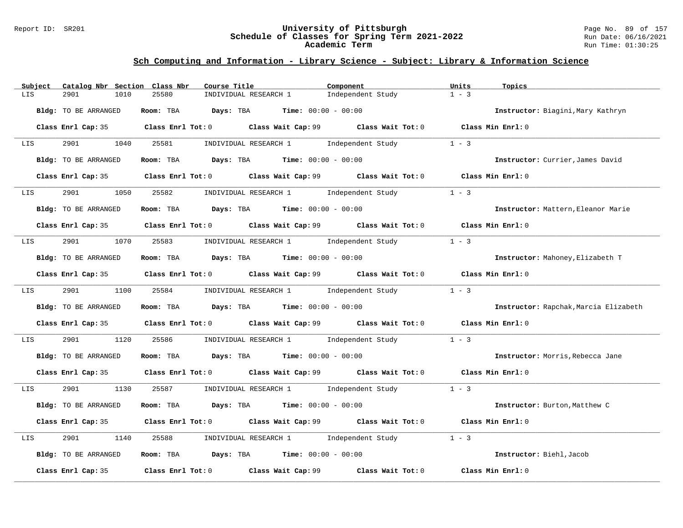#### Report ID: SR201 **University of Pittsburgh** Page No. 89 of 157 **Schedule of Classes for Spring Term 2021-2022** Run Date: 06/16/2021 **Academic Term** Run Time: 01:30:25

| Subject | Catalog Nbr Section Class Nbr | Course Title                                                                                | Component                                       | Units<br>Topics                       |
|---------|-------------------------------|---------------------------------------------------------------------------------------------|-------------------------------------------------|---------------------------------------|
| LIS     | 2901<br>1010                  | 25580<br>INDIVIDUAL RESEARCH 1                                                              | Independent Study                               | $1 - 3$                               |
|         | Bldg: TO BE ARRANGED          | Room: TBA $Days:$ TBA $Time: 00:00 - 00:00$                                                 |                                                 | Instructor: Biagini, Mary Kathryn     |
|         |                               | Class Enrl Cap: 35 Class Enrl Tot: 0 Class Wait Cap: 99 Class Wait Tot: 0 Class Min Enrl: 0 |                                                 |                                       |
| LIS     | 2901 1040 25581               |                                                                                             | INDIVIDUAL RESEARCH 1 Independent Study         | $1 - 3$                               |
|         | Bldg: TO BE ARRANGED          | Room: TBA $\rule{1em}{0.15mm}$ Days: TBA $\rule{1.5mm}{0.15mm}$ Time: $00:00 - 00:00$       |                                                 | Instructor: Currier, James David      |
|         |                               | Class Enrl Cap: 35 Class Enrl Tot: 0 Class Wait Cap: 99 Class Wait Tot: 0 Class Min Enrl: 0 |                                                 |                                       |
| LIS     |                               | 2901 1050 25582 INDIVIDUAL RESEARCH 1 Independent Study                                     |                                                 | $1 - 3$                               |
|         | Bldg: TO BE ARRANGED          | Room: TBA $Days:$ TBA $Time: 00:00 - 00:00$                                                 |                                                 | Instructor: Mattern, Eleanor Marie    |
|         |                               | Class Enrl Cap: 35 Class Enrl Tot: 0 Class Wait Cap: 99 Class Wait Tot: 0 Class Min Enrl: 0 |                                                 |                                       |
| LIS     | 2901 1070 25583               |                                                                                             | INDIVIDUAL RESEARCH 1 1 Independent Study       | $1 - 3$                               |
|         | Bldg: TO BE ARRANGED          | Room: TBA $Days:$ TBA Time: $00:00 - 00:00$                                                 |                                                 | Instructor: Mahoney, Elizabeth T      |
|         |                               | Class Enrl Cap: 35 Class Enrl Tot: 0 Class Wait Cap: 99 Class Wait Tot: 0 Class Min Enrl: 0 |                                                 |                                       |
| LIS     | 2901 1100 25584               |                                                                                             | INDIVIDUAL RESEARCH 1 1 Independent Study 1 - 3 |                                       |
|         | Bldg: TO BE ARRANGED          | Room: TBA $Days:$ TBA $Time: 00:00 - 00:00$                                                 |                                                 | Instructor: Rapchak, Marcia Elizabeth |
|         |                               | Class Enrl Cap: 35 Class Enrl Tot: 0 Class Wait Cap: 99 Class Wait Tot: 0 Class Min Enrl: 0 |                                                 |                                       |
| LIS     | 2901<br>1120                  | 25586                                                                                       | INDIVIDUAL RESEARCH 1 1 Independent Study       | $1 - 3$                               |
|         | Bldg: TO BE ARRANGED          | Room: TBA $Days:$ TBA $Time: 00:00 - 00:00$                                                 |                                                 | Instructor: Morris, Rebecca Jane      |
|         |                               | Class Enrl Cap: 35 Class Enrl Tot: 0 Class Wait Cap: 99 Class Wait Tot: 0 Class Min Enrl: 0 |                                                 |                                       |
| LIS     | 2901 1130                     | 25587 INDIVIDUAL RESEARCH 1 Independent Study 1 - 3                                         |                                                 |                                       |
|         | Bldg: TO BE ARRANGED          | Room: TBA $Days:$ TBA $Time: 00:00 - 00:00$                                                 |                                                 | Instructor: Burton, Matthew C         |
|         |                               | Class Enrl Cap: 35 Class Enrl Tot: 0 Class Wait Cap: 99 Class Wait Tot: 0 Class Min Enrl: 0 |                                                 |                                       |
| LIS     | 2901<br>1140                  | 25588 INDIVIDUAL RESEARCH 1 Independent Study                                               |                                                 | $1 - 3$                               |
|         | Bldg: TO BE ARRANGED          | Room: TBA $Days:$ TBA $Time: 00:00 - 00:00$                                                 |                                                 | Instructor: Biehl, Jacob              |
|         | Class Enrl Cap: 35            | Class Enrl Tot: 0 Class Wait Cap: 99                                                        | Class Wait Tot: 0                               | Class Min Enrl: 0                     |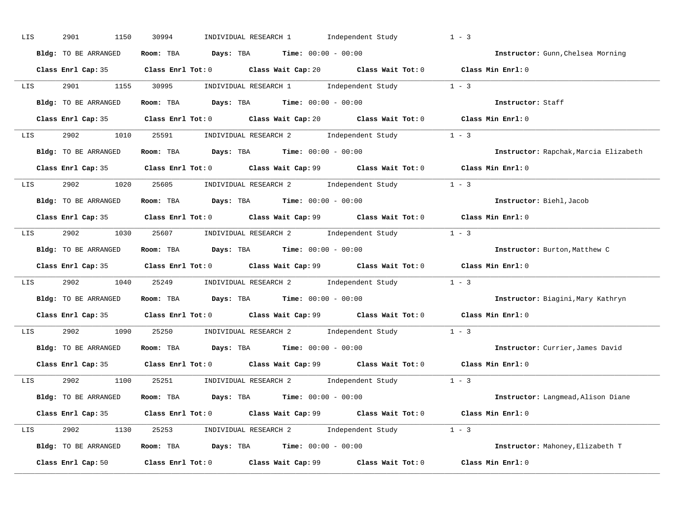| LIS                   | 2901<br>1150         | INDIVIDUAL RESEARCH 1 Independent Study<br>30994                                                    | $1 - 3$                               |
|-----------------------|----------------------|-----------------------------------------------------------------------------------------------------|---------------------------------------|
|                       | Bldg: TO BE ARRANGED | Room: TBA $Days:$ TBA $Time: 00:00 - 00:00$                                                         | Instructor: Gunn, Chelsea Morning     |
|                       |                      | Class Enrl Cap: 35 Class Enrl Tot: 0 Class Wait Cap: 20 Class Wait Tot: 0 Class Min Enrl: 0         |                                       |
| LIS                   |                      | 2901 1155 30995 INDIVIDUAL RESEARCH 1 Independent Study 1 - 3                                       |                                       |
|                       | Bldg: TO BE ARRANGED | Room: TBA $Days:$ TBA $Time: 00:00 - 00:00$                                                         | Instructor: Staff                     |
|                       |                      | Class Enrl Cap: 35 Class Enrl Tot: 0 Class Wait Cap: 20 Class Wait Tot: 0 Class Min Enrl: 0         |                                       |
|                       |                      | LIS 2902 1010 25591 INDIVIDUAL RESEARCH 2 Independent Study 1 - 3                                   |                                       |
|                       |                      | <b>Bldg:</b> TO BE ARRANGED <b>ROOM:</b> TBA <b>Days:</b> TBA <b>Time:</b> $00:00 - 00:00$          | Instructor: Rapchak, Marcia Elizabeth |
|                       |                      | Class Enrl Cap: 35 Class Enrl Tot: 0 Class Wait Cap: 99 Class Wait Tot: 0 Class Min Enrl: 0         |                                       |
| LIS <b>Limitation</b> |                      | 2902 1020 25605 INDIVIDUAL RESEARCH 2 Independent Study 1 - 3                                       |                                       |
|                       | Bldg: TO BE ARRANGED | Room: TBA $Days:$ TBA $Time: 00:00 - 00:00$                                                         | Instructor: Biehl, Jacob              |
|                       |                      | Class Enrl Cap: 35 Class Enrl Tot: 0 Class Wait Cap: 99 Class Wait Tot: 0 Class Min Enrl: 0         |                                       |
|                       |                      | LIS 2902 1030 25607 INDIVIDUAL RESEARCH 2 Independent Study 1 - 3                                   |                                       |
|                       | Bldg: TO BE ARRANGED | Room: TBA $Days:$ TBA $Time:$ $00:00 - 00:00$                                                       | Instructor: Burton, Matthew C         |
|                       |                      | Class Enrl Cap: 35 Class Enrl Tot: 0 Class Wait Cap: 99 Class Wait Tot: 0 Class Min Enrl: 0         |                                       |
| LIS <b>Limitation</b> |                      | 2902 1040 25249 INDIVIDUAL RESEARCH 2 Independent Study 1 - 3                                       |                                       |
|                       | Bldg: TO BE ARRANGED | Room: TBA $Days: TBA$ Time: $00:00 - 00:00$                                                         | Instructor: Biagini, Mary Kathryn     |
|                       |                      | Class Enrl Cap: 35 Class Enrl Tot: 0 Class Wait Cap: 99 Class Wait Tot: 0 Class Min Enrl: 0         |                                       |
| LIS                   |                      | 2902 1090 25250 INDIVIDUAL RESEARCH 2 Independent Study 1 - 3                                       |                                       |
|                       | Bldg: TO BE ARRANGED | Room: TBA $Days: TBA$ Time: $00:00 - 00:00$                                                         | Instructor: Currier, James David      |
|                       | Class Enrl Cap: 35   | Class Enrl Tot: 0 $\qquad$ Class Wait Cap: 99 $\qquad$ Class Wait Tot: 0 $\qquad$ Class Min Enrl: 0 |                                       |
|                       |                      | LIS 2902 1100 25251 INDIVIDUAL RESEARCH 2 Independent Study 1 - 3                                   |                                       |
|                       | Bldg: TO BE ARRANGED | Room: TBA $Days:$ TBA $Time:$ $00:00 - 00:00$                                                       | Instructor: Langmead, Alison Diane    |
|                       |                      | Class Enrl Cap: 35 Class Enrl Tot: 0 Class Wait Cap: 99 Class Wait Tot: 0 Class Min Enrl: 0         |                                       |
|                       |                      | LIS 2902 1130 25253 INDIVIDUAL RESEARCH 2 Independent Study 1 - 3                                   |                                       |
|                       | Bldg: TO BE ARRANGED | Room: TBA $Days$ : TBA $Time: 00:00 - 00:00$                                                        | Instructor: Mahoney, Elizabeth T      |
|                       |                      | Class Enrl Cap: 50 Class Enrl Tot: 0 Class Wait Cap: 99 Class Wait Tot: 0                           | Class Min Enrl: 0                     |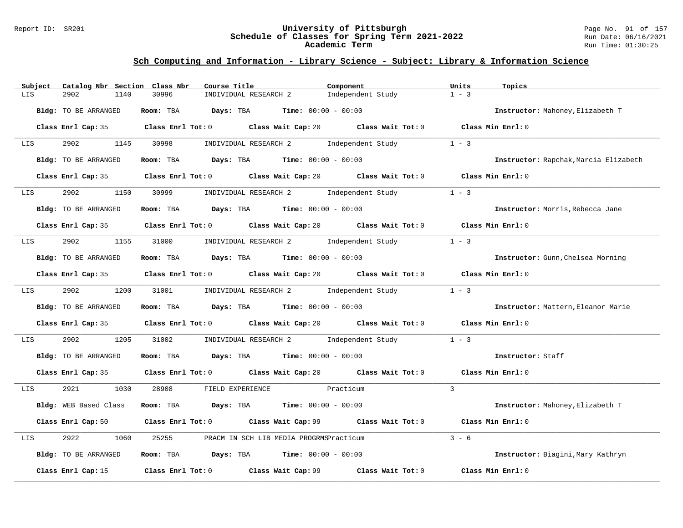#### Report ID: SR201 **University of Pittsburgh** Page No. 91 of 157 **Schedule of Classes for Spring Term 2021-2022** Run Date: 06/16/2021 **Academic Term** Run Time: 01:30:25

| Subject          | Catalog Nbr Section Class Nbr | Course Title                                                                                | Component                               | Units<br>Topics                       |
|------------------|-------------------------------|---------------------------------------------------------------------------------------------|-----------------------------------------|---------------------------------------|
| LIS              | 2902<br>1140                  | 30996<br>INDIVIDUAL RESEARCH 2                                                              | Independent Study                       | $1 - 3$                               |
|                  | Bldg: TO BE ARRANGED          | Room: TBA $Days:$ TBA $Time: 00:00 - 00:00$                                                 |                                         | Instructor: Mahoney, Elizabeth T      |
|                  | Class Enrl Cap: 35            | Class Enrl Tot: 0 Class Wait Cap: 20 Class Wait Tot: 0 Class Min Enrl: 0                    |                                         |                                       |
| LIS <b>Album</b> | 2902 1145                     | 30998                                                                                       | INDIVIDUAL RESEARCH 2 1ndependent Study | $1 - 3$                               |
|                  | Bldg: TO BE ARRANGED          | Room: TBA $Days:$ TBA $Time: 00:00 - 00:00$                                                 |                                         | Instructor: Rapchak, Marcia Elizabeth |
|                  |                               | Class Enrl Cap: 35 Class Enrl Tot: 0 Class Wait Cap: 20 Class Wait Tot: 0 Class Min Enrl: 0 |                                         |                                       |
| LIS              | 2902<br>1150                  | 30999      INDIVIDUAL RESEARCH 2       Independent Study                                    |                                         | $1 - 3$                               |
|                  | Bldg: TO BE ARRANGED          | Room: TBA $\rule{1em}{0.15mm}$ Days: TBA $\rule{1.15mm}]{0.15mm}$ Time: $00:00 - 00:00$     |                                         | Instructor: Morris, Rebecca Jane      |
|                  |                               | Class Enrl Cap: 35 Class Enrl Tot: 0 Class Wait Cap: 20 Class Wait Tot: 0 Class Min Enrl: 0 |                                         |                                       |
| LIS              |                               | 2902 1155 31000 INDIVIDUAL RESEARCH 2 Independent Study                                     |                                         | $1 - 3$                               |
|                  | Bldg: TO BE ARRANGED          | Room: TBA $Days: TBA$ Time: $00:00 - 00:00$                                                 |                                         | Instructor: Gunn, Chelsea Morning     |
|                  |                               | Class Enrl Cap: 35 Class Enrl Tot: 0 Class Wait Cap: 20 Class Wait Tot: 0 Class Min Enrl: 0 |                                         |                                       |
| LIS              |                               | 2902 1200 31001 INDIVIDUAL RESEARCH 2 Independent Study 1 - 3                               |                                         |                                       |
|                  | Bldg: TO BE ARRANGED          | Room: TBA $Days:$ TBA $Time: 00:00 - 00:00$                                                 |                                         | Instructor: Mattern, Eleanor Marie    |
|                  |                               | Class Enrl Cap: 35 Class Enrl Tot: 0 Class Wait Cap: 20 Class Wait Tot: 0 Class Min Enrl: 0 |                                         |                                       |
| LIS              | 2902<br>1205                  | 31002                                                                                       | INDIVIDUAL RESEARCH 2 1ndependent Study | $1 - 3$                               |
|                  | Bldg: TO BE ARRANGED          | Room: TBA $Days:$ TBA $Time: 00:00 - 00:00$                                                 |                                         | Instructor: Staff                     |
|                  |                               | Class Enrl Cap: 35 Class Enrl Tot: 0 Class Wait Cap: 20 Class Wait Tot: 0 Class Min Enrl: 0 |                                         |                                       |
| LIS              | 2921 1030                     | 28908<br>FIELD EXPERIENCE Practicum                                                         |                                         | $\mathcal{L}$                         |
|                  | Bldg: WEB Based Class         | Room: TBA $Days:$ TBA $Time: 00:00 - 00:00$                                                 |                                         | Instructor: Mahoney, Elizabeth T      |
|                  |                               | Class Enrl Cap: 50 Class Enrl Tot: 0 Class Wait Cap: 99 Class Wait Tot: 0 Class Min Enrl: 0 |                                         |                                       |
| LIS              | 2922<br>1060                  | 25255<br>PRACM IN SCH LIB MEDIA PROGRMSPracticum                                            |                                         | $3 - 6$                               |
|                  | Bldg: TO BE ARRANGED          | Room: TBA $\rule{1em}{0.15mm}$ Days: TBA Time: $00:00 - 00:00$                              |                                         | Instructor: Biagini, Mary Kathryn     |
|                  | Class Enrl Cap: 15            | Class Enrl Tot: 0 Class Wait Cap: 99                                                        | Class Wait Tot: 0                       | Class Min Enrl: 0                     |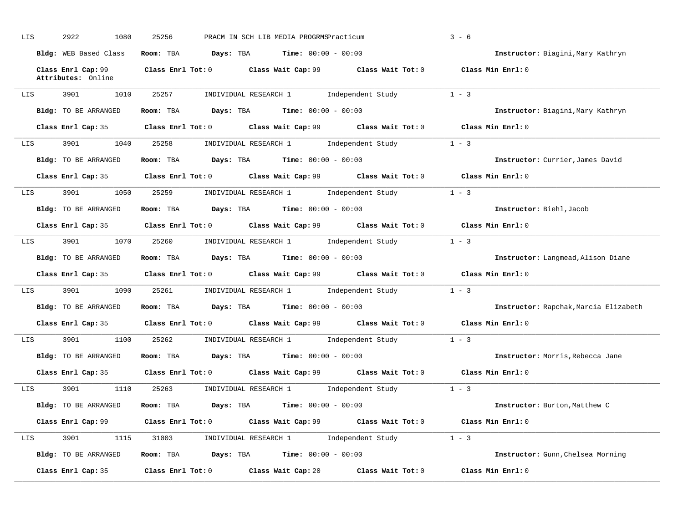| LIS | 2922<br>1080          | 25256<br>PRACM IN SCH LIB MEDIA PROGRMSPracticum                                            | $3 - 6$                               |
|-----|-----------------------|---------------------------------------------------------------------------------------------|---------------------------------------|
|     | Bldg: WEB Based Class | Room: TBA $Days:$ TBA $Time: 00:00 - 00:00$                                                 | Instructor: Biagini, Mary Kathryn     |
|     | Attributes: Online    | Class Enrl Cap: 99 Class Enrl Tot: 0 Class Wait Cap: 99 Class Wait Tot: 0 Class Min Enrl: 0 |                                       |
| LIS | 3901<br>1010          | INDIVIDUAL RESEARCH 1 Independent Study<br>25257                                            | $1 - 3$                               |
|     | Bldg: TO BE ARRANGED  | Room: TBA $Days:$ TBA $Time: 00:00 - 00:00$                                                 | Instructor: Biagini, Mary Kathryn     |
|     |                       | Class Enrl Cap: 35 Class Enrl Tot: 0 Class Wait Cap: 99 Class Wait Tot: 0 Class Min Enrl: 0 |                                       |
| LIS | 3901 1040             | 25258 INDIVIDUAL RESEARCH 1 Independent Study                                               | $1 - 3$                               |
|     | Bldg: TO BE ARRANGED  | Room: TBA $Days: TBA$ Time: $00:00 - 00:00$                                                 | Instructor: Currier, James David      |
|     |                       | Class Enrl Cap: 35 Class Enrl Tot: 0 Class Wait Cap: 99 Class Wait Tot: 0 Class Min Enrl: 0 |                                       |
| LIS | 3901 7                | 1050 25259 INDIVIDUAL RESEARCH 1 Independent Study                                          | $1 - 3$                               |
|     | Bldg: TO BE ARRANGED  | Room: TBA $Days:$ TBA $Time:$ $00:00 - 00:00$                                               | Instructor: Biehl, Jacob              |
|     |                       | Class Enrl Cap: 35 Class Enrl Tot: 0 Class Wait Cap: 99 Class Wait Tot: 0 Class Min Enrl: 0 |                                       |
|     | LIS 3901              | 1070 25260 INDIVIDUAL RESEARCH 1 Independent Study                                          | $1 - 3$                               |
|     | Bldg: TO BE ARRANGED  | Room: TBA $Days:$ TBA $Time:$ $00:00 - 00:00$                                               | Instructor: Langmead, Alison Diane    |
|     |                       | Class Enrl Cap: 35 Class Enrl Tot: 0 Class Wait Cap: 99 Class Wait Tot: 0 Class Min Enrl: 0 |                                       |
|     |                       | LIS 3901 1090 25261 INDIVIDUAL RESEARCH 1 Independent Study 1 - 3                           |                                       |
|     | Bldg: TO BE ARRANGED  | Room: TBA $Days:$ TBA $Time: 00:00 - 00:00$                                                 | Instructor: Rapchak, Marcia Elizabeth |
|     |                       | Class Enrl Cap: 35 Class Enrl Tot: 0 Class Wait Cap: 99 Class Wait Tot: 0 Class Min Enrl: 0 |                                       |
|     |                       | LIS 3901 1100 25262 INDIVIDUAL RESEARCH 1 Independent Study 1 - 3                           |                                       |
|     | Bldg: TO BE ARRANGED  | Room: TBA $\rule{1em}{0.15mm}$ Days: TBA $\rule{1.5mm}{0.15mm}$ Time: $00:00 - 00:00$       | Instructor: Morris, Rebecca Jane      |
|     |                       | Class Enrl Cap: 35 Class Enrl Tot: 0 Class Wait Cap: 99 Class Wait Tot: 0 Class Min Enrl: 0 |                                       |
|     |                       | LIS 3901 1110 25263 INDIVIDUAL RESEARCH 1 Independent Study 1 - 3                           |                                       |
|     |                       | Bldg: TO BE ARRANGED Room: TBA Days: TBA Time: 00:00 - 00:00                                | Instructor: Burton, Matthew C         |
|     |                       | Class Enrl Cap: 99 Class Enrl Tot: 0 Class Wait Cap: 99 Class Wait Tot: 0 Class Min Enrl: 0 |                                       |
| LIS |                       | 3901 1115 31003 INDIVIDUAL RESEARCH 1 Independent Study 1 - 3                               |                                       |
|     | Bldg: TO BE ARRANGED  | Room: TBA $Days:$ TBA $Time: 00:00 - 00:00$                                                 | Instructor: Gunn, Chelsea Morning     |
|     | Class Enrl Cap: 35    | Class Enrl Tot: $0$ Class Wait Cap: $20$ Class Wait Tot: $0$                                | Class Min Enrl: 0                     |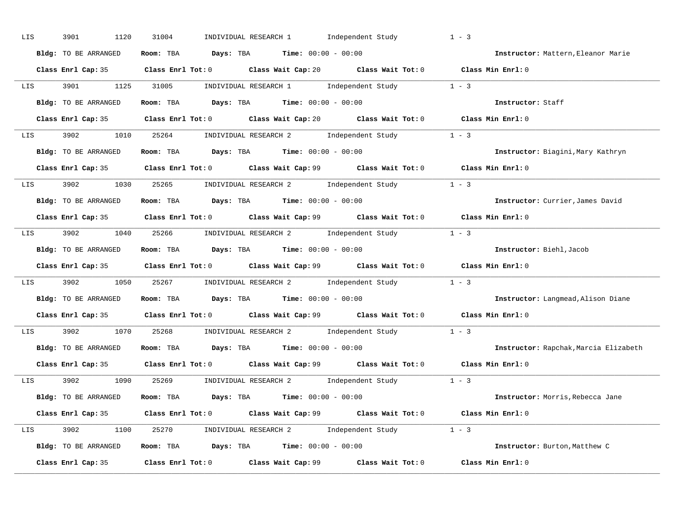| LIS | 3901<br>1120         | INDIVIDUAL RESEARCH 1 Independent Study<br>31004                                                    | $1 - 3$                               |
|-----|----------------------|-----------------------------------------------------------------------------------------------------|---------------------------------------|
|     | Bldg: TO BE ARRANGED | Room: TBA $Days:$ TBA $Time: 00:00 - 00:00$                                                         | Instructor: Mattern, Eleanor Marie    |
|     |                      | Class Enrl Cap: 35 Class Enrl Tot: 0 Class Wait Cap: 20 Class Wait Tot: 0 Class Min Enrl: 0         |                                       |
|     |                      | LIS 3901 1125 31005 INDIVIDUAL RESEARCH 1 Independent Study 1 - 3                                   |                                       |
|     | Bldg: TO BE ARRANGED | Room: TBA $Days:$ TBA $Time: 00:00 - 00:00$                                                         | Instructor: Staff                     |
|     |                      | Class Enrl Cap: 35 Class Enrl Tot: 0 Class Wait Cap: 20 Class Wait Tot: 0 Class Min Enrl: 0         |                                       |
|     |                      | LIS 3902 1010 25264 INDIVIDUAL RESEARCH 2 Independent Study 1 - 3                                   |                                       |
|     |                      | Bldg: TO BE ARRANGED ROOM: TBA Days: TBA Time: 00:00 - 00:00                                        | Instructor: Biagini, Mary Kathryn     |
|     |                      | Class Enrl Cap: 35 Class Enrl Tot: 0 Class Wait Cap: 99 Class Wait Tot: 0 Class Min Enrl: 0         |                                       |
|     |                      | LIS 3902 1030 25265 INDIVIDUAL RESEARCH 2 Independent Study 1 - 3                                   |                                       |
|     | Bldg: TO BE ARRANGED | Room: TBA $Days:$ TBA $Time: 00:00 - 00:00$                                                         | Instructor: Currier, James David      |
|     |                      | Class Enrl Cap: 35 Class Enrl Tot: 0 Class Wait Cap: 99 Class Wait Tot: 0 Class Min Enrl: 0         |                                       |
|     |                      | LIS 3902 1040 25266 INDIVIDUAL RESEARCH 2 Independent Study 1 - 3                                   |                                       |
|     | Bldg: TO BE ARRANGED | Room: TBA $Days:$ TBA $Time:$ $00:00 - 00:00$                                                       | Instructor: Biehl, Jacob              |
|     |                      | Class Enrl Cap: 35 Class Enrl Tot: 0 Class Wait Cap: 99 Class Wait Tot: 0 Class Min Enrl: 0         |                                       |
|     |                      | LIS 3902 1050 25267 INDIVIDUAL RESEARCH 2 Independent Study 1 - 3                                   |                                       |
|     | Bldg: TO BE ARRANGED | Room: TBA $Days: TBA$ Time: $00:00 - 00:00$                                                         | Instructor: Langmead, Alison Diane    |
|     |                      | Class Enrl Cap: 35 Class Enrl Tot: 0 Class Wait Cap: 99 Class Wait Tot: 0 Class Min Enrl: 0         |                                       |
| LIS |                      | 3902 1070 25268 INDIVIDUAL RESEARCH 2 Independent Study 1 - 3                                       |                                       |
|     | Bldg: TO BE ARRANGED | Room: TBA $Days: TBA$ Time: $00:00 - 00:00$                                                         | Instructor: Rapchak, Marcia Elizabeth |
|     | Class Enrl Cap: 35   | Class Enrl Tot: 0 $\qquad$ Class Wait Cap: 99 $\qquad$ Class Wait Tot: 0 $\qquad$ Class Min Enrl: 0 |                                       |
|     |                      | LIS 3902 1090 25269 INDIVIDUAL RESEARCH 2 Independent Study 1 - 3                                   |                                       |
|     | Bldg: TO BE ARRANGED | Room: TBA $Days:$ TBA $Time:$ $00:00 - 00:00$                                                       | Instructor: Morris, Rebecca Jane      |
|     |                      | Class Enrl Cap: 35 Class Enrl Tot: 0 Class Wait Cap: 99 Class Wait Tot: 0 Class Min Enrl: 0         |                                       |
|     |                      | LIS 3902 1100 25270 INDIVIDUAL RESEARCH 2 Independent Study 1 - 3                                   |                                       |
|     |                      | Bldg: TO BE ARRANGED ROOM: TBA Days: TBA Time: 00:00 - 00:00                                        | Instructor: Burton, Matthew C         |
|     |                      |                                                                                                     |                                       |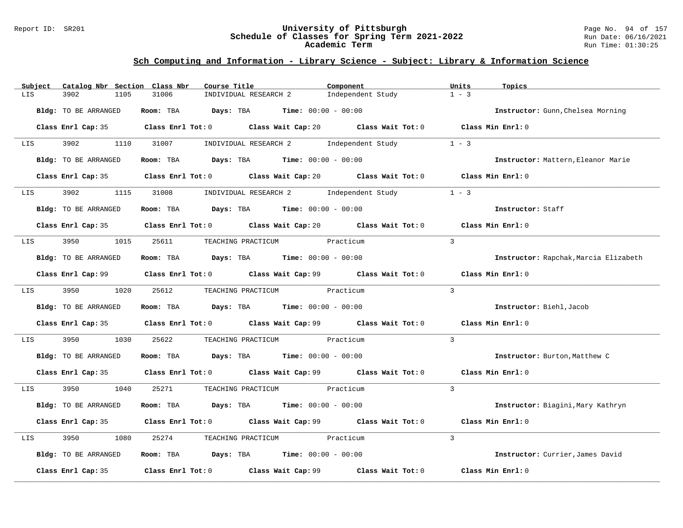#### Report ID: SR201 **University of Pittsburgh** Page No. 94 of 157 **Schedule of Classes for Spring Term 2021-2022** Run Date: 06/16/2021 **Academic Term** Run Time: 01:30:25

| Subject          | Catalog Nbr Section Class Nbr | Course Title                                                                                | Component         | Units<br>Topics                       |
|------------------|-------------------------------|---------------------------------------------------------------------------------------------|-------------------|---------------------------------------|
| LIS              | 3902<br>1105                  | INDIVIDUAL RESEARCH 2<br>31006                                                              | Independent Study | $1 - 3$                               |
|                  | Bldg: TO BE ARRANGED          | Room: TBA $Days:$ TBA $Time: 00:00 - 00:00$                                                 |                   | Instructor: Gunn, Chelsea Morning     |
|                  |                               | Class Enrl Cap: 35 Class Enrl Tot: 0 Class Wait Cap: 20 Class Wait Tot: 0 Class Min Enrl: 0 |                   |                                       |
| LIS              |                               | 3902 1110 31007 INDIVIDUAL RESEARCH 2 Independent Study                                     |                   | $1 - 3$                               |
|                  | Bldg: TO BE ARRANGED          | Room: TBA $Days:$ TBA $Time: 00:00 - 00:00$                                                 |                   | Instructor: Mattern, Eleanor Marie    |
|                  |                               | Class Enrl Cap: 35 Class Enrl Tot: 0 Class Wait Cap: 20 Class Wait Tot: 0 Class Min Enrl: 0 |                   |                                       |
| LIS <b>Album</b> | 3902                          | 1115 31008 INDIVIDUAL RESEARCH 2 Independent Study                                          |                   | $1 - 3$                               |
|                  | Bldg: TO BE ARRANGED          | Room: TBA $Days:$ TBA $Time: 00:00 - 00:00$                                                 |                   | Instructor: Staff                     |
|                  |                               | Class Enrl Cap: 35 Class Enrl Tot: 0 Class Wait Cap: 20 Class Wait Tot: 0 Class Min Enrl: 0 |                   |                                       |
| LIS              | 3950                          | 1015 25611 TEACHING PRACTICUM Practicum                                                     |                   | $\mathcal{L}$                         |
|                  | Bldg: TO BE ARRANGED          | Room: TBA $\rule{1em}{0.15mm}$ Days: TBA $\rule{1.5mm}{0.15mm}$ Time: $00:00 - 00:00$       |                   | Instructor: Rapchak, Marcia Elizabeth |
|                  |                               | Class Enrl Cap: 99 Class Enrl Tot: 0 Class Wait Cap: 99 Class Wait Tot: 0 Class Min Enrl: 0 |                   |                                       |
|                  | LIS 3950 1020 25612           | TEACHING PRACTICUM Practicum                                                                |                   | $\mathcal{L}$                         |
|                  | Bldg: TO BE ARRANGED          | Room: TBA $Days:$ TBA $Time: 00:00 - 00:00$                                                 |                   | Instructor: Biehl, Jacob              |
|                  |                               | Class Enrl Cap: 35 Class Enrl Tot: 0 Class Wait Cap: 99 Class Wait Tot: 0                   |                   | Class Min Enrl: 0                     |
| LIS              | 3950<br>1030                  | 25622<br>TEACHING PRACTICUM Practicum                                                       |                   | $\mathcal{E}$                         |
|                  | Bldg: TO BE ARRANGED          | Room: TBA $Days:$ TBA $Time: 00:00 - 00:00$                                                 |                   | Instructor: Burton, Matthew C         |
|                  |                               | Class Enrl Cap: 35 Class Enrl Tot: 0 Class Wait Cap: 99 Class Wait Tot: 0 Class Min Enrl: 0 |                   |                                       |
| LIS              | 3950 1040                     | 25271 TEACHING PRACTICUM Practicum                                                          |                   | $\mathcal{R}$                         |
|                  | Bldg: TO BE ARRANGED          | Room: TBA $Days:$ TBA $Time: 00:00 - 00:00$                                                 |                   | Instructor: Biagini, Mary Kathryn     |
|                  |                               | Class Enrl Cap: 35 Class Enrl Tot: 0 Class Wait Cap: 99 Class Wait Tot: 0                   |                   | Class Min Enrl: 0                     |
| LIS              | 3950<br>1080                  | 25274<br>TEACHING PRACTICUM Practicum                                                       |                   | 3                                     |
|                  | Bldg: TO BE ARRANGED          | Room: TBA $Days:$ TBA $Time: 00:00 - 00:00$                                                 |                   | Instructor: Currier, James David      |
|                  | Class Enrl Cap: 35            | Class Enrl Tot: $0$ Class Wait Cap: $99$ Class Wait Tot: $0$                                |                   | Class Min Enrl: 0                     |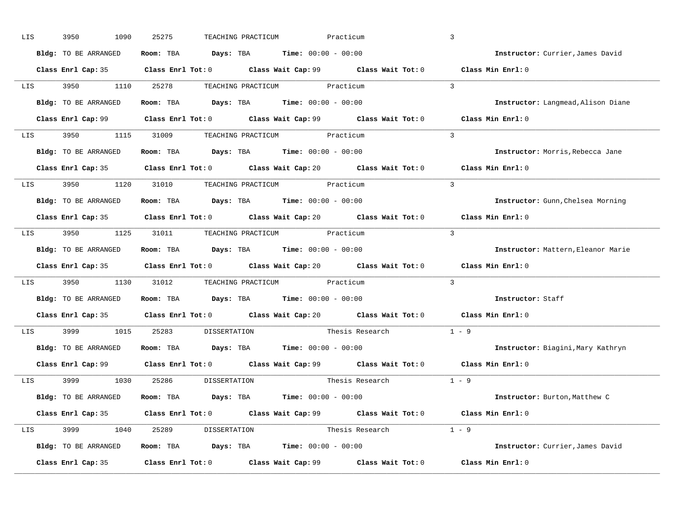| LIS | 3950<br>1090         | 25275                            | TEACHING PRACTICUM                                                                          | Practicum               | $\mathbf{3}$                       |
|-----|----------------------|----------------------------------|---------------------------------------------------------------------------------------------|-------------------------|------------------------------------|
|     | Bldg: TO BE ARRANGED |                                  | Room: TBA $Days:$ TBA $Time: 00:00 - 00:00$                                                 |                         | Instructor: Currier, James David   |
|     |                      |                                  | Class Enrl Cap: 35 Class Enrl Tot: 0 Class Wait Cap: 99 Class Wait Tot: 0 Class Min Enrl: 0 |                         |                                    |
|     | LIS 3950             | 1110 25278                       | TEACHING PRACTICUM Practicum                                                                |                         | $\overline{3}$                     |
|     | Bldg: TO BE ARRANGED |                                  | Room: TBA $Days:$ TBA $Time: 00:00 - 00:00$                                                 |                         | Instructor: Langmead, Alison Diane |
|     |                      |                                  | Class Enrl Cap: 99 Class Enrl Tot: 0 Class Wait Cap: 99 Class Wait Tot: 0 Class Min Enrl: 0 |                         |                                    |
|     |                      |                                  | LIS 3950 1115 31009 TEACHING PRACTICUM Practicum                                            |                         | $\overline{3}$                     |
|     |                      |                                  | Bldg: TO BE ARRANGED ROOM: TBA Days: TBA Time: 00:00 - 00:00                                |                         | Instructor: Morris, Rebecca Jane   |
|     |                      |                                  | Class Enrl Cap: 35 Class Enrl Tot: 0 Class Wait Cap: 20 Class Wait Tot: 0                   |                         | Class Min Enrl: 0                  |
|     |                      |                                  | LIS 3950 1120 31010 TEACHING PRACTICUM Practicum                                            |                         | $\overline{3}$                     |
|     | Bldg: TO BE ARRANGED |                                  | Room: TBA $Days:$ TBA $Time: 00:00 - 00:00$                                                 |                         | Instructor: Gunn, Chelsea Morning  |
|     |                      |                                  | Class Enrl Cap: 35 Class Enrl Tot: 0 Class Wait Cap: 20 Class Wait Tot: 0 Class Min Enrl: 0 |                         |                                    |
|     |                      |                                  | LIS 3950 1125 31011 TEACHING PRACTICUM Practicum                                            |                         | $\overline{3}$                     |
|     | Bldg: TO BE ARRANGED |                                  | <b>Room:</b> TBA $Days: TBA$ <b>Time:</b> $00:00 - 00:00$                                   |                         | Instructor: Mattern, Eleanor Marie |
|     |                      |                                  | Class Enrl Cap: 35 Class Enrl Tot: 0 Class Wait Cap: 20 Class Wait Tot: 0                   |                         | Class Min Enrl: 0                  |
| LIS | 3950<br>1130         |                                  | 31012 TEACHING PRACTICUM Practicum                                                          |                         | $\overline{3}$                     |
|     | Bldg: TO BE ARRANGED |                                  | <b>Room:</b> TBA $Days: TBA$ <b>Time:</b> $00:00 - 00:00$                                   |                         | Instructor: Staff                  |
|     |                      |                                  | Class Enrl Cap: 35 Class Enrl Tot: 0 Class Wait Cap: 20 Class Wait Tot: 0                   |                         | Class Min Enrl: 0                  |
| LIS | 3999 1990<br>1015    | 25283                            | DISSERTATION                                                                                | Thesis Research $1 - 9$ |                                    |
|     | Bldg: TO BE ARRANGED |                                  | <b>Room:</b> TBA $Days: TBA$ <b>Time:</b> $00:00 - 00:00$                                   |                         | Instructor: Biagini, Mary Kathryn  |
|     |                      |                                  | Class Enrl Cap: 99 Class Enrl Tot: 0 Class Wait Cap: 99 Class Wait Tot: 0                   |                         | Class Min $Enrl: 0$                |
|     | LIS 3999             | 1030 25286                       | DISSERTATION                                                                                | Thesis Research         | $1 - 9$                            |
|     | Bldg: TO BE ARRANGED |                                  | <b>Room:</b> TBA $Days: TBA$ <b>Time:</b> $00:00 - 00:00$                                   |                         | Instructor: Burton, Matthew C      |
|     |                      |                                  | Class Enrl Cap: 35 Class Enrl Tot: 0 Class Wait Cap: 99 Class Wait Tot: 0 Class Min Enrl: 0 |                         |                                    |
|     |                      | LIS 3999 1040 25289 DISSERTATION |                                                                                             | Thesis Research $1 - 9$ |                                    |
|     |                      |                                  |                                                                                             |                         |                                    |
|     | Bldg: TO BE ARRANGED |                                  | Room: TBA $Days:$ TBA $Time: 00:00 - 00:00$                                                 |                         | Instructor: Currier, James David   |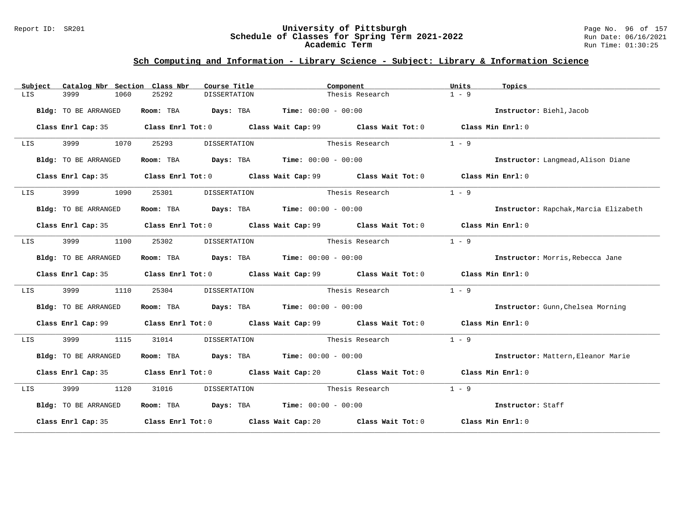#### Report ID: SR201 **University of Pittsburgh** Page No. 96 of 157 **Schedule of Classes for Spring Term 2021-2022** Run Date: 06/16/2021 **Academic Term** Run Time: 01:30:25

| Subject                                                                                                                                                                                                                         | Catalog Nbr Section Class Nbr |                       | Course Title                                                                          | Component                                                                                   | Units<br>Topics   |                                       |
|---------------------------------------------------------------------------------------------------------------------------------------------------------------------------------------------------------------------------------|-------------------------------|-----------------------|---------------------------------------------------------------------------------------|---------------------------------------------------------------------------------------------|-------------------|---------------------------------------|
| LIS                                                                                                                                                                                                                             | 3999<br>1060                  | 25292                 | <b>DISSERTATION</b>                                                                   | Thesis Research                                                                             | $1 - 9$           |                                       |
|                                                                                                                                                                                                                                 | Bldg: TO BE ARRANGED          |                       | Room: TBA $Days:$ TBA $Time: 00:00 - 00:00$                                           |                                                                                             |                   | Instructor: Biehl, Jacob              |
|                                                                                                                                                                                                                                 |                               |                       |                                                                                       | Class Enrl Cap: 35 Class Enrl Tot: 0 Class Wait Cap: 99 Class Wait Tot: 0 Class Min Enrl: 0 |                   |                                       |
| LIS DESCRIPTION OF THE STATE OF THE STATE OF THE STATE OF THE STATE OF THE STATE OF THE STATE OF THE STATE OF<br>The State of The State of The State of The State of The State of The State of The State of The State of The St | 1070                          | 25293                 | DISSERTATION                                                                          | Thesis Research                                                                             | $1 - 9$           |                                       |
|                                                                                                                                                                                                                                 | Bldg: TO BE ARRANGED          |                       | Room: TBA $Days:$ TBA $Time: 00:00 - 00:00$                                           |                                                                                             |                   | Instructor: Langmead, Alison Diane    |
|                                                                                                                                                                                                                                 |                               |                       |                                                                                       | Class Enrl Cap: 35 Class Enrl Tot: 0 Class Wait Cap: 99 Class Wait Tot: 0 Class Min Enrl: 0 |                   |                                       |
| LIS                                                                                                                                                                                                                             | 3999<br>1090                  | 25301                 | DISSERTATION                                                                          | Thesis Research                                                                             | $1 - 9$           |                                       |
|                                                                                                                                                                                                                                 | Bldg: TO BE ARRANGED          |                       | Room: TBA $Days:$ TBA $Time: 00:00 - 00:00$                                           |                                                                                             |                   | Instructor: Rapchak, Marcia Elizabeth |
|                                                                                                                                                                                                                                 |                               |                       |                                                                                       | Class Enrl Cap: 35 Class Enrl Tot: 0 Class Wait Cap: 99 Class Wait Tot: 0 Class Min Enrl: 0 |                   |                                       |
| LIS                                                                                                                                                                                                                             | 3999<br>1100                  | 25302                 |                                                                                       | DISSERTATION Thesis Research                                                                | $1 - 9$           |                                       |
|                                                                                                                                                                                                                                 | Bldg: TO BE ARRANGED          |                       | Room: TBA $Days:$ TBA $Time: 00:00 - 00:00$                                           |                                                                                             |                   | Instructor: Morris, Rebecca Jane      |
|                                                                                                                                                                                                                                 |                               |                       |                                                                                       | Class Enrl Cap: 35 Class Enrl Tot: 0 Class Wait Cap: 99 Class Wait Tot: 0 Class Min Enrl: 0 |                   |                                       |
| LIS                                                                                                                                                                                                                             | 3999<br>1110                  | 25304                 |                                                                                       | DISSERTATION Thesis Research                                                                | $1 - 9$           |                                       |
|                                                                                                                                                                                                                                 | Bldg: TO BE ARRANGED          |                       | Room: TBA $Days:$ TBA $Time: 00:00 - 00:00$                                           |                                                                                             |                   | Instructor: Gunn, Chelsea Morning     |
|                                                                                                                                                                                                                                 |                               |                       |                                                                                       | Class Enrl Cap: 99 Class Enrl Tot: 0 Class Wait Cap: 99 Class Wait Tot: 0 Class Min Enrl: 0 |                   |                                       |
| LIS                                                                                                                                                                                                                             | 3999<br>1115                  | 31014                 | DISSERTATION                                                                          | Thesis Research                                                                             | $1 - 9$           |                                       |
|                                                                                                                                                                                                                                 | Bldg: TO BE ARRANGED          |                       | Room: TBA $\rule{1em}{0.15mm}$ Days: TBA $\rule{1.5mm}{0.15mm}$ Time: $00:00 - 00:00$ |                                                                                             |                   | Instructor: Mattern, Eleanor Marie    |
|                                                                                                                                                                                                                                 |                               |                       |                                                                                       | Class Enrl Cap: 35 Class Enrl Tot: 0 Class Wait Cap: 20 Class Wait Tot: 0 Class Min Enrl: 0 |                   |                                       |
| LIS                                                                                                                                                                                                                             | 3999 1120                     | 31016<br>DISSERTATION |                                                                                       | Thesis Research                                                                             | $1 - 9$           |                                       |
|                                                                                                                                                                                                                                 | Bldg: TO BE ARRANGED          |                       | Room: TBA $Days:$ TBA $Time: 00:00 - 00:00$                                           |                                                                                             | Instructor: Staff |                                       |
|                                                                                                                                                                                                                                 |                               |                       |                                                                                       | Class Enrl Cap: 35 Class Enrl Tot: 0 Class Wait Cap: 20 Class Wait Tot: 0 Class Min Enrl: 0 |                   |                                       |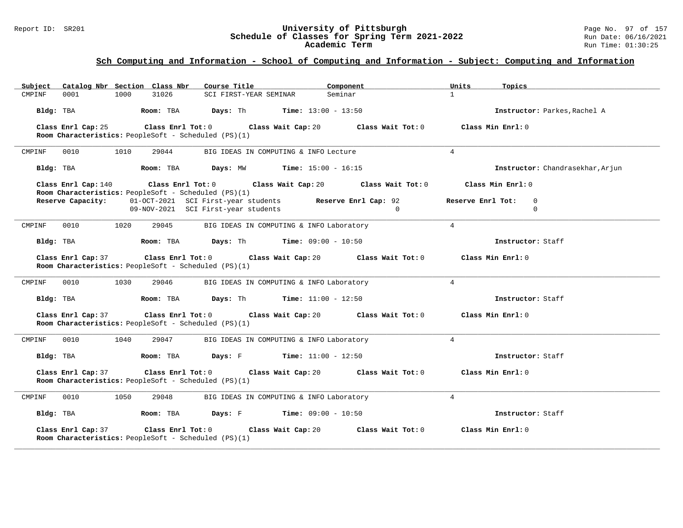#### Report ID: SR201 **University of Pittsburgh** Page No. 97 of 157 **Schedule of Classes for Spring Term 2021-2022** Run Date: 06/16/2021 **Academic Term** Run Time: 01:30:25

### **Sch Computing and Information - School of Computing and Information - Subject: Computing and Information**

| Subject Catalog Nbr Section Class Nbr                                                                 | Course Title <b>Source Search</b>                                                               | Component                                                                                           | Units<br>Topics                               |
|-------------------------------------------------------------------------------------------------------|-------------------------------------------------------------------------------------------------|-----------------------------------------------------------------------------------------------------|-----------------------------------------------|
| CMPINF<br>0001<br>1000<br>31026                                                                       | SCI FIRST-YEAR SEMINAR                                                                          | Seminar                                                                                             | $\mathbf{1}$                                  |
| Bldg: TBA                                                                                             | <b>Room:</b> TBA <b>Days:</b> Th <b>Time:</b> $13:00 - 13:50$                                   |                                                                                                     | Instructor: Parkes, Rachel A                  |
| Class Enrl Cap: 25                                                                                    |                                                                                                 | Class Enrl Tot: 0 $\qquad$ Class Wait Cap: 20 $\qquad$ Class Wait Tot: 0 $\qquad$ Class Min Enrl: 0 |                                               |
| Room Characteristics: PeopleSoft - Scheduled (PS)(1)                                                  |                                                                                                 |                                                                                                     |                                               |
| 0010<br>1010<br>29044<br>CMPINF                                                                       | BIG IDEAS IN COMPUTING & INFO Lecture                                                           |                                                                                                     | $\overline{4}$                                |
| Bldg: TBA                                                                                             | Room: TBA $Days: MW$ Time: $15:00 - 16:15$                                                      |                                                                                                     | Instructor: Chandrasekhar, Arjun              |
| Class Enrl Cap: 140<br>Room Characteristics: PeopleSoft - Scheduled (PS)(1)                           | Class Enrl Tot: $0$ Class Wait Cap: $20$ Class Wait Tot: $0$                                    |                                                                                                     | Class Min Enrl: 0                             |
| Reserve Capacity:                                                                                     | 01-OCT-2021 SCI First-year students Reserve Enrl Cap: 92<br>09-NOV-2021 SCI First-year students | $\Omega$                                                                                            | Reserve Enrl Tot:<br>$\Omega$<br>$\mathbf{0}$ |
| 0010<br>1020<br>29045<br>CMPINF                                                                       | BIG IDEAS IN COMPUTING & INFO Laboratory                                                        |                                                                                                     | $\overline{4}$                                |
| Bldg: TBA                                                                                             | <b>Room:</b> TBA <b>Days:</b> Th <b>Time:</b> $09:00 - 10:50$                                   |                                                                                                     | Instructor: Staff                             |
| Class Enrl Cap: 37<br>Room Characteristics: PeopleSoft - Scheduled (PS)(1)                            | Class Enrl Tot: 0 Class Wait Cap: 20                                                            | Class Wait Tot: 0                                                                                   | Class Min Enrl: 0                             |
| 0010<br>1030<br>29046<br>CMPINF                                                                       | BIG IDEAS IN COMPUTING & INFO Laboratory                                                        |                                                                                                     | $4\overline{ }$                               |
| Room: TBA<br>Bldg: TBA                                                                                | <b>Days:</b> Th <b>Time:</b> $11:00 - 12:50$                                                    |                                                                                                     | Instructor: Staff                             |
| Class Enrl Cap: 37<br>Room Characteristics: PeopleSoft - Scheduled (PS)(1)                            | Class Enrl Tot: 0 Class Wait Cap: 20                                                            | Class Wait Tot: 0                                                                                   | Class Min Enrl: 0                             |
| 1040<br>0010<br>29047<br>CMPINF                                                                       | BIG IDEAS IN COMPUTING & INFO Laboratory                                                        |                                                                                                     | $\overline{4}$                                |
| Bldg: TBA                                                                                             | Room: TBA $\rule{1em}{0.15mm}$ Days: F Time: 11:00 - 12:50                                      |                                                                                                     | Instructor: Staff                             |
| Class Enrl Cap: 37<br>$Class$ $Enr1$ $Tot: 0$<br>Room Characteristics: PeopleSoft - Scheduled (PS)(1) |                                                                                                 | Class Wait Cap: 20 $\qquad$ Class Wait Tot: 0 $\qquad$ Class Min Enrl: 0                            |                                               |
| 0010<br>1050<br>29048<br>CMPINF                                                                       | BIG IDEAS IN COMPUTING & INFO Laboratory                                                        |                                                                                                     | $\overline{4}$                                |
| Room: TBA<br>Bldg: TBA                                                                                | <b>Days:</b> F Time: $09:00 - 10:50$                                                            |                                                                                                     | Instructor: Staff                             |
| Class Enrl Cap: 37<br>Room Characteristics: PeopleSoft - Scheduled (PS)(1)                            | Class Enrl Tot: 0 Class Wait Cap: 20                                                            | Class Wait Tot: 0                                                                                   | Class Min Enrl: 0                             |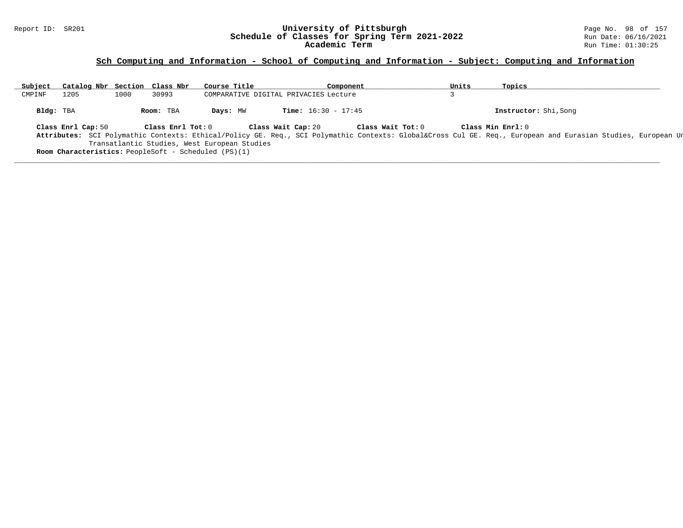#### Report ID: SR201 **University of Pittsburgh** Page No. 98 of 157 **Schedule of Classes for Spring Term 2021-2022** Run Date: 06/16/2021 **Academic Term** Run Time: 01:30:25

### **Sch Computing and Information - School of Computing and Information - Subject: Computing and Information**

| Subject   | Catalog Nbr Section Class Nbr |      |                   | Course Title                                                                                                |                    |                              | Component |                   | Units | Topics                                                                                                                                                                       |
|-----------|-------------------------------|------|-------------------|-------------------------------------------------------------------------------------------------------------|--------------------|------------------------------|-----------|-------------------|-------|------------------------------------------------------------------------------------------------------------------------------------------------------------------------------|
| CMPINF    | 1205                          | 1000 | 30993             | COMPARATIVE DIGITAL PRIVACIES Lecture                                                                       |                    |                              |           |                   |       |                                                                                                                                                                              |
| Bldg: TBA |                               |      | Room: TBA         | Days: MW                                                                                                    |                    | <b>Time:</b> $16:30 - 17:45$ |           |                   |       | Instructor: Shi, Song                                                                                                                                                        |
|           | Class Enrl Cap: 50            |      | Class Enrl Tot: 0 | Transatlantic Studies, West European Studies<br><b>Room Characteristics:</b> PeopleSoft - Scheduled (PS)(1) | Class Wait Cap: 20 |                              |           | Class Wait Tot: 0 |       | Class Min Enrl: 0<br>Attributes: SCI Polymathic Contexts: Ethical/Policy GE. Req., SCI Polymathic Contexts: Global⨯ Cul GE. Req., European and Eurasian Studies, European Ur |

**\_\_\_\_\_\_\_\_\_\_\_\_\_\_\_\_\_\_\_\_\_\_\_\_\_\_\_\_\_\_\_\_\_\_\_\_\_\_\_\_\_\_\_\_\_\_\_\_\_\_\_\_\_\_\_\_\_\_\_\_\_\_\_\_\_\_\_\_\_\_\_\_\_\_\_\_\_\_\_\_\_\_\_\_\_\_\_\_\_\_\_\_\_\_\_\_\_\_\_\_\_\_\_\_\_\_\_\_\_\_\_\_\_\_\_\_\_\_\_\_\_\_\_\_\_\_\_\_\_\_\_\_\_\_\_\_\_\_\_\_\_\_\_\_\_\_\_\_\_\_\_\_\_\_\_\_**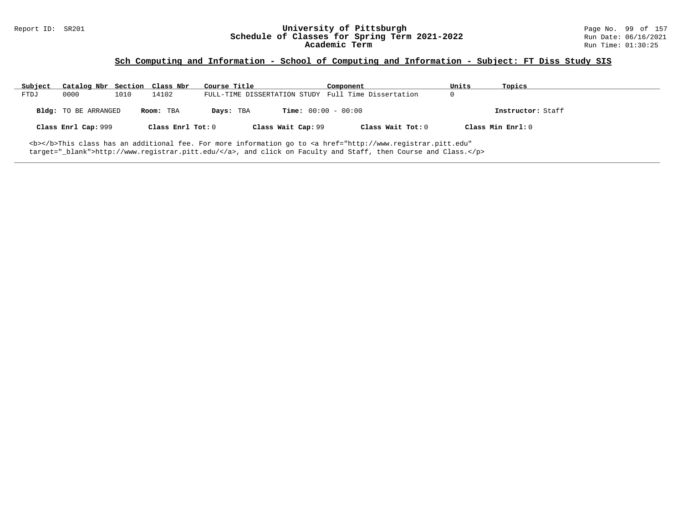# Report ID: SR201 **1998 Mage No. 99 of 157**<br>**Schedule of Classes for Spring Term 2021-2022** 2014 Run Date: 06/16/2021 Schedule of Classes for Spring Term 2021-2022<br>Academic Term

### **Sch Computing and Information - School of Computing and Information - Subject: FT Diss Study SIS**

| Subject | Catalog Nbr Section Class Nbr |      |                   | Course Title |                              | Component                                                                                                                                      | Units | Topics            |
|---------|-------------------------------|------|-------------------|--------------|------------------------------|------------------------------------------------------------------------------------------------------------------------------------------------|-------|-------------------|
| FTDJ    | 0000                          | 1010 | 14102             |              |                              | FULL-TIME DISSERTATION STUDY Full Time Dissertation                                                                                            |       |                   |
|         | <b>Bldg:</b> TO BE ARRANGED   |      | Room: TBA         | Days: TBA    | <b>Time:</b> $00:00 - 00:00$ |                                                                                                                                                |       | Instructor: Staff |
|         | Class Enrl Cap: 999           |      | Class Enrl Tot: 0 |              | Class Wait Cap: 99           | Class Wait Tot: 0                                                                                                                              |       | Class Min Enrl: 0 |
|         |                               |      |                   |              |                              | <b></b> This class has an additional fee. For more information go to <a <="" href="http://www.registrar.pitt.edu" td=""><td></td><td></td></a> |       |                   |

**\_\_\_\_\_\_\_\_\_\_\_\_\_\_\_\_\_\_\_\_\_\_\_\_\_\_\_\_\_\_\_\_\_\_\_\_\_\_\_\_\_\_\_\_\_\_\_\_\_\_\_\_\_\_\_\_\_\_\_\_\_\_\_\_\_\_\_\_\_\_\_\_\_\_\_\_\_\_\_\_\_\_\_\_\_\_\_\_\_\_\_\_\_\_\_\_\_\_\_\_\_\_\_\_\_\_\_\_\_\_\_\_\_\_\_\_\_\_\_\_\_\_\_\_\_\_\_\_\_\_\_\_\_\_\_\_\_\_\_\_\_\_\_\_\_\_\_\_\_\_\_\_\_\_\_\_**

target="\_blank">http://www.registrar.pitt.edu/</a>, and click on Faculty and Staff, then Course and Class.</p>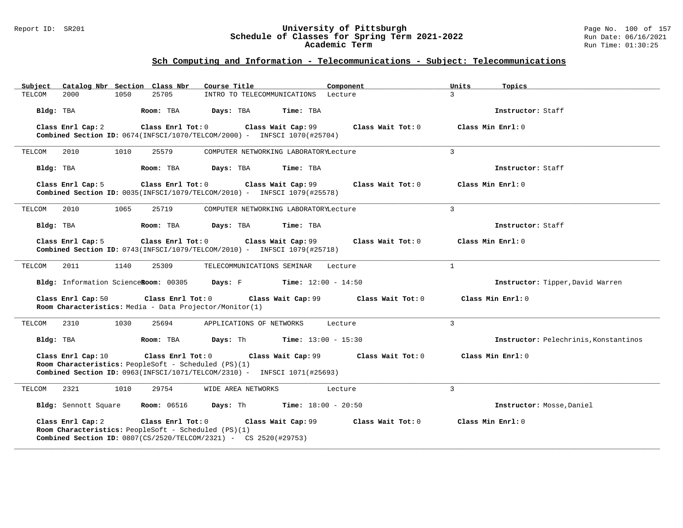#### Report ID: SR201 **University of Pittsburgh** Page No. 100 of 157 **Schedule of Classes for Spring Term 2021-2022** Run Date: 06/16/2021 **Academic Term** Run Time: 01:30:25

| Catalog Nbr Section Class Nbr<br>Subject                                                                                                                                              | Course Title<br>Component                    | Units<br>Topics                       |
|---------------------------------------------------------------------------------------------------------------------------------------------------------------------------------------|----------------------------------------------|---------------------------------------|
| 2000<br>1050<br>25705<br>TELCOM                                                                                                                                                       | INTRO TO TELECOMMUNICATIONS Lecture          | $\mathcal{L}$                         |
| Bldg: TBA<br>Room: TBA                                                                                                                                                                | Days: TBA<br>Time: TBA                       | Instructor: Staff                     |
| Class Enrl Cap: 2<br>Class Enrl Tot: 0<br>Combined Section ID: 0674(INFSCI/1070/TELCOM/2000) - INFSCI 1070(#25704)                                                                    | Class Wait Cap: 99<br>Class Wait Tot: 0      | Class Min Enrl: 0                     |
| 1010<br>25579<br>TELCOM<br>2010                                                                                                                                                       | COMPUTER NETWORKING LABORATORYLecture        | $\overline{3}$                        |
| Bldg: TBA<br>Room: TBA                                                                                                                                                                | Days: TBA<br>Time: TBA                       | Instructor: Staff                     |
| Class Enrl Cap: 5<br>Class Enrl Tot: 0<br>Combined Section ID: 0035(INFSCI/1079/TELCOM/2010) - INFSCI 1079(#25578)                                                                    | Class Wait Cap: 99<br>Class Wait Tot: 0      | Class Min Enrl: 0                     |
| 1065<br>TELCOM<br>2010<br>25719                                                                                                                                                       | COMPUTER NETWORKING LABORATORYLecture        | 3                                     |
| Bldg: TBA<br>Room: TBA                                                                                                                                                                | Time: TBA<br>Days: TBA                       | Instructor: Staff                     |
| Class Enrl Cap: 5<br>Class Enrl Tot: 0<br><b>Combined Section ID:</b> $0743$ (INFSCI/1079/TELCOM/2010) - INFSCI 1079(#25718)                                                          | Class Wait Cap: 99<br>Class Wait Tot: 0      | Class Min Enrl: 0                     |
| TELCOM<br>2011<br>1140<br>25309                                                                                                                                                       | TELECOMMUNICATIONS SEMINAR<br>Lecture        | $\mathbf{1}$                          |
| Bldg: Information ScienceRoom: 00305                                                                                                                                                  | <b>Days:</b> F <b>Time:</b> $12:00 - 14:50$  | Instructor: Tipper, David Warren      |
| Class Enrl Cap: 50<br>Class Enrl Tot: 0<br>Room Characteristics: Media - Data Projector/Monitor(1)                                                                                    | Class Wait Cap: 99<br>Class Wait Tot: 0      | Class Min $Err1:0$                    |
| 2310<br>1030<br>25694<br>TELCOM                                                                                                                                                       | APPLICATIONS OF NETWORKS<br>Lecture          | $\overline{3}$                        |
| Bldg: TBA<br>Room: TBA                                                                                                                                                                | Days: Th<br><b>Time:</b> $13:00 - 15:30$     | Instructor: Pelechrinis, Konstantinos |
| Class Enrl Cap: 10<br>Class Enrl Tot: 0<br>Room Characteristics: PeopleSoft - Scheduled (PS)(1)<br><b>Combined Section ID:</b> $0963$ (INFSCI/1071/TELCOM/2310) - INFSCI 1071(#25693) | Class Wait Cap: 99<br>Class Wait Tot: 0      | Class Min Enrl: 0                     |
| 1010<br>29754<br>2321<br>TELCOM                                                                                                                                                       | WIDE AREA NETWORKS<br>Lecture                | $\overline{3}$                        |
| <b>Room:</b> 06516<br>Bldg: Sennott Square                                                                                                                                            | <b>Days:</b> Th <b>Time:</b> $18:00 - 20:50$ | Instructor: Mosse, Daniel             |
| Class Enrl Cap: 2<br>Class Enrl Tot: 0<br>Room Characteristics: PeopleSoft - Scheduled (PS)(1)<br><b>Combined Section ID:</b> $0807 (CS/2520 / TELCOM/2321)$ - CS $2520 (#29753)$     | Class Wait Cap: 99<br>Class Wait Tot: 0      | Class Min Enrl: 0                     |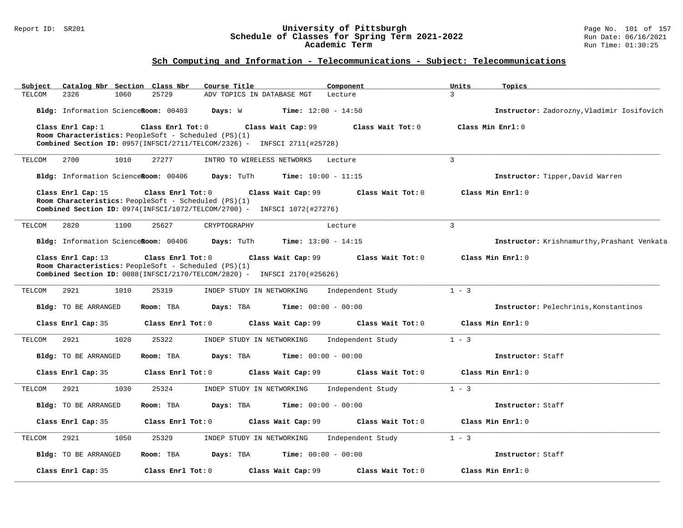#### Report ID: SR201 **University of Pittsburgh** Page No. 101 of 157 **Schedule of Classes for Spring Term 2021-2022** Run Date: 06/16/2021 **Academic Term** Run Time: 01:30:25

| Subject<br>Catalog Nbr Section Class Nbr | Course Title                                                                                                                                                                | Component         | Units<br>Topics                             |
|------------------------------------------|-----------------------------------------------------------------------------------------------------------------------------------------------------------------------------|-------------------|---------------------------------------------|
| 2326<br>1060<br>TELCOM                   | 25729<br>ADV TOPICS IN DATABASE MGT                                                                                                                                         | Lecture           | $\mathbf{3}$                                |
| Bldg: Information ScienceRoom: 00403     | Days: W<br><b>Time:</b> $12:00 - 14:50$                                                                                                                                     |                   | Instructor: Zadorozny, Vladimir Iosifovich  |
| Class Enrl Cap: $1$                      | Class Enrl Tot: 0<br>Class Wait Cap: 99<br>Room Characteristics: PeopleSoft - Scheduled (PS)(1)                                                                             | Class Wait Tot: 0 | Class Min Enrl: 0                           |
|                                          | Combined Section ID: 0957(INFSCI/2711/TELCOM/2326) - INFSCI 2711(#25728)                                                                                                    |                   |                                             |
| 2700<br>1010<br>TELCOM                   | 27277<br>INTRO TO WIRELESS NETWORKS                                                                                                                                         | Lecture           | $\overline{3}$                              |
| Bldg: Information ScienceRoom: 00406     | Days: TuTh<br>Time: $10:00 - 11:15$                                                                                                                                         |                   | Instructor: Tipper, David Warren            |
| Class Enrl Cap: 15                       | Class Enrl Tot: 0<br>Class Wait Cap: 99<br>Room Characteristics: PeopleSoft - Scheduled (PS)(1)<br>Combined Section ID: 0974(INFSCI/1072/TELCOM/2700) - INFSCI 1072(#27276) | Class Wait Tot: 0 | Class Min Enrl: 0                           |
| TELCOM<br>2820<br>1100                   | 25627<br>CRYPTOGRAPHY                                                                                                                                                       | Lecture           | $\overline{3}$                              |
| Bldg: Information ScienceRoom: 00406     | <b>Time:</b> $13:00 - 14:15$<br>Days: TuTh                                                                                                                                  |                   | Instructor: Krishnamurthy, Prashant Venkata |
| Class Enrl Cap: 13                       | Class Enrl Tot: 0<br>Class Wait Cap: 99<br>Room Characteristics: PeopleSoft - Scheduled (PS)(1)<br>Combined Section ID: 0088(INFSCI/2170/TELCOM/2820) - INFSCI 2170(#25626) | Class Wait Tot: 0 | Class Min Enrl: 0                           |
| 2921<br>1010<br>TELCOM                   | 25319<br>INDEP STUDY IN NETWORKING                                                                                                                                          | Independent Study | $1 - 3$                                     |
| <b>Bldg:</b> TO BE ARRANGED              | Room: TBA<br>Days: TBA<br><b>Time:</b> $00:00 - 00:00$                                                                                                                      |                   | Instructor: Pelechrinis, Konstantinos       |
| Class Enrl Cap: 35                       | Class Enrl Tot: 0<br>Class Wait Cap: 99                                                                                                                                     | Class Wait Tot: 0 | Class Min Enrl: 0                           |
| 2921<br>1020<br>TELCOM                   | 25322<br>INDEP STUDY IN NETWORKING                                                                                                                                          | Independent Study | $1 - 3$                                     |
| Bldg: TO BE ARRANGED                     | Days: TBA<br><b>Time:</b> $00:00 - 00:00$<br>Room: TBA                                                                                                                      |                   | Instructor: Staff                           |
| Class Enrl Cap: 35                       | Class Enrl Tot: 0<br>Class Wait Cap: 99                                                                                                                                     | Class Wait Tot: 0 | Class Min Enrl: 0                           |
| TELCOM<br>2921<br>1030                   | 25324<br>INDEP STUDY IN NETWORKING                                                                                                                                          | Independent Study | $1 - 3$                                     |
| Bldg: TO BE ARRANGED                     | Room: TBA<br>Days: TBA<br><b>Time:</b> $00:00 - 00:00$                                                                                                                      |                   | Instructor: Staff                           |
| Class Enrl Cap: 35                       | Class Enrl Tot: 0<br>Class Wait Cap: 99                                                                                                                                     | Class Wait Tot: 0 | Class Min Enrl: 0                           |
| 1050<br>TELCOM<br>2921                   | 25329<br>INDEP STUDY IN NETWORKING                                                                                                                                          | Independent Study | $1 - 3$                                     |
| <b>Bldg:</b> TO BE ARRANGED              | <b>Time:</b> $00:00 - 00:00$<br>Room: TBA<br>Days: TBA                                                                                                                      |                   | Instructor: Staff                           |
| Class Enrl Cap: 35                       | Class Enrl Tot: 0<br>Class Wait Cap: 99                                                                                                                                     | Class Wait Tot: 0 | Class Min Enrl: 0                           |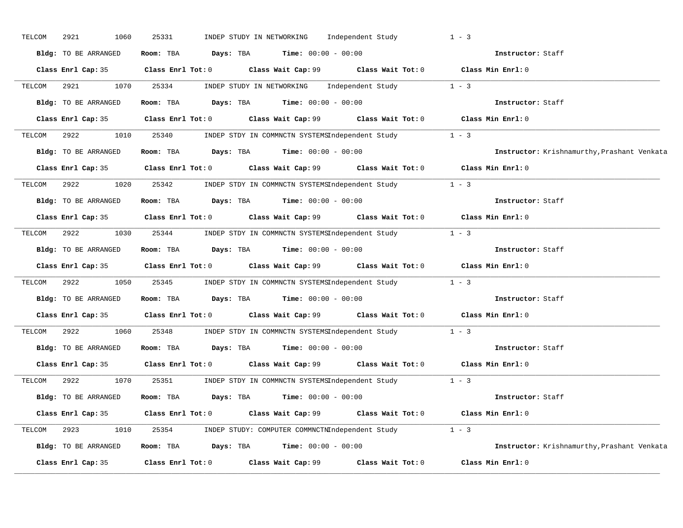| TELCOM | 2921<br>1060         | 25331                                                                                 | INDEP STUDY IN NETWORKING | Independent Study                                                                           | $1 - 3$                                     |
|--------|----------------------|---------------------------------------------------------------------------------------|---------------------------|---------------------------------------------------------------------------------------------|---------------------------------------------|
|        | Bldg: TO BE ARRANGED | Room: TBA $Days: TBA$ Time: $00:00 - 00:00$                                           |                           |                                                                                             | Instructor: Staff                           |
|        |                      |                                                                                       |                           | Class Enrl Cap: 35 Class Enrl Tot: 0 Class Wait Cap: 99 Class Wait Tot: 0 Class Min Enrl: 0 |                                             |
| TELCOM | 2921                 | 1070 25334                                                                            |                           | INDEP STUDY IN NETWORKING Independent Study 1 - 3                                           |                                             |
|        |                      | Bldg: TO BE ARRANGED Room: TBA Days: TBA Time: 00:00 - 00:00                          |                           |                                                                                             | Instructor: Staff                           |
|        |                      |                                                                                       |                           | Class Enrl Cap: 35 Class Enrl Tot: 0 Class Wait Cap: 99 Class Wait Tot: 0 Class Min Enrl: 0 |                                             |
| TELCOM | 2922 2022<br>1010    | 25340                                                                                 |                           | INDEP STDY IN COMMNCTN SYSTEMSIndependent Study 1 - 3                                       |                                             |
|        | Bldg: TO BE ARRANGED | Room: TBA $\rule{1em}{0.15mm}$ Days: TBA $\rule{1.5mm}{0.15mm}$ Time: $00:00 - 00:00$ |                           |                                                                                             | Instructor: Krishnamurthy, Prashant Venkata |
|        |                      |                                                                                       |                           | Class Enrl Cap: 35 Class Enrl Tot: 0 Class Wait Cap: 99 Class Wait Tot: 0 Class Min Enrl: 0 |                                             |
| TELCOM |                      |                                                                                       |                           | 2922 1020 25342 INDEP STDY IN COMMNCTN SYSTEMSIndependent Study 1 - 3                       |                                             |
|        | Bldg: TO BE ARRANGED |                                                                                       |                           | Room: TBA $Days$ : TBA $Time: 00:00 - 00:00$                                                | Instructor: Staff                           |
|        |                      |                                                                                       |                           | Class Enrl Cap: 35 Class Enrl Tot: 0 Class Wait Cap: 99 Class Wait Tot: 0 Class Min Enrl: 0 |                                             |
| TELCOM | 2922                 |                                                                                       |                           | 1030 25344 INDEP STDY IN COMMNCTN SYSTEMSIndependent Study 1 - 3                            |                                             |
|        | Bldg: TO BE ARRANGED | Room: TBA $Days:$ TBA $Time: 00:00 - 00:00$                                           |                           |                                                                                             | Instructor: Staff                           |
|        |                      |                                                                                       |                           | Class Enrl Cap: 35 Class Enrl Tot: 0 Class Wait Cap: 99 Class Wait Tot: 0 Class Min Enrl: 0 |                                             |
| TELCOM | 2922<br>1050         |                                                                                       |                           | 25345 INDEP STDY IN COMMNCTN SYSTEMSIndependent Study 1 - 3                                 |                                             |
|        | Bldg: TO BE ARRANGED | Room: TBA $Days:$ TBA Time: $00:00 - 00:00$                                           |                           |                                                                                             | Instructor: Staff                           |
|        |                      |                                                                                       |                           | Class Enrl Cap: 35 Class Enrl Tot: 0 Class Wait Cap: 99 Class Wait Tot: 0 Class Min Enrl: 0 |                                             |
| TELCOM | 2922<br>1060         |                                                                                       |                           | 25348 INDEP STDY IN COMMNCTN SYSTEMSIndependent Study                                       | $1 - 3$                                     |
|        | Bldg: TO BE ARRANGED | Room: TBA $\rule{1em}{0.15mm}$ Days: TBA $\rule{1.5mm}{0.15mm}$ Time: $00:00 - 00:00$ |                           |                                                                                             | Instructor: Staff                           |
|        | Class Enrl Cap: 35   |                                                                                       |                           | Class Enrl Tot: $0$ Class Wait Cap: $99$ Class Wait Tot: $0$ Class Min Enrl: $0$            |                                             |
| TELCOM | 2922<br>1070         |                                                                                       |                           | 25351 INDEP STDY IN COMMNCTN SYSTEMSIndependent Study 1 - 3                                 |                                             |
|        | Bldg: TO BE ARRANGED |                                                                                       |                           | Room: TBA $Days:$ TBA Time: $00:00 - 00:00$                                                 | Instructor: Staff                           |
|        |                      |                                                                                       |                           | Class Enrl Cap: 35 Class Enrl Tot: 0 Class Wait Cap: 99 Class Wait Tot: 0 Class Min Enrl: 0 |                                             |
|        |                      |                                                                                       |                           | TELCOM 2923 1010 25354 INDEP STUDY: COMPUTER COMMNCTNIndependent Study 1 - 3                |                                             |
|        | Bldg: TO BE ARRANGED | <b>Room:</b> TBA $Days: TBA$ <b>Time:</b> $00:00 - 00:00$                             |                           |                                                                                             | Instructor: Krishnamurthy, Prashant Venkata |
|        | Class Enrl Cap: 35   | $Class$ $Enrl$ $Tot: 0$                                                               |                           | Class Wait Cap: 99 Class Wait Tot: 0                                                        | Class Min Enrl: 0                           |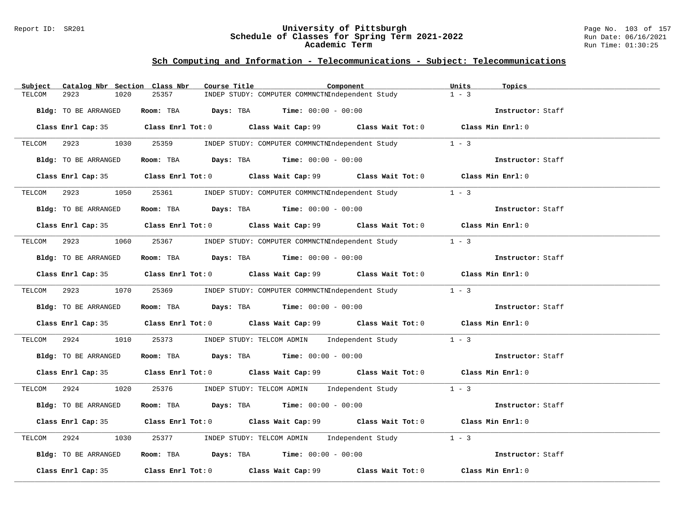#### Report ID: SR201 **University of Pittsburgh** Page No. 103 of 157 **Schedule of Classes for Spring Term 2021-2022** Run Date: 06/16/2021 **Academic Term** Run Time: 01:30:25

| Catalog Nbr Section Class Nbr<br>Subject | Course Title<br>Component                                                                   | Units<br>Topics   |
|------------------------------------------|---------------------------------------------------------------------------------------------|-------------------|
| 2923<br>1020<br>TELCOM                   | 25357<br>INDEP STUDY: COMPUTER COMMNCTNIndependent Study                                    | $1 - 3$           |
| Bldg: TO BE ARRANGED                     | Room: TBA $Days:$ TBA $Time: 00:00 - 00:00$                                                 | Instructor: Staff |
|                                          | Class Enrl Cap: 35 Class Enrl Tot: 0 Class Wait Cap: 99 Class Wait Tot: 0 Class Min Enrl: 0 |                   |
| TELCOM 2923 1030 25359                   | INDEP STUDY: COMPUTER COMMNCTNIndependent Study                                             | $1 - 3$           |
| Bldg: TO BE ARRANGED                     | Room: TBA $Days:$ TBA $Time: 00:00 - 00:00$                                                 | Instructor: Staff |
|                                          | Class Enrl Cap: 35 Class Enrl Tot: 0 Class Wait Cap: 99 Class Wait Tot: 0 Class Min Enrl: 0 |                   |
|                                          | TELCOM 2923 1050 25361 INDEP STUDY: COMPUTER COMMNCTNIndependent Study 1 - 3                |                   |
| Bldg: TO BE ARRANGED                     | Room: TBA $\rule{1em}{0.15mm}$ Days: TBA Time: $00:00 - 00:00$                              | Instructor: Staff |
|                                          | Class Enrl Cap: 35 Class Enrl Tot: 0 Class Wait Cap: 99 Class Wait Tot: 0 Class Min Enrl: 0 |                   |
|                                          | TELCOM 2923 1060 25367 INDEP STUDY: COMPUTER COMMNCTNIndependent Study 1 - 3                |                   |
| Bldg: TO BE ARRANGED                     | Room: TBA $\rule{1em}{0.15mm}$ Days: TBA Time: $00:00 - 00:00$                              | Instructor: Staff |
|                                          | Class Enrl Cap: 35 Class Enrl Tot: 0 Class Wait Cap: 99 Class Wait Tot: 0 Class Min Enrl: 0 |                   |
|                                          | TELCOM 2923 1070 25369 INDEP STUDY: COMPUTER COMMNCTNIndependent Study 1 - 3                |                   |
| Bldg: TO BE ARRANGED                     | Room: TBA $\rule{1em}{0.15mm}$ Days: TBA Time: $00:00 - 00:00$                              | Instructor: Staff |
|                                          | Class Enrl Cap: 35 Class Enrl Tot: 0 Class Wait Cap: 99 Class Wait Tot: 0 Class Min Enrl: 0 |                   |
| TELCOM 2924<br>1010                      | 25373 INDEP STUDY: TELCOM ADMIN Independent Study 1 - 3                                     |                   |
| Bldg: TO BE ARRANGED                     | Room: TBA Days: TBA Time: $00:00 - 00:00$                                                   | Instructor: Staff |
|                                          | Class Enrl Cap: 35 Class Enrl Tot: 0 Class Wait Cap: 99 Class Wait Tot: 0 Class Min Enrl: 0 |                   |
|                                          | TELCOM 2924 1020 25376 INDEP STUDY: TELCOM ADMIN Independent Study 1 - 3                    |                   |
| Bldg: TO BE ARRANGED                     | Room: TBA $Days: TBA$ Time: $00:00 - 00:00$                                                 | Instructor: Staff |
|                                          | Class Enrl Cap: 35 Class Enrl Tot: 0 Class Wait Cap: 99 Class Wait Tot: 0 Class Min Enrl: 0 |                   |
| 2924<br>1030<br>TELCOM                   | 25377 INDEP STUDY: TELCOM ADMIN Independent Study 1 - 3                                     |                   |
| Bldg: TO BE ARRANGED                     | Room: TBA $Days:$ TBA $Time: 00:00 - 00:00$                                                 | Instructor: Staff |
|                                          | Class Enrl Cap: 35 Class Enrl Tot: 0 Class Wait Cap: 99 Class Wait Tot: 0                   | Class Min Enrl: 0 |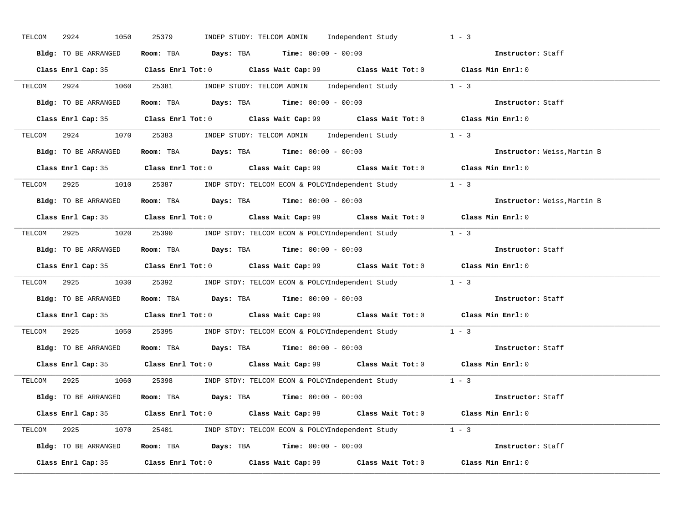| TELCOM 2924<br>1050  | 25379<br>INDEP STUDY: TELCOM ADMIN Independent Study                                        | $1 - 3$                     |
|----------------------|---------------------------------------------------------------------------------------------|-----------------------------|
| Bldg: TO BE ARRANGED | Room: TBA $Days:$ TBA $Time:$ $00:00 - 00:00$                                               | Instructor: Staff           |
|                      | Class Enrl Cap: 35 Class Enrl Tot: 0 Class Wait Cap: 99 Class Wait Tot: 0 Class Min Enrl: 0 |                             |
|                      | TELCOM 2924 1060 25381 INDEP STUDY: TELCOM ADMIN Independent Study 1 - 3                    |                             |
| Bldg: TO BE ARRANGED | Room: TBA $Days:$ TBA $Time: 00:00 - 00:00$                                                 | Instructor: Staff           |
|                      | Class Enrl Cap: 35 Class Enrl Tot: 0 Class Wait Cap: 99 Class Wait Tot: 0 Class Min Enrl: 0 |                             |
|                      | TELCOM 2924 1070 25383 INDEP STUDY: TELCOM ADMIN Independent Study 1 - 3                    |                             |
|                      | Bldg: TO BE ARRANGED Room: TBA Days: TBA Time: 00:00 - 00:00                                | Instructor: Weiss, Martin B |
|                      | Class Enrl Cap: 35 Class Enrl Tot: 0 Class Wait Cap: 99 Class Wait Tot: 0 Class Min Enrl: 0 |                             |
|                      | TELCOM 2925 1010 25387 INDP STDY: TELCOM ECON & POLCYIndependent Study 1 - 3                |                             |
| Bldg: TO BE ARRANGED | Room: TBA $\rule{1em}{0.15mm}$ Days: TBA $\rule{1.15mm}]{0.15mm}$ Time: $00:00 - 00:00$     | Instructor: Weiss, Martin B |
|                      | Class Enrl Cap: 35 Class Enrl Tot: 0 Class Wait Cap: 99 Class Wait Tot: 0 Class Min Enrl: 0 |                             |
|                      | TELCOM 2925 1020 25390 INDP STDY: TELCOM ECON & POLCYIndependent Study 1 - 3                |                             |
| Bldg: TO BE ARRANGED | Room: TBA $Days: TBA$ Time: $00:00 - 00:00$                                                 | Instructor: Staff           |
|                      | Class Enrl Cap: 35 Class Enrl Tot: 0 Class Wait Cap: 99 Class Wait Tot: 0 Class Min Enrl: 0 |                             |
|                      | TELCOM 2925 1030 25392 INDP STDY: TELCOM ECON & POLCYIndependent Study 1 - 3                |                             |
|                      | Bldg: TO BE ARRANGED Room: TBA Days: TBA Time: 00:00 - 00:00                                | Instructor: Staff           |
|                      | Class Enrl Cap: 35 Class Enrl Tot: 0 Class Wait Cap: 99 Class Wait Tot: 0 Class Min Enrl: 0 |                             |
|                      | TELCOM 2925 1050 25395 INDP STDY: TELCOM ECON & POLCYIndependent Study 1 - 3                |                             |
|                      | Bldg: TO BE ARRANGED Room: TBA Days: TBA Time: 00:00 - 00:00                                | Instructor: Staff           |
|                      | Class Enrl Cap: 35 Class Enrl Tot: 0 Class Wait Cap: 99 Class Wait Tot: 0 Class Min Enrl: 0 |                             |
|                      | TELCOM 2925 1060 25398 INDP STDY: TELCOM ECON & POLCYIndependent Study 1 - 3                |                             |
| Bldg: TO BE ARRANGED | Room: TBA $Days:$ TBA $Time:$ $00:00 - 00:00$                                               | Instructor: Staff           |
|                      | Class Enrl Cap: 35 Class Enrl Tot: 0 Class Wait Cap: 99 Class Wait Tot: 0 Class Min Enrl: 0 |                             |
|                      | TELCOM 2925 1070 25401 INDP STDY: TELCOM ECON & POLCYIndependent Study 1 - 3                |                             |
|                      | Bldg: TO BE ARRANGED Room: TBA Days: TBA Time: 00:00 - 00:00                                | Instructor: Staff           |
|                      | Class Enrl Cap: 35 Class Enrl Tot: 0 Class Wait Cap: 99 Class Wait Tot: 0                   | Class Min Enrl: 0           |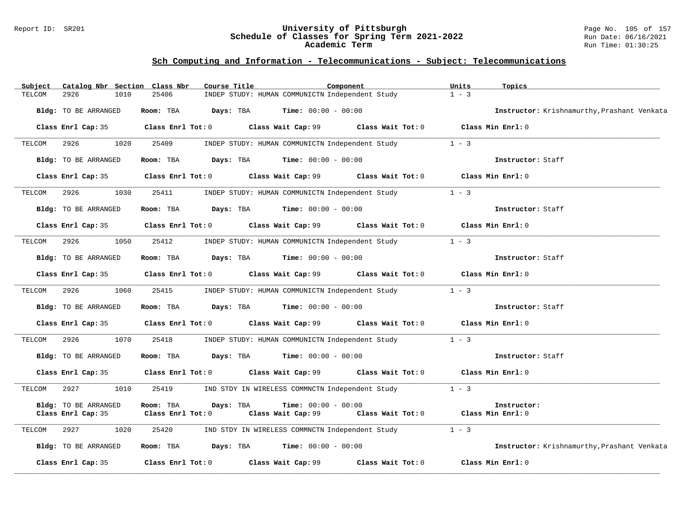#### Report ID: SR201 **University of Pittsburgh** Page No. 105 of 157 **Schedule of Classes for Spring Term 2021-2022** Run Date: 06/16/2021 **Academic Term** Run Time: 01:30:25

| Subject | Catalog Nbr Section Class Nbr |                   | Course Title                                         |                              | Component                                                                        | Units   | Topics                                      |
|---------|-------------------------------|-------------------|------------------------------------------------------|------------------------------|----------------------------------------------------------------------------------|---------|---------------------------------------------|
| TELCOM  | 2926<br>1010                  | 25406             | INDEP STUDY: HUMAN COMMUNICTN Independent Study      |                              |                                                                                  | $1 - 3$ |                                             |
|         | Bldg: TO BE ARRANGED          | Room: TBA         | Days: TBA                                            | $Time: 00:00 - 00:00$        |                                                                                  |         | Instructor: Krishnamurthy, Prashant Venkata |
|         | Class Enrl Cap: 35            |                   |                                                      |                              | Class Enrl Tot: 0 Class Wait Cap: 99 Class Wait Tot: 0 Class Min Enrl: 0         |         |                                             |
| TELCOM  | 1020<br>2926                  | 25409             |                                                      |                              | INDEP STUDY: HUMAN COMMUNICTN Independent Study                                  | $1 - 3$ |                                             |
|         | Bldg: TO BE ARRANGED          |                   | Room: TBA $Days:$ TBA $Time: 00:00 - 00:00$          |                              |                                                                                  |         | Instructor: Staff                           |
|         | Class Enrl Cap: 35            |                   | Class Enrl Tot: 0 Class Wait Cap: 99                 |                              | Class Wait Tot: 0 Class Min Enrl: 0                                              |         |                                             |
| TELCOM  | 2926<br>1030                  | 25411             |                                                      |                              | INDEP STUDY: HUMAN COMMUNICTN Independent Study 1 - 3                            |         |                                             |
|         | Bldg: TO BE ARRANGED          | Room: TBA         | <b>Days:</b> TBA <b>Time:</b> $00:00 - 00:00$        |                              |                                                                                  |         | Instructor: Staff                           |
|         | Class Enrl Cap: 35            |                   |                                                      |                              | Class Enrl Tot: 0 Class Wait Cap: 99 Class Wait Tot: 0                           |         | Class Min Enrl: 0                           |
| TELCOM  | 2926<br>1050                  | 25412             |                                                      |                              | INDEP STUDY: HUMAN COMMUNICTN Independent Study                                  | $1 - 3$ |                                             |
|         | Bldg: TO BE ARRANGED          | Room: TBA         | $\texttt{Davis:}$ TBA $\texttt{Time:}$ 00:00 - 00:00 |                              |                                                                                  |         | Instructor: Staff                           |
|         | Class Enrl Cap: 35            |                   |                                                      |                              | Class Enrl Tot: $0$ Class Wait Cap: $99$ Class Wait Tot: $0$ Class Min Enrl: $0$ |         |                                             |
| TELCOM  | 2926<br>1060                  | 25415             |                                                      |                              | INDEP STUDY: HUMAN COMMUNICTN Independent Study                                  | $1 - 3$ |                                             |
|         | Bldg: TO BE ARRANGED          | Room: TBA         | <b>Days:</b> TBA <b>Time:</b> $00:00 - 00:00$        |                              |                                                                                  |         | Instructor: Staff                           |
|         | Class Enrl Cap: 35            |                   | Class Enrl Tot: 0 Class Wait Cap: 99                 |                              | Class Wait Tot: 0 Class Min Enrl: 0                                              |         |                                             |
| TELCOM  | 2926<br>1070                  | 25418             |                                                      |                              | INDEP STUDY: HUMAN COMMUNICTN Independent Study 1 - 3                            |         |                                             |
|         | Bldg: TO BE ARRANGED          | Room: TBA         | <b>Days:</b> TBA <b>Time:</b> $00:00 - 00:00$        |                              |                                                                                  |         | Instructor: Staff                           |
|         | Class Enrl Cap: 35            |                   |                                                      |                              | Class Enrl Tot: 0 Class Wait Cap: 99 Class Wait Tot: 0                           |         | Class Min Enrl: 0                           |
| TELCOM  | 2927<br>1010                  | 25419             | IND STDY IN WIRELESS COMMNCTN Independent Study      |                              |                                                                                  | $1 - 3$ |                                             |
|         | Bldg: TO BE ARRANGED          | Room: TBA         | Days: TBA                                            | <b>Time:</b> $00:00 - 00:00$ |                                                                                  |         | Instructor:                                 |
|         | Class Enrl Cap: 35            | Class Enrl Tot: 0 |                                                      | Class Wait Cap: 99           | Class Wait Tot: 0 Class Min Enrl: 0                                              |         |                                             |
| TELCOM  | 2927<br>1020                  | 25420             |                                                      |                              | IND STDY IN WIRELESS COMMNCTN Independent Study                                  | $1 - 3$ |                                             |
|         | Bldg: TO BE ARRANGED          | Room: TBA         | <b>Days:</b> TBA <b>Time:</b> $00:00 - 00:00$        |                              |                                                                                  |         | Instructor: Krishnamurthy, Prashant Venkata |
|         | Class Enrl Cap: 35            |                   | Class Enrl Tot: 0 Class Wait Cap: 99                 |                              | Class Wait Tot: 0                                                                |         | Class Min Enrl: 0                           |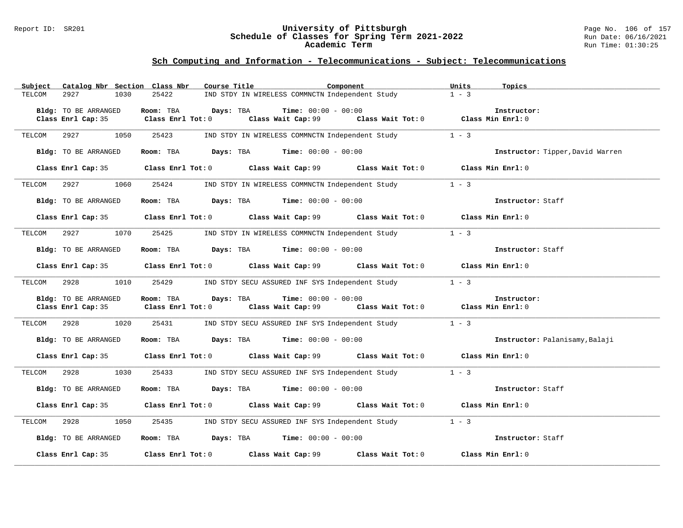#### Report ID: SR201 **University of Pittsburgh** Page No. 106 of 157 **Schedule of Classes for Spring Term 2021-2022** Run Date: 06/16/2021 **Academic Term** Run Time: 01:30:25

| Subject | Catalog Nbr Section Class Nbr              | Course Title                                      |                                                      | Component                                                                                   | Units<br>Topics                  |  |
|---------|--------------------------------------------|---------------------------------------------------|------------------------------------------------------|---------------------------------------------------------------------------------------------|----------------------------------|--|
| TELCOM  | 1030<br>2927                               | 25422                                             | IND STDY IN WIRELESS COMMNCTN Independent Study      |                                                                                             | $1 - 3$                          |  |
|         | Bldg: TO BE ARRANGED                       | Room: TBA<br>Days: TBA                            | <b>Time:</b> $00:00 - 00:00$                         |                                                                                             | Instructor:                      |  |
|         | Class Enrl Cap: 35                         | Class Enrl Tot: 0                                 | Class Wait Cap: 99                                   | Class Wait Tot: 0 Class Min Enrl: 0                                                         |                                  |  |
|         |                                            |                                                   |                                                      |                                                                                             |                                  |  |
| TELCOM  | 2927<br>1050                               | 25423                                             | IND STDY IN WIRELESS COMMNCTN Independent Study      |                                                                                             | $1 - 3$                          |  |
|         | Bldg: TO BE ARRANGED                       | Room: TBA                                         | $\texttt{Davis:}$ TBA $\texttt{Time:}$ 00:00 - 00:00 |                                                                                             | Instructor: Tipper, David Warren |  |
|         |                                            |                                                   |                                                      | Class Enrl Cap: 35 Class Enrl Tot: 0 Class Wait Cap: 99 Class Wait Tot: 0                   | Class Min Enrl: 0                |  |
| TELCOM  | 2927<br>1060                               | 25424                                             |                                                      | IND STDY IN WIRELESS COMMNCTN Independent Study                                             | $1 - 3$                          |  |
|         | Bldg: TO BE ARRANGED                       |                                                   | Room: TBA $Days:$ TBA $Time: 00:00 - 00:00$          |                                                                                             | Instructor: Staff                |  |
|         |                                            |                                                   |                                                      | Class Enrl Cap: 35 Class Enrl Tot: 0 Class Wait Cap: 99 Class Wait Tot: 0 Class Min Enrl: 0 |                                  |  |
| TELCOM  | 2927<br>1070                               | 25425                                             |                                                      | IND STDY IN WIRELESS COMMNCTN Independent Study                                             | $1 - 3$                          |  |
|         | Bldg: TO BE ARRANGED                       |                                                   | Room: TBA $Days:$ TBA $Time: 00:00 - 00:00$          |                                                                                             | Instructor: Staff                |  |
|         |                                            |                                                   |                                                      | Class Enrl Cap: 35 Class Enrl Tot: 0 Class Wait Cap: 99 Class Wait Tot: 0 Class Min Enrl: 0 |                                  |  |
| TELCOM  | 2928<br>1010                               | 25429                                             |                                                      | IND STDY SECU ASSURED INF SYS Independent Study                                             | $1 - 3$                          |  |
|         | Bldg: TO BE ARRANGED<br>Class Enrl Cap: 35 | Room: TBA<br>Days: TBA<br>$Class$ $Enr1$ $Tot: 0$ | <b>Time:</b> $00:00 - 00:00$<br>Class Wait Cap: 99   | Class Wait Tot: 0                                                                           | Instructor:<br>Class Min Enrl: 0 |  |
| TELCOM  | 2928 1020                                  | 25431                                             | IND STDY SECU ASSURED INF SYS Independent Study      |                                                                                             | $1 - 3$                          |  |
|         | Bldg: TO BE ARRANGED                       |                                                   | Room: TBA $Days:$ TBA $Time: 00:00 - 00:00$          |                                                                                             | Instructor: Palanisamy, Balaji   |  |
|         | Class Enrl Cap: 35                         |                                                   |                                                      | Class Enrl Tot: 0 Class Wait Cap: 99 Class Wait Tot: 0                                      | Class Min Enrl: 0                |  |
| TELCOM  | 1030<br>2928                               | 25433                                             |                                                      | IND STDY SECU ASSURED INF SYS Independent Study                                             | $1 - 3$                          |  |
|         | Bldg: TO BE ARRANGED                       |                                                   | Room: TBA $Days:$ TBA $Time: 00:00 - 00:00$          |                                                                                             | Instructor: Staff                |  |
|         |                                            |                                                   |                                                      | Class Enrl Cap: 35 Class Enrl Tot: 0 Class Wait Cap: 99 Class Wait Tot: 0                   | Class Min Enrl: 0                |  |
| TELCOM  | 2928<br>1050                               | 25435                                             |                                                      | IND STDY SECU ASSURED INF SYS Independent Study                                             | $1 - 3$                          |  |
|         | Bldg: TO BE ARRANGED                       |                                                   | Room: TBA $Days:$ TBA $Time: 00:00 - 00:00$          |                                                                                             | Instructor: Staff                |  |
|         | Class Enrl Cap: 35                         | Class Enrl Tot: 0 Class Wait Cap: 99              |                                                      | Class Wait Tot: 0                                                                           | Class Min Enrl: 0                |  |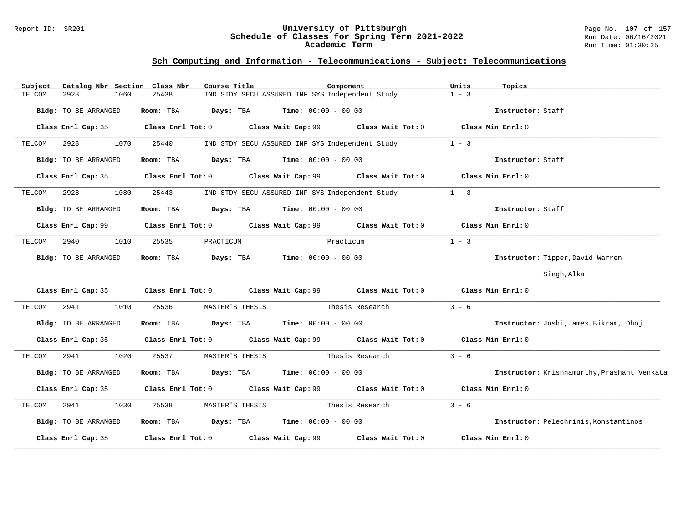#### Report ID: SR201 **University of Pittsburgh** Page No. 107 of 157 **Schedule of Classes for Spring Term 2021-2022** Run Date: 06/16/2021 **Academic Term** Run Time: 01:30:25

| Subject |                             |      | Catalog Nbr Section Class Nbr | Course Title                                                   |                                                 | Component                                                                                   | Units             | Topics                                       |
|---------|-----------------------------|------|-------------------------------|----------------------------------------------------------------|-------------------------------------------------|---------------------------------------------------------------------------------------------|-------------------|----------------------------------------------|
| TELCOM  | 2928                        | 1060 | 25438                         |                                                                | IND STDY SECU ASSURED INF SYS Independent Study |                                                                                             | $1 - 3$           |                                              |
|         | Bldg: TO BE ARRANGED        |      | Room: TBA                     |                                                                | <b>Days:</b> TBA <b>Time:</b> $00:00 - 00:00$   |                                                                                             |                   | Instructor: Staff                            |
|         | Class Enrl Cap: 35          |      |                               | $Class$ $Enrl$ $Tot: 0$                                        |                                                 | Class Wait Cap: 99 Class Wait Tot: 0 Class Min Enrl: 0                                      |                   |                                              |
| TELCOM  | 2928                        | 1070 | 25440                         |                                                                | IND STDY SECU ASSURED INF SYS Independent Study |                                                                                             | $1 - 3$           |                                              |
|         | Bldg: TO BE ARRANGED        |      | Room: TBA                     |                                                                | <b>Days:</b> TBA <b>Time:</b> $00:00 - 00:00$   |                                                                                             |                   | Instructor: Staff                            |
|         | Class Enrl Cap: 35          |      |                               |                                                                |                                                 | Class Enrl Tot: 0 Class Wait Cap: 99 Class Wait Tot: 0 Class Min Enrl: 0                    |                   |                                              |
| TELCOM  | 2928                        | 1080 | 25443                         |                                                                | IND STDY SECU ASSURED INF SYS Independent Study |                                                                                             | $1 - 3$           |                                              |
|         | Bldg: TO BE ARRANGED        |      | Room: TBA                     | Days: TBA                                                      | $Time: 00:00 - 00:00$                           |                                                                                             |                   | Instructor: Staff                            |
|         | Class Enrl Cap: 99          |      |                               |                                                                |                                                 | Class Enrl Tot: 0 Class Wait Cap: 99 Class Wait Tot: 0                                      | Class Min Enrl: 0 |                                              |
| TELCOM  | 2940                        | 1010 | 25535                         | PRACTICUM                                                      |                                                 | Practicum                                                                                   | $1 - 3$           |                                              |
|         | Bldg: TO BE ARRANGED        |      | Room: TBA                     | <b>Days:</b> TBA <b>Time:</b> $00:00 - 00:00$                  |                                                 |                                                                                             |                   | Instructor: Tipper, David Warren             |
|         |                             |      |                               |                                                                |                                                 |                                                                                             |                   | Singh, Alka                                  |
|         |                             |      |                               |                                                                |                                                 | Class Enrl Cap: 35 Class Enrl Tot: 0 Class Wait Cap: 99 Class Wait Tot: 0 Class Min Enrl: 0 |                   |                                              |
| TELCOM  | 2941                        | 1010 | 25536                         | MASTER'S THESIS                                                |                                                 | Thesis Research                                                                             | $3 - 6$           |                                              |
|         | <b>Bldg:</b> TO BE ARRANGED |      | Room: TBA                     | $\texttt{DayS:}$ TBA $\texttt{Time:}$ 00:00 - 00:00            |                                                 |                                                                                             |                   | Instructor: Joshi, James Bikram, Dhoj        |
|         |                             |      |                               |                                                                |                                                 | Class Enrl Cap: 35 Class Enrl Tot: 0 Class Wait Cap: 99 Class Wait Tot: 0 Class Min Enrl: 0 |                   |                                              |
| TELCOM  | 2941                        | 1020 | 25537                         | MASTER'S THESIS                                                |                                                 | Thesis Research                                                                             | $3 - 6$           |                                              |
|         | Bldg: TO BE ARRANGED        |      |                               | Room: TBA $\rule{1em}{0.15mm}$ Days: TBA Time: $00:00 - 00:00$ |                                                 |                                                                                             |                   | Instructor: Krishnamurthy, Prashant Venkata  |
|         |                             |      |                               |                                                                |                                                 | Class Enrl Cap: 35 Class Enrl Tot: 0 Class Wait Cap: 99 Class Wait Tot: 0 Class Min Enrl: 0 |                   |                                              |
| TELCOM  | 2941                        | 1030 | 25538                         | MASTER'S THESIS                                                | Thesis Research                                 |                                                                                             | $3 - 6$           |                                              |
|         | Bldg: TO BE ARRANGED        |      |                               | Room: TBA $Days:$ TBA $Time: 00:00 - 00:00$                    |                                                 |                                                                                             |                   | <b>Instructor:</b> Pelechrinis, Konstantinos |
|         | Class Enrl Cap: 35          |      |                               | Class Enrl Tot: 0 Class Wait Cap: 99                           |                                                 | Class Wait Tot: 0                                                                           |                   | Class Min Enrl: 0                            |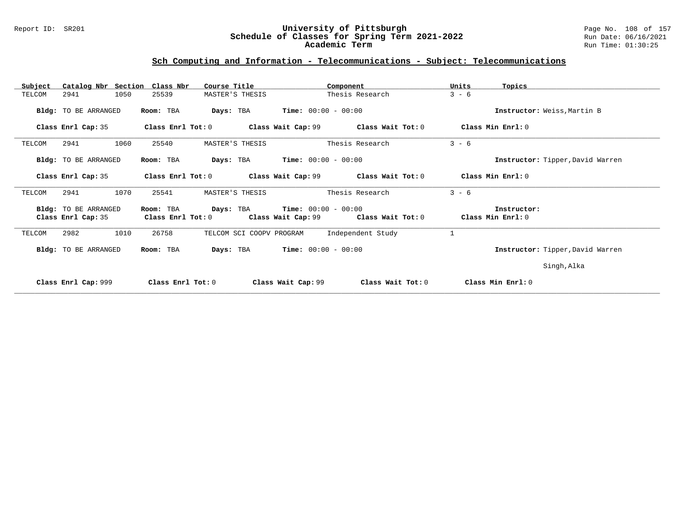#### Report ID: SR201 **University of Pittsburgh** Page No. 108 of 157 **Schedule of Classes for Spring Term 2021-2022** Run Date: 06/16/2021 **Academic Term** Run Time: 01:30:25

| Catalog Nbr Section<br>Subject             | Class Nbr<br>Course Title                     | Component                                                        | Units<br>Topics                  |
|--------------------------------------------|-----------------------------------------------|------------------------------------------------------------------|----------------------------------|
| 1050<br>2941<br>TELCOM                     | 25539<br>MASTER'S THESIS                      | Thesis Research                                                  | $3 - 6$                          |
| Bldg: TO BE ARRANGED                       | Room: TBA<br>Days: TBA                        | <b>Time:</b> $00:00 - 00:00$                                     | Instructor: Weiss, Martin B      |
| Class Enrl Cap: 35                         | Class Enrl Tot: 0                             | Class Wait Cap: 99<br>Class Wait Tot: 0                          | Class Min Enrl: 0                |
| 1060<br>2941<br>TELCOM                     | 25540<br>MASTER'S THESIS                      | Thesis Research                                                  | $3 - 6$                          |
| Bldg: TO BE ARRANGED                       | Room: TBA<br>Days: TBA                        | <b>Time:</b> $00:00 - 00:00$                                     | Instructor: Tipper, David Warren |
| Class Enrl Cap: 35                         | Class Enrl Tot: 0                             | Class Wait Cap: 99<br>Class Wait Tot: 0                          | Class Min Enrl: 0                |
| 1070<br>2941<br>TELCOM                     | 25541<br>MASTER'S THESIS                      | Thesis Research                                                  | $3 - 6$                          |
| Bldg: TO BE ARRANGED<br>Class Enrl Cap: 35 | Days: TBA<br>Room: TBA<br>Class Enrl Tot: $0$ | $Time: 00:00 - 00:00$<br>Class Wait Tot: 0<br>Class Wait Cap: 99 | Instructor:<br>Class Min Enrl: 0 |
| 2982<br>1010<br>TELCOM                     | 26758<br>TELCOM SCI COOPV PROGRAM             | Independent Study                                                | $\mathbf{1}$                     |
| Bldg: TO BE ARRANGED                       | Room: TBA<br>Days: TBA                        | <b>Time:</b> $00:00 - 00:00$                                     | Instructor: Tipper, David Warren |
|                                            |                                               |                                                                  | Singh, Alka                      |
| Class Enrl Cap: 999                        | Class $Enr1$ Tot: $0$                         | Class Wait Cap: 99<br>Class Wait Tot: 0                          | Class Min Enrl: 0                |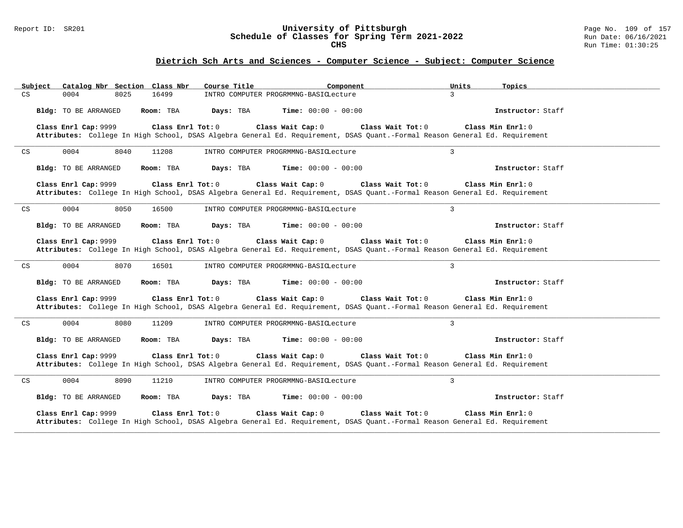### Report ID: SR201 **University of Pittsburgh** Page No. 109 of 157 **Schedule of Classes for Spring Term 2021-2022** Run Date: 06/16/2021 **CHS** Run Time: 01:30:25

|                            | Subject              |      | Catalog Nbr Section Class Nbr | Course Title | Component                                                                                                                                        | Units             | Topics              |  |
|----------------------------|----------------------|------|-------------------------------|--------------|--------------------------------------------------------------------------------------------------------------------------------------------------|-------------------|---------------------|--|
| CS                         | 0004                 | 8025 | 16499                         |              | INTRO COMPUTER PROGRMMNG-BASICLecture                                                                                                            | $\mathbf{3}$      |                     |  |
|                            | Bldg: TO BE ARRANGED |      | Room: TBA                     | Days: TBA    | <b>Time:</b> $00:00 - 00:00$                                                                                                                     |                   | Instructor: Staff   |  |
|                            | Class Enrl Cap: 9999 |      | Class Enrl Tot: 0             |              | Class Wait Cap: 0<br>Attributes: College In High School, DSAS Algebra General Ed. Requirement, DSAS Quant.-Formal Reason General Ed. Requirement | Class Wait Tot: 0 | Class Min Enrl: 0   |  |
| $\mathop{\rm CS}\nolimits$ | 0004                 | 8040 | 11208                         |              | INTRO COMPUTER PROGRMMNG-BASICLecture                                                                                                            | $\overline{3}$    |                     |  |
|                            | Bldg: TO BE ARRANGED |      | Room: TBA                     | Days: TBA    | <b>Time:</b> $00:00 - 00:00$                                                                                                                     |                   | Instructor: Staff   |  |
|                            | Class Enrl Cap: 9999 |      | Class Enrl Tot: 0             |              | Class Wait Cap: 0<br>Attributes: College In High School, DSAS Algebra General Ed. Requirement, DSAS Quant.-Formal Reason General Ed. Requirement | Class Wait Tot: 0 | Class Min Enrl: 0   |  |
| CS                         | 0004                 | 8050 | 16500                         |              | INTRO COMPUTER PROGRMMNG-BASICLecture                                                                                                            | $\mathbf{3}$      |                     |  |
|                            | Bldg: TO BE ARRANGED |      | Room: TBA                     | Days: TBA    | <b>Time:</b> $00:00 - 00:00$                                                                                                                     |                   | Instructor: Staff   |  |
|                            | Class Enrl Cap: 9999 |      | Class Enrl Tot: 0             |              | Class Wait Cap: 0<br>Attributes: College In High School, DSAS Algebra General Ed. Requirement, DSAS Quant.-Formal Reason General Ed. Requirement | Class Wait Tot: 0 | Class Min $Enr1: 0$ |  |
| CS                         | 0004                 | 8070 | 16501                         |              | INTRO COMPUTER PROGRMMNG-BASICLecture                                                                                                            | 3                 |                     |  |
|                            | Bldg: TO BE ARRANGED |      | Room: TBA                     | Days: TBA    | <b>Time:</b> $00:00 - 00:00$                                                                                                                     |                   | Instructor: Staff   |  |
|                            | Class Enrl Cap: 9999 |      | Class Enrl Tot: 0             |              | Class Wait Cap: 0<br>Attributes: College In High School, DSAS Algebra General Ed. Requirement, DSAS Quant.-Formal Reason General Ed. Requirement | Class Wait Tot: 0 | Class Min Enrl: 0   |  |
| $\mathop{\rm CS}\nolimits$ | 0004                 | 8080 | 11209                         |              | INTRO COMPUTER PROGRMMNG-BASICLecture                                                                                                            | $\overline{3}$    |                     |  |
|                            | Bldg: TO BE ARRANGED |      | Room: TBA                     | Days: TBA    | <b>Time:</b> $00:00 - 00:00$                                                                                                                     |                   | Instructor: Staff   |  |
|                            | Class Enrl Cap: 9999 |      | Class Enrl Tot: 0             |              | Class Wait Cap: 0<br>Attributes: College In High School, DSAS Algebra General Ed. Requirement, DSAS Quant.-Formal Reason General Ed. Requirement | Class Wait Tot: 0 | Class Min Enrl: 0   |  |
| CS                         | 0004                 | 8090 | 11210                         |              | INTRO COMPUTER PROGRMMNG-BASICLecture                                                                                                            | $\overline{3}$    |                     |  |
|                            | Bldg: TO BE ARRANGED |      | Room: TBA                     | Days: TBA    | <b>Time:</b> $00:00 - 00:00$                                                                                                                     |                   | Instructor: Staff   |  |
|                            | Class Enrl Cap: 9999 |      | Class Enrl Tot: 0             |              | Class Wait Cap: 0<br>Attributes: College In High School, DSAS Algebra General Ed. Requirement, DSAS Quant.-Formal Reason General Ed. Requirement | Class Wait Tot: 0 | Class Min Enrl: 0   |  |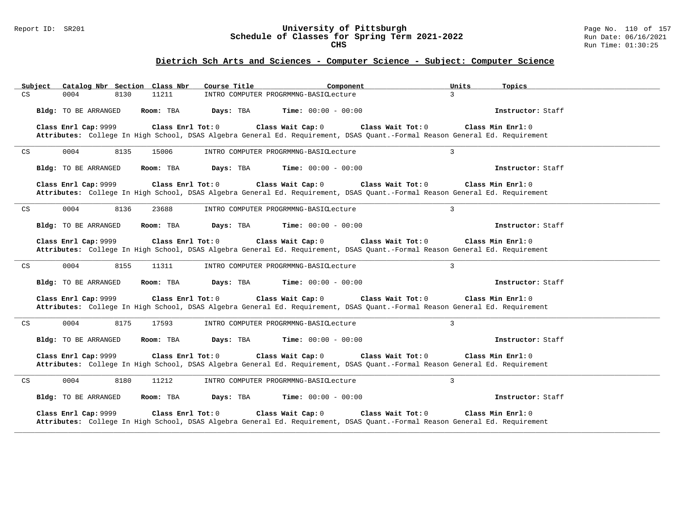### Report ID: SR201 **University of Pittsburgh** Page No. 110 of 157 **Schedule of Classes for Spring Term 2021-2022** Run Date: 06/16/2021 **CHS** Run Time: 01:30:25

| Catalog Nbr Section Class Nbr<br>Subject            | Course Title<br>Component                                                                                                                                             | Units<br>Topics   |
|-----------------------------------------------------|-----------------------------------------------------------------------------------------------------------------------------------------------------------------------|-------------------|
| CS<br>11211<br>0004<br>8130                         | INTRO COMPUTER PROGRMMNG-BASICLecture                                                                                                                                 | $\mathbf{3}$      |
| Bldg: TO BE ARRANGED<br>Room: TBA                   | Days: TBA<br><b>Time:</b> $00:00 - 00:00$                                                                                                                             | Instructor: Staff |
| Class Enrl Cap: 9999<br>Class Enrl Tot: 0           | Class Wait Cap: 0<br>Class Wait Tot: 0<br>Attributes: College In High School, DSAS Algebra General Ed. Requirement, DSAS Quant.-Formal Reason General Ed. Requirement | Class Min Enrl: 0 |
| $\mathop{\rm CS}\nolimits$<br>0004<br>8135<br>15006 | INTRO COMPUTER PROGRMMNG-BASICLecture                                                                                                                                 | $\overline{3}$    |
| Bldg: TO BE ARRANGED<br>Room: TBA                   | Days: TBA<br><b>Time:</b> $00:00 - 00:00$                                                                                                                             | Instructor: Staff |
| Class Enrl Cap: 9999<br>Class Enrl Tot: 0           | Class Wait Cap: 0<br>Class Wait Tot: 0<br>Attributes: College In High School, DSAS Algebra General Ed. Requirement, DSAS Quant.-Formal Reason General Ed. Requirement | Class Min Enrl: 0 |
| 0004<br>8136<br>$\mathop{\rm CS}\nolimits$<br>23688 | INTRO COMPUTER PROGRMMNG-BASICLecture                                                                                                                                 | $\overline{3}$    |
| Bldg: TO BE ARRANGED<br>Room: TBA                   | Days: TBA<br><b>Time:</b> $00:00 - 00:00$                                                                                                                             | Instructor: Staff |
| Class Enrl Cap: 9999<br>Class Enrl Tot: 0           | Class Wait Cap: 0<br>Class Wait Tot: 0<br>Attributes: College In High School, DSAS Algebra General Ed. Requirement, DSAS Quant.-Formal Reason General Ed. Requirement | Class Min Enrl: 0 |
| 0004<br>$\mathop{\rm CS}\nolimits$<br>8155<br>11311 | INTRO COMPUTER PROGRMMNG-BASICLecture                                                                                                                                 | $\overline{3}$    |
| Bldg: TO BE ARRANGED<br>Room: TBA                   | Days: TBA<br><b>Time:</b> $00:00 - 00:00$                                                                                                                             | Instructor: Staff |
| Class Enrl Cap: 9999<br>Class Enrl Tot: 0           | Class Wait Cap: 0<br>Class Wait Tot: 0<br>Attributes: College In High School, DSAS Algebra General Ed. Requirement, DSAS Quant.-Formal Reason General Ed. Requirement | Class Min Enrl: 0 |
| 0004<br>8175<br>17593<br>CS                         | INTRO COMPUTER PROGRMMNG-BASICLecture                                                                                                                                 | $\overline{3}$    |
| Bldg: TO BE ARRANGED<br>Room: TBA                   | <b>Time:</b> $00:00 - 00:00$<br>Days: TBA                                                                                                                             | Instructor: Staff |
| Class Enrl Cap: 9999<br>Class Enrl Tot: $0$         | Class Wait Cap: 0<br>Class Wait Tot: 0<br>Attributes: College In High School, DSAS Algebra General Ed. Requirement, DSAS Quant.-Formal Reason General Ed. Requirement | Class Min Enrl: 0 |
| $\mathop{\rm CS}\nolimits$<br>0004<br>8180<br>11212 | INTRO COMPUTER PROGRMMNG-BASICLecture                                                                                                                                 | $\overline{3}$    |
| Bldg: TO BE ARRANGED<br>Room: TBA                   | Days: TBA<br><b>Time:</b> $00:00 - 00:00$                                                                                                                             | Instructor: Staff |
| Class Enrl Cap: 9999<br>Class Enrl Tot: 0           | Class Wait Cap: 0<br>Class Wait Tot: 0<br>Attributes: College In High School, DSAS Algebra General Ed. Requirement, DSAS Quant.-Formal Reason General Ed. Requirement | Class Min Enrl: 0 |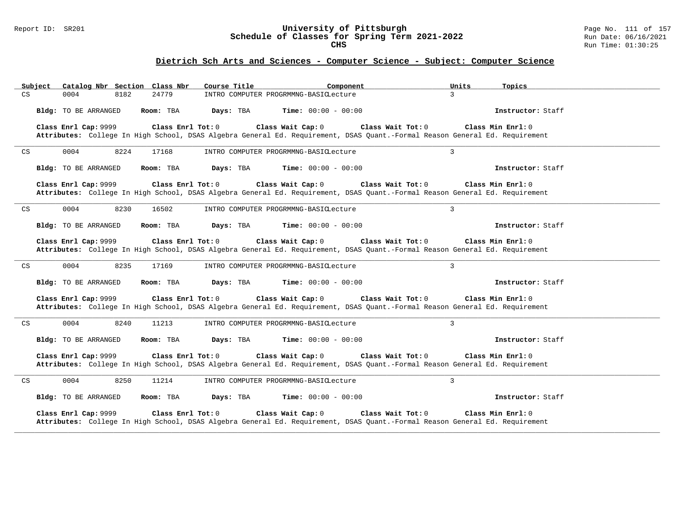### Report ID: SR201 **University of Pittsburgh** Page No. 111 of 157 **Schedule of Classes for Spring Term 2021-2022** Run Date: 06/16/2021 **CHS** Run Time: 01:30:25

| Catalog Nbr Section Class Nbr<br>Subject            | Course Title<br>Component                                                                                                                                             | Units<br>Topics   |
|-----------------------------------------------------|-----------------------------------------------------------------------------------------------------------------------------------------------------------------------|-------------------|
| CS<br>0004<br>24779<br>8182                         | INTRO COMPUTER PROGRMMNG-BASICLecture                                                                                                                                 | $\mathbf{3}$      |
| Bldg: TO BE ARRANGED<br>Room: TBA                   | Days: TBA<br><b>Time:</b> $00:00 - 00:00$                                                                                                                             | Instructor: Staff |
| Class Enrl Cap: 9999<br>Class Enrl Tot: 0           | Class Wait Cap: 0<br>Class Wait Tot: 0<br>Attributes: College In High School, DSAS Algebra General Ed. Requirement, DSAS Quant.-Formal Reason General Ed. Requirement | Class Min Enrl: 0 |
| $\mathop{\rm CS}\nolimits$<br>0004<br>8224<br>17168 | INTRO COMPUTER PROGRMMNG-BASICLecture                                                                                                                                 | $\overline{3}$    |
| Bldg: TO BE ARRANGED<br>Room: TBA                   | Days: TBA<br><b>Time:</b> $00:00 - 00:00$                                                                                                                             | Instructor: Staff |
| Class Enrl Cap: 9999<br>Class Enrl Tot: 0           | Class Wait Cap: 0<br>Class Wait Tot: 0<br>Attributes: College In High School, DSAS Algebra General Ed. Requirement, DSAS Quant.-Formal Reason General Ed. Requirement | Class Min Enrl: 0 |
| 0004<br>8230<br>$\mathop{\rm CS}\nolimits$<br>16502 | INTRO COMPUTER PROGRMMNG-BASICLecture                                                                                                                                 | $\overline{3}$    |
| Bldg: TO BE ARRANGED<br>Room: TBA                   | Days: TBA<br><b>Time:</b> $00:00 - 00:00$                                                                                                                             | Instructor: Staff |
| Class Enrl Cap: 9999<br>Class Enrl Tot: 0           | Class Wait Cap: 0<br>Class Wait Tot: 0<br>Attributes: College In High School, DSAS Algebra General Ed. Requirement, DSAS Quant.-Formal Reason General Ed. Requirement | Class Min Enrl: 0 |
| 0004<br>8235<br>$\mathop{\rm CS}\nolimits$<br>17169 | INTRO COMPUTER PROGRMMNG-BASICLecture                                                                                                                                 | $\overline{3}$    |
| Bldg: TO BE ARRANGED<br>Room: TBA                   | Days: TBA<br><b>Time:</b> $00:00 - 00:00$                                                                                                                             | Instructor: Staff |
| Class Enrl Cap: 9999<br>Class Enrl Tot: 0           | Class Wait Cap: 0<br>Class Wait Tot: 0<br>Attributes: College In High School, DSAS Algebra General Ed. Requirement, DSAS Quant.-Formal Reason General Ed. Requirement | Class Min Enrl: 0 |
| 0004<br>8240<br>11213<br>CS                         | INTRO COMPUTER PROGRMMNG-BASICLecture                                                                                                                                 | $\overline{3}$    |
| Bldg: TO BE ARRANGED<br>Room: TBA                   | <b>Time:</b> $00:00 - 00:00$<br>Days: TBA                                                                                                                             | Instructor: Staff |
| Class Enrl Cap: 9999<br>Class Enrl Tot: $0$         | Class Wait Cap: 0<br>Class Wait Tot: 0<br>Attributes: College In High School, DSAS Algebra General Ed. Requirement, DSAS Quant.-Formal Reason General Ed. Requirement | Class Min Enrl: 0 |
| $\mathop{\rm CS}\nolimits$<br>0004<br>8250<br>11214 | INTRO COMPUTER PROGRMMNG-BASICLecture                                                                                                                                 | $\overline{3}$    |
| Bldg: TO BE ARRANGED<br>Room: TBA                   | Days: TBA<br><b>Time:</b> $00:00 - 00:00$                                                                                                                             | Instructor: Staff |
| Class Enrl Cap: 9999<br>Class Enrl Tot: 0           | Class Wait Cap: 0<br>Class Wait Tot: 0<br>Attributes: College In High School, DSAS Algebra General Ed. Requirement, DSAS Quant.-Formal Reason General Ed. Requirement | Class Min Enrl: 0 |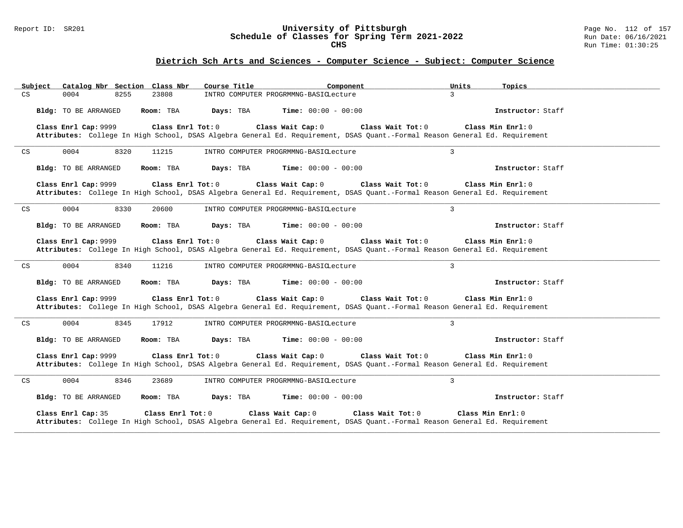### Report ID: SR201 **University of Pittsburgh** Page No. 112 of 157 **Schedule of Classes for Spring Term 2021-2022** Run Date: 06/16/2021 **CHS** Run Time: 01:30:25

|                            | Subject |                      |      | Catalog Nbr Section Class Nbr | Course Title | Component                             |                                                                                                                                                  | Units             | Topics              |  |
|----------------------------|---------|----------------------|------|-------------------------------|--------------|---------------------------------------|--------------------------------------------------------------------------------------------------------------------------------------------------|-------------------|---------------------|--|
| CS                         |         | 0004                 | 8255 | 23808                         |              | INTRO COMPUTER PROGRMMNG-BASICLecture |                                                                                                                                                  | $\mathbf{3}$      |                     |  |
|                            |         | Bldg: TO BE ARRANGED |      | Room: TBA                     | Days: TBA    | <b>Time:</b> $00:00 - 00:00$          |                                                                                                                                                  |                   | Instructor: Staff   |  |
|                            |         | Class Enrl Cap: 9999 |      | Class Enrl Tot: 0             |              | Class Wait Cap: 0                     | Class Wait Tot: 0<br>Attributes: College In High School, DSAS Algebra General Ed. Requirement, DSAS Quant.-Formal Reason General Ed. Requirement |                   | Class Min Enrl: 0   |  |
| $\mathop{\rm CS}\nolimits$ |         | 0004                 | 8320 | 11215                         |              | INTRO COMPUTER PROGRMMNG-BASICLecture |                                                                                                                                                  | $\overline{3}$    |                     |  |
|                            |         | Bldg: TO BE ARRANGED |      | Room: TBA                     | Days: TBA    | <b>Time:</b> $00:00 - 00:00$          |                                                                                                                                                  |                   | Instructor: Staff   |  |
|                            |         | Class Enrl Cap: 9999 |      | Class Enrl Tot: 0             |              | Class Wait Cap: 0                     | Class Wait Tot: 0<br>Attributes: College In High School, DSAS Algebra General Ed. Requirement, DSAS Quant.-Formal Reason General Ed. Requirement |                   | Class Min Enrl: 0   |  |
| CS                         |         | 0004                 | 8330 | 20600                         |              | INTRO COMPUTER PROGRMMNG-BASICLecture |                                                                                                                                                  | $\mathbf{3}$      |                     |  |
|                            |         | Bldg: TO BE ARRANGED |      | Room: TBA                     | Days: TBA    | <b>Time:</b> $00:00 - 00:00$          |                                                                                                                                                  |                   | Instructor: Staff   |  |
|                            |         | Class Enrl Cap: 9999 |      | Class Enrl Tot: 0             |              | Class Wait Cap: 0                     | Class Wait Tot: 0<br>Attributes: College In High School, DSAS Algebra General Ed. Requirement, DSAS Quant.-Formal Reason General Ed. Requirement |                   | Class Min $Enr1: 0$ |  |
| CS                         |         | 0004                 | 8340 | 11216                         |              | INTRO COMPUTER PROGRMMNG-BASICLecture |                                                                                                                                                  | 3                 |                     |  |
|                            |         | Bldg: TO BE ARRANGED |      | Room: TBA                     | Days: TBA    | <b>Time:</b> $00:00 - 00:00$          |                                                                                                                                                  |                   | Instructor: Staff   |  |
|                            |         | Class Enrl Cap: 9999 |      | Class Enrl Tot: 0             |              | Class Wait Cap: 0                     | Class Wait Tot: 0<br>Attributes: College In High School, DSAS Algebra General Ed. Requirement, DSAS Quant.-Formal Reason General Ed. Requirement |                   | Class Min Enrl: 0   |  |
| $\mathop{\rm CS}\nolimits$ |         | 0004                 | 8345 | 17912                         |              | INTRO COMPUTER PROGRMMNG-BASICLecture |                                                                                                                                                  | $\overline{3}$    |                     |  |
|                            |         | Bldg: TO BE ARRANGED |      | Room: TBA                     | Days: TBA    | <b>Time:</b> $00:00 - 00:00$          |                                                                                                                                                  |                   | Instructor: Staff   |  |
|                            |         | Class Enrl Cap: 9999 |      | Class Enrl Tot: 0             |              | Class Wait Cap: 0                     | Class Wait Tot: 0<br>Attributes: College In High School, DSAS Algebra General Ed. Requirement, DSAS Quant.-Formal Reason General Ed. Requirement |                   | Class Min Enrl: 0   |  |
| CS                         |         | 0004                 | 8346 | 23689                         |              | INTRO COMPUTER PROGRMMNG-BASICLecture |                                                                                                                                                  | $\overline{3}$    |                     |  |
|                            |         | Bldg: TO BE ARRANGED |      | Room: TBA                     | Days: TBA    | <b>Time:</b> $00:00 - 00:00$          |                                                                                                                                                  |                   | Instructor: Staff   |  |
|                            |         | Class Enrl Cap: 35   |      | Class Enrl Tot: 0             |              | Class Wait Cap: 0                     | Class Wait Tot: 0<br>Attributes: College In High School, DSAS Algebra General Ed. Requirement, DSAS Quant.-Formal Reason General Ed. Requirement | Class Min Enrl: 0 |                     |  |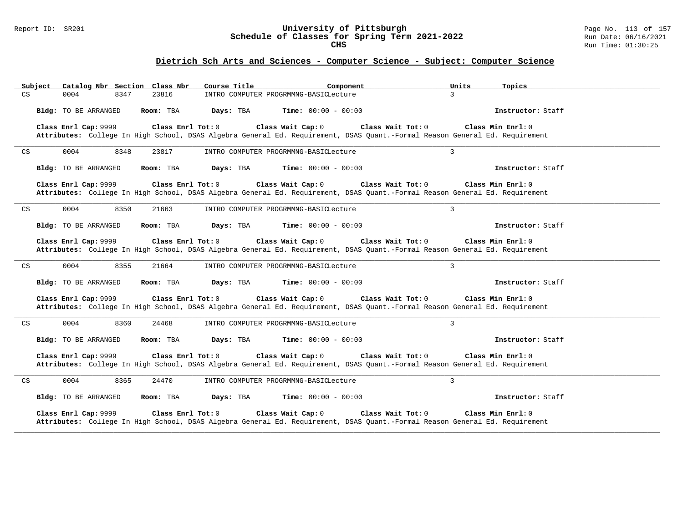### Report ID: SR201 **University of Pittsburgh** Page No. 113 of 157 **Schedule of Classes for Spring Term 2021-2022** Run Date: 06/16/2021 **CHS** Run Time: 01:30:25

| Catalog Nbr Section Class Nbr<br>Subject            | Course Title<br>Component                                                                                                                                             | Units<br>Topics   |
|-----------------------------------------------------|-----------------------------------------------------------------------------------------------------------------------------------------------------------------------|-------------------|
| CS<br>23816<br>0004<br>8347                         | INTRO COMPUTER PROGRMMNG-BASICLecture                                                                                                                                 | $\mathbf{3}$      |
| Bldg: TO BE ARRANGED<br>Room: TBA                   | <b>Time:</b> $00:00 - 00:00$<br>Days: TBA                                                                                                                             | Instructor: Staff |
| Class Enrl Cap: 9999<br>Class Enrl Tot: 0           | Class Wait Cap: 0<br>Class Wait Tot: 0<br>Attributes: College In High School, DSAS Algebra General Ed. Requirement, DSAS Quant.-Formal Reason General Ed. Requirement | Class Min Enrl: 0 |
| $\mathop{\rm CS}\nolimits$<br>0004<br>8348<br>23817 | INTRO COMPUTER PROGRMMNG-BASICLecture                                                                                                                                 | $\overline{3}$    |
| Bldg: TO BE ARRANGED<br>Room: TBA                   | Days: TBA<br><b>Time:</b> $00:00 - 00:00$                                                                                                                             | Instructor: Staff |
| Class Enrl Cap: 9999<br>Class Enrl Tot: 0           | Class Wait Cap: 0<br>Class Wait Tot: 0<br>Attributes: College In High School, DSAS Algebra General Ed. Requirement, DSAS Quant.-Formal Reason General Ed. Requirement | Class Min Enrl: 0 |
| 0004<br>8350<br>$\mathop{\rm CS}\nolimits$<br>21663 | INTRO COMPUTER PROGRMMNG-BASICLecture                                                                                                                                 | $\overline{3}$    |
| Bldg: TO BE ARRANGED<br>Room: TBA                   | Days: TBA<br><b>Time:</b> $00:00 - 00:00$                                                                                                                             | Instructor: Staff |
| Class Enrl Cap: 9999<br>Class Enrl Tot: 0           | Class Wait Cap: 0<br>Class Wait Tot: 0<br>Attributes: College In High School, DSAS Algebra General Ed. Requirement, DSAS Quant.-Formal Reason General Ed. Requirement | Class Min Enrl: 0 |
| 0004<br>$\mathop{\rm CS}\nolimits$<br>8355<br>21664 | INTRO COMPUTER PROGRMMNG-BASICLecture                                                                                                                                 | $\overline{3}$    |
| Bldg: TO BE ARRANGED<br>Room: TBA                   | Days: TBA<br><b>Time:</b> $00:00 - 00:00$                                                                                                                             | Instructor: Staff |
| Class Enrl Cap: 9999<br>Class Enrl Tot: 0           | Class Wait Cap: 0<br>Class Wait Tot: 0<br>Attributes: College In High School, DSAS Algebra General Ed. Requirement, DSAS Quant.-Formal Reason General Ed. Requirement | Class Min Enrl: 0 |
| 0004<br>8360<br>24468<br>CS                         | INTRO COMPUTER PROGRMMNG-BASICLecture                                                                                                                                 | $\overline{3}$    |
| Bldg: TO BE ARRANGED<br>Room: TBA                   | <b>Time:</b> $00:00 - 00:00$<br>Days: TBA                                                                                                                             | Instructor: Staff |
| Class Enrl Cap: 9999<br>Class Enrl Tot: $0$         | Class Wait Cap: 0<br>Class Wait Tot: 0<br>Attributes: College In High School, DSAS Algebra General Ed. Requirement, DSAS Quant.-Formal Reason General Ed. Requirement | Class Min Enrl: 0 |
| $\mathop{\rm CS}\nolimits$<br>0004<br>8365<br>24470 | INTRO COMPUTER PROGRMMNG-BASICLecture                                                                                                                                 | $\overline{3}$    |
| Bldg: TO BE ARRANGED<br>Room: TBA                   | Days: TBA<br><b>Time:</b> $00:00 - 00:00$                                                                                                                             | Instructor: Staff |
| Class Enrl Cap: 9999<br>Class Enrl Tot: 0           | Class Wait Cap: 0<br>Class Wait Tot: 0<br>Attributes: College In High School, DSAS Algebra General Ed. Requirement, DSAS Quant.-Formal Reason General Ed. Requirement | Class Min Enrl: 0 |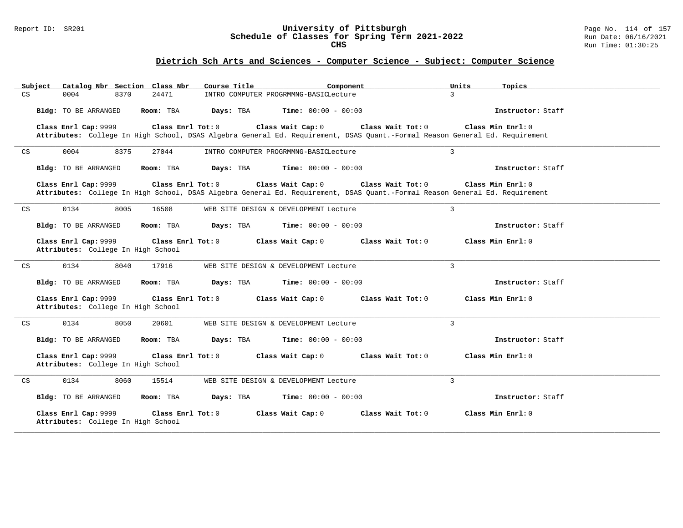### Report ID: SR201 **University of Pittsburgh** Page No. 114 of 157 **Schedule of Classes for Spring Term 2021-2022** Run Date: 06/16/2021 **CHS** Run Time: 01:30:25

| Subject                    |                                                            | Catalog Nbr Section Class Nbr | Course Title                          | Component                    | Units                                                                                                                                            | Topics              |
|----------------------------|------------------------------------------------------------|-------------------------------|---------------------------------------|------------------------------|--------------------------------------------------------------------------------------------------------------------------------------------------|---------------------|
| CS                         | 0004<br>8370                                               | 24471                         | INTRO COMPUTER PROGRMMNG-BASICLecture |                              | $\mathcal{L}$                                                                                                                                    |                     |
|                            | <b>Bldg:</b> TO BE ARRANGED                                | Room: TBA                     | Days: TBA                             | <b>Time:</b> $00:00 - 00:00$ |                                                                                                                                                  | Instructor: Staff   |
|                            | Class Enrl Cap: 9999                                       | Class Enrl Tot: $0$           | Class Wait Cap: 0                     |                              | Class Wait Tot: 0                                                                                                                                | Class Min $Enrl: 0$ |
|                            |                                                            |                               |                                       |                              | Attributes: College In High School, DSAS Algebra General Ed. Requirement, DSAS Quant.-Formal Reason General Ed. Requirement                      |                     |
| CS                         | 0004<br>8375                                               | 27044                         | INTRO COMPUTER PROGRMMNG-BASICLecture |                              | $\mathbf{3}$                                                                                                                                     |                     |
|                            | Bldg: TO BE ARRANGED                                       | Room: TBA                     | Days: TBA                             | <b>Time:</b> $00:00 - 00:00$ |                                                                                                                                                  | Instructor: Staff   |
|                            | Class Enrl Cap: 9999                                       | Class Enrl Tot: 0             | Class Wait Cap: 0                     |                              | Class Wait Tot: 0<br>Attributes: College In High School, DSAS Algebra General Ed. Requirement, DSAS Quant.-Formal Reason General Ed. Requirement | Class Min Enrl: 0   |
| $\mathop{\rm CS}\nolimits$ | 0134<br>8005                                               | 16508                         | WEB SITE DESIGN & DEVELOPMENT Lecture |                              | $\overline{3}$                                                                                                                                   |                     |
|                            | <b>Bldg:</b> TO BE ARRANGED                                | Room: TBA                     | Days: TBA                             | <b>Time:</b> $00:00 - 00:00$ |                                                                                                                                                  | Instructor: Staff   |
|                            | Class Enrl Cap: 9999<br>Attributes: College In High School | Class Enrl Tot: 0             | Class Wait Cap: 0                     |                              | Class Wait Tot: 0                                                                                                                                | Class Min Enrl: 0   |
| $\mathop{\rm CS}\nolimits$ | 0134<br>8040                                               | 17916                         | WEB SITE DESIGN & DEVELOPMENT Lecture |                              | $\mathbf{3}$                                                                                                                                     |                     |
|                            | <b>Bldg:</b> TO BE ARRANGED                                | Room: TBA                     | Days: TBA                             | <b>Time:</b> $00:00 - 00:00$ |                                                                                                                                                  | Instructor: Staff   |
|                            | Class Enrl Cap: 9999<br>Attributes: College In High School | Class Enrl Tot: 0             | Class Wait Cap: 0                     |                              | Class Wait Tot: 0                                                                                                                                | Class Min Enrl: 0   |
| CS                         | 0134<br>8050                                               | 20601                         | WEB SITE DESIGN & DEVELOPMENT Lecture |                              | $\overline{3}$                                                                                                                                   |                     |
|                            | <b>Bldg:</b> TO BE ARRANGED                                | Room: TBA                     | Days: TBA                             | <b>Time:</b> $00:00 - 00:00$ |                                                                                                                                                  | Instructor: Staff   |
|                            | Class Enrl Cap: 9999<br>Attributes: College In High School | Class Enrl Tot: 0             | Class Wait Cap: 0                     |                              | Class Wait Tot: 0                                                                                                                                | Class Min Enrl: 0   |
| CS                         | 8060<br>0134                                               | 15514                         | WEB SITE DESIGN & DEVELOPMENT Lecture |                              | $\overline{3}$                                                                                                                                   |                     |
|                            | Bldg: TO BE ARRANGED                                       | Room: TBA                     | Days: TBA                             | <b>Time:</b> $00:00 - 00:00$ |                                                                                                                                                  | Instructor: Staff   |
|                            | Class Enrl Cap: 9999<br>Attributes: College In High School | Class Enrl Tot: 0             | Class Wait Cap: 0                     |                              | Class Wait Tot: 0                                                                                                                                | Class Min Enrl: 0   |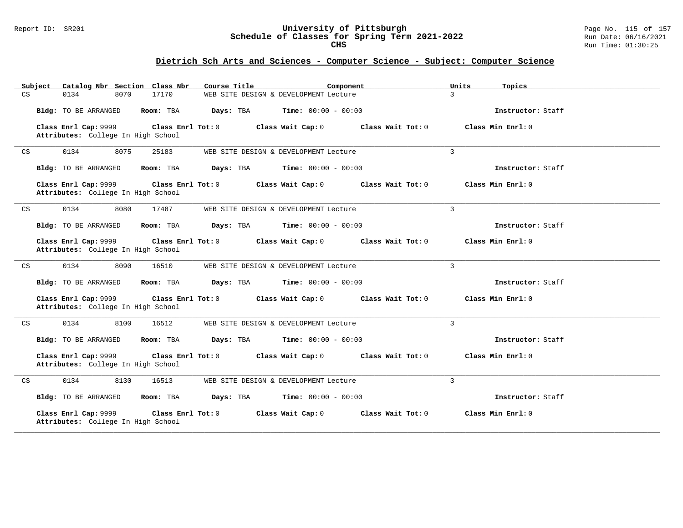### Report ID: SR201 **University of Pittsburgh** Page No. 115 of 157 **Schedule of Classes for Spring Term 2021-2022** Run Date: 06/16/2021 **CHS** Run Time: 01:30:25

|    | Subject |      |                                                            |      | Catalog Nbr Section Class Nbr | Course Title |                                       | Component           | Units          | Topics            |
|----|---------|------|------------------------------------------------------------|------|-------------------------------|--------------|---------------------------------------|---------------------|----------------|-------------------|
| CS |         | 0134 |                                                            | 8070 | 17170                         |              | WEB SITE DESIGN & DEVELOPMENT Lecture |                     | $\mathcal{L}$  |                   |
|    |         |      | Bldg: TO BE ARRANGED                                       |      | Room: TBA                     | Days: TBA    | <b>Time:</b> $00:00 - 00:00$          |                     |                | Instructor: Staff |
|    |         |      | Class Enrl Cap: 9999<br>Attributes: College In High School |      | Class Enrl Tot: 0             |              | Class Wait Cap: 0                     | Class Wait $Tot: 0$ |                | Class Min Enrl: 0 |
| CS |         | 0134 |                                                            | 8075 | 25183                         |              | WEB SITE DESIGN & DEVELOPMENT Lecture |                     | $\overline{3}$ |                   |
|    |         |      | Bldg: TO BE ARRANGED                                       |      | Room: TBA                     | Days: TBA    | <b>Time:</b> $00:00 - 00:00$          |                     |                | Instructor: Staff |
|    |         |      | Class Enrl Cap: 9999<br>Attributes: College In High School |      | Class Enrl Tot: 0             |              | Class Wait Cap: 0                     | Class Wait Tot: 0   |                | Class Min Enrl: 0 |
| CS |         | 0134 |                                                            | 8080 | 17487                         |              | WEB SITE DESIGN & DEVELOPMENT Lecture |                     | 3              |                   |
|    |         |      | Bldg: TO BE ARRANGED                                       |      | Room: TBA                     | Days: TBA    | <b>Time:</b> $00:00 - 00:00$          |                     |                | Instructor: Staff |
|    |         |      | Class Enrl Cap: 9999<br>Attributes: College In High School |      | Class Enrl Tot: 0             |              | Class Wait Cap: 0                     | Class Wait Tot: 0   |                | Class Min Enrl: 0 |
| CS |         | 0134 |                                                            | 8090 | 16510                         |              | WEB SITE DESIGN & DEVELOPMENT Lecture |                     | $\overline{3}$ |                   |
|    |         |      | Bldg: TO BE ARRANGED                                       |      | Room: TBA                     | Days: TBA    | <b>Time:</b> $00:00 - 00:00$          |                     |                | Instructor: Staff |
|    |         |      | Class Enrl Cap: 9999<br>Attributes: College In High School |      | Class Enrl Tot: 0             |              | Class Wait Cap: 0                     | Class Wait Tot: 0   |                | Class Min Enrl: 0 |
| CS |         | 0134 |                                                            | 8100 | 16512                         |              | WEB SITE DESIGN & DEVELOPMENT Lecture |                     | $\overline{3}$ |                   |
|    |         |      | Bldg: TO BE ARRANGED                                       |      | Room: TBA                     | Days: TBA    | <b>Time:</b> $00:00 - 00:00$          |                     |                | Instructor: Staff |
|    |         |      | Class Enrl Cap: 9999<br>Attributes: College In High School |      | Class Enrl Tot: 0             |              | Class Wait Cap: 0                     | Class Wait Tot: 0   |                | Class Min Enrl: 0 |
| CS |         | 0134 |                                                            | 8130 | 16513                         |              | WEB SITE DESIGN & DEVELOPMENT Lecture |                     | 3              |                   |
|    |         |      | Bldg: TO BE ARRANGED                                       |      | Room: TBA                     | Days: TBA    | <b>Time:</b> $00:00 - 00:00$          |                     |                | Instructor: Staff |
|    |         |      | Class Enrl Cap: 9999<br>Attributes: College In High School |      | Class Enrl Tot: 0             |              | Class Wait Cap: 0                     | Class Wait Tot: 0   |                | Class Min Enrl: 0 |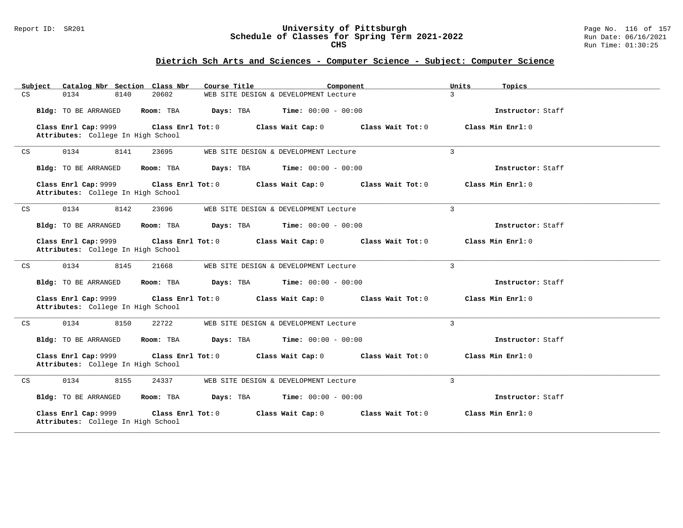### Report ID: SR201 **University of Pittsburgh** Page No. 116 of 157 **Schedule of Classes for Spring Term 2021-2022** Run Date: 06/16/2021 **CHS** Run Time: 01:30:25

|    | Subject |      |                      | Catalog Nbr Section Class Nbr                           | Course Title | Component                             |                     | Units          | Topics              |
|----|---------|------|----------------------|---------------------------------------------------------|--------------|---------------------------------------|---------------------|----------------|---------------------|
| CS |         | 0134 | 8140                 | 20602                                                   |              | WEB SITE DESIGN & DEVELOPMENT Lecture |                     | $\mathcal{L}$  |                     |
|    |         |      | Bldg: TO BE ARRANGED | Room: TBA                                               | Days: TBA    | <b>Time:</b> $00:00 - 00:00$          |                     |                | Instructor: Staff   |
|    |         |      | Class Enrl Cap: 9999 | Class Enrl Tot: 0<br>Attributes: College In High School |              | Class Wait Cap: 0                     | Class Wait $Tot: 0$ |                | Class Min $Enrl: 0$ |
| CS |         | 0134 | 8141                 | 23695                                                   |              | WEB SITE DESIGN & DEVELOPMENT Lecture |                     | $\overline{3}$ |                     |
|    |         |      | Bldg: TO BE ARRANGED | Room: TBA                                               | Days: TBA    | <b>Time:</b> $00:00 - 00:00$          |                     |                | Instructor: Staff   |
|    |         |      | Class Enrl Cap: 9999 | Class Enrl Tot: 0<br>Attributes: College In High School |              | Class Wait Cap: 0                     | Class Wait Tot: 0   |                | Class Min Enrl: 0   |
| CS |         | 0134 | 8142                 | 23696                                                   |              | WEB SITE DESIGN & DEVELOPMENT Lecture |                     | 3              |                     |
|    |         |      | Bldg: TO BE ARRANGED | Room: TBA                                               | Days: TBA    | <b>Time:</b> $00:00 - 00:00$          |                     |                | Instructor: Staff   |
|    |         |      | Class Enrl Cap: 9999 | Class Enrl Tot: 0<br>Attributes: College In High School |              | Class Wait Cap: 0                     | Class Wait Tot: 0   |                | Class Min Enrl: 0   |
| CS |         | 0134 | 8145                 | 21668                                                   |              | WEB SITE DESIGN & DEVELOPMENT Lecture |                     | $\overline{3}$ |                     |
|    |         |      | Bldg: TO BE ARRANGED | Room: TBA                                               | Days: TBA    | <b>Time:</b> $00:00 - 00:00$          |                     |                | Instructor: Staff   |
|    |         |      | Class Enrl Cap: 9999 | Class Enrl Tot: 0<br>Attributes: College In High School |              | Class Wait Cap: 0                     | Class Wait Tot: 0   |                | Class Min Enrl: 0   |
| CS |         | 0134 | 8150                 | 22722                                                   |              | WEB SITE DESIGN & DEVELOPMENT Lecture |                     | $\overline{3}$ |                     |
|    |         |      | Bldg: TO BE ARRANGED | Room: TBA                                               | Days: TBA    | <b>Time:</b> $00:00 - 00:00$          |                     |                | Instructor: Staff   |
|    |         |      | Class Enrl Cap: 9999 | Class Enrl Tot: 0<br>Attributes: College In High School |              | Class Wait Cap: 0                     | Class Wait Tot: 0   |                | Class Min Enrl: 0   |
| CS |         | 0134 | 8155                 | 24337                                                   |              | WEB SITE DESIGN & DEVELOPMENT Lecture |                     | 3              |                     |
|    |         |      | Bldg: TO BE ARRANGED | Room: TBA                                               | Days: TBA    | <b>Time:</b> $00:00 - 00:00$          |                     |                | Instructor: Staff   |
|    |         |      | Class Enrl Cap: 9999 | Class Enrl Tot: 0<br>Attributes: College In High School |              | Class Wait Cap: 0                     | Class Wait Tot: 0   |                | Class Min Enrl: 0   |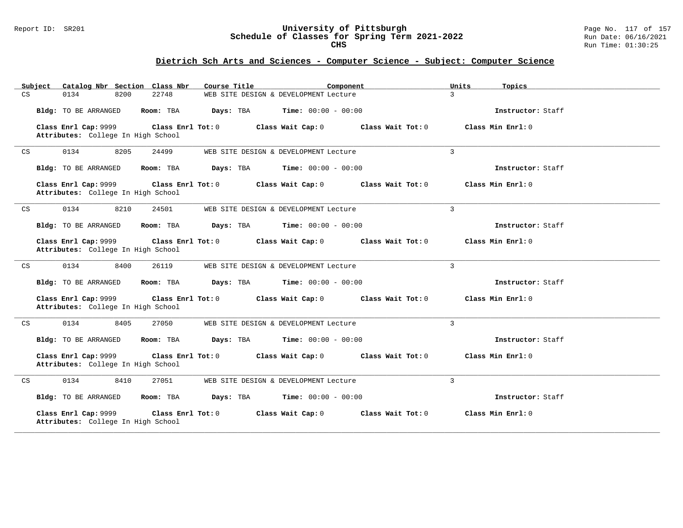### Report ID: SR201 **University of Pittsburgh** Page No. 117 of 157 **Schedule of Classes for Spring Term 2021-2022** Run Date: 06/16/2021 **CHS** Run Time: 01:30:25

|    | Subject |      |                      | Catalog Nbr Section Class Nbr                           | Course Title | Component                             |                     | Units          | Topics              |
|----|---------|------|----------------------|---------------------------------------------------------|--------------|---------------------------------------|---------------------|----------------|---------------------|
| CS |         | 0134 | 8200                 | 22748                                                   |              | WEB SITE DESIGN & DEVELOPMENT Lecture |                     | $\mathcal{L}$  |                     |
|    |         |      | Bldg: TO BE ARRANGED | Room: TBA                                               | Days: TBA    | <b>Time:</b> $00:00 - 00:00$          |                     |                | Instructor: Staff   |
|    |         |      | Class Enrl Cap: 9999 | Class Enrl Tot: 0<br>Attributes: College In High School |              | Class Wait Cap: 0                     | Class Wait $Tot: 0$ |                | Class Min $Enrl: 0$ |
| CS |         | 0134 | 8205                 | 24499                                                   |              | WEB SITE DESIGN & DEVELOPMENT Lecture |                     | $\overline{3}$ |                     |
|    |         |      | Bldg: TO BE ARRANGED | Room: TBA                                               | Days: TBA    | <b>Time:</b> $00:00 - 00:00$          |                     |                | Instructor: Staff   |
|    |         |      | Class Enrl Cap: 9999 | Class Enrl Tot: 0<br>Attributes: College In High School |              | Class Wait Cap: 0                     | Class Wait Tot: 0   |                | Class Min Enrl: 0   |
| CS |         | 0134 | 8210                 | 24501                                                   |              | WEB SITE DESIGN & DEVELOPMENT Lecture |                     | 3              |                     |
|    |         |      | Bldg: TO BE ARRANGED | Room: TBA                                               | Days: TBA    | <b>Time:</b> $00:00 - 00:00$          |                     |                | Instructor: Staff   |
|    |         |      | Class Enrl Cap: 9999 | Class Enrl Tot: 0<br>Attributes: College In High School |              | Class Wait Cap: 0                     | Class Wait Tot: 0   |                | Class Min Enrl: 0   |
| CS |         | 0134 | 8400                 | 26119                                                   |              | WEB SITE DESIGN & DEVELOPMENT Lecture |                     | $\overline{3}$ |                     |
|    |         |      | Bldg: TO BE ARRANGED | Room: TBA                                               | Days: TBA    | <b>Time:</b> $00:00 - 00:00$          |                     |                | Instructor: Staff   |
|    |         |      | Class Enrl Cap: 9999 | Class Enrl Tot: 0<br>Attributes: College In High School |              | Class Wait Cap: 0                     | Class Wait Tot: 0   |                | Class Min Enrl: 0   |
| CS |         | 0134 | 8405                 | 27050                                                   |              | WEB SITE DESIGN & DEVELOPMENT Lecture |                     | $\overline{3}$ |                     |
|    |         |      | Bldg: TO BE ARRANGED | Room: TBA                                               | Days: TBA    | <b>Time:</b> $00:00 - 00:00$          |                     |                | Instructor: Staff   |
|    |         |      | Class Enrl Cap: 9999 | Class Enrl Tot: 0<br>Attributes: College In High School |              | Class Wait Cap: 0                     | Class Wait Tot: 0   |                | Class Min Enrl: 0   |
| CS |         | 0134 | 8410                 | 27051                                                   |              | WEB SITE DESIGN & DEVELOPMENT Lecture |                     | 3              |                     |
|    |         |      | Bldg: TO BE ARRANGED | Room: TBA                                               | Days: TBA    | <b>Time:</b> $00:00 - 00:00$          |                     |                | Instructor: Staff   |
|    |         |      | Class Enrl Cap: 9999 | Class Enrl Tot: 0<br>Attributes: College In High School |              | Class Wait Cap: 0                     | Class Wait Tot: 0   |                | Class Min Enrl: 0   |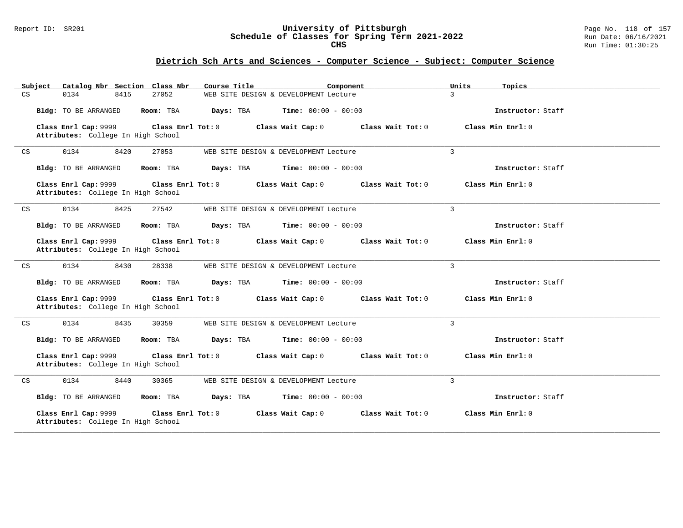### Report ID: SR201 **University of Pittsburgh** Page No. 118 of 157 **Schedule of Classes for Spring Term 2021-2022** Run Date: 06/16/2021 **CHS** Run Time: 01:30:25

|    | Subject | Catalog Nbr Section Class Nbr                              |      |                   | Course Title |                                       | Component           | Units          | Topics              |
|----|---------|------------------------------------------------------------|------|-------------------|--------------|---------------------------------------|---------------------|----------------|---------------------|
| CS | 0134    |                                                            | 8415 | 27052             |              | WEB SITE DESIGN & DEVELOPMENT Lecture |                     | $\mathcal{L}$  |                     |
|    |         | Bldg: TO BE ARRANGED                                       |      | Room: TBA         | Days: TBA    | <b>Time:</b> $00:00 - 00:00$          |                     |                | Instructor: Staff   |
|    |         | Class Enrl Cap: 9999<br>Attributes: College In High School |      | Class Enrl Tot: 0 |              | Class Wait Cap: 0                     | Class Wait $Tot: 0$ |                | Class Min $Enrl: 0$ |
| CS | 0134    |                                                            | 8420 | 27053             |              | WEB SITE DESIGN & DEVELOPMENT Lecture |                     | $\overline{3}$ |                     |
|    |         | Bldg: TO BE ARRANGED                                       |      | Room: TBA         | Days: TBA    | <b>Time:</b> $00:00 - 00:00$          |                     |                | Instructor: Staff   |
|    |         | Class Enrl Cap: 9999<br>Attributes: College In High School |      | Class Enrl Tot: 0 |              | Class Wait Cap: 0                     | Class Wait Tot: 0   |                | Class Min Enrl: 0   |
| CS | 0134    |                                                            | 8425 | 27542             |              | WEB SITE DESIGN & DEVELOPMENT Lecture |                     | 3              |                     |
|    |         | Bldg: TO BE ARRANGED                                       |      | Room: TBA         | Days: TBA    | <b>Time:</b> $00:00 - 00:00$          |                     |                | Instructor: Staff   |
|    |         | Class Enrl Cap: 9999<br>Attributes: College In High School |      | Class Enrl Tot: 0 |              | Class Wait Cap: 0                     | Class Wait Tot: 0   |                | Class Min Enrl: 0   |
| CS | 0134    |                                                            | 8430 | 28338             |              | WEB SITE DESIGN & DEVELOPMENT Lecture |                     | $\overline{3}$ |                     |
|    |         | Bldg: TO BE ARRANGED                                       |      | Room: TBA         | Days: TBA    | <b>Time:</b> $00:00 - 00:00$          |                     |                | Instructor: Staff   |
|    |         | Class Enrl Cap: 9999<br>Attributes: College In High School |      | Class Enrl Tot: 0 |              | Class Wait Cap: 0                     | Class Wait Tot: 0   |                | Class Min Enrl: 0   |
| CS | 0134    |                                                            | 8435 | 30359             |              | WEB SITE DESIGN & DEVELOPMENT Lecture |                     | $\overline{3}$ |                     |
|    |         | Bldg: TO BE ARRANGED                                       |      | Room: TBA         | Days: TBA    | <b>Time:</b> $00:00 - 00:00$          |                     |                | Instructor: Staff   |
|    |         | Class Enrl Cap: 9999<br>Attributes: College In High School |      | Class Enrl Tot: 0 |              | Class Wait Cap: 0                     | Class Wait Tot: 0   |                | Class Min Enrl: 0   |
| CS | 0134    |                                                            | 8440 | 30365             |              | WEB SITE DESIGN & DEVELOPMENT Lecture |                     | 3              |                     |
|    |         | Bldg: TO BE ARRANGED                                       |      | Room: TBA         | Days: TBA    | <b>Time:</b> $00:00 - 00:00$          |                     |                | Instructor: Staff   |
|    |         | Class Enrl Cap: 9999<br>Attributes: College In High School |      | Class Enrl Tot: 0 |              | Class Wait Cap: 0                     | Class Wait Tot: 0   |                | Class Min Enrl: 0   |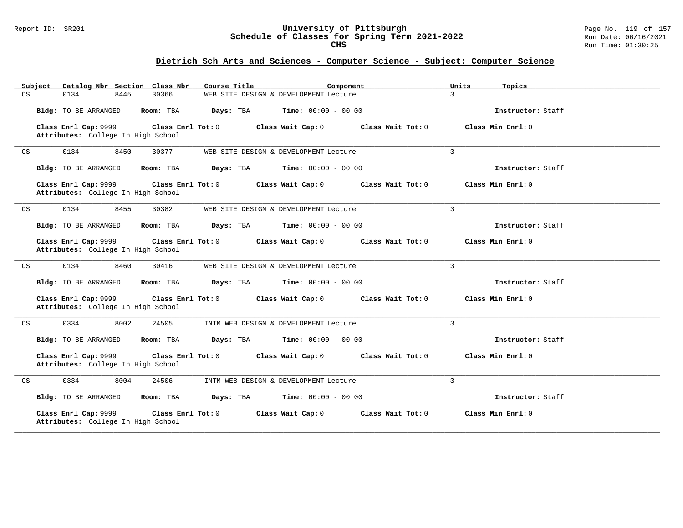### Report ID: SR201 **University of Pittsburgh** Page No. 119 of 157 **Schedule of Classes for Spring Term 2021-2022** Run Date: 06/16/2021 **CHS** Run Time: 01:30:25

| Subject    | Catalog Nbr Section Class Nbr                              |                   | Course Title | Component                             |                     | Units<br>Topics     |
|------------|------------------------------------------------------------|-------------------|--------------|---------------------------------------|---------------------|---------------------|
| CS<br>0134 | 8445                                                       | 30366             |              | WEB SITE DESIGN & DEVELOPMENT Lecture |                     | $\mathcal{L}$       |
|            | Bldg: TO BE ARRANGED                                       | Room: TBA         | Days: TBA    | <b>Time:</b> $00:00 - 00:00$          |                     | Instructor: Staff   |
|            | Class Enrl Cap: 9999<br>Attributes: College In High School | Class Enrl Tot: 0 |              | Class Wait Cap: 0                     | Class Wait $Tot: 0$ | Class Min $Enrl: 0$ |
| 0134<br>CS | 8450                                                       | 30377             |              | WEB SITE DESIGN & DEVELOPMENT Lecture |                     | $\overline{3}$      |
|            | Bldg: TO BE ARRANGED                                       | Room: TBA         | Days: TBA    | <b>Time:</b> $00:00 - 00:00$          |                     | Instructor: Staff   |
|            | Class Enrl Cap: 9999<br>Attributes: College In High School | Class Enrl Tot: 0 |              | Class Wait Cap: 0                     | Class Wait Tot: 0   | Class Min Enrl: 0   |
| CS<br>0134 | 8455                                                       | 30382             |              | WEB SITE DESIGN & DEVELOPMENT Lecture |                     | $\mathbf{3}$        |
|            | Bldg: TO BE ARRANGED                                       | Room: TBA         | Days: TBA    | <b>Time:</b> $00:00 - 00:00$          |                     | Instructor: Staff   |
|            | Class Enrl Cap: 9999<br>Attributes: College In High School | Class Enrl Tot: 0 |              | Class Wait Cap: 0                     | Class Wait Tot: 0   | Class Min Enrl: 0   |
| 0134<br>CS | 8460                                                       | 30416             |              | WEB SITE DESIGN & DEVELOPMENT Lecture |                     | $\overline{3}$      |
|            | Bldg: TO BE ARRANGED                                       | Room: TBA         | Days: TBA    | <b>Time:</b> $00:00 - 00:00$          |                     | Instructor: Staff   |
|            | Class Enrl Cap: 9999<br>Attributes: College In High School | Class Enrl Tot: 0 |              | Class Wait Cap: 0                     | Class Wait Tot: 0   | Class Min Enrl: 0   |
| 0334<br>CS | 8002                                                       | 24505             |              | INTM WEB DESIGN & DEVELOPMENT Lecture |                     | $\overline{3}$      |
|            | Bldg: TO BE ARRANGED                                       | Room: TBA         | Days: TBA    | <b>Time:</b> $00:00 - 00:00$          |                     | Instructor: Staff   |
|            | Class Enrl Cap: 9999<br>Attributes: College In High School | Class Enrl Tot: 0 |              | Class Wait Cap: 0                     | Class Wait Tot: 0   | Class Min Enrl: 0   |
| 0334<br>CS | 8004                                                       | 24506             |              | INTM WEB DESIGN & DEVELOPMENT Lecture |                     | 3                   |
|            | Bldg: TO BE ARRANGED                                       | Room: TBA         | Days: TBA    | <b>Time:</b> $00:00 - 00:00$          |                     | Instructor: Staff   |
|            | Class Enrl Cap: 9999<br>Attributes: College In High School | Class Enrl Tot: 0 |              | Class Wait Cap: 0                     | Class Wait Tot: 0   | Class Min Enrl: 0   |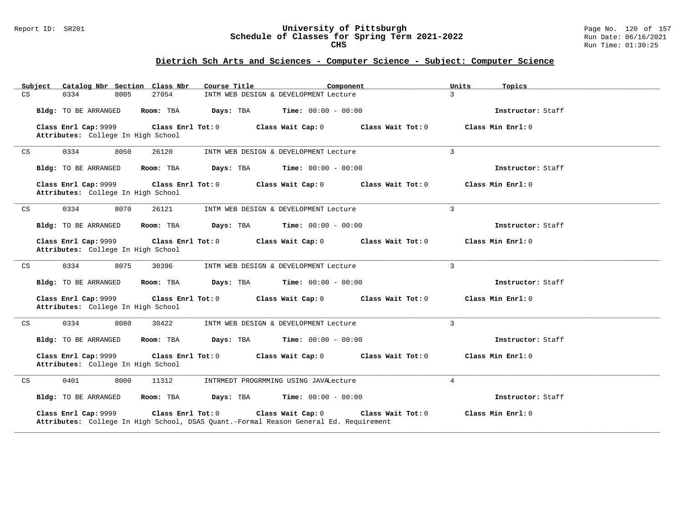### Report ID: SR201 **University of Pittsburgh** Page No. 120 of 157 **Schedule of Classes for Spring Term 2021-2022** Run Date: 06/16/2021 **CHS** Run Time: 01:30:25

|    | Subject |      |                      |      | Catalog Nbr Section Class Nbr                           | Course Title |                                       | Component                                                                                                  | Units          | Topics              |
|----|---------|------|----------------------|------|---------------------------------------------------------|--------------|---------------------------------------|------------------------------------------------------------------------------------------------------------|----------------|---------------------|
| CS |         | 0334 |                      | 8005 | 27054                                                   |              | INTM WEB DESIGN & DEVELOPMENT Lecture |                                                                                                            | $\mathcal{L}$  |                     |
|    |         |      | Bldg: TO BE ARRANGED |      | Room: TBA                                               | Days: TBA    | <b>Time:</b> $00:00 - 00:00$          |                                                                                                            |                | Instructor: Staff   |
|    |         |      | Class Enrl Cap: 9999 |      | Class Enrl Tot: 0<br>Attributes: College In High School |              | Class Wait Cap: 0                     | Class Wait Tot: 0                                                                                          |                | Class Min $Enrl: 0$ |
| CS |         | 0334 |                      | 8050 | 26120                                                   |              | INTM WEB DESIGN & DEVELOPMENT Lecture |                                                                                                            | $\overline{3}$ |                     |
|    |         |      | Bldg: TO BE ARRANGED |      | Room: TBA                                               | Days: TBA    | <b>Time:</b> $00:00 - 00:00$          |                                                                                                            |                | Instructor: Staff   |
|    |         |      | Class Enrl Cap: 9999 |      | Class Enrl Tot: 0<br>Attributes: College In High School |              | Class Wait Cap: 0                     | Class Wait Tot: 0                                                                                          |                | Class Min Enrl: 0   |
| CS |         | 0334 |                      | 8070 | 26121                                                   |              | INTM WEB DESIGN & DEVELOPMENT Lecture |                                                                                                            | $\mathbf{3}$   |                     |
|    |         |      | Bldg: TO BE ARRANGED |      | Room: TBA                                               | Days: TBA    | <b>Time:</b> $00:00 - 00:00$          |                                                                                                            |                | Instructor: Staff   |
|    |         |      | Class Enrl Cap: 9999 |      | Class Enrl Tot: 0<br>Attributes: College In High School |              | Class Wait Cap: 0                     | Class Wait Tot: 0                                                                                          |                | Class Min Enrl: 0   |
| CS |         | 0334 |                      | 8075 | 30396                                                   |              | INTM WEB DESIGN & DEVELOPMENT Lecture |                                                                                                            | $\overline{3}$ |                     |
|    |         |      | Bldg: TO BE ARRANGED |      | Room: TBA                                               | Days: TBA    | <b>Time:</b> $00:00 - 00:00$          |                                                                                                            |                | Instructor: Staff   |
|    |         |      | Class Enrl Cap: 9999 |      | Class Enrl Tot: 0<br>Attributes: College In High School |              | Class Wait Cap: 0                     | Class Wait Tot: 0                                                                                          |                | Class Min Enrl: 0   |
| CS |         | 0334 |                      | 8080 | 30422                                                   |              | INTM WEB DESIGN & DEVELOPMENT Lecture |                                                                                                            | $\overline{3}$ |                     |
|    |         |      | Bldg: TO BE ARRANGED |      | Room: TBA                                               | Days: TBA    | <b>Time:</b> $00:00 - 00:00$          |                                                                                                            |                | Instructor: Staff   |
|    |         |      | Class Enrl Cap: 9999 |      | Class Enrl Tot: 0<br>Attributes: College In High School |              | Class Wait Cap: 0                     | Class Wait Tot: 0                                                                                          |                | Class Min Enrl: 0   |
| CS |         | 0401 |                      | 8000 | 11312                                                   |              | INTRMEDT PROGRMMING USING JAVALecture |                                                                                                            | $\overline{4}$ |                     |
|    |         |      | Bldg: TO BE ARRANGED |      | Room: TBA                                               | Days: TBA    | <b>Time:</b> $00:00 - 00:00$          |                                                                                                            |                | Instructor: Staff   |
|    |         |      | Class Enrl Cap: 9999 |      | Class Enrl Tot: 0                                       |              | Class Wait Cap: 0                     | Class Wait Tot: 0<br>Attributes: College In High School, DSAS Quant.-Formal Reason General Ed. Requirement |                | Class Min Enrl: 0   |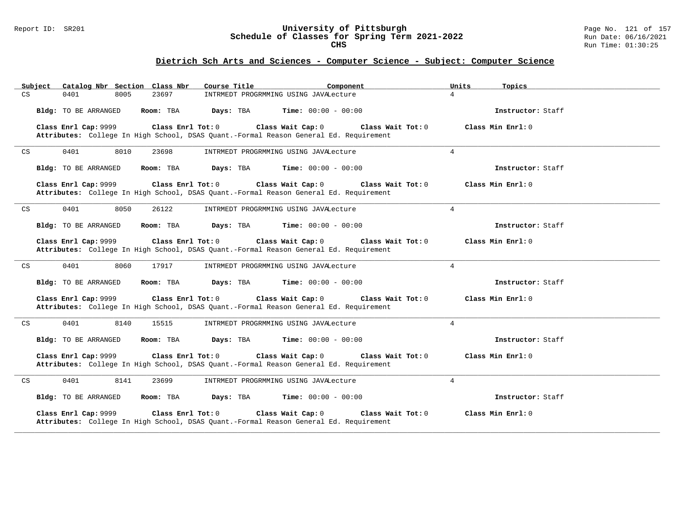### Report ID: SR201 **University of Pittsburgh** Page No. 121 of 157 **Schedule of Classes for Spring Term 2021-2022** Run Date: 06/16/2021 **CHS** Run Time: 01:30:25

| Catalog Nbr Section Class Nbr<br>Subject            | Course Title<br>Component                                                                                                         | Units<br>Topics   |
|-----------------------------------------------------|-----------------------------------------------------------------------------------------------------------------------------------|-------------------|
| CS<br>0401<br>8005<br>23697                         | INTRMEDT PROGRMMING USING JAVALecture                                                                                             | $\overline{4}$    |
| Bldg: TO BE ARRANGED<br>Room: TBA                   | Days: TBA<br><b>Time:</b> $00:00 - 00:00$                                                                                         | Instructor: Staff |
| Class Enrl Cap: 9999<br>Class Enrl Tot: 0           | Class Wait Cap: 0<br>Class Wait Tot: 0<br>Attributes: College In High School, DSAS Quant.-Formal Reason General Ed. Requirement   | Class Min Enrl: 0 |
| 0401<br>8010<br>23698<br>CS                         | INTRMEDT PROGRMMING USING JAVALecture                                                                                             | $\overline{4}$    |
| Bldg: TO BE ARRANGED<br>Room: TBA                   | Days: TBA<br><b>Time:</b> $00:00 - 00:00$                                                                                         | Instructor: Staff |
| Class Enrl Cap: 9999<br>Class Enrl Tot: 0           | Class Wait Cap: 0<br>Class Wait Tot: 0<br>Attributes: College In High School, DSAS Quant.-Formal Reason General Ed. Requirement   | Class Min Enrl: 0 |
| 0401<br>8050<br>$\mathop{\rm CS}\nolimits$<br>26122 | INTRMEDT PROGRMMING USING JAVALecture                                                                                             | $\overline{4}$    |
| Bldg: TO BE ARRANGED<br>Room: TBA                   | Days: TBA<br><b>Time:</b> $00:00 - 00:00$                                                                                         | Instructor: Staff |
| Class Enrl Cap: 9999<br>Class Enrl Tot: 0           | Class Wait Cap: 0<br>Class Wait Tot: 0<br>Attributes: College In High School, DSAS Quant.-Formal Reason General Ed. Requirement   | Class Min Enrl: 0 |
| 8060<br>0401<br>17917<br>CS                         | INTRMEDT PROGRMMING USING JAVALecture                                                                                             | $\overline{4}$    |
| Bldg: TO BE ARRANGED<br>Room: TBA                   | Days: TBA<br><b>Time:</b> $00:00 - 00:00$                                                                                         | Instructor: Staff |
| Class Enrl Cap: 9999<br>Class Enrl Tot: 0           | Class Wait Cap: 0<br>Class Wait Tot: 0<br>Attributes: College In High School, DSAS Quant.-Formal Reason General Ed. Requirement   | Class Min Enrl: 0 |
| 0401<br>8140<br>CS<br>15515                         | INTRMEDT PROGRMMING USING JAVALecture                                                                                             | 4                 |
| Bldg: TO BE ARRANGED<br>Room: TBA                   | <b>Time:</b> $00:00 - 00:00$<br>Days: TBA                                                                                         | Instructor: Staff |
| Class Enrl Cap: 9999<br>Class Enrl Tot: $0$         | Class Wait Cap: 0<br>Class Wait $Tot: 0$<br>Attributes: College In High School, DSAS Quant.-Formal Reason General Ed. Requirement | Class Min Enrl: 0 |
| 8141<br>0401<br>23699<br>CS                         | INTRMEDT PROGRMMING USING JAVALecture                                                                                             | $\overline{4}$    |
| Bldg: TO BE ARRANGED<br>Room: TBA                   | Days: TBA<br><b>Time:</b> $00:00 - 00:00$                                                                                         | Instructor: Staff |
| Class Enrl Cap: 9999<br>Class Enrl Tot: 0           | Class Wait Cap: 0<br>Class Wait Tot: 0<br>Attributes: College In High School, DSAS Quant.-Formal Reason General Ed. Requirement   | Class Min Enrl: 0 |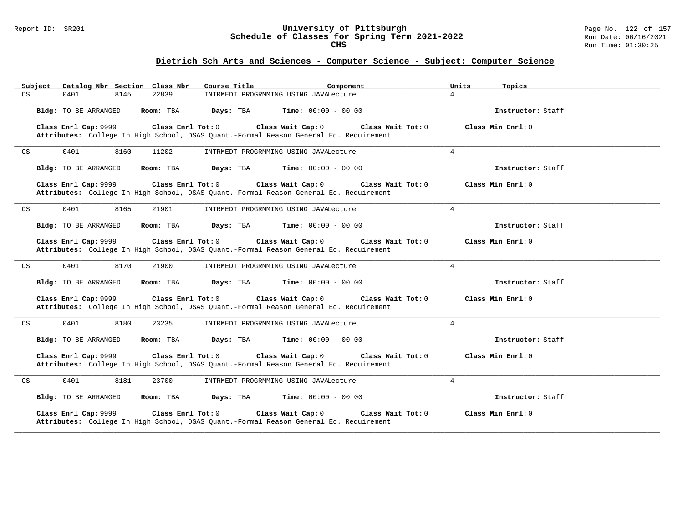### Report ID: SR201 **University of Pittsburgh** Page No. 122 of 157 **Schedule of Classes for Spring Term 2021-2022** Run Date: 06/16/2021 **CHS** Run Time: 01:30:25

| Subject                    |                      | Catalog Nbr Section Class Nbr<br>Course Title | Component                                                                                                                       | Units<br>Topics   |
|----------------------------|----------------------|-----------------------------------------------|---------------------------------------------------------------------------------------------------------------------------------|-------------------|
| CS                         | 0401<br>8145         | 22839                                         | INTRMEDT PROGRMMING USING JAVALecture                                                                                           | $\overline{4}$    |
|                            | Bldg: TO BE ARRANGED | Room: TBA                                     | $\texttt{DayS:}$ TBA $\texttt{Time:}$ 00:00 - 00:00                                                                             | Instructor: Staff |
|                            | Class Enrl Cap: 9999 | Class Enrl Tot: 0                             | Class Wait Cap: 0<br>Class Wait Tot: 0<br>Attributes: College In High School, DSAS Quant.-Formal Reason General Ed. Requirement | Class Min Enrl: 0 |
| $\mathop{\rm CS}\nolimits$ | 0401<br>8160         | 11202                                         | INTRMEDT PROGRMMING USING JAVALecture                                                                                           | $\overline{4}$    |
|                            | Bldg: TO BE ARRANGED | Room: TBA<br>Days: TBA                        | $Time: 00:00 - 00:00$                                                                                                           | Instructor: Staff |
|                            | Class Enrl Cap: 9999 | Class Enrl Tot: 0                             | Class Wait Cap: 0<br>Class Wait Tot: 0<br>Attributes: College In High School, DSAS Quant.-Formal Reason General Ed. Requirement | Class Min Enrl: 0 |
| CS                         | 0401<br>8165         | 21901                                         | INTRMEDT PROGRMMING USING JAVALecture                                                                                           | $\overline{4}$    |
|                            | Bldg: TO BE ARRANGED | Room: TBA<br>Days: TBA                        | $Time: 00:00 - 00:00$                                                                                                           | Instructor: Staff |
|                            | Class Enrl Cap: 9999 | Class Enrl Tot: 0                             | Class Wait Cap: 0<br>Class Wait Tot: 0<br>Attributes: College In High School, DSAS Quant.-Formal Reason General Ed. Requirement | Class Min Enrl: 0 |
| CS                         | 0401<br>8170         | 21900                                         | INTRMEDT PROGRMMING USING JAVALecture                                                                                           | $\overline{4}$    |
|                            | Bldg: TO BE ARRANGED | Days: TBA<br>Room: TBA                        | <b>Time:</b> $00:00 - 00:00$                                                                                                    | Instructor: Staff |
|                            | Class Enrl Cap: 9999 | Class Enrl Tot: 0                             | Class Wait Cap: 0<br>Class Wait Tot: 0<br>Attributes: College In High School, DSAS Quant.-Formal Reason General Ed. Requirement | Class Min Enrl: 0 |
| CS                         | 0401<br>8180         | 23235                                         | INTRMEDT PROGRMMING USING JAVALecture                                                                                           | $\overline{4}$    |
|                            | Bldg: TO BE ARRANGED | Room: TBA<br>Days: TBA                        | $Time: 00:00 - 00:00$                                                                                                           | Instructor: Staff |
|                            | Class Enrl Cap: 9999 | Class Enrl Tot: 0                             | Class Wait Cap: 0<br>Class Wait Tot: 0<br>Attributes: College In High School, DSAS Quant.-Formal Reason General Ed. Requirement | Class Min Enrl: 0 |
| CS                         | 0401<br>8181         | 23700                                         | INTRMEDT PROGRMMING USING JAVALecture                                                                                           | $\overline{4}$    |
|                            | Bldg: TO BE ARRANGED | Room: TBA<br>Days: TBA                        | $Time: 00:00 - 00:00$                                                                                                           | Instructor: Staff |
|                            | Class Enrl Cap: 9999 | Class Enrl Tot: 0                             | Class Wait Cap: 0<br>Class Wait Tot: 0<br>Attributes: College In High School, DSAS Quant.-Formal Reason General Ed. Requirement | Class Min Enrl: 0 |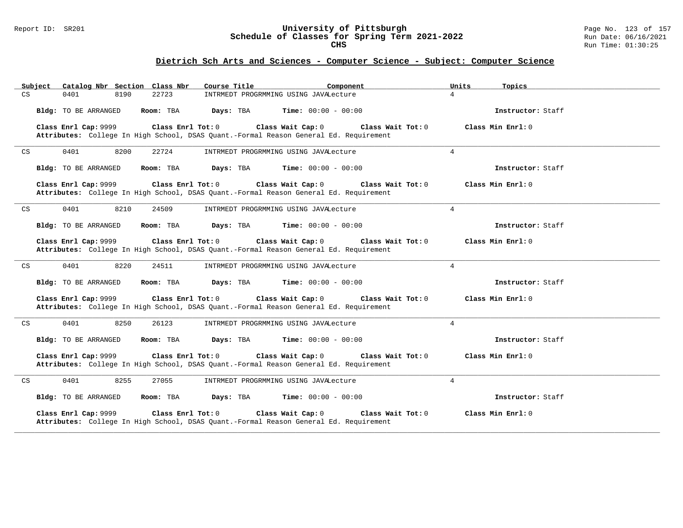### Report ID: SR201 **University of Pittsburgh** Page No. 123 of 157 **Schedule of Classes for Spring Term 2021-2022** Run Date: 06/16/2021 **CHS** Run Time: 01:30:25

| Catalog Nbr Section Class Nbr<br>Subject            | Course Title<br>Component                                                                                                         | Units<br>Topics   |
|-----------------------------------------------------|-----------------------------------------------------------------------------------------------------------------------------------|-------------------|
| CS<br>0401<br>8190<br>22723                         | INTRMEDT PROGRMMING USING JAVALecture                                                                                             | $\overline{4}$    |
| Bldg: TO BE ARRANGED<br>Room: TBA                   | Days: TBA<br><b>Time:</b> $00:00 - 00:00$                                                                                         | Instructor: Staff |
| Class Enrl Cap: 9999<br>Class Enrl Tot: 0           | Class Wait Cap: 0<br>Class Wait Tot: 0<br>Attributes: College In High School, DSAS Quant.-Formal Reason General Ed. Requirement   | Class Min Enrl: 0 |
| 0401<br>8200<br>22724<br>CS                         | INTRMEDT PROGRMMING USING JAVALecture                                                                                             | $\overline{4}$    |
| Bldg: TO BE ARRANGED<br>Room: TBA                   | Days: TBA<br><b>Time:</b> $00:00 - 00:00$                                                                                         | Instructor: Staff |
| Class Enrl Cap: 9999<br>Class Enrl Tot: 0           | Class Wait Cap: 0<br>Class Wait Tot: 0<br>Attributes: College In High School, DSAS Quant.-Formal Reason General Ed. Requirement   | Class Min Enrl: 0 |
| 0401<br>8210<br>$\mathop{\rm CS}\nolimits$<br>24509 | INTRMEDT PROGRMMING USING JAVALecture                                                                                             | $\overline{4}$    |
| Bldg: TO BE ARRANGED<br>Room: TBA                   | Days: TBA<br><b>Time:</b> $00:00 - 00:00$                                                                                         | Instructor: Staff |
| Class Enrl Cap: 9999<br>Class Enrl Tot: 0           | Class Wait Cap: 0<br>Class Wait Tot: 0<br>Attributes: College In High School, DSAS Quant.-Formal Reason General Ed. Requirement   | Class Min Enrl: 0 |
| 8220<br>0401<br>24511<br>CS                         | INTRMEDT PROGRMMING USING JAVALecture                                                                                             | $\overline{4}$    |
| Bldg: TO BE ARRANGED<br>Room: TBA                   | Days: TBA<br><b>Time:</b> $00:00 - 00:00$                                                                                         | Instructor: Staff |
| Class Enrl Cap: 9999<br>Class Enrl Tot: 0           | Class Wait Cap: 0<br>Class Wait Tot: 0<br>Attributes: College In High School, DSAS Quant.-Formal Reason General Ed. Requirement   | Class Min Enrl: 0 |
| 0401<br>8250<br>CS<br>26123                         | INTRMEDT PROGRMMING USING JAVALecture                                                                                             | 4                 |
| Bldg: TO BE ARRANGED<br>Room: TBA                   | <b>Time:</b> $00:00 - 00:00$<br>Days: TBA                                                                                         | Instructor: Staff |
| Class Enrl Cap: 9999<br>Class Enrl Tot: $0$         | Class Wait Cap: 0<br>Class Wait $Tot: 0$<br>Attributes: College In High School, DSAS Quant.-Formal Reason General Ed. Requirement | Class Min Enrl: 0 |
| 0401<br>8255<br>27055<br>CS                         | INTRMEDT PROGRMMING USING JAVALecture                                                                                             | $\overline{4}$    |
| Bldg: TO BE ARRANGED<br>Room: TBA                   | Days: TBA<br><b>Time:</b> $00:00 - 00:00$                                                                                         | Instructor: Staff |
| Class Enrl Cap: 9999<br>Class Enrl Tot: 0           | Class Wait Cap: 0<br>Class Wait Tot: 0<br>Attributes: College In High School, DSAS Quant.-Formal Reason General Ed. Requirement   | Class Min Enrl: 0 |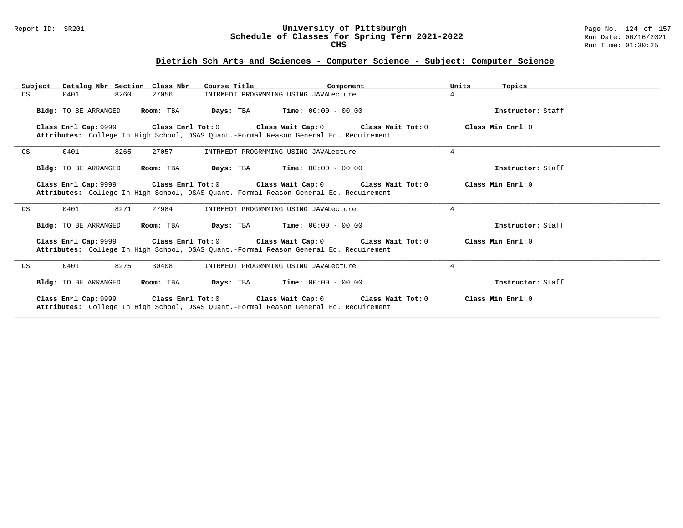### Report ID: SR201 **University of Pittsburgh** Page No. 124 of 157 **Schedule of Classes for Spring Term 2021-2022** Run Date: 06/16/2021 **CHS** Run Time: 01:30:25

| Subject | Catalog Nbr Section Class Nbr            | Course Title<br>Component                                                                                                                                                     | Units<br>Topics   |
|---------|------------------------------------------|-------------------------------------------------------------------------------------------------------------------------------------------------------------------------------|-------------------|
| CS      | 0401<br>8260<br>27056                    | INTRMEDT PROGRMMING USING JAVALecture                                                                                                                                         | $4\overline{ }$   |
|         | <b>Bldg:</b> TO BE ARRANGED<br>Room: TBA | <b>Days:</b> TBA <b>Time:</b> $00:00 - 00:00$                                                                                                                                 | Instructor: Staff |
|         |                                          | Class Enrl Cap: 9999 (class Enrl Tot: 0 (class Wait Cap: 0 (class Wait Tot: 0 $\sim$<br>Attributes: College In High School, DSAS Quant.-Formal Reason General Ed. Requirement | Class Min Enrl: 0 |
| CS      | 8265<br>0401<br>27057                    | INTRMEDT PROGRMMING USING JAVALecture                                                                                                                                         | $\overline{4}$    |
|         | Bldg: TO BE ARRANGED<br>Room: TBA        | <b>Days:</b> TBA <b>Time:</b> $00:00 - 00:00$                                                                                                                                 | Instructor: Staff |
|         |                                          | Class Enrl Cap: 9999 Class Enrl Tot: 0 Class Wait Cap: 0 Class Wait Tot: 0<br>Attributes: College In High School, DSAS Quant.-Formal Reason General Ed. Requirement           | Class Min Enrl: 0 |
| CS      | 8271<br>0401<br>27984                    | INTRMEDT PROGRMMING USING JAVALecture                                                                                                                                         | $\overline{4}$    |
|         | Bldg: TO BE ARRANGED<br>Room: TBA        | <b>Days:</b> TBA <b>Time:</b> $00:00 - 00:00$                                                                                                                                 | Instructor: Staff |
|         |                                          | Class Enrl Cap: 9999 Class Enrl Tot: 0 Class Wait Cap: 0 Class Wait Tot: 0<br>Attributes: College In High School, DSAS Quant.-Formal Reason General Ed. Requirement           | Class Min Enrl: 0 |
| CS      | 8275<br>0401<br>30408                    | INTRMEDT PROGRMMING USING JAVALecture                                                                                                                                         | $\overline{4}$    |
|         | <b>Bldg:</b> TO BE ARRANGED<br>Room: TBA | <b>Days:</b> TBA <b>Time:</b> $00:00 - 00:00$                                                                                                                                 | Instructor: Staff |
|         |                                          | Class Enrl Cap: 9999 Class Enrl Tot: 0 Class Wait Cap: 0 Class Wait Tot: 0<br>Attributes: College In High School, DSAS Quant.-Formal Reason General Ed. Requirement           | Class Min Enrl: 0 |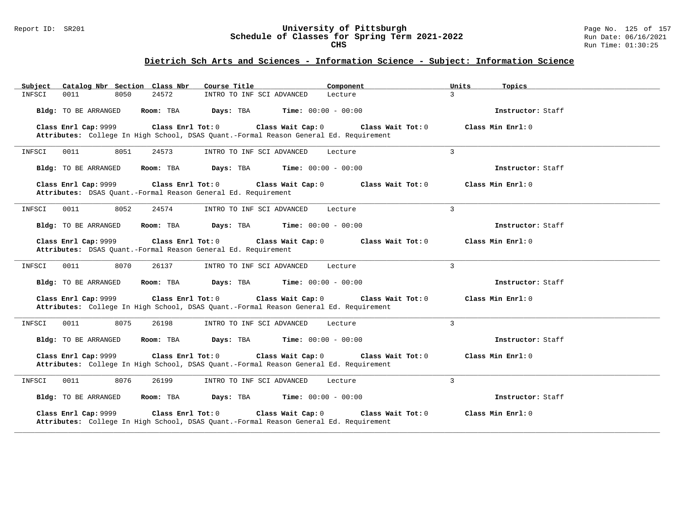### Report ID: SR201 **University of Pittsburgh** Page No. 125 of 157 **Schedule of Classes for Spring Term 2021-2022** Run Date: 06/16/2021 **CHS** Run Time: 01:30:25

## **Dietrich Sch Arts and Sciences - Information Science - Subject: Information Science**

| Catalog Nbr Section Class Nbr<br>Subject                                                                                           | Course Title              | Component                    | Units<br>Topics     |
|------------------------------------------------------------------------------------------------------------------------------------|---------------------------|------------------------------|---------------------|
| 24572<br>INFSCI<br>0011<br>8050                                                                                                    | INTRO TO INF SCI ADVANCED | Lecture                      | $\overline{3}$      |
| Bldg: TO BE ARRANGED<br>Room: TBA                                                                                                  | Days: TBA                 | <b>Time:</b> $00:00 - 00:00$ | Instructor: Staff   |
| Class Enrl Cap: 9999<br>Class Enrl Tot: 0<br>Attributes: College In High School, DSAS Quant.-Formal Reason General Ed. Requirement | Class Wait Cap: 0         | Class Wait Tot: 0            | Class Min $Enrl: 0$ |
| 0011<br>8051<br>24573<br>INFSCI                                                                                                    | INTRO TO INF SCI ADVANCED | Lecture                      | 3                   |
| Bldg: TO BE ARRANGED<br>Room: TBA                                                                                                  | Days: TBA                 | <b>Time:</b> $00:00 - 00:00$ | Instructor: Staff   |
| Class Enrl Cap: 9999<br>Class Enrl Tot: 0<br>Attributes: DSAS Quant.-Formal Reason General Ed. Requirement                         | Class Wait Cap: 0         | Class Wait Tot: 0            | Class Min Enrl: 0   |
| 8052<br>0011<br>24574<br>INFSCI                                                                                                    | INTRO TO INF SCI ADVANCED | Lecture                      | 3                   |
| Bldg: TO BE ARRANGED<br>Room: TBA                                                                                                  | Days: TBA                 | <b>Time:</b> $00:00 - 00:00$ | Instructor: Staff   |
| Class Enrl Cap: 9999<br>Class Enrl Tot: 0<br>Attributes: DSAS Quant.-Formal Reason General Ed. Requirement                         | Class Wait Cap: 0         | Class Wait Tot: 0            | Class Min Enrl: 0   |
| INFSCI<br>0011<br>8070<br>26137                                                                                                    | INTRO TO INF SCI ADVANCED | Lecture                      | 3                   |
| <b>Bldg:</b> TO BE ARRANGED<br>Room: TBA                                                                                           | Days: TBA                 | <b>Time:</b> $00:00 - 00:00$ | Instructor: Staff   |
| Class Enrl Cap: 9999<br>Class Enrl Tot: 0<br>Attributes: College In High School, DSAS Quant.-Formal Reason General Ed. Requirement | Class Wait Cap: 0         | Class Wait Tot: 0            | Class Min $Enr1: 0$ |
| 0011<br>8075<br>INFSCI<br>26198                                                                                                    | INTRO TO INF SCI ADVANCED | Lecture                      | 3                   |
| <b>Bldg:</b> TO BE ARRANGED<br>Room: TBA                                                                                           | Days: TBA                 | <b>Time:</b> $00:00 - 00:00$ | Instructor: Staff   |
| Class Enrl Cap: 9999<br>Class Enrl Tot: 0<br>Attributes: College In High School, DSAS Quant.-Formal Reason General Ed. Requirement | Class Wait Cap: 0         | Class Wait Tot: 0            | Class Min Enrl: 0   |
| 8076<br>INFSCI<br>0011<br>26199                                                                                                    | INTRO TO INF SCI ADVANCED | Lecture                      | 3                   |
| Bldg: TO BE ARRANGED<br>Room: TBA                                                                                                  | Days: TBA                 | <b>Time:</b> $00:00 - 00:00$ | Instructor: Staff   |
| Class Enrl Cap: 9999<br>Class Enrl Tot: 0<br>Attributes: College In High School, DSAS Quant.-Formal Reason General Ed. Requirement | Class Wait Cap: 0         | Class Wait Tot: 0            | Class Min Enrl: 0   |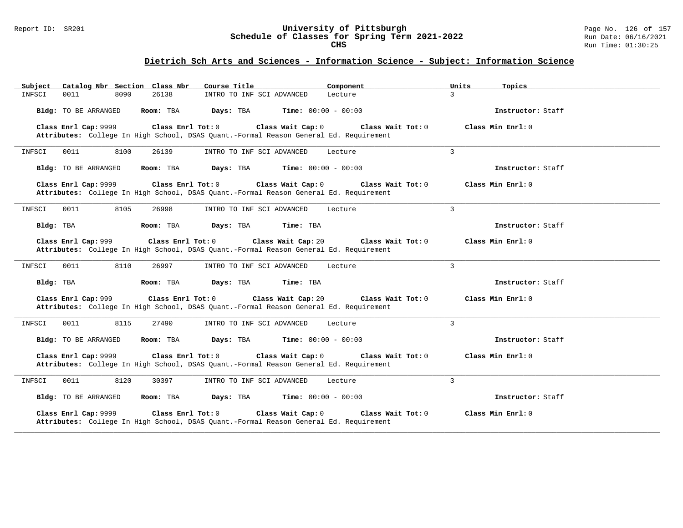### Report ID: SR201 **University of Pittsburgh** Page No. 126 of 157 **Schedule of Classes for Spring Term 2021-2022** Run Date: 06/16/2021 **CHS** Run Time: 01:30:25

## **Dietrich Sch Arts and Sciences - Information Science - Subject: Information Science**

| Catalog Nbr Section Class Nbr<br>Subject                                                                                           | Course Title              | Component                    | Units<br>Topics     |
|------------------------------------------------------------------------------------------------------------------------------------|---------------------------|------------------------------|---------------------|
| 0011<br>8090<br>26138<br>INFSCI                                                                                                    | INTRO TO INF SCI ADVANCED | Lecture                      | 3                   |
| <b>Bldg:</b> TO BE ARRANGED<br>Room: TBA                                                                                           | Days: TBA                 | <b>Time:</b> $00:00 - 00:00$ | Instructor: Staff   |
| Class Enrl Cap: 9999<br>Class Enrl Tot: 0<br>Attributes: College In High School, DSAS Quant.-Formal Reason General Ed. Requirement | Class Wait Cap: 0         | Class Wait Tot: 0            | Class Min $Enrl: 0$ |
| 0011<br>8100<br>INFSCI<br>26139                                                                                                    | INTRO TO INF SCI ADVANCED | Lecture                      | 3                   |
| Room: TBA<br><b>Bldg:</b> TO BE ARRANGED                                                                                           | Days: TBA                 | <b>Time:</b> $00:00 - 00:00$ | Instructor: Staff   |
| Class Enrl Cap: 9999<br>Class Enrl Tot: 0<br>Attributes: College In High School, DSAS Quant.-Formal Reason General Ed. Requirement | Class Wait Cap: 0         | Class Wait Tot: $0$          | Class Min $Enr1: 0$ |
| 8105<br>INFSCI<br>0011<br>26998                                                                                                    | INTRO TO INF SCI ADVANCED | Lecture                      | 3                   |
| Bldg: TBA<br>Room: TBA                                                                                                             | Days: TBA<br>Time: TBA    |                              | Instructor: Staff   |
| Class Enrl Cap: 999<br>Class Enrl Tot: 0<br>Attributes: College In High School, DSAS Quant.-Formal Reason General Ed. Requirement  | Class Wait Cap: 20        | Class Wait Tot: 0            | Class Min Enrl: 0   |
| 0011<br>8110<br>INFSCI<br>26997                                                                                                    | INTRO TO INF SCI ADVANCED | Lecture                      | 3                   |
| Bldg: TBA<br>Room: TBA                                                                                                             | Days: TBA<br>Time: TBA    |                              | Instructor: Staff   |
| Class Enrl Cap: 999<br>Class Enrl Tot: 0<br>Attributes: College In High School, DSAS Quant.-Formal Reason General Ed. Requirement  | Class Wait Cap: 20        | Class Wait Tot: 0            | Class Min Enrl: 0   |
| 8115<br>0011<br>27490<br>INFSCI                                                                                                    | INTRO TO INF SCI ADVANCED | Lecture                      | 3                   |
| Bldg: TO BE ARRANGED<br>Room: TBA                                                                                                  | Days: TBA                 | <b>Time:</b> $00:00 - 00:00$ | Instructor: Staff   |
| Class Enrl Cap: 9999<br>Class Enrl Tot: 0<br>Attributes: College In High School, DSAS Quant.-Formal Reason General Ed. Requirement | Class Wait Cap: 0         | Class Wait Tot: 0            | Class Min Enrl: 0   |
| INFSCI<br>0011<br>8120<br>30397                                                                                                    | INTRO TO INF SCI ADVANCED | Lecture                      | 3                   |
| Bldg: TO BE ARRANGED<br>Room: TBA                                                                                                  | Days: TBA                 | <b>Time:</b> $00:00 - 00:00$ | Instructor: Staff   |
| Class Enrl Cap: 9999<br>Class Enrl Tot: 0<br>Attributes: College In High School, DSAS Quant.-Formal Reason General Ed. Requirement | Class Wait Cap: 0         | Class Wait Tot: 0            | Class Min Enrl: 0   |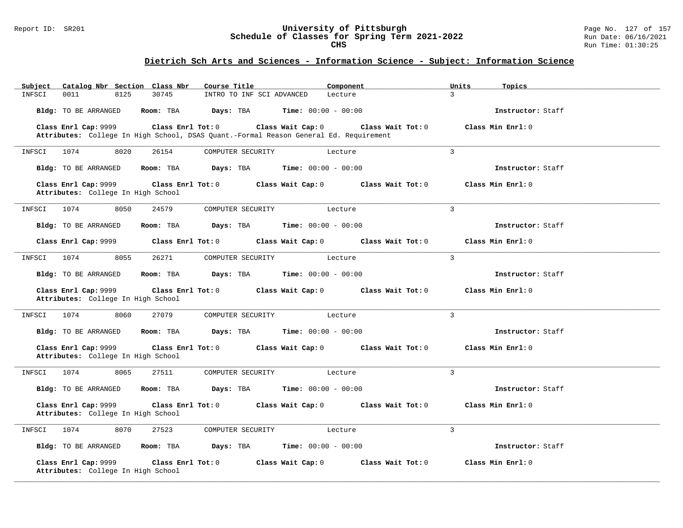### Report ID: SR201 **University of Pittsburgh** Page No. 127 of 157 **Schedule of Classes for Spring Term 2021-2022** Run Date: 06/16/2021 **CHS** Run Time: 01:30:25

# **Dietrich Sch Arts and Sciences - Information Science - Subject: Information Science**

| Catalog Nbr Section Class Nbr<br>Subject                                        | Course Title<br>Component                                                             | Units<br>Topics                        |
|---------------------------------------------------------------------------------|---------------------------------------------------------------------------------------|----------------------------------------|
| 0011<br>8125<br>30745<br>INFSCI                                                 | INTRO TO INF SCI ADVANCED<br>Lecture                                                  | $\overline{3}$                         |
| Bldg: TO BE ARRANGED<br>Room: TBA                                               | Days: TBA<br><b>Time:</b> $00:00 - 00:00$                                             | Instructor: Staff                      |
| Class Enrl Cap: 9999<br>Class Enrl Tot: 0                                       | Class Wait Cap: 0                                                                     | Class Wait Tot: 0<br>Class Min Enrl: 0 |
|                                                                                 | Attributes: College In High School, DSAS Quant.-Formal Reason General Ed. Requirement |                                        |
| 1074<br>8020<br>26154<br>INFSCI                                                 | COMPUTER SECURITY<br>Lecture                                                          | 3                                      |
| Bldg: TO BE ARRANGED<br>Room: TBA                                               | <b>Time:</b> $00:00 - 00:00$<br>Days: TBA                                             | Instructor: Staff                      |
| Class Enrl Cap: 9999<br>Class Enrl Tot: 0<br>Attributes: College In High School | Class Wait Cap: 0                                                                     | Class Wait Tot: 0<br>Class Min Enrl: 0 |
| 8050<br>24579<br>INFSCI<br>1074                                                 | COMPUTER SECURITY<br>Lecture                                                          | $\overline{3}$                         |
| <b>Bldg:</b> TO BE ARRANGED<br>Room: TBA                                        | <b>Time:</b> $00:00 - 00:00$<br>Days: TBA                                             | Instructor: Staff                      |
| Class Enrl Cap: 9999<br>Class Enrl Tot: 0                                       | Class Wait Cap: 0                                                                     | Class Wait Tot: 0<br>Class Min Enrl: 0 |
| 1074<br>8055<br>26271<br>INFSCI                                                 | COMPUTER SECURITY<br>Lecture                                                          | $\overline{3}$                         |
| Bldg: TO BE ARRANGED<br>Room: TBA                                               | Days: TBA<br><b>Time:</b> $00:00 - 00:00$                                             | Instructor: Staff                      |
| Class Enrl Cap: 9999<br>Class Enrl Tot: 0<br>Attributes: College In High School | Class Wait Cap: 0                                                                     | Class Wait Tot: 0<br>Class Min Enrl: 0 |
| 8060<br>27079<br>1074<br>INFSCI                                                 | COMPUTER SECURITY<br>Lecture                                                          | $\overline{3}$                         |
| Bldg: TO BE ARRANGED<br>Room: TBA                                               | Days: TBA<br><b>Time:</b> $00:00 - 00:00$                                             | Instructor: Staff                      |
| Class Enrl Cap: 9999<br>Class Enrl Tot: 0<br>Attributes: College In High School | Class Wait Cap: 0                                                                     | Class Wait Tot: 0<br>Class Min Enrl: 0 |
| 1074<br>8065<br>27511<br>INFSCI                                                 | COMPUTER SECURITY<br>Lecture                                                          | 3                                      |
| Bldg: TO BE ARRANGED<br>Room: TBA                                               | Days: TBA<br><b>Time:</b> $00:00 - 00:00$                                             | Instructor: Staff                      |
| Class Enrl Cap: 9999<br>Class Enrl Tot: 0<br>Attributes: College In High School | Class Wait Cap: 0                                                                     | Class Wait Tot: 0<br>Class Min Enrl: 0 |
| 1074<br>8070<br>27523<br>INFSCI                                                 | COMPUTER SECURITY<br>Lecture                                                          | $\overline{3}$                         |
| Bldg: TO BE ARRANGED<br>Room: TBA                                               | <b>Time:</b> $00:00 - 00:00$<br>Days: TBA                                             | Instructor: Staff                      |
| Class Enrl Cap: 9999<br>Class Enrl Tot: 0<br>Attributes: College In High School | Class Wait Cap: 0                                                                     | Class Wait Tot: 0<br>Class Min Enrl: 0 |

**\_\_\_\_\_\_\_\_\_\_\_\_\_\_\_\_\_\_\_\_\_\_\_\_\_\_\_\_\_\_\_\_\_\_\_\_\_\_\_\_\_\_\_\_\_\_\_\_\_\_\_\_\_\_\_\_\_\_\_\_\_\_\_\_\_\_\_\_\_\_\_\_\_\_\_\_\_\_\_\_\_\_\_\_\_\_\_\_\_\_\_\_\_\_\_\_\_\_\_\_\_\_\_\_\_\_\_\_\_\_\_\_\_\_\_\_\_\_\_\_\_\_\_\_\_\_\_\_\_\_\_\_\_\_\_\_\_\_\_\_\_\_\_\_\_\_\_\_\_\_\_\_\_\_\_\_**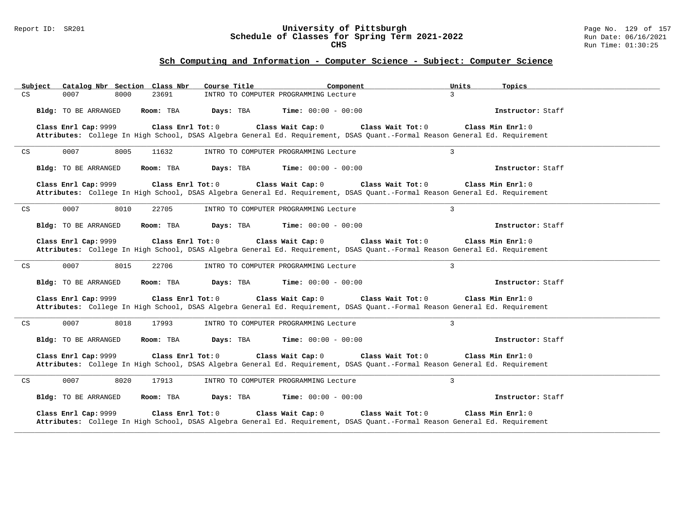### Report ID: SR201 **University of Pittsburgh** Page No. 129 of 157 **Schedule of Classes for Spring Term 2021-2022** Run Date: 06/16/2021 **CHS** Run Time: 01:30:25

| Catalog Nbr Section Class Nbr<br>Subject            | Course Title<br>Component                                                                                                                                                                    | Units<br>Topics     |
|-----------------------------------------------------|----------------------------------------------------------------------------------------------------------------------------------------------------------------------------------------------|---------------------|
| CS<br>23691<br>0007<br>8000                         | INTRO TO COMPUTER PROGRAMMING Lecture                                                                                                                                                        | $\mathcal{E}$       |
| Bldg: TO BE ARRANGED<br>Room: TBA                   | Days: TBA<br><b>Time:</b> $00:00 - 00:00$                                                                                                                                                    | Instructor: Staff   |
| Class Enrl Cap: 9999                                | Class Enrl Tot: 0<br>Class Wait Cap: 0<br>Class Wait Tot: 0<br>Attributes: College In High School, DSAS Algebra General Ed. Requirement, DSAS Quant.-Formal Reason General Ed. Requirement   | Class Min Enrl: 0   |
| 0007<br>$\mathop{\rm CS}\nolimits$<br>8005<br>11632 | INTRO TO COMPUTER PROGRAMMING Lecture                                                                                                                                                        | $\overline{3}$      |
| Bldg: TO BE ARRANGED<br>Room: TBA                   | Days: TBA<br><b>Time:</b> $00:00 - 00:00$                                                                                                                                                    | Instructor: Staff   |
| Class Enrl Cap: 9999                                | Class Enrl Tot: 0<br>Class Wait Cap: 0<br>Class Wait Tot: 0<br>Attributes: College In High School, DSAS Algebra General Ed. Requirement, DSAS Quant.-Formal Reason General Ed. Requirement   | Class Min Enrl: 0   |
| 0007<br>8010<br>$\mathop{\rm CS}\nolimits$<br>22705 | INTRO TO COMPUTER PROGRAMMING Lecture                                                                                                                                                        | $\overline{3}$      |
| Bldg: TO BE ARRANGED<br>Room: TBA                   | Days: TBA<br><b>Time:</b> $00:00 - 00:00$                                                                                                                                                    | Instructor: Staff   |
| Class Enrl Cap: 9999                                | Class Wait Cap: 0<br>Class Enrl Tot: 0<br>Class Wait Tot: 0<br>Attributes: College In High School, DSAS Algebra General Ed. Requirement, DSAS Quant.-Formal Reason General Ed. Requirement   | Class Min Enrl: 0   |
| 0007<br>8015<br>CS<br>22706                         | INTRO TO COMPUTER PROGRAMMING Lecture                                                                                                                                                        | $\overline{3}$      |
| Bldg: TO BE ARRANGED<br>Room: TBA                   | Days: TBA<br>Time: $00:00 - 00:00$                                                                                                                                                           | Instructor: Staff   |
| Class Enrl Cap: 9999                                | Class Enrl Tot: 0<br>Class Wait Cap: 0<br>Class Wait Tot: 0<br>Attributes: College In High School, DSAS Algebra General Ed. Requirement, DSAS Quant.-Formal Reason General Ed. Requirement   | Class Min Enrl: 0   |
| 0007<br>8018<br>CS<br>17993                         | INTRO TO COMPUTER PROGRAMMING Lecture                                                                                                                                                        | $\overline{3}$      |
| Bldg: TO BE ARRANGED<br>Room: TBA                   | <b>Time:</b> $00:00 - 00:00$<br>Days: TBA                                                                                                                                                    | Instructor: Staff   |
| Class Enrl Cap: 9999                                | Class Enrl Tot: $0$<br>Class Wait Cap: 0<br>Class Wait Tot: 0<br>Attributes: College In High School, DSAS Algebra General Ed. Requirement, DSAS Quant.-Formal Reason General Ed. Requirement | Class Min $Enr1: 0$ |
| 0007<br>8020<br>17913<br>CS                         | INTRO TO COMPUTER PROGRAMMING Lecture                                                                                                                                                        | 3                   |
| Bldg: TO BE ARRANGED<br>Room: TBA                   | Days: TBA<br><b>Time:</b> $00:00 - 00:00$                                                                                                                                                    | Instructor: Staff   |
| Class Enrl Cap: 9999                                | Class Enrl Tot: 0<br>Class Wait Cap: 0<br>Class Wait Tot: 0<br>Attributes: College In High School, DSAS Algebra General Ed. Requirement, DSAS Quant.-Formal Reason General Ed. Requirement   | Class Min Enrl: 0   |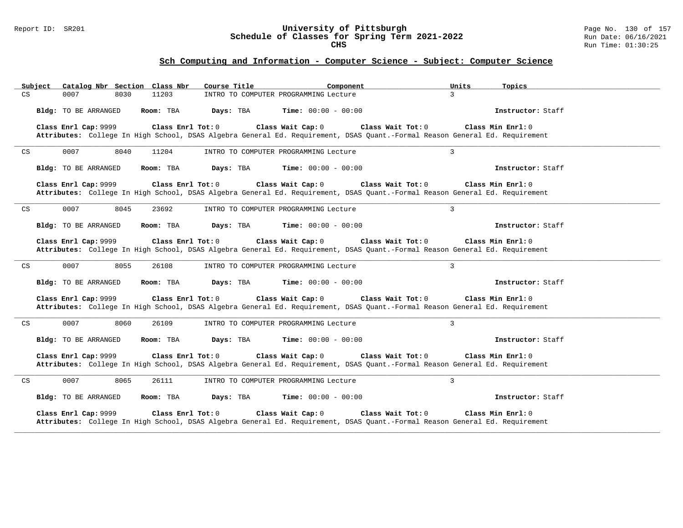### Report ID: SR201 **University of Pittsburgh** Page No. 130 of 157 **Schedule of Classes for Spring Term 2021-2022** Run Date: 06/16/2021 **CHS** Run Time: 01:30:25

| Catalog Nbr Section Class Nbr<br>Subject            | Course Title<br>Component                                                                                                                                             | Units<br>Topics     |
|-----------------------------------------------------|-----------------------------------------------------------------------------------------------------------------------------------------------------------------------|---------------------|
| CS<br>11203<br>0007<br>8030                         | INTRO TO COMPUTER PROGRAMMING Lecture                                                                                                                                 | $\mathcal{E}$       |
| Bldg: TO BE ARRANGED<br>Room: TBA                   | Days: TBA<br><b>Time:</b> $00:00 - 00:00$                                                                                                                             | Instructor: Staff   |
| Class Enrl Cap: 9999<br>Class Enrl Tot: 0           | Class Wait Cap: 0<br>Class Wait Tot: 0<br>Attributes: College In High School, DSAS Algebra General Ed. Requirement, DSAS Quant.-Formal Reason General Ed. Requirement | Class Min Enrl: 0   |
| 0007<br>$\mathop{\rm CS}\nolimits$<br>8040<br>11204 | INTRO TO COMPUTER PROGRAMMING Lecture                                                                                                                                 | $\overline{3}$      |
| Bldg: TO BE ARRANGED<br>Room: TBA                   | Days: TBA<br><b>Time:</b> $00:00 - 00:00$                                                                                                                             | Instructor: Staff   |
| Class Enrl Cap: 9999<br>Class Enrl Tot: 0           | Class Wait Cap: 0<br>Class Wait Tot: 0<br>Attributes: College In High School, DSAS Algebra General Ed. Requirement, DSAS Quant.-Formal Reason General Ed. Requirement | Class Min Enrl: 0   |
| 0007<br>8045<br>CS<br>23692                         | INTRO TO COMPUTER PROGRAMMING Lecture                                                                                                                                 | $\overline{3}$      |
| Bldg: TO BE ARRANGED<br>Room: TBA                   | Days: TBA<br><b>Time:</b> $00:00 - 00:00$                                                                                                                             | Instructor: Staff   |
| Class Enrl Cap: 9999<br>Class Enrl Tot: 0           | Class Wait Cap: 0<br>Class Wait Tot: 0<br>Attributes: College In High School, DSAS Algebra General Ed. Requirement, DSAS Quant.-Formal Reason General Ed. Requirement | Class Min Enrl: 0   |
| 0007<br>8055<br>26108<br>CS                         | INTRO TO COMPUTER PROGRAMMING Lecture                                                                                                                                 | $\overline{3}$      |
| Bldg: TO BE ARRANGED<br>Room: TBA                   | Days: TBA<br>Time: $00:00 - 00:00$                                                                                                                                    | Instructor: Staff   |
| Class Enrl Cap: 9999<br>Class Enrl Tot: 0           | Class Wait Cap: 0<br>Class Wait Tot: 0<br>Attributes: College In High School, DSAS Algebra General Ed. Requirement, DSAS Quant.-Formal Reason General Ed. Requirement | Class Min Enrl: 0   |
| 0007<br>8060<br>CS<br>26109                         | INTRO TO COMPUTER PROGRAMMING Lecture                                                                                                                                 | $\overline{3}$      |
| Bldg: TO BE ARRANGED<br>Room: TBA                   | <b>Time:</b> $00:00 - 00:00$<br>Days: TBA                                                                                                                             | Instructor: Staff   |
| Class Enrl Cap: 9999<br>Class Enrl Tot: $0$         | Class Wait Cap: 0<br>Class Wait Tot: 0<br>Attributes: College In High School, DSAS Algebra General Ed. Requirement, DSAS Quant.-Formal Reason General Ed. Requirement | Class Min $Enr1: 0$ |
| 0007<br>8065<br>26111<br>CS                         | INTRO TO COMPUTER PROGRAMMING Lecture                                                                                                                                 | 3                   |
| Bldg: TO BE ARRANGED<br>Room: TBA                   | Days: TBA<br><b>Time:</b> $00:00 - 00:00$                                                                                                                             | Instructor: Staff   |
| Class Enrl Cap: 9999<br>Class Enrl Tot: 0           | Class Wait Cap: 0<br>Class Wait Tot: 0<br>Attributes: College In High School, DSAS Algebra General Ed. Requirement, DSAS Quant.-Formal Reason General Ed. Requirement | Class Min Enrl: 0   |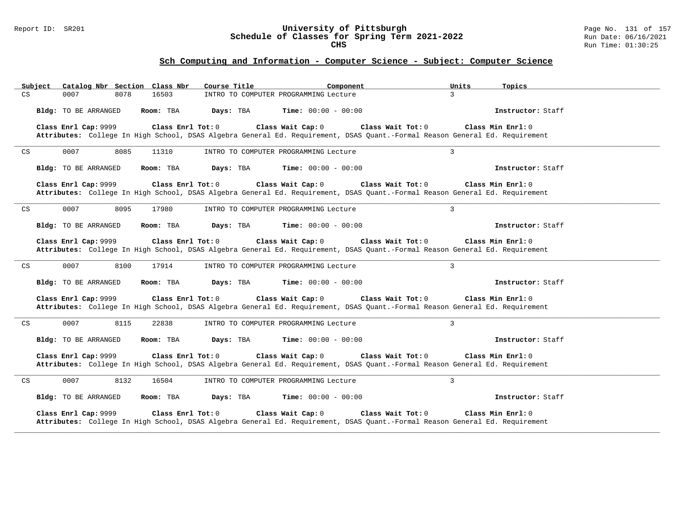### Report ID: SR201 **University of Pittsburgh** Page No. 131 of 157 **Schedule of Classes for Spring Term 2021-2022** Run Date: 06/16/2021 **CHS** Run Time: 01:30:25

| Catalog Nbr Section Class Nbr<br>Subject    | Course Title<br>Component                                                                                                                                             | Units<br>Topics     |
|---------------------------------------------|-----------------------------------------------------------------------------------------------------------------------------------------------------------------------|---------------------|
| CS<br>16503<br>0007<br>8078                 | INTRO TO COMPUTER PROGRAMMING Lecture                                                                                                                                 | $\mathcal{E}$       |
| Bldg: TO BE ARRANGED<br>Room: TBA           | Days: TBA<br><b>Time:</b> $00:00 - 00:00$                                                                                                                             | Instructor: Staff   |
| Class Enrl Cap: 9999<br>Class Enrl Tot: 0   | Class Wait Cap: 0<br>Class Wait Tot: 0<br>Attributes: College In High School, DSAS Algebra General Ed. Requirement, DSAS Quant.-Formal Reason General Ed. Requirement | Class Min Enrl: 0   |
| 0007<br>CS<br>8085<br>11310                 | INTRO TO COMPUTER PROGRAMMING Lecture                                                                                                                                 | $\overline{3}$      |
| Bldg: TO BE ARRANGED<br>Room: TBA           | Days: TBA<br><b>Time:</b> $00:00 - 00:00$                                                                                                                             | Instructor: Staff   |
| Class Enrl Cap: 9999<br>Class Enrl Tot: 0   | Class Wait Cap: 0<br>Class Wait Tot: 0<br>Attributes: College In High School, DSAS Algebra General Ed. Requirement, DSAS Quant.-Formal Reason General Ed. Requirement | Class Min Enrl: 0   |
| 0007<br>8095<br>CS<br>17980                 | INTRO TO COMPUTER PROGRAMMING Lecture                                                                                                                                 | $\overline{3}$      |
| Bldg: TO BE ARRANGED<br>Room: TBA           | Days: TBA<br><b>Time:</b> $00:00 - 00:00$                                                                                                                             | Instructor: Staff   |
| Class Enrl Cap: 9999<br>Class Enrl Tot: 0   | Class Wait Cap: 0<br>Class Wait Tot: 0<br>Attributes: College In High School, DSAS Algebra General Ed. Requirement, DSAS Quant.-Formal Reason General Ed. Requirement | Class Min Enrl: 0   |
| 0007<br>8100<br>CS<br>17914                 | INTRO TO COMPUTER PROGRAMMING Lecture                                                                                                                                 | $\overline{3}$      |
| Bldg: TO BE ARRANGED<br>Room: TBA           | Days: TBA<br>Time: $00:00 - 00:00$                                                                                                                                    | Instructor: Staff   |
| Class Enrl Cap: 9999<br>Class Enrl Tot: 0   | Class Wait Cap: 0<br>Class Wait Tot: 0<br>Attributes: College In High School, DSAS Algebra General Ed. Requirement, DSAS Quant.-Formal Reason General Ed. Requirement | Class Min Enrl: 0   |
| 0007<br>8115<br>22838<br>CS                 | INTRO TO COMPUTER PROGRAMMING Lecture                                                                                                                                 | $\overline{3}$      |
| Bldg: TO BE ARRANGED<br>Room: TBA           | <b>Time:</b> $00:00 - 00:00$<br>Days: TBA                                                                                                                             | Instructor: Staff   |
| Class Enrl Cap: 9999<br>Class Enrl Tot: $0$ | Class Wait Cap: 0<br>Class Wait Tot: 0<br>Attributes: College In High School, DSAS Algebra General Ed. Requirement, DSAS Quant.-Formal Reason General Ed. Requirement | Class Min $Enr1: 0$ |
| 0007<br>8132<br>16504<br>CS                 | INTRO TO COMPUTER PROGRAMMING Lecture                                                                                                                                 | 3                   |
| Bldg: TO BE ARRANGED<br>Room: TBA           | Days: TBA<br><b>Time:</b> $00:00 - 00:00$                                                                                                                             | Instructor: Staff   |
| Class Enrl Cap: 9999<br>Class Enrl Tot: 0   | Class Wait Cap: 0<br>Class Wait Tot: 0<br>Attributes: College In High School, DSAS Algebra General Ed. Requirement, DSAS Quant.-Formal Reason General Ed. Requirement | Class Min Enrl: 0   |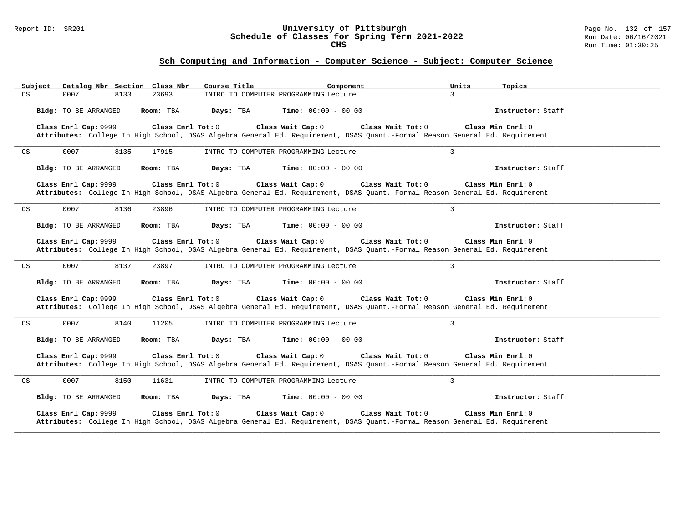### Report ID: SR201 **University of Pittsburgh** Page No. 132 of 157 **Schedule of Classes for Spring Term 2021-2022** Run Date: 06/16/2021 **CHS** Run Time: 01:30:25

| Catalog Nbr Section Class Nbr<br>Subject    | Course Title<br>Component                                                                                                                                             | Units<br>Topics     |
|---------------------------------------------|-----------------------------------------------------------------------------------------------------------------------------------------------------------------------|---------------------|
| CS<br>23693<br>0007<br>8133                 | INTRO TO COMPUTER PROGRAMMING Lecture                                                                                                                                 | $\mathcal{E}$       |
| Bldg: TO BE ARRANGED<br>Room: TBA           | Days: TBA<br><b>Time:</b> $00:00 - 00:00$                                                                                                                             | Instructor: Staff   |
| Class Enrl Cap: 9999<br>Class Enrl Tot: 0   | Class Wait Cap: 0<br>Class Wait Tot: 0<br>Attributes: College In High School, DSAS Algebra General Ed. Requirement, DSAS Quant.-Formal Reason General Ed. Requirement | Class Min Enrl: 0   |
| 0007<br>CS<br>8135<br>17915                 | INTRO TO COMPUTER PROGRAMMING Lecture                                                                                                                                 | $\overline{3}$      |
| Bldg: TO BE ARRANGED<br>Room: TBA           | Days: TBA<br><b>Time:</b> $00:00 - 00:00$                                                                                                                             | Instructor: Staff   |
| Class Enrl Cap: 9999<br>Class Enrl Tot: 0   | Class Wait Cap: 0<br>Class Wait Tot: 0<br>Attributes: College In High School, DSAS Algebra General Ed. Requirement, DSAS Quant.-Formal Reason General Ed. Requirement | Class Min Enrl: 0   |
| 0007<br>8136<br>CS<br>23896                 | INTRO TO COMPUTER PROGRAMMING Lecture                                                                                                                                 | $\overline{3}$      |
| Bldg: TO BE ARRANGED<br>Room: TBA           | Days: TBA<br><b>Time:</b> $00:00 - 00:00$                                                                                                                             | Instructor: Staff   |
| Class Enrl Cap: 9999<br>Class Enrl Tot: 0   | Class Wait Cap: 0<br>Class Wait Tot: 0<br>Attributes: College In High School, DSAS Algebra General Ed. Requirement, DSAS Quant.-Formal Reason General Ed. Requirement | Class Min Enrl: 0   |
| 0007<br>8137<br>CS<br>23897                 | INTRO TO COMPUTER PROGRAMMING Lecture                                                                                                                                 | $\overline{3}$      |
| Bldg: TO BE ARRANGED<br>Room: TBA           | Days: TBA<br>Time: $00:00 - 00:00$                                                                                                                                    | Instructor: Staff   |
| Class Enrl Cap: 9999<br>Class Enrl Tot: 0   | Class Wait Cap: 0<br>Class Wait Tot: 0<br>Attributes: College In High School, DSAS Algebra General Ed. Requirement, DSAS Quant.-Formal Reason General Ed. Requirement | Class Min Enrl: 0   |
| 0007<br>8140<br>CS<br>11205                 | INTRO TO COMPUTER PROGRAMMING Lecture                                                                                                                                 | $\overline{3}$      |
| Bldg: TO BE ARRANGED<br>Room: TBA           | <b>Time:</b> $00:00 - 00:00$<br>Days: TBA                                                                                                                             | Instructor: Staff   |
| Class Enrl Cap: 9999<br>Class Enrl Tot: $0$ | Class Wait Cap: 0<br>Class Wait Tot: 0<br>Attributes: College In High School, DSAS Algebra General Ed. Requirement, DSAS Quant.-Formal Reason General Ed. Requirement | Class Min $Enr1: 0$ |
| 0007<br>8150<br>11631<br>CS                 | INTRO TO COMPUTER PROGRAMMING Lecture                                                                                                                                 | 3                   |
| Bldg: TO BE ARRANGED<br>Room: TBA           | Days: TBA<br><b>Time:</b> $00:00 - 00:00$                                                                                                                             | Instructor: Staff   |
| Class Enrl Cap: 9999<br>Class Enrl Tot: 0   | Class Wait Cap: 0<br>Class Wait Tot: 0<br>Attributes: College In High School, DSAS Algebra General Ed. Requirement, DSAS Quant.-Formal Reason General Ed. Requirement | Class Min Enrl: 0   |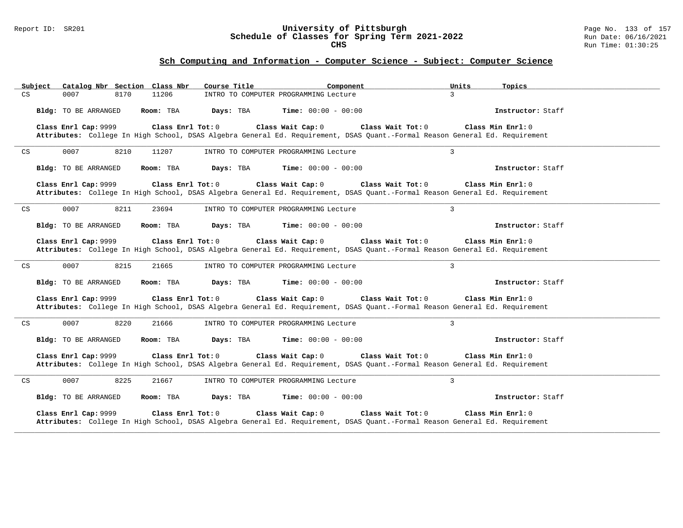### Report ID: SR201 **University of Pittsburgh** Page No. 133 of 157 **Schedule of Classes for Spring Term 2021-2022** Run Date: 06/16/2021 **CHS** Run Time: 01:30:25

| Catalog Nbr Section Class Nbr<br>Subject    | Course Title<br>Component                                                                                                                                             | Units<br>Topics     |
|---------------------------------------------|-----------------------------------------------------------------------------------------------------------------------------------------------------------------------|---------------------|
| CS<br>11206<br>0007<br>8170                 | INTRO TO COMPUTER PROGRAMMING Lecture                                                                                                                                 | $\mathcal{E}$       |
| Bldg: TO BE ARRANGED<br>Room: TBA           | Days: TBA<br><b>Time:</b> $00:00 - 00:00$                                                                                                                             | Instructor: Staff   |
| Class Enrl Cap: 9999<br>Class Enrl Tot: 0   | Class Wait Cap: 0<br>Class Wait Tot: 0<br>Attributes: College In High School, DSAS Algebra General Ed. Requirement, DSAS Quant.-Formal Reason General Ed. Requirement | Class Min Enrl: 0   |
| 0007<br>CS<br>8210<br>11207                 | INTRO TO COMPUTER PROGRAMMING Lecture                                                                                                                                 | $\overline{3}$      |
| Bldg: TO BE ARRANGED<br>Room: TBA           | Days: TBA<br><b>Time:</b> $00:00 - 00:00$                                                                                                                             | Instructor: Staff   |
| Class Enrl Cap: 9999<br>Class Enrl Tot: 0   | Class Wait Cap: 0<br>Class Wait Tot: 0<br>Attributes: College In High School, DSAS Algebra General Ed. Requirement, DSAS Quant.-Formal Reason General Ed. Requirement | Class Min Enrl: 0   |
| 0007<br>8211<br>CS<br>23694                 | INTRO TO COMPUTER PROGRAMMING Lecture                                                                                                                                 | $\overline{3}$      |
| Bldg: TO BE ARRANGED<br>Room: TBA           | Days: TBA<br><b>Time:</b> $00:00 - 00:00$                                                                                                                             | Instructor: Staff   |
| Class Enrl Cap: 9999<br>Class Enrl Tot: 0   | Class Wait Cap: 0<br>Class Wait Tot: 0<br>Attributes: College In High School, DSAS Algebra General Ed. Requirement, DSAS Quant.-Formal Reason General Ed. Requirement | Class Min Enrl: 0   |
| 0007<br>8215<br>CS<br>21665                 | INTRO TO COMPUTER PROGRAMMING Lecture                                                                                                                                 | $\overline{3}$      |
| Bldg: TO BE ARRANGED<br>Room: TBA           | Days: TBA<br>Time: $00:00 - 00:00$                                                                                                                                    | Instructor: Staff   |
| Class Enrl Cap: 9999<br>Class Enrl Tot: 0   | Class Wait Cap: 0<br>Class Wait Tot: 0<br>Attributes: College In High School, DSAS Algebra General Ed. Requirement, DSAS Quant.-Formal Reason General Ed. Requirement | Class Min Enrl: 0   |
| 0007<br>8220<br>21666<br>CS                 | INTRO TO COMPUTER PROGRAMMING Lecture                                                                                                                                 | $\overline{3}$      |
| Bldg: TO BE ARRANGED<br>Room: TBA           | <b>Time:</b> $00:00 - 00:00$<br>Days: TBA                                                                                                                             | Instructor: Staff   |
| Class Enrl Cap: 9999<br>Class Enrl Tot: $0$ | Class Wait Cap: 0<br>Class Wait Tot: 0<br>Attributes: College In High School, DSAS Algebra General Ed. Requirement, DSAS Quant.-Formal Reason General Ed. Requirement | Class Min $Enr1: 0$ |
| 0007<br>8225<br>21667<br>CS                 | INTRO TO COMPUTER PROGRAMMING Lecture                                                                                                                                 | 3                   |
| Bldg: TO BE ARRANGED<br>Room: TBA           | Days: TBA<br><b>Time:</b> $00:00 - 00:00$                                                                                                                             | Instructor: Staff   |
| Class Enrl Cap: 9999<br>Class Enrl Tot: 0   | Class Wait Cap: 0<br>Class Wait Tot: 0<br>Attributes: College In High School, DSAS Algebra General Ed. Requirement, DSAS Quant.-Formal Reason General Ed. Requirement | Class Min Enrl: 0   |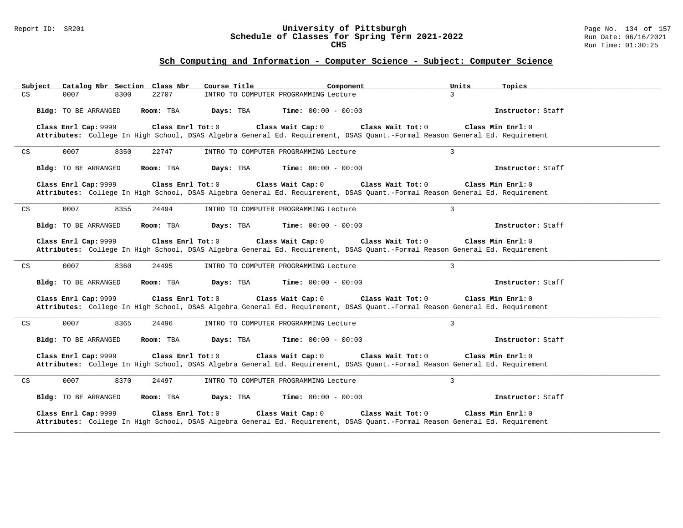### Report ID: SR201 **University of Pittsburgh** Page No. 134 of 157 **Schedule of Classes for Spring Term 2021-2022** Run Date: 06/16/2021 **CHS** Run Time: 01:30:25

| Catalog Nbr Section Class Nbr<br>Subject    | Course Title<br>Component                                                                                                                                             | Units<br>Topics     |
|---------------------------------------------|-----------------------------------------------------------------------------------------------------------------------------------------------------------------------|---------------------|
| CS<br>22707<br>0007<br>8300                 | INTRO TO COMPUTER PROGRAMMING Lecture                                                                                                                                 | $\mathcal{E}$       |
| Bldg: TO BE ARRANGED<br>Room: TBA           | Days: TBA<br><b>Time:</b> $00:00 - 00:00$                                                                                                                             | Instructor: Staff   |
| Class Enrl Cap: 9999<br>Class Enrl Tot: 0   | Class Wait Cap: 0<br>Class Wait Tot: 0<br>Attributes: College In High School, DSAS Algebra General Ed. Requirement, DSAS Quant.-Formal Reason General Ed. Requirement | Class Min Enrl: 0   |
| CS<br>0007<br>8350<br>22747                 | INTRO TO COMPUTER PROGRAMMING Lecture                                                                                                                                 | $\overline{3}$      |
| Bldg: TO BE ARRANGED<br>Room: TBA           | Days: TBA<br><b>Time:</b> $00:00 - 00:00$                                                                                                                             | Instructor: Staff   |
| Class Enrl Cap: 9999<br>Class Enrl Tot: 0   | Class Wait Cap: 0<br>Class Wait Tot: 0<br>Attributes: College In High School, DSAS Algebra General Ed. Requirement, DSAS Quant.-Formal Reason General Ed. Requirement | Class Min Enrl: 0   |
| 0007<br>8355<br>CS<br>24494                 | INTRO TO COMPUTER PROGRAMMING Lecture                                                                                                                                 | $\overline{3}$      |
| Bldg: TO BE ARRANGED<br>Room: TBA           | Days: TBA<br><b>Time:</b> $00:00 - 00:00$                                                                                                                             | Instructor: Staff   |
| Class Enrl Cap: 9999<br>Class Enrl Tot: 0   | Class Wait Cap: 0<br>Class Wait Tot: 0<br>Attributes: College In High School, DSAS Algebra General Ed. Requirement, DSAS Quant.-Formal Reason General Ed. Requirement | Class Min Enrl: 0   |
| 0007<br>8360<br>24495<br>CS                 | INTRO TO COMPUTER PROGRAMMING Lecture                                                                                                                                 | $\overline{3}$      |
| Bldg: TO BE ARRANGED<br>Room: TBA           | Days: TBA<br><b>Time:</b> $00:00 - 00:00$                                                                                                                             | Instructor: Staff   |
| Class Enrl Cap: 9999<br>Class Enrl Tot: 0   | Class Wait Cap: 0<br>Class Wait Tot: 0<br>Attributes: College In High School, DSAS Algebra General Ed. Requirement, DSAS Quant.-Formal Reason General Ed. Requirement | Class Min Enrl: 0   |
| 0007<br>8365<br>CS<br>24496                 | INTRO TO COMPUTER PROGRAMMING Lecture                                                                                                                                 | $\overline{3}$      |
| Bldg: TO BE ARRANGED<br>Room: TBA           | <b>Time:</b> $00:00 - 00:00$<br>Days: TBA                                                                                                                             | Instructor: Staff   |
| Class Enrl Cap: 9999<br>Class Enrl Tot: $0$ | Class Wait Cap: 0<br>Class Wait Tot: 0<br>Attributes: College In High School, DSAS Algebra General Ed. Requirement, DSAS Quant.-Formal Reason General Ed. Requirement | Class Min $Enr1: 0$ |
| 0007<br>8370<br>24497<br>CS                 | INTRO TO COMPUTER PROGRAMMING Lecture                                                                                                                                 | 3                   |
| Bldg: TO BE ARRANGED<br>Room: TBA           | Days: TBA<br><b>Time:</b> $00:00 - 00:00$                                                                                                                             | Instructor: Staff   |
| Class Enrl Cap: 9999<br>Class Enrl Tot: 0   | Class Wait Cap: 0<br>Class Wait Tot: 0<br>Attributes: College In High School, DSAS Algebra General Ed. Requirement, DSAS Quant.-Formal Reason General Ed. Requirement | Class Min Enrl: 0   |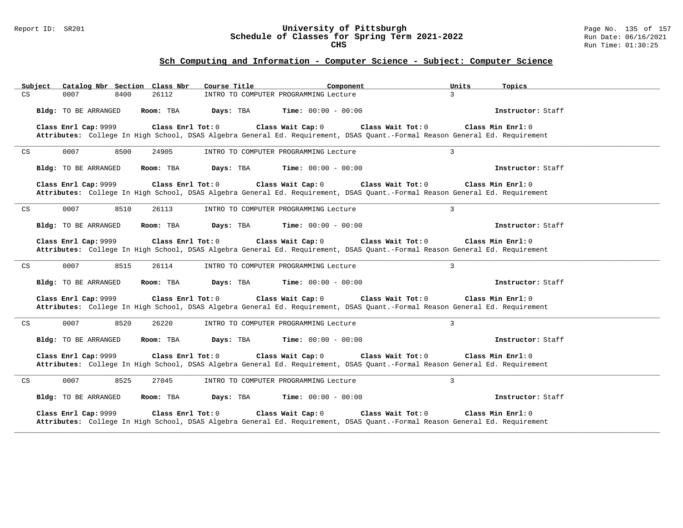### Report ID: SR201 **University of Pittsburgh** Page No. 135 of 157 **Schedule of Classes for Spring Term 2021-2022** Run Date: 06/16/2021 **CHS** Run Time: 01:30:25

| Catalog Nbr Section Class Nbr<br>Subject    | Course Title<br>Component                                                                                                                                             | Units<br>Topics     |
|---------------------------------------------|-----------------------------------------------------------------------------------------------------------------------------------------------------------------------|---------------------|
| CS<br>26112<br>0007<br>8400                 | INTRO TO COMPUTER PROGRAMMING Lecture                                                                                                                                 | $\mathcal{E}$       |
| Bldg: TO BE ARRANGED<br>Room: TBA           | Days: TBA<br><b>Time:</b> $00:00 - 00:00$                                                                                                                             | Instructor: Staff   |
| Class Enrl Cap: 9999<br>Class Enrl Tot: 0   | Class Wait Cap: 0<br>Class Wait Tot: 0<br>Attributes: College In High School, DSAS Algebra General Ed. Requirement, DSAS Quant.-Formal Reason General Ed. Requirement | Class Min Enrl: 0   |
| CS<br>0007<br>8500<br>24905                 | INTRO TO COMPUTER PROGRAMMING Lecture                                                                                                                                 | $\overline{3}$      |
| Bldg: TO BE ARRANGED<br>Room: TBA           | Days: TBA<br><b>Time:</b> $00:00 - 00:00$                                                                                                                             | Instructor: Staff   |
| Class Enrl Cap: 9999<br>Class Enrl Tot: 0   | Class Wait Cap: 0<br>Class Wait Tot: 0<br>Attributes: College In High School, DSAS Algebra General Ed. Requirement, DSAS Quant.-Formal Reason General Ed. Requirement | Class Min Enrl: 0   |
| 0007<br>8510<br>CS<br>26113                 | INTRO TO COMPUTER PROGRAMMING Lecture                                                                                                                                 | $\overline{3}$      |
| Bldg: TO BE ARRANGED<br>Room: TBA           | Days: TBA<br><b>Time:</b> $00:00 - 00:00$                                                                                                                             | Instructor: Staff   |
| Class Enrl Cap: 9999<br>Class Enrl Tot: 0   | Class Wait Cap: 0<br>Class Wait Tot: 0<br>Attributes: College In High School, DSAS Algebra General Ed. Requirement, DSAS Quant.-Formal Reason General Ed. Requirement | Class Min Enrl: 0   |
| 0007<br>8515<br>26114<br>CS                 | INTRO TO COMPUTER PROGRAMMING Lecture                                                                                                                                 | $\overline{3}$      |
| Bldg: TO BE ARRANGED<br>Room: TBA           | Days: TBA<br>Time: $00:00 - 00:00$                                                                                                                                    | Instructor: Staff   |
| Class Enrl Cap: 9999<br>Class Enrl Tot: 0   | Class Wait Cap: 0<br>Class Wait Tot: 0<br>Attributes: College In High School, DSAS Algebra General Ed. Requirement, DSAS Quant.-Formal Reason General Ed. Requirement | Class Min Enrl: 0   |
| 0007<br>8520<br>26220<br>CS                 | INTRO TO COMPUTER PROGRAMMING Lecture                                                                                                                                 | $\overline{3}$      |
| Bldg: TO BE ARRANGED<br>Room: TBA           | <b>Time:</b> $00:00 - 00:00$<br>Days: TBA                                                                                                                             | Instructor: Staff   |
| Class Enrl Cap: 9999<br>Class Enrl Tot: $0$ | Class Wait Cap: 0<br>Class Wait Tot: 0<br>Attributes: College In High School, DSAS Algebra General Ed. Requirement, DSAS Quant.-Formal Reason General Ed. Requirement | Class Min $Enr1: 0$ |
| 0007<br>8525<br>27045<br>CS                 | INTRO TO COMPUTER PROGRAMMING Lecture                                                                                                                                 | 3                   |
| Bldg: TO BE ARRANGED<br>Room: TBA           | Days: TBA<br><b>Time:</b> $00:00 - 00:00$                                                                                                                             | Instructor: Staff   |
| Class Enrl Cap: 9999<br>Class Enrl Tot: 0   | Class Wait Cap: 0<br>Class Wait Tot: 0<br>Attributes: College In High School, DSAS Algebra General Ed. Requirement, DSAS Quant.-Formal Reason General Ed. Requirement | Class Min Enrl: 0   |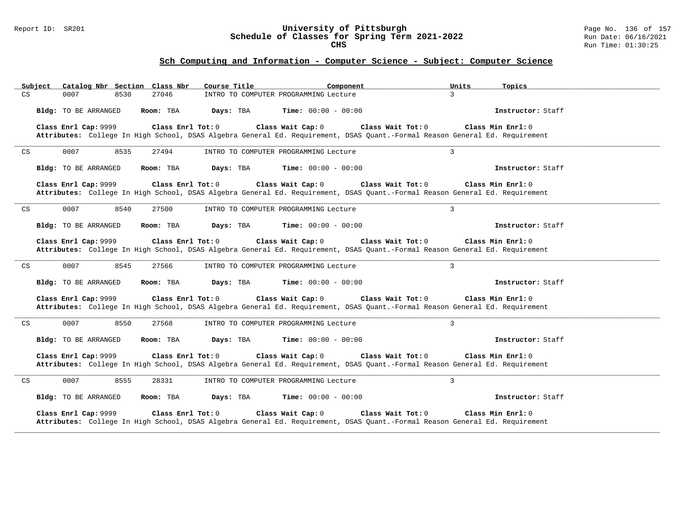### Report ID: SR201 **University of Pittsburgh** Page No. 136 of 157 **Schedule of Classes for Spring Term 2021-2022** Run Date: 06/16/2021 **CHS** Run Time: 01:30:25

| Catalog Nbr Section Class Nbr<br>Subject    | Course Title<br>Component                                                                                                                                             | Units<br>Topics     |
|---------------------------------------------|-----------------------------------------------------------------------------------------------------------------------------------------------------------------------|---------------------|
| CS<br>27046<br>0007<br>8530                 | INTRO TO COMPUTER PROGRAMMING Lecture                                                                                                                                 | $\mathcal{E}$       |
| Bldg: TO BE ARRANGED<br>Room: TBA           | Days: TBA<br><b>Time:</b> $00:00 - 00:00$                                                                                                                             | Instructor: Staff   |
| Class Enrl Cap: 9999<br>Class Enrl Tot: 0   | Class Wait Cap: 0<br>Class Wait Tot: 0<br>Attributes: College In High School, DSAS Algebra General Ed. Requirement, DSAS Quant.-Formal Reason General Ed. Requirement | Class Min Enrl: 0   |
| 0007<br>CS<br>8535<br>27494                 | INTRO TO COMPUTER PROGRAMMING Lecture                                                                                                                                 | $\overline{3}$      |
| Bldg: TO BE ARRANGED<br>Room: TBA           | Days: TBA<br><b>Time:</b> $00:00 - 00:00$                                                                                                                             | Instructor: Staff   |
| Class Enrl Cap: 9999<br>Class Enrl Tot: 0   | Class Wait Cap: 0<br>Class Wait Tot: 0<br>Attributes: College In High School, DSAS Algebra General Ed. Requirement, DSAS Quant.-Formal Reason General Ed. Requirement | Class Min Enrl: 0   |
| 0007<br>8540<br>CS<br>27500                 | INTRO TO COMPUTER PROGRAMMING Lecture                                                                                                                                 | $\overline{3}$      |
| Bldg: TO BE ARRANGED<br>Room: TBA           | Days: TBA<br><b>Time:</b> $00:00 - 00:00$                                                                                                                             | Instructor: Staff   |
| Class Enrl Cap: 9999<br>Class Enrl Tot: 0   | Class Wait Cap: 0<br>Class Wait Tot: 0<br>Attributes: College In High School, DSAS Algebra General Ed. Requirement, DSAS Quant.-Formal Reason General Ed. Requirement | Class Min Enrl: 0   |
| 0007<br>8545<br>27566<br>CS                 | INTRO TO COMPUTER PROGRAMMING Lecture                                                                                                                                 | $\overline{3}$      |
| Bldg: TO BE ARRANGED<br>Room: TBA           | Days: TBA<br>Time: $00:00 - 00:00$                                                                                                                                    | Instructor: Staff   |
| Class Enrl Cap: 9999<br>Class Enrl Tot: 0   | Class Wait Cap: 0<br>Class Wait Tot: 0<br>Attributes: College In High School, DSAS Algebra General Ed. Requirement, DSAS Quant.-Formal Reason General Ed. Requirement | Class Min Enrl: 0   |
| 0007<br>8550<br>27568<br>CS                 | INTRO TO COMPUTER PROGRAMMING Lecture                                                                                                                                 | $\overline{3}$      |
| Bldg: TO BE ARRANGED<br>Room: TBA           | <b>Time:</b> $00:00 - 00:00$<br>Days: TBA                                                                                                                             | Instructor: Staff   |
| Class Enrl Cap: 9999<br>Class Enrl Tot: $0$ | Class Wait Cap: 0<br>Class Wait Tot: 0<br>Attributes: College In High School, DSAS Algebra General Ed. Requirement, DSAS Quant.-Formal Reason General Ed. Requirement | Class Min $Enr1: 0$ |
| 0007<br>8555<br>28331<br>CS                 | INTRO TO COMPUTER PROGRAMMING Lecture                                                                                                                                 | 3                   |
| Bldg: TO BE ARRANGED<br>Room: TBA           | Days: TBA<br><b>Time:</b> $00:00 - 00:00$                                                                                                                             | Instructor: Staff   |
| Class Enrl Cap: 9999<br>Class Enrl Tot: 0   | Class Wait Cap: 0<br>Class Wait Tot: 0<br>Attributes: College In High School, DSAS Algebra General Ed. Requirement, DSAS Quant.-Formal Reason General Ed. Requirement | Class Min Enrl: 0   |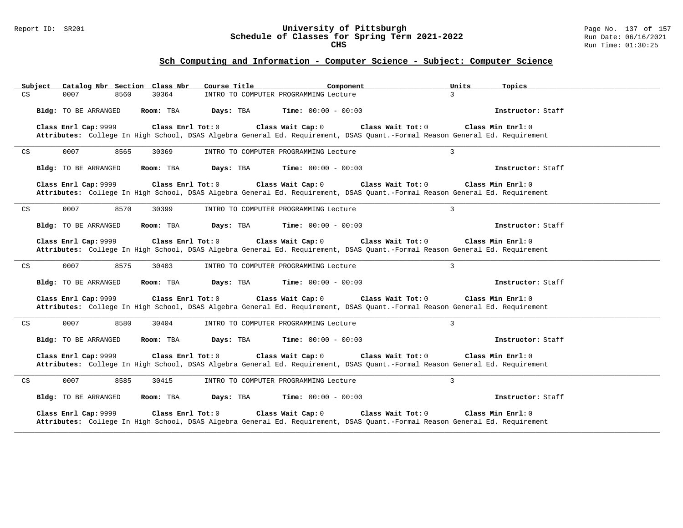### Report ID: SR201 **University of Pittsburgh** Page No. 137 of 157 **Schedule of Classes for Spring Term 2021-2022** Run Date: 06/16/2021 **CHS** Run Time: 01:30:25

| Catalog Nbr Section Class Nbr<br>Subject    | Course Title<br>Component                                                                                                                                             | Units<br>Topics     |
|---------------------------------------------|-----------------------------------------------------------------------------------------------------------------------------------------------------------------------|---------------------|
| CS<br>30364<br>0007<br>8560                 | INTRO TO COMPUTER PROGRAMMING Lecture                                                                                                                                 | $\mathcal{E}$       |
| Bldg: TO BE ARRANGED<br>Room: TBA           | Days: TBA<br><b>Time:</b> $00:00 - 00:00$                                                                                                                             | Instructor: Staff   |
| Class Enrl Cap: 9999<br>Class Enrl Tot: 0   | Class Wait Cap: 0<br>Class Wait Tot: 0<br>Attributes: College In High School, DSAS Algebra General Ed. Requirement, DSAS Quant.-Formal Reason General Ed. Requirement | Class Min Enrl: 0   |
| 0007<br>CS<br>8565<br>30369                 | INTRO TO COMPUTER PROGRAMMING Lecture                                                                                                                                 | $\overline{3}$      |
| Bldg: TO BE ARRANGED<br>Room: TBA           | Days: TBA<br><b>Time:</b> $00:00 - 00:00$                                                                                                                             | Instructor: Staff   |
| Class Enrl Cap: 9999<br>Class Enrl Tot: 0   | Class Wait Cap: 0<br>Class Wait Tot: 0<br>Attributes: College In High School, DSAS Algebra General Ed. Requirement, DSAS Quant.-Formal Reason General Ed. Requirement | Class Min Enrl: 0   |
| 0007<br>8570<br>CS<br>30399                 | INTRO TO COMPUTER PROGRAMMING Lecture                                                                                                                                 | $\overline{3}$      |
| Bldg: TO BE ARRANGED<br>Room: TBA           | Days: TBA<br><b>Time:</b> $00:00 - 00:00$                                                                                                                             | Instructor: Staff   |
| Class Enrl Cap: 9999<br>Class Enrl Tot: 0   | Class Wait Cap: 0<br>Class Wait Tot: 0<br>Attributes: College In High School, DSAS Algebra General Ed. Requirement, DSAS Quant.-Formal Reason General Ed. Requirement | Class Min Enrl: 0   |
| 0007<br>8575<br>30403<br>CS                 | INTRO TO COMPUTER PROGRAMMING Lecture                                                                                                                                 | $\overline{3}$      |
| Bldg: TO BE ARRANGED<br>Room: TBA           | Days: TBA<br><b>Time:</b> $00:00 - 00:00$                                                                                                                             | Instructor: Staff   |
| Class Enrl Cap: 9999<br>Class Enrl Tot: 0   | Class Wait Cap: 0<br>Class Wait Tot: 0<br>Attributes: College In High School, DSAS Algebra General Ed. Requirement, DSAS Quant.-Formal Reason General Ed. Requirement | Class Min Enrl: 0   |
| 0007<br>8580<br>30404<br>CS                 | INTRO TO COMPUTER PROGRAMMING Lecture                                                                                                                                 | $\overline{3}$      |
| Bldg: TO BE ARRANGED<br>Room: TBA           | <b>Time:</b> $00:00 - 00:00$<br>Days: TBA                                                                                                                             | Instructor: Staff   |
| Class Enrl Cap: 9999<br>Class Enrl Tot: $0$ | Class Wait Cap: 0<br>Class Wait Tot: 0<br>Attributes: College In High School, DSAS Algebra General Ed. Requirement, DSAS Quant.-Formal Reason General Ed. Requirement | Class Min $Enr1: 0$ |
| 0007<br>8585<br>30415<br>CS                 | INTRO TO COMPUTER PROGRAMMING Lecture                                                                                                                                 | 3                   |
| Bldg: TO BE ARRANGED<br>Room: TBA           | Days: TBA<br><b>Time:</b> $00:00 - 00:00$                                                                                                                             | Instructor: Staff   |
| Class Enrl Cap: 9999<br>Class Enrl Tot: 0   | Class Wait Cap: 0<br>Class Wait Tot: 0<br>Attributes: College In High School, DSAS Algebra General Ed. Requirement, DSAS Quant.-Formal Reason General Ed. Requirement | Class Min Enrl: 0   |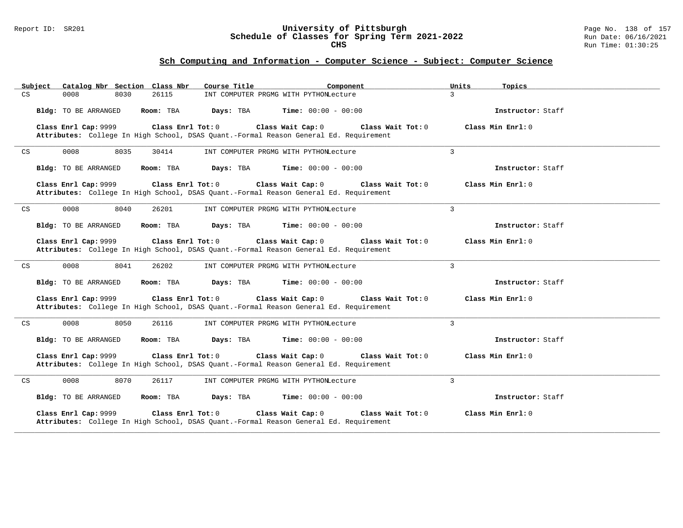### Report ID: SR201 **University of Pittsburgh** Page No. 138 of 157 **Schedule of Classes for Spring Term 2021-2022** Run Date: 06/16/2021 **CHS** Run Time: 01:30:25

| Catalog Nbr Section Class Nbr<br>Subject  | Course Title                                                                                                                    | Component<br>Units | Topics              |
|-------------------------------------------|---------------------------------------------------------------------------------------------------------------------------------|--------------------|---------------------|
| 26115<br>CS<br>0008<br>8030               | INT COMPUTER PRGMG WITH PYTHONLecture                                                                                           | $\mathbf{3}$       |                     |
| Bldg: TO BE ARRANGED<br>Room: TBA         | <b>Time:</b> $00:00 - 00:00$<br>Days: TBA                                                                                       |                    | Instructor: Staff   |
| Class Enrl Cap: 9999                      | Class Enrl Tot: 0<br>Class Wait Cap: 0<br>Attributes: College In High School, DSAS Quant.-Formal Reason General Ed. Requirement | Class Wait Tot: 0  | Class Min $Enrl: 0$ |
| 0008<br>8035<br>CS<br>30414               | INT COMPUTER PRGMG WITH PYTHONLecture                                                                                           | $\overline{3}$     |                     |
| Bldg: TO BE ARRANGED<br>Room: TBA         | Days: TBA<br><b>Time:</b> $00:00 - 00:00$                                                                                       |                    | Instructor: Staff   |
| Class Enrl Cap: 9999                      | Class Enrl Tot: 0<br>Class Wait Cap: 0<br>Attributes: College In High School, DSAS Quant.-Formal Reason General Ed. Requirement | Class Wait Tot: 0  | Class Min $Enrl: 0$ |
| 0008<br>8040<br>CS<br>26201               | INT COMPUTER PRGMG WITH PYTHONLecture                                                                                           | $\mathbf{3}$       |                     |
| Bldg: TO BE ARRANGED<br>Room: TBA         | Days: TBA<br><b>Time:</b> $00:00 - 00:00$                                                                                       |                    | Instructor: Staff   |
| Class Enrl Cap: 9999<br>Class Enrl Tot: 0 | Class Wait Cap: 0<br>Attributes: College In High School, DSAS Quant.-Formal Reason General Ed. Requirement                      | Class Wait Tot: 0  | Class Min Enrl: 0   |
| 0008<br>8041<br>26202<br>CS               | INT COMPUTER PRGMG WITH PYTHONLecture                                                                                           | $\mathbf{3}$       |                     |
| Bldg: TO BE ARRANGED<br>Room: TBA         | Days: TBA<br><b>Time:</b> $00:00 - 00:00$                                                                                       |                    | Instructor: Staff   |
| Class Enrl Cap: 9999                      | Class Wait Cap: 0<br>Class Enrl Tot: 0<br>Attributes: College In High School, DSAS Quant.-Formal Reason General Ed. Requirement | Class Wait Tot: 0  | Class Min Enrl: 0   |
| 0008<br>8050<br>26116<br>CS               | INT COMPUTER PRGMG WITH PYTHONLecture                                                                                           | $\mathbf{3}$       |                     |
| Bldg: TO BE ARRANGED<br>Room: TBA         | Days: TBA<br><b>Time:</b> $00:00 - 00:00$                                                                                       |                    | Instructor: Staff   |
| Class Enrl Cap: 9999<br>Class Enrl Tot: 0 | Class Wait Cap: 0<br>Attributes: College In High School, DSAS Quant.-Formal Reason General Ed. Requirement                      | Class Wait Tot: 0  | Class Min Enrl: 0   |
| 8070<br>0008<br>26117<br>CS               | INT COMPUTER PRGMG WITH PYTHONLecture                                                                                           | $\mathbf{3}$       |                     |
| Bldg: TO BE ARRANGED<br>Room: TBA         | Days: TBA<br><b>Time:</b> $00:00 - 00:00$                                                                                       |                    | Instructor: Staff   |
| Class Enrl Cap: 9999<br>Class Enrl Tot: 0 | Class Wait Cap: 0<br>Attributes: College In High School, DSAS Quant.-Formal Reason General Ed. Requirement                      | Class Wait Tot: 0  | Class Min Enrl: 0   |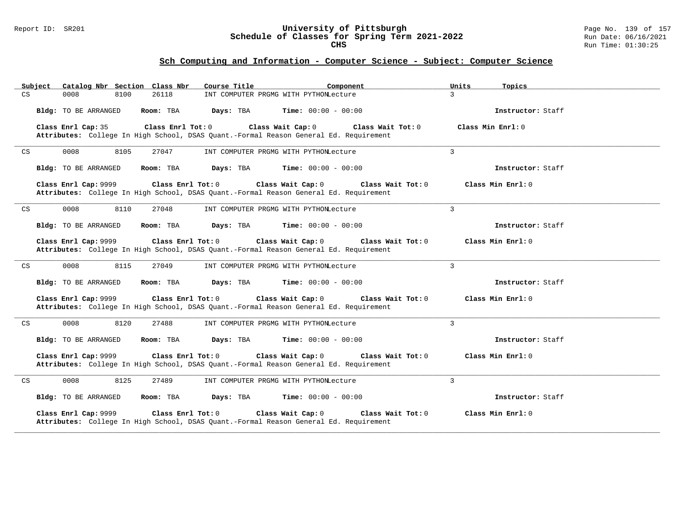### Report ID: SR201 **University of Pittsburgh** Page No. 139 of 157 **Schedule of Classes for Spring Term 2021-2022** Run Date: 06/16/2021 **CHS** Run Time: 01:30:25

| Subject                            | Catalog Nbr Section Class Nbr<br>Course Title                                                                    | Component                              | Units<br>Topics     |
|------------------------------------|------------------------------------------------------------------------------------------------------------------|----------------------------------------|---------------------|
| CS<br>0008                         | 26118<br>8100                                                                                                    | INT COMPUTER PRGMG WITH PYTHONLecture  | $\mathcal{L}$       |
| Bldg: TO BE ARRANGED               | Room: TBA<br>Days: TBA                                                                                           | <b>Time:</b> $00:00 - 00:00$           | Instructor: Staff   |
| Class Enrl Cap: 35                 | Class Enrl Tot: 0<br>Attributes: College In High School, DSAS Quant.-Formal Reason General Ed. Requirement       | Class Wait Cap: 0<br>Class Wait Tot: 0 | Class Min $Enrl: 0$ |
| 0008<br>CS                         | 8105<br>27047                                                                                                    | INT COMPUTER PRGMG WITH PYTHONLecture  | 3                   |
| Bldg: TO BE ARRANGED               | Room: TBA<br>Days: TBA                                                                                           | <b>Time:</b> $00:00 - 00:00$           | Instructor: Staff   |
| Class Enrl Cap: 9999               | Class Enrl Tot: 0<br>Attributes: College In High School, DSAS Quant.-Formal Reason General Ed. Requirement       | Class Wait Cap: 0<br>Class Wait Tot: 0 | Class Min Enrl: 0   |
| 0008<br>CS                         | 8110<br>27048                                                                                                    | INT COMPUTER PRGMG WITH PYTHONLecture  | $\overline{3}$      |
| Bldg: TO BE ARRANGED               | Room: TBA<br>Days: TBA                                                                                           | <b>Time:</b> $00:00 - 00:00$           | Instructor: Staff   |
| Class Enrl Cap: 9999               | $Class$ $Enr1$ $Tot: 0$<br>Attributes: College In High School, DSAS Quant.-Formal Reason General Ed. Requirement | Class Wait Cap: 0<br>Class Wait Tot: 0 | Class Min Enrl: 0   |
| $\mathop{\rm CS}\nolimits$<br>0008 | 8115<br>27049                                                                                                    | INT COMPUTER PRGMG WITH PYTHONLecture  | 3                   |
| Bldg: TO BE ARRANGED               | Days: TBA<br>Room: TBA                                                                                           | <b>Time:</b> $00:00 - 00:00$           | Instructor: Staff   |
| Class Enrl Cap: 9999               | Class Enrl Tot: 0<br>Attributes: College In High School, DSAS Quant.-Formal Reason General Ed. Requirement       | Class Wait Cap: 0<br>Class Wait Tot: 0 | Class Min Enrl: 0   |
| 0008<br>CS                         | 8120<br>27488                                                                                                    | INT COMPUTER PRGMG WITH PYTHONLecture  | $\overline{3}$      |
| Bldg: TO BE ARRANGED               | Days: TBA<br>Room: TBA                                                                                           | <b>Time:</b> $00:00 - 00:00$           | Instructor: Staff   |
| Class Enrl Cap: 9999               | Class Enrl Tot: 0<br>Attributes: College In High School, DSAS Quant.-Formal Reason General Ed. Requirement       | Class Wait Cap: 0<br>Class Wait Tot: 0 | Class Min Enrl: 0   |
| 0008<br>CS                         | 8125<br>27489                                                                                                    | INT COMPUTER PRGMG WITH PYTHONLecture  | $\overline{3}$      |
| Bldg: TO BE ARRANGED               | Room: TBA<br>Days: TBA                                                                                           | <b>Time:</b> $00:00 - 00:00$           | Instructor: Staff   |
| Class Enrl Cap: 9999               | Class Enrl Tot: 0<br>Attributes: College In High School, DSAS Quant.-Formal Reason General Ed. Requirement       | Class Wait Cap: 0<br>Class Wait Tot: 0 | Class Min Enrl: 0   |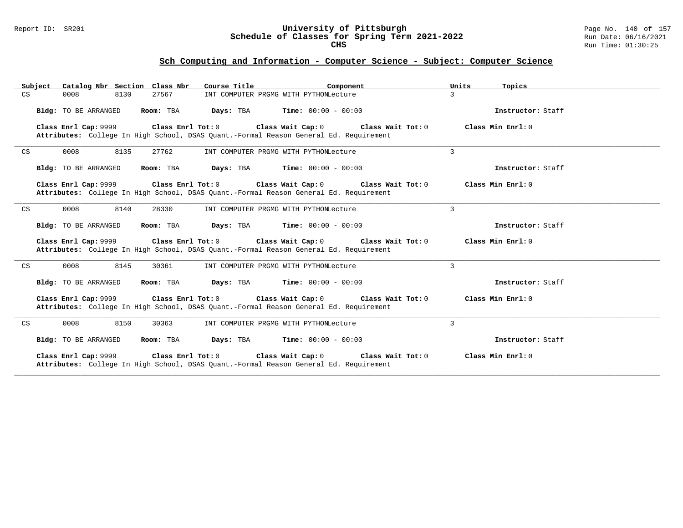### Report ID: SR201 **University of Pittsburgh** Page No. 140 of 157 **Schedule of Classes for Spring Term 2021-2022** Run Date: 06/16/2021 **CHS** Run Time: 01:30:25

|                            | Subject Catalog Nbr Section Class Nbr     | Course Title<br>Component                                                                                                                            | Units<br>Topics   |
|----------------------------|-------------------------------------------|------------------------------------------------------------------------------------------------------------------------------------------------------|-------------------|
| CS                         | 0008<br>8130<br>27567                     | INT COMPUTER PRGMG WITH PYTHONLecture                                                                                                                | $\mathbf{3}$      |
|                            | Bldg: TO BE ARRANGED<br>Room: TBA         | <b>Time:</b> $00:00 - 00:00$<br>Days: TBA                                                                                                            | Instructor: Staff |
|                            | Class Enrl Cap: 9999<br>Class Enrl Tot: 0 | Class Wait Cap: 0<br>Class Wait Tot: 0<br>Attributes: College In High School, DSAS Quant.-Formal Reason General Ed. Requirement                      | Class Min Enrl: 0 |
| CS                         | 0008<br>8135<br>27762                     | INT COMPUTER PRGMG WITH PYTHONLecture                                                                                                                | $\mathbf{3}$      |
|                            | Bldg: TO BE ARRANGED<br>Room: TBA         | Days: TBA<br>$Time: 00:00 - 00:00$                                                                                                                   | Instructor: Staff |
|                            | Class Enrl Cap: 9999                      | Class Enrl Tot: 0<br>Class Wait Cap: 0<br>Class Wait Tot: 0<br>Attributes: College In High School, DSAS Quant.-Formal Reason General Ed. Requirement | Class Min Enrl: 0 |
| CS                         | 0008<br>8140<br>28330                     | INT COMPUTER PRGMG WITH PYTHONLecture                                                                                                                | 3                 |
|                            | Bldg: TO BE ARRANGED<br>Room: TBA         | Days: TBA<br>$Time: 00:00 - 00:00$                                                                                                                   | Instructor: Staff |
|                            | Class Enrl Tot: 0<br>Class Enrl Cap: 9999 | Class Wait Cap: 0<br>Class Wait Tot: 0<br>Attributes: College In High School, DSAS Quant.-Formal Reason General Ed. Requirement                      | Class Min Enrl: 0 |
| $\mathop{\rm CS}\nolimits$ | 0008<br>8145<br>30361                     | INT COMPUTER PRGMG WITH PYTHONLecture                                                                                                                | 3                 |
|                            | Bldg: TO BE ARRANGED<br>Room: TBA         | <b>Time:</b> $00:00 - 00:00$<br>Days: TBA                                                                                                            | Instructor: Staff |
|                            | Class Enrl Cap: 9999<br>Class Enrl Tot: 0 | Class Wait Cap: 0<br>Class Wait Tot: 0<br>Attributes: College In High School, DSAS Quant.-Formal Reason General Ed. Requirement                      | Class Min Enrl: 0 |
| CS                         | 0008<br>8150<br>30363                     | INT COMPUTER PRGMG WITH PYTHONLecture                                                                                                                | $\mathbf{3}$      |
|                            | Bldg: TO BE ARRANGED<br>Room: TBA         | $\texttt{Days:}$ TBA $\texttt{Time:}$ 00:00 - 00:00                                                                                                  | Instructor: Staff |
|                            | Class Enrl Cap: 9999<br>Class Enrl Tot: 0 | Class Wait Cap: 0<br>Class Wait Tot: 0<br>Attributes: College In High School, DSAS Quant.-Formal Reason General Ed. Requirement                      | Class Min Enrl: 0 |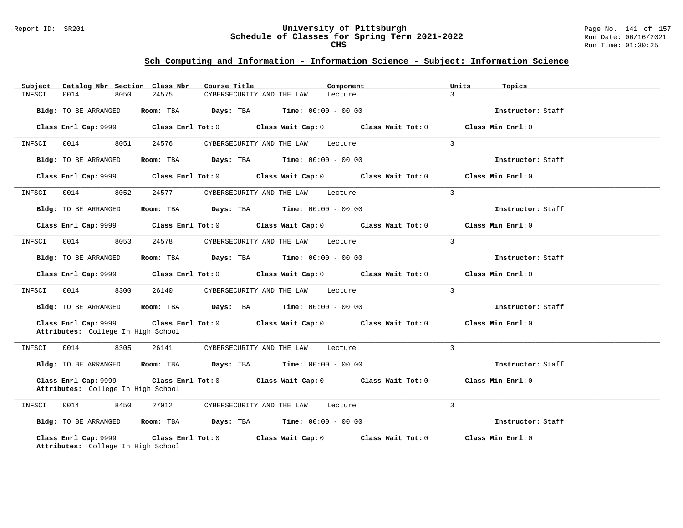### Report ID: SR201 **University of Pittsburgh** Page No. 141 of 157 **Schedule of Classes for Spring Term 2021-2022** Run Date: 06/16/2021 **CHS** Run Time: 01:30:25

| Catalog Nbr Section Class Nbr<br>Subject                   | Course Title                                                                                   | Component                           | Units<br>Topics   |
|------------------------------------------------------------|------------------------------------------------------------------------------------------------|-------------------------------------|-------------------|
| 0014<br>8050<br>INFSCI                                     | 24575<br>CYBERSECURITY AND THE LAW                                                             | Lecture                             | $\mathcal{L}$     |
| Bldg: TO BE ARRANGED                                       | Room: TBA<br><b>Days:</b> TBA <b>Time:</b> $00:00 - 00:00$                                     |                                     | Instructor: Staff |
| Class Enrl Cap: 9999                                       | $Class$ $Enrl$ $Tot: 0$                                                                        | Class Wait Cap: 0 Class Wait Tot: 0 | Class Min Enrl: 0 |
| 0014<br>8051<br>INFSCI                                     | 24576<br>CYBERSECURITY AND THE LAW                                                             | Lecture                             | $\overline{3}$    |
| Bldg: TO BE ARRANGED                                       | Room: TBA<br><b>Days:</b> TBA <b>Time:</b> $00:00 - 00:00$                                     |                                     | Instructor: Staff |
| Class Enrl Cap: 9999                                       | Class Enrl Tot: 0 Class Wait Cap: 0 Class Wait Tot: 0                                          |                                     | Class Min Enrl: 0 |
| 0014<br>8052<br>INFSCI                                     | 24577<br>CYBERSECURITY AND THE LAW                                                             | Lecture                             | $\mathbf{3}$      |
| Bldg: TO BE ARRANGED                                       | Room: TBA $Days:$ TBA $Time: 00:00 - 00:00$                                                    |                                     | Instructor: Staff |
| Class Enrl Cap: 9999                                       | $Class$ $Enrl$ $Tot: 0$                                                                        | Class Wait Cap: 0 Class Wait Tot: 0 | Class Min Enrl: 0 |
| 0014<br>8053<br>INFSCI                                     | 24578<br>CYBERSECURITY AND THE LAW                                                             | Lecture                             | $\mathcal{L}$     |
| Bldg: TO BE ARRANGED                                       | Room: TBA Days: TBA Time: $00:00 - 00:00$                                                      |                                     | Instructor: Staff |
| Class Enrl Cap: 9999                                       | Class Enrl Tot: 0 Class Wait Cap: 0 Class Wait Tot: 0                                          |                                     | Class Min Enrl: 0 |
| INFSCI<br>0014<br>8300                                     | 26140<br>CYBERSECURITY AND THE LAW                                                             | Lecture                             | $\mathbf{3}$      |
| Bldg: TO BE ARRANGED                                       | Room: TBA $Days: TBA$ Time: $00:00 - 00:00$                                                    |                                     | Instructor: Staff |
| Class Enrl Cap: 9999<br>Attributes: College In High School | Class Enrl Tot: $0$ Class Wait Cap: $0$ Class Wait Tot: $0$                                    |                                     | Class Min Enrl: 0 |
| 0014<br>8305<br>INFSCI                                     | 26141<br>CYBERSECURITY AND THE LAW                                                             | Lecture                             | $\mathbf{3}$      |
| Bldg: TO BE ARRANGED                                       | Room: TBA $Days:$ TBA $Time: 00:00 - 00:00$                                                    |                                     | Instructor: Staff |
| Class Enrl Cap: 9999<br>Attributes: College In High School | Class Enrl Tot: 0 Class Wait Cap: 0 Class Wait Tot: 0                                          |                                     | Class Min Enrl: 0 |
| 8450<br>INFSCI<br>0014                                     | 27012<br>CYBERSECURITY AND THE LAW                                                             | Lecture                             | 3                 |
| Bldg: TO BE ARRANGED                                       | <b>Room:</b> TBA $\qquad \qquad$ <b>Days:</b> TBA $\qquad \qquad$ <b>Time:</b> $00:00 - 00:00$ |                                     | Instructor: Staff |
| Class Enrl Cap: 9999<br>Attributes: College In High School | Class Enrl Tot: 0<br>Class Wait Cap: 0                                                         | Class Wait Tot: 0                   | Class Min Enrl: 0 |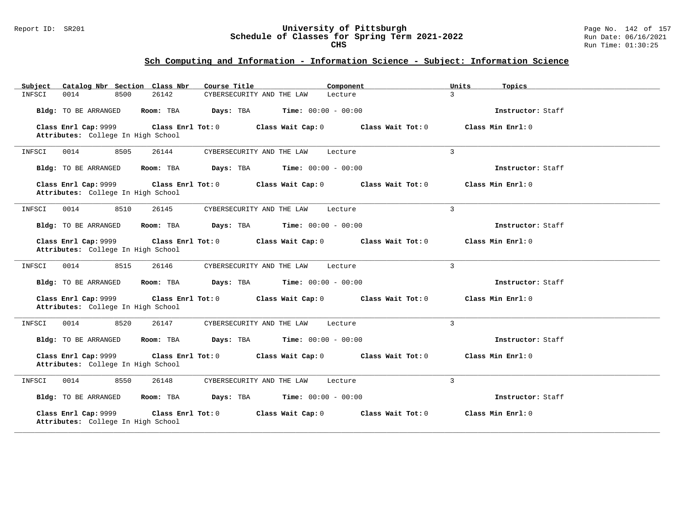### Report ID: SR201 **University of Pittsburgh** Page No. 142 of 157 **Schedule of Classes for Spring Term 2021-2022** Run Date: 06/16/2021 **CHS** Run Time: 01:30:25

| Catalog Nbr Section Class Nbr<br>Subject                   | Course Title                              | Component                 | Units<br>Topics     |
|------------------------------------------------------------|-------------------------------------------|---------------------------|---------------------|
| 0014<br>8500<br>26142<br>INFSCI                            | CYBERSECURITY AND THE LAW                 | $\overline{3}$<br>Lecture |                     |
| Bldg: TO BE ARRANGED<br>Room: TBA                          | <b>Time:</b> $00:00 - 00:00$<br>Days: TBA |                           | Instructor: Staff   |
| Class Enrl Cap: 9999<br>Attributes: College In High School | Class Enrl Tot: 0<br>Class Wait Cap: 0    | Class Wait Tot: 0         | Class Min $Enrl: 0$ |
| 0014<br>8505<br>26144<br>INFSCI                            | CYBERSECURITY AND THE LAW                 | 3<br>Lecture              |                     |
| Bldg: TO BE ARRANGED<br>Room: TBA                          | Days: TBA<br><b>Time:</b> $00:00 - 00:00$ |                           | Instructor: Staff   |
| Class Enrl Cap: 9999<br>Attributes: College In High School | Class Enrl Tot: 0<br>Class Wait Cap: 0    | Class Wait Tot: 0         | Class Min Enrl: 0   |
| 0014<br>8510<br>26145<br>INFSCI                            | CYBERSECURITY AND THE LAW                 | 3<br>Lecture              |                     |
| Bldg: TO BE ARRANGED<br>Room: TBA                          | Days: TBA<br><b>Time:</b> $00:00 - 00:00$ |                           | Instructor: Staff   |
| Class Enrl Cap: 9999<br>Attributes: College In High School | Class Enrl Tot: 0<br>Class Wait Cap: 0    | Class Wait Tot: 0         | Class Min $Enrl: 0$ |
| 8515<br>INFSCI<br>0014<br>26146                            | CYBERSECURITY AND THE LAW                 | 3<br>Lecture              |                     |
| Bldg: TO BE ARRANGED<br>Room: TBA                          | Days: TBA<br><b>Time:</b> $00:00 - 00:00$ |                           | Instructor: Staff   |
| Class Enrl Cap: 9999<br>Attributes: College In High School | Class Enrl Tot: 0<br>Class Wait Cap: 0    | Class Wait Tot: 0         | Class Min Enrl: 0   |
| 8520<br>0014<br>26147<br>INFSCI                            | CYBERSECURITY AND THE LAW                 | $\overline{3}$<br>Lecture |                     |
| Bldg: TO BE ARRANGED<br>Room: TBA                          | Days: TBA<br><b>Time:</b> $00:00 - 00:00$ |                           | Instructor: Staff   |
| Class Enrl Cap: 9999<br>Attributes: College In High School | Class Enrl Tot: 0<br>Class Wait Cap: 0    | Class Wait Tot: 0         | Class Min Enrl: 0   |
| 8550<br>26148<br>INFSCI<br>0014                            | CYBERSECURITY AND THE LAW                 | 3<br>Lecture              |                     |
| Bldg: TO BE ARRANGED<br>Room: TBA                          | Days: TBA<br><b>Time:</b> $00:00 - 00:00$ |                           | Instructor: Staff   |
| Class Enrl Cap: 9999<br>Attributes: College In High School | Class Enrl Tot: 0<br>Class Wait Cap: 0    | Class Wait Tot: 0         | Class Min Enrl: 0   |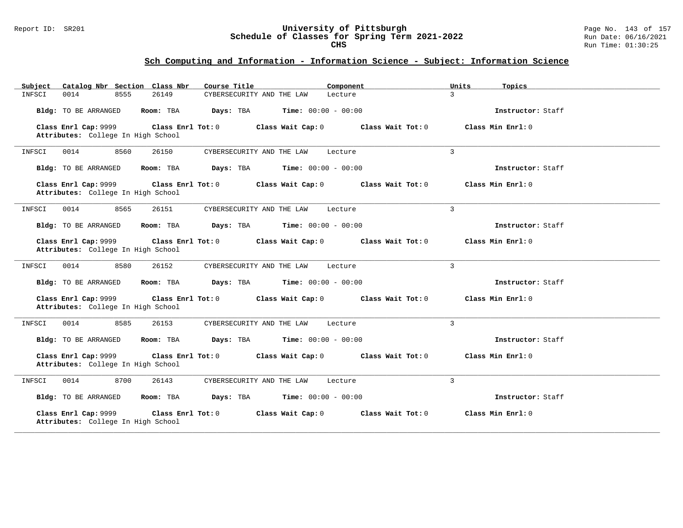### Report ID: SR201 **University of Pittsburgh** Page No. 143 of 157 **Schedule of Classes for Spring Term 2021-2022** Run Date: 06/16/2021 **CHS** Run Time: 01:30:25

| Catalog Nbr Section Class Nbr<br>Subject                   | Course Title                                           | Component<br>Units | Topics              |
|------------------------------------------------------------|--------------------------------------------------------|--------------------|---------------------|
| 0014<br>8555<br>INFSCI                                     | 26149<br>CYBERSECURITY AND THE LAW                     | 3<br>Lecture       |                     |
| Bldg: TO BE ARRANGED                                       | Room: TBA<br>Days: TBA<br><b>Time:</b> $00:00 - 00:00$ |                    | Instructor: Staff   |
| Class Enrl Cap: 9999<br>Attributes: College In High School | Class Enrl Tot: 0<br>Class Wait Cap: 0                 | Class Wait Tot: 0  | Class Min $Enrl: 0$ |
| 0014<br>8560<br>INFSCI                                     | 26150<br>CYBERSECURITY AND THE LAW                     | 3<br>Lecture       |                     |
| Bldg: TO BE ARRANGED                                       | <b>Time:</b> $00:00 - 00:00$<br>Room: TBA<br>Days: TBA |                    | Instructor: Staff   |
| Class Enrl Cap: 9999<br>Attributes: College In High School | Class Enrl Tot: 0<br>Class Wait Cap: 0                 | Class Wait Tot: 0  | Class Min Enrl: 0   |
| INFSCI<br>0014<br>8565                                     | 26151<br>CYBERSECURITY AND THE LAW                     | 3<br>Lecture       |                     |
| Bldg: TO BE ARRANGED                                       | Room: TBA<br>Days: TBA<br><b>Time:</b> $00:00 - 00:00$ |                    | Instructor: Staff   |
| Class Enrl Cap: 9999<br>Attributes: College In High School | Class Enrl Tot: 0<br>Class Wait Cap: 0                 | Class Wait Tot: 0  | Class Min $Enrl: 0$ |
| 8580<br>INFSCI<br>0014                                     | 26152<br>CYBERSECURITY AND THE LAW                     | 3<br>Lecture       |                     |
| Bldg: TO BE ARRANGED                                       | Room: TBA<br>Days: TBA<br><b>Time:</b> $00:00 - 00:00$ |                    | Instructor: Staff   |
| Class Enrl Cap: 9999<br>Attributes: College In High School | Class Enrl Tot: 0<br>Class Wait Cap: 0                 | Class Wait Tot: 0  | Class Min Enrl: 0   |
| 8585<br>0014<br>INFSCI                                     | 26153<br>CYBERSECURITY AND THE LAW                     | 3<br>Lecture       |                     |
| Bldg: TO BE ARRANGED                                       | Room: TBA<br>Days: TBA<br><b>Time:</b> $00:00 - 00:00$ |                    | Instructor: Staff   |
| Class Enrl Cap: 9999<br>Attributes: College In High School | Class Enrl Tot: 0<br>Class Wait Cap: 0                 | Class Wait Tot: 0  | Class Min Enrl: 0   |
| 8700<br>INFSCI<br>0014                                     | 26143<br>CYBERSECURITY AND THE LAW                     | 3<br>Lecture       |                     |
| Bldg: TO BE ARRANGED                                       | Room: TBA<br>Days: TBA<br><b>Time:</b> $00:00 - 00:00$ |                    | Instructor: Staff   |
| Class Enrl Cap: 9999<br>Attributes: College In High School | Class Enrl Tot: 0<br>Class Wait Cap: 0                 | Class Wait Tot: 0  | Class Min Enrl: 0   |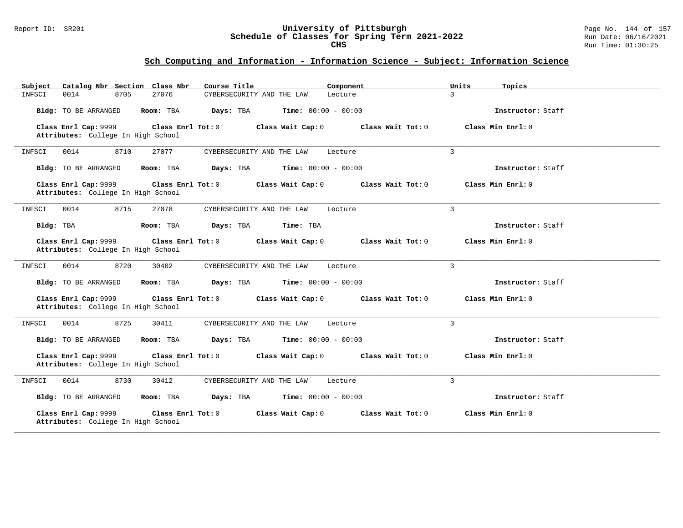### Report ID: SR201 **University of Pittsburgh** Page No. 144 of 157 **Schedule of Classes for Spring Term 2021-2022** Run Date: 06/16/2021 **CHS** Run Time: 01:30:25

| Catalog Nbr Section Class Nbr<br>Subject                   | Course Title                                           | Component<br>Units       | Topics              |
|------------------------------------------------------------|--------------------------------------------------------|--------------------------|---------------------|
| 0014<br>8705<br>INFSCI                                     | 27076<br>CYBERSECURITY AND THE LAW                     | 3<br>Lecture             |                     |
| Bldg: TO BE ARRANGED                                       | Days: TBA<br><b>Time:</b> $00:00 - 00:00$<br>Room: TBA |                          | Instructor: Staff   |
| Class Enrl Cap: 9999<br>Attributes: College In High School | Class Enrl Tot: 0<br>Class Wait Cap: 0                 | Class Wait Tot: $0$      | Class Min $Enrl: 0$ |
| 0014<br>8710<br>INFSCI                                     | 27077<br>CYBERSECURITY AND THE LAW                     | $\mathbf{3}$<br>Lecture  |                     |
| Bldg: TO BE ARRANGED                                       | Room: TBA<br>Days: TBA<br><b>Time:</b> $00:00 - 00:00$ |                          | Instructor: Staff   |
| Class Enrl Cap: 9999<br>Attributes: College In High School | Class Enrl Tot: 0<br>Class Wait Cap: 0                 | Class Wait Tot: 0        | Class Min $Enrl: 0$ |
| 8715<br>INFSCI<br>0014                                     | 27078<br>CYBERSECURITY AND THE LAW                     | $\mathcal{E}$<br>Lecture |                     |
| Bldg: TBA                                                  | Room: TBA<br>Days: TBA<br>Time: TBA                    |                          | Instructor: Staff   |
| Class Enrl Cap: 9999<br>Attributes: College In High School | Class Enrl Tot: 0<br>Class Wait Cap: 0                 | Class Wait Tot: 0        | Class Min Enrl: 0   |
| 0014<br>8720<br>INFSCI                                     | 30402<br>CYBERSECURITY AND THE LAW                     | $\mathcal{L}$<br>Lecture |                     |
| Bldg: TO BE ARRANGED                                       | Days: TBA<br><b>Time:</b> $00:00 - 00:00$<br>Room: TBA |                          | Instructor: Staff   |
| Class Enrl Cap: 9999<br>Attributes: College In High School | Class Enrl Tot: 0<br>Class Wait Cap: 0                 | Class Wait Tot: 0        | Class Min Enrl: 0   |
| 8725<br>0014<br>INFSCI                                     | 30411<br>CYBERSECURITY AND THE LAW                     | 3<br>Lecture             |                     |
| Bldg: TO BE ARRANGED                                       | Room: TBA<br>Days: TBA<br><b>Time:</b> $00:00 - 00:00$ |                          | Instructor: Staff   |
| Class Enrl Cap: 9999<br>Attributes: College In High School | Class Enrl Tot: 0<br>Class Wait Cap: 0                 | Class Wait Tot: 0        | Class Min Enrl: 0   |
| 8730<br>INFSCI<br>0014                                     | 30412<br>CYBERSECURITY AND THE LAW                     | 3<br>Lecture             |                     |
| Bldg: TO BE ARRANGED                                       | Room: TBA<br>Days: TBA<br><b>Time:</b> $00:00 - 00:00$ |                          | Instructor: Staff   |
| Class Enrl Cap: 9999<br>Attributes: College In High School | Class Enrl Tot: 0<br>Class Wait Cap: 0                 | Class Wait Tot: 0        | Class Min Enrl: 0   |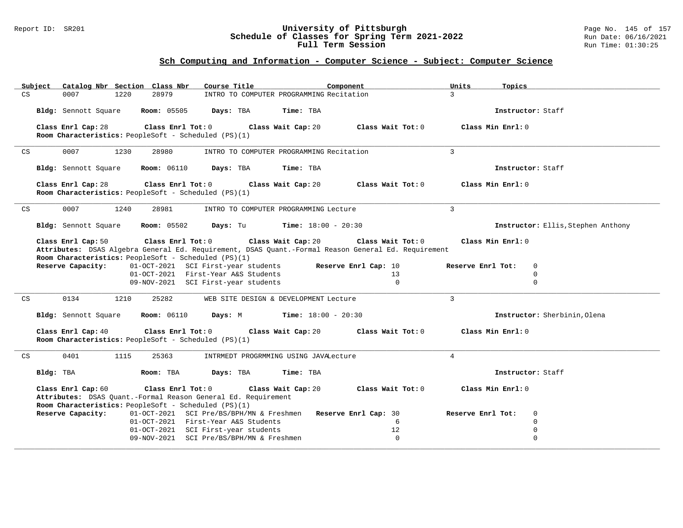#### Report ID: SR201 **University of Pittsburgh** Page No. 145 of 157 **Schedule of Classes for Spring Term 2021-2022** Run Date: 06/16/2021 **Full Term Session Rundall Term Session Rundall Term Session**

| Subiect | Catalog Nbr Section Class Nbr                                                                       | Course Title                                                  | Component            | Units<br>Topics                    |  |
|---------|-----------------------------------------------------------------------------------------------------|---------------------------------------------------------------|----------------------|------------------------------------|--|
| CS      | 28979<br>0007<br>1220                                                                               | INTRO TO COMPUTER PROGRAMMING Recitation                      |                      | $\mathcal{L}$                      |  |
|         | <b>Room: 05505</b>                                                                                  | Time: TBA                                                     |                      | Instructor: Staff                  |  |
|         | Bldg: Sennott Square                                                                                | Days: TBA                                                     |                      |                                    |  |
|         | Class Enrl Cap: 28<br>Class Enrl Tot: 0                                                             | Class Wait Cap: 20                                            | Class Wait Tot: 0    | Class Min Enrl: 0                  |  |
|         | Room Characteristics: PeopleSoft - Scheduled (PS)(1)                                                |                                                               |                      |                                    |  |
|         |                                                                                                     |                                                               |                      |                                    |  |
| CS      | 0007<br>1230<br>28980                                                                               | INTRO TO COMPUTER PROGRAMMING Recitation                      |                      | $\overline{3}$                     |  |
|         | <b>Room: 06110</b><br>Bldg: Sennott Square                                                          | Days: TBA<br>Time: TBA                                        |                      | Instructor: Staff                  |  |
|         |                                                                                                     |                                                               |                      |                                    |  |
|         | Class Enrl Tot: 0<br>Class Enrl Cap: 28                                                             | Class Wait Cap: 20                                            | Class Wait Tot: 0    | Class Min Enrl: 0                  |  |
|         | Room Characteristics: PeopleSoft - Scheduled (PS)(1)                                                |                                                               |                      |                                    |  |
| CS      | 0007<br>28981<br>1240                                                                               | INTRO TO COMPUTER PROGRAMMING Lecture                         |                      | $\overline{3}$                     |  |
|         |                                                                                                     |                                                               |                      |                                    |  |
|         | Bldg: Sennott Square<br><b>Room:</b> 05502                                                          | Days: Tu<br><b>Time:</b> $18:00 - 20:30$                      |                      | Instructor: Ellis, Stephen Anthony |  |
|         | Class Enrl Tot: 0<br>Class Enrl Cap: 50                                                             | Class Wait Cap: 20                                            | Class Wait Tot: 0    | Class Min Enrl: 0                  |  |
|         | Attributes: DSAS Algebra General Ed. Requirement, DSAS Quant.-Formal Reason General Ed. Requirement |                                                               |                      |                                    |  |
|         | Room Characteristics: PeopleSoft - Scheduled (PS)(1)                                                |                                                               |                      |                                    |  |
|         | Reserve Capacity:                                                                                   | 01-OCT-2021 SCI First-year students                           | Reserve Enrl Cap: 10 | Reserve Enrl Tot:<br>0             |  |
|         |                                                                                                     | 01-OCT-2021 First-Year A&S Students                           | 13                   | $\Omega$                           |  |
|         |                                                                                                     | 09-NOV-2021 SCI First-year students                           | $\Omega$             | $\Omega$                           |  |
| CS      | 0134<br>25282<br>1210                                                                               | WEB SITE DESIGN & DEVELOPMENT Lecture                         |                      | $\overline{3}$                     |  |
|         |                                                                                                     |                                                               |                      |                                    |  |
|         | <b>Room:</b> 06110<br>Bldg: Sennott Square                                                          | <b>Time:</b> $18:00 - 20:30$<br>Days: M                       |                      | Instructor: Sherbinin, Olena       |  |
|         |                                                                                                     |                                                               |                      |                                    |  |
|         | Class Enrl Cap: 40<br>Class Enrl Tot: 0<br>Room Characteristics: PeopleSoft - Scheduled (PS)(1)     | Class Wait Cap: 20                                            | Class Wait Tot: 0    | Class Min Enrl: 0                  |  |
|         |                                                                                                     |                                                               |                      |                                    |  |
| CS      | 0401<br>1115<br>25363                                                                               | INTRMEDT PROGRMMING USING JAVALecture                         |                      | $\overline{4}$                     |  |
|         |                                                                                                     |                                                               |                      |                                    |  |
|         | Bldg: TBA<br>Room: TBA                                                                              | Days: TBA<br>Time: TBA                                        |                      | Instructor: Staff                  |  |
|         | Class Enrl Cap: 60<br>Class Enrl Tot: 0                                                             | Class Wait Cap: 20                                            | Class Wait Tot: 0    | Class Min Enrl: 0                  |  |
|         | Attributes: DSAS Quant.-Formal Reason General Ed. Requirement                                       |                                                               |                      |                                    |  |
|         | Room Characteristics: PeopleSoft - Scheduled (PS)(1)                                                |                                                               |                      |                                    |  |
|         | Reserve Capacity:                                                                                   | 01-OCT-2021 SCI Pre/BS/BPH/MN & Freshmen Reserve Enrl Cap: 30 |                      | Reserve Enrl Tot:<br>$\Omega$      |  |
|         |                                                                                                     | 01-OCT-2021 First-Year A&S Students                           | 6                    | $\Omega$                           |  |
|         |                                                                                                     | 01-OCT-2021 SCI First-year students                           | 12                   | 0                                  |  |
|         |                                                                                                     | 09-NOV-2021 SCI Pre/BS/BPH/MN & Freshmen                      | $\Omega$             | $\Omega$                           |  |
|         |                                                                                                     |                                                               |                      |                                    |  |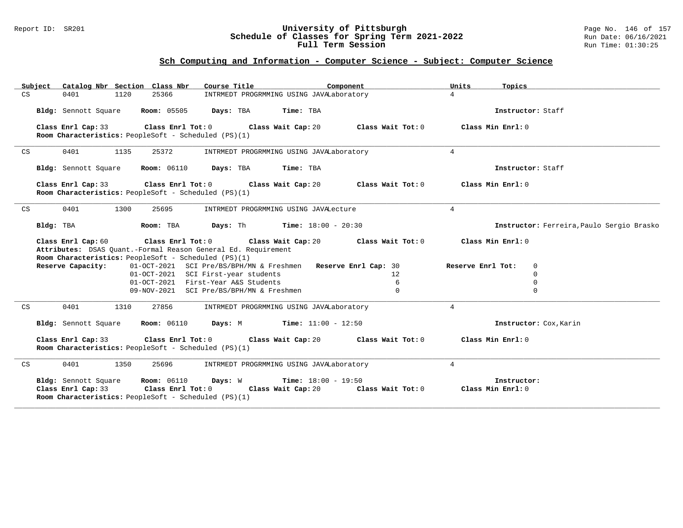#### Report ID: SR201 **University of Pittsburgh** Page No. 146 of 157 **Schedule of Classes for Spring Term 2021-2022** Run Date: 06/16/2021 **Full Term Session Rundall Term Session Rundall Term Session**

| Catalog Nbr Section Class Nbr<br>Subject                                                          | Course Title                                                                                         | Component         | Units<br>Topics                    |                                           |
|---------------------------------------------------------------------------------------------------|------------------------------------------------------------------------------------------------------|-------------------|------------------------------------|-------------------------------------------|
| 0401<br>1120<br>25366<br>CS                                                                       | INTRMEDT PROGRMMING USING JAVALaboratory                                                             |                   | $\overline{4}$                     |                                           |
| Bldg: Sennott Square                                                                              | Room: 05505 Days: TBA<br>Time: TBA                                                                   |                   | Instructor: Staff                  |                                           |
|                                                                                                   |                                                                                                      |                   |                                    |                                           |
| Class Enrl Cap: 33<br>Class Enrl Tot: $0$<br>Room Characteristics: PeopleSoft - Scheduled (PS)(1) | Class Wait Cap: 20                                                                                   | Class Wait Tot: 0 | Class Min Enrl: 0                  |                                           |
|                                                                                                   |                                                                                                      |                   |                                    |                                           |
| 0401<br>1135<br>25372<br>CS                                                                       | INTRMEDT PROGRMMING USING JAVALaboratory                                                             |                   | $4\overline{ }$                    |                                           |
| <b>Room: 06110</b><br>Bldg: Sennott Square                                                        | Days: TBA<br>Time: TBA                                                                               |                   | Instructor: Staff                  |                                           |
| Class Enrl Cap: 33<br>Class Enrl Tot: $0$                                                         | Class Wait Cap: 20                                                                                   | Class Wait Tot: 0 | Class Min Enrl: 0                  |                                           |
| Room Characteristics: PeopleSoft - Scheduled (PS)(1)                                              |                                                                                                      |                   |                                    |                                           |
| CS<br>0401<br>1300<br>25695                                                                       | INTRMEDT PROGRMMING USING JAVALecture                                                                |                   | $\overline{4}$                     |                                           |
|                                                                                                   |                                                                                                      |                   |                                    |                                           |
| Bldg: TBA<br>Room: TBA                                                                            | Days: Th<br><b>Time:</b> $18:00 - 20:30$                                                             |                   |                                    | Instructor: Ferreira, Paulo Sergio Brasko |
| Class Enrl Cap: 60<br>Class Enrl Tot: $0$                                                         | Class Wait Cap: 20                                                                                   | Class Wait Tot: 0 | Class Min Enrl: 0                  |                                           |
| Attributes: DSAS Quant.-Formal Reason General Ed. Requirement                                     |                                                                                                      |                   |                                    |                                           |
| Room Characteristics: PeopleSoft - Scheduled (PS)(1)                                              |                                                                                                      |                   |                                    |                                           |
| Reserve Capacity:                                                                                 | 01-OCT-2021 SCI Pre/BS/BPH/MN & Freshmen Reserve Enrl Cap: 30<br>01-OCT-2021 SCI First-year students | $12^{\circ}$      | Reserve Enrl Tot:<br>0<br>$\Omega$ |                                           |
|                                                                                                   | 01-OCT-2021 First-Year A&S Students                                                                  | 6                 | $\mathbf 0$                        |                                           |
|                                                                                                   | 09-NOV-2021 SCI Pre/BS/BPH/MN & Freshmen                                                             | $\Omega$          | $\Omega$                           |                                           |
|                                                                                                   |                                                                                                      |                   |                                    |                                           |
| 0401<br>CS<br>1310<br>27856                                                                       | INTRMEDT PROGRMMING USING JAVALaboratory                                                             |                   | $4\overline{ }$                    |                                           |
| Bldg: Sennott Square<br><b>Room: 06110</b>                                                        | Days: M<br>$Time: 11:00 - 12:50$                                                                     |                   |                                    | Instructor: Cox, Karin                    |
| Class Enrl Cap: 33<br>Class Enrl Tot:0                                                            | Class Wait Cap: 20                                                                                   | Class Wait Tot: 0 | Class Min Enrl: 0                  |                                           |
| Room Characteristics: PeopleSoft - Scheduled (PS)(1)                                              |                                                                                                      |                   |                                    |                                           |
| 0401<br>1350<br>25696<br>CS                                                                       | INTRMEDT PROGRMMING USING JAVALaboratory                                                             |                   | $\overline{4}$                     |                                           |
| Bldg: Sennott Square<br><b>Room:</b> 06110                                                        | Days: W<br><b>Time:</b> $18:00 - 19:50$                                                              |                   | Instructor:                        |                                           |
| Class Enrl Cap: 33 Class Enrl Tot: 0                                                              | Class Wait Cap: 20                                                                                   | Class Wait Tot: 0 | Class Min Enrl: 0                  |                                           |
| Room Characteristics: PeopleSoft - Scheduled (PS)(1)                                              |                                                                                                      |                   |                                    |                                           |
|                                                                                                   |                                                                                                      |                   |                                    |                                           |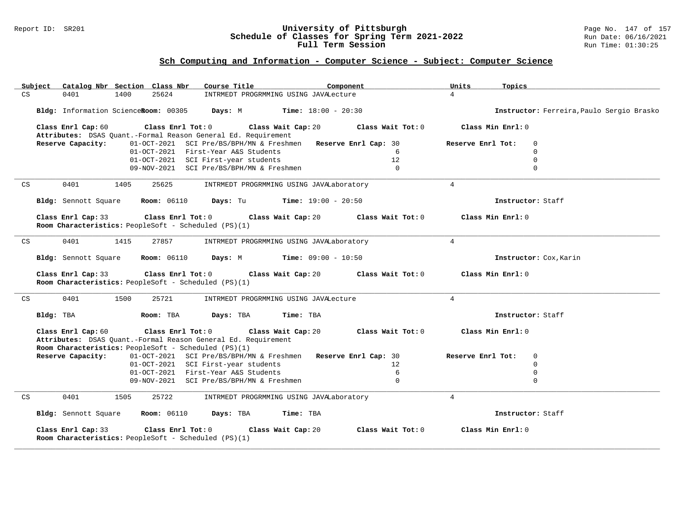#### Report ID: SR201 **University of Pittsburgh** Page No. 147 of 157 **Schedule of Classes for Spring Term 2021-2022** Run Date: 06/16/2021 **Full Term Session Rundall Term Session Rundall Term Session**

| Subject            | Catalog Nbr Section Class Nbr                        |                                                      | Course Title                                                                                         |                       | Component           | Units             | Topics                                    |
|--------------------|------------------------------------------------------|------------------------------------------------------|------------------------------------------------------------------------------------------------------|-----------------------|---------------------|-------------------|-------------------------------------------|
| CS<br>0401         | 1400                                                 | 25624                                                | INTRMEDT PROGRMMING USING JAVALecture                                                                |                       |                     | $\overline{4}$    |                                           |
|                    |                                                      |                                                      | Bldg: Information ScienceRoom: 00305 Days: M Time: 18:00 - 20:30                                     |                       |                     |                   | Instructor: Ferreira, Paulo Sergio Brasko |
| Class Enrl Cap: 60 |                                                      | Class Enrl Tot: 0                                    |                                                                                                      | Class Wait Cap: 20    | Class Wait Tot: 0   | Class Min Enrl: 0 |                                           |
|                    |                                                      |                                                      | Attributes: DSAS Quant.-Formal Reason General Ed. Requirement                                        |                       |                     |                   |                                           |
| Reserve Capacity:  |                                                      |                                                      | 01-OCT-2021 SCI Pre/BS/BPH/MN & Freshmen Reserve Enrl Cap: 30<br>01-OCT-2021 First-Year A&S Students |                       | 6                   | Reserve Enrl Tot: | $\mathbf 0$<br>$\mathbf 0$                |
|                    |                                                      |                                                      | 01-OCT-2021 SCI First-year students                                                                  |                       | 12                  |                   | $\Omega$                                  |
|                    |                                                      |                                                      | 09-NOV-2021 SCI Pre/BS/BPH/MN & Freshmen                                                             |                       | $\Omega$            |                   | $\Omega$                                  |
|                    |                                                      |                                                      |                                                                                                      |                       |                     |                   |                                           |
| CS<br>0401         | 1405                                                 | 25625                                                | INTRMEDT PROGRMMING USING JAVALaboratory                                                             |                       |                     | $\overline{4}$    |                                           |
|                    | Bldg: Sennott Square                                 | <b>Room: 06110</b>                                   | Days: Tu                                                                                             | $Time: 19:00 - 20:50$ |                     |                   | Instructor: Staff                         |
| Class Enrl Cap: 33 | Room Characteristics: PeopleSoft - Scheduled (PS)(1) | Class Enrl Tot: 0                                    |                                                                                                      | Class Wait Cap: 20    | Class Wait Tot: $0$ | Class Min Enrl: 0 |                                           |
| 0401<br>CS         | 1415                                                 | 27857                                                | INTRMEDT PROGRMMING USING JAVALaboratory                                                             |                       |                     | $\overline{4}$    |                                           |
|                    | Bldg: Sennott Square Room: 06110                     |                                                      | <b>Days:</b> M <b>Time:</b> $09:00 - 10:50$                                                          |                       |                     |                   | Instructor: Cox, Karin                    |
| Class Enrl Cap: 33 | Room Characteristics: PeopleSoft - Scheduled (PS)(1) | $\texttt{Class}$ $\texttt{Enrl}$ $\texttt{Tot:}$ $0$ |                                                                                                      | Class Wait Cap: 20    | Class Wait Tot: 0   | Class Min Enrl: 0 |                                           |
| 0401<br>CS         | 1500                                                 | 25721                                                | INTRMEDT PROGRMMING USING JAVALecture                                                                |                       |                     | $4\overline{ }$   |                                           |
| Bldg: TBA          |                                                      | Room: TBA                                            | Days: TBA                                                                                            | Time: TBA             |                     |                   | Instructor: Staff                         |
| Class Enrl Cap: 60 | Room Characteristics: PeopleSoft - Scheduled (PS)(1) | Class Enrl Tot: 0                                    | Class Wait Cap: 20<br>Attributes: DSAS Quant.-Formal Reason General Ed. Requirement                  |                       | Class Wait Tot: 0   | Class Min Enrl: 0 |                                           |
| Reserve Capacity:  |                                                      |                                                      | 01-OCT-2021 SCI Pre/BS/BPH/MN & Freshmen Reserve Enrl Cap: 30                                        |                       |                     | Reserve Enrl Tot: | $\mathbf 0$                               |
|                    |                                                      |                                                      | 01-OCT-2021 SCI First-year students                                                                  |                       | 12                  |                   | $\Omega$                                  |
|                    |                                                      |                                                      | 01-OCT-2021 First-Year A&S Students                                                                  |                       | 6                   |                   | 0                                         |
|                    |                                                      |                                                      | 09-NOV-2021 SCI Pre/BS/BPH/MN & Freshmen                                                             |                       | $\Omega$            |                   | $\mathbf 0$                               |
| 0401<br>CS         | 1505                                                 | 25722                                                | INTRMEDT PROGRMMING USING JAVALaboratory                                                             |                       |                     | $\overline{4}$    |                                           |
|                    | Bldg: Sennott Square                                 | <b>Room: 06110</b>                                   | Days: TBA                                                                                            | Time: TBA             |                     |                   | Instructor: Staff                         |
| Class Enrl Cap: 33 | Room Characteristics: PeopleSoft - Scheduled (PS)(1) | Class Enrl Tot: 0                                    |                                                                                                      | Class Wait Cap: 20    | Class Wait Tot: 0   | Class Min Enrl: 0 |                                           |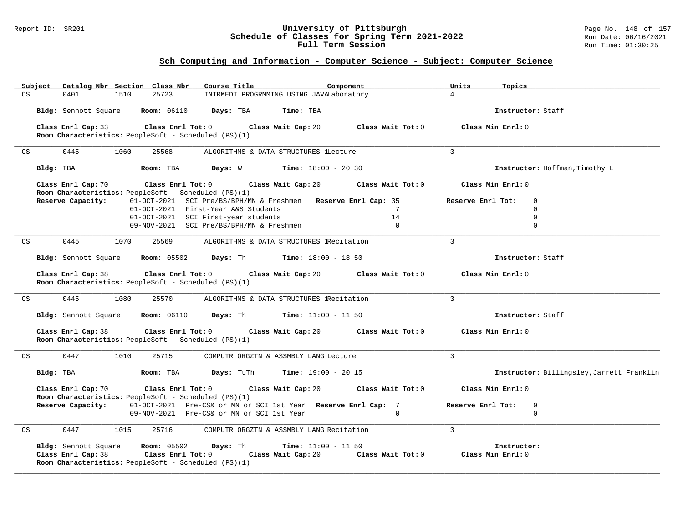### Report ID: SR201 **University of Pittsburgh** Page No. 148 of 157 **Schedule of Classes for Spring Term 2021-2022** Run Date: 06/16/2021 **Full Term Session Rundall Term Session Rundall Term Session**

| Subject |                                                                            | Catalog Nbr Section Class Nbr | Course Title                                                                                               |                                              | Component         | Units<br>Topics   |                                           |
|---------|----------------------------------------------------------------------------|-------------------------------|------------------------------------------------------------------------------------------------------------|----------------------------------------------|-------------------|-------------------|-------------------------------------------|
| CS      | 0401<br>1510                                                               | 25723                         | INTRMEDT PROGRMMING USING JAVALaboratory                                                                   |                                              |                   | $\overline{4}$    |                                           |
|         | Bldg: Sennott Square                                                       | <b>Room: 06110</b>            | Days: TBA                                                                                                  | Time: TBA                                    |                   |                   | Instructor: Staff                         |
|         | Class Enrl Cap: 33                                                         | Class Enrl Tot: 0             |                                                                                                            | Class Wait Cap: 20                           | Class Wait Tot: 0 | Class Min Enrl: 0 |                                           |
|         | Room Characteristics: PeopleSoft - Scheduled (PS)(1)                       |                               |                                                                                                            |                                              |                   |                   |                                           |
| CS      | 0445                                                                       | 1060<br>25568                 | ALGORITHMS & DATA STRUCTURES lLecture                                                                      |                                              |                   | $\overline{3}$    |                                           |
|         | Bldg: TBA                                                                  | Room: TBA                     |                                                                                                            | <b>Days:</b> W <b>Time:</b> $18:00 - 20:30$  |                   |                   | Instructor: Hoffman, Timothy L            |
|         | Class Enrl Cap: 70                                                         | $Class$ $Enr1$ $Tot: 0$       |                                                                                                            | Class Wait Cap: 20                           | Class Wait Tot: 0 | Class Min Enrl: 0 |                                           |
|         | Room Characteristics: PeopleSoft - Scheduled (PS)(1)<br>Reserve Capacity:  |                               | 01-OCT-2021 SCI Pre/BS/BPH/MN & Freshmen Reserve Enrl Cap: 35                                              |                                              |                   | Reserve Enrl Tot: | $\mathbf 0$                               |
|         |                                                                            |                               | 01-OCT-2021 First-Year A&S Students                                                                        |                                              | $7\phantom{.0}$   |                   | $\Omega$                                  |
|         |                                                                            |                               | 01-OCT-2021 SCI First-year students                                                                        |                                              | 14                |                   | $\mathbf 0$                               |
|         |                                                                            |                               | 09-NOV-2021 SCI Pre/BS/BPH/MN & Freshmen                                                                   |                                              | $\overline{0}$    |                   | $\mathbf 0$                               |
| CS      | 0445                                                                       | 1070<br>25569                 | ALGORITHMS & DATA STRUCTURES lRecitation                                                                   |                                              |                   | $\overline{3}$    |                                           |
|         | Bldg: Sennott Square                                                       | <b>Room:</b> 05502            |                                                                                                            | <b>Days:</b> Th <b>Time:</b> $18:00 - 18:50$ |                   |                   | Instructor: Staff                         |
|         | Class Enrl Cap: 38<br>Room Characteristics: PeopleSoft - Scheduled (PS)(1) | Class Enrl Tot: 0             |                                                                                                            | Class Wait Cap: 20                           | Class Wait Tot: 0 | Class Min Enrl: 0 |                                           |
|         |                                                                            |                               |                                                                                                            |                                              |                   |                   |                                           |
| CS      | 0445                                                                       | 1080<br>25570                 | ALGORITHMS & DATA STRUCTURES lRecitation                                                                   |                                              |                   | 3                 |                                           |
|         | Bldg: Sennott Square                                                       | <b>Room: 06110</b>            | <b>Days:</b> Th                                                                                            | <b>Time:</b> $11:00 - 11:50$                 |                   |                   | Instructor: Staff                         |
|         | Class Enrl Cap: 38<br>Room Characteristics: PeopleSoft - Scheduled (PS)(1) | Class Enrl Tot: 0             |                                                                                                            | Class Wait Cap: 20                           | Class Wait Tot: 0 | Class Min Enrl: 0 |                                           |
|         |                                                                            |                               |                                                                                                            |                                              |                   |                   |                                           |
| CS      | 1010<br>0447                                                               | 25715                         | COMPUTR ORGZTN & ASSMBLY LANG Lecture                                                                      |                                              |                   | $\overline{3}$    |                                           |
|         | Bldg: TBA                                                                  | Room: TBA                     | Days: TuTh                                                                                                 | <b>Time:</b> $19:00 - 20:15$                 |                   |                   | Instructor: Billingsley, Jarrett Franklin |
|         | Class Enrl Cap: 70                                                         | Class Enrl Tot: $0$           |                                                                                                            | Class Wait Cap: 20                           | Class Wait Tot: 0 | Class Min Enrl: 0 |                                           |
|         | Room Characteristics: PeopleSoft - Scheduled (PS)(1)                       |                               |                                                                                                            |                                              |                   |                   |                                           |
|         | Reserve Capacity:                                                          |                               | 01-OCT-2021 Pre-CS& or MN or SCI 1st Year Reserve Enrl Cap: 7<br>09-NOV-2021 Pre-CS& or MN or SCI 1st Year |                                              | $\Omega$          | Reserve Enrl Tot: | 0<br>$\Omega$                             |
|         |                                                                            |                               |                                                                                                            |                                              |                   |                   |                                           |
| CS      | 0447                                                                       | 1015<br>25716                 | COMPUTR ORGZTN & ASSMBLY LANG Recitation                                                                   |                                              |                   | $\overline{3}$    |                                           |
|         | Bldg: Sennott Square                                                       | Room: 05502                   | Days: Th                                                                                                   | <b>Time:</b> $11:00 - 11:50$                 |                   | Instructor:       |                                           |
|         | Class Enrl Cap: 38                                                         | Class Enrl Tot: 0             |                                                                                                            | Class Wait Cap: 20                           | Class Wait Tot: 0 | Class Min Enrl: 0 |                                           |
|         | Room Characteristics: PeopleSoft - Scheduled (PS)(1)                       |                               |                                                                                                            |                                              |                   |                   |                                           |
|         |                                                                            |                               |                                                                                                            |                                              |                   |                   |                                           |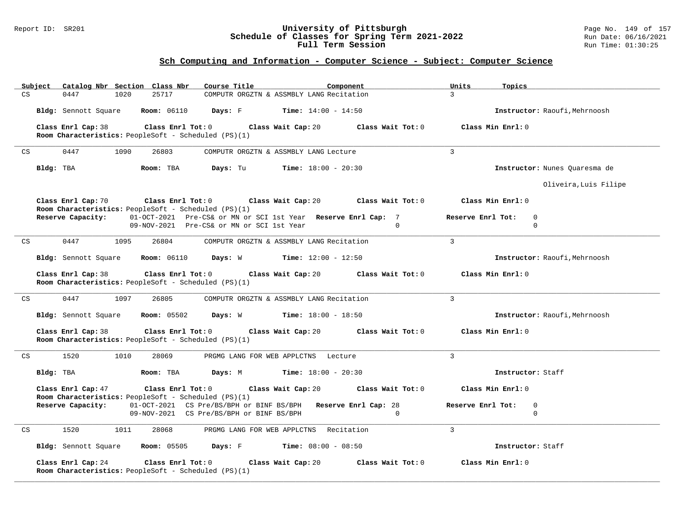### Report ID: SR201 **University of Pittsburgh** Page No. 149 of 157 **Schedule of Classes for Spring Term 2021-2022** Run Date: 06/16/2021 **Full Term Session Rundall Term Session Rundall Term Session**

| Catalog Nbr Section Class Nbr<br>Course Title<br>Subject                                                           | Component                                   | Units<br>Topics                   |
|--------------------------------------------------------------------------------------------------------------------|---------------------------------------------|-----------------------------------|
| 0447<br>25717<br>CS<br>1020                                                                                        | COMPUTR ORGZTN & ASSMBLY LANG Recitation    | $\overline{3}$                    |
| Bldg: Sennott Square<br><b>Room: 06110</b>                                                                         | <b>Days:</b> F <b>Time:</b> $14:00 - 14:50$ | Instructor: Raoufi, Mehrnoosh     |
| Class Enrl Cap: 38<br>Class Enrl Tot: 0<br>Room Characteristics: PeopleSoft - Scheduled (PS)(1)                    | Class Wait Cap: 20<br>Class Wait Tot: 0     | Class Min Enrl: 0                 |
| 0447<br>1090<br>26803<br>CS                                                                                        | COMPUTR ORGZTN & ASSMBLY LANG Lecture       | $\mathbf{3}$                      |
| Bldg: TBA<br>Room: TBA<br>Days: Tu                                                                                 | <b>Time:</b> $18:00 - 20:30$                | Instructor: Nunes Ouaresma de     |
|                                                                                                                    |                                             | Oliveira, Luis Filipe             |
| Class Enrl Tot: 0 Class Wait Cap: 20<br>Class Enrl Cap: 70<br>Room Characteristics: PeopleSoft - Scheduled (PS)(1) | Class Wait Tot: 0                           | Class Min Enrl: 0                 |
| Reserve Capacity:<br>01-OCT-2021 Pre-CS& or MN or SCI 1st Year Reserve Enrl Cap: 7                                 |                                             | Reserve Enrl Tot:<br>0            |
| 09-NOV-2021 Pre-CS& or MN or SCI 1st Year                                                                          | $\cap$                                      | $\mathbf 0$                       |
| 0447<br>1095<br>26804<br>CS                                                                                        | COMPUTR ORGZTN & ASSMBLY LANG Recitation    | $\overline{3}$                    |
| <b>Room: 06110</b><br>Bldg: Sennott Square                                                                         | <b>Days:</b> W <b>Time:</b> $12:00 - 12:50$ | Instructor: Raoufi, Mehrnoosh     |
| Class Enrl Cap: 38<br>Class Enrl Tot: 0<br>Room Characteristics: PeopleSoft - Scheduled (PS)(1)                    | Class Wait Cap: 20<br>Class Wait Tot: 0     | Class Min Enrl: 0                 |
| 0447<br>1097<br>26805<br>CS                                                                                        | COMPUTR ORGZTN & ASSMBLY LANG Recitation    | 3                                 |
| Bldg: Sennott Square<br><b>Room:</b> 05502                                                                         | <b>Days:</b> W <b>Time:</b> $18:00 - 18:50$ | Instructor: Raoufi, Mehrnoosh     |
| Class Enrl Cap: 38<br>Class Enrl Tot: 0<br>Room Characteristics: PeopleSoft - Scheduled (PS)(1)                    | Class Wait Cap: 20<br>Class Wait Tot: 0     | Class Min $Enr1: 0$               |
| 1520<br>1010<br>28069<br>CS                                                                                        | PRGMG LANG FOR WEB APPLCTNS Lecture         | $\mathbf{3}$                      |
| Bldg: TBA<br>Room: TBA                                                                                             | <b>Days:</b> M <b>Time:</b> $18:00 - 20:30$ | Instructor: Staff                 |
| Class Enrl Cap: 47<br>Class Enrl Tot: 0<br>Room Characteristics: PeopleSoft - Scheduled (PS)(1)                    | Class Wait Cap: 20<br>Class Wait Tot: 0     | Class Min Enrl: 0                 |
| Reserve Capacity:<br>01-OCT-2021 CS Pre/BS/BPH or BINF BS/BPH Reserve Enrl Cap: 28                                 |                                             | $\mathbf{0}$<br>Reserve Enrl Tot: |
| 09-NOV-2021 CS Pre/BS/BPH or BINF BS/BPH                                                                           | $\Omega$                                    | $\Omega$                          |
| 1520<br>1011<br>28068<br>CS                                                                                        | PRGMG LANG FOR WEB APPLCTNS Recitation      | $\mathbf{3}$                      |
| Bldg: Sennott Square Room: 05505                                                                                   | <b>Days:</b> F Time: $08:00 - 08:50$        | Instructor: Staff                 |
| Class Enrl Cap: 24<br>Class Enrl Tot: 0<br><b>Room Characteristics:</b> PeopleSoft - Scheduled (PS)(1)             | Class Wait Cap: 20<br>Class Wait Tot: 0     | Class Min Enrl: 0                 |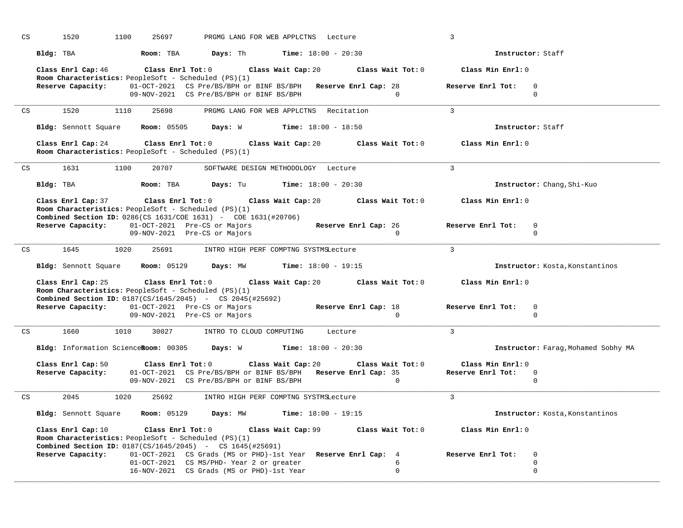| $\mathop{\rm CS}\nolimits$ | 1520                                                                                                                          | 1100<br>25697                |                                                                                                           | PRGMG LANG FOR WEB APPLCTNS Lecture            |                                                                           | $\overline{3}$                                  |  |
|----------------------------|-------------------------------------------------------------------------------------------------------------------------------|------------------------------|-----------------------------------------------------------------------------------------------------------|------------------------------------------------|---------------------------------------------------------------------------|-------------------------------------------------|--|
|                            | Bldg: TBA                                                                                                                     | Room: TBA                    | Days: Th                                                                                                  | <b>Time:</b> $18:00 - 20:30$                   |                                                                           | Instructor: Staff                               |  |
|                            | Class Enrl Cap: 46<br>Room Characteristics: PeopleSoft - Scheduled (PS)(1)                                                    |                              | Class Enrl Tot: 0 Class Wait Cap: 20                                                                      |                                                | Class Wait Tot: 0                                                         | Class Min Enrl: 0                               |  |
|                            | Reserve Capacity:                                                                                                             |                              | 01-OCT-2021 CS Pre/BS/BPH or BINF BS/BPH Reserve Enrl Cap: 28<br>09-NOV-2021 CS Pre/BS/BPH or BINF BS/BPH |                                                | $\Omega$                                                                  | Reserve Enrl Tot:<br>$\Omega$<br>$\mathbf 0$    |  |
| CS                         | 1520                                                                                                                          | 1110<br>25698                |                                                                                                           | PRGMG LANG FOR WEB APPLCTNS Recitation         |                                                                           | $\mathcal{L}$                                   |  |
|                            | Bldg: Sennott Square                                                                                                          | <b>Room: 05505</b>           |                                                                                                           | <b>Days:</b> W Time: 18:00 - 18:50             |                                                                           | Instructor: Staff                               |  |
|                            | Class Enrl Cap: 24 Class Enrl Tot: 0<br>Room Characteristics: PeopleSoft - Scheduled (PS)(1)                                  |                              |                                                                                                           | Class Wait Cap: 20                             | Class Wait Tot: 0                                                         | Class Min Enrl: 0                               |  |
| CS                         | 1631                                                                                                                          | 1100<br>20707                |                                                                                                           | SOFTWARE DESIGN METHODOLOGY Lecture            |                                                                           | $\overline{3}$                                  |  |
|                            | Bldg: TBA                                                                                                                     | Room: TBA                    | Days: Tu                                                                                                  | <b>Time:</b> $18:00 - 20:30$                   |                                                                           | Instructor: Chang, Shi-Kuo                      |  |
|                            | Room Characteristics: PeopleSoft - Scheduled (PS)(1)<br><b>Combined Section ID:</b> 0286(CS 1631/COE 1631) - COE 1631(#20706) |                              |                                                                                                           |                                                | Class Enrl Cap: 37 Class Enrl Tot: 0 Class Wait Cap: 20 Class Wait Tot: 0 | Class Min Enrl: 0                               |  |
|                            | Reserve Capacity: 01-OCT-2021 Pre-CS or Majors                                                                                | 09-NOV-2021 Pre-CS or Majors |                                                                                                           |                                                | Reserve Enrl Cap: 26<br>$\Omega$                                          | Reserve Enrl Tot:<br>$\mathbf 0$<br>$\Omega$    |  |
| CS                         | 1645                                                                                                                          | 1020<br>25691                |                                                                                                           | INTRO HIGH PERF COMPTNG SYSTMSLecture          |                                                                           | $\overline{3}$                                  |  |
|                            | Bldg: Sennott Square                                                                                                          | <b>Room: 05129</b>           | Days: MW                                                                                                  | <b>Time:</b> $18:00 - 19:15$                   |                                                                           | Instructor: Kosta, Konstantinos                 |  |
|                            | Class Enrl Cap: 25<br>Room Characteristics: PeopleSoft - Scheduled (PS)(1)                                                    |                              |                                                                                                           |                                                | Class Enrl Tot: $0$ Class Wait Cap: $20$ Class Wait Tot: $0$              | Class Min Enrl: 0                               |  |
|                            | <b>Combined Section ID:</b> 0187(CS/1645/2045) - CS 2045(#25692)<br>Reserve Capacity: 01-OCT-2021 Pre-CS or Majors            |                              |                                                                                                           |                                                | Reserve Enrl Cap: 18                                                      | Reserve Enrl Tot:<br>$\mathbf 0$                |  |
|                            |                                                                                                                               |                              |                                                                                                           |                                                |                                                                           |                                                 |  |
|                            |                                                                                                                               | 09-NOV-2021 Pre-CS or Majors |                                                                                                           |                                                | $\Omega$                                                                  | $\Omega$                                        |  |
| CS                         | 1660 1010                                                                                                                     |                              | 30027 INTRO TO CLOUD COMPUTING Lecture                                                                    |                                                |                                                                           | $\mathcal{L}$                                   |  |
|                            | Bldg: Information ScienceRoom: 00305                                                                                          |                              | Days: W                                                                                                   | <b>Time:</b> $18:00 - 20:30$                   |                                                                           | Instructor: Farag, Mohamed Sobhy MA             |  |
|                            | Class Enrl Cap: 50                                                                                                            | Class Enrl Tot: 0            |                                                                                                           | Class Wait Cap: 20                             | Class Wait Tot: 0                                                         | Class Min Enrl: 0                               |  |
|                            | Reserve Capacity:                                                                                                             |                              | 01-OCT-2021 CS Pre/BS/BPH or BINF BS/BPH Reserve Enrl Cap: 35<br>09-NOV-2021 CS Pre/BS/BPH or BINF BS/BPH |                                                | $\Omega$                                                                  | Reserve Enrl Tot:<br>$\mathbf 0$<br>$\mathbf 0$ |  |
| CS                         | 2045                                                                                                                          | 1020<br>25692                |                                                                                                           | INTRO HIGH PERF COMPTNG SYSTMSLecture          |                                                                           | $\mathbf{3}$                                    |  |
|                            | Bldg: Sennott Square Room: 05129                                                                                              |                              |                                                                                                           | <b>Days:</b> $MW$ <b>Time:</b> $18:00 - 19:15$ |                                                                           | Instructor: Kosta, Konstantinos                 |  |
|                            | Class Enrl Cap: $10$ Class Enrl Tot: 0<br>Room Characteristics: PeopleSoft - Scheduled (PS)(1)                                |                              |                                                                                                           |                                                | Class Wait Cap: 99 Class Wait Tot: 0                                      | Class Min Enrl: 0                               |  |
|                            | <b>Combined Section ID:</b> $0187(CS/1645/2045)$ - CS $1645(H25691)$<br>Reserve Capacity:                                     |                              | 01-OCT-2021 CS Grads (MS or PHD)-1st Year Reserve Enrl Cap: 4                                             |                                                |                                                                           | Reserve Enrl Tot:<br>0                          |  |
|                            |                                                                                                                               |                              | 01-OCT-2021 CS MS/PHD- Year 2 or greater<br>16-NOV-2021 CS Grads (MS or PHD)-1st Year                     |                                                | 6<br>$\mathbf 0$                                                          | $\Omega$<br>$\mathbf 0$                         |  |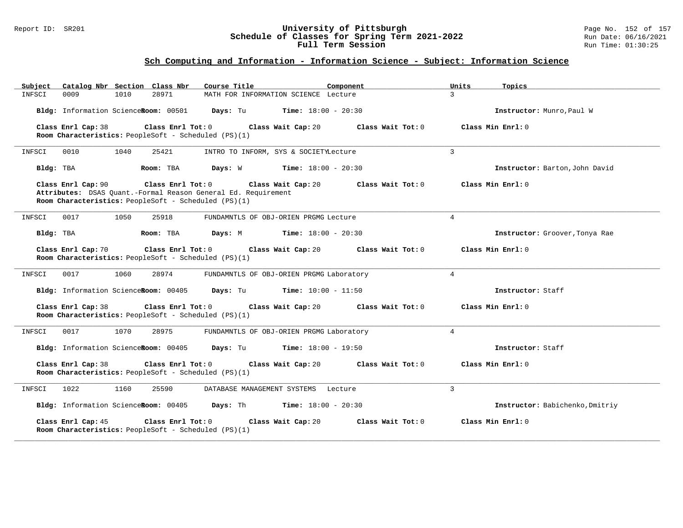#### Report ID: SR201 **University of Pittsburgh** Page No. 152 of 157 **Schedule of Classes for Spring Term 2021-2022** Run Date: 06/16/2021 **Full Term Session Rundall Term Session Rundall Term Session**

# **Sch Computing and Information - Information Science - Subject: Information Science**

| Catalog Nbr Section Class Nbr<br>Subject                                   | Course Title                                                  | Units<br>Component | Topics                          |
|----------------------------------------------------------------------------|---------------------------------------------------------------|--------------------|---------------------------------|
| INFSCI<br>0009<br>1010                                                     | 28971<br>MATH FOR INFORMATION SCIENCE Lecture                 | $\mathbf{3}$       |                                 |
| Bldg: Information ScienceRoom: 00501                                       | Days: Tu<br><b>Time:</b> $18:00 - 20:30$                      |                    | Instructor: Munro, Paul W       |
| Class Enrl Cap: 38                                                         | Class Enrl Tot: 0<br>Class Wait Cap: 20                       | Class Wait Tot: 0  | Class Min Enrl: 0               |
| Room Characteristics: PeopleSoft - Scheduled (PS)(1)                       |                                                               |                    |                                 |
| INFSCI<br>0010<br>1040                                                     | 25421<br>INTRO TO INFORM, SYS & SOCIETYLecture                | $\mathbf{3}$       |                                 |
| Bldg: TBA                                                                  | <b>Time:</b> $18:00 - 20:30$<br>Room: TBA<br>Days: W          |                    | Instructor: Barton, John David  |
| Class Enrl Cap: 90                                                         | Class Enrl Tot: 0<br>Class Wait Cap: 20                       | Class Wait Tot: 0  | Class Min Enrl: 0               |
| Room Characteristics: PeopleSoft - Scheduled (PS)(1)                       | Attributes: DSAS Quant.-Formal Reason General Ed. Requirement |                    |                                 |
|                                                                            |                                                               |                    |                                 |
| 0017<br>1050<br>INFSCI                                                     | 25918<br>FUNDAMNTLS OF OBJ-ORIEN PRGMG Lecture                | $\overline{4}$     |                                 |
| Bldg: TBA                                                                  | Room: TBA<br>Days: M<br><b>Time:</b> $18:00 - 20:30$          |                    | Instructor: Groover, Tonya Rae  |
| Class Enrl Cap: 70                                                         | Class Enrl Tot: 0<br>Class Wait Cap: 20                       | Class Wait Tot: 0  | Class Min Enrl: 0               |
| Room Characteristics: PeopleSoft - Scheduled (PS)(1)                       |                                                               |                    |                                 |
| 0017<br>1060<br>INFSCI                                                     | 28974<br>FUNDAMNTLS OF OBJ-ORIEN PRGMG Laboratory             | $4\overline{ }$    |                                 |
| Bldg: Information ScienceRoom: 00405                                       | Days: Tu<br><b>Time:</b> $10:00 - 11:50$                      |                    | Instructor: Staff               |
| Class Enrl Cap: 38                                                         | Class Enrl Tot: 0<br>Class Wait Cap: 20                       | Class Wait Tot: 0  | Class Min Enrl: 0               |
| Room Characteristics: PeopleSoft - Scheduled (PS)(1)                       |                                                               |                    |                                 |
| 1070<br>INFSCI<br>0017                                                     | FUNDAMNTLS OF OBJ-ORIEN PRGMG Laboratory<br>28975             | $\overline{4}$     |                                 |
| Bldg: Information ScienceRoom: 00405                                       | Days: Tu<br><b>Time:</b> $18:00 - 19:50$                      |                    | Instructor: Staff               |
| Class Enrl Cap: 38<br>Room Characteristics: PeopleSoft - Scheduled (PS)(1) | Class Enrl Tot: 0<br>Class Wait Cap: 20                       | Class Wait Tot: 0  | Class Min Enrl: 0               |
|                                                                            |                                                               |                    |                                 |
| 1022<br>1160<br>INFSCI                                                     | 25590<br>DATABASE MANAGEMENT SYSTEMS                          | 3<br>Lecture       |                                 |
| Bldg: Information ScienceRoom: 00405                                       | <b>Time:</b> $18:00 - 20:30$<br>Days: Th                      |                    | Instructor: Babichenko, Dmitriy |
| Class Enrl Cap: 45<br>Room Characteristics: PeopleSoft - Scheduled (PS)(1) | Class Enrl Tot: 0<br>Class Wait Cap: 20                       | Class Wait Tot: 0  | Class Min Enrl: 0               |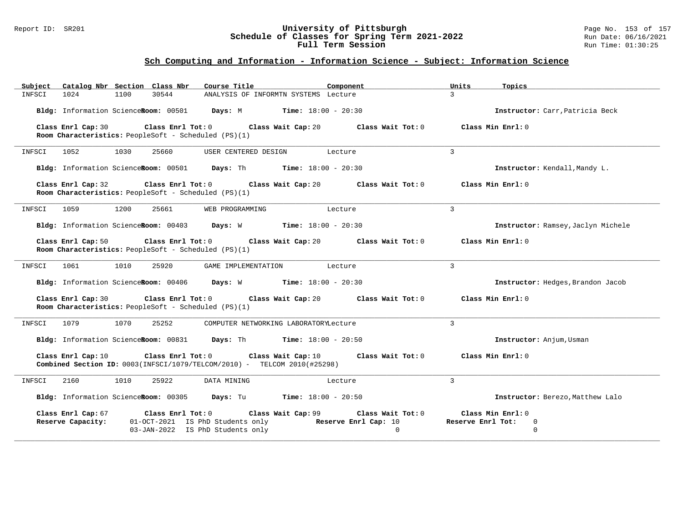#### Report ID: SR201 **University of Pittsburgh** Page No. 153 of 157 **Schedule of Classes for Spring Term 2021-2022** Run Date: 06/16/2021 **Full Term Session Rundall Term Session Rundall Term Session**

# **Sch Computing and Information - Information Science - Subject: Information Science**

| Subject Catalog Nbr Section Class Nbr                                                                                         | Course Title                                                                                                    | Component                     | Units<br>Topics                                            |
|-------------------------------------------------------------------------------------------------------------------------------|-----------------------------------------------------------------------------------------------------------------|-------------------------------|------------------------------------------------------------|
| 30544<br>1024<br>1100<br>INFSCI                                                                                               | ANALYSIS OF INFORMTN SYSTEMS Lecture                                                                            |                               | $\mathcal{L}$                                              |
| Bldg: Information ScienceRoom: 00501 Days: M Time: 18:00 - 20:30                                                              |                                                                                                                 |                               | Instructor: Carr, Patricia Beck                            |
| Class Enrl Cap: 30<br>Class Enrl Tot: 0<br>Room Characteristics: PeopleSoft - Scheduled (PS)(1)                               | Class Wait Cap: 20                                                                                              | Class Wait Tot: 0             | Class Min Enrl: 0                                          |
| 1052<br>1030<br>25660<br>INFSCI                                                                                               | USER CENTERED DESIGN                                                                                            | Lecture                       | $\overline{3}$                                             |
| Bldg: Information ScienceRoom: 00501 Days: Th Time: 18:00 - 20:30                                                             |                                                                                                                 |                               | Instructor: Kendall, Mandy L.                              |
| Class Enrl Cap: 32<br>Room Characteristics: PeopleSoft - Scheduled (PS)(1)                                                    | Class Enrl Tot: $0$ Class Wait Cap: $20$ Class Wait Tot: $0$                                                    |                               | Class Min Enrl: 0                                          |
| 1059<br>1200<br>25661<br>INFSCI                                                                                               | WEB PROGRAMMING                                                                                                 | Lecture                       | 3                                                          |
| Bldg: Information ScienceRoom: 00403 Days: W Time: 18:00 - 20:30                                                              |                                                                                                                 |                               | Instructor: Ramsey, Jaclyn Michele                         |
| Class Enrl Tot: $0$<br>Class Enrl Cap: 50<br>Room Characteristics: PeopleSoft - Scheduled (PS)(1)                             | Class Wait Cap: 20                                                                                              | Class Wait Tot: 0             | Class Min Enrl: 0                                          |
| 1061<br>1010<br>25920<br>INFSCI                                                                                               | GAME IMPLEMENTATION                                                                                             | Lecture                       | $\overline{3}$                                             |
| Bldg: Information ScienceRoom: 00406 Days: W Time: 18:00 - 20:30                                                              |                                                                                                                 |                               | Instructor: Hedges, Brandon Jacob                          |
| Class Enrl Cap: 30<br>Class Enrl Tot: 0<br>Room Characteristics: PeopleSoft - Scheduled (PS)(1)                               | Class Wait Cap: 20                                                                                              | Class Wait Tot: 0             | Class Min Enrl: 0                                          |
| 1070<br>25252<br>INFSCI<br>1079                                                                                               | COMPUTER NETWORKING LABORATORYLecture                                                                           |                               | $\overline{3}$                                             |
| <b>Bldg:</b> Information ScienceRoom: $00831$ Days: Th Time: $18:00 - 20:50$                                                  |                                                                                                                 |                               | Instructor: Anjum, Usman                                   |
| Class Enrl Tot: 0<br>Class Enrl Cap: 10<br><b>Combined Section ID:</b> $0003$ (INFSCI/1079/TELCOM/2010) - TELCOM 2010(#25298) | Class Wait Cap: 10                                                                                              | Class Wait Tot: 0             | Class Min Enrl: 0                                          |
| 1010<br>25922<br>2160<br>INFSCI                                                                                               | DATA MINING                                                                                                     | Lecture                       | $\mathbf{3}$                                               |
| Bldg: Information ScienceRoom: 00305 Days: Tu Time: 18:00 - 20:50                                                             |                                                                                                                 |                               | Instructor: Berezo, Matthew Lalo                           |
| Class Enrl Cap: 67<br>Class Enrl Tot: 0<br>Reserve Capacity:                                                                  | Class Wait Cap: 99<br>01-OCT-2021 IS PhD Students only Reserve Enrl Cap: 10<br>03-JAN-2022 IS PhD Students only | Class Wait Tot: 0<br>$\Omega$ | Class Min Enrl: 0<br>Reserve Enrl Tot:<br>0<br>$\mathbf 0$ |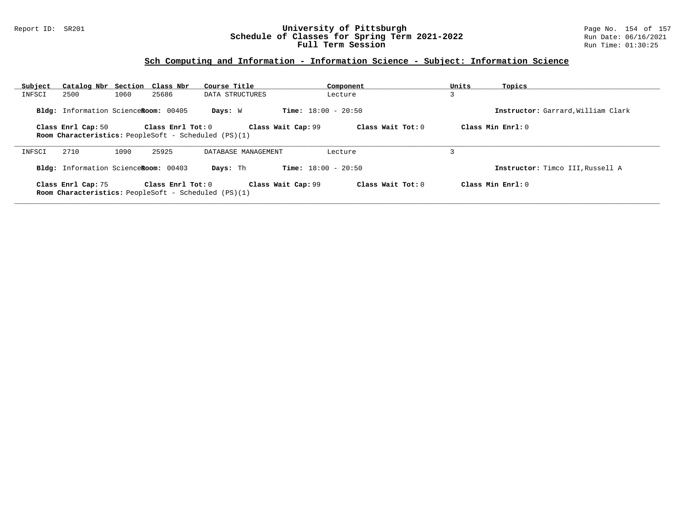### Report ID: SR201 **University of Pittsburgh** Page No. 154 of 157 **Schedule of Classes for Spring Term 2021-2022** Run Date: 06/16/2021 **Full Term Session Rundall Term Session Rundall Term Session**

# **Sch Computing and Information - Information Science - Subject: Information Science**

| Subject | Catalog Nbr Section Class Nbr        |      |                   | Course Title                                                |                              | Component           | Units | Topics                             |
|---------|--------------------------------------|------|-------------------|-------------------------------------------------------------|------------------------------|---------------------|-------|------------------------------------|
| INFSCI  | 2500                                 | 1060 | 25686             | DATA STRUCTURES                                             |                              | Lecture             | 3     |                                    |
|         | Bldg: Information ScienceRoom: 00405 |      |                   | Days: W                                                     | <b>Time:</b> $18:00 - 20:50$ |                     |       | Instructor: Garrard, William Clark |
|         | Class Enrl Cap: 50                   |      | Class Enrl Tot: 0 | <b>Room Characteristics:</b> PeopleSoft - Scheduled (PS)(1) | Class Wait Cap: 99           | Class Wait Tot: $0$ |       | Class Min $Enrl: 0$                |
| INFSCI  | 2710                                 | 1090 | 25925             | DATABASE MANAGEMENT                                         |                              | Lecture             |       |                                    |
|         | Bldg: Information ScienceRoom: 00403 |      |                   | Days: Th                                                    | <b>Time:</b> $18:00 - 20:50$ |                     |       | Instructor: Timco III, Russell A   |
|         | Class Enrl Cap: 75                   |      | Class Enrl Tot: 0 | <b>Room Characteristics:</b> PeopleSoft - Scheduled (PS)(1) | Class Wait Cap: 99           | Class Wait Tot: 0   |       | Class Min Enrl: $0$                |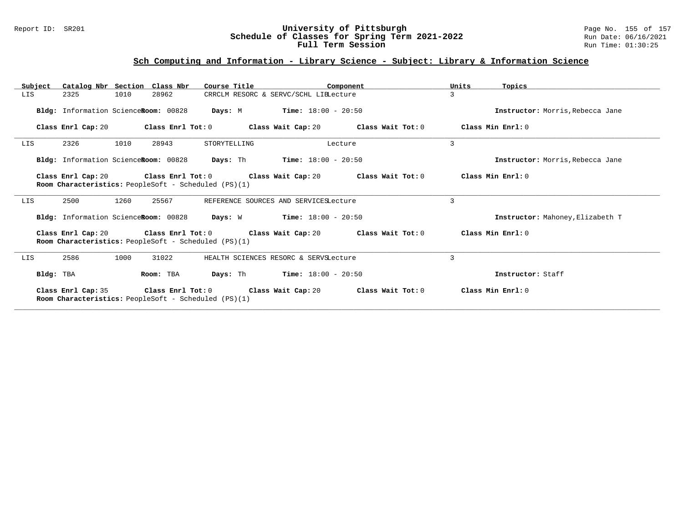### Report ID: SR201 **University of Pittsburgh** Page No. 155 of 157 **Schedule of Classes for Spring Term 2021-2022** Run Date: 06/16/2021 **Full Term Session Rundall Term Session Rundall Term Session**

# **Sch Computing and Information - Library Science - Subject: Library & Information Science**

| Subject   | Catalog Nbr Section Class Nbr                               |      |                   | Course Title                                                                |         | Component                                                                                            | Units | Topics                           |
|-----------|-------------------------------------------------------------|------|-------------------|-----------------------------------------------------------------------------|---------|------------------------------------------------------------------------------------------------------|-------|----------------------------------|
| LIS       | 2325                                                        | 1010 | 28962             | CRRCLM RESORC & SERVC/SCHL LIBLecture                                       |         |                                                                                                      | 3     |                                  |
|           | Bldg: Information ScienceRoom: 00828                        |      |                   | <b>Days:</b> M <b>Time:</b> $18:00 - 20:50$                                 |         |                                                                                                      |       | Instructor: Morris, Rebecca Jane |
|           | Class Enrl Cap: 20                                          |      | Class Enrl Tot: 0 |                                                                             |         | Class Wait Cap: 20 Class Wait Tot: 0                                                                 |       | Class Min Enrl: 0                |
| LIS       | 2326                                                        | 1010 | 28943             | STORYTELLING                                                                | Lecture |                                                                                                      | 3     |                                  |
|           |                                                             |      |                   | Bldg: Information ScienceRoom: 00828 Days: Th Time: 18:00 - 20:50           |         |                                                                                                      |       | Instructor: Morris, Rebecca Jane |
|           | Room Characteristics: PeopleSoft - Scheduled (PS)(1)        |      |                   |                                                                             |         | Class Enrl Cap: 20 $\qquad$ Class Enrl Tot: 0 $\qquad$ Class Wait Cap: 20 $\qquad$ Class Wait Tot: 0 |       | Class Min Enrl: 0                |
| LIS       | 2500                                                        | 1260 | 25567             | REFERENCE SOURCES AND SERVICESLecture                                       |         |                                                                                                      | 3     |                                  |
|           |                                                             |      |                   | <b>Bldg:</b> Information ScienceRoom: $00828$ Days: W Time: $18:00 - 20:50$ |         |                                                                                                      |       | Instructor: Mahoney, Elizabeth T |
|           | Room Characteristics: PeopleSoft - Scheduled (PS)(1)        |      |                   |                                                                             |         | Class Enrl Cap: 20 Class Enrl Tot: 0 Class Wait Cap: 20 Class Wait Tot: 0                            |       | Class Min Enrl: 0                |
| LIS       | 2586                                                        | 1000 | 31022             | HEALTH SCIENCES RESORC & SERVSLecture                                       |         |                                                                                                      | 3     |                                  |
| Bldg: TBA |                                                             |      | Room: TBA         | <b>Days:</b> Th <b>Time:</b> $18:00 - 20:50$                                |         |                                                                                                      |       | Instructor: Staff                |
|           | <b>Room Characteristics:</b> PeopleSoft - Scheduled (PS)(1) |      |                   |                                                                             |         | Class Enrl Cap: 35 Class Enrl Tot: 0 Class Wait Cap: 20 Class Wait Tot: 0                            |       | Class Min Enrl: 0                |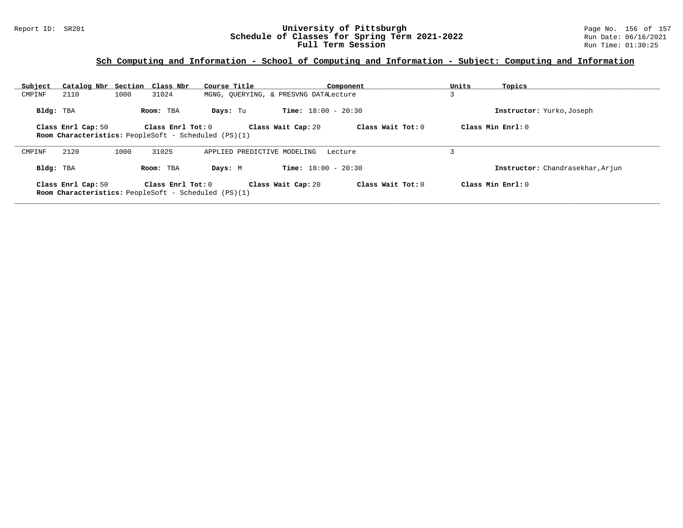### Report ID: SR201 **University of Pittsburgh** Page No. 156 of 157 **Schedule of Classes for Spring Term 2021-2022** Run Date: 06/16/2021 **Full Term Session Rundall Term Session Rundall Term Session**

### **Sch Computing and Information - School of Computing and Information - Subject: Computing and Information**

| Subject                                                                                                                                                              | Catalog Nbr Section Class Nbr                                                     |      |                       | Course Title                |                                       | Component         | Units | Topics                           |
|----------------------------------------------------------------------------------------------------------------------------------------------------------------------|-----------------------------------------------------------------------------------|------|-----------------------|-----------------------------|---------------------------------------|-------------------|-------|----------------------------------|
| CMPINF                                                                                                                                                               | 2110                                                                              | 1000 | 31024                 |                             | MGNG, OUERYING, & PRESVNG DATALecture |                   |       |                                  |
| Bldg: TBA                                                                                                                                                            |                                                                                   |      | Room: TBA             | Days: Tu                    | <b>Time:</b> $18:00 - 20:30$          |                   |       | Instructor: Yurko, Joseph        |
| Class Min $Err1:0$<br>Class Wait Tot: 0<br>Class Enrl Cap: 50<br>Class $Enr1$ Tot: $0$<br>Class Wait Cap: 20<br>Room Characteristics: PeopleSoft - Scheduled (PS)(1) |                                                                                   |      |                       |                             |                                       |                   |       |                                  |
| CMPINF                                                                                                                                                               | 2120                                                                              | 1000 | 31025                 | APPLIED PREDICTIVE MODELING |                                       | Lecture           |       |                                  |
| Bldg: TBA                                                                                                                                                            |                                                                                   |      | Room: TBA             | Days: M                     | <b>Time:</b> $18:00 - 20:30$          |                   |       | Instructor: Chandrasekhar, Arjun |
|                                                                                                                                                                      | Class Enrl Cap: 50<br><b>Room Characteristics:</b> PeopleSoft - Scheduled (PS)(1) |      | Class $Enr1$ Tot: $0$ |                             | Class Wait Cap: 20                    | Class Wait Tot: 0 |       | Class Min Enrl: 0                |